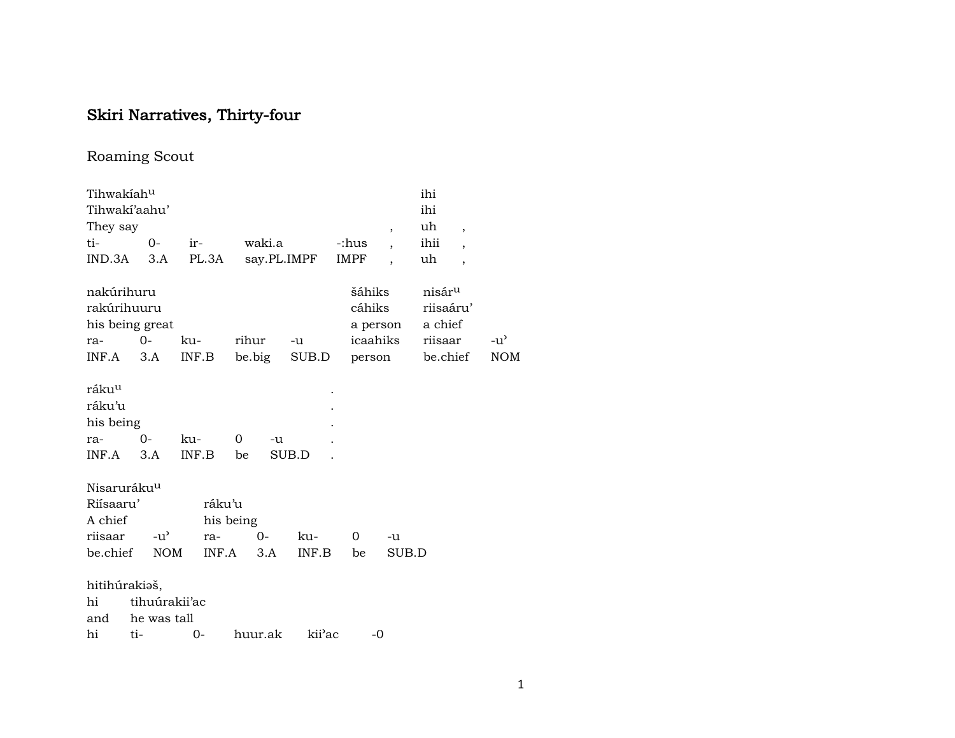# Skiri Narratives, Thirty-four

## Roaming Scout

| Tihwakiahu                                               |                 |              |           |             |                  |                          | ihi                                        |               |
|----------------------------------------------------------|-----------------|--------------|-----------|-------------|------------------|--------------------------|--------------------------------------------|---------------|
|                                                          | Tihwaki'aahu'   |              |           |             |                  |                          | ihi                                        |               |
| They say                                                 |                 |              |           |             |                  | $\overline{\phantom{a}}$ | uh<br>$\overline{ }$                       |               |
| ti-                                                      | $0-$            | ir-          | waki.a    |             | -:hus            |                          | ihii<br>$\overline{ }$                     |               |
| IND.3A                                                   | 3.A             | PL.3A        |           | say.PL.IMPF | IMPF             |                          | uh<br>$\overline{\phantom{a}}$             |               |
| nakúrihuru<br>rakúrihuuru                                | his being great |              |           |             | šáhiks<br>cáhiks | a person                 | nisár <sup>u</sup><br>riisaáru'<br>a chief |               |
| ra-                                                      | $0-$            | ku-          | rihur     | $-u$        |                  | icaahiks                 | riisaar                                    | $-u^{\prime}$ |
| INF.A                                                    | 3.A             | INF.B        | be.big    | SUB.D       |                  | person                   | be.chief                                   | <b>NOM</b>    |
| ráku <sup>u</sup><br>ráku'u<br>his being<br>ra-<br>INF.A | 0-<br>3.A       | ku-<br>INF.B | 0<br>be   | -u<br>SUB.D |                  |                          |                                            |               |
| Nisaruráku <sup>u</sup>                                  |                 |              |           |             |                  |                          |                                            |               |
| Riisaaru'<br>A chief                                     |                 | ráku'u       | his being |             |                  |                          |                                            |               |
| riisaar                                                  | $-u^{\prime}$   | ra-          | 0-        | ku-         | 0                | -u                       |                                            |               |
| be.chief                                                 | <b>NOM</b>      | INF.A        | 3.A       | INF.B       | be               | SUB.D                    |                                            |               |
| hitihúrakiaš,                                            |                 |              |           |             |                  |                          |                                            |               |
| hi                                                       | tihuúrakii'ac   |              |           |             |                  |                          |                                            |               |
| and                                                      | he was tall     |              |           |             |                  |                          |                                            |               |
| hi                                                       | ti-             | 0-           | huur.ak   | kii'ac      |                  | -0                       |                                            |               |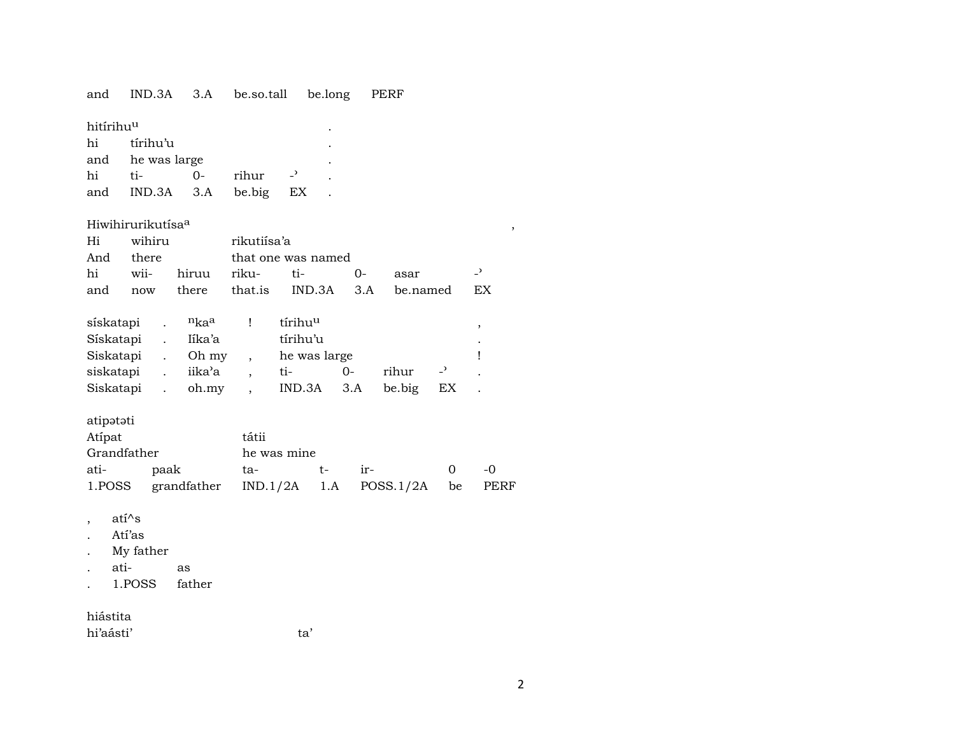#### PERF and IND.3A 3.A be.so.tall be.long

| hitírihu <sup>u</sup> |                  |     |           |                          | ٠         |
|-----------------------|------------------|-----|-----------|--------------------------|-----------|
| hi                    | tírihu'u         |     |           |                          | $\bullet$ |
|                       | and he was large |     | $\bullet$ |                          |           |
| hi                    | $ti-$            | ິດ- | rihur     | $\overline{\phantom{a}}$ |           |
|                       | and IND.3A 3.A   |     | be.big    | EX                       |           |

#### Hiwihirurikutísa<sup>a</sup>

|           | Hi wihiru | rikutiísa'a |                              |                                              |  |
|-----------|-----------|-------------|------------------------------|----------------------------------------------|--|
| And there |           |             | that one was named           |                                              |  |
|           |           |             | hi wii- hiruu riku- ti-   0- | asar                                         |  |
|           |           |             |                              | and now there that is IND.3A 3.A be named EX |  |

| sískatapi | $n_{\rm ka}$ a | tírihu <sup>u</sup> |        |        |    |           |
|-----------|----------------|---------------------|--------|--------|----|-----------|
| Sískatapi | Iíka'a         | tírihu'u            |        |        |    | $\bullet$ |
| Siskatapi | Oh my          | he was large        |        |        |    |           |
| siskatapi | iika'a         | $t_{1-}$            | $()$ - | rihur  |    |           |
| Siskatapi | oh.my          | $IND.3A$ $3.A$      |        | be big | EX |           |

#### atipətəti

| Atípat      |                                                      | tátii       |       |        |  |  |  |  |  |  |  |  |
|-------------|------------------------------------------------------|-------------|-------|--------|--|--|--|--|--|--|--|--|
| Grandfather |                                                      | he was mine |       |        |  |  |  |  |  |  |  |  |
| ati-        | paak                                                 | ta-         | $+ -$ | $ir -$ |  |  |  |  |  |  |  |  |
|             | 1. POSS grandfather IND. 1/2A 1.A POSS. 1/2A be PERF |             |       |        |  |  |  |  |  |  |  |  |

ta'

ati^s  $\overline{\phantom{a}}$ 

- Atí'as  $\ddot{\phantom{a}}$
- My father  $\ddot{\phantom{a}}$
- atias  $\bullet$
- father 1.POSS  $\bullet$

#### hiástita

hi'aásti'

 $\,$  ,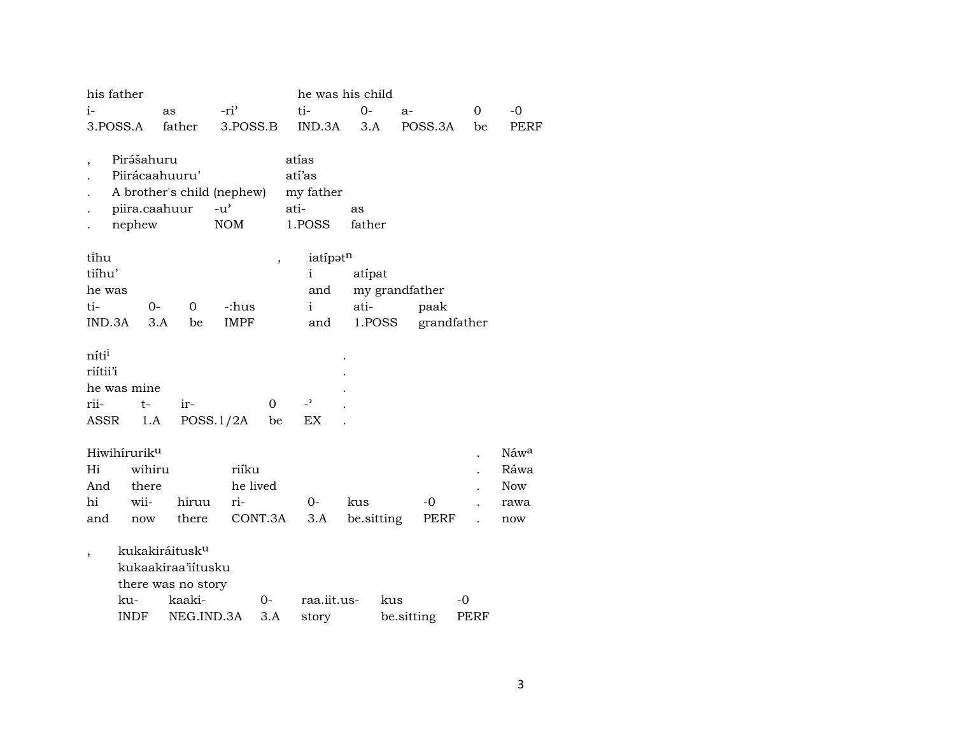|                                               | his father<br>he was his child        |                                                                        |                                                   |                          |                                                |                   |                |             |             |
|-----------------------------------------------|---------------------------------------|------------------------------------------------------------------------|---------------------------------------------------|--------------------------|------------------------------------------------|-------------------|----------------|-------------|-------------|
| i-                                            |                                       | as                                                                     | $-ri^2$                                           |                          | ti-                                            | $O -$             | $a-$           | 0           | $-0$        |
|                                               | 3.POSS.A                              | father                                                                 | 3.POSS.B                                          |                          | IND.3A                                         | 3.A               | POSS.3A        | be          | PERF        |
|                                               | Pirášahuru<br>piira.caahuur<br>nephew | Piirácaahuuru'<br>A brother's child (nephew)                           | $-u$ <sup><math>\prime</math></sup><br><b>NOM</b> |                          | atías<br>atí'as<br>my father<br>ati-<br>1.POSS | as<br>father      |                |             |             |
| ti̇̃hu                                        |                                       |                                                                        |                                                   | $\overline{\phantom{a}}$ | iatípatn                                       |                   |                |             |             |
| tiíhu'                                        |                                       |                                                                        |                                                   |                          | $\mathbf{i}$                                   | atípat            |                |             |             |
| he was                                        |                                       |                                                                        |                                                   |                          | and                                            |                   | my grandfather |             |             |
| ti-                                           | $0-$                                  | 0                                                                      | -:hus                                             |                          | $\mathbf{i}$                                   | ati-              | paak           |             |             |
| IND.3A                                        |                                       | 3.A<br>be                                                              | <b>IMPF</b>                                       |                          | and                                            | 1.POSS            |                | grandfather |             |
| niti <sup>i</sup><br>riítii'i<br>rii-<br>ASSR | he was mine<br>$t-$<br>1.A            | ir-                                                                    | POSS.1/2A                                         | $\Omega$<br>be           | $\overline{a}$<br>EX                           |                   |                |             |             |
|                                               |                                       |                                                                        |                                                   |                          |                                                |                   |                |             |             |
|                                               | Hiwihiruriku                          |                                                                        |                                                   |                          |                                                |                   |                |             | Náwa        |
| Hi                                            | wihiru                                |                                                                        | riíku                                             |                          |                                                |                   |                |             | Ráwa        |
| And<br>hi                                     | there<br>wii-                         |                                                                        | he lived<br>ri-                                   |                          | $0-$                                           |                   | $-0$           |             | <b>Now</b>  |
| and                                           | now                                   | hiruu<br>there                                                         |                                                   | CONT.3A                  | 3.A                                            | kus<br>be sitting | PERF           |             | rawa<br>now |
|                                               |                                       |                                                                        |                                                   |                          |                                                |                   |                |             |             |
| $\cdot$                                       |                                       | kukakiráitusk <sup>u</sup><br>kukaakiraa'iitusku<br>there was no story |                                                   |                          |                                                |                   |                |             |             |
|                                               | ku-                                   | kaaki-                                                                 |                                                   | 0-                       | raa.iit.us-                                    | kus               |                | -0          |             |
|                                               | <b>INDF</b>                           | NEG.IND.3A                                                             |                                                   | 3.A                      | story                                          |                   | be.sitting     | PERF        |             |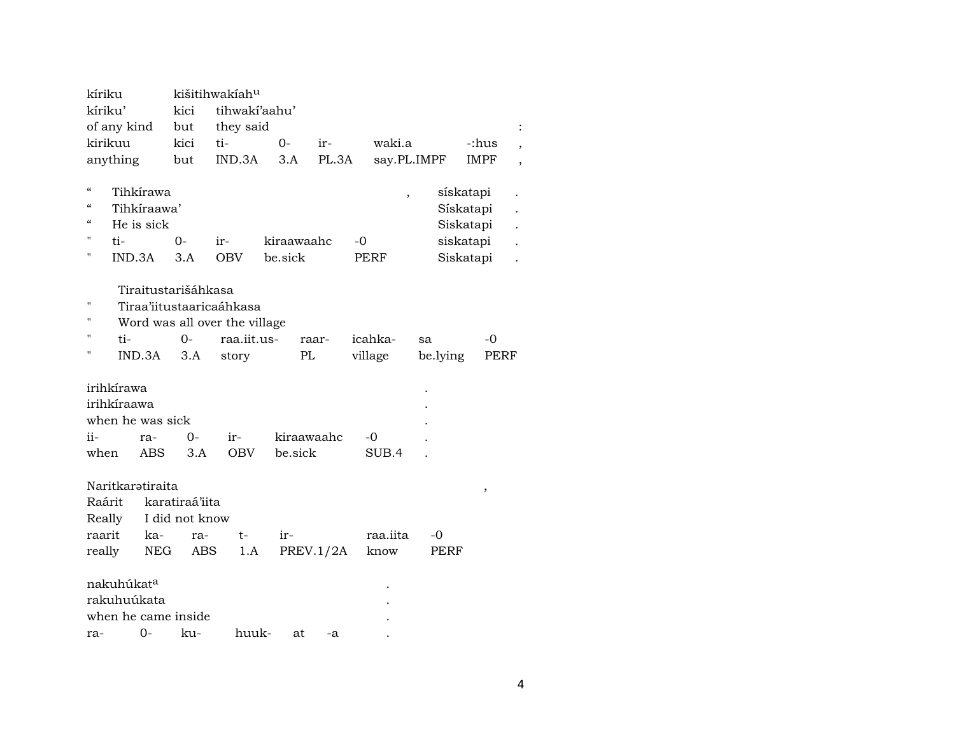| kíriku                                      |                                       |                                        | kišitihwakíah <sup>u</sup>                            |                                                                                   |         |                       |       |                    |                |                                                               |  |
|---------------------------------------------|---------------------------------------|----------------------------------------|-------------------------------------------------------|-----------------------------------------------------------------------------------|---------|-----------------------|-------|--------------------|----------------|---------------------------------------------------------------|--|
| kíriku'                                     |                                       |                                        | kici                                                  | tihwakí'aahu'                                                                     |         |                       |       |                    |                |                                                               |  |
|                                             | of any kind                           |                                        | but                                                   | they said                                                                         |         |                       |       |                    |                |                                                               |  |
|                                             | kirikuu                               |                                        | kici                                                  | ti-                                                                               | $O -$   | ir-                   |       | waki.a             |                | -:hus                                                         |  |
|                                             | anything                              |                                        | but                                                   | IND.3A                                                                            | 3.A     |                       | PL.3A | say.PL.IMPF        |                | <b>IMPF</b>                                                   |  |
| $\mathcal{C}$<br>$\epsilon$<br>"<br>11<br>н | ti-<br>IND.3A                         | Tihkírawa<br>Tihkíraawa'<br>He is sick | $O -$<br>3.A                                          | ir-<br><b>OBV</b>                                                                 | be sick | kiraawaahc            |       | -0<br>PERF         |                | sískatapi<br>Sískatapi<br>Siskatapi<br>siskatapi<br>Siskatapi |  |
| $^{\prime}$<br>п<br>п<br>П                  | ti-                                   | IND.3A                                 | Tiraitustarišáhkasa<br>$0 -$<br>3.A                   | Tiraa'iitustaaricaáhkasa<br>Word was all over the village<br>raa.iit.us-<br>story |         | raar-<br>PL           |       | icahka-<br>village | sa<br>be.lying | -0<br><b>PERF</b>                                             |  |
| ii-<br>when                                 | irihkírawa<br>irihkíraawa             | when he was sick<br>ra-<br><b>ABS</b>  | $O -$<br>3.A                                          | ir-<br><b>OBV</b>                                                                 |         | kiraawaahc<br>be.sick |       | -0<br>SUB.4        |                |                                                               |  |
| Raárit<br>raarit<br>really                  | Really                                | Naritkarətiraita<br>ka-<br>NEG         | karatiraá'iita<br>I did not know<br>ra-<br><b>ABS</b> | $t-$<br>1.A                                                                       | ir-     | PREV.1/2A             |       | raa.iita<br>know   | -0<br>PERF     | $\,$                                                          |  |
| ra-                                         | nakuhúkat <sup>a</sup><br>rakuhuúkata | 0-                                     | when he came inside<br>ku-                            | huuk-                                                                             |         | at                    | -a    |                    |                |                                                               |  |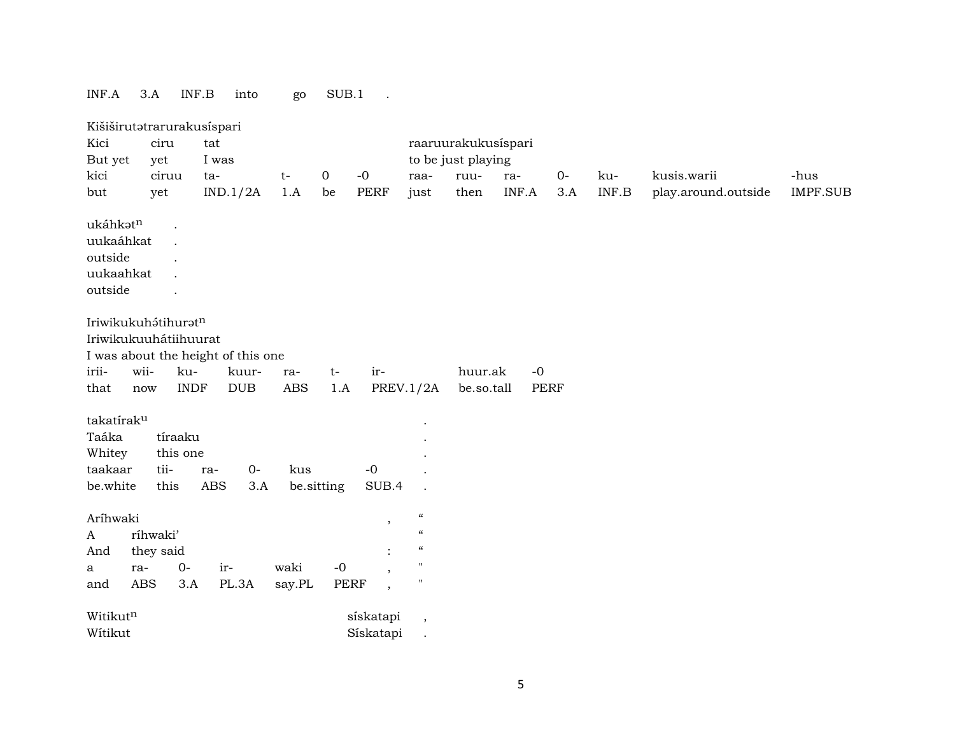| INF.A                  | $3.A$                      | INF.B       | into                               | go                   | SUB.1       | $\ddot{\phantom{a}}$     |                                        |                     |       |             |       |                     |                 |
|------------------------|----------------------------|-------------|------------------------------------|----------------------|-------------|--------------------------|----------------------------------------|---------------------|-------|-------------|-------|---------------------|-----------------|
|                        | Kišiširutatrarurakusispari |             |                                    |                      |             |                          |                                        |                     |       |             |       |                     |                 |
| Kici                   | ciru                       |             | tat                                |                      |             |                          |                                        | raaruurakukusispari |       |             |       |                     |                 |
| But yet                | yet                        |             | I was                              |                      |             |                          |                                        | to be just playing  |       |             |       |                     |                 |
| kici                   | ciruu                      |             | ta-                                | $t-$                 | 0           | $-0$                     | raa-                                   | ruu-                | ra-   | $0-$        | ku-   | kusis.warii         | -hus            |
| but                    | yet                        |             | IND.1/2A                           | 1.A                  | be          | <b>PERF</b>              | just                                   | then                | INF.A | 3.A         | INF.B | play.around.outside | <b>IMPF.SUB</b> |
| ukáhkatn               |                            |             |                                    |                      |             |                          |                                        |                     |       |             |       |                     |                 |
| uukaáhkat              |                            |             |                                    |                      |             |                          |                                        |                     |       |             |       |                     |                 |
| outside                |                            |             |                                    |                      |             |                          |                                        |                     |       |             |       |                     |                 |
| uukaahkat              |                            |             |                                    |                      |             |                          |                                        |                     |       |             |       |                     |                 |
| outside                |                            |             |                                    |                      |             |                          |                                        |                     |       |             |       |                     |                 |
|                        |                            |             |                                    |                      |             |                          |                                        |                     |       |             |       |                     |                 |
|                        | Iriwikukuhátihuratn        |             |                                    |                      |             |                          |                                        |                     |       |             |       |                     |                 |
|                        | Iriwikukuuhátiihuurat      |             |                                    |                      |             |                          |                                        |                     |       |             |       |                     |                 |
|                        |                            |             | I was about the height of this one |                      |             |                          |                                        |                     |       |             |       |                     |                 |
| irii-                  | wii-                       | ku-         | kuur-                              | ra-                  | $t-$        | ir-                      |                                        | huur.ak             | $-0$  |             |       |                     |                 |
| that                   | now                        | <b>INDF</b> | <b>DUB</b>                         | $\operatorname{ABS}$ | 1.A         |                          | <b>PREV.1/2A</b>                       | be.so.tall          |       | <b>PERF</b> |       |                     |                 |
|                        |                            |             |                                    |                      |             |                          |                                        |                     |       |             |       |                     |                 |
| takatírak <sup>u</sup> |                            |             |                                    |                      |             |                          |                                        |                     |       |             |       |                     |                 |
| Taáka                  |                            | tíraaku     |                                    |                      |             |                          |                                        |                     |       |             |       |                     |                 |
| Whitey                 |                            | this one    |                                    |                      |             |                          |                                        |                     |       |             |       |                     |                 |
| taakaar                | tii-                       | ra-         | $0-$                               | kus                  |             | $-0$                     |                                        |                     |       |             |       |                     |                 |
| be.white               | this                       |             | <b>ABS</b><br>3.A                  |                      | be.sitting  | SUB.4                    |                                        |                     |       |             |       |                     |                 |
| Aríhwaki               |                            |             |                                    |                      |             | $\,$                     | $\boldsymbol{\zeta}\boldsymbol{\zeta}$ |                     |       |             |       |                     |                 |
| A                      | ríhwaki'                   |             |                                    |                      |             |                          | $\boldsymbol{\zeta}\boldsymbol{\zeta}$ |                     |       |             |       |                     |                 |
| And                    | they said                  |             |                                    |                      |             | $\ddot{\cdot}$           | $\boldsymbol{\zeta}\boldsymbol{\zeta}$ |                     |       |             |       |                     |                 |
| a                      | ra-                        | $0-$        | ir-                                | waki                 | $-0$        | $\overline{\phantom{a}}$ | $^{\prime\prime}$                      |                     |       |             |       |                     |                 |
| and                    | <b>ABS</b>                 | 3.A         | PL.3A                              | say.PL               | <b>PERF</b> | $\overline{\phantom{a}}$ | $\pmb{\mathsf{H}}$                     |                     |       |             |       |                     |                 |
| Witikutn               |                            |             |                                    |                      |             | sískatapi                |                                        |                     |       |             |       |                     |                 |
|                        |                            |             |                                    |                      |             |                          | $\,$                                   |                     |       |             |       |                     |                 |

Wítikut Sískatapi .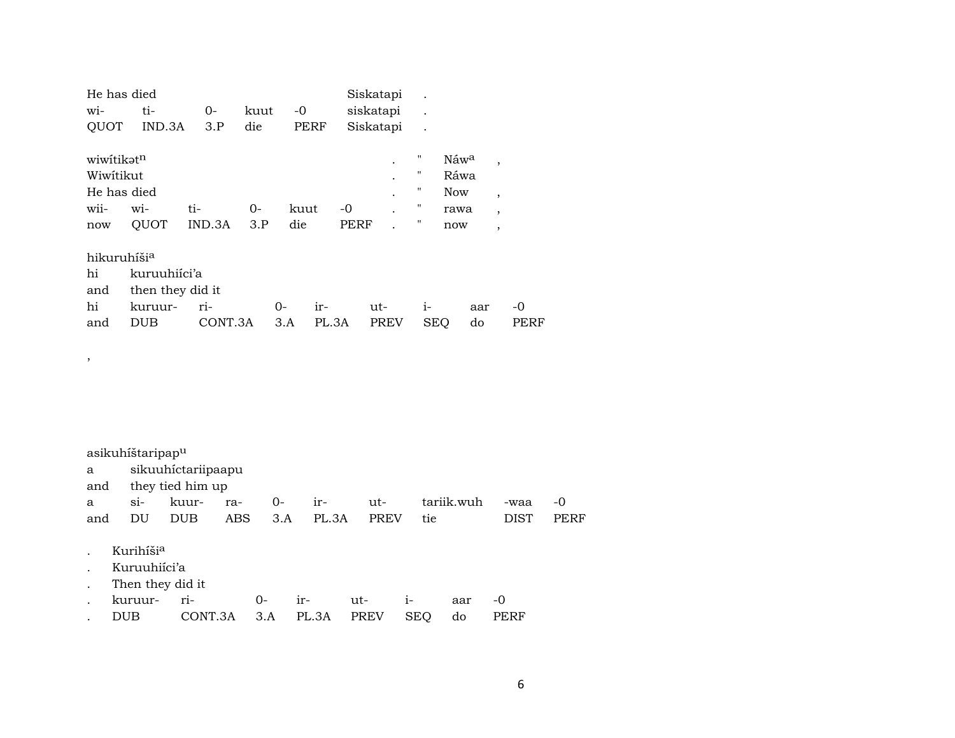| He has died             |                  |         |      |             |       | Siskatapi   |                      |                  |     |                          |      |
|-------------------------|------------------|---------|------|-------------|-------|-------------|----------------------|------------------|-----|--------------------------|------|
| wi-                     | ti-              | $O-$    | kuut | -0          |       | siskatapi   | $\ddot{\phantom{0}}$ |                  |     |                          |      |
| <b>QUOT</b>             | IND.3A           | 3.P     | die  | <b>PERF</b> |       | Siskatapi   | $\ddot{\phantom{0}}$ |                  |     |                          |      |
| wiwitikət <sup>n</sup>  |                  |         |      |             |       |             | $\pmb{\mathsf{H}}$   | Náw <sup>a</sup> |     | $\overline{ }$           |      |
| Wiwitikut               |                  |         |      |             |       |             | $\pmb{\mathsf{H}}$   | Ráwa             |     |                          |      |
| He has died             |                  |         |      |             |       |             | 11                   | <b>Now</b>       |     | $\overline{ }$           |      |
| wii-                    | wi-              | ti-     | 0-   | kuut        | -0    |             | 11                   | rawa             |     | $\overline{ }$           |      |
| now                     | QUOT             | IND.3A  | 3.P  | die         |       | PERF        | 11                   | now              |     | $\overline{\phantom{a}}$ |      |
| hikuruhíši <sup>a</sup> |                  |         |      |             |       |             |                      |                  |     |                          |      |
| hi                      | kuruuhiíci'a     |         |      |             |       |             |                      |                  |     |                          |      |
| and                     | then they did it |         |      |             |       |             |                      |                  |     |                          |      |
| hi                      | kuruur-          | ri-     |      | 0-          | ir-   | ut-         | i-                   |                  | aar |                          | $-0$ |
| and                     | <b>DUB</b>       | CONT.3A |      | 3.A         | PL.3A | <b>PREV</b> | <b>SEQ</b>           |                  | do  |                          | PERF |
|                         |                  |         |      |             |       |             |                      |                  |     |                          |      |

| asikuhíštaripap <sup>u</sup> |                      |  |         |  |                            |      |            |             |       |  |
|------------------------------|----------------------|--|---------|--|----------------------------|------|------------|-------------|-------|--|
|                              | a sikuuhictariipaapu |  |         |  |                            |      |            |             |       |  |
|                              | and they tied him up |  |         |  |                            |      |            |             |       |  |
|                              |                      |  |         |  | a si- kuur- ra- 0- ir- ut- |      | tariik.wuh | -waa        | $-()$ |  |
| and                          | DU DUB               |  | ABS 3.A |  | PL.3A                      | PREV | tie.       | <b>DIST</b> | PERF  |  |

. Kurihíši<sup>a</sup>

,

- . Kuruuhiíci'a
- . Then they did it

| kuruur- |                               |  |  | aar | $-()$ |
|---------|-------------------------------|--|--|-----|-------|
|         | CONT.3A 3.A PL.3A PREV SEO do |  |  |     | PERF  |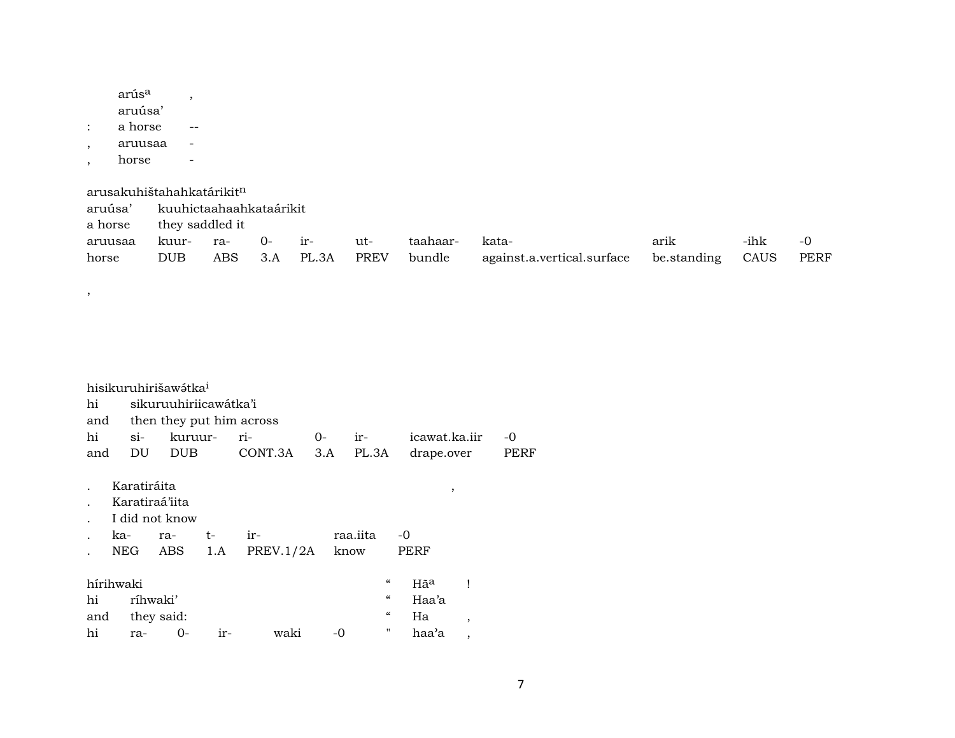| arús <sup>a</sup> |  |
|-------------------|--|
| aruúsa'           |  |
| a horse           |  |
| aruusaa           |  |
| horse             |  |

,

arusakuhištahahkatárikit $^{\rm n}$ 

| aruúsa' | kuuhictaahaahkataárikit |                 |      |                    |     |          |                                             |      |      |      |  |  |  |
|---------|-------------------------|-----------------|------|--------------------|-----|----------|---------------------------------------------|------|------|------|--|--|--|
| a horse |                         | they saddled it |      |                    |     |          |                                             |      |      |      |  |  |  |
| aruusaa | kuur-                   | ra-             | $O-$ | $ir-$              | ut- | taahaar- | kata-                                       | arik | -ihk | -0   |  |  |  |
| horse   | <b>DUB</b>              |                 |      | ABS 3.A PL.3A PREV |     | bundle   | against.a.vertical.surface be.standing CAUS |      |      | PERF |  |  |  |

|     |                | hisikuruhirišawétka <sup>i</sup> |       |                          |    |                                        |       |                |      |
|-----|----------------|----------------------------------|-------|--------------------------|----|----------------------------------------|-------|----------------|------|
| hi  |                | sikuruuhiriicawátka'i            |       |                          |    |                                        |       |                |      |
| and |                |                                  |       | then they put him across |    |                                        |       |                |      |
| hi  | $\sin$         | kuruur-                          |       | ri-                      | 0- | ir-                                    |       | icawat.ka.jir  | -0   |
| and | DU             | <b>DUB</b>                       |       | CONT.3A                  |    | $3.A$ PL.3A                            |       | drape.over     | PERF |
|     |                |                                  |       |                          |    |                                        |       |                |      |
|     | Karatiráita    |                                  |       |                          |    |                                        |       | ,              |      |
|     | Karatiraá'iita |                                  |       |                          |    |                                        |       |                |      |
|     |                | I did not know                   |       |                          |    |                                        |       |                |      |
|     | ka-            | ra-                              | t-    | ir-                      |    | raa.iita                               | -0    |                |      |
|     | NEG            | ABS                              | 1.A   | PREV.1/2A                |    | know                                   | PERF  |                |      |
|     |                |                                  |       |                          |    |                                        |       |                |      |
|     | hírihwaki      |                                  |       |                          |    | "                                      | Hãa   |                |      |
| hi  |                | ríhwaki'                         |       |                          |    | "                                      | Haa'a |                |      |
| and |                | they said:                       |       |                          |    | $\boldsymbol{\zeta}\boldsymbol{\zeta}$ | Ha    | $\cdot$        |      |
| hi  | ra-            | 0-                               | $ir-$ | waki                     | -0 | "                                      | haa'a | $\overline{ }$ |      |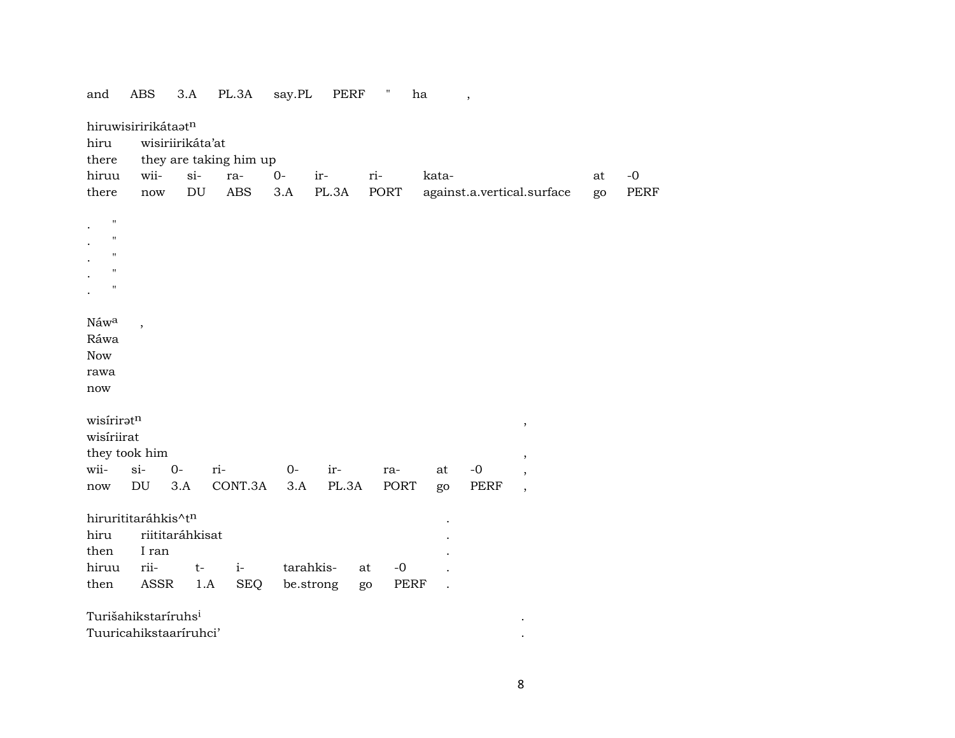| and                  | ABS                             | 3.A                        | PL.3A                  | say.PL | PERF      | π          | ha    | $\,$ |                            |    |      |  |
|----------------------|---------------------------------|----------------------------|------------------------|--------|-----------|------------|-------|------|----------------------------|----|------|--|
|                      | hiruwisiririkátaatn             |                            |                        |        |           |            |       |      |                            |    |      |  |
| hiru                 |                                 | wisiriirikáta'at           |                        |        |           |            |       |      |                            |    |      |  |
| there                |                                 |                            | they are taking him up |        |           |            |       |      |                            |    |      |  |
| hiruu                | wii-                            | $si-$                      | ra-                    | $O -$  | ir-       | ri-        | kata- |      |                            | at | $-0$ |  |
| there                | now                             | $\mathop{\rm DU}\nolimits$ | <b>ABS</b>             | 3.A    | PL.3A     | PORT       |       |      | against.a.vertical.surface | go | PERF |  |
|                      |                                 |                            |                        |        |           |            |       |      |                            |    |      |  |
| $\pmb{\mathsf{H}}$   |                                 |                            |                        |        |           |            |       |      |                            |    |      |  |
| $\pmb{\mathsf{H}}$   |                                 |                            |                        |        |           |            |       |      |                            |    |      |  |
| $\pmb{\mathsf{H}}$   |                                 |                            |                        |        |           |            |       |      |                            |    |      |  |
| $\pmb{\mathsf{H}}$   |                                 |                            |                        |        |           |            |       |      |                            |    |      |  |
| $\pmb{\mathsf{H}}$   |                                 |                            |                        |        |           |            |       |      |                            |    |      |  |
|                      |                                 |                            |                        |        |           |            |       |      |                            |    |      |  |
| Náwa                 |                                 |                            |                        |        |           |            |       |      |                            |    |      |  |
| Ráwa                 |                                 |                            |                        |        |           |            |       |      |                            |    |      |  |
| <b>Now</b>           |                                 |                            |                        |        |           |            |       |      |                            |    |      |  |
|                      |                                 |                            |                        |        |           |            |       |      |                            |    |      |  |
| rawa                 |                                 |                            |                        |        |           |            |       |      |                            |    |      |  |
| now                  |                                 |                            |                        |        |           |            |       |      |                            |    |      |  |
| wisiriratn           |                                 |                            |                        |        |           |            |       |      |                            |    |      |  |
| wisiriirat           |                                 |                            |                        |        |           |            |       |      | $\, ,$                     |    |      |  |
|                      |                                 |                            |                        |        |           |            |       |      |                            |    |      |  |
|                      | they took him                   |                            |                        |        |           |            |       |      | $\,$                       |    |      |  |
| wii-                 | $si-$                           | $0-$                       | ri-                    | $0-$   | ir-       | ra-        | at    | $-0$ |                            |    |      |  |
| $\operatorname{now}$ | DU                              | 3.A                        | CONT.3A                | 3.A    | PL.3A     | PORT       | go    | PERF | $\cdot$                    |    |      |  |
|                      |                                 |                            |                        |        |           |            |       |      |                            |    |      |  |
|                      | hirurititaráhkis^tn             |                            |                        |        |           |            |       |      |                            |    |      |  |
| hiru                 |                                 | riititaráhkisat            |                        |        |           |            |       |      |                            |    |      |  |
| then                 | I ran                           |                            |                        |        |           |            |       |      |                            |    |      |  |
| hiruu                | rii-                            | $t-$                       | $i-$                   |        | tarahkis- | $-0$<br>at |       |      |                            |    |      |  |
| then                 | ASSR                            | 1.A                        | <b>SEQ</b>             |        | be.strong | PERF<br>go |       |      |                            |    |      |  |
|                      |                                 |                            |                        |        |           |            |       |      |                            |    |      |  |
|                      | Turišahikstaríruhs <sup>i</sup> |                            |                        |        |           |            |       |      |                            |    |      |  |
|                      | Tuuricahikstaaríruhci'          |                            |                        |        |           |            |       |      |                            |    |      |  |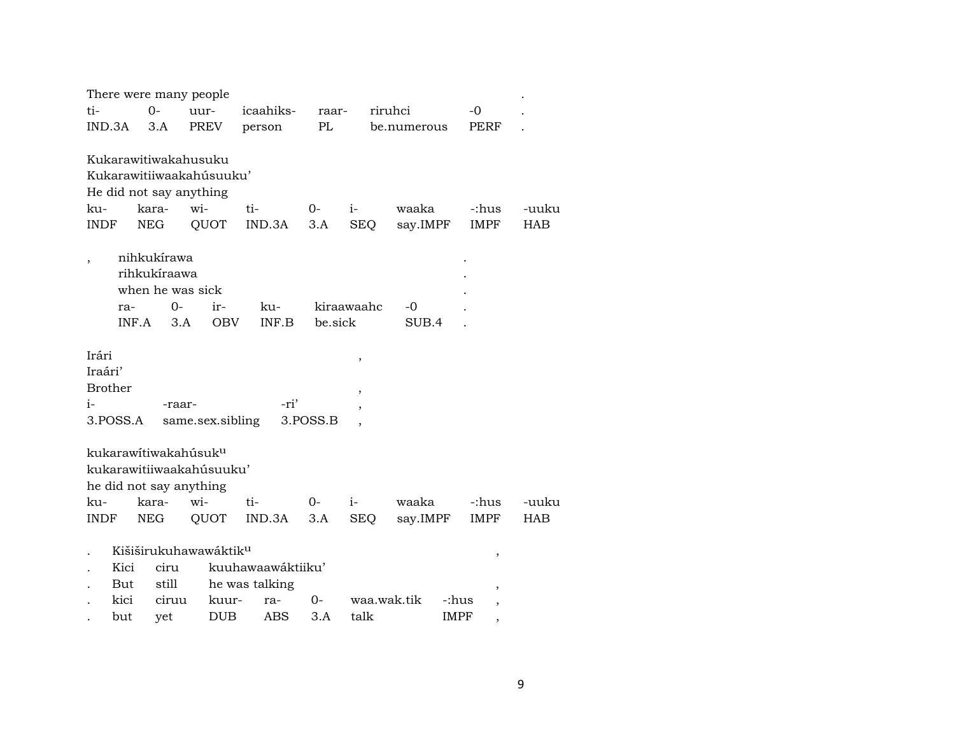| There were many people                                                                  |            |                                                       |      |                                                              |        |                          |          |         |                                    |         |             |             |             |        |            |
|-----------------------------------------------------------------------------------------|------------|-------------------------------------------------------|------|--------------------------------------------------------------|--------|--------------------------|----------|---------|------------------------------------|---------|-------------|-------------|-------------|--------|------------|
| ti-                                                                                     |            | $0 -$                                                 | uur- |                                                              |        | icaahiks-                |          | raar-   |                                    | riruhci |             |             | -0          |        |            |
| IND.3A                                                                                  |            | 3.A                                                   |      | PREV                                                         | person |                          | PL       |         |                                    |         | be.numerous |             | PERF        |        |            |
| Kukarawitiwakahusuku<br>Kukarawitiiwaakahúsuuku'<br>He did not say anything             |            |                                                       |      |                                                              |        |                          |          |         |                                    |         |             |             |             |        |            |
| ku-                                                                                     |            | kara-                                                 | wi-  |                                                              | ti-    |                          | $O -$    | $i-$    |                                    |         | waaka       |             | -:hus       |        | -uuku      |
| <b>INDF</b>                                                                             | <b>NEG</b> |                                                       |      | QUOT                                                         |        | IND.3A                   | 3.A      |         | SEQ                                |         | say.IMPF    |             | <b>IMPF</b> |        | <b>HAB</b> |
|                                                                                         |            |                                                       |      |                                                              |        |                          |          |         |                                    |         |             |             |             |        |            |
|                                                                                         | ra-        | nihkukírawa<br>rihkukíraawa<br>when he was sick<br>0- |      | $ir-$                                                        |        | ku-<br>INF.B             |          |         | kiraawaahc                         |         | -0          |             |             |        |            |
|                                                                                         | INF.A      | 3.A                                                   |      | <b>OBV</b>                                                   |        |                          |          | be sick |                                    |         | SUB.4       |             |             |        |            |
| Irári<br>Iraári'<br><b>Brother</b><br>$i-$<br>3.POSS.A                                  |            | -raar-                                                |      | same.sex.sibling                                             |        | -ri'                     | 3.POSS.B |         | $\, ,$<br>$\overline{\phantom{a}}$ |         |             |             |             |        |            |
| kukarawítiwakahúsuk <sup>u</sup><br>kukarawitiiwaakahúsuuku'<br>he did not say anything |            |                                                       |      |                                                              |        |                          |          |         |                                    |         |             |             |             |        |            |
| ku-                                                                                     |            | kara-                                                 | wi-  |                                                              | ti-    |                          | $0-$     | $i-$    |                                    |         | waaka       |             | -:hus       |        | -uuku      |
| INDF                                                                                    | NEG        |                                                       |      | QUOT                                                         |        | IND.3A                   | 3.A      |         | SEQ                                |         | say.IMPF    |             | <b>IMPF</b> |        | <b>HAB</b> |
| Kici<br>But<br>kici                                                                     |            | ciru<br>still<br>ciruu                                |      | Kišiširukuhawawáktik <sup>u</sup><br>he was talking<br>kuur- |        | kuuhawaawáktiiku'<br>ra- | $0-$     |         | waa.wak.tik                        |         |             | -:hus       |             | $\, ,$ |            |
| but                                                                                     |            | yet                                                   |      | <b>DUB</b>                                                   |        | ABS                      | 3.A      |         | talk                               |         |             | <b>IMPF</b> |             |        |            |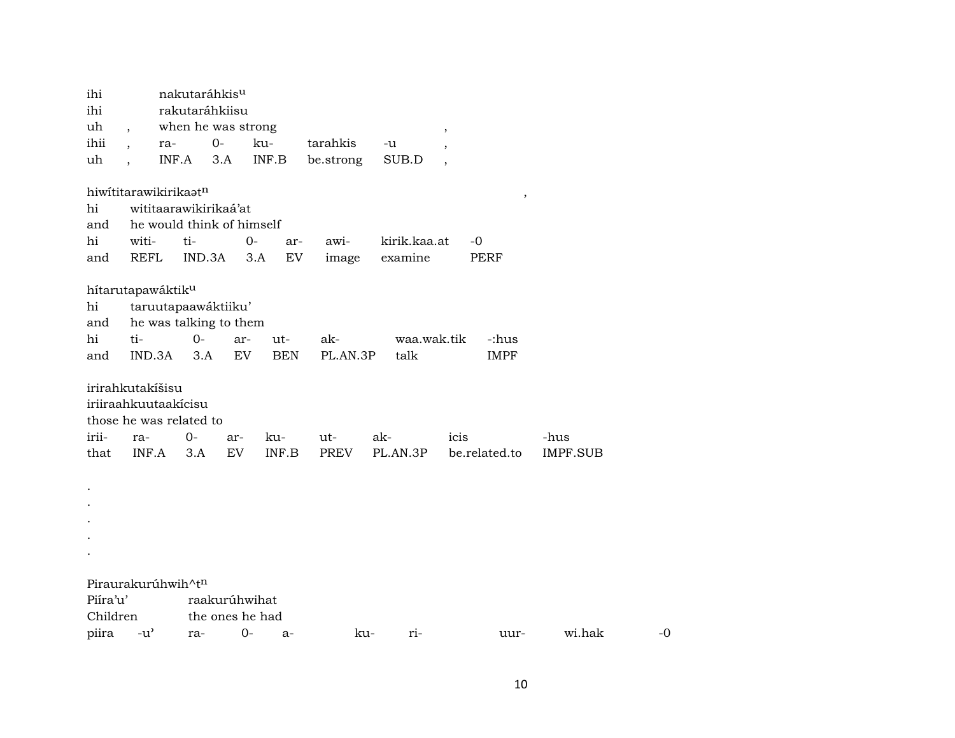| ihi       |                                     | nakutaráhkis <sup>u</sup> |                 |              |           |              |               |                 |    |
|-----------|-------------------------------------|---------------------------|-----------------|--------------|-----------|--------------|---------------|-----------------|----|
| ihi       |                                     | rakutaráhkiisu            |                 |              |           |              |               |                 |    |
| uh        |                                     | when he was strong        |                 |              |           |              | ,             |                 |    |
| ihii      |                                     | ra-                       | $O -$           | ku-          | tarahkis  | -u           |               |                 |    |
| uh        |                                     | INF.A                     | 3.A             | INF.B        | be.strong | SUB.D        |               |                 |    |
|           | hiwititarawikirikaatn               |                           |                 |              |           |              | $\,$          |                 |    |
| hi        |                                     | wititaarawikirikaá'at     |                 |              |           |              |               |                 |    |
| and       |                                     | he would think of himself |                 |              |           |              |               |                 |    |
| hi        | witi-                               | ti-                       |                 | $0-$<br>ar-  | awi-      | kirik.kaa.at | $-0$          |                 |    |
| and       | <b>REFL</b>                         | IND.3A                    |                 | EV<br>3.A    | image     | examine      | <b>PERF</b>   |                 |    |
|           | hítarutapawáktik <sup>u</sup>       |                           |                 |              |           |              |               |                 |    |
| hi        |                                     | taruutapaawáktiiku'       |                 |              |           |              |               |                 |    |
| and       |                                     | he was talking to them    |                 |              |           |              |               |                 |    |
| hi        | ti-                                 | $0-$                      | ar-             | ut-          | ak-       | waa.wak.tik  | -:hus         |                 |    |
| and       | IND.3A                              | 3.A                       | ${\rm EV}$      | <b>BEN</b>   | PL.AN.3P  | talk         | <b>IMPF</b>   |                 |    |
|           | irirahkutakíšisu                    |                           |                 |              |           |              |               |                 |    |
|           | iriiraahkuutaakicisu                |                           |                 |              |           |              |               |                 |    |
|           | those he was related to             |                           |                 |              |           |              |               |                 |    |
| irii-     | ra-                                 | $0-$                      | ar-             | ku-          | ut-       | ak-          | icis          | -hus            |    |
| that      | INF.A                               | 3.A                       | EV              | INF.B        | PREV      | PL.AN.3P     | be.related.to | <b>IMPF.SUB</b> |    |
| $\bullet$ |                                     |                           |                 |              |           |              |               |                 |    |
|           |                                     |                           |                 |              |           |              |               |                 |    |
|           |                                     |                           |                 |              |           |              |               |                 |    |
|           |                                     |                           |                 |              |           |              |               |                 |    |
|           |                                     |                           |                 |              |           |              |               |                 |    |
|           |                                     |                           |                 |              |           |              |               |                 |    |
|           | Piraurakurúhwih^tn                  |                           |                 |              |           |              |               |                 |    |
| Piíra'u'  |                                     |                           | raakurúhwihat   |              |           |              |               |                 |    |
| Children  |                                     |                           | the ones he had |              |           |              |               |                 |    |
| piira     | $-u$ <sup><math>\prime</math></sup> | ra-                       |                 | $0-$<br>$a-$ |           | ku-<br>ri-   | uur-          | wi.hak          | -0 |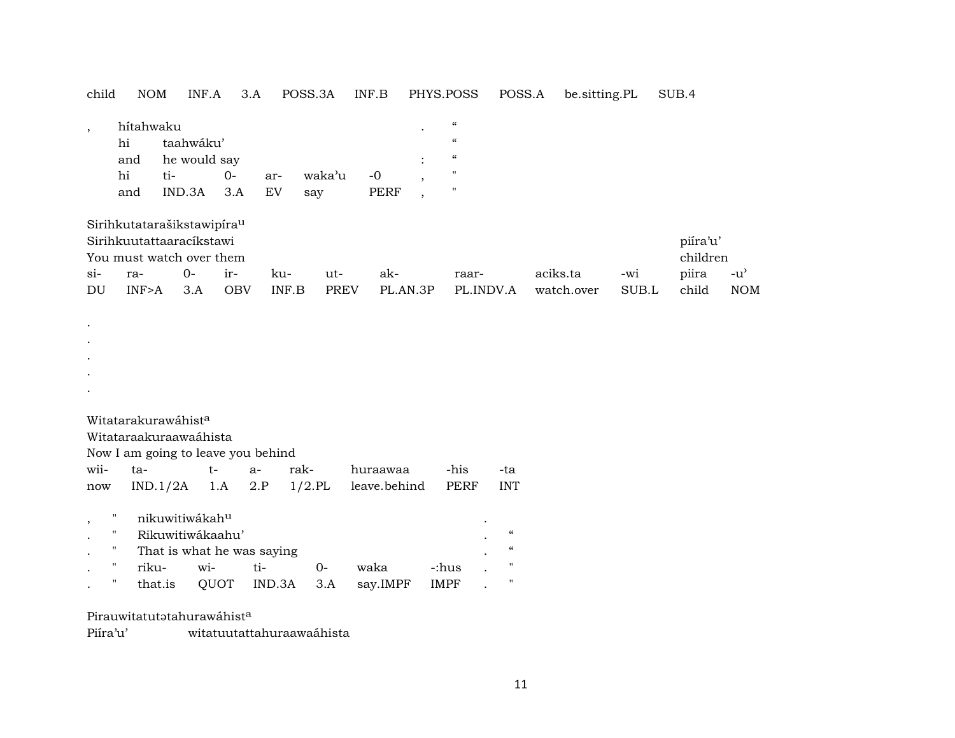| child                        | <b>NOM</b>                                                                                             |               | INF.A                                                                                                        | 3.A                                         | POSS.3A           |                    | INF.B                    |                      | PHYS.POSS                                                                                          | POSS.A                                                                              | be.sitting.PL          |              | SUB.4                                  |                                                 |
|------------------------------|--------------------------------------------------------------------------------------------------------|---------------|--------------------------------------------------------------------------------------------------------------|---------------------------------------------|-------------------|--------------------|--------------------------|----------------------|----------------------------------------------------------------------------------------------------|-------------------------------------------------------------------------------------|------------------------|--------------|----------------------------------------|-------------------------------------------------|
| $\overline{\phantom{a}}$     | hítahwaku<br>hi<br>and<br>hi<br>and                                                                    | ti-<br>IND.3A | taahwáku'<br>he would say<br>$0-$<br>3.A                                                                     | ar-<br>EV                                   | waka'u<br>say     |                    | $-0$<br><b>PERF</b>      |                      | $\mathcal{C}\mathcal{C}$<br>$\boldsymbol{\zeta}\boldsymbol{\zeta}$<br>$\epsilon\epsilon$<br>Ħ<br>Ħ |                                                                                     |                        |              |                                        |                                                 |
| $si-$<br>DU                  | ra-<br>INF>A                                                                                           | $O -$         | Sirihkutatarašikstawipíra <sup>u</sup><br>Sirihkuutattaaracíkstawi<br>You must watch over them<br>ir-<br>3.A | ku-<br><b>OBV</b>                           | INF.B             | ut-<br><b>PREV</b> | ak-<br>PL.AN.3P          |                      | raar-<br>PL.INDV.A                                                                                 |                                                                                     | aciks.ta<br>watch.over | -wi<br>SUB.L | piíra'u'<br>children<br>piira<br>child | $-u$ <sup><math>\sim</math></sup><br><b>NOM</b> |
|                              |                                                                                                        |               |                                                                                                              |                                             |                   |                    |                          |                      |                                                                                                    |                                                                                     |                        |              |                                        |                                                 |
|                              | Witatarakurawáhist <sup>a</sup><br>Witataraakuraawaáhista                                              |               |                                                                                                              | Now I am going to leave you behind          |                   |                    |                          |                      |                                                                                                    |                                                                                     |                        |              |                                        |                                                 |
| wii-<br>$\operatorname{now}$ | ta-                                                                                                    | IND.1/2A      | $t-$<br>1.A                                                                                                  | $a-$<br>2.P                                 | rak-<br>$1/2$ .PL |                    | huraawaa<br>leave.behind |                      | -his<br>PERF                                                                                       | -ta<br><b>INT</b>                                                                   |                        |              |                                        |                                                 |
| $\overline{\phantom{a}}$     | $\pmb{\mathsf{H}}$<br>$\mathbf H$<br>$\mathbf{H}$<br>$\pmb{\mathsf{H}}$<br>riku-<br>$\pmb{\mathsf{H}}$ | that.is       | nikuwitiwákahu<br>Rikuwitiwákaahu'<br>wi-<br>QUOT                                                            | That is what he was saying<br>ti-<br>IND.3A | $0-$<br>3.A       |                    | waka<br>say.IMPF         | -:hus<br><b>IMPF</b> |                                                                                                    | $\boldsymbol{\mathcal{C}}$<br>$\boldsymbol{\mathcal{C}}$<br>$\pmb{\mathsf{H}}$<br>" |                        |              |                                        |                                                 |

Pirauwitatutatahurawáhist<sup>a</sup>

Piíra'u' witatuutattahuraawaáhista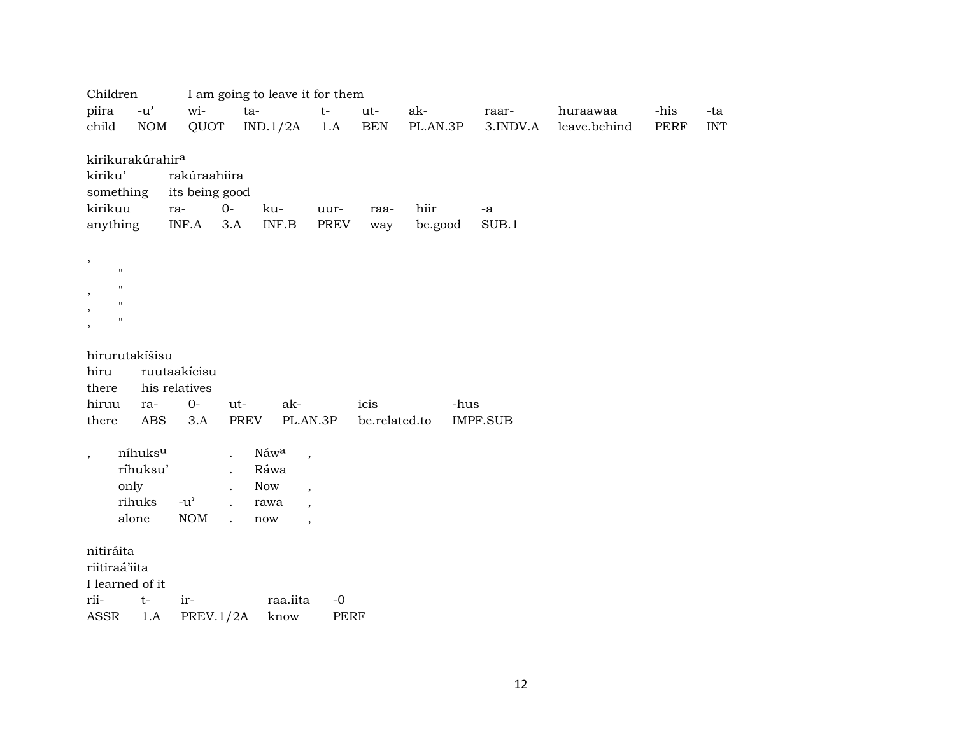| Children                                                                                                             |                                                   | I am going to leave it for them                                                                    |                                                                                                              |                       |                 |                 |              |             |            |
|----------------------------------------------------------------------------------------------------------------------|---------------------------------------------------|----------------------------------------------------------------------------------------------------|--------------------------------------------------------------------------------------------------------------|-----------------------|-----------------|-----------------|--------------|-------------|------------|
| piira<br>$-u$ <sup><math>\prime</math></sup>                                                                         | wi-                                               | ta-                                                                                                | $t-$                                                                                                         | ut-                   | ak-             | raar-           | huraawaa     | -his        | -ta        |
| child<br><b>NOM</b>                                                                                                  | QUOT                                              | IND.1/2A                                                                                           | 1.A                                                                                                          | <b>BEN</b>            | PL.AN.3P        | 3.INDV.A        | leave.behind | <b>PERF</b> | <b>INT</b> |
| kirikurakúrahir <sup>a</sup><br>kíriku'<br>something<br>kirikuu<br>anything                                          | rakúraahiira<br>its being good<br>ra-<br>INF.A    | $0-$<br>ku-<br>$\textsf{INF}.\textsf{B}$<br>3.A                                                    | uur-<br>PREV                                                                                                 | raa-<br>way           | hiir<br>be.good | -a<br>SUB.1     |              |             |            |
| ,<br>$\mathbf{H}$<br>$\pmb{\mathsf{H}}$<br>,<br>$\pmb{\mathsf{H}}$<br>$\pmb{\mathsf{H}}$<br>$\overline{\phantom{a}}$ |                                                   |                                                                                                    |                                                                                                              |                       |                 |                 |              |             |            |
| hirurutakíšisu<br>hiru<br>there<br>hiruu<br>ra-<br>ABS<br>there                                                      | ruutaakícisu<br>his relatives<br>$0-$<br>3.A      | ak-<br>ut-<br>PREV                                                                                 | PL.AN.3P                                                                                                     | icis<br>be.related.to | -hus            | <b>IMPF.SUB</b> |              |             |            |
| níhuksu<br>$\overline{\phantom{a}}$<br>ríhuksu'<br>only<br>rihuks<br>alone                                           | $-u$ <sup><math>\prime</math></sup><br><b>NOM</b> | Náwa<br>$\ddot{\phantom{a}}$<br>Ráwa<br>Now<br>rawa<br>$\ddot{\phantom{a}}$<br>$\mathbf{r}$<br>now | $\overline{\phantom{a}}$<br>$\overline{\phantom{a}}$<br>$\overline{\phantom{a}}$<br>$\overline{\phantom{a}}$ |                       |                 |                 |              |             |            |
| nitiráita<br>riitiraá'iita<br>I learned of it<br>rii-<br>$t-$<br><b>ASSR</b><br>1.A                                  | ir-<br>PREV.1/2A                                  | raa.iita<br>know                                                                                   | $-0$<br>PERF                                                                                                 |                       |                 |                 |              |             |            |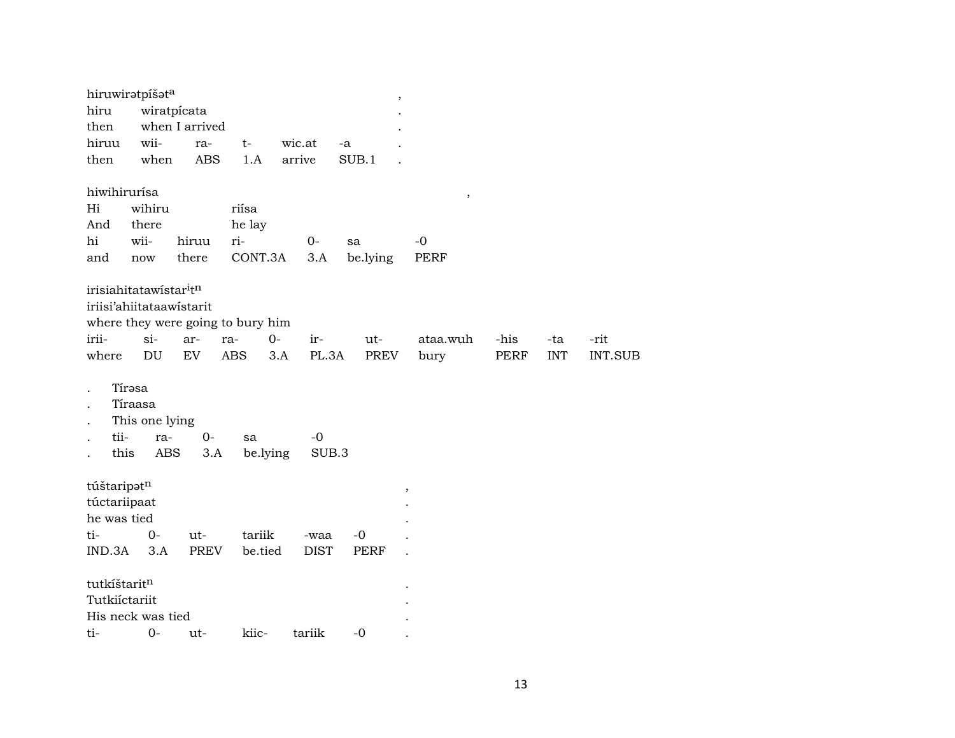| hiwihirurísa<br>$\,$<br>wihiru<br>Hi<br>riísa                                                                                                                                                                                                                                |                        |
|------------------------------------------------------------------------------------------------------------------------------------------------------------------------------------------------------------------------------------------------------------------------------|------------------------|
| he lay<br>there<br>And<br>ri-<br>hi<br>wii-<br>$O -$<br>hiruu<br>$-0$<br>sa<br>there<br>CONT.3A<br>3.A<br>be.lying<br>PERF<br>and<br>$\operatorname{now}$                                                                                                                    |                        |
| irisiahitatawistar <sup>itn</sup><br>iriisi'ahiitataawistarit<br>where they were going to bury him<br>irii-<br>$si-$<br>$0-$<br>-his<br>ar-<br>ir-<br>ut-<br>ataa.wuh<br>ra-<br>-ta<br>DU<br>EV<br><b>ABS</b><br>PL.3A<br>PREV<br>PERF<br><b>INT</b><br>where<br>3.A<br>bury | -rit<br><b>INT.SUB</b> |
| Tírəsa<br>Tíraasa<br>This one lying<br>tii-<br>$-0$<br>$0-$<br>ra-<br>sa<br>this<br>be.lying<br>SUB.3<br>ABS<br>3.A                                                                                                                                                          |                        |
| túštaripatn<br>$\, ,$<br>túctariipaat<br>he was tied<br>$0 -$<br>tariik<br>ti-<br>ut-<br>$-0$<br>-waa                                                                                                                                                                        |                        |
| IND.3A<br><b>PREV</b><br>be.tied<br><b>DIST</b><br>3.A<br><b>PERF</b><br>tutkíštaritn<br>Tutkiíctariit<br>His neck was tied<br>kiic-<br>tariik<br>ti-<br>$O -$<br>$-0$<br>ut-                                                                                                |                        |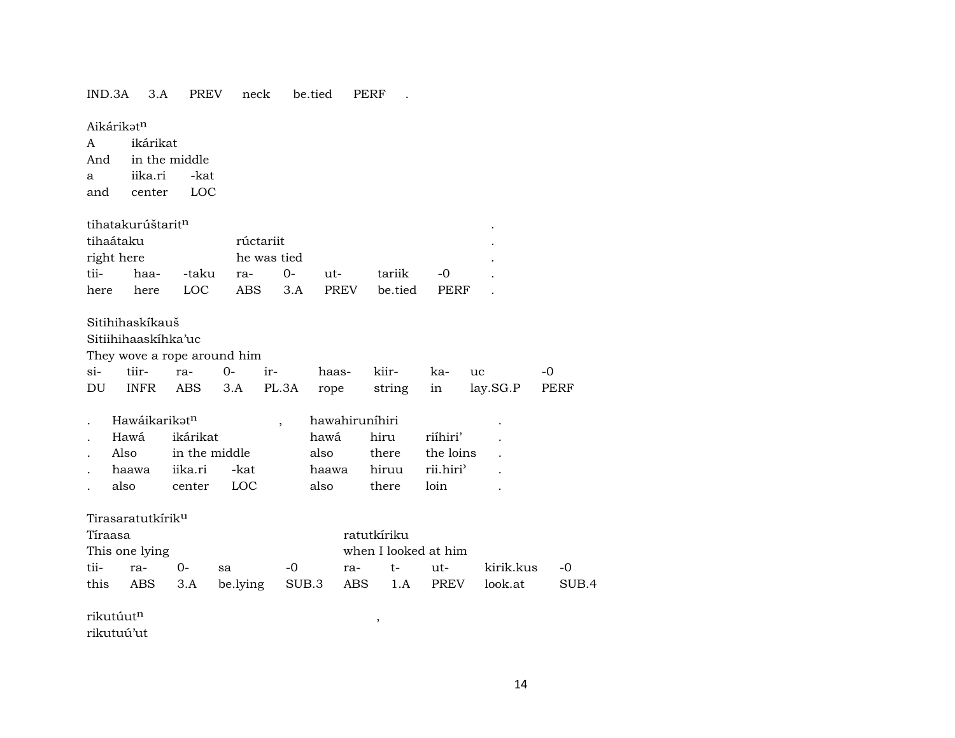#### IND.3A 3.A PREV neck be.tied PERF .

#### Aikárikət<sup>n</sup>

A ikárikat And in the middle a iika.ri -kat and center LOC

#### tihatakurúštarit¶ .

| tihaátaku  |                   | rúctariit        |  |          |                                    |       |  |  |  |
|------------|-------------------|------------------|--|----------|------------------------------------|-------|--|--|--|
| right here |                   | he was tied<br>٠ |  |          |                                    |       |  |  |  |
| tii-       | haa- -taku ra- 0- |                  |  | $u$ 11t- | tariik                             | $-()$ |  |  |  |
| here       |                   |                  |  |          | here LOC ABS 3.A PREV be.tied PERF |       |  |  |  |

#### Sitihihaskíkauš

Sitiihihaaskíhka'uc

They wove a rope around him

|  |  |  |  | si- tiir- ra- 0- ir- haas- kiir- ka- uc -0         |  |
|--|--|--|--|----------------------------------------------------|--|
|  |  |  |  | DU INFR ABS 3.A PL.3A rope string in lay.SG.P PERF |  |

| $\sim$ | Hawáikarikət <sup>n</sup> |               |      | hawahirunihiri |                       |                 | ٠ |
|--------|---------------------------|---------------|------|----------------|-----------------------|-----------------|---|
| $\sim$ | Hawá                      | ikárikat      |      | hawa           | hiru                  | riíhiri'        |   |
|        | Also                      | in the middle |      | also           |                       | there the loins |   |
|        | haawa                     | iika.ri -kat  |      |                | haawa hiruu rii.hiri' |                 |   |
|        | also                      | center        | LOC. | also           | there                 | loin            |   |

#### Tirasaratutkírik<sup>u</sup>

| Tíraasa |                |                                                  |      | ratutkíriku          |  |  |              |       |  |  |
|---------|----------------|--------------------------------------------------|------|----------------------|--|--|--------------|-------|--|--|
|         | This one lying |                                                  |      | when I looked at him |  |  |              |       |  |  |
|         | tii- ra- 0- sa |                                                  | $-0$ | ra- t- ut-           |  |  | kirik.kus -0 |       |  |  |
|         |                | this ABS 3.A be.lying SUB.3 ABS 1.A PREV look.at |      |                      |  |  |              | SUB 4 |  |  |

 $\mathbf{r}$ ikutúut<br/>^  $\qquad \qquad$  ,

rikutuú'ut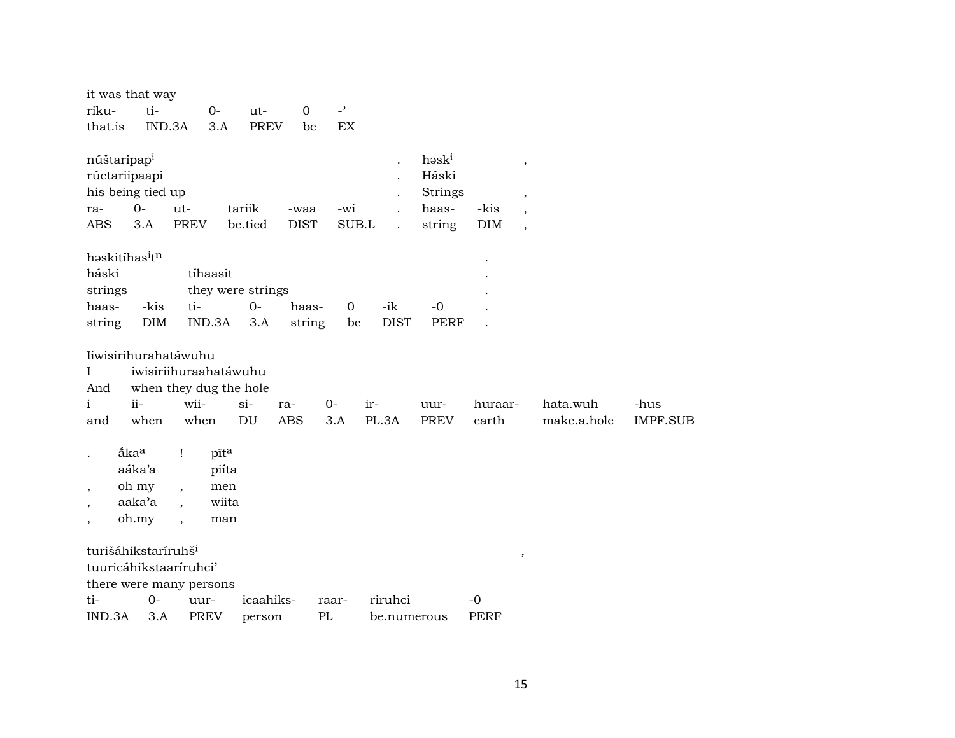|                                              | it was that way                                   |                          |          |                            |                     |                          |                                              |                                              |                    |                                                                                           |             |                 |
|----------------------------------------------|---------------------------------------------------|--------------------------|----------|----------------------------|---------------------|--------------------------|----------------------------------------------|----------------------------------------------|--------------------|-------------------------------------------------------------------------------------------|-------------|-----------------|
| riku-                                        | ti-                                               |                          | $0-$     | ut-                        | $\mathbf 0$         | $\overline{\phantom{a}}$ |                                              |                                              |                    |                                                                                           |             |                 |
| that.is                                      | IND.3A                                            |                          | 3.A      | <b>PREV</b>                | be                  | EX                       |                                              |                                              |                    |                                                                                           |             |                 |
| núštaripap <sup>i</sup><br>ra-<br><b>ABS</b> | rúctariipaapi<br>his being tied up<br>$0-$<br>3.A | ut-<br><b>PREV</b>       |          | tariik<br>be.tied          | -waa<br><b>DIST</b> | -wi<br>SUB.L             | $\ddot{\phantom{0}}$<br>$\ddot{\phantom{a}}$ | həski<br>Háski<br>Strings<br>haas-<br>string | -kis<br><b>DIM</b> | $^\mathrm{^\mathrm{o}}$<br>$\, ,$<br>$\overline{\phantom{a}}$<br>$\overline{\phantom{a}}$ |             |                 |
|                                              | həskitihasitn                                     |                          |          |                            |                     |                          |                                              |                                              |                    |                                                                                           |             |                 |
|                                              |                                                   |                          |          |                            |                     |                          |                                              |                                              |                    |                                                                                           |             |                 |
| háski                                        |                                                   |                          | tíhaasit |                            |                     |                          |                                              |                                              |                    |                                                                                           |             |                 |
| strings<br>haas-                             | -kis                                              | ti-                      |          | they were strings<br>$0 -$ | haas-               | $\mathbf 0$              | -ik                                          | $-0$                                         |                    |                                                                                           |             |                 |
| string                                       | DIM                                               |                          | IND.3A   | 3.A                        | string              | be                       | <b>DIST</b>                                  | <b>PERF</b>                                  |                    |                                                                                           |             |                 |
|                                              |                                                   |                          |          |                            |                     |                          |                                              |                                              |                    |                                                                                           |             |                 |
|                                              | Iiwisirihurahatáwuhu                              |                          |          |                            |                     |                          |                                              |                                              |                    |                                                                                           |             |                 |
| $\mathbf I$                                  | iwisiriihuraahatáwuhu                             |                          |          |                            |                     |                          |                                              |                                              |                    |                                                                                           |             |                 |
| And                                          | when they dug the hole                            |                          |          |                            |                     |                          |                                              |                                              |                    |                                                                                           |             |                 |
| $\mathbf{i}$                                 | $ii -$                                            | wii-                     |          | $si$ -                     | ra-                 | $O -$                    | ir-                                          | uur-                                         | huraar-            |                                                                                           | hata.wuh    | -hus            |
| and                                          | when                                              | when                     |          | DU                         | <b>ABS</b>          | 3.A                      | PL.3A                                        | <b>PREV</b>                                  | earth              |                                                                                           | make.a.hole | <b>IMPF.SUB</b> |
|                                              |                                                   |                          |          |                            |                     |                          |                                              |                                              |                    |                                                                                           |             |                 |
|                                              | åka <sup>a</sup>                                  | Ţ                        | pīta     |                            |                     |                          |                                              |                                              |                    |                                                                                           |             |                 |
|                                              | aáka'a                                            |                          | piíta    |                            |                     |                          |                                              |                                              |                    |                                                                                           |             |                 |
| $\overline{ }$                               | oh my                                             | $\overline{ }$           | men      |                            |                     |                          |                                              |                                              |                    |                                                                                           |             |                 |
|                                              | aaka'a                                            | $\overline{\phantom{a}}$ | wiita    |                            |                     |                          |                                              |                                              |                    |                                                                                           |             |                 |
|                                              | oh.my                                             | $\overline{\phantom{a}}$ | man      |                            |                     |                          |                                              |                                              |                    |                                                                                           |             |                 |
|                                              | turišáhikstaríruhš <sup>i</sup>                   |                          |          |                            |                     |                          |                                              |                                              |                    |                                                                                           |             |                 |
|                                              | tuuricáhikstaaríruhci'                            |                          |          |                            |                     |                          |                                              |                                              |                    | $\, ,$                                                                                    |             |                 |
|                                              | there were many persons                           |                          |          |                            |                     |                          |                                              |                                              |                    |                                                                                           |             |                 |
| ti-                                          | $0-$                                              | uur-                     |          | icaahiks-                  |                     | raar-                    | riruhci                                      |                                              | $-0$               |                                                                                           |             |                 |
| IND.3A                                       | 3.A                                               | <b>PREV</b>              |          | person                     | PL                  |                          | be.numerous                                  |                                              | <b>PERF</b>        |                                                                                           |             |                 |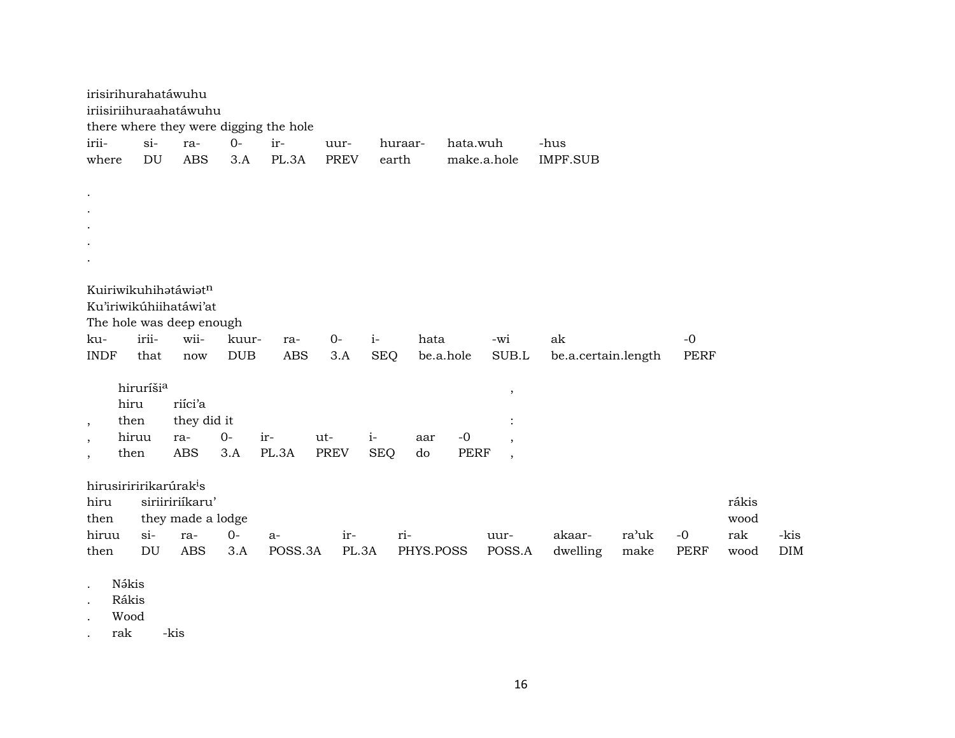|                          | irisirihurahatáwuhu                |                   |            |                                        |             |            |            |                          |                     |       |             |       |            |
|--------------------------|------------------------------------|-------------------|------------|----------------------------------------|-------------|------------|------------|--------------------------|---------------------|-------|-------------|-------|------------|
|                          | iriisiriihuraahatáwuhu             |                   |            |                                        |             |            |            |                          |                     |       |             |       |            |
|                          |                                    |                   |            | there where they were digging the hole |             |            |            |                          |                     |       |             |       |            |
| irii-                    | $si-$                              | ra-               | $0-$       | ir-                                    | uur-        | huraar-    | hata.wuh   |                          | -hus                |       |             |       |            |
| where                    | DU                                 | <b>ABS</b>        | 3.A        | PL.3A                                  | <b>PREV</b> | earth      |            | make.a.hole              | <b>IMPF.SUB</b>     |       |             |       |            |
|                          |                                    |                   |            |                                        |             |            |            |                          |                     |       |             |       |            |
| $\bullet$                |                                    |                   |            |                                        |             |            |            |                          |                     |       |             |       |            |
| $\bullet$                |                                    |                   |            |                                        |             |            |            |                          |                     |       |             |       |            |
|                          |                                    |                   |            |                                        |             |            |            |                          |                     |       |             |       |            |
|                          |                                    |                   |            |                                        |             |            |            |                          |                     |       |             |       |            |
|                          |                                    |                   |            |                                        |             |            |            |                          |                     |       |             |       |            |
|                          |                                    |                   |            |                                        |             |            |            |                          |                     |       |             |       |            |
|                          | Kuiriwikuhihatáwiatn               |                   |            |                                        |             |            |            |                          |                     |       |             |       |            |
|                          | Ku'iriwikúhiihatáwi'at             |                   |            |                                        |             |            |            |                          |                     |       |             |       |            |
|                          | The hole was deep enough           |                   |            |                                        |             |            |            |                          |                     |       |             |       |            |
| ku-                      | irii-                              | wii-              | kuur-      | ra-                                    | $0-$        | $i-$       | hata       | -wi                      | ak                  |       | $-0$        |       |            |
| <b>INDF</b>              | that                               | now               | <b>DUB</b> | <b>ABS</b>                             | 3.A         | <b>SEQ</b> | be.a.hole  | SUB.L                    | be.a.certain.length |       | <b>PERF</b> |       |            |
|                          |                                    |                   |            |                                        |             |            |            |                          |                     |       |             |       |            |
|                          | hiruríšia                          |                   |            |                                        |             |            |            | $\,$                     |                     |       |             |       |            |
|                          | hiru                               | riíci'a           |            |                                        |             |            |            |                          |                     |       |             |       |            |
| $\cdot$                  | then                               | they did it       |            |                                        |             |            |            |                          |                     |       |             |       |            |
| $^\mathrm{^\mathrm{o}}$  | hiruu                              | ra-               | $0-$       | ir-                                    | ut-         | $i-$       | -0<br>aar  | $\cdot$                  |                     |       |             |       |            |
| $\overline{\phantom{a}}$ | then                               | <b>ABS</b>        | 3.A        | PL.3A                                  | PREV        | <b>SEQ</b> | PERF<br>do | $\overline{\phantom{a}}$ |                     |       |             |       |            |
|                          |                                    |                   |            |                                        |             |            |            |                          |                     |       |             |       |            |
|                          | hirusiriririkarúrak <sup>i</sup> s |                   |            |                                        |             |            |            |                          |                     |       |             |       |            |
| hiru                     |                                    | siriiririíkaru'   |            |                                        |             |            |            |                          |                     |       |             | rákis |            |
| then                     |                                    | they made a lodge |            |                                        |             |            |            |                          |                     |       |             | wood  |            |
| hiruu                    | $si$ -                             | ra-               | $0-$       | $a-$                                   | ir-         | ri-        |            | uur-                     | akaar-              | ra'uk | $-0$        | rak   | -kis       |
| then                     | DU                                 | ABS               | 3.A        | POSS.3A                                | PL.3A       |            | PHYS.POSS  | POSS.A                   | dwelling            | make  | <b>PERF</b> | wood  | <b>DIM</b> |
|                          |                                    |                   |            |                                        |             |            |            |                          |                     |       |             |       |            |
|                          | Nákis                              |                   |            |                                        |             |            |            |                          |                     |       |             |       |            |

. Rákis

. Wood

. rak -kis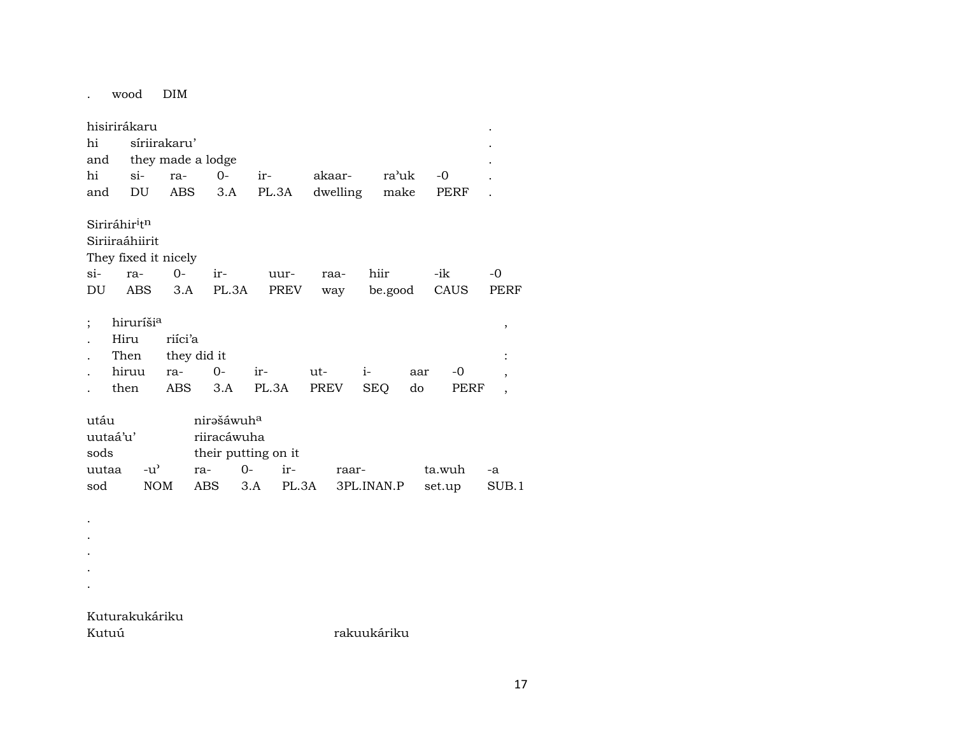wood DIM  $\mathbf{A}^{\mathrm{max}}$ 

| hisirirákaru              |                       |               |              |                        |      |       |        |            |            |         |     |        |    |                |
|---------------------------|-----------------------|---------------|--------------|------------------------|------|-------|--------|------------|------------|---------|-----|--------|----|----------------|
| hi                        |                       |               | síriirakaru' |                        |      |       |        |            |            |         |     |        |    |                |
| and                       |                       |               |              | they made a lodge      |      |       |        |            |            |         |     |        |    |                |
| hi                        |                       | $\sin$        | ra-          | $0-$                   |      | ir-   | akaar- |            |            | ra'uk   |     | $-0$   |    |                |
| and                       | DU                    |               | ABS          | 3.A                    |      | PL.3A |        | dwelling   |            | make    |     | PERF   |    |                |
| Siriráhir <sup>i</sup> tn |                       |               |              |                        |      |       |        |            |            |         |     |        |    |                |
| Siriiraáhiirit            |                       |               |              |                        |      |       |        |            |            |         |     |        |    |                |
| They fixed it nicely      |                       |               |              |                        |      |       |        |            |            |         |     |        |    |                |
| si-                       | ra-                   |               | $O -$        | ir-                    |      | uur-  | raa-   |            | hiir       |         |     | -ik    | -0 |                |
| DU                        | ABS                   |               | 3.A          | PL.3A                  |      | PREV  |        | way        |            | be.good |     | CAUS   |    | PERF           |
| ;                         | hiruríši <sup>a</sup> |               |              |                        |      |       |        |            |            |         |     |        |    | ,              |
|                           | Hiru                  |               | riíci'a      |                        |      |       |        |            |            |         |     |        |    |                |
|                           | Then                  |               |              | they did it            |      |       |        |            |            |         |     |        |    |                |
|                           | hiruu                 |               | ra-          | $0-$                   | ir-  |       | ut-    |            | $i-$       |         | aar | -0     |    | ,              |
|                           | then                  |               | ABS          | 3.A                    |      | PL.3A | PREV   |            | <b>SEQ</b> |         | do  | PERF   |    | $\overline{ }$ |
| utáu                      |                       |               |              | nirašáwuh <sup>a</sup> |      |       |        |            |            |         |     |        |    |                |
| uutaá'u'                  |                       |               |              | riiracáwuha            |      |       |        |            |            |         |     |        |    |                |
| sods                      |                       |               |              | their putting on it    |      |       |        |            |            |         |     |        |    |                |
| uutaa                     |                       | $-u^{\prime}$ |              | ra-                    | $0-$ | ir-   |        | raar-      |            |         |     | ta.wuh | -a |                |
| sod                       |                       | <b>NOM</b>    |              | ABS                    | 3.A  | PL.3A |        | 3PL.INAN.P |            |         |     | set.up |    | SUB.1          |
|                           |                       |               |              |                        |      |       |        |            |            |         |     |        |    |                |
|                           |                       |               |              |                        |      |       |        |            |            |         |     |        |    |                |
|                           |                       |               |              |                        |      |       |        |            |            |         |     |        |    |                |
|                           |                       |               |              |                        |      |       |        |            |            |         |     |        |    |                |
|                           |                       |               |              |                        |      |       |        |            |            |         |     |        |    |                |
|                           |                       |               |              |                        |      |       |        |            |            |         |     |        |    |                |

Kuturakukáriku Kutuú

rakuukáriku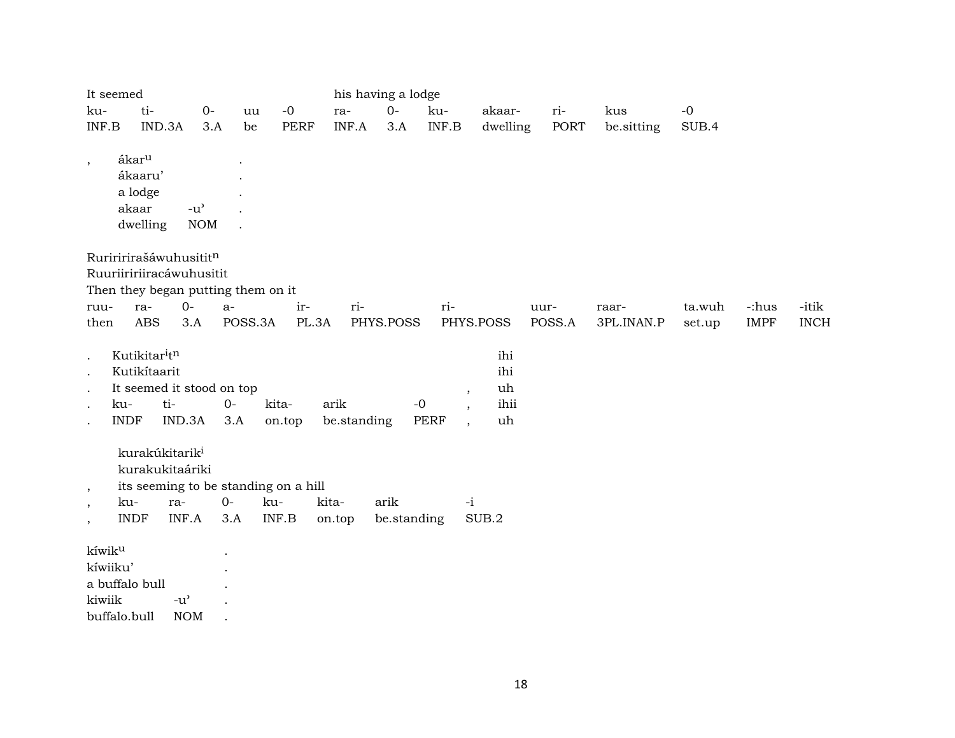| It seemed                                           |                                                              |                                                                                          |             |         |                                      | his having a lodge  |             |                                      |                                                                                                   |        |      |            |        |             |             |
|-----------------------------------------------------|--------------------------------------------------------------|------------------------------------------------------------------------------------------|-------------|---------|--------------------------------------|---------------------|-------------|--------------------------------------|---------------------------------------------------------------------------------------------------|--------|------|------------|--------|-------------|-------------|
| ku-                                                 | ti-                                                          |                                                                                          | $O -$       | uu      | $-0$                                 | ra-                 | $0-$        | ku-                                  | akaar-                                                                                            | ri-    |      | kus        | $-0$   |             |             |
| $\ensuremath{\mathsf{INF}}.\ensuremath{\mathsf{B}}$ |                                                              | IND.3A                                                                                   | 3.A         | be      | <b>PERF</b>                          | INF.A               | 3.A         | $\ensuremath{\mathsf{INF.B}}\xspace$ | dwelling                                                                                          |        | PORT | be.sitting | SUB.4  |             |             |
| $\cdot$                                             | ákar <sup>u</sup><br>ákaaru'<br>a lodge<br>akaar<br>dwelling | $-u^{\prime}$<br><b>NOM</b>                                                              |             |         |                                      |                     |             |                                      |                                                                                                   |        |      |            |        |             |             |
|                                                     |                                                              | Ruriririrašáwuhusititn<br>Ruuriiririiracáwuhusitit<br>Then they began putting them on it |             |         |                                      |                     |             |                                      |                                                                                                   |        |      |            |        |             |             |
| ruu-                                                | ra-                                                          | $O -$                                                                                    | $a-$        |         | ir-                                  | ri-                 |             | ri-                                  |                                                                                                   | uur-   |      | raar-      | ta.wuh | -:hus       | -itik       |
| then                                                | <b>ABS</b>                                                   | 3.A                                                                                      |             | POSS.3A | PL.3A                                |                     | PHYS.POSS   |                                      | PHYS.POSS                                                                                         | POSS.A |      | 3PL.INAN.P | set.up | <b>IMPF</b> | <b>INCH</b> |
|                                                     | Kutikitaritn<br>Kutikítaarit<br>ku-<br><b>INDF</b>           | It seemed it stood on top<br>ti-<br>IND.3A                                               | $0-$<br>3.A |         | kita-<br>on.top                      | arik<br>be.standing | $-0$        | PERF                                 | ihi<br>ihi<br>uh<br>$\cdot$<br>ihii<br>$\overline{\phantom{a}}$<br>uh<br>$\overline{\phantom{a}}$ |        |      |            |        |             |             |
|                                                     |                                                              | kurakúkitarik <sup>i</sup><br>kurakukitaáriki                                            |             |         | its seeming to be standing on a hill |                     |             |                                      |                                                                                                   |        |      |            |        |             |             |
| $\cdot$<br>$\cdot$                                  | ku-                                                          | ra-                                                                                      | $O -$       | ku-     |                                      | kita-               | arik        |                                      | $-i$                                                                                              |        |      |            |        |             |             |
| $\cdot$                                             | <b>INDF</b>                                                  | INF.A                                                                                    | 3.A         |         | INF.B                                | on.top              | be.standing |                                      | SUB.2                                                                                             |        |      |            |        |             |             |
| kíwik <sup>u</sup><br>kíwiiku'<br>kiwiik            | a buffalo bull                                               | $-u$ <sup><math>\prime</math></sup>                                                      |             |         |                                      |                     |             |                                      |                                                                                                   |        |      |            |        |             |             |

buffalo.bull NOM .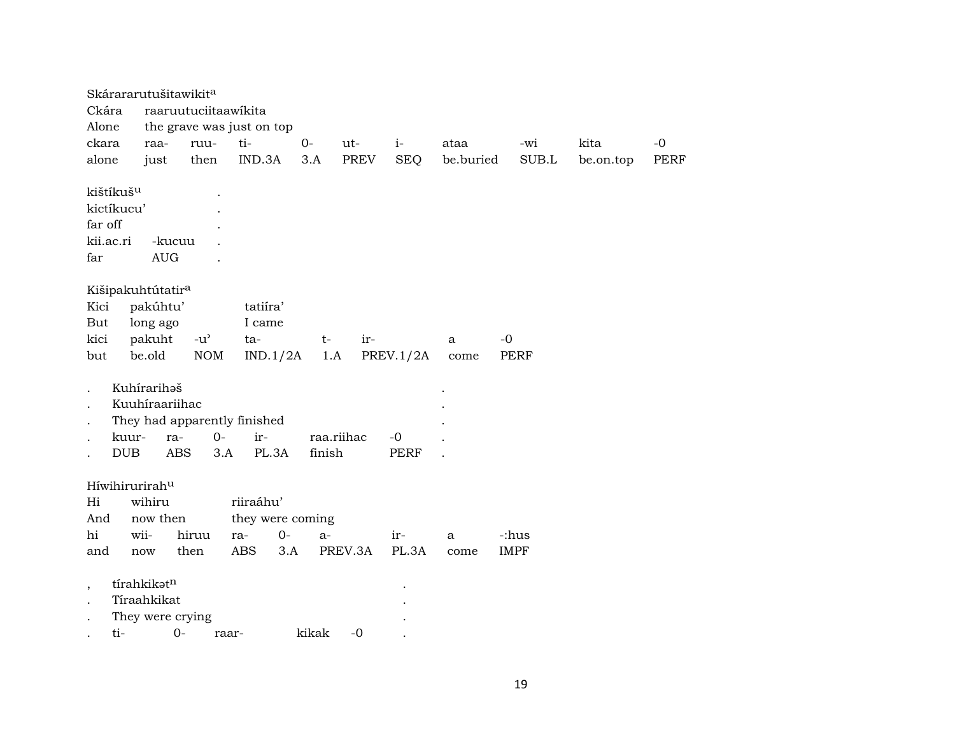| Skárararutušitawikit <sup>a</sup> |                  |                      |                              |        |            |             |           |             |           |      |
|-----------------------------------|------------------|----------------------|------------------------------|--------|------------|-------------|-----------|-------------|-----------|------|
| Ckára                             |                  | raaruutuciitaawikita |                              |        |            |             |           |             |           |      |
| Alone                             |                  |                      | the grave was just on top    |        |            |             |           |             |           |      |
| ckara                             | raa-             | ruu-                 | ti-                          | $0-$   | ut-        | $i-$        | ataa      | -wi         | kita      | $-0$ |
| alone                             | just             | then                 | IND.3A                       | 3.A    | PREV       | <b>SEQ</b>  | be.buried | SUB.L       | be.on.top | PERF |
| kištíkuš <sup>u</sup>             |                  |                      |                              |        |            |             |           |             |           |      |
| kictíkucu'                        |                  |                      |                              |        |            |             |           |             |           |      |
| far off                           |                  |                      |                              |        |            |             |           |             |           |      |
| kii.ac.ri                         | -kucuu           |                      |                              |        |            |             |           |             |           |      |
| far                               | <b>AUG</b>       |                      |                              |        |            |             |           |             |           |      |
| Kišipakuhtútatir <sup>a</sup>     |                  |                      |                              |        |            |             |           |             |           |      |
| Kici                              | pakúhtu'         |                      | tatiira'                     |        |            |             |           |             |           |      |
| But                               | long ago         |                      | I came                       |        |            |             |           |             |           |      |
| kici                              | pakuht           | $-u^{\prime}$        | ta-                          | $t-$   | ir-        |             | a         | $-0$        |           |      |
| but                               | be.old           | <b>NOM</b>           | IND.1/2A                     | 1.A    |            | PREV.1/2A   | come      | <b>PERF</b> |           |      |
|                                   |                  |                      |                              |        |            |             |           |             |           |      |
|                                   | Kuhírarihaš      |                      |                              |        |            |             |           |             |           |      |
|                                   | Kuuhíraariihac   |                      |                              |        |            |             |           |             |           |      |
|                                   |                  |                      | They had apparently finished |        |            |             |           |             |           |      |
| kuur-                             | ra-              | $0-$                 | ir-                          |        | raa.riihac | $-0$        |           |             |           |      |
| <b>DUB</b>                        | ABS              | 3.A                  | PL.3A                        | finish |            | <b>PERF</b> |           |             |           |      |
|                                   |                  |                      |                              |        |            |             |           |             |           |      |
| Híwihirurirahu                    |                  |                      |                              |        |            |             |           |             |           |      |
| Hi                                | wihiru           |                      | riiraáhu'                    |        |            |             |           |             |           |      |
| And                               | now then         |                      | they were coming             |        |            |             |           |             |           |      |
| hi                                | wii-             | hiruu                | $0-$<br>ra-                  | $a-$   |            | ir-         | a         | -:hus       |           |      |
| and                               | now              | then                 | ABS<br>3.A                   |        | PREV.3A    | PL.3A       | come      | <b>IMPF</b> |           |      |
| $\overline{\phantom{a}}$          | tírahkikatn      |                      |                              |        |            |             |           |             |           |      |
|                                   | Tíraahkikat      |                      |                              |        |            |             |           |             |           |      |
|                                   | They were crying |                      |                              |        |            |             |           |             |           |      |
|                                   |                  | ti- 0- raar-         |                              | kikak  | $-0$       |             |           |             |           |      |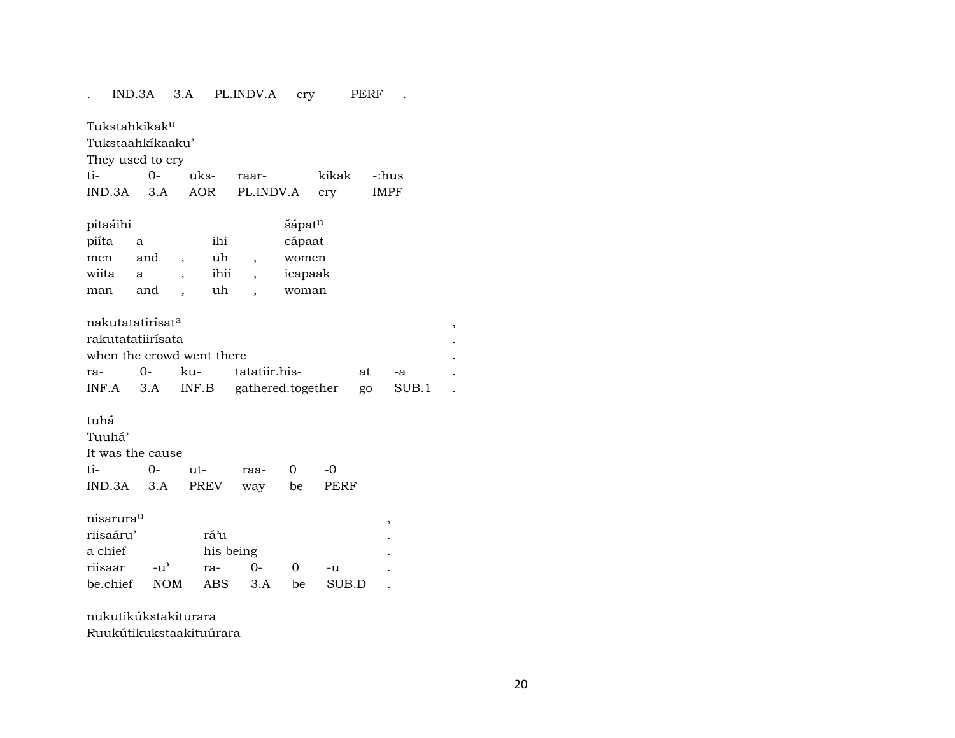### . IND.3A 3.A PL.INDV.A cry PERF . Tukstahkíkak<sup>u</sup> Tukstaahkíkaaku' They used to cry ti- 0- uks- raar- kikak -:hus IND.3A 3.A AOR PL.INDV.A cry IMPF pitaáihi šápat<sup>n</sup> piíta a ihi cápaat men and , uh , women wiita a , ihii , icapaak man and , uh , woman

| nakutatatirísat <sup>a</sup> |                           |                                              |    |    |  |
|------------------------------|---------------------------|----------------------------------------------|----|----|--|
| rakutatatiirísata            |                           |                                              |    |    |  |
|                              | when the crowd went there |                                              |    |    |  |
|                              |                           | ra- 0- ku- tatatiir.his-                     | at | -а |  |
|                              |                           | INF.A 3.A INF.B gathered.together go SUB.1 . |    |    |  |

#### tuhá

| Tuuhá'           |                             |  |       |
|------------------|-----------------------------|--|-------|
| It was the cause |                             |  |       |
|                  |                             |  | $-()$ |
|                  | IND.3A 3.A PREV way be PERF |  |       |

 $\begin{minipage}[c]{0.9\linewidth} \begin{tabular}{l} \hline \textbf{m} & \textbf{m} & \textbf{m} \\ \textbf{m} & \textbf{m} & \textbf{m} \\ \textbf{m} & \textbf{m} & \textbf{m} \\ \textbf{m} & \textbf{m} & \textbf{m} \\ \textbf{m} & \textbf{m} & \textbf{m} \\ \textbf{m} & \textbf{m} & \textbf{m} \\ \textbf{m} & \textbf{m} & \textbf{m} \\ \textbf{m} & \textbf{m} & \textbf{m} \\ \textbf{m} & \textbf{m} & \textbf{m} \\ \textbf{m$ 

| riisaáru'    |               | rá'u      |         |              |       |  |
|--------------|---------------|-----------|---------|--------------|-------|--|
| a chief      |               | his being |         |              |       |  |
| riisaar      | $-11^{\circ}$ | ra-       | - O-    | $\mathbf{I}$ | $-11$ |  |
| be.chief NOM |               |           | ABS 3.A | be –         | SUB.D |  |

# nukutikúkstakiturara

Ruukútikukstaakituúrara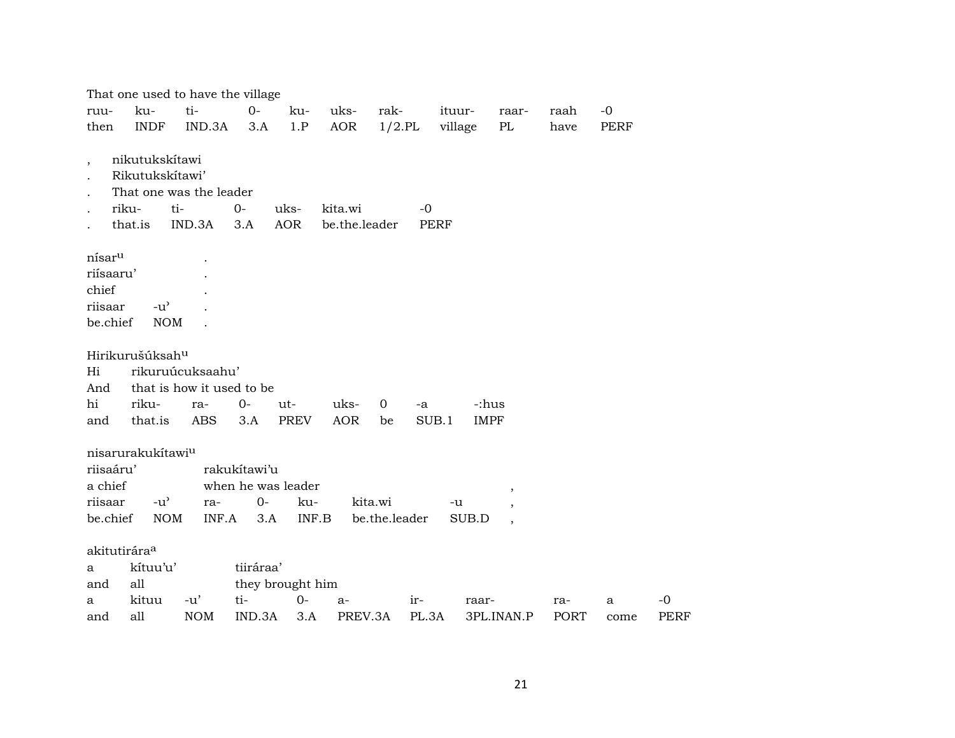|                          |                                   | That one used to have the village |                    |                  |               |               |             |                          |             |      |             |
|--------------------------|-----------------------------------|-----------------------------------|--------------------|------------------|---------------|---------------|-------------|--------------------------|-------------|------|-------------|
| ruu-                     | ku-                               | ti-                               | $0-$               | ku-              | uks-          | rak-          | ituur-      | raar-                    | raah        | $-0$ |             |
| then                     | <b>INDF</b>                       | IND.3A                            | 3.A                | 1.P              | AOR           | $1/2$ .PL     | village     | PL                       | have        | PERF |             |
|                          |                                   |                                   |                    |                  |               |               |             |                          |             |      |             |
| $\overline{\phantom{a}}$ | nikutukskítawi<br>Rikutukskítawi' |                                   |                    |                  |               |               |             |                          |             |      |             |
|                          |                                   | That one was the leader           |                    |                  |               |               |             |                          |             |      |             |
|                          | riku-                             | ti-                               | $O -$              | uks-             | kita.wi       | $-0$          |             |                          |             |      |             |
|                          | that.is                           | IND.3A                            | 3.A                | AOR              | be.the.leader |               | <b>PERF</b> |                          |             |      |             |
|                          |                                   |                                   |                    |                  |               |               |             |                          |             |      |             |
| nísar <sup>u</sup>       |                                   |                                   |                    |                  |               |               |             |                          |             |      |             |
| riísaaru'                |                                   |                                   |                    |                  |               |               |             |                          |             |      |             |
| chief                    |                                   |                                   |                    |                  |               |               |             |                          |             |      |             |
| riisaar                  | $-u^{\prime}$                     |                                   |                    |                  |               |               |             |                          |             |      |             |
| be.chief                 | <b>NOM</b>                        |                                   |                    |                  |               |               |             |                          |             |      |             |
|                          | Hirikurušúksah <sup>u</sup>       |                                   |                    |                  |               |               |             |                          |             |      |             |
| Hi                       |                                   | rikuruúcuksaahu'                  |                    |                  |               |               |             |                          |             |      |             |
| And                      |                                   | that is how it used to be         |                    |                  |               |               |             |                          |             |      |             |
| hi                       | riku-                             | ra-                               | $0-$               | ut-              | uks-          | 0<br>-a       |             | -:hus                    |             |      |             |
| and                      | that.is                           | <b>ABS</b>                        | 3.A                | <b>PREV</b>      | <b>AOR</b>    | be            | SUB.1       | <b>IMPF</b>              |             |      |             |
|                          |                                   |                                   |                    |                  |               |               |             |                          |             |      |             |
|                          | nisarurakukítawi <sup>u</sup>     |                                   |                    |                  |               |               |             |                          |             |      |             |
| riisaáru'                |                                   |                                   | rakukítawi'u       |                  |               |               |             |                          |             |      |             |
| a chief                  |                                   |                                   | when he was leader |                  |               |               |             | ,                        |             |      |             |
| riisaar                  | $-u^{\prime}$                     | ra-                               | $0-$               | ku-              |               | kita.wi       | -u          | $\overline{\phantom{a}}$ |             |      |             |
| be.chief                 | <b>NOM</b>                        | INF.A                             | 3.A                | INF.B            |               | be.the.leader | SUB.D       | $\overline{\phantom{a}}$ |             |      |             |
| akitutirára <sup>a</sup> |                                   |                                   |                    |                  |               |               |             |                          |             |      |             |
| a                        | kítuu'u'                          |                                   | tiiráraa'          |                  |               |               |             |                          |             |      |             |
| and                      | all                               |                                   |                    | they brought him |               |               |             |                          |             |      |             |
| a                        | kituu                             | $-u'$                             | ti-                | $0-$             | a-            | ir-           | raar-       |                          | ra-         | a    | $-0$        |
| and                      | all                               | <b>NOM</b>                        | IND.3A             | 3.A              | PREV.3A       | PL.3A         |             | 3PL.INAN.P               | <b>PORT</b> | come | <b>PERF</b> |
|                          |                                   |                                   |                    |                  |               |               |             |                          |             |      |             |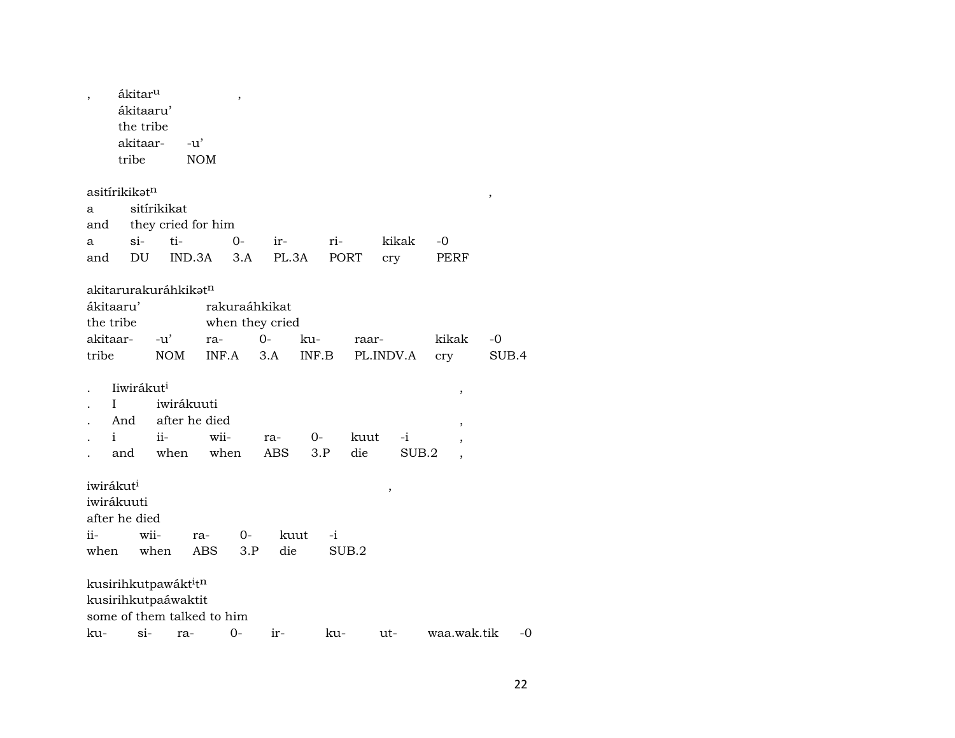|                       | ákitar <sup>u</sup>                          |             |               |                    | ,     |                 |       |      |           |        |       |       |                          |        |    |
|-----------------------|----------------------------------------------|-------------|---------------|--------------------|-------|-----------------|-------|------|-----------|--------|-------|-------|--------------------------|--------|----|
|                       | ákitaaru'                                    |             |               |                    |       |                 |       |      |           |        |       |       |                          |        |    |
|                       | the tribe                                    |             |               |                    |       |                 |       |      |           |        |       |       |                          |        |    |
|                       | akitaar-                                     |             | $-u'$         |                    |       |                 |       |      |           |        |       |       |                          |        |    |
|                       | tribe                                        |             | <b>NOM</b>    |                    |       |                 |       |      |           |        |       |       |                          |        |    |
|                       | asitírikikət <sup>n</sup>                    |             |               |                    |       |                 |       |      |           |        |       |       |                          |        |    |
| a                     |                                              | sitírikikat |               |                    |       |                 |       |      |           |        |       |       |                          | $\, ,$ |    |
| and                   |                                              |             |               | they cried for him |       |                 |       |      |           |        |       |       |                          |        |    |
| a                     | $\sin$                                       |             | ti-           |                    | $O -$ | ir-             |       | ri-  |           | kikak  |       | -0    |                          |        |    |
| and                   | DU                                           |             | IND.3A        |                    | 3.A   | PL.3A           |       | PORT |           | cry    |       | PERF  |                          |        |    |
|                       |                                              |             |               |                    |       |                 |       |      |           |        |       |       |                          |        |    |
|                       | akitarurakuráhkikat <sup>n</sup>             |             |               |                    |       |                 |       |      |           |        |       |       |                          |        |    |
| ákitaaru'             |                                              |             |               | rakuraáhkikat      |       |                 |       |      |           |        |       |       |                          |        |    |
| the tribe             |                                              |             |               |                    |       | when they cried |       |      |           |        |       |       |                          |        |    |
| akitaar-              |                                              | $-u'$       |               | ra-                |       | $0-$            | ku-   |      | raar-     |        |       | kikak |                          | -0     |    |
| tribe                 |                                              | NOM         |               | INF.A              |       | 3.A             | INF.B |      | PL.INDV.A |        |       | cry   |                          | SUB.4  |    |
|                       |                                              |             |               |                    |       |                 |       |      |           |        |       |       |                          |        |    |
|                       | liwirákut <sup>i</sup>                       |             |               |                    |       |                 |       |      |           |        |       |       | ,                        |        |    |
|                       | L                                            |             | iwirákuuti    |                    |       |                 |       |      |           |        |       |       |                          |        |    |
|                       | And                                          |             | after he died |                    |       |                 |       |      |           |        |       |       | ,                        |        |    |
| $\mathbf{i}$          |                                              | $ii-$       |               | wii-               |       | ra-             | $0-$  |      | kuut      |        | $-i$  |       | $\overline{\phantom{a}}$ |        |    |
|                       | and                                          | when        |               | when               |       | ABS             | 3.P   |      | die       |        | SUB.2 |       | $\overline{ }$           |        |    |
| iwirákut <sup>i</sup> |                                              |             |               |                    |       |                 |       |      |           |        |       |       |                          |        |    |
|                       | iwirákuuti                                   |             |               |                    |       |                 |       |      |           | $\, ,$ |       |       |                          |        |    |
|                       | after he died                                |             |               |                    |       |                 |       |      |           |        |       |       |                          |        |    |
| ii-                   |                                              | wii-        | ra-           |                    | 0-    | kuut            |       | $-i$ |           |        |       |       |                          |        |    |
| when                  |                                              | when        |               | <b>ABS</b>         | 3.P   | die             |       |      | SUB.2     |        |       |       |                          |        |    |
|                       |                                              |             |               |                    |       |                 |       |      |           |        |       |       |                          |        |    |
|                       | kusirihkutpawákt <sup>i</sup> t <sup>n</sup> |             |               |                    |       |                 |       |      |           |        |       |       |                          |        |    |
|                       | kusirihkutpaáwaktit                          |             |               |                    |       |                 |       |      |           |        |       |       |                          |        |    |
|                       | some of them talked to him                   |             |               |                    |       |                 |       |      |           |        |       |       |                          |        |    |
| ku-                   | $\sin$                                       |             | ra-           | $0-$               |       | $ir-$           |       | ku-  |           | ut-    |       |       | waa.wak.tik              |        | -0 |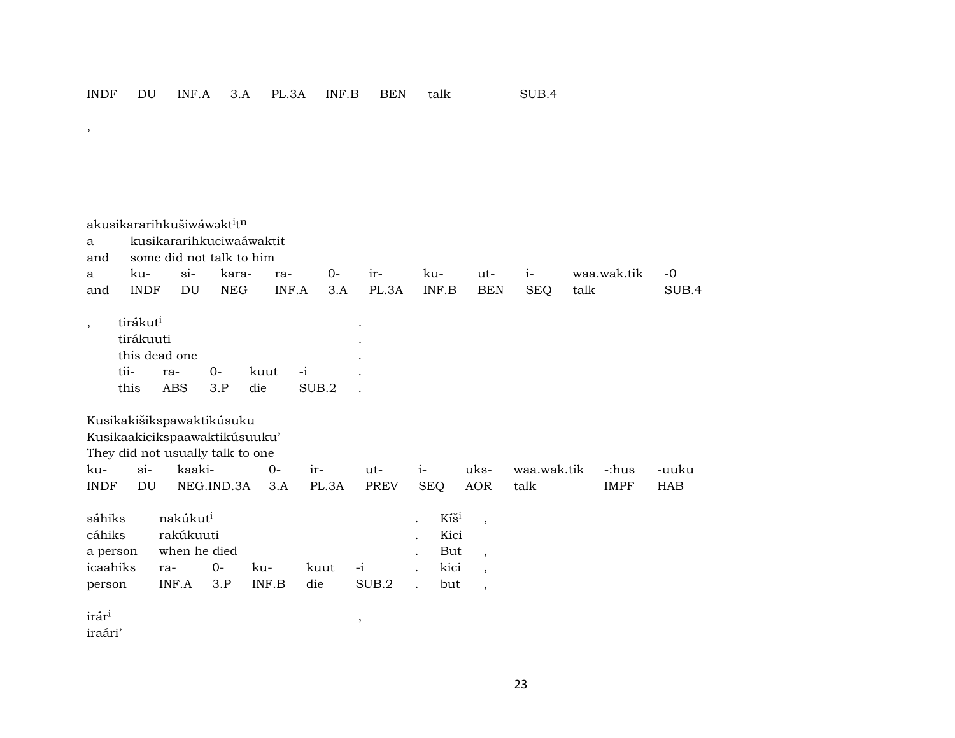akusikararihkušiwá wa kt $^i$ t<sup>n</sup> a kusikararihkuciwaáwaktit and some did not talk to him a ku- si- kara- ra- 0- ir- ku- ut- i- waa.wak.tik -0 and INDF DU NEG INF.A 3.A PL.3A INF.B BEN SEQ talk SUB.4 , tirákut<sup>i</sup> tirákuuti . this dead one tii- ra- 0- kuut -i . this ABS 3.P die SUB.2 . Kusikakišikspawaktikúsuku Kusikaakicikspaawaktikúsuuku' They did not usually talk to one ku- si- kaaki- 0- ir- ut- i- uks- waa.wak.tik -:hus -uuku INDF DU NEG.IND.3A 3.A PL.3A PREV SEQ AOR talk IMPF HAB sáhiks nakúkut<sup>i</sup> . Kíš<sup>i</sup> , cáhiks rakúkuuti . Kici a person when he died  $\qquad \qquad$  . But , icaahiks ra- 0- ku- kuut -i . kici , person INF.A 3.P INF.B die SUB.2 . but ,  $\hat{\mathbf{r}}$ ár $\hat{\mathbf{r}}$ <sup>1</sup>,  $\hat{\mathbf{r}}$ 

iraári'

,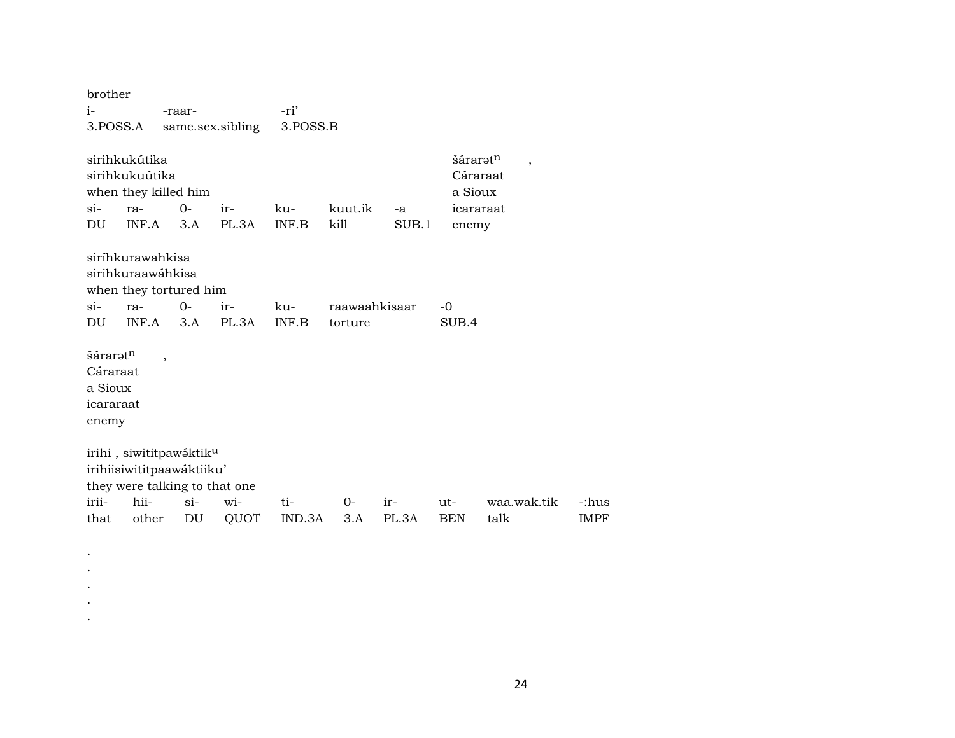| brother                                               |                                                                                                   |             |                  |              |                 |             |                              |                                  |             |
|-------------------------------------------------------|---------------------------------------------------------------------------------------------------|-------------|------------------|--------------|-----------------|-------------|------------------------------|----------------------------------|-------------|
| $i-$                                                  |                                                                                                   | -raar-      |                  | -ri'         |                 |             |                              |                                  |             |
| 3.POSS.A                                              |                                                                                                   |             | same.sex.sibling | 3.POSS.B     |                 |             |                              |                                  |             |
| $\sin$<br>DU                                          | sirihkukútika<br>sirihkukuútika<br>when they killed him<br>ra-<br>INF.A                           | $0-$<br>3.A | ir-<br>PL.3A     | ku-<br>INF.B | kuut.ik<br>kill | -a<br>SUB.1 | šáraratn<br>a Sioux<br>enemy | $\cdot$<br>Cáraraat<br>icararaat |             |
|                                                       | siríhkurawahkisa<br>sirihkuraawáhkisa<br>when they tortured him                                   |             |                  |              |                 |             |                              |                                  |             |
| $\sin$                                                | ra-                                                                                               | $0 -$       | ir-              | ku-          | raawaahkisaar   |             | $-0$                         |                                  |             |
| DU                                                    | INF.A                                                                                             | 3.A         | PL.3A            | INF.B        | torture         |             | SUB.4                        |                                  |             |
| šáraratn<br>Cáraraat<br>a Sioux<br>icararaat<br>enemy | $\overline{\phantom{a}}$                                                                          |             |                  |              |                 |             |                              |                                  |             |
|                                                       | irihi, siwititpawáktik <sup>u</sup><br>irihiisiwititpaawáktiiku'<br>they were talking to that one |             |                  |              |                 |             |                              |                                  |             |
| irii-                                                 | hii-                                                                                              | $\sin$      | wi-              | ti-          | $0-$            | ir-         | ut-                          | waa.wak.tik                      | -:hus       |
| that                                                  | other                                                                                             | DU          | QUOT             | IND.3A       | 3.A             | PL.3A       | <b>BEN</b>                   | talk                             | <b>IMPF</b> |
|                                                       |                                                                                                   |             |                  |              |                 |             |                              |                                  |             |

. . . . .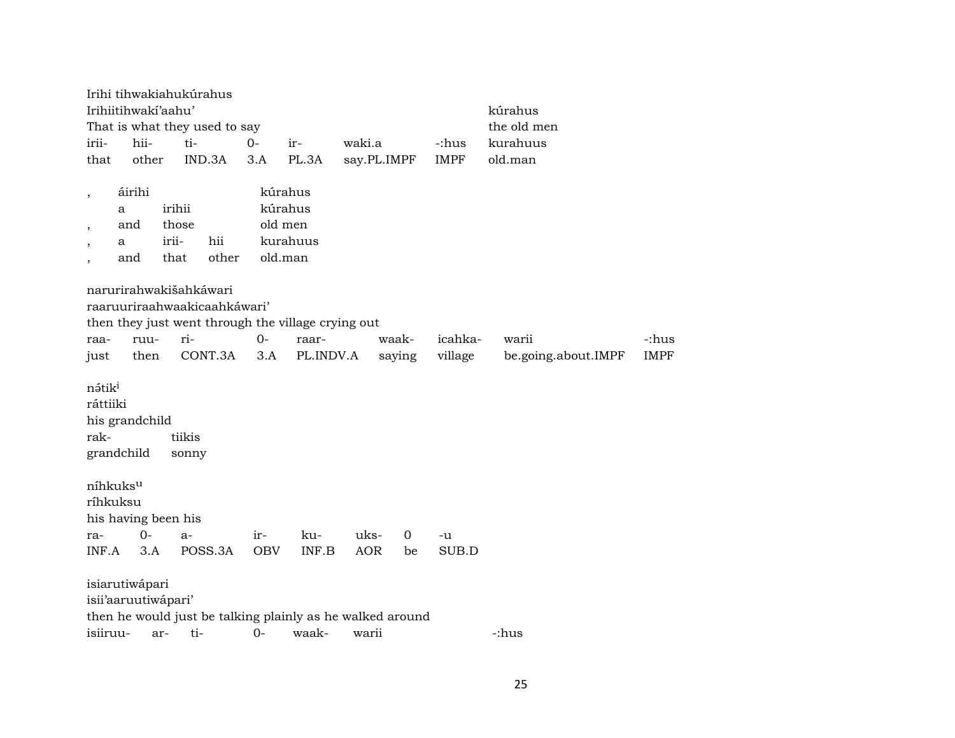|                                        | Irihiitihwaki'aahu'                                 | Irihi tihwakiahukúrahus<br>That is what they used to say                |            |                                                      |             |        |             | kúrahus<br>the old men |             |
|----------------------------------------|-----------------------------------------------------|-------------------------------------------------------------------------|------------|------------------------------------------------------|-------------|--------|-------------|------------------------|-------------|
| irii-                                  | hii-                                                | ti-                                                                     | $O -$      | ir-                                                  | waki.a      |        | -:hus       | kurahuus               |             |
| that                                   | other                                               | IND.3A                                                                  | 3.A        | PL.3A                                                | say.PL.IMPF |        | <b>IMPF</b> | old.man                |             |
|                                        |                                                     |                                                                         |            |                                                      |             |        |             |                        |             |
| $\, ,$<br>$\overline{\phantom{a}}$     | áirihi<br>a<br>and<br>a<br>and                      | irihii<br>those<br>irii-<br>hii<br>other<br>that                        |            | kúrahus<br>kúrahus<br>old men<br>kurahuus<br>old.man |             |        |             |                        |             |
|                                        |                                                     | narurirahwakišahkáwari                                                  |            |                                                      |             |        |             |                        |             |
|                                        |                                                     | raaruuriraahwaakicaahkáwari'                                            |            |                                                      |             |        |             |                        |             |
|                                        |                                                     | then they just went through the village crying out                      |            |                                                      |             |        |             |                        |             |
| raa-                                   | ruu-                                                | ri-                                                                     | $0-$       | raar-                                                |             | waak-  | icahka-     | warii                  | -:hus       |
| just                                   | then                                                | CONT.3A                                                                 | 3.A        | PL.INDV.A                                            |             | saying | village     | be.going.about.IMPF    | <b>IMPF</b> |
| nátik <sup>i</sup><br>ráttiiki<br>rak- | his grandchild<br>grandchild                        | tiikis<br>sonny                                                         |            |                                                      |             |        |             |                        |             |
| ra-                                    | níhkuksu<br>ríhkuksu<br>his having been his<br>$0-$ | $a-$                                                                    | ir-        | ku-                                                  | uks-        | 0      | -u          |                        |             |
| INF.A                                  | 3.A                                                 | POSS.3A                                                                 | <b>OBV</b> | INF.B                                                | <b>AOR</b>  | be     | SUB.D       |                        |             |
| isiiruu-                               | isiarutiwápari<br>isii'aaruutiwápari'               | then he would just be talking plainly as he walked around<br>ti-<br>ar- | $0-$       | waak-                                                | warii       |        |             | -:hus                  |             |
|                                        |                                                     |                                                                         |            |                                                      |             |        |             |                        |             |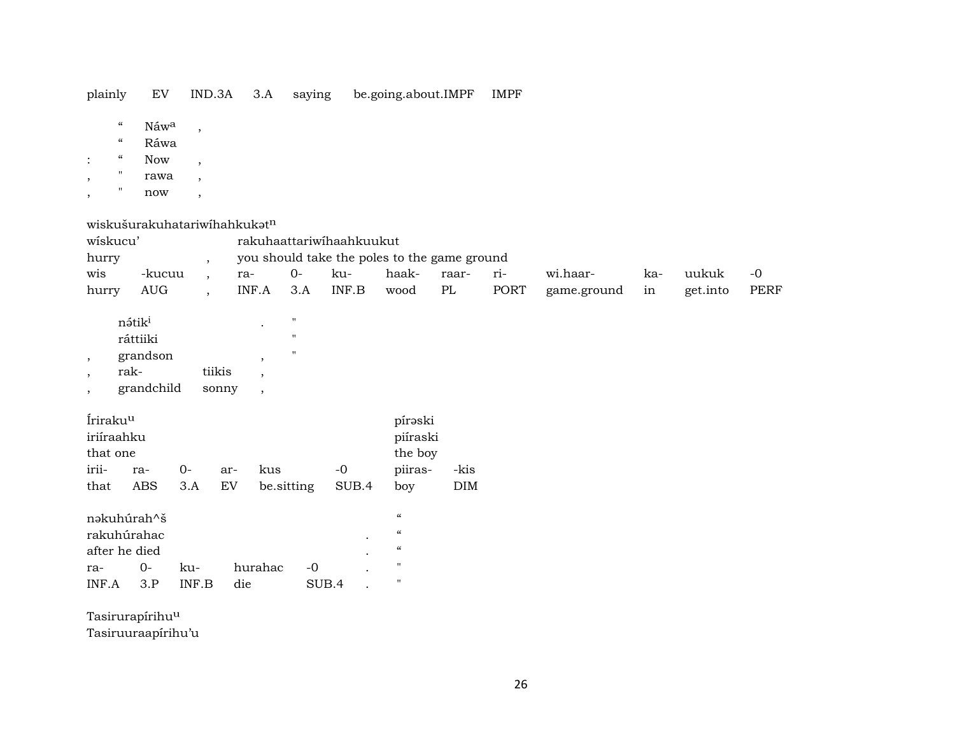| plainly | IND.3A | 3.A | saving | be.going.about.IMPF | <b>IMPF</b> |
|---------|--------|-----|--------|---------------------|-------------|
|         |        |     |        |                     |             |

- $\boldsymbol{\alpha}$  $\rm N$ áw $\rm ^a$
- Ráwa  $\boldsymbol{\mathcal{C}}$
- Now  $\boldsymbol{\mathcal{U}}$  $\overline{\phantom{a}}$

 $\ddot{\cdot}$ 

- $\mathbf{u}$ rawa  $\overline{\phantom{a}}$  $\overline{\phantom{a}}$
- $\mathbf{u}$  $\operatorname{now}$  $\overline{\phantom{0}}$

wiskušurakuhatariwíhahkukatn

 $\overline{\phantom{a}}$ 

 $\overline{\phantom{a}}$ 

| wiskucu'                                              |        |  | rakuhaattariwihaahkuukut |       |       |       |       |           |             |     |          |      |
|-------------------------------------------------------|--------|--|--------------------------|-------|-------|-------|-------|-----------|-------------|-----|----------|------|
| you should take the poles to the game ground<br>hurry |        |  |                          |       |       |       |       |           |             |     |          |      |
| wis                                                   | -kucuu |  | ra-                      | $O -$ | -ku   | haak- | raar- | $r_{1}$ - | wi.haar-    | ka- | uukuk    | $-0$ |
| hurry                                                 | AUG    |  | INF.A                    | 3.A   | INF.B | wood  | PL    | PORT      | game.ground | in  | get.into | PERF |

| nátik <sup>i</sup> |        | " |
|--------------------|--------|---|
| ráttiiki           |        | п |
| grandson           |        | п |
| rak-               | tiikis |   |
| grandchild         | sonny  |   |

| Íriraku <sup>u</sup> |     |         | pírəski  |            |       |         |      |
|----------------------|-----|---------|----------|------------|-------|---------|------|
| iriíraahku           |     |         | piíraski |            |       |         |      |
| that one             |     | the boy |          |            |       |         |      |
| irii-                | ra- | $()$ -  | ar-      | kus        | $-0$  | piiras- | -kis |
| that                 | ABS | 3.A     | EV       | be sitting | SUB.4 | boy     | DIM  |

| nəkuhúrah^š   |                  |       |         |                  |           | "          |
|---------------|------------------|-------|---------|------------------|-----------|------------|
| rakuhúrahac   |                  |       |         |                  | $\bullet$ | $\epsilon$ |
| after he died |                  |       |         |                  | $\bullet$ | "          |
| ra-           | $\Omega$         | ku-   | hurahac | $-\Omega$        |           | "          |
| INF A         | $\overline{3}$ P | INF B | die     | SUB <sub>4</sub> |           | п          |

Tasirurapírihu<sup>u</sup> Tasiruuraapírihu'u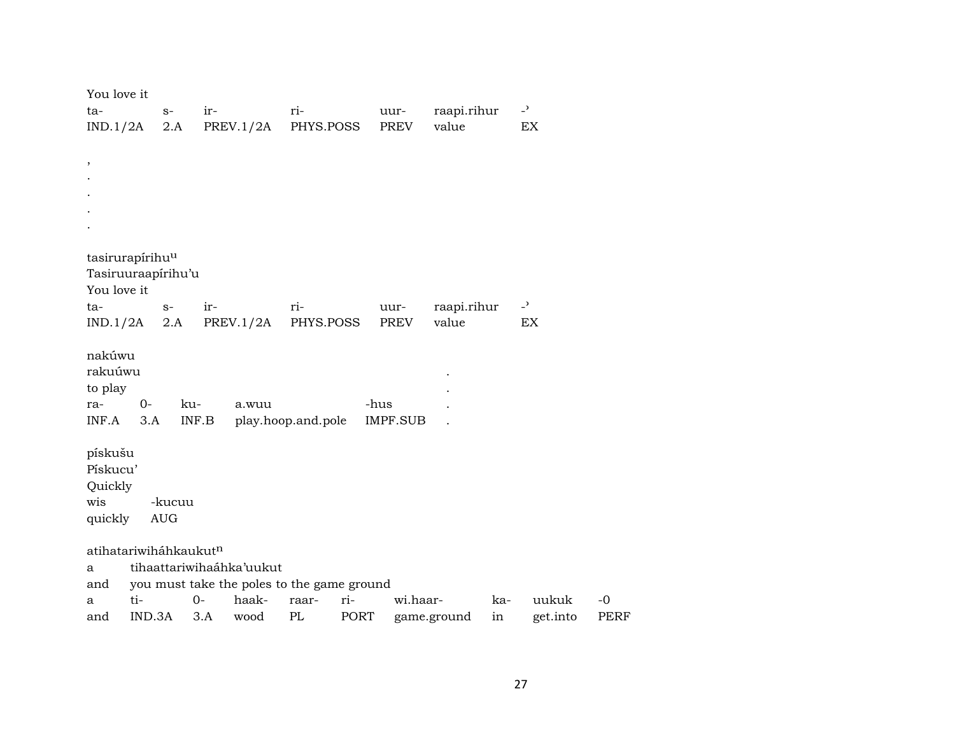| You love it                       |            |        |                          |                                            |                 |             |     |                |             |
|-----------------------------------|------------|--------|--------------------------|--------------------------------------------|-----------------|-------------|-----|----------------|-------------|
| ta-                               | $S-$       |        | ir-                      | ri-                                        | uur-            | raapi.rihur |     | $\overline{a}$ |             |
| IND.1/2A                          |            | 2.A    | PREV.1/2A                | PHYS.POSS                                  | PREV            | value       |     | EX             |             |
|                                   |            |        |                          |                                            |                 |             |     |                |             |
| ,                                 |            |        |                          |                                            |                 |             |     |                |             |
|                                   |            |        |                          |                                            |                 |             |     |                |             |
|                                   |            |        |                          |                                            |                 |             |     |                |             |
|                                   |            |        |                          |                                            |                 |             |     |                |             |
|                                   |            |        |                          |                                            |                 |             |     |                |             |
| tasirurapírihu <sup>u</sup>       |            |        |                          |                                            |                 |             |     |                |             |
| Tasiruuraapírihu'u                |            |        |                          |                                            |                 |             |     |                |             |
| You love it                       |            |        |                          |                                            |                 |             |     |                |             |
| ta-                               | $S-$       |        | ir-                      | ri-                                        | uur-            | raapi.rihur |     | $-2$           |             |
| IND.1/2A                          | 2.A        |        | PREV.1/2A                | PHYS.POSS                                  | PREV            | value       |     | EX             |             |
|                                   |            |        |                          |                                            |                 |             |     |                |             |
| nakúwu                            |            |        |                          |                                            |                 |             |     |                |             |
| rakuúwu                           |            |        |                          |                                            |                 |             |     |                |             |
| to play                           |            |        |                          |                                            |                 |             |     |                |             |
| ra-                               | $0-$       | ku-    | a.wuu                    |                                            | -hus            |             |     |                |             |
| INF.A                             | 3.A        | INF.B  |                          | play.hoop.and.pole                         | <b>IMPF.SUB</b> |             |     |                |             |
| pískušu                           |            |        |                          |                                            |                 |             |     |                |             |
| Pískucu'                          |            |        |                          |                                            |                 |             |     |                |             |
| Quickly                           |            |        |                          |                                            |                 |             |     |                |             |
| wis                               |            | -kucuu |                          |                                            |                 |             |     |                |             |
| quickly                           | <b>AUG</b> |        |                          |                                            |                 |             |     |                |             |
|                                   |            |        |                          |                                            |                 |             |     |                |             |
| atihatariwiháhkaukut <sup>n</sup> |            |        |                          |                                            |                 |             |     |                |             |
| a                                 |            |        | tihaattariwihaáhka'uukut |                                            |                 |             |     |                |             |
| and                               |            |        |                          | you must take the poles to the game ground |                 |             |     |                |             |
| a                                 | ti-        | $O -$  | haak-                    | raar-                                      | ri-             | wi.haar-    | ka- | uukuk          | $-0$        |
| and                               | IND.3A     |        | 3.A<br>wood              | PL                                         | PORT            | game.ground | in  | get.into       | <b>PERF</b> |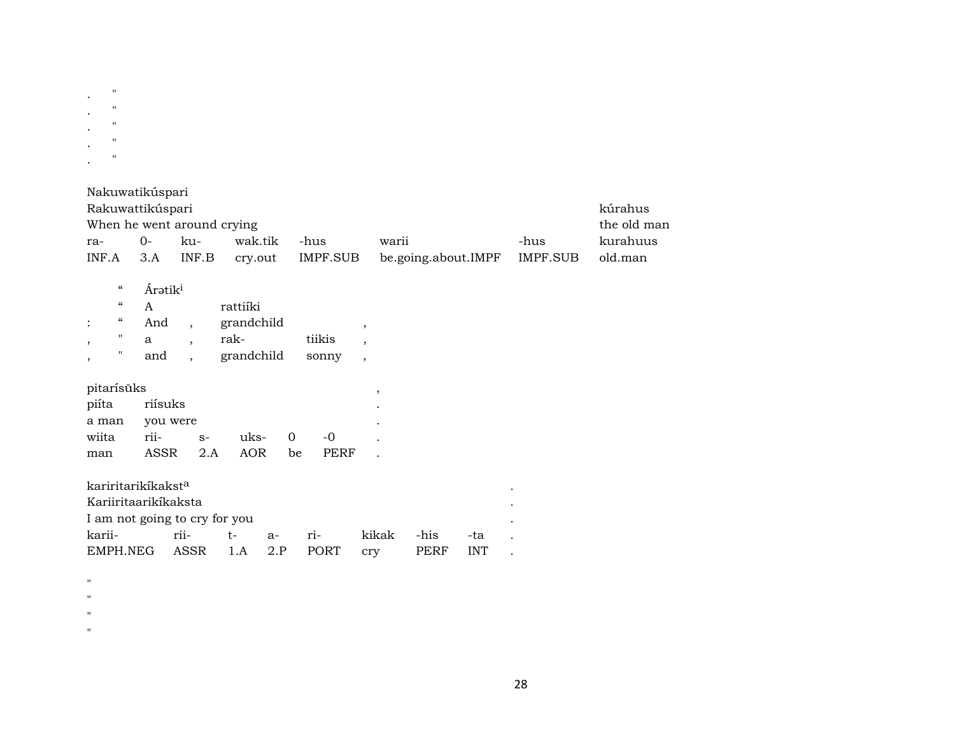| ٠ | $^{\prime\prime}$ |
|---|-------------------|
| ٠ | 11                |
|   | 11                |
| ٠ | 11                |
|   | "                 |

and,

| Nakuwatikúspari                           |                             |       |            |          |  |                     |          |          |  |  |  |
|-------------------------------------------|-----------------------------|-------|------------|----------|--|---------------------|----------|----------|--|--|--|
| Rakuwattikúspari                          |                             |       |            |          |  |                     |          | kúrahus  |  |  |  |
| When he went around crying<br>the old man |                             |       |            |          |  |                     |          |          |  |  |  |
| ra-                                       | 0-                          | ku-   | wak.tik    | -hus     |  | warii               | -hus     | kurahuus |  |  |  |
| INF.A                                     | 3.A                         | INF.B | cry.out    | IMPF.SUB |  | be.going.about.IMPF | IMPF.SUB | old.man  |  |  |  |
|                                           |                             |       |            |          |  |                     |          |          |  |  |  |
| $\boldsymbol{\zeta}\boldsymbol{\zeta}$    | <b>Ár</b> ətik <sup>i</sup> |       |            |          |  |                     |          |          |  |  |  |
| $\epsilon\epsilon$                        | A                           |       | rattiíki   |          |  |                     |          |          |  |  |  |
| "                                         | And                         |       | grandchild |          |  |                     |          |          |  |  |  |
| "                                         | a                           |       | rak-       | tiikis   |  |                     |          |          |  |  |  |
|                                           |                             |       |            |          |  |                     |          |          |  |  |  |

| pitarisuks |  |
|------------|--|
|            |  |
|            |  |
|            |  |

 $\mathbf{H}$ 

 $\overline{\phantom{a}}$ 

| pitarisūks    |              |  |           |    |       |  |  |  |  |  |
|---------------|--------------|--|-----------|----|-------|--|--|--|--|--|
| piíta riísuks |              |  |           |    |       |  |  |  |  |  |
| a man         | you were     |  |           |    |       |  |  |  |  |  |
| wiita         | rii- s-      |  | $u$ ks- 0 |    | $-()$ |  |  |  |  |  |
| man           | ASSR 2.A AOR |  |           | be | PERF  |  |  |  |  |  |

| kariritarikíkakst <sup>a</sup> |              |     |      |       |            |             |            |  |
|--------------------------------|--------------|-----|------|-------|------------|-------------|------------|--|
| Kariiritaariki̇́kaksta         |              |     |      |       |            |             |            |  |
| I am not going to cry for you  |              |     |      |       |            |             |            |  |
| karii-                         | rii-         | t – | $a-$ | $ri-$ | kikak      | -his        | -ta        |  |
| EMPH NEG                       | ASSR 1.A 2.P |     |      | PORT  | <b>CTV</b> | <b>PERF</b> | <b>INT</b> |  |

grandchild sonny ,

 $\mathbf{u}$ 

 $\mathbf{u}$ 

 $\mathbf{u}$  .

 $\mathbf{u}$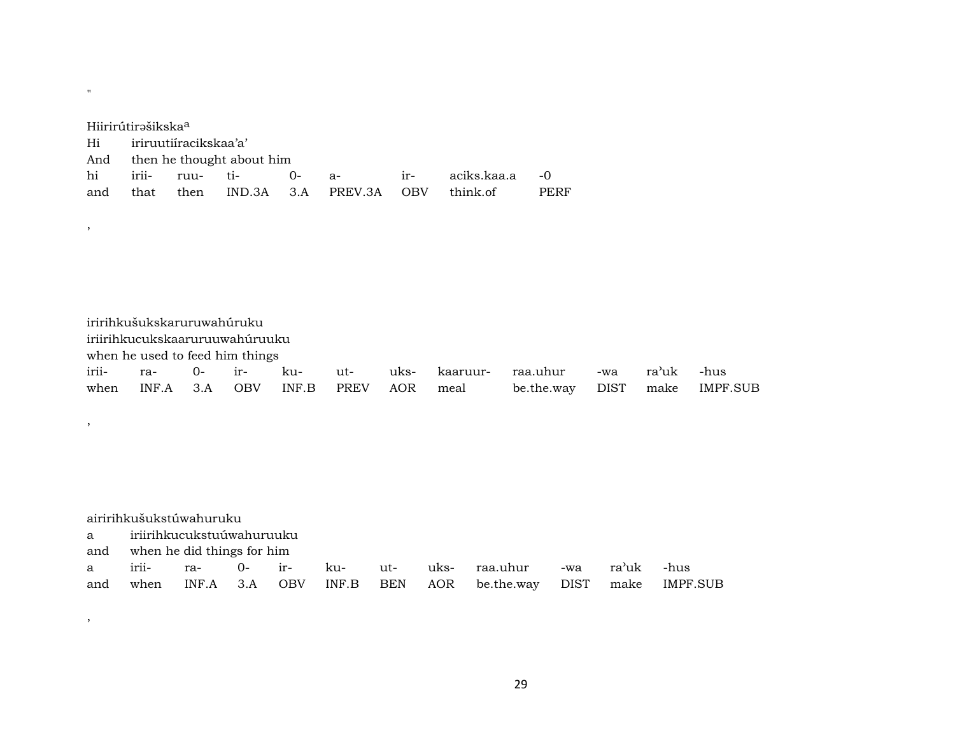| Hiirirútirəšikska <sup>a</sup> |                               |          |  |      |                         |            |             |      |  |  |
|--------------------------------|-------------------------------|----------|--|------|-------------------------|------------|-------------|------|--|--|
| Hi                             | iriruutiíracikskaa'a'         |          |  |      |                         |            |             |      |  |  |
|                                | And then he thought about him |          |  |      |                         |            |             |      |  |  |
| hi                             | irii-                         | ruu- ti- |  | $O-$ | $ir-$<br>$a-$           |            | aciks.kaa.a | $-0$ |  |  |
| and                            | that                          |          |  |      | then IND.3A 3.A PREV.3A | <b>OBV</b> | think of    | PERF |  |  |

"

,

,

,

| iririhkušukskaruruwahúruku      |  |  |  |  |  |                                        |                                                                |  |  |  |
|---------------------------------|--|--|--|--|--|----------------------------------------|----------------------------------------------------------------|--|--|--|
| iriirihkucukskaaruruuwahúruuku  |  |  |  |  |  |                                        |                                                                |  |  |  |
| when he used to feed him things |  |  |  |  |  |                                        |                                                                |  |  |  |
|                                 |  |  |  |  |  |                                        | irii- ra- 0- ir- ku- ut- uks- kaaruur- raa.uhur -wa ra'uk -hus |  |  |  |
|                                 |  |  |  |  |  | when INF.A 3.A OBV INF.B PREV AOR meal | be.the.way DIST make IMPF.SUB                                  |  |  |  |

|     | airirihkušukstúwahuruku    |       |             |     |       |     |      |            |      |       |                 |
|-----|----------------------------|-------|-------------|-----|-------|-----|------|------------|------|-------|-----------------|
| a a | iriirihkucukstuúwahuruuku  |       |             |     |       |     |      |            |      |       |                 |
| and | when he did things for him |       |             |     |       |     |      |            |      |       |                 |
| a - | irii-                      | ra-   | $ir-$<br>0- |     | ku-   | ut- | uks- | raa.uhur   | -wa  | ra'uk | -hus            |
| and | when                       | INF.A | 3.A         | OBV | INF.B | BEN | AOR  | be.the.way | DIST | make  | <b>IMPF.SUB</b> |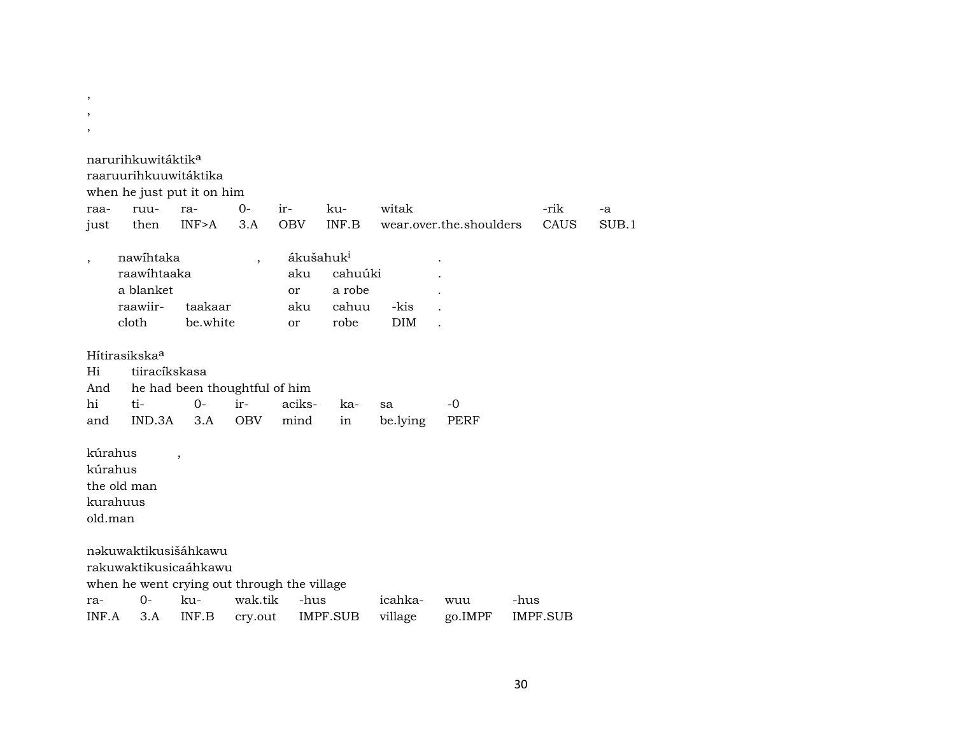- ,
- ,
- ,

|                                           | narurihkuwitáktik <sup>a</sup><br>raaruurihkuuwitáktika<br>when he just put it on him |                               |                          |                        |                                                             |                    |                         |                 |       |
|-------------------------------------------|---------------------------------------------------------------------------------------|-------------------------------|--------------------------|------------------------|-------------------------------------------------------------|--------------------|-------------------------|-----------------|-------|
| raa-                                      | ruu-                                                                                  | ra-                           | $0-$                     | ir-                    | ku-                                                         | witak              |                         | -rik            | -a    |
| just                                      | then                                                                                  | INF>A                         | 3.A                      | <b>OBV</b>             | INF.B                                                       |                    | wear.over.the.shoulders | CAUS            | SUB.1 |
| $\overline{\phantom{a}}$                  | nawihtaka<br>raawihtaaka<br>a blanket<br>raawiir-<br>cloth                            | taakaar<br>be.white           | $\overline{\phantom{a}}$ | aku<br>or<br>aku<br>or | ákušahuk <sup>i</sup><br>cahuúki<br>a robe<br>cahuu<br>robe | -kis<br><b>DIM</b> |                         |                 |       |
|                                           | Hítirasikska <sup>a</sup>                                                             |                               |                          |                        |                                                             |                    |                         |                 |       |
| Hi                                        | tiiracíkskasa                                                                         |                               |                          |                        |                                                             |                    |                         |                 |       |
| And                                       |                                                                                       | he had been thoughtful of him |                          |                        |                                                             |                    |                         |                 |       |
| hi                                        | ti-                                                                                   | $O -$                         | ir-                      | aciks-                 | ka-                                                         | sa                 | $-0$                    |                 |       |
| and                                       | IND.3A                                                                                | 3.A                           | <b>OBV</b>               | mind                   | in                                                          | be.lying           | <b>PERF</b>             |                 |       |
| kúrahus<br>kúrahus<br>kurahuus<br>old.man | the old man                                                                           | $\overline{\phantom{a}}$      |                          |                        |                                                             |                    |                         |                 |       |
|                                           | nəkuwaktikusišáhkawu                                                                  |                               |                          |                        |                                                             |                    |                         |                 |       |
|                                           | rakuwaktikusicaáhkawu                                                                 |                               |                          |                        |                                                             |                    |                         |                 |       |
|                                           | when he went crying out through the village                                           |                               |                          |                        |                                                             |                    |                         |                 |       |
| ra-                                       | $O -$                                                                                 | $k_{11}$                      | wak.tik                  | -hus                   |                                                             | icahka-            | wuu                     | -hus            |       |
| INF.A                                     | 3.A                                                                                   | INF.B                         | cry.out                  |                        | IMPF.SUB                                                    | village            | go.IMPF                 | <b>IMPF.SUB</b> |       |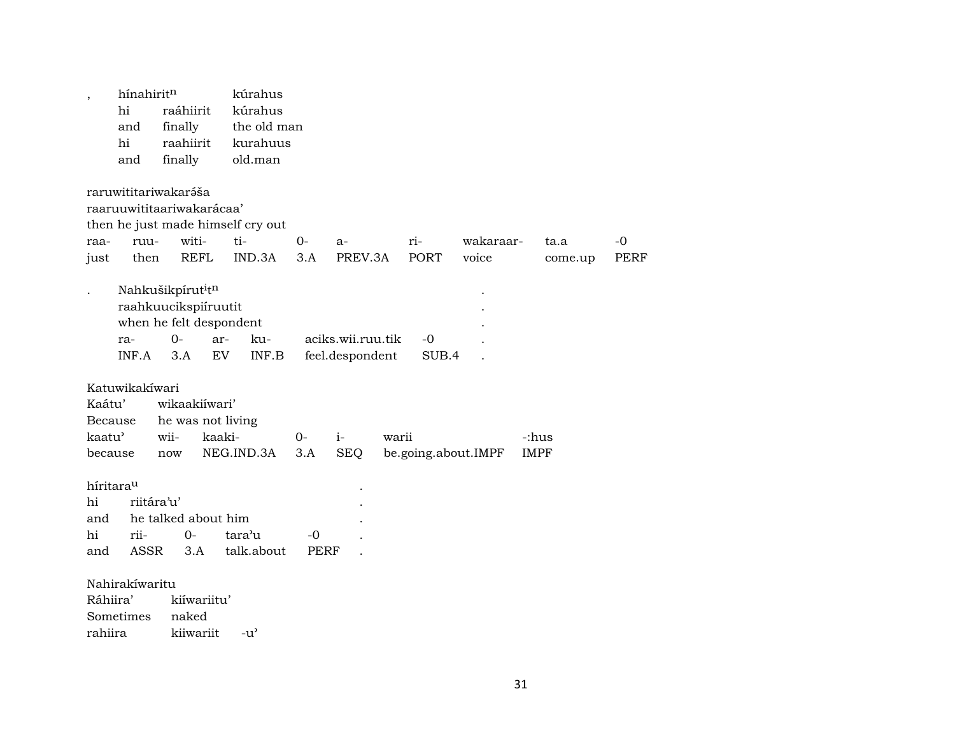| $\overline{ }$                                     | hínahirit <sup>n</sup><br>hi<br>and<br>hi<br>and                                                 | raáhiirit<br>finally<br>raahiirit<br>finally      |                          | kúrahus<br>kúrahus<br>the old man<br>kurahuus<br>old.man |                   |                                      |       |               |                     |                      |                     |
|----------------------------------------------------|--------------------------------------------------------------------------------------------------|---------------------------------------------------|--------------------------|----------------------------------------------------------|-------------------|--------------------------------------|-------|---------------|---------------------|----------------------|---------------------|
| raa-<br>just                                       | raruwititariwakaráša<br>raaruuwititaariwakarácaa'<br>ruu-<br>then                                | witi-                                             | <b>REFL</b>              | then he just made himself cry out<br>ti-<br>IND.3A       | 0-<br>3.A         | $a-$<br>PREV.3A                      |       | ri-<br>PORT   | wakaraar-<br>voice  | ta.a<br>come.up      | $-0$<br><b>PERF</b> |
|                                                    | Nahkušikpírut <sup>i</sup> tn<br>raahkuucikspiíruutit<br>when he felt despondent<br>ra-<br>INF.A | $0-$<br>3.A                                       | ar-<br>EV                | ku-<br>INF.B                                             |                   | aciks.wii.ruu.tik<br>feel.despondent |       | $-0$<br>SUB.4 |                     |                      |                     |
| Kaátu'<br>Because<br>kaatu <sup>'</sup><br>because | Katuwikakíwari                                                                                   | wikaakiíwari'<br>he was not living<br>wii-<br>now | kaaki-                   | NEG.IND.3A                                               | 0-<br>3.A         | $i-$<br><b>SEQ</b>                   | warii |               | be.going.about.IMPF | -:hus<br><b>IMPF</b> |                     |
| híritarau<br>hi<br>and<br>hi<br>and                | riitára'u'<br>rii-<br>ASSR                                                                       | he talked about him<br>$0-$                       | 3.A                      | tara'u<br>talk.about                                     | -0<br><b>PERF</b> |                                      |       |               |                     |                      |                     |
| Ráhiira'<br>rahiira                                | Nahirakíwaritu<br>Sometimes                                                                      | naked                                             | kiíwariitu'<br>kiiwariit | $-u^{\prime}$                                            |                   |                                      |       |               |                     |                      |                     |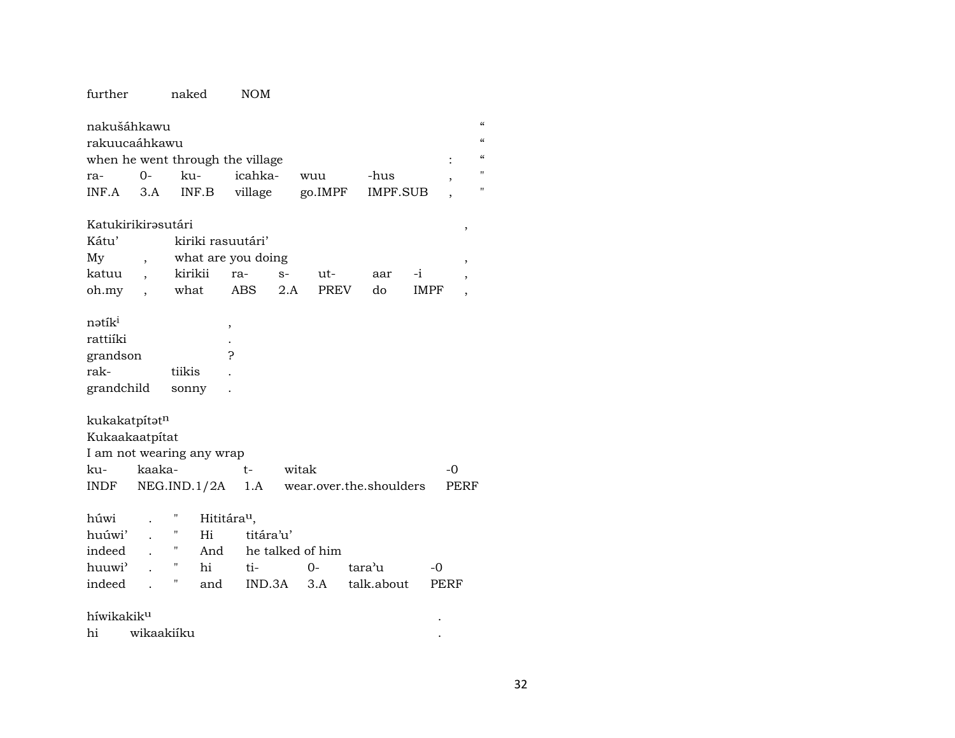#### further naked NOM

|                                  | nakušáhkawu |     |         |                                          |      |  |                   |  |  |  |  |
|----------------------------------|-------------|-----|---------|------------------------------------------|------|--|-------------------|--|--|--|--|
| rakuucaáhkawu                    |             |     |         |                                          |      |  |                   |  |  |  |  |
| when he went through the village |             |     |         |                                          |      |  |                   |  |  |  |  |
| ra-                              | $O-$        | ku- | icahka- | wuu                                      | -hus |  | $^{\prime\prime}$ |  |  |  |  |
|                                  |             |     |         | INF.A 3.A INF.B village go.IMPF IMPF.SUB |      |  | п                 |  |  |  |  |

### KatukirikirŸsutári ,

| Kátu' |  | kiriki rasuutári' |  |      |                 |     |             |  |  |  |  |
|-------|--|-------------------|--|------|-----------------|-----|-------------|--|--|--|--|
| Mv    |  |                   |  |      |                 |     |             |  |  |  |  |
| katuu |  | kirikii ra-       |  | - S- | ut-             | aar |             |  |  |  |  |
| oh.my |  | what              |  |      | ABS 2.A PREV do |     | <b>IMPF</b> |  |  |  |  |

| natik <sup>1</sup> |        |   |  |
|--------------------|--------|---|--|
| rattiíki           |        |   |  |
| grandson           |        | 2 |  |
| rak-               | tiikis |   |  |
| grandchild         | sonny  |   |  |

### kukakatpít $\mathfrak{t}^{\text{n}}$

| Kukaakaatpitat            |     |                                                 |           |  |  |  |  |  |  |  |
|---------------------------|-----|-------------------------------------------------|-----------|--|--|--|--|--|--|--|
| I am not wearing any wrap |     |                                                 |           |  |  |  |  |  |  |  |
| ku- kaaka-                | $+$ | witak                                           | $-\Omega$ |  |  |  |  |  |  |  |
|                           |     | $INDF$ NEG.IND.1/2A 1.A wear.over.the.shoulders | PERF      |  |  |  |  |  |  |  |

| húwi . "Hititára <sup>u</sup> , |  |                                 |                                           |  |
|---------------------------------|--|---------------------------------|-------------------------------------------|--|
|                                 |  | huúwi' . " Hi titára'u'         |                                           |  |
|                                 |  | indeed . " And he talked of him |                                           |  |
|                                 |  |                                 | huuwi'. "hi ti- 0- tara'u -0              |  |
|                                 |  |                                 | indeed . " and IND.3A 3.A talk.about PERF |  |
|                                 |  |                                 |                                           |  |

| híwikakik <sup>u</sup> |            |  |  |  |  |  |  |
|------------------------|------------|--|--|--|--|--|--|
| hi                     | wikaakiiku |  |  |  |  |  |  |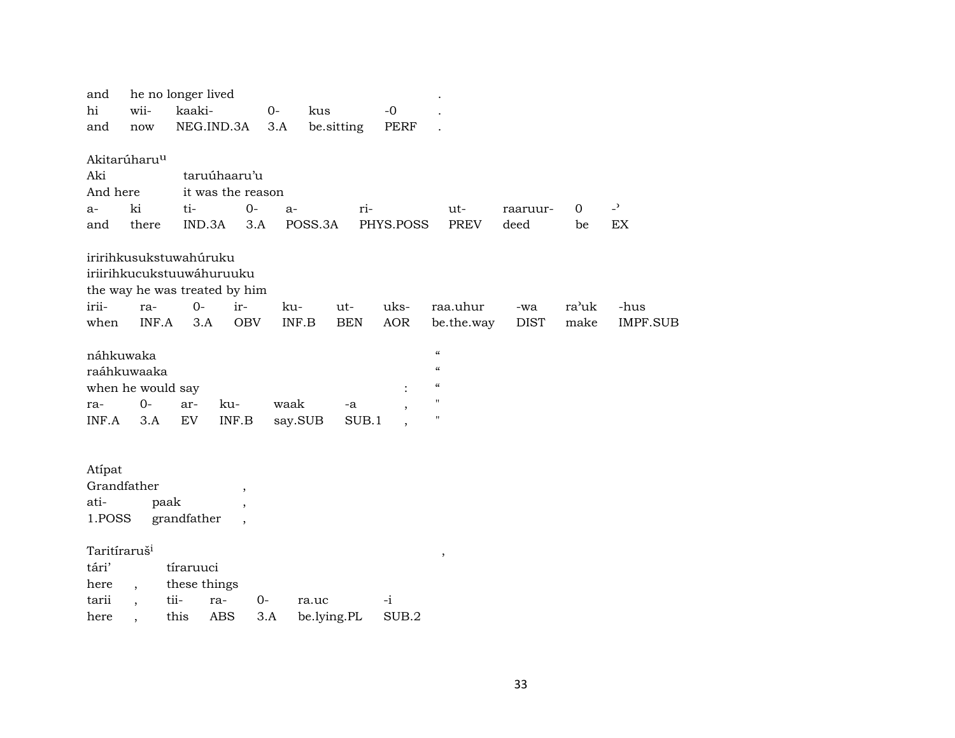| hi | and                                                        | wii-                                     | he no longer lived<br>kaaki-                                                         |                                                      | $O -$        | kus                  |            | $-0$               |                                                                                        |             |               |                          |  |
|----|------------------------------------------------------------|------------------------------------------|--------------------------------------------------------------------------------------|------------------------------------------------------|--------------|----------------------|------------|--------------------|----------------------------------------------------------------------------------------|-------------|---------------|--------------------------|--|
|    | and                                                        | now                                      | NEG.IND.3A                                                                           |                                                      | 3.A          | be.sitting           |            | <b>PERF</b>        |                                                                                        |             |               |                          |  |
|    |                                                            | Akitarúharu <sup>u</sup>                 |                                                                                      |                                                      |              |                      |            |                    |                                                                                        |             |               |                          |  |
|    | Aki                                                        |                                          | taruúhaaru'u                                                                         |                                                      |              |                      |            |                    |                                                                                        |             |               |                          |  |
|    | And here                                                   |                                          | it was the reason                                                                    |                                                      |              |                      |            |                    |                                                                                        |             |               |                          |  |
|    | a-                                                         | ki                                       | ti-                                                                                  | $0-$                                                 | $a-$         |                      | ri-        |                    | ut-                                                                                    | raaruur-    | $\mathbf 0$   | $\overline{\phantom{a}}$ |  |
|    | and                                                        | there                                    | IND.3A                                                                               | 3.A                                                  |              | POSS.3A              |            | PHYS.POSS          | <b>PREV</b>                                                                            | deed        | be            | EX                       |  |
|    |                                                            |                                          | iririhkusukstuwahúruku<br>iriirihkucukstuuwáhuruuku<br>the way he was treated by him |                                                      |              |                      |            |                    |                                                                                        |             |               |                          |  |
|    |                                                            | ra-                                      |                                                                                      |                                                      |              |                      |            |                    |                                                                                        | -wa         |               |                          |  |
|    |                                                            |                                          |                                                                                      |                                                      |              |                      |            |                    |                                                                                        |             |               |                          |  |
|    | náhkuwaka<br>ra-                                           | raáhkuwaaka<br>when he would say<br>$0-$ | ar-                                                                                  | ku-                                                  | waak         |                      | -a         | $\ddot{\cdot}$     | $\boldsymbol{\mathcal{C}}$<br>$\epsilon$<br>$\boldsymbol{\mathcal{C}}$<br>$\mathbf{H}$ |             |               |                          |  |
|    | INF.A                                                      | 3.A                                      | $\mathop{\rm EV}\nolimits$                                                           | $\textsf{INF}.\textsf{B}$                            | say.SUB      |                      | SUB.1      |                    | $\pmb{\mathsf{H}}$                                                                     |             |               |                          |  |
|    | Atípat<br>ati-<br>1.POSS                                   | Grandfather<br>paak                      | grandfather                                                                          | $\overline{\phantom{a}}$<br>$\overline{\phantom{a}}$ |              |                      |            |                    |                                                                                        |             |               |                          |  |
|    | Taritíraruš <sup>i</sup><br>tári'<br>here<br>tarii<br>here | $\overline{ }$ ,<br>$\ddot{\phantom{0}}$ | tíraruuci<br>these things<br>tii-<br>ra-<br>this<br><b>ABS</b>                       | $0-$                                                 | $3.A$        | ra.uc<br>be.lying.PL |            | $-i$<br>SUB.2      | $^\mathrm{^\mathrm{o}}$                                                                |             |               |                          |  |
|    | irii-<br>when                                              | INF.A                                    | $0 -$<br>3.A                                                                         | ir-<br><b>OBV</b>                                    | ku-<br>INF.B | ut-                  | <b>BEN</b> | uks-<br><b>AOR</b> | raa.uhur<br>be.the.way                                                                 | <b>DIST</b> | ra'uk<br>make | -hus<br><b>IMPF.SUB</b>  |  |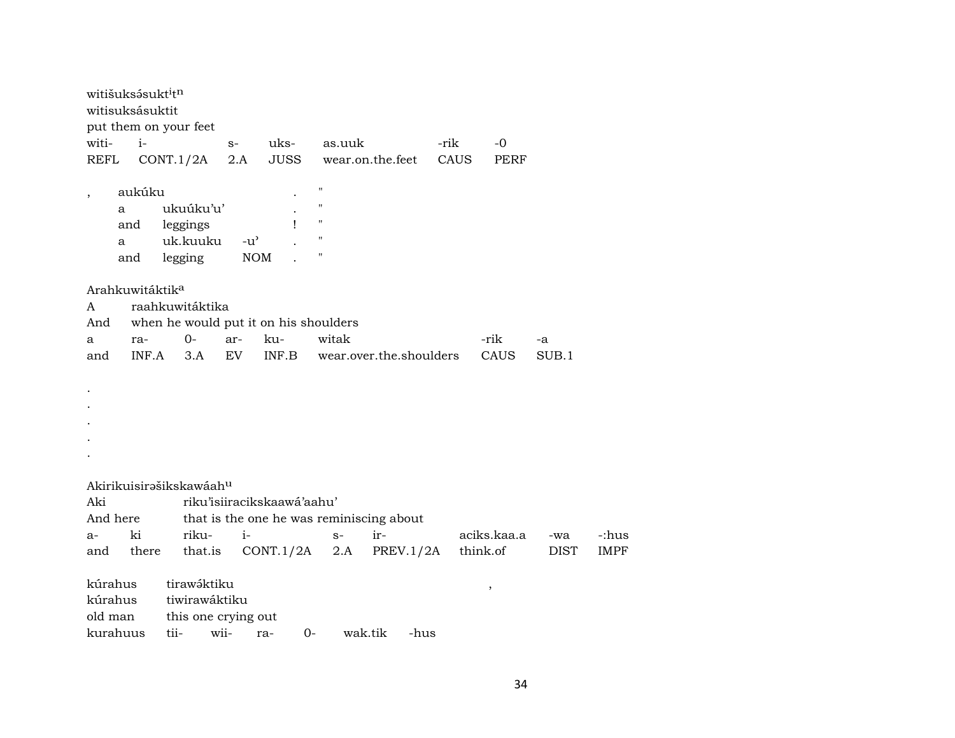|                                           | witišuksásukt <sup>i</sup> t <sup>n</sup><br>witisuksásuktit |           |                                                                  |               |             |                                                                                                           |         |                                          |                         |          |                          |             |             |
|-------------------------------------------|--------------------------------------------------------------|-----------|------------------------------------------------------------------|---------------|-------------|-----------------------------------------------------------------------------------------------------------|---------|------------------------------------------|-------------------------|----------|--------------------------|-------------|-------------|
|                                           | put them on your feet                                        |           |                                                                  |               |             |                                                                                                           |         |                                          |                         |          |                          |             |             |
| witi-                                     | $i-$                                                         |           |                                                                  | $S-$          | uks-        |                                                                                                           | as.uuk  |                                          | -rik                    |          | $-0$                     |             |             |
| <b>REFL</b>                               |                                                              | CONT.1/2A |                                                                  | 2.A           | <b>JUSS</b> |                                                                                                           |         | wear.on.the.feet                         | CAUS                    |          | PERF                     |             |             |
| $^\mathrm{,}$                             | aukúku<br>a<br>and<br>a<br>and                               |           | ukuúku'u'<br>leggings<br>uk.kuuku<br>legging                     | $-u^{\prime}$ | <b>NOM</b>  | $\mathbf{H}$<br>$\pmb{\mathsf{H}}$<br>$\pmb{\mathsf{H}}$<br>L<br>$\pmb{\mathsf{H}}$<br>$\pmb{\mathsf{H}}$ |         |                                          |                         |          |                          |             |             |
| A<br>And<br>a                             | Arahkuwitáktik <sup>a</sup><br>ra-                           |           | raahkuwitáktika<br>when he would put it on his shoulders<br>$0-$ | ar-           | ku-         |                                                                                                           | witak   |                                          |                         |          | -rik                     | -a          |             |
| and                                       | INF.A                                                        |           | 3.A                                                              | EV            | INF.B       |                                                                                                           |         |                                          | wear.over.the.shoulders |          | CAUS                     | SUB.1       |             |
| Aki                                       |                                                              |           | Akirikuisirašikskawáahu<br>riku'isiiracikskaawá'aahu'            |               |             |                                                                                                           |         |                                          |                         |          |                          |             |             |
| And here                                  |                                                              |           |                                                                  |               |             |                                                                                                           |         | that is the one he was reminiscing about |                         |          |                          |             |             |
| $a-$                                      | ki                                                           |           | riku-                                                            | $i-$          |             |                                                                                                           | $S-$    | ir-                                      |                         |          | aciks.kaa.a              | -wa         | -:hus       |
| and                                       | there                                                        |           | that.is                                                          |               | CONT.1/2A   |                                                                                                           | 2.A     |                                          | PREV.1/2A               | think.of |                          | <b>DIST</b> | <b>IMPF</b> |
| kúrahus<br>kúrahus<br>old man<br>kurahuus |                                                              | tii-      | tirawáktiku<br>tiwirawáktiku<br>this one crying out<br>wii-      |               | ra-         | 0-                                                                                                        | wak.tik |                                          | -hus                    |          | $\overline{\phantom{a}}$ |             |             |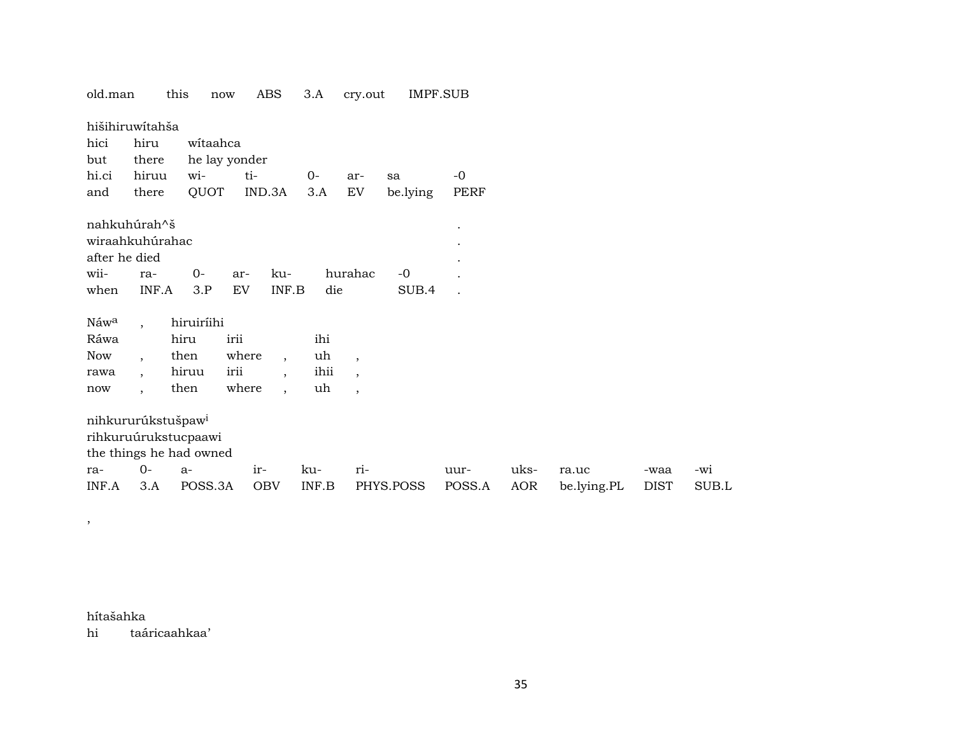| old.man          |                          | this                           | now           | ABS                      | 3.A                       | cry.out                  |           | <b>IMPF.SUB</b> |      |             |             |       |
|------------------|--------------------------|--------------------------------|---------------|--------------------------|---------------------------|--------------------------|-----------|-----------------|------|-------------|-------------|-------|
| hišihiruwítahša  |                          |                                |               |                          |                           |                          |           |                 |      |             |             |       |
| hici             | hiru                     |                                | witaahca      |                          |                           |                          |           |                 |      |             |             |       |
| but              | there                    |                                | he lay yonder |                          |                           |                          |           |                 |      |             |             |       |
| hi.ci            | hiruu                    | wi-                            | ti-           |                          | $0-$                      | ar-                      | sa        | $-0$            |      |             |             |       |
| and              | there                    | QUOT                           |               | IND.3A                   | 3.A                       | EV                       | be.lying  | PERF            |      |             |             |       |
| nahkuhúrah^š     |                          |                                |               |                          |                           |                          |           | $\cdot$         |      |             |             |       |
| wiraahkuhúrahac  |                          |                                |               |                          |                           |                          |           |                 |      |             |             |       |
| after he died    |                          |                                |               |                          |                           |                          |           |                 |      |             |             |       |
| wii-             | ra-                      | $0-$                           | ar-           | ku-                      |                           | hurahac                  | $-0$      |                 |      |             |             |       |
| when             | INF.A                    | 3.P                            | EV            | INF.B                    | die                       |                          | SUB.4     |                 |      |             |             |       |
| Náw <sup>a</sup> | $\ddot{\phantom{0}}$     | hiruiríihi                     |               |                          |                           |                          |           |                 |      |             |             |       |
| Ráwa             |                          | hiru                           | irii          |                          | ihi                       |                          |           |                 |      |             |             |       |
| <b>Now</b>       | $\cdot$                  | then                           | where         | $\overline{ }$ ,         | uh                        | $\overline{\phantom{a}}$ |           |                 |      |             |             |       |
| rawa             | $\overline{\phantom{a}}$ | hiruu                          | irii          | $\overline{\phantom{a}}$ | ihii                      | $\overline{\phantom{a}}$ |           |                 |      |             |             |       |
| now              | $\overline{\phantom{a}}$ | then                           | where         | $\overline{\phantom{a}}$ | uh                        | $\overline{\phantom{a}}$ |           |                 |      |             |             |       |
|                  |                          | nihkururúkstušpaw <sup>i</sup> |               |                          |                           |                          |           |                 |      |             |             |       |
|                  |                          | rihkuruúrukstucpaawi           |               |                          |                           |                          |           |                 |      |             |             |       |
|                  |                          | the things he had owned        |               |                          |                           |                          |           |                 |      |             |             |       |
| ra-              | $0 -$                    | $a-$                           | ir-           |                          | ku-                       | ri-                      |           | uur-            | uks- | ra.uc       | -waa        | -wi   |
| INF.A            | 3.A                      | POSS.3A                        |               | <b>OBV</b>               | $\textsf{INF}.\textsf{B}$ |                          | PHYS.POSS | POSS.A          | AOR  | be.lying.PL | <b>DIST</b> | SUB.L |
|                  |                          |                                |               |                          |                           |                          |           |                 |      |             |             |       |

hítašahka taáricaahkaa' hi

 $\rightarrow$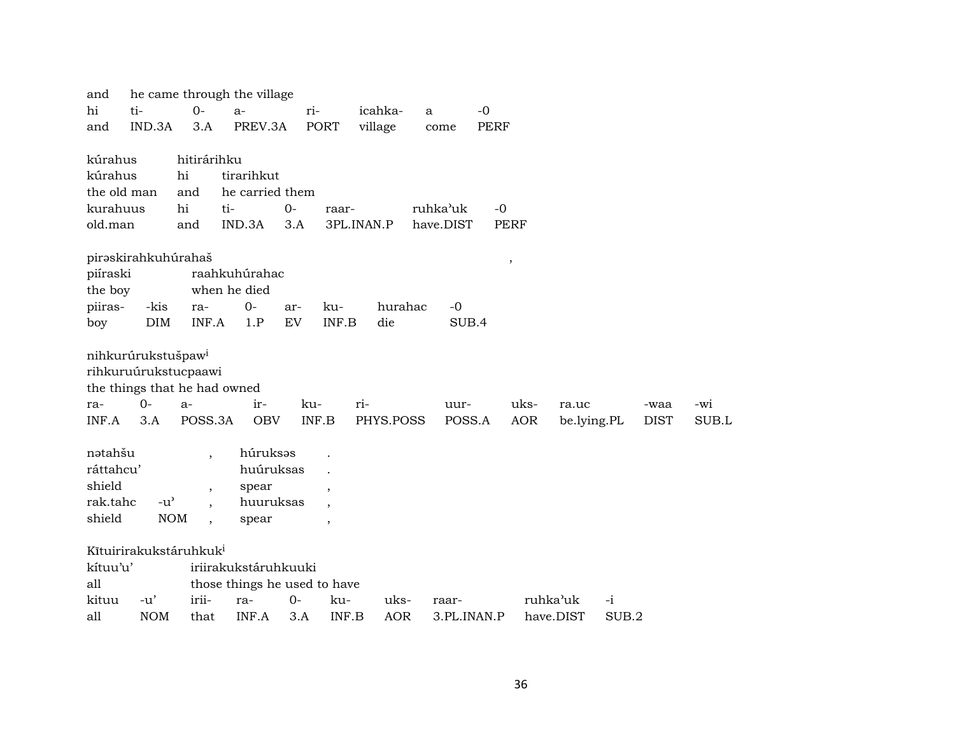| he came through the village<br>and         |               |                          |                 |       |                          |            |             |             |            |             |       |             |       |  |
|--------------------------------------------|---------------|--------------------------|-----------------|-------|--------------------------|------------|-------------|-------------|------------|-------------|-------|-------------|-------|--|
| hi                                         | ti-           |                          | $a-$            |       | ri-                      | icahka-    | a           | $-0$        |            |             |       |             |       |  |
| IND.3A<br>and                              |               | 3.A                      | PREV.3A         |       | <b>PORT</b>              | village    | come        | <b>PERF</b> |            |             |       |             |       |  |
|                                            |               |                          |                 |       |                          |            |             |             |            |             |       |             |       |  |
| kúrahus                                    |               |                          | hitirárihku     |       |                          |            |             |             |            |             |       |             |       |  |
| kúrahus                                    |               | hi                       | tirarihkut      |       |                          |            |             |             |            |             |       |             |       |  |
| the old man                                |               | and                      | he carried them |       |                          |            |             |             |            |             |       |             |       |  |
| kurahuus                                   |               | hi                       | ti-             | $0-$  | raar-                    |            | ruhka'uk    | $-0$        |            |             |       |             |       |  |
| old.man                                    |               | and                      | IND.3A          | 3.A   |                          | 3PL.INAN.P | have.DIST   | <b>PERF</b> |            |             |       |             |       |  |
|                                            |               |                          |                 |       |                          |            |             |             |            |             |       |             |       |  |
| pirəskirahkuhúrahaš<br>$\, ,$              |               |                          |                 |       |                          |            |             |             |            |             |       |             |       |  |
| raahkuhúrahac<br>piíraski                  |               |                          |                 |       |                          |            |             |             |            |             |       |             |       |  |
| the boy<br>when he died                    |               |                          |                 |       |                          |            |             |             |            |             |       |             |       |  |
| piiras-                                    | -kis          | ra-                      | $0-$            | ar-   | ku-                      | hurahac    | $-0$        |             |            |             |       |             |       |  |
| boy                                        | DIM           | INF.A                    | 1.P             | EV    | INF.B                    | die        | SUB.4       |             |            |             |       |             |       |  |
|                                            |               |                          |                 |       |                          |            |             |             |            |             |       |             |       |  |
| nihkurúrukstušpaw <sup>i</sup>             |               |                          |                 |       |                          |            |             |             |            |             |       |             |       |  |
| rihkuruúrukstucpaawi                       |               |                          |                 |       |                          |            |             |             |            |             |       |             |       |  |
| the things that he had owned               |               |                          |                 |       |                          |            |             |             |            |             |       |             |       |  |
| ra-                                        | $O -$         | $a-$                     | ir-             | ku-   |                          | ri-        | uur-        |             | uks-       | ra.uc       |       | -waa        | -wi   |  |
| INF.A                                      | 3.A           | POSS.3A                  | <b>OBV</b>      |       | INF.B                    | PHYS.POSS  | POSS.A      |             | <b>AOR</b> | be.lying.PL |       | <b>DIST</b> | SUB.L |  |
| nətahšu                                    |               | $\cdot$                  | húruksas        |       |                          |            |             |             |            |             |       |             |       |  |
| ráttahcu'                                  |               |                          | huúruksas       |       |                          |            |             |             |            |             |       |             |       |  |
| shield                                     |               |                          | spear           |       |                          |            |             |             |            |             |       |             |       |  |
| rak.tahc                                   | $-u^{\prime}$ | $\overline{\phantom{a}}$ |                 |       | $\overline{\phantom{a}}$ |            |             |             |            |             |       |             |       |  |
| huuruksas<br>shield<br><b>NOM</b><br>spear |               |                          |                 |       |                          |            |             |             |            |             |       |             |       |  |
|                                            |               | $\overline{\phantom{a}}$ |                 |       | $\cdot$                  |            |             |             |            |             |       |             |       |  |
| Kītuirirakukstáruhkuk <sup>i</sup>         |               |                          |                 |       |                          |            |             |             |            |             |       |             |       |  |
| iriirakukstáruhkuuki<br>kítuu'u'           |               |                          |                 |       |                          |            |             |             |            |             |       |             |       |  |
| all<br>those things he used to have        |               |                          |                 |       |                          |            |             |             |            |             |       |             |       |  |
| kituu                                      | $-u'$         | irii-                    | ra-             | $O -$ | ku-                      | uks-       | raar-       |             | ruhka'uk   |             | -i    |             |       |  |
| all                                        | <b>NOM</b>    | that                     | INF.A           | 3.A   | INF.B                    | <b>AOR</b> | 3.PL.INAN.P |             |            | have.DIST   | SUB.2 |             |       |  |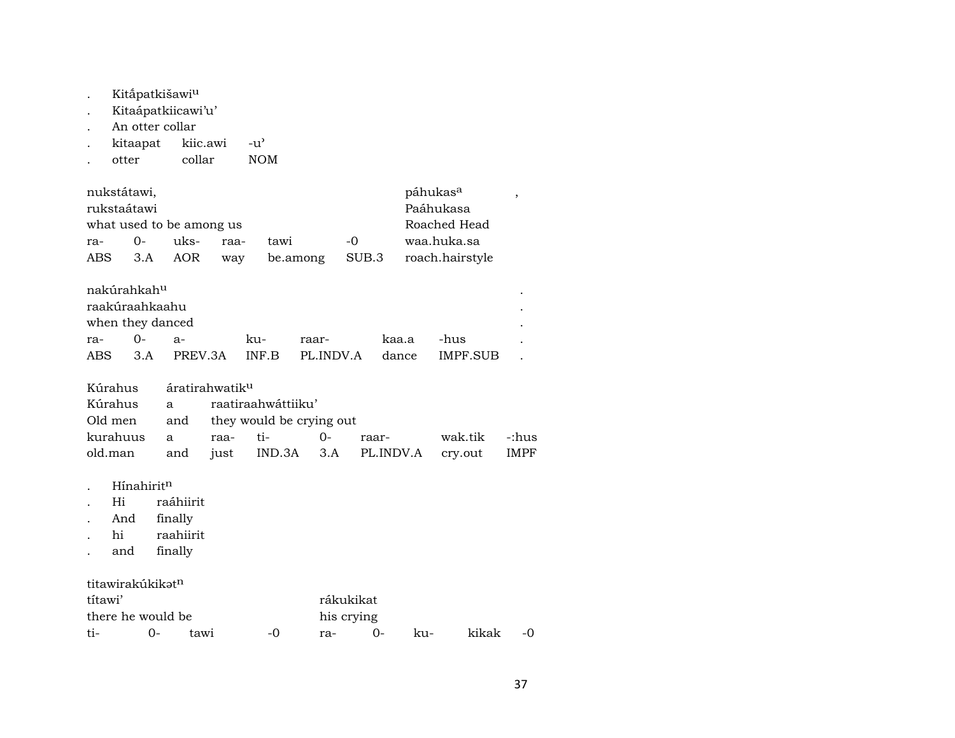- . Kitāpatkišawi<sup>u</sup>
- . Kitaápatkiicawi'u'
- 
- . An otter collar<br>. kitaapat kiic.awi . kitaapat kiic.awi -u"
- .  $otter$   $collar$

| nukstátawi,              |          | páhukas <sup>a</sup> |      |          |       |                 |  |  |  |
|--------------------------|----------|----------------------|------|----------|-------|-----------------|--|--|--|
| rukstaátawi              |          | Paáhukasa            |      |          |       |                 |  |  |  |
| what used to be among us |          |                      |      |          |       | Roached Head    |  |  |  |
| ra-                      | $\Omega$ | uks-                 | raa- | tawi     | $-0$  | waa.huka.sa     |  |  |  |
| ABS                      |          | 3.A AOR              | way  | be.among | SUB.3 | roach.hairstyle |  |  |  |

| nakúrahkah <sup>u</sup> |           |                 |        |                 |       |          |  |
|-------------------------|-----------|-----------------|--------|-----------------|-------|----------|--|
| raakúraahkaahu          |           |                 |        |                 |       |          |  |
| when they danced        |           |                 |        |                 |       |          |  |
| ra-                     | <u>ດ-</u> | -я-             | $k11-$ | raar-           | kaa.a | -hus     |  |
|                         |           | ABS 3.A PREV.3A |        | INF.B PL.INDV.A | dance | IMPF SUB |  |

|  | Kúrahus áratirahwatik <sup>u</sup>                 |                                      |  |                                              |  |  |  |  |  |  |  |  |
|--|----------------------------------------------------|--------------------------------------|--|----------------------------------------------|--|--|--|--|--|--|--|--|
|  |                                                    | Kúrahus a raatiraahwáttiiku'         |  |                                              |  |  |  |  |  |  |  |  |
|  |                                                    | Old men and they would be crying out |  |                                              |  |  |  |  |  |  |  |  |
|  |                                                    |                                      |  | kurahuus a raa- ti-  0- raar-  wak.tik -:hus |  |  |  |  |  |  |  |  |
|  | old.man and just IND.3A 3.A PL.INDV.A cry.out IMPF |                                      |  |                                              |  |  |  |  |  |  |  |  |

- . Hínahirit<sup>n</sup><br>. Hi raá
- . Hi raáhiirit
- . And finally
- . hi raahiirit
- . and finally

# titawirakúkikat<sup>n</sup>

| títawi'           |    |      |       | rákukikat  |        |     |       |  |  |  |  |
|-------------------|----|------|-------|------------|--------|-----|-------|--|--|--|--|
| there he would be |    |      |       | his crying |        |     |       |  |  |  |  |
| ti-               | () | tawi | $-()$ | ra-        | $()$ - | ku- | kikak |  |  |  |  |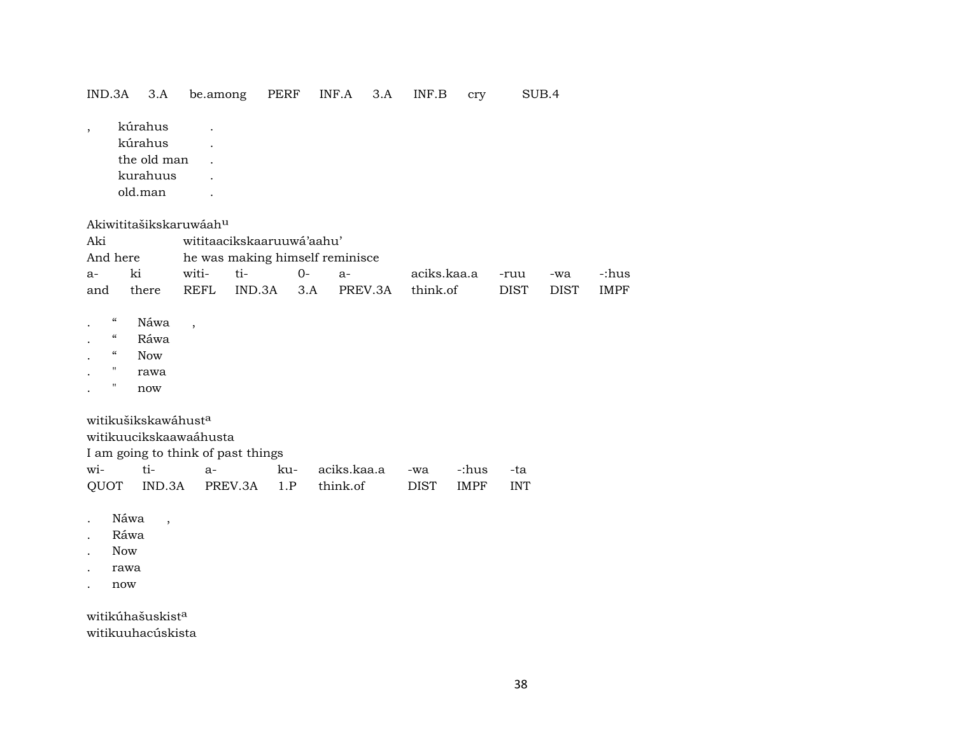| IND.3A                                                                                               |                                           | 3.A                                                      | be.among                           |                                    | PERF | INF.A |             | 3.A | INF.B       | cry         | SUB.4       |             |             |
|------------------------------------------------------------------------------------------------------|-------------------------------------------|----------------------------------------------------------|------------------------------------|------------------------------------|------|-------|-------------|-----|-------------|-------------|-------------|-------------|-------------|
| $\overline{\phantom{a}}$                                                                             |                                           | kúrahus<br>kúrahus<br>the old man<br>kurahuus<br>old.man |                                    |                                    |      |       |             |     |             |             |             |             |             |
|                                                                                                      |                                           |                                                          | Akiwititašikskaruwáah <sup>u</sup> |                                    |      |       |             |     |             |             |             |             |             |
| Aki                                                                                                  |                                           |                                                          |                                    | wititaacikskaaruuwá'aahu'          |      |       |             |     |             |             |             |             |             |
| And here                                                                                             |                                           |                                                          |                                    | he was making himself reminisce    |      |       |             |     |             |             |             |             |             |
| a-                                                                                                   | ki                                        |                                                          | witi-                              | ti-                                | $0-$ |       | $a-$        |     | aciks.kaa.a |             | -ruu        | -wa         | -:hus       |
| and                                                                                                  |                                           | there                                                    | <b>REFL</b>                        | IND.3A                             | 3.A  |       | PREV.3A     |     | think.of    |             | <b>DIST</b> | <b>DIST</b> | <b>IMPF</b> |
| $\epsilon\epsilon$<br>$\boldsymbol{\mathcal{C}}$<br>$\boldsymbol{\mathcal{C}}$<br>$\pmb{\mathsf{H}}$ |                                           | Náwa<br>Ráwa<br><b>Now</b><br>rawa<br>now                | $\overline{\phantom{a}}$           |                                    |      |       |             |     |             |             |             |             |             |
|                                                                                                      |                                           | witikušikskawáhust <sup>a</sup>                          | witikuucikskaawaáhusta             | I am going to think of past things |      |       |             |     |             |             |             |             |             |
| wi-                                                                                                  |                                           | ti-                                                      | $a-$                               |                                    | ku-  |       | aciks.kaa.a |     | -wa         | -:hus       | -ta         |             |             |
| QUOT                                                                                                 |                                           | IND.3A                                                   |                                    | PREV.3A                            | 1.P  |       | think.of    |     | <b>DIST</b> | <b>IMPF</b> | <b>INT</b>  |             |             |
|                                                                                                      | Náwa<br>Ráwa<br><b>Now</b><br>rawa<br>now | $\overline{\phantom{a}}$                                 |                                    |                                    |      |       |             |     |             |             |             |             |             |

witikúhašuskist $^a$ witikuuhacúskista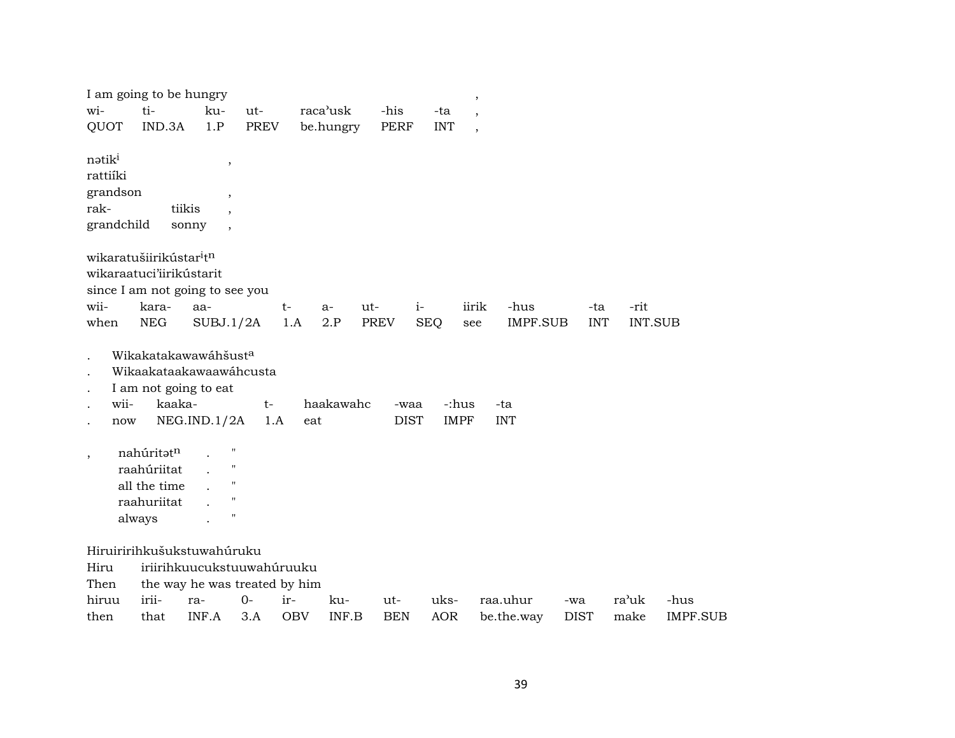| I am going to be hungry                                                                        |                                                                              |                                                                                                                                                                                      |                               |                   |              |                     |                      | $\, ,$                   |             |                |                         |
|------------------------------------------------------------------------------------------------|------------------------------------------------------------------------------|--------------------------------------------------------------------------------------------------------------------------------------------------------------------------------------|-------------------------------|-------------------|--------------|---------------------|----------------------|--------------------------|-------------|----------------|-------------------------|
| wi-                                                                                            | ti-                                                                          | ku-                                                                                                                                                                                  | ut-                           | raca'usk          |              | -his                | -ta                  | $\overline{\phantom{a}}$ |             |                |                         |
| QUOT                                                                                           | IND.3A                                                                       | 1.P                                                                                                                                                                                  | <b>PREV</b>                   |                   | be.hungry    | <b>PERF</b>         | <b>INT</b>           | $\overline{\phantom{a}}$ |             |                |                         |
| nətik <sup>i</sup><br>rattiíki<br>grandson<br>rak-<br>grandchild                               |                                                                              | $\, ,$<br>$\overline{\phantom{a}}$<br>tiikis<br>sonny<br>$\overline{\phantom{a}}$                                                                                                    |                               |                   |              |                     |                      |                          |             |                |                         |
| wikaratušiirikústar <sup>i</sup> t <sup>n</sup>                                                |                                                                              |                                                                                                                                                                                      |                               |                   |              |                     |                      |                          |             |                |                         |
| wikaraatuci'iirikústarit                                                                       |                                                                              |                                                                                                                                                                                      |                               |                   |              |                     |                      |                          |             |                |                         |
|                                                                                                |                                                                              | since I am not going to see you                                                                                                                                                      |                               |                   |              |                     |                      |                          |             |                |                         |
| wii-                                                                                           | kara-                                                                        | aa-                                                                                                                                                                                  | $t-$                          |                   | ut-<br>$a-$  | $i-$                |                      | iirik<br>-hus            | -ta         | -rit           |                         |
| when                                                                                           | <b>NEG</b>                                                                   | SUBJ.1/2A                                                                                                                                                                            |                               | 1.A               | 2.P          | <b>PREV</b>         | <b>SEQ</b><br>see    | <b>IMPF.SUB</b>          | <b>INT</b>  | <b>INT.SUB</b> |                         |
| $\cdot$<br>$\ddot{\phantom{0}}$<br>wii-<br>$\bullet$<br>now<br>$\ddot{\phantom{0}}$<br>$\cdot$ | kaaka-<br>nahúritatn<br>raahúriitat<br>all the time<br>raahuriitat<br>always | Wikakatakawawáhšust <sup>a</sup><br>Wikaakataakawaawáhcusta<br>I am not going to eat<br>NEG.ID.1/2A<br>$\mathbf{H}$<br>$\mathbf{H}$<br>$\pmb{\mathsf{H}}$<br>$\pmb{\mathsf{H}}$<br>п | $t-$<br>1.A                   | ${\tt eat}$       | haakawahc    | -waa<br><b>DIST</b> | -:hus<br><b>IMPF</b> | -ta<br><b>INT</b>        |             |                |                         |
|                                                                                                |                                                                              | Hiruiririhkušukstuwahúruku                                                                                                                                                           |                               |                   |              |                     |                      |                          |             |                |                         |
| Hiru                                                                                           |                                                                              |                                                                                                                                                                                      | iriirihkuucukstuuwahúruuku    |                   |              |                     |                      |                          |             |                |                         |
| Then                                                                                           |                                                                              |                                                                                                                                                                                      | the way he was treated by him |                   |              |                     |                      |                          |             |                |                         |
| hiruu                                                                                          | irii-                                                                        | ra-<br>INF.A                                                                                                                                                                         | $0-$<br>3.A                   | ir-<br><b>OBV</b> | ku-<br>INF.B | ut-<br><b>BEN</b>   | uks-<br><b>AOR</b>   | raa.uhur                 | -wa         | ra'uk<br>make  | -hus<br><b>IMPF.SUB</b> |
| then                                                                                           | that                                                                         |                                                                                                                                                                                      |                               |                   |              |                     |                      | be.the.way               | <b>DIST</b> |                |                         |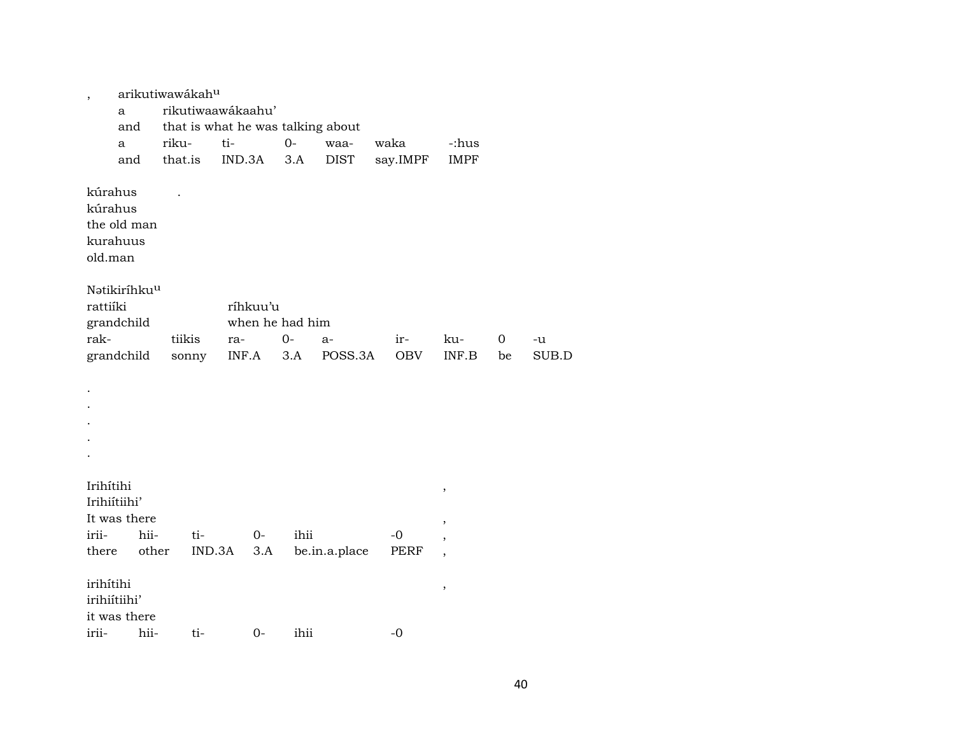| $\overline{\phantom{a}}$      | arikutiwawákah <sup>u</sup><br>a |         |        | rikutiwaawákaahu' |                 |      |                                   |            |                          |    |       |
|-------------------------------|----------------------------------|---------|--------|-------------------|-----------------|------|-----------------------------------|------------|--------------------------|----|-------|
|                               | and                              |         |        |                   |                 |      | that is what he was talking about |            |                          |    |       |
|                               | a                                | riku-   |        | ti-               |                 | $0-$ | waa-                              | waka       | -:hus                    |    |       |
|                               | and                              | that.is |        | IND.3A            |                 | 3.A  | DIST                              | say.IMPF   | <b>IMPF</b>              |    |       |
| kúrahus<br>kúrahus<br>old.man | the old man<br>kurahuus          |         |        |                   |                 |      |                                   |            |                          |    |       |
|                               | Natikiríhku <sup>u</sup>         |         |        |                   |                 |      |                                   |            |                          |    |       |
| rattiíki                      |                                  |         |        |                   | ríhkuu'u        |      |                                   |            |                          |    |       |
|                               | grandchild                       |         |        |                   | when he had him |      |                                   |            |                          |    |       |
| rak-                          |                                  | tiikis  |        | ra-               |                 | $0-$ | $a-$                              | ir-        | ku-                      | 0  | -u    |
|                               | grandchild                       | sonny   |        | INF.A             |                 | 3.A  | POSS.3A                           | <b>OBV</b> | INF.B                    | be | SUB.D |
|                               |                                  |         |        |                   |                 |      |                                   |            |                          |    |       |
|                               |                                  |         |        |                   |                 |      |                                   |            |                          |    |       |
|                               |                                  |         |        |                   |                 |      |                                   |            |                          |    |       |
|                               |                                  |         |        |                   |                 |      |                                   |            |                          |    |       |
|                               |                                  |         |        |                   |                 |      |                                   |            |                          |    |       |
|                               |                                  |         |        |                   |                 |      |                                   |            |                          |    |       |
| Irihítihi<br>Irihiítiihi'     |                                  |         |        |                   |                 |      |                                   |            | $^\mathrm{^{^\circ}}$    |    |       |
|                               | It was there                     |         |        |                   |                 |      |                                   |            | $\overline{\phantom{a}}$ |    |       |
| irii-                         | hii-                             |         | ti-    |                   | 0-              | ihii |                                   | $-0$       |                          |    |       |
| there                         | other                            |         | IND.3A |                   | 3.A             |      | be.in.a.place                     | PERF       | $\overline{\phantom{a}}$ |    |       |
| irihítihi<br>irihiítiihi'     |                                  |         |        |                   |                 |      |                                   |            | $\, ,$                   |    |       |
|                               | it was there                     |         |        |                   |                 |      |                                   |            |                          |    |       |
| irii-                         | hii-                             |         | ti-    |                   | 0-              | ihii |                                   | -0         |                          |    |       |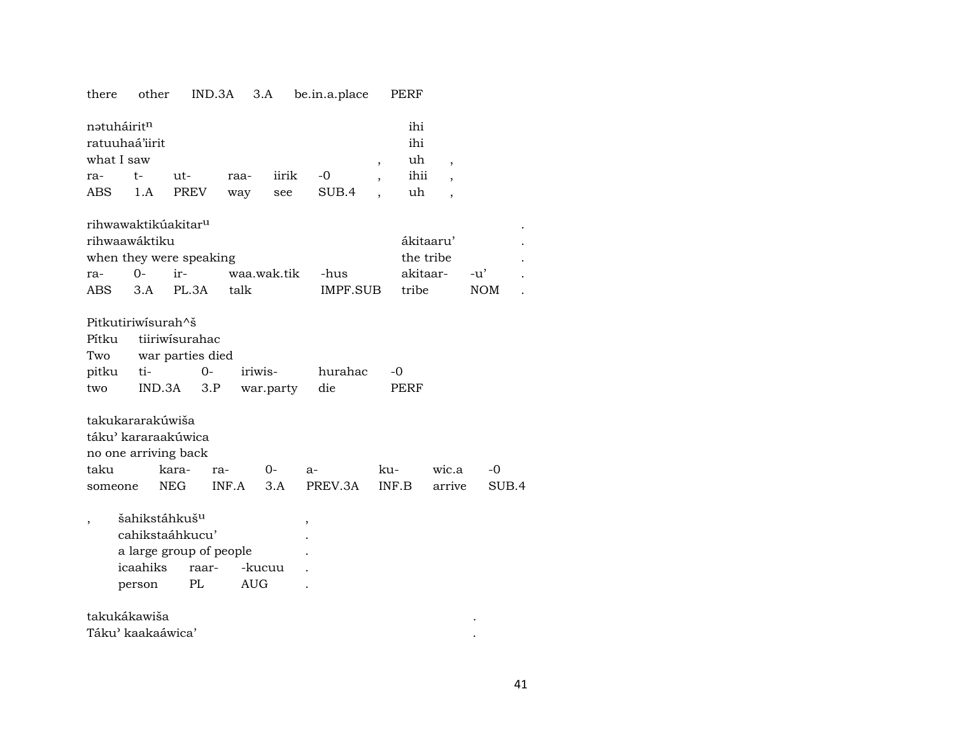| there                                                   | other                                           |                                                                            | IND.3A       | 3.A                  | be.in.a.place    |                | PERF                           |                          |                     |       |
|---------------------------------------------------------|-------------------------------------------------|----------------------------------------------------------------------------|--------------|----------------------|------------------|----------------|--------------------------------|--------------------------|---------------------|-------|
| nətuháirit <sup>n</sup><br>ratuuhaá'iirit<br>what I saw |                                                 |                                                                            |              |                      |                  | $\,$           | ihi<br>ihi<br>uh               | $\overline{\phantom{a}}$ |                     |       |
| ra-                                                     | t-                                              | $ut -$                                                                     | raa-         | iirik                | $-0$             | $\overline{ }$ | ihii                           | $\overline{\phantom{a}}$ |                     |       |
| <b>ABS</b>                                              | 1.A                                             | PREV                                                                       | way          | see                  | SUB.4            |                | uh                             | $\overline{\phantom{a}}$ |                     |       |
| rihwaawáktiku<br>ra-<br>ABS.                            | $0 -$<br>3.A                                    | rihwawaktikúakitar <sup>u</sup><br>when they were speaking<br>ir-<br>PL.3A | talk         | waa.wak.tik          | -hus<br>IMPF.SUB |                | the tribe<br>akitaar-<br>tribe | ákitaaru'                | $-u'$<br><b>NOM</b> |       |
| Pitkutiriwisurah^š<br>Pítku<br>Two<br>pitku<br>two      | ti-                                             | tiiriwisurahac<br>war parties died<br>$0-$<br>IND.3A                       | 3.P          | iriwis-<br>war.party | hurahac<br>die   |                | $-0$<br>PERF                   |                          |                     |       |
| takukararakúwiša<br>taku<br>someone                     |                                                 | táku' kararaakúwica<br>no one arriving back<br>kara-<br><b>NEG</b>         | ra-<br>INF.A | $0-$<br>3.A          | $a-$<br>PREV.3A  | ku-            | INF.B                          | wic.a<br>arrive          | $-0$                | SUB.4 |
|                                                         | šahikstáhkuš <sup>u</sup><br>icaahiks<br>person | cahikstaáhkucu'<br>a large group of people<br>raar-<br>PL                  |              | -kucuu<br><b>AUG</b> | $\,$             |                |                                |                          |                     |       |

| takukákawiša      |  |
|-------------------|--|
| Táku' kaakaáwica' |  |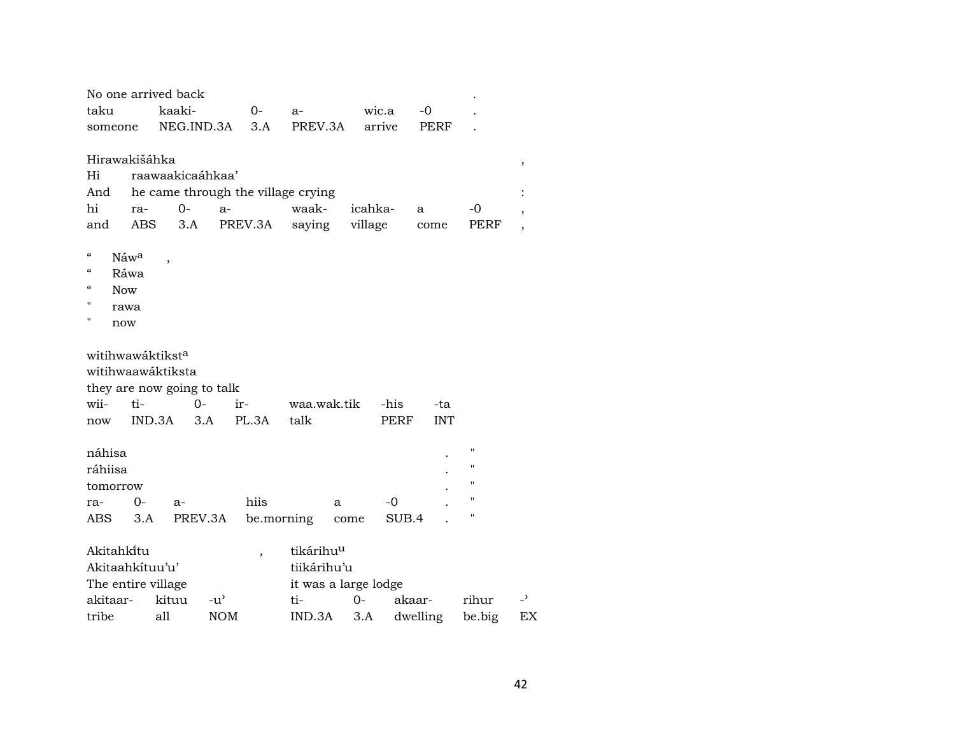| No one arrived back          |      |        |                            |                                    |                       |         |        |            |                    |                |
|------------------------------|------|--------|----------------------------|------------------------------------|-----------------------|---------|--------|------------|--------------------|----------------|
| taku                         |      | kaaki- |                            | $0-$                               | $a-$                  |         | wic.a  | $-0$       |                    |                |
| someone                      |      |        | NEG.IND.3A                 | 3.A                                | PREV.3A               |         | arrive | PERF       |                    |                |
|                              |      |        |                            |                                    |                       |         |        |            |                    |                |
| Hirawakišáhka                |      |        |                            |                                    |                       |         |        |            |                    | ,              |
| Hi                           |      |        | raawaakicaáhkaa'           |                                    |                       |         |        |            |                    |                |
| And                          |      |        |                            | he came through the village crying |                       |         |        |            |                    |                |
| hi                           | ra-  | $O -$  | $a-$                       |                                    | waak-                 | icahka- |        | a          | $-0$               |                |
| and                          | ABS. | 3.A    |                            | PREV.3A                            | saying                | village |        | come       | PERF               |                |
| $\mathcal{C}$                | Náwa |        |                            |                                    |                       |         |        |            |                    |                |
| $\epsilon$                   | Ráwa |        |                            |                                    |                       |         |        |            |                    |                |
| $\epsilon$<br><b>Now</b>     |      |        |                            |                                    |                       |         |        |            |                    |                |
| 11                           | rawa |        |                            |                                    |                       |         |        |            |                    |                |
| Π<br>now                     |      |        |                            |                                    |                       |         |        |            |                    |                |
|                              |      |        |                            |                                    |                       |         |        |            |                    |                |
| witihwawáktikst <sup>a</sup> |      |        |                            |                                    |                       |         |        |            |                    |                |
| witihwaawáktiksta            |      |        |                            |                                    |                       |         |        |            |                    |                |
|                              |      |        | they are now going to talk |                                    |                       |         |        |            |                    |                |
| wii-                         | ti-  |        | 0-                         | ir-                                | waa.wak.tik           |         | -his   | -ta        |                    |                |
| now                          |      | IND.3A | 3.A                        | PL.3A                              | talk                  |         | PERF   | <b>INT</b> |                    |                |
| náhisa                       |      |        |                            |                                    |                       |         |        |            | $\pmb{\mathsf{H}}$ |                |
| ráhiisa                      |      |        |                            |                                    |                       |         |        |            | $\pmb{\mathsf{H}}$ |                |
| tomorrow                     |      |        |                            |                                    |                       |         |        |            | 11                 |                |
| ra-                          | $0-$ | $a-$   |                            | hiis                               | a                     |         | -0     |            | п                  |                |
| ABS                          | 3.A  |        | PREV.3A                    |                                    | be.morning            | come    | SUB.4  |            | п                  |                |
|                              |      |        |                            |                                    |                       |         |        |            |                    |                |
| Akitahki̇̃tu                 |      |        |                            | $\overline{ }$                     | tikárihu <sup>u</sup> |         |        |            |                    |                |
| Akitaahkítuu'u'              |      |        |                            |                                    | tiikárihu'u           |         |        |            |                    |                |
| The entire village           |      |        |                            |                                    | it was a large lodge  |         |        |            |                    |                |
| akitaar-                     |      | kituu  | $-u^{\prime}$              |                                    | ti-                   | 0-      | akaar- |            | rihur              | $\overline{z}$ |
| tribe                        |      | all    | <b>NOM</b>                 |                                    | IND.3A                | 3.A     |        | dwelling   | be.big             | ΕX             |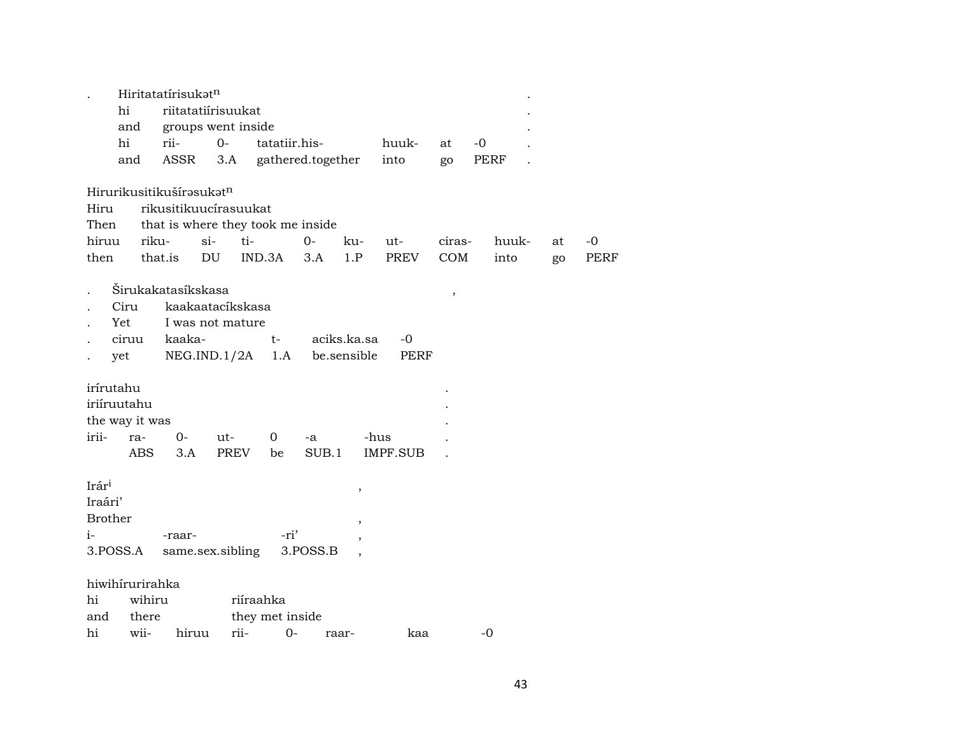|                                                                   | Hiritatatírisukatn                                                             |                                                      |                              |                   |                                  |                   |                      |               |    |                     |
|-------------------------------------------------------------------|--------------------------------------------------------------------------------|------------------------------------------------------|------------------------------|-------------------|----------------------------------|-------------------|----------------------|---------------|----|---------------------|
| hi                                                                |                                                                                | riitatatiírisuukat                                   |                              |                   |                                  |                   |                      |               |    |                     |
| and                                                               |                                                                                | groups went inside                                   |                              |                   |                                  |                   |                      |               |    |                     |
| hi                                                                | rii-                                                                           | $O -$                                                | tatatiir.his-                |                   |                                  | huuk-             | at                   | -0            |    |                     |
| and                                                               | ASSR                                                                           | 3.A                                                  |                              | gathered.together |                                  | into              | go                   | PERF          |    |                     |
| Hirurikusitikušírasukatn<br>Hiru<br>Then<br>hiruu<br>then         | rikusitikuucírasuukat<br>that is where they took me inside<br>riku-<br>that.is | $si-$<br>DU                                          | ti-<br>IND.3A                | $O -$<br>3.A      | ku-<br>1.P                       | $ut-$<br>PREV     | ciras-<br><b>COM</b> | huuk-<br>into | at | $-0$<br><b>PERF</b> |
|                                                                   |                                                                                |                                                      |                              |                   |                                  |                   |                      |               | go |                     |
| Ciru<br>Yet<br>ciruu<br>yet                                       | Širukakatasíkskasa<br>kaaka-                                                   | kaakaatacíkskasa<br>I was not mature<br>NEG.IND.1/2A | $t-$<br>1.A                  |                   | aciks.ka.sa<br>be.sensible       | -0<br><b>PERF</b> | $\, ,$               |               |    |                     |
| irírutahu<br>iriíruutahu<br>the way it was<br>irii-<br>ra-<br>ABS | $O -$<br>3.A                                                                   | ut-<br>PREV                                          | 0<br>be                      | -a<br>SUB.1       | -hus                             | <b>IMPF.SUB</b>   |                      |               |    |                     |
| Irári<br>Iraári'<br><b>Brother</b><br>$i-$<br>3.POSS.A            | -raar-                                                                         | same.sex.sibling                                     | -ri'                         | 3.POSS.B          | $\,$<br>$\overline{\phantom{a}}$ |                   |                      |               |    |                     |
| hiwihirurirahka<br>hi<br>there<br>and                             | wihiru                                                                         |                                                      | riíraahka<br>they met inside |                   |                                  |                   |                      |               |    |                     |
| hi<br>wii-                                                        | hiruu                                                                          | rii-                                                 | $0-$                         | raar-             |                                  | kaa               |                      | -0            |    |                     |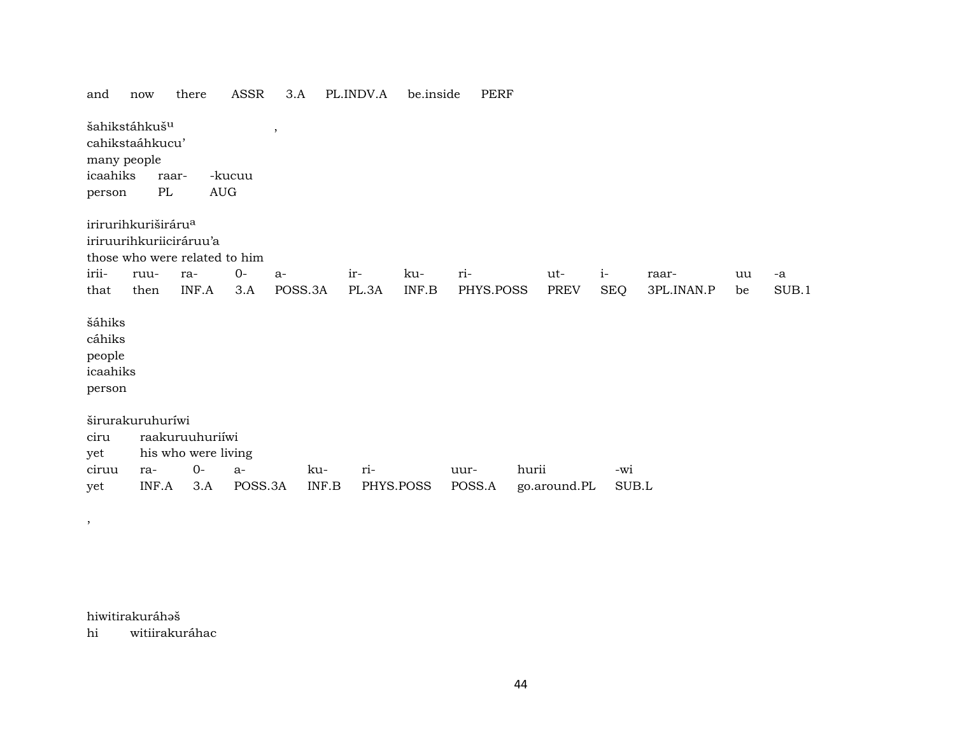| and                                              | now                                                               |       | there                                  | ASSR    | 3.A     |       | PL.INDV.A | be.inside                              | <b>PERF</b> |       |              |            |            |    |       |
|--------------------------------------------------|-------------------------------------------------------------------|-------|----------------------------------------|---------|---------|-------|-----------|----------------------------------------|-------------|-------|--------------|------------|------------|----|-------|
| icaahiks<br>person                               | šahikstáhkuš <sup>u</sup><br>cahikstaáhkucu'<br>many people<br>PL | raar- | $\mathop{\rm AUG}\nolimits$            | -kucuu  | $\,$    |       |           |                                        |             |       |              |            |            |    |       |
|                                                  | irirurihkuriširáru <sup>a</sup>                                   |       |                                        |         |         |       |           |                                        |             |       |              |            |            |    |       |
|                                                  | iriruurihkuriiciráruu'a<br>those who were related to him          |       |                                        |         |         |       |           |                                        |             |       |              |            |            |    |       |
| irii-                                            | ruu-                                                              | ra-   |                                        | $0-$    | $a-$    |       | ir-       | ku-                                    | ri-         |       | ut-          | $i-$       | raar-      | uu | -a    |
| that                                             | then                                                              |       | INF.A                                  | 3.A     | POSS.3A |       | PL.3A     | $\ensuremath{\mathsf{INF}.\mathsf{B}}$ | PHYS.POSS   |       | <b>PREV</b>  | <b>SEQ</b> | 3PL.INAN.P | be | SUB.1 |
| šáhiks<br>cáhiks<br>people<br>icaahiks<br>person |                                                                   |       |                                        |         |         |       |           |                                        |             |       |              |            |            |    |       |
|                                                  | širurakuruhuríwi                                                  |       |                                        |         |         |       |           |                                        |             |       |              |            |            |    |       |
| ciru<br>yet                                      |                                                                   |       | raakuruuhuriiwi<br>his who were living |         |         |       |           |                                        |             |       |              |            |            |    |       |
| ciruu                                            | ra-                                                               |       | $0-$                                   | a-      |         | ku-   | ri-       |                                        | uur-        | hurii |              | -wi        |            |    |       |
| yet                                              | INF.A                                                             |       | 3.A                                    | POSS.3A |         | INF.B | PHYS.POSS |                                        | POSS.A      |       | go.around.PL | SUB.L      |            |    |       |

hiwitirakuráhaš

,

hi witiirakuráhac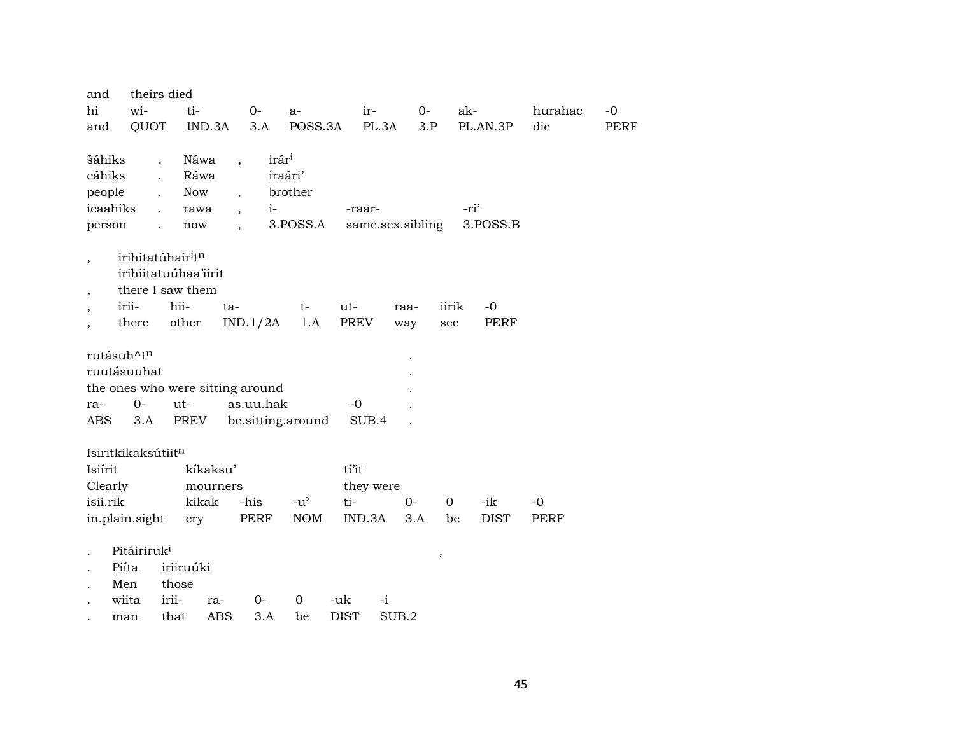| and                               | theirs died                               |                      |                          |                   |                   |             |           |                  |               |             |         |             |
|-----------------------------------|-------------------------------------------|----------------------|--------------------------|-------------------|-------------------|-------------|-----------|------------------|---------------|-------------|---------|-------------|
| hi                                | wi-                                       | ti-                  |                          | $0-$              | $a-$              |             | ir-       | $0-$             |               | ak-         | hurahac | $-0$        |
| and                               | QUOT                                      | IND.3A               |                          | 3.A               | POSS.3A           |             | PL.3A     | 3.P              |               | PL.AN.3P    | die     | <b>PERF</b> |
|                                   |                                           |                      |                          |                   |                   |             |           |                  |               |             |         |             |
| šáhiks                            | $\ddot{\phantom{a}}$                      | Náwa                 | $\overline{\phantom{a}}$ | irár <sup>i</sup> |                   |             |           |                  |               |             |         |             |
| cáhiks                            | $\ddot{\phantom{a}}$                      | Ráwa                 |                          |                   | iraári'           |             |           |                  |               |             |         |             |
| people                            |                                           | Now                  | $\overline{ }$ ,         |                   | brother           |             |           |                  |               |             |         |             |
| icaahiks                          | $\ddot{\phantom{a}}$                      | rawa                 | $\overline{\phantom{a}}$ | $i-$              |                   |             | -raar-    |                  |               | -ri'        |         |             |
| person                            |                                           | now                  | $\overline{\phantom{a}}$ |                   | 3.POSS.A          |             |           | same.sex.sibling |               | 3.POSS.B    |         |             |
|                                   | irihitatúhair <sup>i</sup> t <sup>n</sup> |                      |                          |                   |                   |             |           |                  |               |             |         |             |
| $\overline{\phantom{a}}$          |                                           | irihiitatuúhaa'iirit |                          |                   |                   |             |           |                  |               |             |         |             |
| $\overline{\phantom{a}}$          |                                           | there I saw them     |                          |                   |                   |             |           |                  |               |             |         |             |
| irii-<br>$\overline{\phantom{a}}$ |                                           | hii-                 | ta-                      |                   | t-                | ut-         |           | raa-             | iirik         | $-0$        |         |             |
|                                   | there                                     | other                |                          | IND.1/2A          | 1.A               | PREV        |           | way              | see           | <b>PERF</b> |         |             |
|                                   |                                           |                      |                          |                   |                   |             |           |                  |               |             |         |             |
| rutásuh^t <sup>n</sup>            |                                           |                      |                          |                   |                   |             |           |                  |               |             |         |             |
| ruutásuuhat                       |                                           |                      |                          |                   |                   |             |           |                  |               |             |         |             |
| the ones who were sitting around  |                                           |                      |                          |                   |                   |             |           |                  |               |             |         |             |
| ra-                               | $0-$                                      | $ut -$               |                          | as.uu.hak         |                   | $-0$        |           |                  |               |             |         |             |
| <b>ABS</b>                        | 3.A                                       | PREV                 |                          |                   | be.sitting.around |             | SUB.4     |                  |               |             |         |             |
|                                   |                                           |                      |                          |                   |                   |             |           |                  |               |             |         |             |
| Isiritkikaksútiitn<br>Isiírit     |                                           | kíkaksu'             |                          |                   |                   | tí'it       |           |                  |               |             |         |             |
| Clearly                           |                                           |                      |                          |                   |                   |             |           |                  |               |             |         |             |
| isii.rik                          |                                           | kikak                | mourners                 | -his              | $-u^{\prime}$     | ti-         | they were | $0-$             | $\Omega$      | -ik         | $-0$    |             |
| in.plain.sight                    |                                           | cry                  |                          | PERF              | <b>NOM</b>        |             | IND.3A    | 3.A              | be            | <b>DIST</b> | PERF    |             |
|                                   |                                           |                      |                          |                   |                   |             |           |                  |               |             |         |             |
|                                   | Pitáiriruk <sup>i</sup>                   |                      |                          |                   |                   |             |           |                  | $^\mathrm{,}$ |             |         |             |
| Piíta                             |                                           | iriiruúki            |                          |                   |                   |             |           |                  |               |             |         |             |
| Men                               |                                           | those                |                          |                   |                   |             |           |                  |               |             |         |             |
| wiita                             |                                           | irii-                | ra-                      | $0-$              | 0                 | -uk         | $-i$      |                  |               |             |         |             |
| man                               |                                           | that                 | <b>ABS</b>               | 3.A               | be                | <b>DIST</b> |           | SUB.2            |               |             |         |             |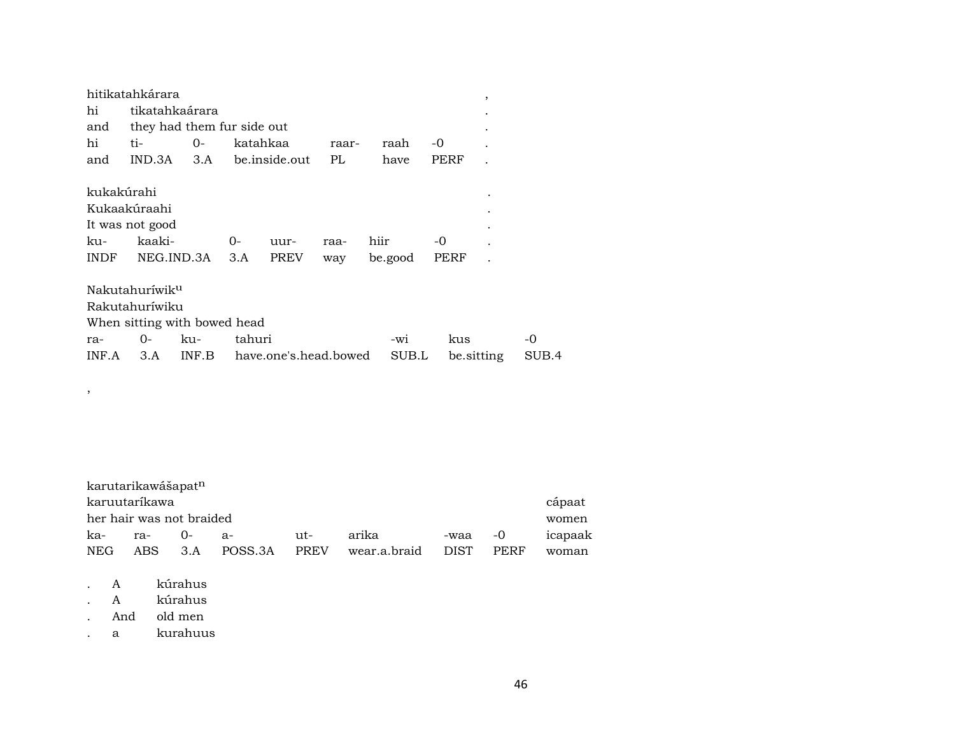|             | hitikatahkárara              |       |        |                       |       |      |         |    |            | ,         |       |
|-------------|------------------------------|-------|--------|-----------------------|-------|------|---------|----|------------|-----------|-------|
| hi          | tikatahkaárara               |       |        |                       |       |      |         |    |            |           |       |
| and         | they had them fur side out   |       |        |                       |       |      |         |    |            |           |       |
| hi          | ti-                          | 0-    |        | katahkaa              | raar- |      | raah    | -0 |            |           |       |
| and         | IND.3A                       | 3.A   |        | be.inside.out         | PL.   |      | have    |    | PERF       |           |       |
| kukakúrahi  |                              |       |        |                       |       |      |         |    |            |           |       |
|             | Kukaakúraahi                 |       |        |                       |       |      |         |    |            | $\bullet$ |       |
|             | It was not good              |       |        |                       |       |      |         |    |            |           |       |
| ku-         | kaaki-                       |       | 0-     | uur-                  | raa-  | hiir |         | -0 |            |           |       |
| <b>INDF</b> | NEG.IND.3A                   |       | 3.A    | <b>PREV</b>           | way   |      | be.good |    | PERF       |           |       |
|             | Nakutahuríwik <sup>u</sup>   |       |        |                       |       |      |         |    |            |           |       |
|             | Rakutahuríwiku               |       |        |                       |       |      |         |    |            |           |       |
|             | When sitting with bowed head |       |        |                       |       |      |         |    |            |           |       |
| ra-         | 0-                           | ku-   | tahuri |                       |       |      | -wi     |    | kus        |           | -0    |
| INF.A       | 3.A                          | INF.B |        | have.one's.head.bowed |       |      | SUB.L   |    | be sitting |           | SUB.4 |

| karutarikawášapat <sup>n</sup> |     |        |                 |         |              |         |      |         |
|--------------------------------|-----|--------|-----------------|---------|--------------|---------|------|---------|
| karuutaríkawa                  |     |        |                 |         |              |         |      | cápaat  |
| her hair was not braided       |     |        |                 |         |              |         |      | women   |
| ka-                            | ra- | $()$ - | я-              | $11t -$ | arika        | -waa -0 |      | icapaak |
| NEG                            |     |        | ABS 3.A POSS.3A | PREV    | wear.a.braid | DIST)   | PERF | woman   |

. A kúrahus

,

- . A kúrahus
- . And old men
- . a kurahuus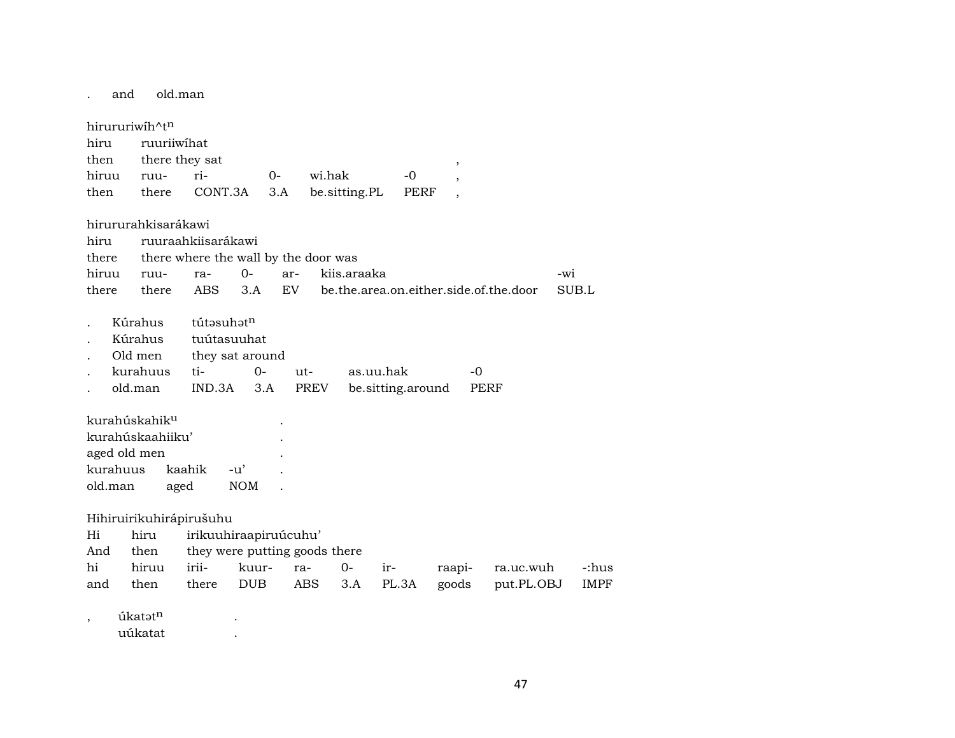. and old.man

hirururiwíh^t<sup>n</sup> hiru ruuriiwíhat then there they sat , hiruu ruu- ri- 0- wi.hak -0 , then there CONT.3A 3.A be. sitting.PL PERF hirururahkisarákawi hiru ruuraahkiisarákawi there there where the wall by the door was hiruu ruu- ra- 0- ar- kiis.araaka -wi -wi there there ABS 3.A EV be.the.area.on.either.side.of.the.door SUB.L Kúrahus tútəsuhət<sup>n</sup> . Kúrahus tuútasuuhat Old men they sat around . kurahuus ti- 0- ut- as.uu.hak -0 . old.man IND.3A 3.A PREV be.sitting.around PERF kurahúskahik<sup>u</sup> kurahúskaahiiku' . aged old men . kurahuus kaahik -u' . old.man aged NOM . Hihiruirikuhirápirušuhu Hi hiru irikuuhiraapiruúcuhu' And then they were putting goods there hi hiruu irii- kuur- ra- 0- ir- raapi- ra.uc.wuh -:hus and then there DUB ABS 3.A PL.3A goods put.PL.OBJ IMPF , úkatət<sup>n</sup> . uúkatat .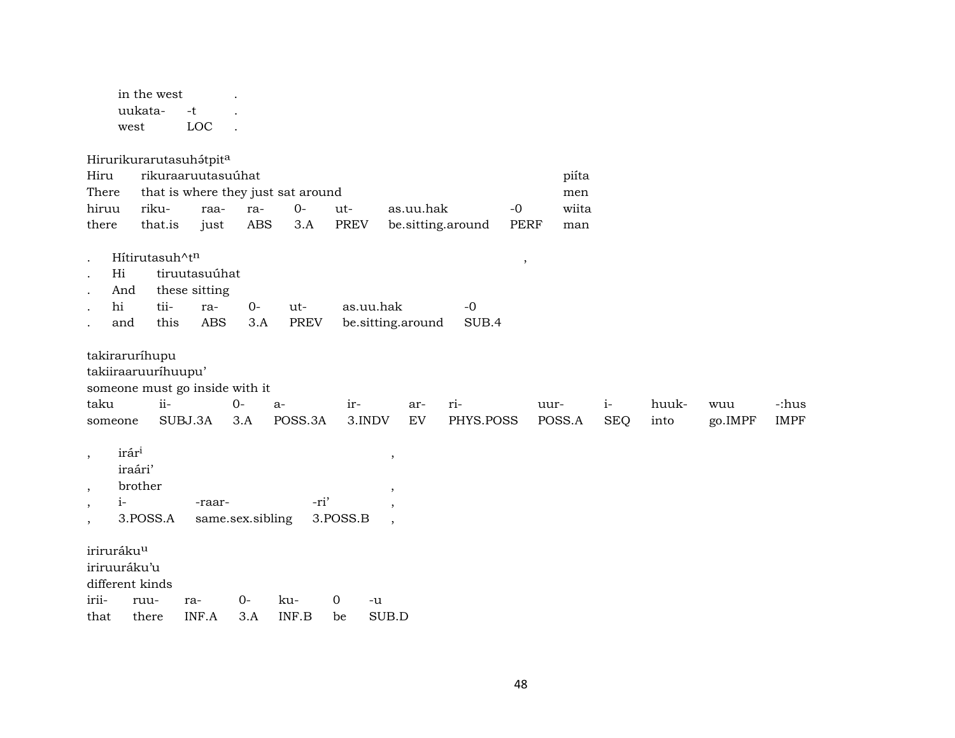in the west . uukata- -t . west LOC .

Hirurikurarutasuhátpit<sup>a</sup>

| Hiru                        |                                | rikuraaruutasuúhat |                  |                                    |           |                          |                   |             | piíta  |            |       |         |             |
|-----------------------------|--------------------------------|--------------------|------------------|------------------------------------|-----------|--------------------------|-------------------|-------------|--------|------------|-------|---------|-------------|
| There                       |                                |                    |                  | that is where they just sat around |           |                          |                   |             | men    |            |       |         |             |
| hiruu                       | riku-                          | raa-               | ra-              | $0-$                               | ut-       | as.uu.hak                |                   | $-0$        | wiita  |            |       |         |             |
| there                       | that.is                        | just               | <b>ABS</b>       | 3.A                                | PREV      |                          | be.sitting.around | <b>PERF</b> | man    |            |       |         |             |
| $\bullet$                   | Hitirutasuh^tn                 |                    |                  |                                    |           |                          |                   |             |        |            |       |         |             |
| Hi<br>$\ddot{\phantom{a}}$  |                                | tiruutasuúhat      |                  |                                    |           |                          |                   | $\cdot$     |        |            |       |         |             |
| And<br>$\ddot{\phantom{0}}$ |                                | these sitting      |                  |                                    |           |                          |                   |             |        |            |       |         |             |
| hi<br>$\ddot{\phantom{0}}$  | tii-                           | ra-                | $0-$             | ut-                                | as.uu.hak |                          | $-0$              |             |        |            |       |         |             |
| and                         | this                           | <b>ABS</b>         | 3.A              | <b>PREV</b>                        |           | be.sitting.around        | SUB.4             |             |        |            |       |         |             |
|                             |                                |                    |                  |                                    |           |                          |                   |             |        |            |       |         |             |
|                             | takiraruríhupu                 |                    |                  |                                    |           |                          |                   |             |        |            |       |         |             |
|                             | takiiraaruurihuupu'            |                    |                  |                                    |           |                          |                   |             |        |            |       |         |             |
|                             | someone must go inside with it |                    |                  |                                    |           |                          |                   |             |        |            |       |         |             |
| taku                        | $ii -$                         |                    | $0-$             | $a-$                               | ir-       | ar-                      | ri-               | uur-        |        | $i-$       | huuk- | wuu     | -:hus       |
| someone                     |                                | SUBJ.3A            | 3.A              | POSS.3A                            | 3.INDV    | EV                       | PHYS.POSS         |             | POSS.A | <b>SEQ</b> | into  | go.IMPF | <b>IMPF</b> |
|                             |                                |                    |                  |                                    |           |                          |                   |             |        |            |       |         |             |
| $\overline{\phantom{a}}$    | irár <sup>i</sup>              |                    |                  |                                    |           | $\overline{\phantom{a}}$ |                   |             |        |            |       |         |             |
|                             | iraári'                        |                    |                  |                                    |           |                          |                   |             |        |            |       |         |             |
| $\,$                        | brother                        |                    |                  |                                    |           | $\,$                     |                   |             |        |            |       |         |             |
| $i-$<br>$\,$                |                                | -raar-             |                  | -ri'                               |           | $\cdot$                  |                   |             |        |            |       |         |             |
| $\overline{\phantom{a}}$    | 3.POSS.A                       |                    | same.sex.sibling |                                    | 3.POSS.B  | $\overline{\phantom{a}}$ |                   |             |        |            |       |         |             |
|                             |                                |                    |                  |                                    |           |                          |                   |             |        |            |       |         |             |
| iriruráku <sup>u</sup>      |                                |                    |                  |                                    |           |                          |                   |             |        |            |       |         |             |
| iriruuráku'u                |                                |                    |                  |                                    |           |                          |                   |             |        |            |       |         |             |
|                             | different kinds                |                    |                  |                                    |           |                          |                   |             |        |            |       |         |             |
| irii-                       | ruu-                           | ra-                | $0-$             | ku-                                | 0         | -u                       |                   |             |        |            |       |         |             |
| that                        | there                          | INF.A              | 3.A              | INF.B                              | be        | SUB.D                    |                   |             |        |            |       |         |             |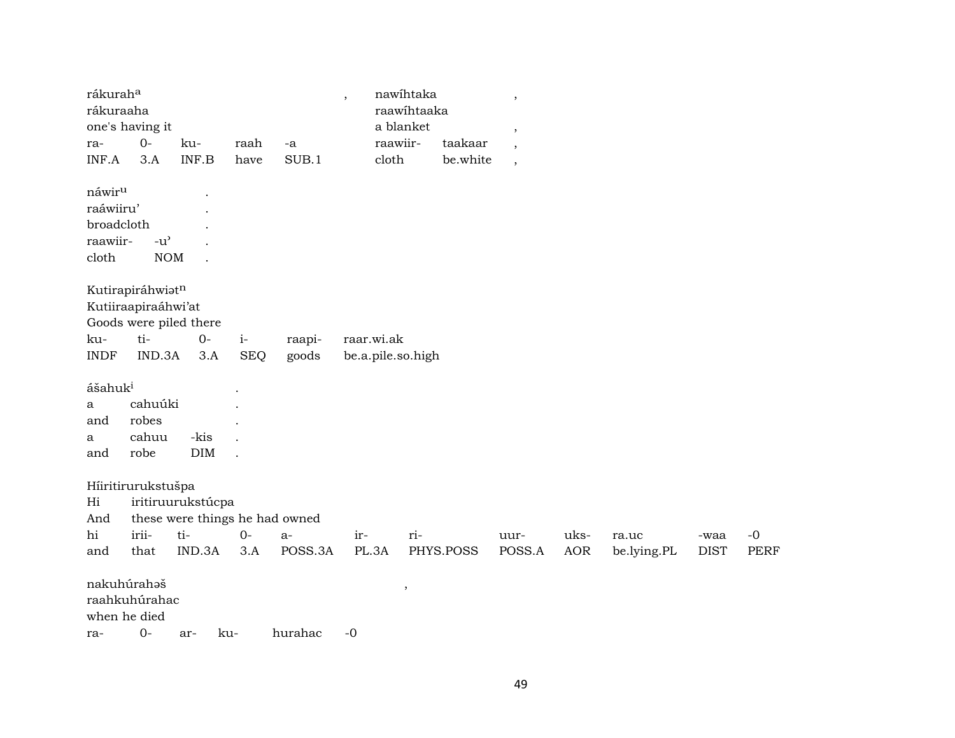| rákurah <sup>a</sup> |                                     |                                |            |         | $\overline{\phantom{a}}$ | nawihtaka           | $^\mathrm{^\mathrm{o}}$ |            |             |             |             |
|----------------------|-------------------------------------|--------------------------------|------------|---------|--------------------------|---------------------|-------------------------|------------|-------------|-------------|-------------|
| rákuraaha            |                                     |                                |            |         |                          | raawihtaaka         |                         |            |             |             |             |
|                      | one's having it                     |                                |            |         |                          | a blanket           | $\,$                    |            |             |             |             |
| ra-                  | $0-$                                | ku-                            | raah       | -a      |                          | raawiir-<br>taakaar | $\cdot$                 |            |             |             |             |
| INF.A                | 3.A                                 | INF.B                          | have       | SUB.1   | cloth                    | be.white            | $\cdot$                 |            |             |             |             |
| náwir <sup>u</sup>   |                                     |                                |            |         |                          |                     |                         |            |             |             |             |
| raáwiiru'            |                                     |                                |            |         |                          |                     |                         |            |             |             |             |
| broadcloth           |                                     |                                |            |         |                          |                     |                         |            |             |             |             |
| raawiir-             | $-u$ <sup><math>\prime</math></sup> |                                |            |         |                          |                     |                         |            |             |             |             |
| cloth                | $\rm{NOM}$                          |                                |            |         |                          |                     |                         |            |             |             |             |
|                      | Kutirapiráhwiatn                    |                                |            |         |                          |                     |                         |            |             |             |             |
|                      | Kutiiraapiraáhwi'at                 |                                |            |         |                          |                     |                         |            |             |             |             |
|                      |                                     | Goods were piled there         |            |         |                          |                     |                         |            |             |             |             |
| ku-                  | ti-                                 | $0-$                           | $i-$       | raapi-  | raar.wi.ak               |                     |                         |            |             |             |             |
| <b>INDF</b>          | IND.3A                              | 3.A                            | <b>SEQ</b> | goods   | be.a.pile.so.high        |                     |                         |            |             |             |             |
| ášahuk <sup>i</sup>  |                                     |                                |            |         |                          |                     |                         |            |             |             |             |
| a                    | cahuúki                             |                                |            |         |                          |                     |                         |            |             |             |             |
| and                  | robes                               |                                |            |         |                          |                     |                         |            |             |             |             |
| a                    | cahuu                               | -kis                           |            |         |                          |                     |                         |            |             |             |             |
| and                  | robe                                | DIM                            |            |         |                          |                     |                         |            |             |             |             |
|                      | Hiiritirurukstušpa                  |                                |            |         |                          |                     |                         |            |             |             |             |
| Hi                   |                                     | iritiruurukstúcpa              |            |         |                          |                     |                         |            |             |             |             |
| And                  |                                     | these were things he had owned |            |         |                          |                     |                         |            |             |             |             |
| hi                   | irii-                               | ti-                            | $0-$       | a-      | ir-                      | ri-                 | uur-                    | uks-       | ra.uc       | -waa        | $-0$        |
| and                  | that                                | IND.3A                         | 3.A        | POSS.3A | PL.3A                    | PHYS.POSS           | POSS.A                  | <b>AOR</b> | be.lying.PL | <b>DIST</b> | <b>PERF</b> |
| nakuhúrahaš          |                                     |                                |            |         |                          | ,                   |                         |            |             |             |             |
|                      | raahkuhúrahac                       |                                |            |         |                          |                     |                         |            |             |             |             |
| when he died         |                                     |                                |            |         |                          |                     |                         |            |             |             |             |
| ra-                  | $0-$                                | ar-                            | ku-        | hurahac | $-0$                     |                     |                         |            |             |             |             |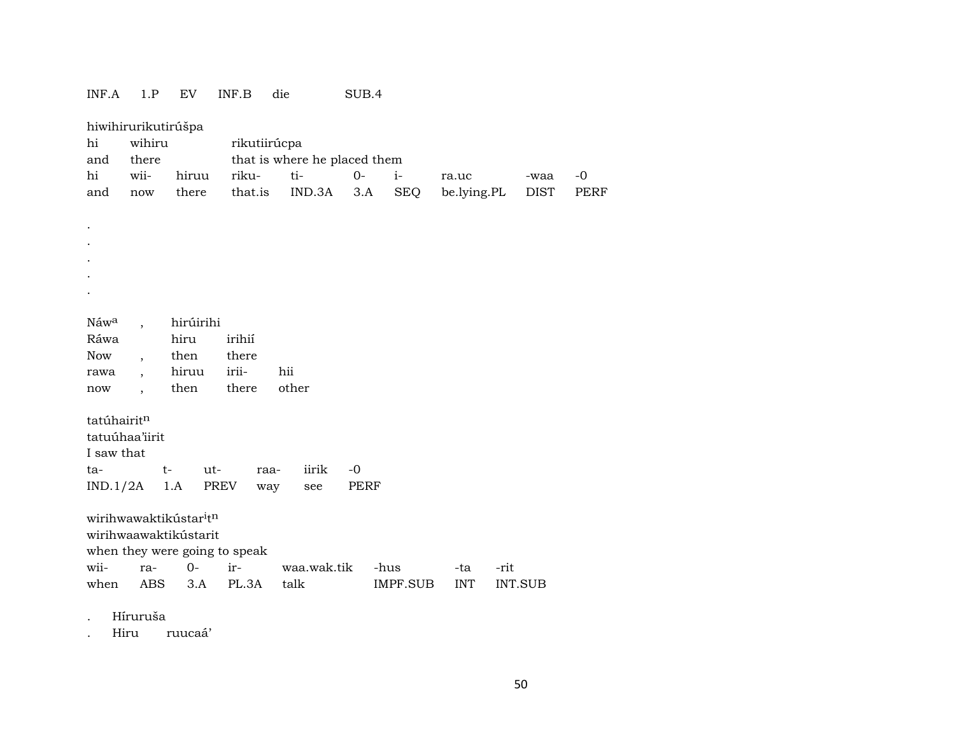## INF.A 1.P EV INF.B die SUB.4

| hi<br>and        | hiwihirurikutirúšpa<br>wihiru<br>there |                                   | rikutiirúcpa | that is where he placed them |             |            |             |             |      |
|------------------|----------------------------------------|-----------------------------------|--------------|------------------------------|-------------|------------|-------------|-------------|------|
| hi               | wii-                                   | hiruu                             | riku-        | ti-                          | $0-$        | $i-$       | ra.uc       | -waa        | $-0$ |
| and              | now                                    | there                             | that.is      | IND.3A                       | 3.A         | <b>SEQ</b> | be.lying.PL | <b>DIST</b> | PERF |
|                  |                                        |                                   |              |                              |             |            |             |             |      |
|                  |                                        |                                   |              |                              |             |            |             |             |      |
|                  |                                        |                                   |              |                              |             |            |             |             |      |
|                  |                                        |                                   |              |                              |             |            |             |             |      |
|                  |                                        |                                   |              |                              |             |            |             |             |      |
|                  |                                        |                                   |              |                              |             |            |             |             |      |
|                  |                                        |                                   |              |                              |             |            |             |             |      |
| Náw <sup>a</sup> | $\overline{\phantom{a}}$               | hirúirihi                         |              |                              |             |            |             |             |      |
| Ráwa             |                                        | hiru                              | irihií       |                              |             |            |             |             |      |
| Now              | $\overline{\phantom{a}}$               | then                              | there        |                              |             |            |             |             |      |
| rawa             | $\overline{\phantom{a}}$               | hiruu                             | irii-        | hii                          |             |            |             |             |      |
| now              | $\overline{\phantom{a}}$               | then                              | there        | other                        |             |            |             |             |      |
|                  |                                        |                                   |              |                              |             |            |             |             |      |
| tatúhairitn      |                                        |                                   |              |                              |             |            |             |             |      |
|                  | tatuúhaa'iirit                         |                                   |              |                              |             |            |             |             |      |
| I saw that       |                                        |                                   |              |                              |             |            |             |             |      |
| ta-              |                                        | $t-$<br>ut-                       | raa-         | iirik                        | $-0$        |            |             |             |      |
| IND.1/2A         |                                        | 1.A<br>PREV                       | way          | see                          | <b>PERF</b> |            |             |             |      |
|                  |                                        |                                   |              |                              |             |            |             |             |      |
|                  |                                        | wirihwawaktikústar <sup>itn</sup> |              |                              |             |            |             |             |      |
|                  |                                        | wirihwaawaktikústarit             |              |                              |             |            |             |             |      |
|                  |                                        | when they were going to speak     |              |                              |             |            |             |             |      |
| wii-             | ra-                                    | $0-$                              | ir-          | waa.wak.tik                  |             | -hus       | -ta         | -rit        |      |
| when             | ABS                                    | 3.A                               | PL.3A        | talk                         |             | IMPF.SUB   | <b>INT</b>  | INT.SUB     |      |
|                  |                                        |                                   |              |                              |             |            |             |             |      |

. Híruruša

. Hiru ruucaá'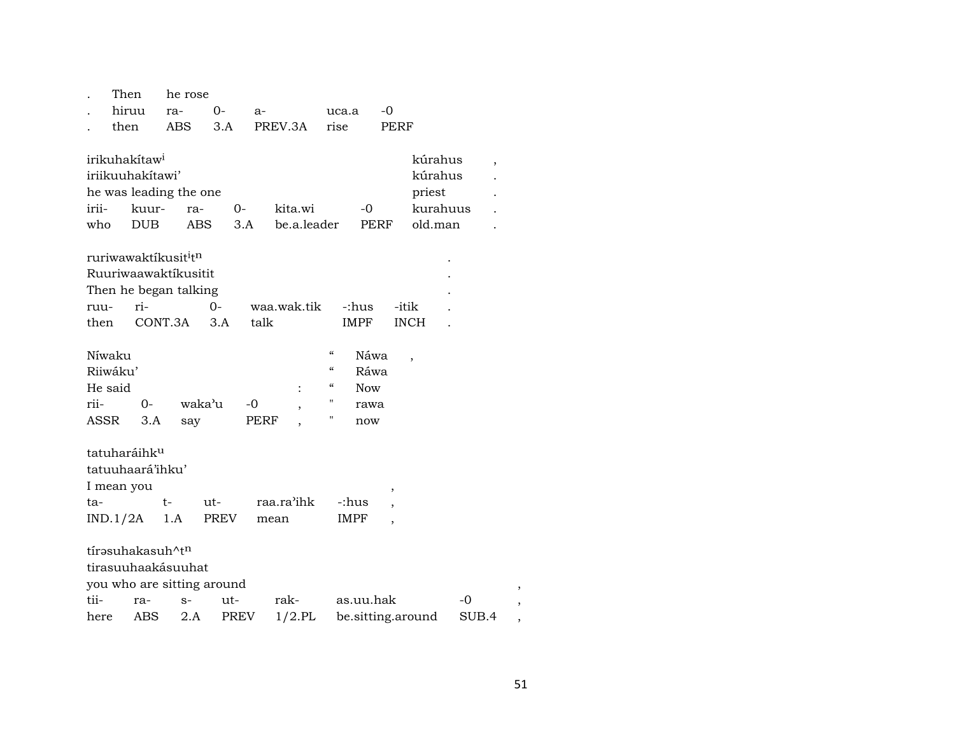|       | Then                                         | he rose    |             |             |                                        |                   |       |  |
|-------|----------------------------------------------|------------|-------------|-------------|----------------------------------------|-------------------|-------|--|
|       | hiruu                                        | ra-        | 0-          | $a-$        | uca.a                                  | $-0$              |       |  |
|       | then                                         | ABS.       | 3.A         | PREV.3A     | rise                                   | <b>PERF</b>       |       |  |
|       |                                              |            |             |             |                                        |                   |       |  |
|       | irikuhakítaw <sup>i</sup>                    |            |             |             |                                        | kúrahus           | ,     |  |
|       | iriikuuhakitawi'                             |            |             |             |                                        | kúrahus           |       |  |
|       | he was leading the one                       |            |             |             |                                        | priest            |       |  |
| irii- | kuur-                                        | ra-        | $0-$        | kita.wi     | -0                                     | kurahuus          |       |  |
| who   | <b>DUB</b>                                   | <b>ABS</b> | 3.A         | be.a.leader |                                        | PERF<br>old.man   |       |  |
|       |                                              |            |             |             |                                        |                   |       |  |
|       | ruriwawaktikusit <sup>i</sup> t <sup>n</sup> |            |             |             |                                        |                   |       |  |
|       | Ruuriwaawaktíkusitit                         |            |             |             |                                        |                   |       |  |
|       | Then he began talking                        |            |             |             |                                        |                   |       |  |
| ruu-  | ri-                                          |            | $0 -$       | waa.wak.tik | -:hus                                  | -itik             |       |  |
| then  | CONT.3A                                      |            | 3.A         | talk        | IMPF                                   | <b>INCH</b>       |       |  |
|       |                                              |            |             |             |                                        |                   |       |  |
|       | Níwaku                                       |            |             |             | $\mathcal{C}$<br>Náwa                  |                   |       |  |
|       | Riiwáku'                                     |            |             |             | $\epsilon\epsilon$<br>Ráwa             |                   |       |  |
|       | He said                                      |            |             |             | $\mathcal{C}\mathcal{C}$<br><b>Now</b> |                   |       |  |
| rii-  | $0-$                                         | waka'u     |             | -0          | Η<br>rawa                              |                   |       |  |
|       | ASSR<br>3.A                                  | say        |             | PERF        | Н<br>now                               |                   |       |  |
|       |                                              |            |             |             |                                        |                   |       |  |
|       | tatuharáihk <sup>u</sup>                     |            |             |             |                                        |                   |       |  |
|       | tatuuhaará'ihku'                             |            |             |             |                                        |                   |       |  |
|       | I mean you                                   |            |             |             |                                        | ,                 |       |  |
| ta-   |                                              | $t-$       | ut-         | raa.ra'ihk  | -:hus                                  |                   |       |  |
|       | IND.1/2A                                     | 1.A        | PREV        | mean        | <b>IMPF</b>                            |                   |       |  |
|       |                                              |            |             |             |                                        |                   |       |  |
|       | tírasuhakasuh^tn                             |            |             |             |                                        |                   |       |  |
|       | tirasuuhaakásuuhat                           |            |             |             |                                        |                   |       |  |
|       | you who are sitting around                   |            |             |             |                                        |                   |       |  |
| tii-  | ra-                                          | $S-$       | ut-         | rak-        | as.uu.hak                              |                   | $-0$  |  |
| here  | ABS                                          | 2.A        | <b>PREV</b> | $1/2$ .PL   |                                        | be.sitting.around | SUB.4 |  |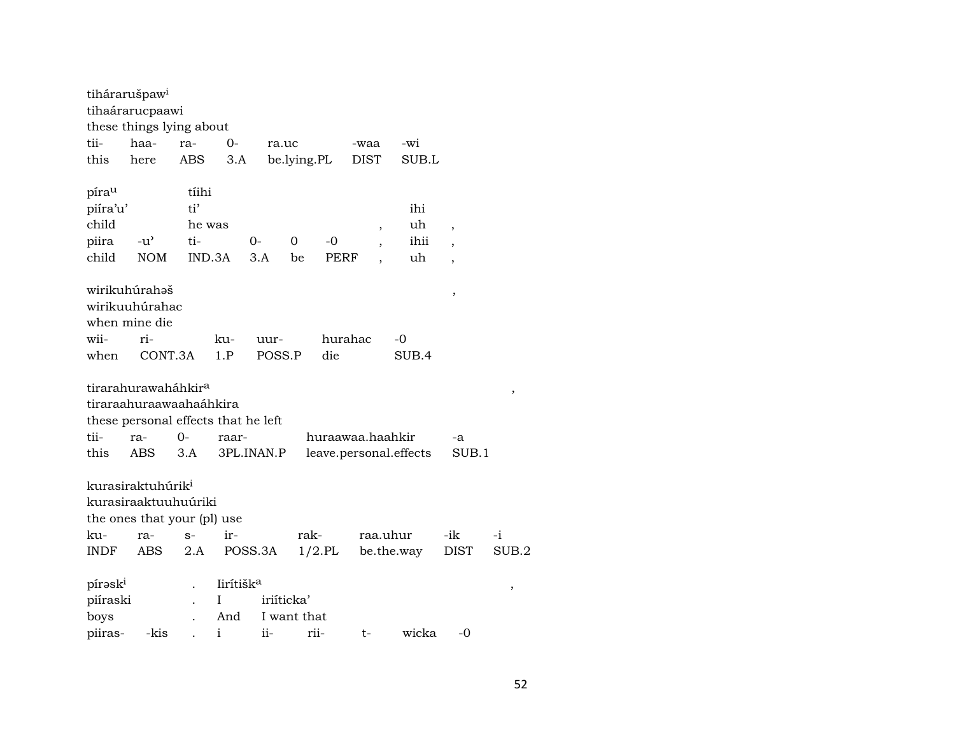|                     | tihárarušpaw <sup>i</sup>           |        |                       |            |             |                  |             |                          |                        |                          |        |
|---------------------|-------------------------------------|--------|-----------------------|------------|-------------|------------------|-------------|--------------------------|------------------------|--------------------------|--------|
|                     | tihaárarucpaawi                     |        |                       |            |             |                  |             |                          |                        |                          |        |
|                     | these things lying about            |        |                       |            |             |                  |             |                          |                        |                          |        |
| tii-                | haa-                                | ra-    | $0-$                  |            | ra.uc       |                  | -waa        |                          | -wi                    |                          |        |
| this                | here                                | ABS    | 3.A                   |            | be.lying.PL |                  | <b>DIST</b> |                          | SUB.L                  |                          |        |
| pírau               |                                     | tíihi  |                       |            |             |                  |             |                          |                        |                          |        |
| piíra'u'            |                                     | ti'    |                       |            |             |                  |             |                          | ihi                    |                          |        |
| child               |                                     | he was |                       |            |             |                  |             | $\overline{\phantom{a}}$ | uh                     | $\overline{\phantom{a}}$ |        |
| piira               | $-u^{\flat}$                        | ti-    |                       | $0-$       | 0           | -0               |             |                          | ihii                   |                          |        |
| child               | <b>NOM</b>                          |        | IND.3A                | 3.A        | be          | PERF             |             |                          | uh                     | $\overline{\phantom{a}}$ |        |
|                     | wirikuhúrahaš                       |        |                       |            |             |                  |             |                          |                        | ,                        |        |
|                     | wirikuuhúrahac                      |        |                       |            |             |                  |             |                          |                        |                          |        |
|                     | when mine die                       |        |                       |            |             |                  |             |                          |                        |                          |        |
| wii-                | ri-                                 |        | ku-                   | uur-       |             |                  | hurahac     |                          | -0                     |                          |        |
| when                | CONT.3A                             |        | 1.P                   | POSS.P     |             | die              |             |                          | SUB.4                  |                          |        |
|                     | tirarahurawaháhkir <sup>a</sup>     |        |                       |            |             |                  |             |                          |                        |                          |        |
|                     | tiraraahuraawaahaáhkira             |        |                       |            |             |                  |             |                          |                        |                          | ,      |
|                     | these personal effects that he left |        |                       |            |             |                  |             |                          |                        |                          |        |
| tii-                | ra-                                 | 0-     | raar-                 |            |             | huraawaa.haahkir |             |                          |                        | -a                       |        |
| this                | <b>ABS</b>                          | 3.A    |                       | 3PL.INAN.P |             |                  |             |                          | leave.personal.effects | SUB.1                    |        |
|                     |                                     |        |                       |            |             |                  |             |                          |                        |                          |        |
|                     | kurasiraktuhúrik <sup>i</sup>       |        |                       |            |             |                  |             |                          |                        |                          |        |
|                     | kurasiraaktuuhuúriki                |        |                       |            |             |                  |             |                          |                        |                          |        |
|                     | the ones that your (pl) use         |        |                       |            |             |                  |             |                          |                        |                          |        |
| ku-                 | ra-                                 | $S-$   | $ir-$                 |            | rak-        |                  |             |                          | raa.uhur               | -ik                      | $-i$   |
| <b>INDF</b>         | ABS                                 | 2.A    |                       | POSS.3A    |             | $1/2$ .PL        |             |                          | be.the.way             | DIST                     | SUB.2  |
| pírask <sup>i</sup> |                                     |        | lirítišk <sup>a</sup> |            |             |                  |             |                          |                        |                          | $\, ,$ |
| piíraski            |                                     |        | I                     |            | iriíticka'  |                  |             |                          |                        |                          |        |
| boys                |                                     |        | And                   |            | I want that |                  |             |                          |                        |                          |        |
| piiras-             | -kis                                |        | $\mathbf{i}$          | ii-        |             | rii-             | t-          |                          | wicka                  | -0                       |        |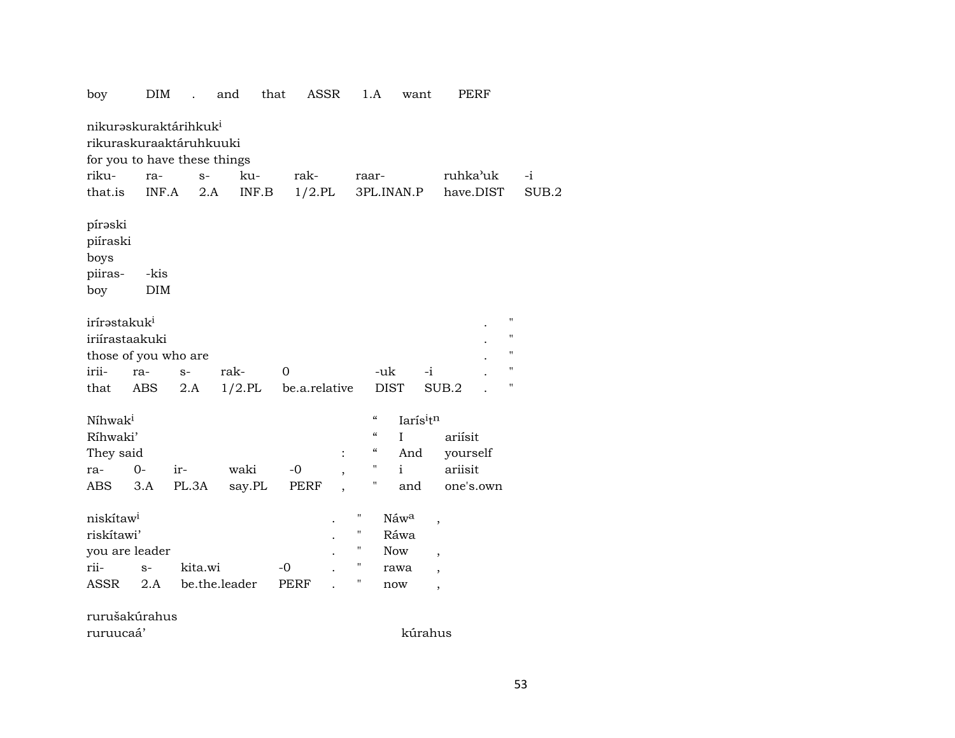| boy                                                                                          | DIM                |         | and           | that              | ASSR           |                                        | 1.A                                    | want                 | PERF                                                                                     |                                                 |
|----------------------------------------------------------------------------------------------|--------------------|---------|---------------|-------------------|----------------|----------------------------------------|----------------------------------------|----------------------|------------------------------------------------------------------------------------------|-------------------------------------------------|
| nikuraskuraktárihkuk <sup>i</sup><br>rikuraskuraaktáruhkuuki<br>for you to have these things |                    |         |               |                   |                |                                        |                                        |                      |                                                                                          |                                                 |
| riku-                                                                                        | ra-                | $S-$    | ku-           | rak-              |                | raar-                                  |                                        |                      | ruhka'uk                                                                                 | $-i$                                            |
| that.is                                                                                      | INF.A              | $2.A$   | INF.B         | $1/2$ .PL         |                |                                        |                                        | 3PL.INAN.P           | have.DIST                                                                                | SUB.2                                           |
| pírəski<br>piíraski<br>boys<br>piiras-<br>boy                                                | -kis<br><b>DIM</b> |         |               |                   |                |                                        |                                        |                      |                                                                                          |                                                 |
| irírastakuk <sup>i</sup><br>iriírastaakuki<br>those of you who are                           |                    |         |               |                   |                |                                        |                                        |                      |                                                                                          | $\pmb{\mathsf{H}}$<br>11<br>$\blacksquare$<br>" |
| irii-                                                                                        | ra-                | $S-$    | rak-          | 0                 |                |                                        | -uk                                    | -i                   |                                                                                          | П                                               |
| that                                                                                         | ABS                | 2.A     | $1/2$ .PL     | be.a.relative     |                |                                        | <b>DIST</b>                            |                      | SUB.2                                                                                    |                                                 |
| Níhwak <sup>i</sup>                                                                          |                    |         |               |                   |                |                                        | $\boldsymbol{\zeta}\boldsymbol{\zeta}$ | Iarísitn             |                                                                                          |                                                 |
| Ríhwaki'                                                                                     |                    |         |               |                   |                |                                        | $\mathcal{C}$                          | I                    | ariísit                                                                                  |                                                 |
| They said                                                                                    |                    |         |               |                   | $\ddot{\cdot}$ |                                        | $\epsilon\epsilon$                     | And                  | yourself                                                                                 |                                                 |
| ra-                                                                                          | $O -$              | ir-     | waki          | $-0$              |                |                                        | н.                                     | $\mathbf{i}$         | ariisit                                                                                  |                                                 |
| ABS                                                                                          | 3.A                | PL.3A   | say.PL        | PERF              |                |                                        | н.                                     | and                  | one's.own                                                                                |                                                 |
| niskítaw <sup>i</sup><br>riskítawi'<br>you are leader<br>rii-<br>ASSR                        | $S-$<br>2.A        | kita.wi | be.the.leader | -0<br><b>PERF</b> |                | Η<br>н<br>П<br>$\pmb{\mathsf{H}}$<br>Η | <b>Now</b><br>now                      | Náwa<br>Ráwa<br>rawa | $\overline{\phantom{a}}$<br>$\overline{ }$<br>$\overline{\phantom{a}}$<br>$\overline{ }$ |                                                 |
| rurušakúrahus                                                                                |                    |         |               |                   |                |                                        |                                        |                      |                                                                                          |                                                 |
| ruruucaá'                                                                                    |                    |         |               |                   |                |                                        |                                        | kúrahus              |                                                                                          |                                                 |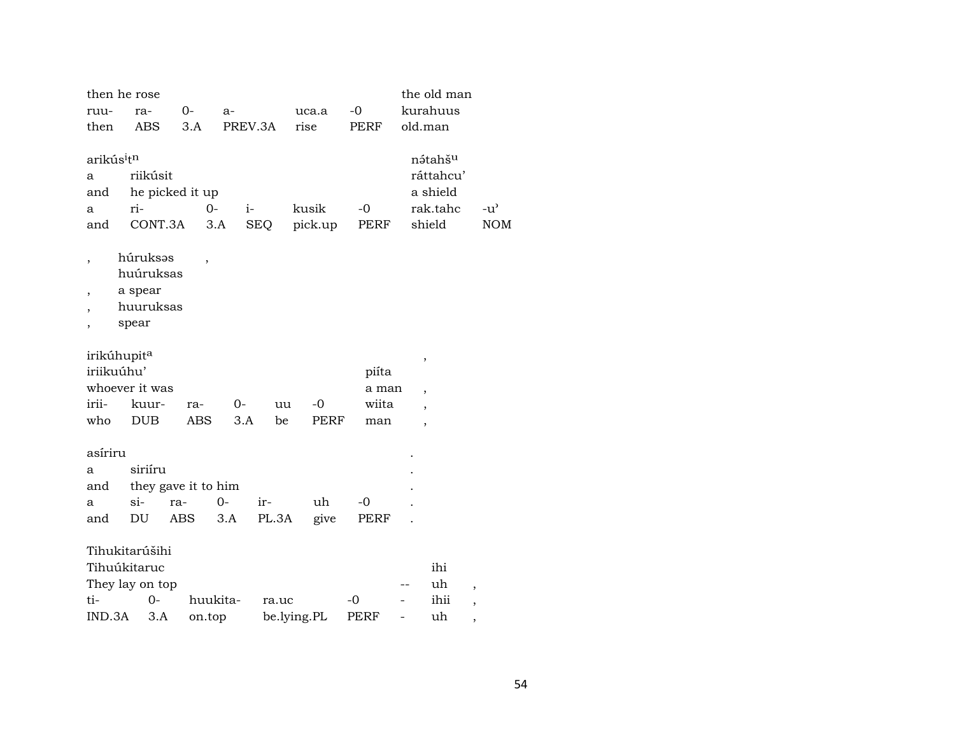| then he rose                       |                 |                     |               |            |             |       | the old man                      |               |
|------------------------------------|-----------------|---------------------|---------------|------------|-------------|-------|----------------------------------|---------------|
| ruu-                               | ra-             | $0-$                | $a-$          |            | uca.a       | $-0$  | kurahuus                         |               |
| then                               | ABS             | 3.A                 | PREV.3A       |            | rise        | PERF  | old.man                          |               |
|                                    |                 |                     |               |            |             |       |                                  |               |
| arikús <sup>i</sup> t <sup>n</sup> |                 |                     |               |            |             |       | nátahš <sup>u</sup>              |               |
| a                                  | riikúsit        |                     |               |            |             |       | ráttahcu'                        |               |
| and                                |                 | he picked it up     |               |            |             |       | a shield                         |               |
| a                                  | ri-             |                     | $O -$<br>$i-$ |            | kusik       | $-0$  | rak.tahc                         | $-u^{\prime}$ |
| and                                | CONT.3A         |                     | $3.A$         | <b>SEQ</b> | pick.up     | PERF  | shield                           | <b>NOM</b>    |
|                                    |                 |                     |               |            |             |       |                                  |               |
| ,                                  | húruksas        | $\overline{ }$      |               |            |             |       |                                  |               |
|                                    | huúruksas       |                     |               |            |             |       |                                  |               |
| ,                                  | a spear         |                     |               |            |             |       |                                  |               |
|                                    | huuruksas       |                     |               |            |             |       |                                  |               |
|                                    | spear           |                     |               |            |             |       |                                  |               |
| irikúhupit <sup>a</sup>            |                 |                     |               |            |             |       |                                  |               |
| iriikuúhu'                         |                 |                     |               |            |             | piíta | ,                                |               |
|                                    | whoever it was  |                     |               |            |             | a man |                                  |               |
| irii-                              | kuur-           | ra-                 | 0-            | uu         | $-0$        | wiita | $\overline{\phantom{a}}$         |               |
| who                                | <b>DUB</b>      | <b>ABS</b>          | 3.A           | be         | PERF        | man   | $\overline{\phantom{a}}$         |               |
|                                    |                 |                     |               |            |             |       | $\overline{\phantom{a}}$         |               |
| asíriru                            |                 |                     |               |            |             |       |                                  |               |
| a                                  | siriíru         |                     |               |            |             |       |                                  |               |
| and                                |                 | they gave it to him |               |            |             |       |                                  |               |
| a                                  | $si$ -          | ra-                 | $0-$          | ir-        | uh          | $-0$  |                                  |               |
| and                                | DU              | ABS                 | 3.A           | PL.3A      | give        | PERF  |                                  |               |
|                                    | Tihukitarúšihi  |                     |               |            |             |       |                                  |               |
|                                    |                 |                     |               |            |             |       |                                  |               |
|                                    | Tihuúkitaruc    |                     |               |            |             |       | ihi                              |               |
|                                    | They lay on top |                     |               |            |             |       | uh<br>$\overline{\phantom{a}}$   |               |
| ti-                                | $0-$            |                     | huukita-      | ra.uc      |             | $-0$  | ihii<br>$\overline{\phantom{a}}$ |               |
| IND.3A                             | 3.A             | on.top              |               |            | be.lying.PL | PERF  | uh<br>,                          |               |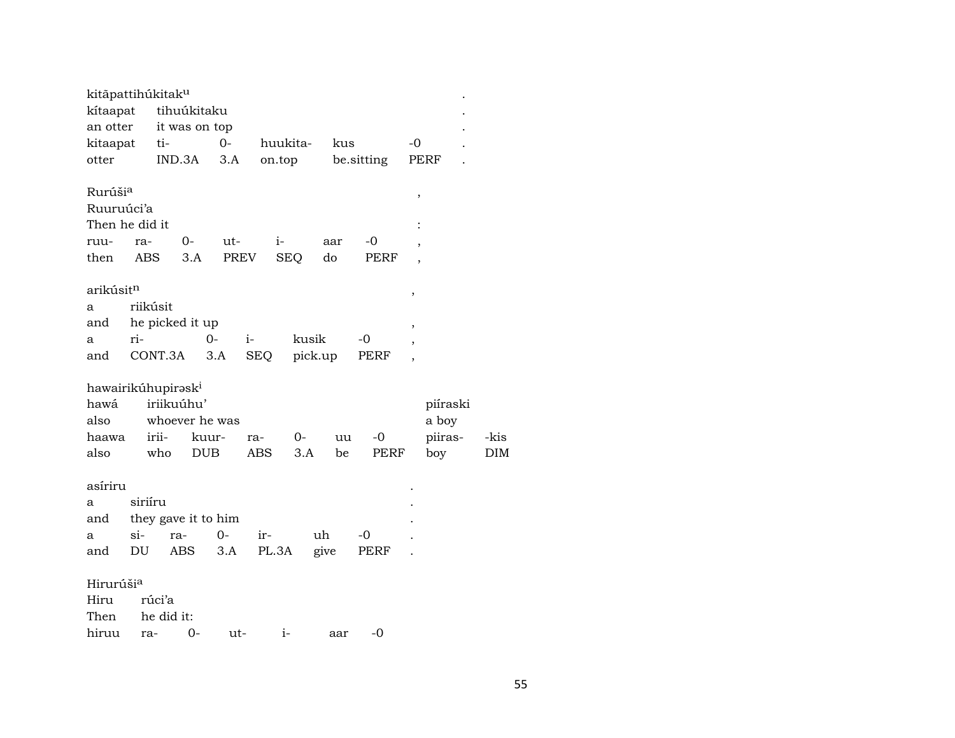| kitāpattihúkitak <sup>u</sup>                                       |            |                            |                     |                     |            |                    |           |          |              |                          |                                     |                    |
|---------------------------------------------------------------------|------------|----------------------------|---------------------|---------------------|------------|--------------------|-----------|----------|--------------|--------------------------|-------------------------------------|--------------------|
| kítaapat                                                            |            | tihuúkitaku                |                     |                     |            |                    |           |          |              |                          |                                     |                    |
| an otter                                                            |            | it was on top              |                     |                     |            |                    |           |          |              |                          |                                     |                    |
| kitaapat                                                            |            | ti-                        |                     | $0-$                |            | huukita-           |           | kus      |              | $-0$                     |                                     |                    |
| otter                                                               |            | IND.3A                     |                     | 3.A                 |            | on.top             |           |          | be sitting   | PERF                     |                                     |                    |
| Rurúši <sup>a</sup><br>Ruuruúci'a<br>Then he did it<br>ruu-<br>then | ra-<br>ABS |                            | 0-<br>3.A           | ut-<br>PREV         |            | $i-$<br><b>SEQ</b> | aar<br>do |          | -0<br>PERF   | $\, ,$<br>$\cdot$        |                                     |                    |
| arikúsit <sup>n</sup>                                               |            |                            |                     |                     |            |                    |           |          |              | ,                        |                                     |                    |
| a                                                                   | riikúsit   |                            |                     |                     |            |                    |           |          |              |                          |                                     |                    |
| and                                                                 |            | he picked it up            |                     |                     |            |                    |           |          |              | $\overline{\phantom{a}}$ |                                     |                    |
| a                                                                   | ri-        |                            |                     | $0 -$               | $i-$       |                    | kusik     |          | -0           | $\overline{ }$           |                                     |                    |
| and                                                                 |            | CONT.3A                    |                     | 3.A                 | SEQ        |                    | pick.up   |          | PERF         |                          |                                     |                    |
| hawairikúhupirəsk <sup>i</sup><br>hawá<br>also<br>haawa<br>also     |            | iriikuúhu'<br>irii-<br>who | kuur-<br><b>DUB</b> | whoever he was      | ra-<br>ABS | $O -$<br>3.A       |           | uu<br>be | $-0$<br>PERF |                          | piíraski<br>a boy<br>piiras-<br>boy | -kis<br><b>DIM</b> |
| asíriru                                                             |            |                            |                     |                     |            |                    |           |          |              |                          |                                     |                    |
| a                                                                   | siriíru    |                            |                     |                     |            |                    |           |          |              |                          |                                     |                    |
| and                                                                 |            |                            |                     | they gave it to him |            |                    |           |          |              |                          |                                     |                    |
| a                                                                   | $si-$      | ra-                        |                     | $0-$                | ir-        |                    | uh        |          | -0           |                          |                                     |                    |
| and                                                                 | DU         | ABS                        |                     | 3.A                 |            | PL.3A              | give      |          | PERF         |                          |                                     |                    |
| Hirurúši <sup>a</sup><br>Hiru<br>Then                               |            | rúci'a<br>he did it:       |                     |                     |            |                    |           |          |              |                          |                                     |                    |
| hiruu                                                               | ra-        |                            | $0-$                | ut-                 |            | $i-$               |           | aar      | $-0$         |                          |                                     |                    |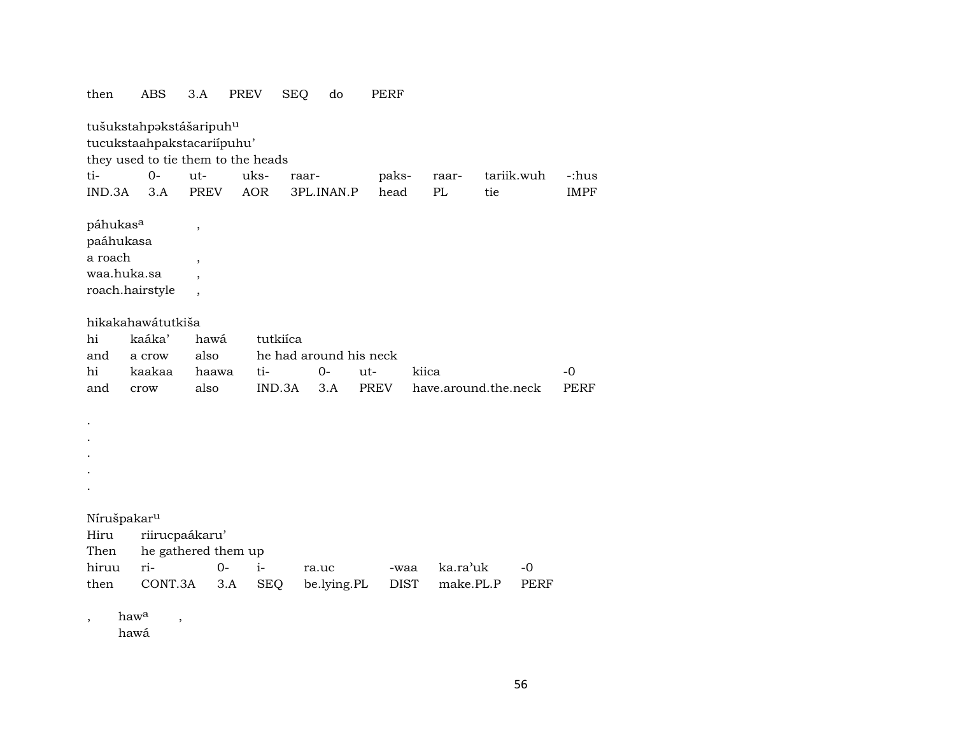| then                              |                          | ABS                                                   | 3.A                      | PREV       | <b>SEQ</b>             | do          | PERF        |             |                      |            |      |             |
|-----------------------------------|--------------------------|-------------------------------------------------------|--------------------------|------------|------------------------|-------------|-------------|-------------|----------------------|------------|------|-------------|
|                                   |                          | tušukstahpakstášaripuhu<br>tucukstaahpakstacariipuhu' |                          |            |                        |             |             |             |                      |            |      |             |
|                                   |                          | they used to tie them to the heads                    |                          |            |                        |             |             |             |                      |            |      |             |
| ti-                               |                          | $O -$                                                 | ut-                      | uks-       | raar-                  |             | paks-       |             | raar-                | tariik.wuh |      | -:hus       |
| IND.3A                            |                          | 3.A                                                   | <b>PREV</b>              | <b>AOR</b> |                        | 3PL.INAN.P  | head        |             | PL                   | tie        |      | <b>IMPF</b> |
| páhukas <sup>a</sup><br>paáhukasa |                          |                                                       | ,                        |            |                        |             |             |             |                      |            |      |             |
| a roach                           |                          |                                                       |                          |            |                        |             |             |             |                      |            |      |             |
| waa.huka.sa                       |                          |                                                       | $\overline{ }$           |            |                        |             |             |             |                      |            |      |             |
|                                   |                          |                                                       |                          |            |                        |             |             |             |                      |            |      |             |
|                                   |                          | roach.hairstyle                                       | $\overline{\phantom{a}}$ |            |                        |             |             |             |                      |            |      |             |
|                                   |                          | hikakahawátutkiša                                     |                          |            |                        |             |             |             |                      |            |      |             |
| hi                                |                          | kaáka'                                                | hawá                     |            | tutkiíca               |             |             |             |                      |            |      |             |
| and                               |                          | a crow                                                | also                     |            | he had around his neck |             |             |             |                      |            |      |             |
| hi                                |                          | kaakaa                                                | haawa                    | ti-        |                        | $0-$        | ut-         | kiica       |                      |            |      | $-0$        |
| and                               |                          | crow                                                  | also                     |            | IND.3A                 | 3.A         | <b>PREV</b> |             | have.around.the.neck |            |      | <b>PERF</b> |
|                                   |                          |                                                       |                          |            |                        |             |             |             |                      |            |      |             |
|                                   |                          |                                                       |                          |            |                        |             |             |             |                      |            |      |             |
|                                   |                          |                                                       |                          |            |                        |             |             |             |                      |            |      |             |
|                                   |                          |                                                       |                          |            |                        |             |             |             |                      |            |      |             |
|                                   |                          |                                                       |                          |            |                        |             |             |             |                      |            |      |             |
|                                   |                          |                                                       |                          |            |                        |             |             |             |                      |            |      |             |
|                                   |                          |                                                       |                          |            |                        |             |             |             |                      |            |      |             |
| Nírušpakar <sup>u</sup>           |                          |                                                       |                          |            |                        |             |             |             |                      |            |      |             |
| Hiru                              |                          | riirucpaákaru'                                        |                          |            |                        |             |             |             |                      |            |      |             |
| Then                              |                          | he gathered them up                                   |                          |            |                        |             |             |             |                      |            |      |             |
| hiruu                             |                          | ri-                                                   | $0-$                     | $i-$       |                        | ra.uc       |             | -waa        | ka.ra'uk             |            | $-0$ |             |
| then                              |                          | CONT.3A                                               |                          | 3.A        | <b>SEQ</b>             | be.lying.PL |             | <b>DIST</b> | make.PL.P            |            | PERF |             |
|                                   |                          |                                                       |                          |            |                        |             |             |             |                      |            |      |             |
| $\,$                              | haw <sup>a</sup><br>hawá | $\, ,$                                                |                          |            |                        |             |             |             |                      |            |      |             |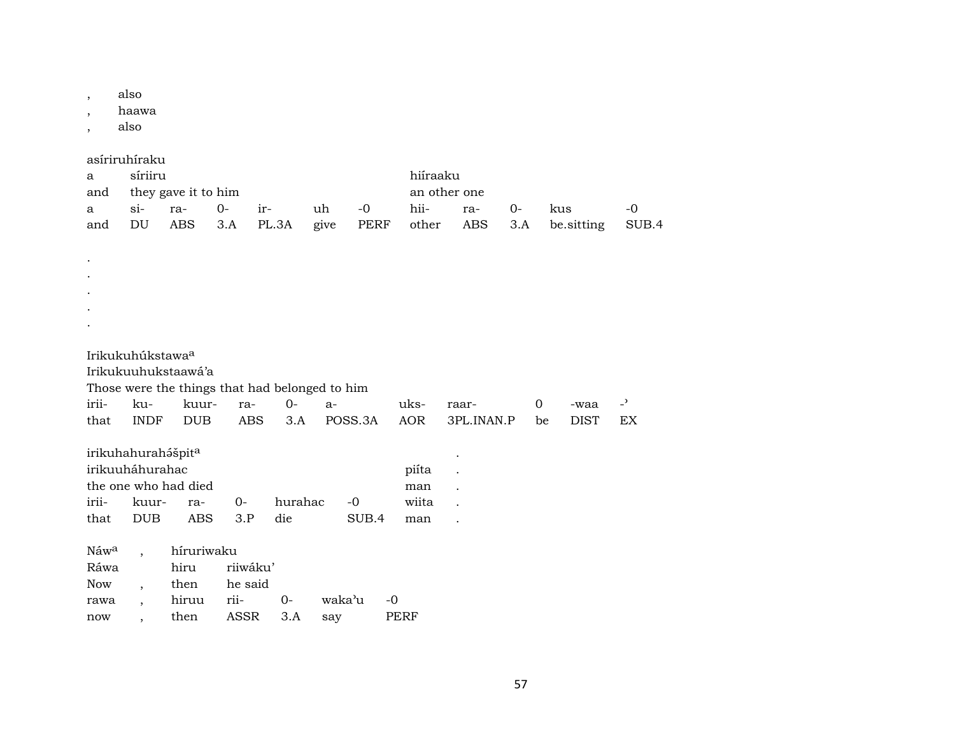also  $\overline{\phantom{a}}$ 

haawa  $\overline{\phantom{a}}$ 

also  $\cdot$ 

 $\ddot{\phantom{a}}$  $\ddot{\phantom{a}}$  $\ddot{\phantom{a}}$  $\bullet$  $\bullet$ 

asíriruhíraku

| a | síriiru                                                        |                         |  |  |  |  | hiíraaku     |        |     |        |
|---|----------------------------------------------------------------|-------------------------|--|--|--|--|--------------|--------|-----|--------|
|   |                                                                | and they gave it to him |  |  |  |  | an other one |        |     |        |
|   | uh -0<br>a si- ra- 0- ir-                                      |                         |  |  |  |  | hii- ra-     | $()$ - | kus | $-$ () |
|   | and DU ABS 3.A PL.3A give PERF other ABS 3.A be. sitting SUB.4 |                         |  |  |  |  |              |        |     |        |

Irikukuhúkstawa<sup>a</sup>

Irikukuuhukstaawá'a

Those were the things that had belonged to him

|                                |  | irii- ku- kuur- ra- 0- a- |                                                         | -waa -' |  |
|--------------------------------|--|---------------------------|---------------------------------------------------------|---------|--|
|                                |  |                           | that INDF DUB ABS 3.A POSS.3A AOR 3PL.INAN.P be DIST EX |         |  |
| irikuhahurahášpit <sup>a</sup> |  |                           |                                                         |         |  |

| irikuuháhurahac      | piíta .          |  |                                          |       |         |  |
|----------------------|------------------|--|------------------------------------------|-------|---------|--|
| the one who had died | man .            |  |                                          |       |         |  |
|                      |                  |  | irii- kuur- ra-     0-     hurahac    -0 |       | wiita . |  |
|                      | that DUB ABS 3.P |  | die die                                  | SUB.4 | man .   |  |

|      | Náw <sup>a</sup> , híruriwaku |               |  |                                |      |  |  |  |  |
|------|-------------------------------|---------------|--|--------------------------------|------|--|--|--|--|
| Ráwa |                               | hiru riiwáku' |  |                                |      |  |  |  |  |
|      | Now, then he said             |               |  |                                |      |  |  |  |  |
|      |                               |               |  | rawa , hiruu rii- 0- waka'u -0 |      |  |  |  |  |
|      | now, then ASSR 3.A say        |               |  |                                | PERF |  |  |  |  |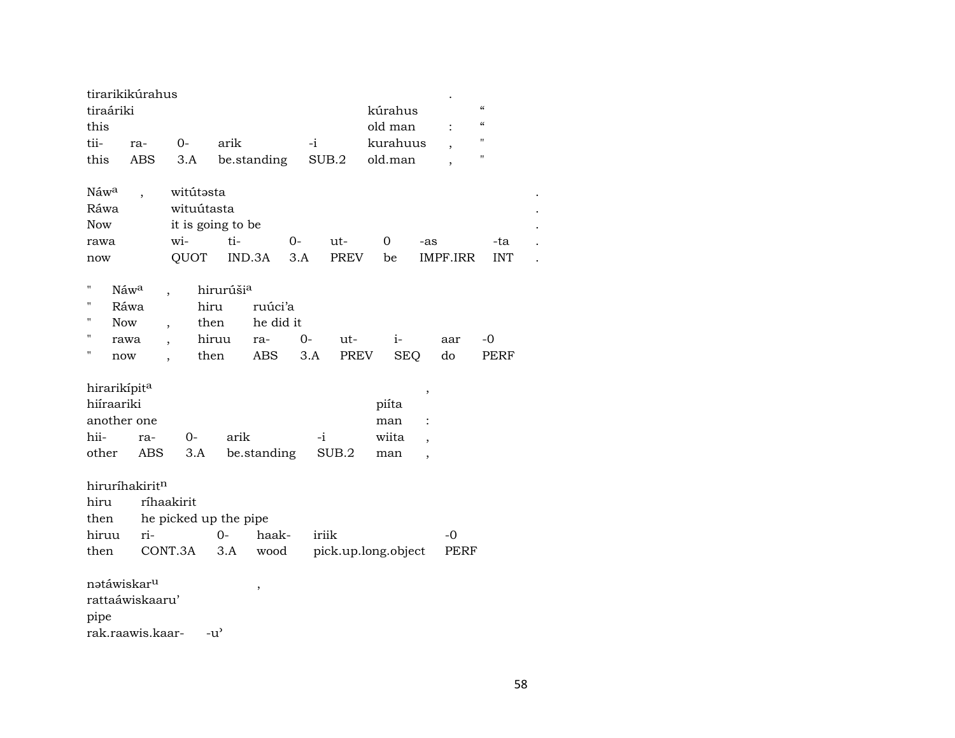| tiraáriki<br>this                                                      | tirarikikúrahus                         |                                                     |                    |                                    |             |               | kúrahus<br>old man           |                               |              | $\pmb{\zeta}\pmb{\zeta}$<br>$\boldsymbol{\zeta}\boldsymbol{\zeta}$ |  |
|------------------------------------------------------------------------|-----------------------------------------|-----------------------------------------------------|--------------------|------------------------------------|-------------|---------------|------------------------------|-------------------------------|--------------|--------------------------------------------------------------------|--|
| tii-                                                                   | ra-                                     | $0 -$                                               | arik               |                                    | $-i$        |               | kurahuus                     |                               |              | $\pmb{\mathsf{H}}$                                                 |  |
| this                                                                   | ABS                                     | 3.A                                                 |                    | be.standing                        |             | SUB.2         | old.man                      |                               |              | "                                                                  |  |
| Náwa<br>Ráwa<br><b>Now</b><br>rawa                                     |                                         | witútasta<br>wituútasta<br>it is going to be<br>wi- | ti-                | $0-$                               |             | ut-           | 0                            | -as                           |              | -ta                                                                |  |
| now                                                                    |                                         | QUOT                                                | IND.3A             |                                    | 3.A         | <b>PREV</b>   | be                           |                               | IMPF.IRR     | <b>INT</b>                                                         |  |
| 11<br>Π<br>Н<br><b>Now</b><br>Η<br>Η                                   | Náw <sup>a</sup><br>Ráwa<br>rawa<br>now | hiru<br>then<br>$\overline{\phantom{a}}$<br>then    | hirurúšia<br>hiruu | ruúci'a<br>he did it<br>ra-<br>ABS | $0-$<br>3.A | $ut-$<br>PREV | $i-$                         | <b>SEQ</b>                    | aar<br>do    | -0<br><b>PERF</b>                                                  |  |
| hirarikípit <sup>a</sup><br>hiíraariki<br>another one<br>hii-<br>other | ra-<br>ABS                              | 0-<br>3.A                                           | arik               | be.standing                        | $-i$        | SUB.2         | piíta<br>man<br>wiita<br>man | ,<br>$\overline{\phantom{a}}$ |              |                                                                    |  |
| hiru<br>then<br>hiruu<br>then                                          | hiruríhakiritn<br>ri-                   | ríhaakirit<br>he picked up the pipe<br>CONT.3A      | $0-$<br>3.A        | haak-<br>wood                      | iriik       |               | pick.up.long.object          |                               | $-0$<br>PERF |                                                                    |  |
| natáwiskar <sup>u</sup><br>pipe                                        | rattaáwiskaaru'<br>rak.raawis.kaar-     |                                                     | -u'                | $\,$                               |             |               |                              |                               |              |                                                                    |  |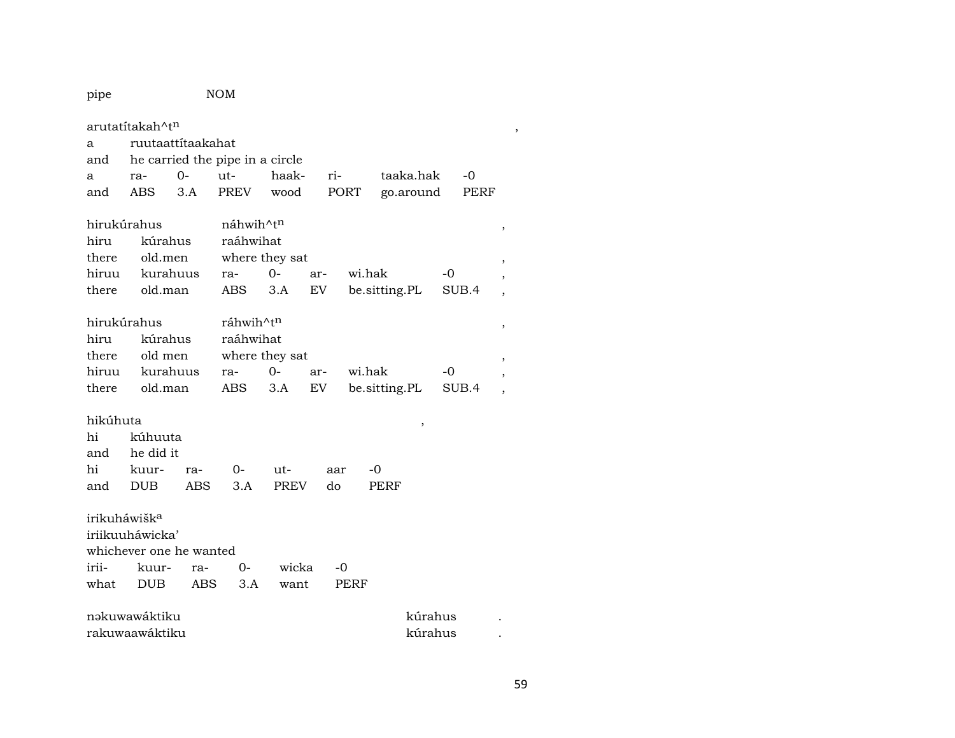pipe NOM arutatítakah^t¶ , a ruutaattítaakahat and he carried the pipe in a circle a ra- 0- ut- haak- ri- taaka.hak -0 and ABS 3.A PREV wood PORT go.around PERF hirukúrahus náhwih^t $^{\text{n}}$  , , hiru kúrahus raáhwihat there old.men where they sat , hiruu kurahuus ra- 0- ar- wi.hak -0 , there old.man ABS 3.A EV be.sitting.PL SUB.4 , hirukúrahus ráhwih^t $^{\prime \text{h}}$  , , hiru kúrahus raáhwihat there old men where they sat , hiruu kurahuus ra- 0- ar- wi.hak -0 , there old.man ABS 3.A EV be.sitting.PL SUB.4 , hikúhuta , hi kúhuuta and he did it hi kuur- ra- 0- ut- aar -0 and DUB ABS 3.A PREV do PERF irikuháwišk<sup>a</sup> iriikuuháwicka' whichever one he wanted irii- kuur- ra- 0- wicka -0 what DUB ABS 3.A want PERF nəkuwawáktiku kúrahus .

rakuwaawáktiku kúrahus .

59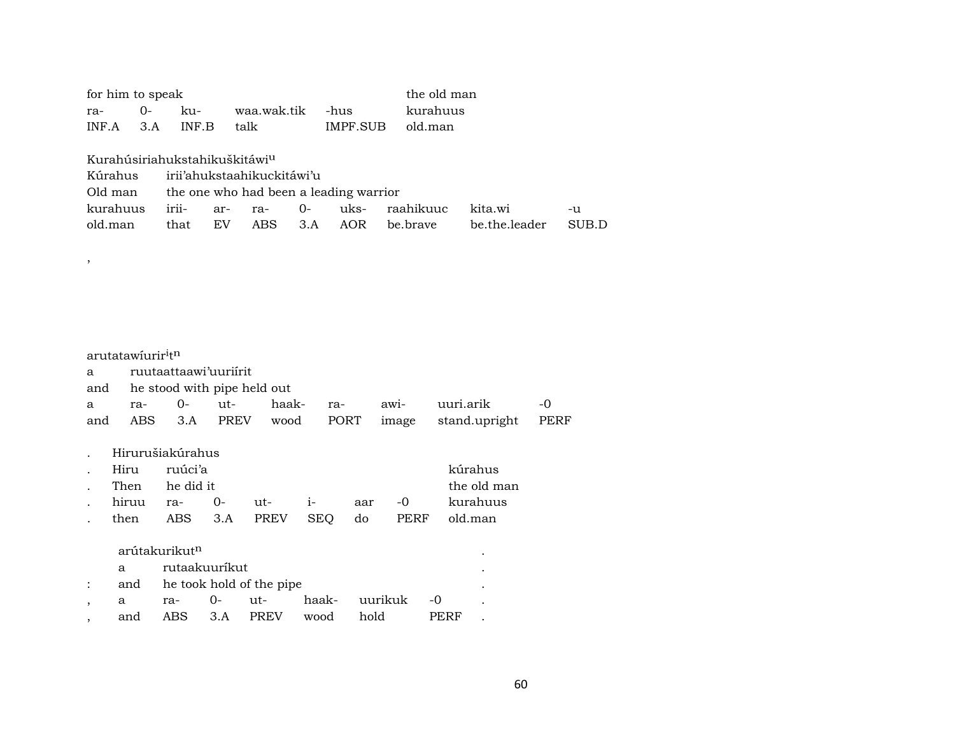| ra-<br>INF.A | for him to speak                          | $0 -$<br>3.A | ku-<br>INF.B                                               |           | waa.wak.tik<br>talk                                                                |             | -hus       | IMPF.SUB    |       | old.man               | the old man<br>kurahuus |                          |      |             |
|--------------|-------------------------------------------|--------------|------------------------------------------------------------|-----------|------------------------------------------------------------------------------------|-------------|------------|-------------|-------|-----------------------|-------------------------|--------------------------|------|-------------|
| old.man      | Kúrahus<br>Old man<br>kurahuus            |              | Kurahúsiriahukstahikuškitáwi <sup>u</sup><br>irii-<br>that | ar-<br>EV | irii'ahukstaahikuckitáwi'u<br>the one who had been a leading warrior<br>ra-<br>ABS | $0-$<br>3.A |            | uks-<br>AOR |       | raahikuuc<br>be.brave |                         | kita.wi<br>be.the.leader |      | -u<br>SUB.D |
| ,            |                                           |              |                                                            |           |                                                                                    |             |            |             |       |                       |                         |                          |      |             |
|              |                                           |              |                                                            |           |                                                                                    |             |            |             |       |                       |                         |                          |      |             |
|              |                                           |              |                                                            |           |                                                                                    |             |            |             |       |                       |                         |                          |      |             |
|              | arutatawíurir <sup>i</sup> t <sup>n</sup> |              |                                                            |           |                                                                                    |             |            |             |       |                       |                         |                          |      |             |
| a            |                                           |              | ruutaattaawi'uuriirit                                      |           |                                                                                    |             |            |             |       |                       |                         |                          |      |             |
| and          |                                           |              |                                                            |           | he stood with pipe held out                                                        |             |            |             |       |                       |                         |                          |      |             |
| a            | ra-                                       |              | $0-$                                                       | $ut-$     | haak-                                                                              |             | ra-        |             | awi-  |                       | uuri.arik               |                          | -0   |             |
| and          | ABS.                                      |              | 3.A                                                        | PREV      | wood                                                                               |             | PORT       |             | image |                       |                         | stand.upright            | PERF |             |
|              |                                           |              | Hirurušiakúrahus                                           |           |                                                                                    |             |            |             |       |                       |                         |                          |      |             |
|              | Hiru                                      |              | ruúci'a                                                    |           |                                                                                    |             |            |             |       |                       |                         | kúrahus                  |      |             |
|              | Then                                      |              | he did it                                                  |           |                                                                                    |             |            |             |       |                       |                         | the old man              |      |             |
|              | hiruu                                     |              | ra-                                                        | $0-$      | ut-                                                                                | $i-$        |            | aar         |       | $-0$                  |                         | kurahuus                 |      |             |
|              | then                                      |              | ABS                                                        | 3.A       | PREV                                                                               |             | <b>SEQ</b> | do          |       | PERF                  |                         | old.man                  |      |             |

|     | arútakurikut <sup>n</sup> |                              |      |                  |      |         |
|-----|---------------------------|------------------------------|------|------------------|------|---------|
| a   | rutaakuurikut             |                              |      |                  |      |         |
|     |                           | and he took hold of the pipe |      |                  |      | $\cdot$ |
| a   |                           | ra- 0- ut-                   |      | haak- uurikuk -0 |      |         |
| and |                           | ABS 3.A PREV                 | wood | hold             | PERF |         |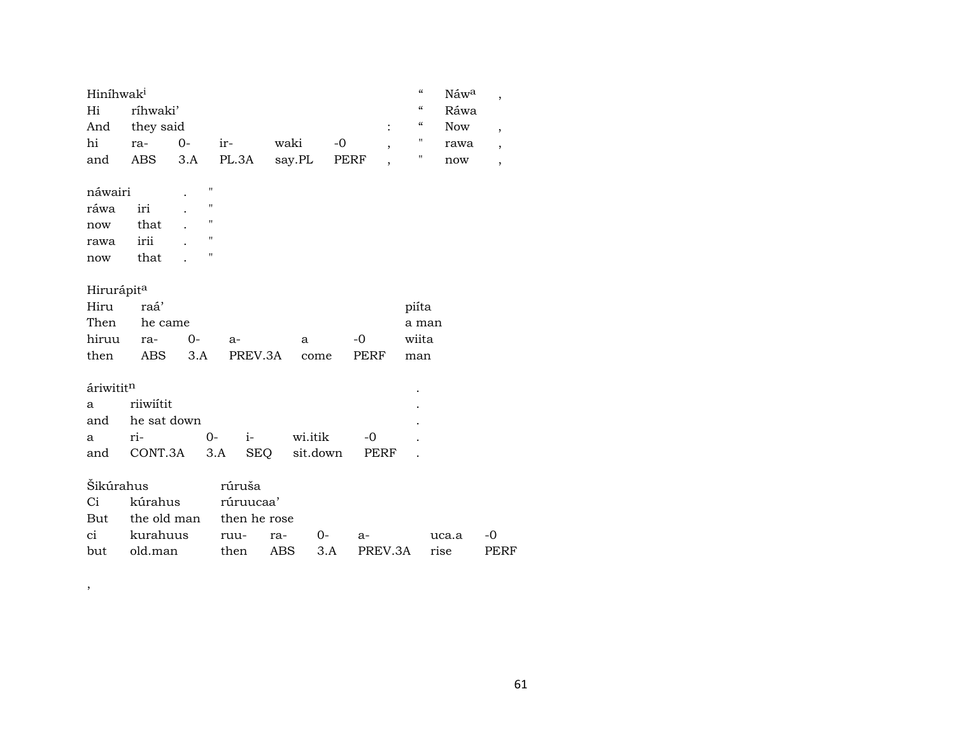| Hiníhwak <sup>i</sup>  |             |      |                |              |      |          |      |                          | $\boldsymbol{\zeta}\boldsymbol{\zeta}$ | Náw <sup>a</sup> | $\overline{\phantom{a}}$ |
|------------------------|-------------|------|----------------|--------------|------|----------|------|--------------------------|----------------------------------------|------------------|--------------------------|
| Hi                     | ríhwaki'    |      |                |              |      |          |      |                          | $\boldsymbol{\zeta}\boldsymbol{\zeta}$ | Ráwa             |                          |
| And                    | they said   |      |                |              |      |          |      | $\ddot{\cdot}$           | $\boldsymbol{\zeta}\boldsymbol{\zeta}$ | <b>Now</b>       | $\overline{\phantom{a}}$ |
| hi                     | ra-         | $0-$ |                | $ir-$        | waki |          | $-0$ |                          |                                        | rawa             | $\overline{ }$           |
| and                    | ABS         | 3.A  |                | PL.3A        |      | say.PL   | PERF | $\overline{\phantom{a}}$ | π                                      | now              | $\overline{ }$           |
|                        |             |      |                |              |      |          |      |                          |                                        |                  |                          |
| náwairi                |             |      | 11             |              |      |          |      |                          |                                        |                  |                          |
| ráwa                   | iri         |      | 11             |              |      |          |      |                          |                                        |                  |                          |
| now                    | that        |      | $\blacksquare$ |              |      |          |      |                          |                                        |                  |                          |
| rawa                   | irii        |      | "              |              |      |          |      |                          |                                        |                  |                          |
| now                    | that        |      | "              |              |      |          |      |                          |                                        |                  |                          |
|                        |             |      |                |              |      |          |      |                          |                                        |                  |                          |
| Hirurápit <sup>a</sup> |             |      |                |              |      |          |      |                          |                                        |                  |                          |
| Hiru                   | raá'        |      |                |              |      |          |      |                          | piíta                                  |                  |                          |
| Then                   | he came     |      |                |              |      |          |      |                          | a man                                  |                  |                          |
| hiruu                  | ra-         | 0-   |                | $a-$         |      | a        |      | -0                       | wiita                                  |                  |                          |
| then                   | ABS         | 3.A  |                | PREV.3A      |      | come     |      | PERF                     | man                                    |                  |                          |
|                        |             |      |                |              |      |          |      |                          |                                        |                  |                          |
| áriwititn              |             |      |                |              |      |          |      |                          |                                        |                  |                          |
| a                      | riiwiítit   |      |                |              |      |          |      |                          |                                        |                  |                          |
| and                    | he sat down |      |                |              |      |          |      |                          |                                        |                  |                          |
| a                      | ri-         |      | $0-$           | $i-$         |      | wi.itik  |      | $-0$                     |                                        |                  |                          |
| and                    | CONT.3A     |      | 3.A            | SEQ          |      | sit.down |      | PERF                     |                                        |                  |                          |
|                        |             |      |                |              |      |          |      |                          |                                        |                  |                          |
| Šikúrahus              |             |      |                | rúruša       |      |          |      |                          |                                        |                  |                          |
| Ci                     | kúrahus     |      |                | rúruucaa'    |      |          |      |                          |                                        |                  |                          |
| But                    | the old man |      |                | then he rose |      |          |      |                          |                                        |                  |                          |
| ci                     | kurahuus    |      |                | ruu-         | ra-  | 0-       |      | $a-$                     |                                        | uca.a            | $-0$                     |
| but                    | old.man     |      |                | then         | ABS  | 3.A      |      | PREV.3A                  | rise                                   |                  | PERF                     |

 $\,$  ,  $\,$ 

61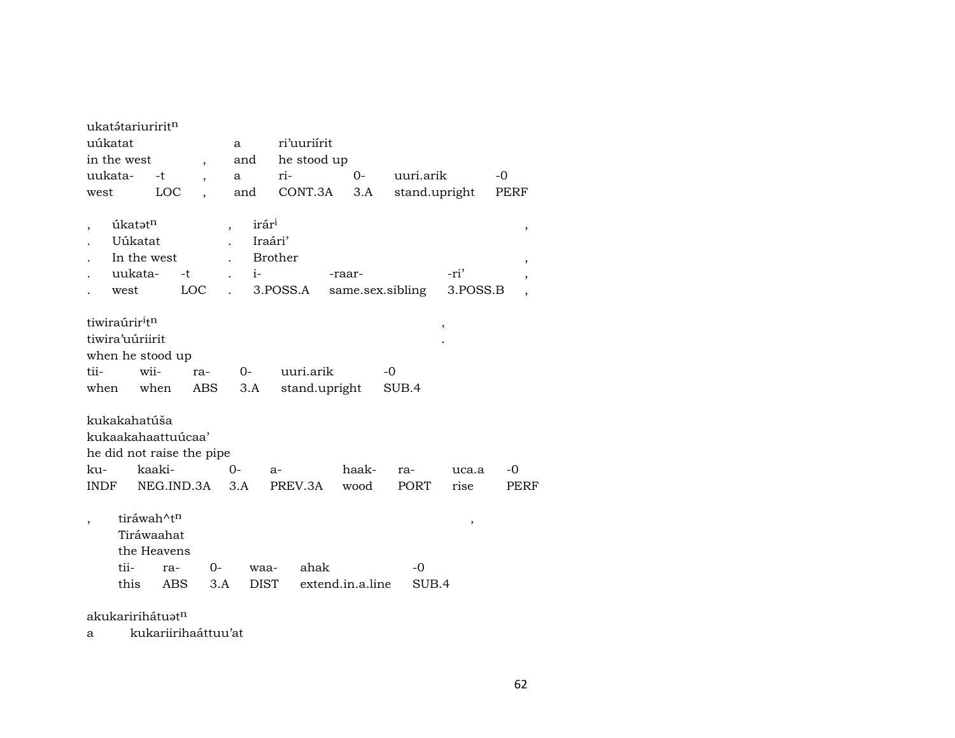| ukatátariuririt <sup>n</sup>                                                                  |                                                                     |                    |                          |                                             |                                       |                            |                            |               |                  |        |
|-----------------------------------------------------------------------------------------------|---------------------------------------------------------------------|--------------------|--------------------------|---------------------------------------------|---------------------------------------|----------------------------|----------------------------|---------------|------------------|--------|
| uúkatat                                                                                       |                                                                     |                    |                          | a                                           |                                       | ri'uuriírit                |                            |               |                  |        |
| in the west                                                                                   |                                                                     |                    | $\overline{\phantom{a}}$ | and                                         |                                       | he stood up                |                            |               |                  |        |
| uukata-                                                                                       |                                                                     | -t                 | $\overline{\phantom{a}}$ | a                                           | ri-                                   |                            | $O -$                      | uuri.arik     |                  | $-0$   |
| west                                                                                          |                                                                     | LOC                |                          | and                                         |                                       | CONT.3A                    | 3.A                        | stand.upright |                  | PERF   |
| $\overline{\phantom{a}}$                                                                      | úkatət <sup>n</sup><br>Uúkatat<br>In the west<br>uukata-<br>west    | $-t$<br><b>LOC</b> |                          | irár <sup>i</sup><br>$\overline{ }$<br>$i-$ | Iraári'<br><b>Brother</b><br>3.POSS.A |                            | -raar-<br>same.sex.sibling |               | -ri'<br>3.POSS.B | ,<br>, |
| tiwiraúrir <sup>i</sup> t <sup>n</sup><br>tiwira'uúriirit<br>when he stood up<br>tii-<br>when | wii-<br>when                                                        |                    | ra-<br>ABS               | $O -$<br>3.A                                |                                       | uuri.arik<br>stand.upright |                            | $-0$<br>SUB.4 | $\, ,$           |        |
| kukakahatúša<br>kukaakahaattuúcaa'<br>he did not raise the pipe                               |                                                                     |                    |                          |                                             |                                       |                            |                            |               |                  |        |
| ku-                                                                                           | kaaki-                                                              |                    |                          | 0-                                          | $a-$                                  |                            | haak-                      | ra-           | uca.a            | -0     |
| INDF                                                                                          |                                                                     | NEG.IND.3A         |                          | 3.A                                         |                                       | PREV.3A                    | wood                       | <b>PORT</b>   | rise             | PERF   |
| $\overline{\phantom{a}}$                                                                      | tiráwah^t <sup>n</sup><br>Tiráwaahat<br>the Heavens<br>tii-<br>this | ra-<br>ABS         | 0-<br>3.A                | waa-<br><b>DIST</b>                         |                                       | ahak                       | extend.in.a.line           | $-0$<br>SUB.4 | ,                |        |
| akukaririhátuat <sup>n</sup>                                                                  |                                                                     |                    |                          |                                             |                                       |                            |                            |               |                  |        |

a kukariirihaáttuu'at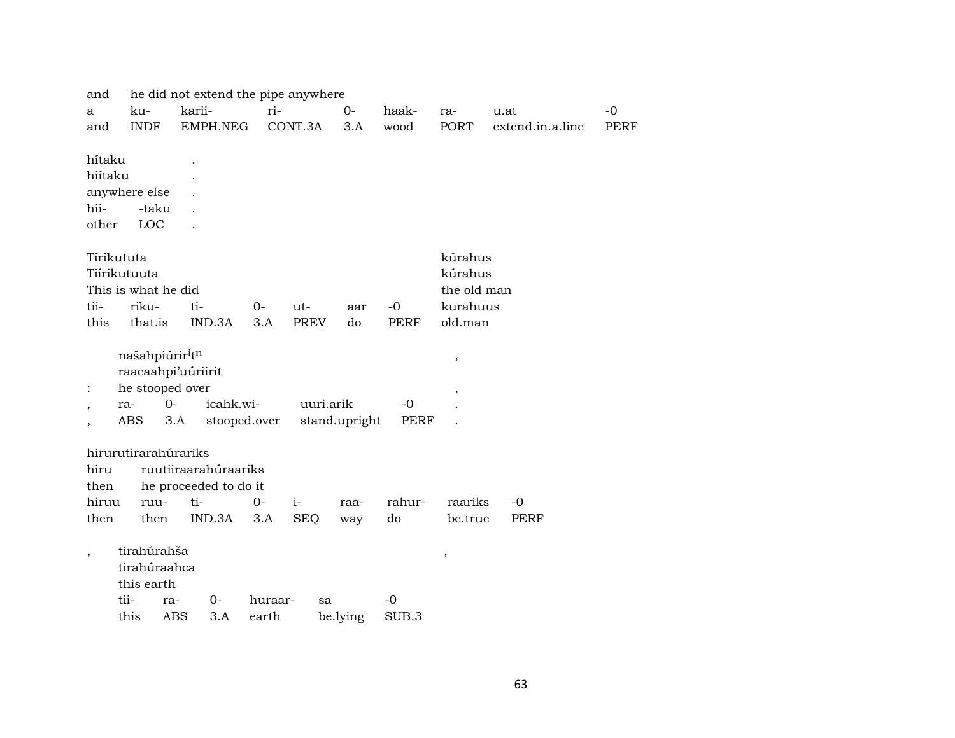| and                      |                             | he did not extend the pipe anywhere |             |                    |               |                   |                          |                  |             |
|--------------------------|-----------------------------|-------------------------------------|-------------|--------------------|---------------|-------------------|--------------------------|------------------|-------------|
| a                        | ku-                         | karii-                              | ri-         |                    | $0-$          | haak-             | ra-                      | u.at             | $-0$        |
| and                      | <b>INDF</b>                 | EMPH.NEG                            |             | CONT.3A            | 3.A           | wood              | PORT                     | extend.in.a.line | <b>PERF</b> |
|                          |                             |                                     |             |                    |               |                   |                          |                  |             |
| hítaku                   |                             |                                     |             |                    |               |                   |                          |                  |             |
| hiítaku                  |                             |                                     |             |                    |               |                   |                          |                  |             |
|                          | anywhere else               |                                     |             |                    |               |                   |                          |                  |             |
| hii-                     | -taku                       |                                     |             |                    |               |                   |                          |                  |             |
| other                    | LOC                         |                                     |             |                    |               |                   |                          |                  |             |
|                          | Tírikututa                  |                                     |             |                    |               |                   | kúrahus                  |                  |             |
|                          | Tiírikutuuta                |                                     |             |                    |               |                   | kúrahus                  |                  |             |
|                          | This is what he did         |                                     |             |                    |               |                   | the old man              |                  |             |
| tii-                     |                             |                                     |             |                    |               |                   | kurahuus                 |                  |             |
| this                     | riku-<br>that.is            | ti-<br>IND.3A                       | $0-$<br>3.A | ut-<br><b>PREV</b> | aar<br>do     | -0<br><b>PERF</b> | old.man                  |                  |             |
|                          |                             |                                     |             |                    |               |                   |                          |                  |             |
|                          | našahpiúrir <sup>i</sup> tn |                                     |             |                    |               |                   | $\, ,$                   |                  |             |
|                          | raacaahpi'uúriirit          |                                     |             |                    |               |                   |                          |                  |             |
| :                        | he stooped over             |                                     |             |                    |               |                   | $^\mathrm{,}$            |                  |             |
| $\overline{\phantom{a}}$ | $0-$<br>ra-                 | icahk.wi-                           |             | uuri.arik          |               | -0                |                          |                  |             |
|                          | ABS                         | 3.A<br>stooped.over                 |             |                    | stand.upright | PERF              |                          |                  |             |
|                          |                             |                                     |             |                    |               |                   |                          |                  |             |
|                          | hirurutirarahúrariks        |                                     |             |                    |               |                   |                          |                  |             |
| hiru                     |                             | ruutiiraarahúraariks                |             |                    |               |                   |                          |                  |             |
| then                     |                             | he proceeded to do it               |             |                    |               |                   |                          |                  |             |
| hiruu                    | ruu-                        | ti-                                 | $0 -$       | $i-$               | raa-          | rahur-            | raariks                  | $-0$             |             |
| then                     | then                        | IND.3A                              | 3.A         | <b>SEQ</b>         | way           | do                | be.true                  | PERF             |             |
|                          | tirahúrahša                 |                                     |             |                    |               |                   |                          |                  |             |
| $\overline{\phantom{a}}$ | tirahúraahca                |                                     |             |                    |               |                   | $\overline{\phantom{a}}$ |                  |             |
|                          | this earth                  |                                     |             |                    |               |                   |                          |                  |             |
|                          | tii-<br>ra-                 | 0-                                  | huraar-     |                    |               | $-0$              |                          |                  |             |
|                          | this                        | <b>ABS</b><br>3.A                   | earth       | sa                 |               | SUB.3             |                          |                  |             |
|                          |                             |                                     |             |                    | be.lying      |                   |                          |                  |             |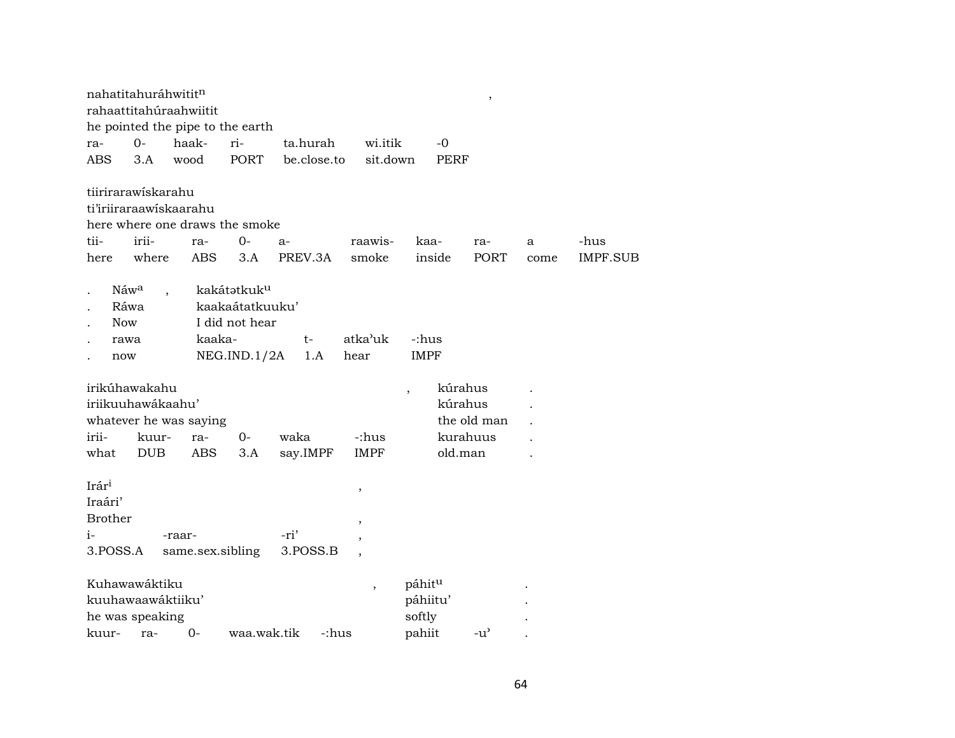| nahatitahuráhwititn |            | rahaattitahúraahwiitit           |                         |             |                          |                           | $^\mathrm{,}$ |      |                 |
|---------------------|------------|----------------------------------|-------------------------|-------------|--------------------------|---------------------------|---------------|------|-----------------|
|                     |            | he pointed the pipe to the earth |                         |             |                          |                           |               |      |                 |
| ra-                 | $0-$       | haak-                            | ri-                     | ta.hurah    | wi.itik                  | -0                        |               |      |                 |
| <b>ABS</b>          | 3.A        | wood                             | <b>PORT</b>             | be.close.to | sit.down                 | <b>PERF</b>               |               |      |                 |
| tiirirarawiskarahu  |            |                                  |                         |             |                          |                           |               |      |                 |
|                     |            | ti'iriiraraawiskaarahu           |                         |             |                          |                           |               |      |                 |
|                     |            | here where one draws the smoke   |                         |             |                          |                           |               |      |                 |
| tii-                | irii-      | ra-                              | $0-$                    | $a-$        | raawis-                  | kaa-                      | ra-           | a    | -hus            |
| here                | where      | <b>ABS</b>                       | 3.A                     | PREV.3A     | smoke                    | inside                    | <b>PORT</b>   | come | <b>IMPF.SUB</b> |
| Náw <sup>a</sup>    |            |                                  | kakátətkuk <sup>u</sup> |             |                          |                           |               |      |                 |
| Ráwa                |            |                                  | kaakaátatkuuku'         |             |                          |                           |               |      |                 |
| <b>Now</b>          |            |                                  | I did not hear          |             |                          |                           |               |      |                 |
| rawa                |            | kaaka-                           |                         | $t-$        | atka'uk                  | -:hus                     |               |      |                 |
| now                 |            |                                  | NEG.ID.1/2A             | 1.A         | hear                     | <b>IMPF</b>               |               |      |                 |
| irikúhawakahu       |            |                                  |                         |             |                          | kúrahus<br>$\overline{ }$ |               |      |                 |
| iriikuuhawákaahu'   |            |                                  |                         |             |                          | kúrahus                   |               |      |                 |
|                     |            | whatever he was saying           |                         |             |                          |                           | the old man   |      |                 |
| irii-               | kuur-      | ra-                              | $O -$                   | waka        | -:hus                    |                           | kurahuus      |      |                 |
| what                | <b>DUB</b> | ABS                              | 3.A                     | say.IMPF    | <b>IMPF</b>              | old.man                   |               |      |                 |
| Irár <sup>i</sup>   |            |                                  |                         |             | $\, ,$                   |                           |               |      |                 |
| Iraári'             |            |                                  |                         |             |                          |                           |               |      |                 |
| <b>Brother</b>      |            |                                  |                         |             | $^\mathrm{,}$            |                           |               |      |                 |
| $i-$                |            | -raar-                           |                         | -ri'        |                          |                           |               |      |                 |
| 3.POSS.A            |            | same.sex.sibling                 |                         | 3.POSS.B    |                          |                           |               |      |                 |
| Kuhawawáktiku       |            |                                  |                         |             | $\overline{\phantom{a}}$ | páhitu                    |               |      |                 |
| kuuhawaawáktiiku'   |            |                                  |                         |             |                          | páhiitu'                  |               |      |                 |
| he was speaking     |            |                                  |                         |             |                          | softly                    |               |      |                 |
| kuur-               | ra-        | $0-$                             | waa.wak.tik             | -:hus       |                          | pahiit                    | $-u^{\prime}$ |      |                 |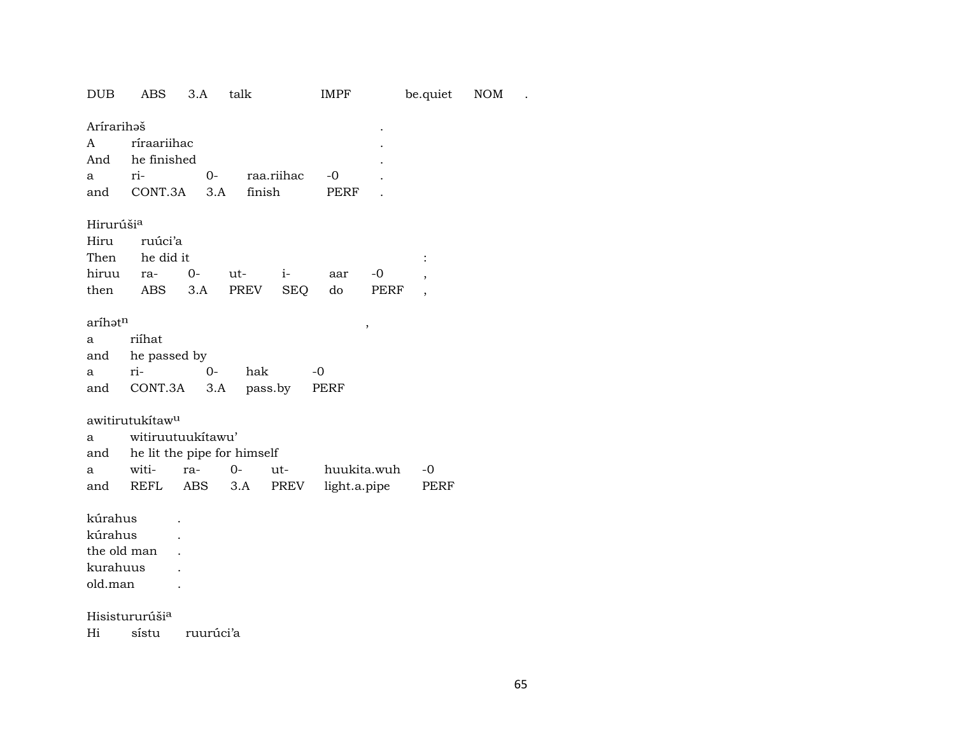| <b>DUB</b>                                               | <b>ABS</b>                                                                                              | 3.A          | talk         | <b>IMPF</b><br>be.quiet |                             |                     |                                    | <b>NOM</b> |  |
|----------------------------------------------------------|---------------------------------------------------------------------------------------------------------|--------------|--------------|-------------------------|-----------------------------|---------------------|------------------------------------|------------|--|
| Arírarihaš<br>A<br>And<br>a<br>and                       | ríraariihac<br>he finished<br>ri-<br>CONT.3A                                                            | 0-<br>3.A    | finish       | raa.riihac              | $-0$<br>PERF                |                     |                                    |            |  |
| Hirurúši <sup>a</sup><br>Hiru<br>Then<br>hiruu<br>then   | ruúci'a<br>he did it<br>ra-<br>ABS                                                                      | $O -$<br>3.A | ut-<br>PREV  | $i-$<br><b>SEQ</b>      | aar<br>do                   | $-0$<br>PERF        | $\, ,$<br>$\overline{\phantom{a}}$ |            |  |
| aríhət <sup>n</sup><br>a<br>and<br>a<br>and              | riíhat<br>he passed by<br>ri-<br>CONT.3A                                                                | $0-$<br>3.A  | hak          | pass.by                 | $-0$<br>PERF                | $\pmb{\mathcal{I}}$ |                                    |            |  |
| a<br>and<br>a<br>and                                     | awitirutukítaw <sup>u</sup><br>witiruutuukítawu'<br>he lit the pipe for himself<br>witi-<br><b>REFL</b> | ra-<br>ABS   | $O -$<br>3.A | ut-<br>PREV             | huukita.wuh<br>light.a.pipe |                     | -0<br>PERF                         |            |  |
| kúrahus<br>kúrahus<br>the old man<br>kurahuus<br>old.man |                                                                                                         |              |              |                         |                             |                     |                                    |            |  |
| Hi                                                       | Hisistururúši <sup>a</sup><br>sístu                                                                     | ruurúci'a    |              |                         |                             |                     |                                    |            |  |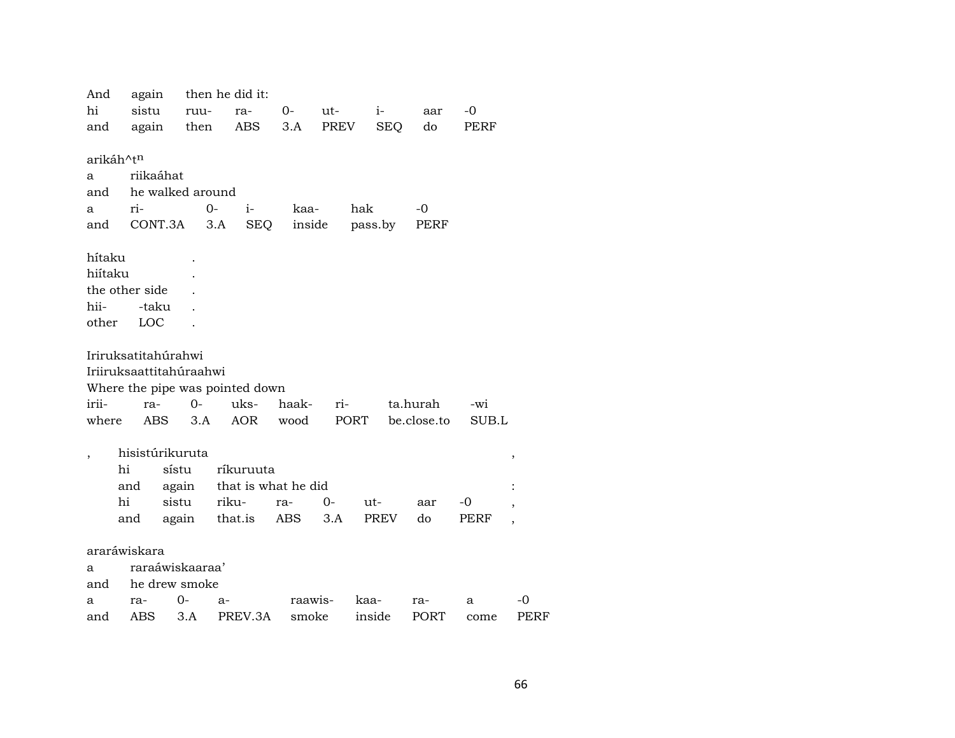And again then he did it: hi sistu ruura- $0$ ut $i -0$ aar again then **ABS**  $3.A$ PREV **SEQ**  $d<sub>o</sub>$ **PERF** and arikáh^t<sup>n</sup> riikaáhat  $\mathbf{a}$ he walked around and ri- $0$  $i$ kaahak  $-0$  $\mathbf{a}$ and CONT.3A 3.A SEQ inside pass.by **PERF** hítaku hiítaku  $\mathbf{r}$ the other side  $\ddot{\phantom{a}}$ hii--taku  $\sim$ other LOC  $\ddot{\phantom{a}}$ Iriruksatitahúrahwi Iriiruksaattitahúraahwi Where the pipe was pointed down iriiuks- $0$ rita.hurah -wi rahaak- $3.A$ where ABS AOR wood **PORT** be.close.to SUB.L hisistúrikuruta  $\, ,$ ríkuruuta hi sístu and again that is what he did  $\cdot$ hi sistu rikura- $O<sub>-</sub>$  $-0$ utaar and again that.is ABS  $3.A$ PREV  $d<sub>o</sub>$ **PERF**  $\ddot{\phantom{a}}$ araráwiskara raraáwiskaaraa'  $\mathbf{a}$ he drew smoke and  $\mathbf{a}$ ra- $0$  $a$ raawiskaara- $\mathbf{a}$  $-0$ 3.A PREV.3A **PERF** ABS smoke inside **PORT** and come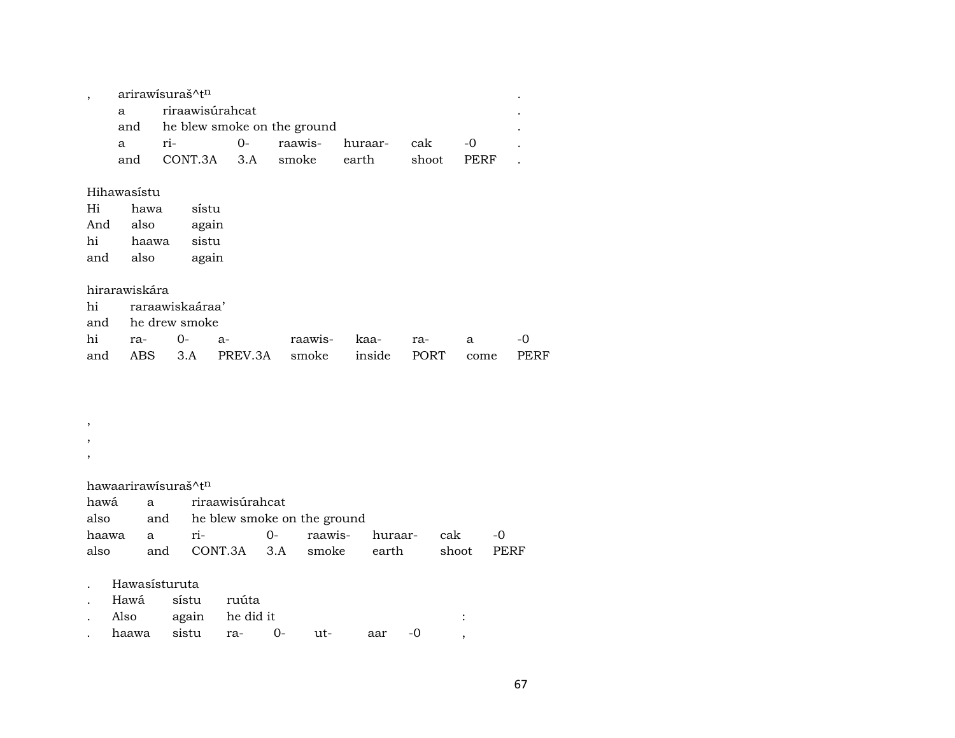| arirawisuraš^tn                 |                         |  |  |                    |       |       |  |  |  |  |  |
|---------------------------------|-------------------------|--|--|--------------------|-------|-------|--|--|--|--|--|
| $\mathbf{a}$                    | riraawisúrahcat         |  |  |                    |       |       |  |  |  |  |  |
| and he blew smoke on the ground |                         |  |  |                    |       |       |  |  |  |  |  |
| a.                              | $ri-$                   |  |  | 0- raawis- huraar- | cak   | $-()$ |  |  |  |  |  |
| and                             | CONT.3A 3.A smoke earth |  |  |                    | shoot | PERF  |  |  |  |  |  |

### Hihawasístu

| Hi  | hawa  | sístu |
|-----|-------|-------|
| And | also  | again |
| hi  | haawa | sistu |
| and | also  | again |

## hirarawiskára

| hi raraawiskaáraa' |  |                                                 |  |  |  |  |  |  |  |  |  |
|--------------------|--|-------------------------------------------------|--|--|--|--|--|--|--|--|--|
| and he drew smoke  |  |                                                 |  |  |  |  |  |  |  |  |  |
|                    |  | hi ra- 0- a-   raawis- kaa- ra-  a              |  |  |  |  |  |  |  |  |  |
|                    |  | and ABS 3.A PREV.3A smoke inside PORT come PERF |  |  |  |  |  |  |  |  |  |

#### ,

- ,
- ,

## hawaarirawísuraš^tn

|  |                                       | hawá a riraawisúrahcat               |  |  |         |       |  |  |  |  |
|--|---------------------------------------|--------------------------------------|--|--|---------|-------|--|--|--|--|
|  |                                       | also and he blew smoke on the ground |  |  |         |       |  |  |  |  |
|  | haawa a ri-    O- raawis- huraar- cak |                                      |  |  |         | $-()$ |  |  |  |  |
|  | also and CONT.3A 3.A smoke earth      |                                      |  |  | shoot s | PERF  |  |  |  |  |

## . Hawasísturuta

- . Hawá sístu ruúta
- . Also again he did it :
- . haawa sistu ra- 0- ut- aar -0 ,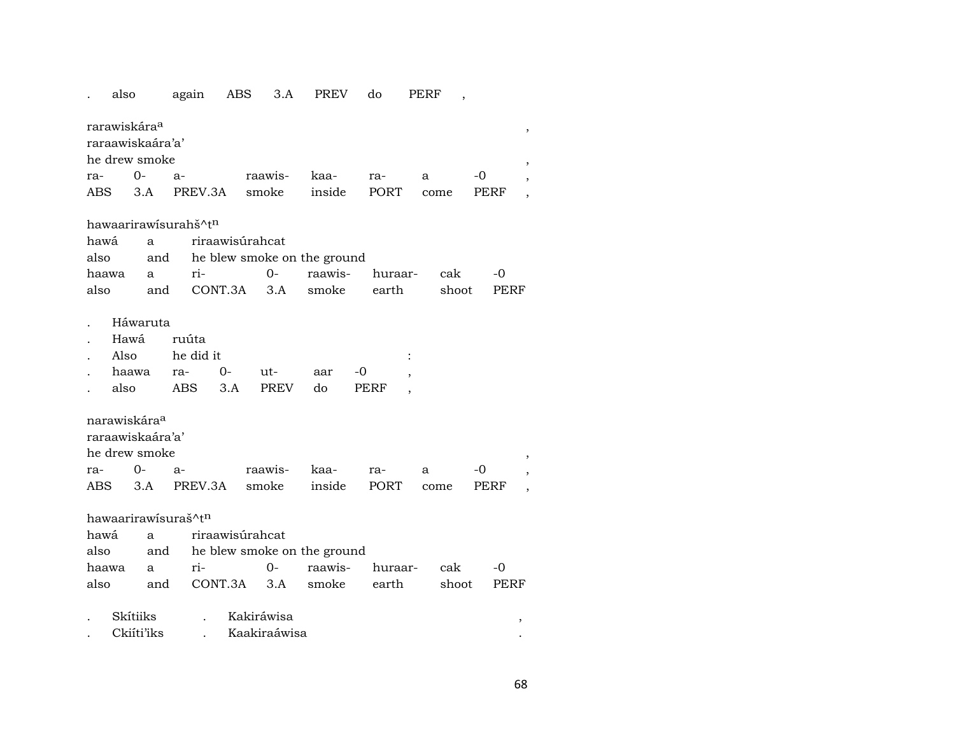## . also again ABS 3.A PREV do PERF ,

|                      | rarawiskára <sup>a</sup> |                               |         |      |     |      |       |  |  |  |  |
|----------------------|--------------------------|-------------------------------|---------|------|-----|------|-------|--|--|--|--|
|                      | raraawiskaára'a'         |                               |         |      |     |      |       |  |  |  |  |
| he drew smoke        |                          |                               |         |      |     |      |       |  |  |  |  |
| ra-                  | $O-$                     | - a-                          | raawis- | kaa- | ra- | a    | $-()$ |  |  |  |  |
| ABS                  |                          | 3.A PREV.3A smoke inside PORT |         |      |     | come | PERF  |  |  |  |  |
|                      |                          |                               |         |      |     |      |       |  |  |  |  |
| hawaarirawisurahš^tn |                          |                               |         |      |     |      |       |  |  |  |  |

|  |                                             | hawá a riraawisúrahcat               |  |  |  |  |  |  |  |  |
|--|---------------------------------------------|--------------------------------------|--|--|--|--|--|--|--|--|
|  |                                             | also and he blew smoke on the ground |  |  |  |  |  |  |  |  |
|  | haawa a ri-   O- raawis- huraar- cak -0     |                                      |  |  |  |  |  |  |  |  |
|  | also and CONT.3A 3.A smoke earth shoot PERF |                                      |  |  |  |  |  |  |  |  |

- . Háwaruta
- . Hawá ruúta

| $\mathbf{L}$               |                            | Also he did it |                           |  |  |  |  |
|----------------------------|----------------------------|----------------|---------------------------|--|--|--|--|
| $\mathcal{L}^{\text{max}}$ | haawa ra-  0-  ut-  aar -0 |                |                           |  |  |  |  |
|                            |                            |                | also ABS 3.A PREV do PERF |  |  |  |  |

narawiskára°

| raraawiskaára'a' |  |
|------------------|--|
|                  |  |
|                  |  |
|                  |  |

| he drew smoke |  |                                              |  |  |  |  |  |  |  |
|---------------|--|----------------------------------------------|--|--|--|--|--|--|--|
|               |  | ra- 0- a- raawis- kaa- ra- a -0 ,            |  |  |  |  |  |  |  |
|               |  | ABS 3.A PREV.3A smoke inside PORT come PERF, |  |  |  |  |  |  |  |

hawaarirawísuraš^t<sup>n</sup>

|  |                                             | hawá a riraawisúrahcat               |  |  |  |  |  |  |  |  |
|--|---------------------------------------------|--------------------------------------|--|--|--|--|--|--|--|--|
|  |                                             | also and he blew smoke on the ground |  |  |  |  |  |  |  |  |
|  | haawa a ri-   0- raawis- huraar- cak -0     |                                      |  |  |  |  |  |  |  |  |
|  | also and CONT.3A 3.A smoke earth shoot PERF |                                      |  |  |  |  |  |  |  |  |

| Skítiiks   | Kakirawisa   |  |
|------------|--------------|--|
| Ckiíti'iks | Kaakiraáwisa |  |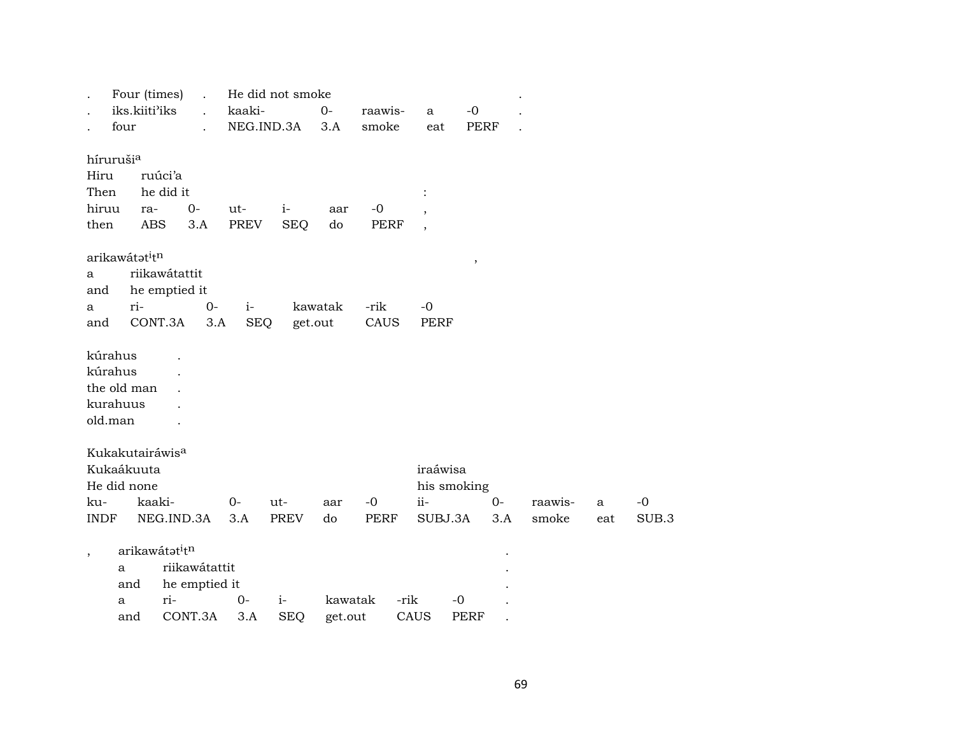| $\ddot{\phantom{0}}$                          | Four (times)                           | $\ddot{\phantom{a}}$ | He did not smoke |             |         |             |                |             |     |         |     |
|-----------------------------------------------|----------------------------------------|----------------------|------------------|-------------|---------|-------------|----------------|-------------|-----|---------|-----|
|                                               | iks.kiiti'iks                          | $\mathbf{r}$         | kaaki-           |             | $0-$    | raawis-     | a              | $-0$        |     |         |     |
| four                                          |                                        |                      | NEG.IND.3A       |             | 3.A     | smoke       | eat            | <b>PERF</b> |     |         |     |
| hírurušia                                     |                                        |                      |                  |             |         |             |                |             |     |         |     |
| Hiru                                          | ruúci'a                                |                      |                  |             |         |             |                |             |     |         |     |
| Then                                          | he did it                              |                      |                  |             |         |             | $\ddot{\cdot}$ |             |     |         |     |
| hiruu                                         | ra-                                    | $0-$                 | ut-              | $i-$        | aar     | $-0$        |                |             |     |         |     |
| then                                          | ABS                                    | 3.A                  | PREV             | <b>SEQ</b>  | do      | PERF        |                |             |     |         |     |
| arikawátat <sup>i</sup> t <sup>n</sup>        |                                        |                      |                  |             |         |             |                | $\, ,$      |     |         |     |
| a                                             | riikawátattit                          |                      |                  |             |         |             |                |             |     |         |     |
| and                                           | he emptied it                          |                      |                  |             |         |             |                |             |     |         |     |
| a                                             | ri-                                    | $0-$                 | $i-$             |             | kawatak | -rik        | $-0$           |             |     |         |     |
| and                                           | CONT.3A                                | 3.A                  | <b>SEQ</b>       |             | get.out | CAUS        | <b>PERF</b>    |             |     |         |     |
| kúrahus<br>the old man<br>kurahuus<br>old.man |                                        |                      |                  |             |         |             |                |             |     |         |     |
|                                               | Kukakutairáwis <sup>a</sup>            |                      |                  |             |         |             |                |             |     |         |     |
| Kukaákuuta                                    |                                        |                      |                  |             |         |             | iraáwisa       |             |     |         |     |
| He did none                                   |                                        |                      |                  |             |         |             | his smoking    |             |     |         |     |
| ku-                                           | kaaki-                                 |                      | $O -$            | $ut -$      | aar     | $-0$        | $ii -$         | $0-$        |     | raawis- | a   |
| <b>INDF</b>                                   |                                        | NEG.IND.3A           | 3.A              | <b>PREV</b> | do      | <b>PERF</b> | SUBJ.3A        |             | 3.A | smoke   | eat |
| $\overline{\phantom{a}}$                      | arikawátat <sup>i</sup> t <sup>n</sup> |                      |                  |             |         |             |                |             |     |         |     |
| a                                             |                                        | riikawátattit        |                  |             |         |             |                |             |     |         |     |
|                                               | and                                    | he emptied it        |                  |             |         |             |                |             |     |         |     |
| a                                             | ri-                                    |                      | $0-$             | $i-$        | kawatak | -rik        |                | -0          |     |         |     |
|                                               | and                                    | CONT.3A              | 3.A              | <b>SEQ</b>  | get.out |             | CAUS           | PERF        |     |         |     |

 $-0$ SUB.3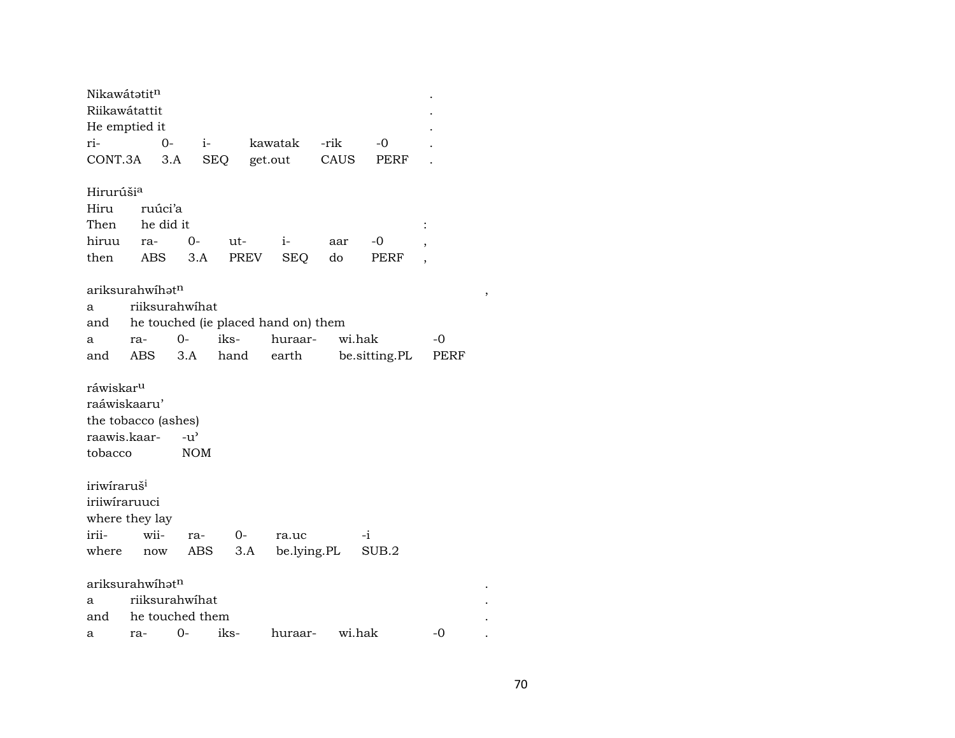|                                            | Nikawátatitn<br>Riikawátattit |                 |            |             |        |               |      |   |  |  |  |  |
|--------------------------------------------|-------------------------------|-----------------|------------|-------------|--------|---------------|------|---|--|--|--|--|
|                                            | He emptied it                 |                 |            |             |        |               |      |   |  |  |  |  |
| ri-                                        |                               | $0-$<br>$i-$    |            | kawatak     | -rik   | $-0$          |      |   |  |  |  |  |
| CONT.3A                                    |                               | 3.A             | <b>SEQ</b> | get.out     | CAUS   | PERF          |      |   |  |  |  |  |
|                                            |                               |                 |            |             |        |               |      |   |  |  |  |  |
| Hirurúši <sup>a</sup>                      |                               |                 |            |             |        |               |      |   |  |  |  |  |
| ruúci'a<br>Hiru                            |                               |                 |            |             |        |               |      |   |  |  |  |  |
| Then                                       | he did it                     |                 |            |             |        |               |      |   |  |  |  |  |
| hiruu                                      | ra-                           | $0-$            | ut-        | $i-$        | aar    | -0            |      |   |  |  |  |  |
| then                                       | <b>ABS</b>                    | 3.A             | PREV       | <b>SEQ</b>  | do     | PERF          |      |   |  |  |  |  |
|                                            |                               |                 |            |             |        |               |      |   |  |  |  |  |
|                                            | ariksurahwihət <sup>n</sup>   |                 |            |             |        |               |      | , |  |  |  |  |
| riiksurahwihat<br>a                        |                               |                 |            |             |        |               |      |   |  |  |  |  |
| he touched (ie placed hand on) them<br>and |                               |                 |            |             |        |               |      |   |  |  |  |  |
| a                                          | ra-                           | $O -$           | iks-       | huraar-     | wi.hak |               | -0   |   |  |  |  |  |
| and                                        | ABS.                          | 3.A             | hand       | earth       |        | be.sitting.PL | PERF |   |  |  |  |  |
| ráwiskar <sup>u</sup>                      |                               |                 |            |             |        |               |      |   |  |  |  |  |
|                                            | raáwiskaaru'                  |                 |            |             |        |               |      |   |  |  |  |  |
|                                            | the tobacco (ashes)           |                 |            |             |        |               |      |   |  |  |  |  |
|                                            | raawis.kaar-                  | $-u^{\prime}$   |            |             |        |               |      |   |  |  |  |  |
| tobacco                                    |                               | <b>NOM</b>      |            |             |        |               |      |   |  |  |  |  |
|                                            |                               |                 |            |             |        |               |      |   |  |  |  |  |
| iriwiraruš <sup>i</sup>                    |                               |                 |            |             |        |               |      |   |  |  |  |  |
| iriiwiraruuci                              |                               |                 |            |             |        |               |      |   |  |  |  |  |
|                                            | where they lay                |                 |            |             |        |               |      |   |  |  |  |  |
| irii-                                      | wii-                          | ra-             | $0-$       | ra.uc       |        | -i            |      |   |  |  |  |  |
| where                                      | now                           | ABS             | 3.A        | be.lying.PL |        | SUB.2         |      |   |  |  |  |  |
|                                            |                               |                 |            |             |        |               |      |   |  |  |  |  |
|                                            | ariksurahwihat <sup>n</sup>   |                 |            |             |        |               |      |   |  |  |  |  |
| riiksurahwihat<br>a                        |                               |                 |            |             |        |               |      |   |  |  |  |  |
| and                                        |                               | he touched them |            |             |        |               |      |   |  |  |  |  |
| a                                          | ra-                           | $0-$            | iks-       | huraar-     | wi.hak |               | $-0$ |   |  |  |  |  |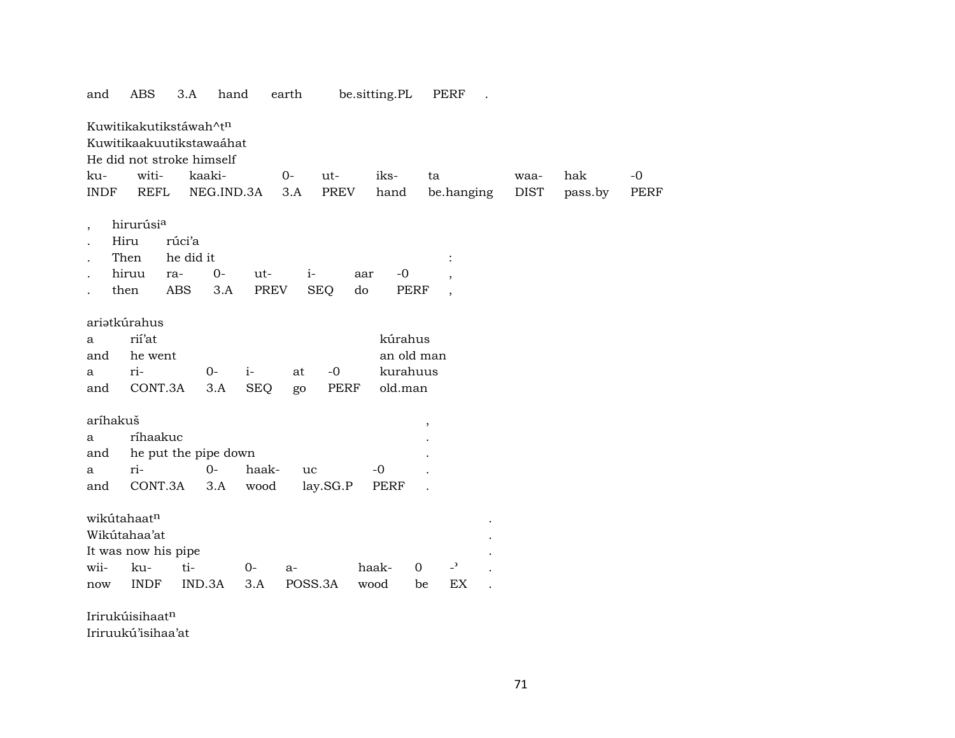| and                      | ABS                       | 3.A        | hand       |            | earth   |             |     | be.sitting.PL |               | PERF                     |             |         |             |
|--------------------------|---------------------------|------------|------------|------------|---------|-------------|-----|---------------|---------------|--------------------------|-------------|---------|-------------|
|                          | Kuwitikakutikstáwah^tn    |            |            |            |         |             |     |               |               |                          |             |         |             |
|                          | Kuwitikaakuutikstawaáhat  |            |            |            |         |             |     |               |               |                          |             |         |             |
|                          | He did not stroke himself |            |            |            |         |             |     |               |               |                          |             |         |             |
| ku-                      | witi-                     |            | kaaki-     |            | 0-      | ut-         |     | iks-          | ta            |                          | waa-        | hak     | $-0$        |
| <b>INDF</b>              | <b>REFL</b>               |            | NEG.IND.3A |            | 3.A     | PREV        |     | hand          |               | be.hanging               | <b>DIST</b> | pass.by | <b>PERF</b> |
| $\overline{\phantom{a}}$ | hirurúsi <sup>a</sup>     |            |            |            |         |             |     |               |               |                          |             |         |             |
|                          | Hiru                      | rúci'a     |            |            |         |             |     |               |               |                          |             |         |             |
|                          | Then                      | he did it  |            |            |         |             |     |               |               |                          |             |         |             |
|                          | hiruu                     | ra-        | $0-$       | ut-        | $i-$    |             | aar | $-0$          |               |                          |             |         |             |
|                          | then                      | <b>ABS</b> | 3.A        | PREV       |         | <b>SEQ</b>  | do  |               | <b>PERF</b>   | $\overline{\phantom{a}}$ |             |         |             |
|                          | ariatkúrahus              |            |            |            |         |             |     |               |               |                          |             |         |             |
| a                        | rii'at                    |            |            |            |         |             |     | kúrahus       |               |                          |             |         |             |
| and                      | he went                   |            |            |            |         |             |     | an old man    |               |                          |             |         |             |
| а                        | ri-                       |            | $0-$       | $i-$       | at      | $-0$        |     | kurahuus      |               |                          |             |         |             |
| and                      | CONT.3A                   |            | 3.A        | <b>SEQ</b> | go      | <b>PERF</b> |     | old.man       |               |                          |             |         |             |
|                          |                           |            |            |            |         |             |     |               |               |                          |             |         |             |
| aríhakuš                 |                           |            |            |            |         |             |     |               | $^\mathrm{,}$ |                          |             |         |             |
| a                        | ríhaakuc                  |            |            |            |         |             |     |               |               |                          |             |         |             |
| and                      | he put the pipe down      |            |            |            |         |             |     |               |               |                          |             |         |             |
| a                        | ri-                       |            | $0-$       | haak-      | uc      |             |     | -0            |               |                          |             |         |             |
| and                      | CONT.3A                   |            | 3.A        | wood       |         | lay.SG.P    |     | PERF          |               |                          |             |         |             |
|                          | wikutahaatn               |            |            |            |         |             |     |               |               |                          |             |         |             |
|                          | Wikútahaa'at              |            |            |            |         |             |     |               |               |                          |             |         |             |
|                          | It was now his pipe       |            |            |            |         |             |     |               |               |                          |             |         |             |
| wii-                     | ku-                       | ti-        |            | 0-         | $a-$    |             |     | haak-         | $\mathbf 0$   | $\overline{a}$           |             |         |             |
| now                      | <b>INDF</b>               |            | IND.3A     | 3.A        | POSS.3A |             |     | wood          | be            | EX                       |             |         |             |
|                          |                           |            |            |            |         |             |     |               |               |                          |             |         |             |

Irirukúisihaat¶

Iriruukú'isihaa'at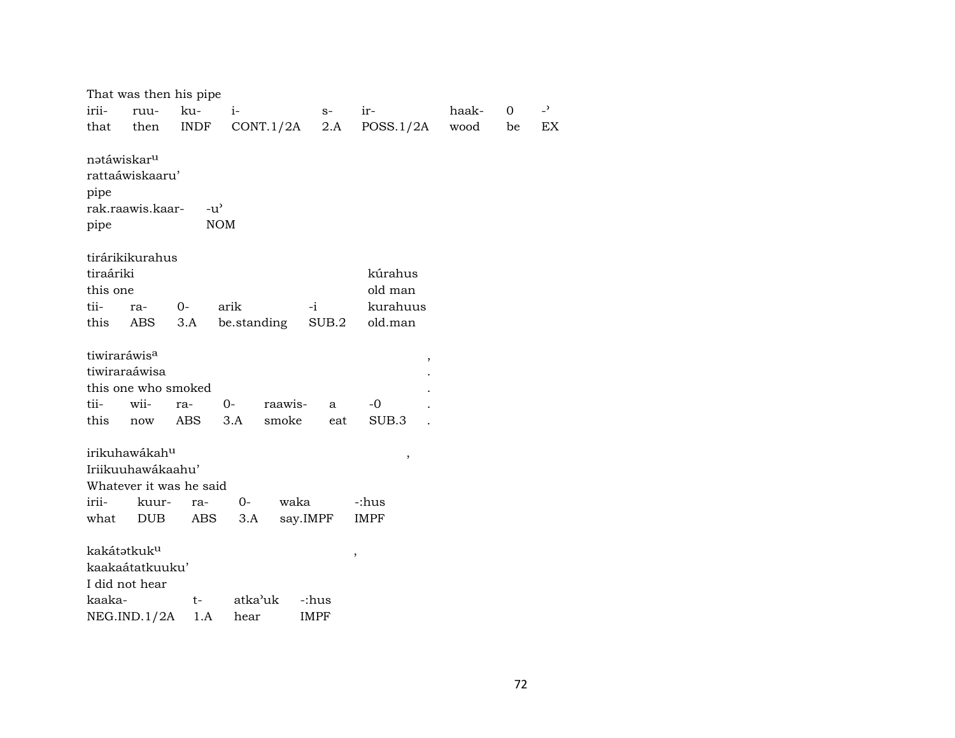|           |                                            | That was then his pipe              |             |              |             |        |      |    |                |
|-----------|--------------------------------------------|-------------------------------------|-------------|--------------|-------------|--------|------|----|----------------|
| irii-     | ruu-                                       | ku-                                 | $i-$        | $S-$         | ir-         |        |      | 0  | $\overline{a}$ |
| that      | then                                       | <b>INDF</b>                         | CONT.1/2A   | 2.A          | POSS.1/2A   |        | wood | be | EX             |
|           | natáwiskar <sup>u</sup><br>rattaáwiskaaru' |                                     |             |              |             |        |      |    |                |
| pipe      |                                            |                                     |             |              |             |        |      |    |                |
|           | rak.raawis.kaar-                           | $-u$ <sup><math>\prime</math></sup> |             |              |             |        |      |    |                |
| pipe      |                                            |                                     | <b>NOM</b>  |              |             |        |      |    |                |
|           | tirárikikurahus                            |                                     |             |              |             |        |      |    |                |
| tiraáriki |                                            |                                     |             |              | kúrahus     |        |      |    |                |
| this one  |                                            |                                     |             |              | old man     |        |      |    |                |
| tii-      | ra-                                        | 0-                                  | arik        | $-i$         | kurahuus    |        |      |    |                |
| this      | ABS                                        | 3.A                                 | be.standing | SUB.2        | old.man     |        |      |    |                |
|           |                                            |                                     |             |              |             |        |      |    |                |
|           | tiwiraráwis <sup>a</sup>                   |                                     |             |              |             | ,      |      |    |                |
|           | tiwiraraáwisa                              |                                     |             |              |             |        |      |    |                |
|           |                                            | this one who smoked                 |             |              |             |        |      |    |                |
| tii-      | wii-                                       | ra-                                 | $0-$        | raawis-<br>a | $-0$        |        |      |    |                |
| this      | now                                        | ABS                                 | 3.A         | smoke<br>eat | SUB.3       |        |      |    |                |
|           | irikuhawákah <sup>u</sup>                  |                                     |             |              |             |        |      |    |                |
|           | Iriikuuhawákaahu'                          |                                     |             |              |             | $\, ,$ |      |    |                |
|           |                                            | Whatever it was he said             |             |              |             |        |      |    |                |
| irii-     | kuur-                                      | ra-                                 | $O -$       | waka         | -:hus       |        |      |    |                |
| what      | DUB                                        | ABS                                 | 3.A         | say.IMPF     | <b>IMPF</b> |        |      |    |                |
|           |                                            |                                     |             |              |             |        |      |    |                |
|           | kakátatkuk <sup>u</sup>                    |                                     |             |              | $\,$        |        |      |    |                |
|           | kaakaátatkuuku'                            |                                     |             |              |             |        |      |    |                |
|           | I did not hear                             |                                     |             |              |             |        |      |    |                |
| kaaka-    |                                            | $t-$                                | atka'uk     | -:hus        |             |        |      |    |                |
|           | NEG.IND.1/2A                               | 1.A                                 | hear        | <b>IMPF</b>  |             |        |      |    |                |
|           |                                            |                                     |             |              |             |        |      |    |                |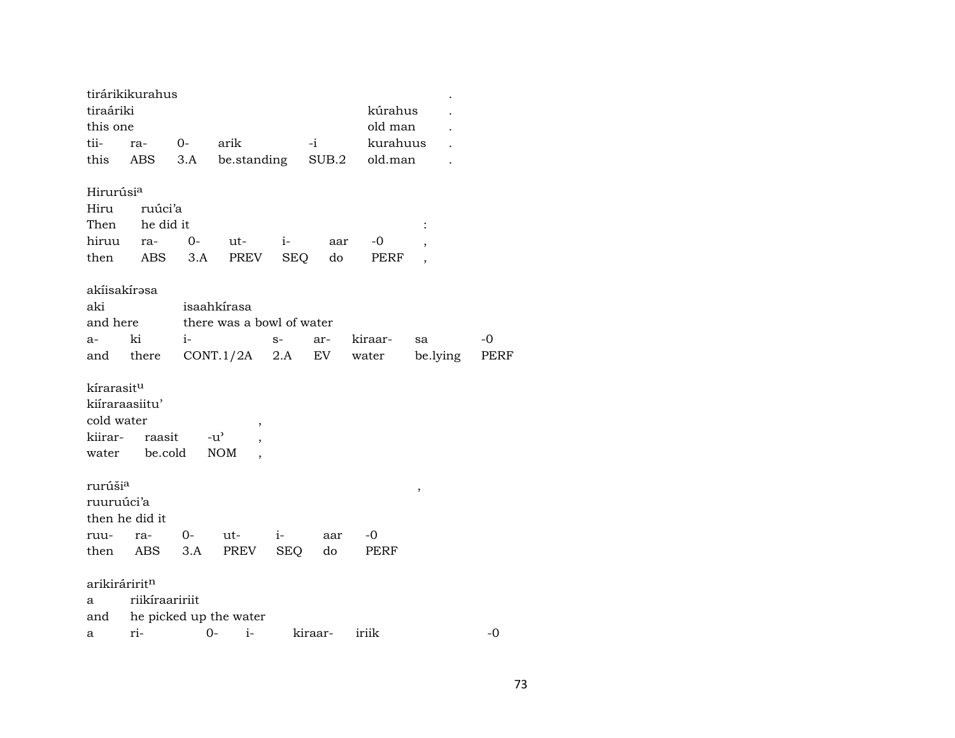|                           | tirárikikurahus |         |                           |      |              |          |          |      |
|---------------------------|-----------------|---------|---------------------------|------|--------------|----------|----------|------|
| tiraáriki                 |                 |         |                           |      |              | kúrahus  |          |      |
| this one                  |                 |         |                           |      |              | old man  |          |      |
| tii-                      | ra-             | 0- arik |                           |      | $-i$ and $i$ | kurahuus |          |      |
| this                      | ABS             | 3.A     | be.standing SUB.2         |      |              | old.man  |          |      |
| Hirurúsi <sup>a</sup>     |                 |         |                           |      |              |          |          |      |
| Hiru                      | ruúci'a         |         |                           |      |              |          |          |      |
| Then                      | he did it       |         |                           |      |              |          |          |      |
| hiruu                     | ra-             | $0-$    | ut-                       | $i-$ | aar          | -0       |          |      |
| then                      | ABS             | 3.A     | PREV                      | SEQ  | do           | PERF     |          |      |
| akíisakírəsa              |                 |         |                           |      |              |          |          |      |
| aki                       |                 |         | isaahkírasa               |      |              |          |          |      |
| and here                  |                 |         | there was a bowl of water |      |              |          |          |      |
| a-                        | ki              | $i-$    |                           | $S-$ | ar-          | kiraar-  | sa       | $-0$ |
| and                       | there           |         | CONT.1/2A                 | 2.A  | EV           | water    | be.lying | PERF |
|                           |                 |         |                           |      |              |          |          |      |
| kírarasitu                |                 |         |                           |      |              |          |          |      |
| kiíraraasiitu'            |                 |         |                           |      |              |          |          |      |
| cold water                |                 |         |                           |      |              |          |          |      |
|                           |                 |         | $-u^{\prime}$             |      |              |          |          |      |
|                           | kiirar- raasit  |         |                           |      |              |          |          |      |
|                           | water be.cold   |         | <b>NOM</b>                |      |              |          |          |      |
| rurúši <sup>a</sup>       |                 |         |                           |      |              |          | ,        |      |
| ruuruúci'a                |                 |         |                           |      |              |          |          |      |
|                           | then he did it  |         |                           |      |              |          |          |      |
| ruu-                      | ra-             | $0 -$   | ut-                       | $i-$ | aar          | $-0$     |          |      |
|                           | then ABS 3.A    |         | PREV                      | SEQ  | do           | PERF     |          |      |
|                           |                 |         |                           |      |              |          |          |      |
| arikiráririt <sup>n</sup> |                 |         |                           |      |              |          |          |      |
| a                         | riikíraaririit  |         |                           |      |              |          |          |      |
| and                       |                 |         | he picked up the water    |      |              |          |          |      |
| а                         | ri-             | $0-$    | $i-$                      |      | kiraar-      | iriik    |          | -0   |

73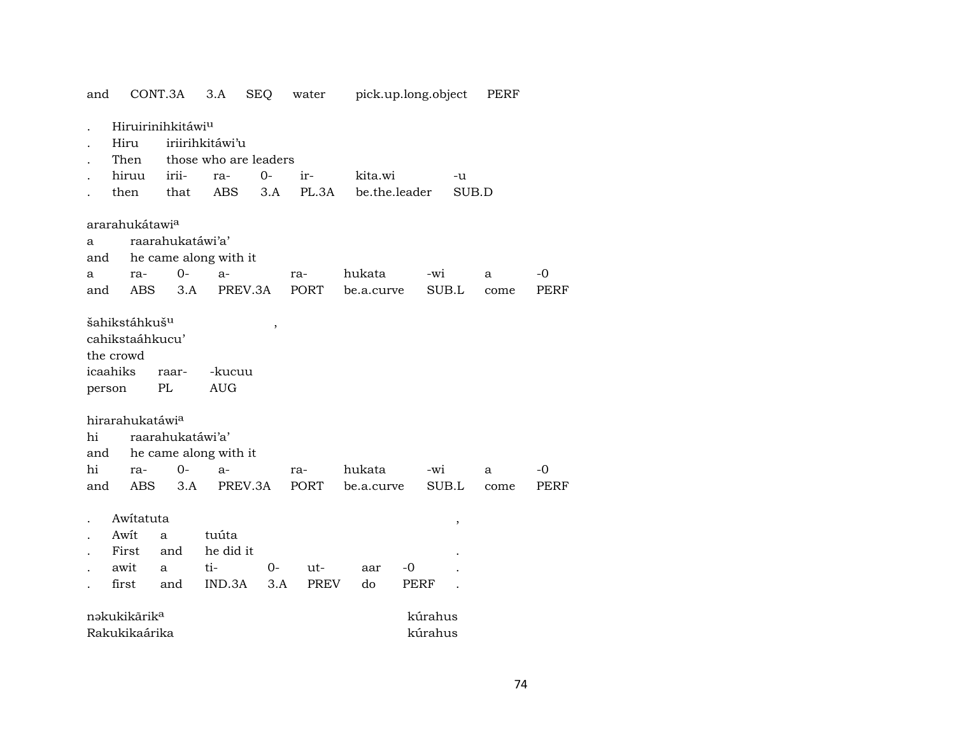| and    |                               | CONT.3A               | 3.A             | <b>SEQ</b>            | water       |               | pick.up.long.object | PERF  |             |
|--------|-------------------------------|-----------------------|-----------------|-----------------------|-------------|---------------|---------------------|-------|-------------|
|        | Hiruirinihkitáwi <sup>u</sup> |                       |                 |                       |             |               |                     |       |             |
|        | Hiru                          |                       | iriirihkitáwi'u |                       |             |               |                     |       |             |
|        | Then                          |                       |                 | those who are leaders |             |               |                     |       |             |
|        | hiruu                         | irii-                 | ra-             | $0-$                  | ir-         | kita.wi       | -u                  |       |             |
|        | then                          | that                  | ABS             | 3.A                   | PL.3A       | be.the.leader |                     | SUB.D |             |
|        | ararahukátawi <sup>a</sup>    |                       |                 |                       |             |               |                     |       |             |
| a      |                               | raarahukatáwi'a'      |                 |                       |             |               |                     |       |             |
| and    |                               | he came along with it |                 |                       |             |               |                     |       |             |
| а      | ra-                           | $0-$                  | $a-$            |                       | ra-         | hukata        | $-wi$               | a     | $-0$        |
| and    | ABS                           | 3.A                   |                 | PREV.3A               | PORT        | be.a.curve    | SUB.L               | come  | <b>PERF</b> |
|        | šahikstáhkuš <sup>u</sup>     |                       |                 | $\,$                  |             |               |                     |       |             |
|        | cahikstaáhkucu'               |                       |                 |                       |             |               |                     |       |             |
|        | the crowd                     |                       |                 |                       |             |               |                     |       |             |
|        | icaahiks                      | raar-                 | -kucuu          |                       |             |               |                     |       |             |
| person |                               | PL                    | <b>AUG</b>      |                       |             |               |                     |       |             |
|        | hirarahukatáwi <sup>a</sup>   |                       |                 |                       |             |               |                     |       |             |
| hi     |                               | raarahukatáwi'a'      |                 |                       |             |               |                     |       |             |
| and    |                               | he came along with it |                 |                       |             |               |                     |       |             |
| hi     | ra-                           | $0-$                  | $a-$            |                       | ra-         | hukata        | -wi                 | a     | -0          |
| and    | ABS                           | 3.A                   |                 | PREV.3A               | PORT        | be.a.curve    | SUB.L               | come  | <b>PERF</b> |
|        | Awitatuta                     |                       |                 |                       |             |               | ,                   |       |             |
|        | Awit                          | $\mathbf{a}$          | tuúta           |                       |             |               |                     |       |             |
|        | First                         | and                   | he did it       |                       |             |               |                     |       |             |
|        | awit                          | a                     | ti-             | $0-$                  | ut-         | aar           | -0                  |       |             |
|        | first                         | and                   | IND.3A          | 3.A                   | <b>PREV</b> | do            | PERF                |       |             |
|        | nəkukikārik <sup>a</sup>      |                       |                 |                       |             |               | kúrahus             |       |             |
|        | Rakukikaárika                 |                       |                 |                       |             |               | kúrahus             |       |             |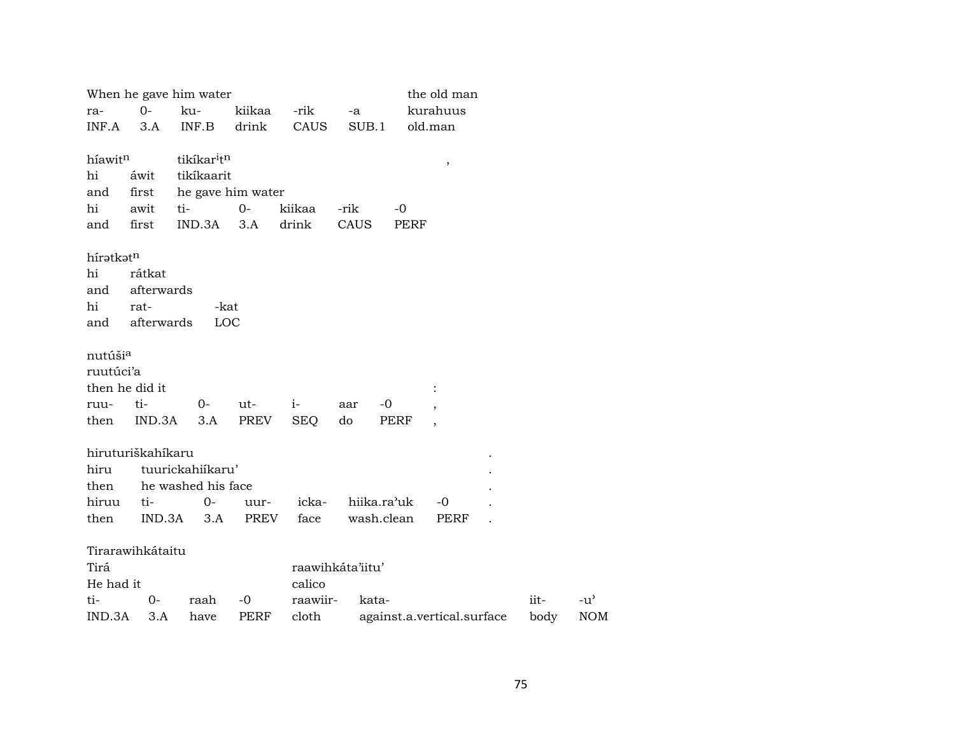|                     |                   | When he gave him water              |        |            |                  |             | the old man                |      |               |
|---------------------|-------------------|-------------------------------------|--------|------------|------------------|-------------|----------------------------|------|---------------|
| ra-                 | $O -$             | ku-                                 | kiikaa | -rik       | -a               |             | kurahuus                   |      |               |
| INF.A               | 3.A               | INF.B                               | drink  | CAUS       | SUB.1            |             | old.man                    |      |               |
|                     |                   |                                     |        |            |                  |             |                            |      |               |
| híawit <sup>n</sup> |                   | tikíkar <sup>i</sup> t <sup>n</sup> |        |            |                  |             | $^\mathrm{,}$              |      |               |
| hi                  | áwit              | tikíkaarit                          |        |            |                  |             |                            |      |               |
| and                 | first             | he gave him water                   |        |            |                  |             |                            |      |               |
| hi                  | awit              | ti-                                 | $0-$   | kiikaa     | -rik             | $-0$        |                            |      |               |
| and                 | first             | IND.3A                              | 3.A    | drink      | CAUS             | PERF        |                            |      |               |
|                     |                   |                                     |        |            |                  |             |                            |      |               |
| híratkatn           |                   |                                     |        |            |                  |             |                            |      |               |
| hi                  | rátkat            |                                     |        |            |                  |             |                            |      |               |
| and                 | afterwards        |                                     |        |            |                  |             |                            |      |               |
| hi                  | rat-              | -kat                                |        |            |                  |             |                            |      |               |
| and                 | afterwards        | LOC                                 |        |            |                  |             |                            |      |               |
| nutúši <sup>a</sup> |                   |                                     |        |            |                  |             |                            |      |               |
| ruutúci'a           |                   |                                     |        |            |                  |             |                            |      |               |
|                     | then he did it    |                                     |        |            |                  |             |                            |      |               |
| ruu-                | ti-               | $O-$                                | ut-    | $i-$       | -0<br>aar        |             |                            |      |               |
| then                | IND.3A            | 3.A                                 | PREV   | <b>SEQ</b> | do               | <b>PERF</b> |                            |      |               |
|                     |                   |                                     |        |            |                  |             |                            |      |               |
|                     | hiruturiškahíkaru |                                     |        |            |                  |             |                            |      |               |
| hiru                |                   | tuurickahiikaru'                    |        |            |                  |             |                            |      |               |
| then                |                   | he washed his face                  |        |            |                  |             |                            |      |               |
| hiruu               | ti-               | $O -$                               | uur-   | icka-      | hiika.ra'uk      |             | -0                         |      |               |
| then                | IND.3A            | 3.A                                 | PREV   | face       | wash.clean       |             | PERF                       |      |               |
|                     |                   |                                     |        |            |                  |             |                            |      |               |
|                     | Tirarawihkátaitu  |                                     |        |            |                  |             |                            |      |               |
| Tirá                |                   |                                     |        |            | raawihkáta'iitu' |             |                            |      |               |
| He had it           |                   |                                     |        | calico     |                  |             |                            |      |               |
| ti-                 | 0-                | raah                                | $-0$   | raawiir-   | kata-            |             |                            | iit- | $-u^{\prime}$ |
| IND.3A              | 3.A               | have                                | PERF   | cloth      |                  |             | against.a.vertical.surface | body | <b>NOM</b>    |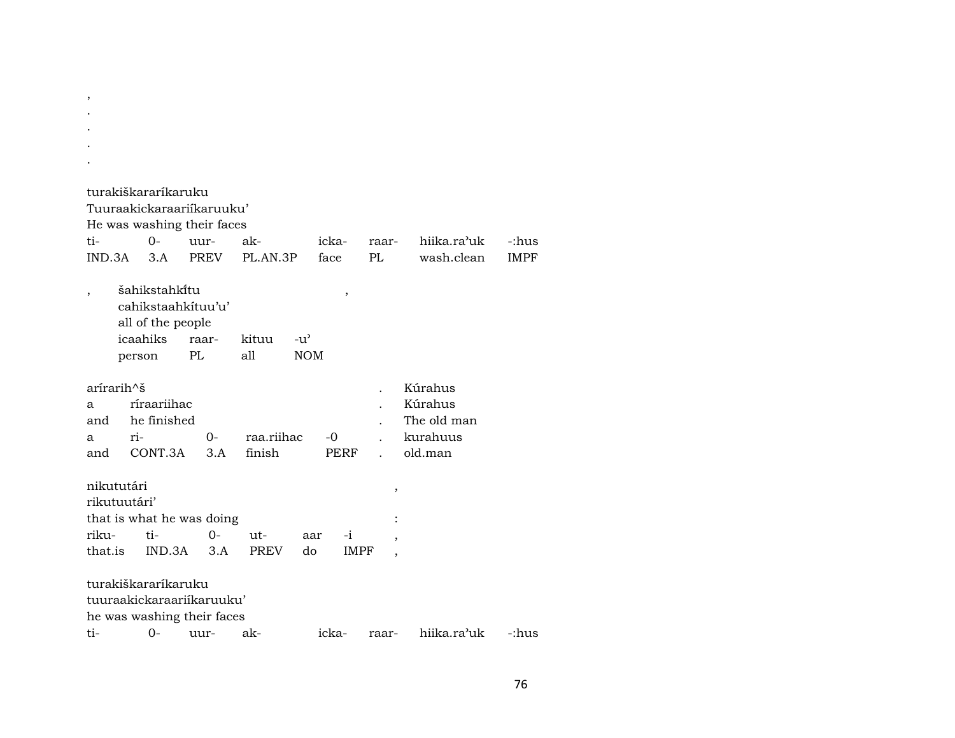| turakiškararíkaruku        |        |                                                            |    |       |             |               |       |             |                |                          |             |
|----------------------------|--------|------------------------------------------------------------|----|-------|-------------|---------------|-------|-------------|----------------|--------------------------|-------------|
| Tuuraakickaraariikaruuku'  |        |                                                            |    |       |             |               |       |             |                |                          |             |
| He was washing their faces |        |                                                            |    |       |             |               |       |             |                |                          |             |
| ti-                        |        | $0-$                                                       |    | uur-  | ak-         |               | icka- |             | raar-          | hiika.ra <sup>3</sup> uk | -:hus       |
| IND.3A                     |        | 3.A                                                        |    | PREV  | PL.AN.3P    |               | face  |             | PL             | wash.clean               | <b>IMPF</b> |
|                            |        | šahikstahki̇̃tu<br>cahikstaahkituu'u'<br>all of the people |    |       |             |               |       | $\,$        |                |                          |             |
|                            |        | icaahiks                                                   |    | raar- | kituu       | $-u^{\prime}$ |       |             |                |                          |             |
|                            | person |                                                            | PL |       | all         | <b>NOM</b>    |       |             |                |                          |             |
| arirarih^š                 |        |                                                            |    |       |             |               |       |             |                | Kúrahus                  |             |
| a                          |        | ríraariihac                                                |    |       |             |               |       |             |                | Kúrahus                  |             |
| and                        |        | he finished                                                |    |       |             |               |       |             |                | The old man              |             |
| a                          | ri-    |                                                            |    | $0-$  | raa.riihac  |               | -0    |             |                | kurahuus                 |             |
| and                        |        | CONT.3A                                                    |    | 3.A   | finish      |               |       | PERF        | $\overline{a}$ | old.man                  |             |
| nikututári                 |        |                                                            |    |       |             |               |       |             | ,              |                          |             |
| rikutuutári'               |        |                                                            |    |       |             |               |       |             |                |                          |             |
| that is what he was doing  |        |                                                            |    |       |             |               |       |             |                |                          |             |
| riku-                      |        | ti-                                                        |    | $0-$  | ut-         | aar           |       | $-i$        | $\overline{ }$ |                          |             |
| that.is                    |        | IND.3A                                                     |    | 3.A   | <b>PREV</b> | do            |       | <b>IMPF</b> |                |                          |             |
|                            |        |                                                            |    |       |             |               |       |             |                |                          |             |
| turakiškararíkaruku        |        |                                                            |    |       |             |               |       |             |                |                          |             |
| tuuraakickaraariikaruuku'  |        |                                                            |    |       |             |               |       |             |                |                          |             |
| he was washing their faces |        |                                                            |    |       |             |               |       |             |                |                          |             |
| ti-                        |        | $0-$                                                       |    | uur-  | ak-         |               | icka- |             | raar-          | hiika.ra'uk              | -:hus       |

, .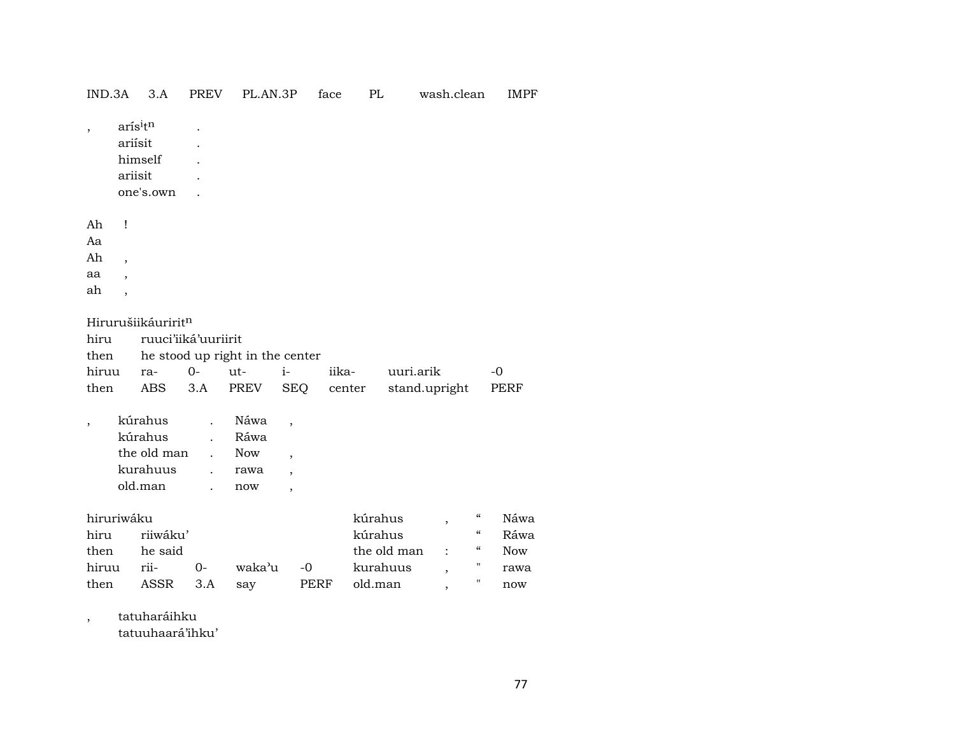| IND.3A                                                                                                              | 3.A                                                      | <b>PREV</b>                                                    | PL.AN.3P                                              |                                                                                                    | face            | PL                                                       | wash.clean                                                                                         | <b>IMPF</b>                                                                                                                       |  |
|---------------------------------------------------------------------------------------------------------------------|----------------------------------------------------------|----------------------------------------------------------------|-------------------------------------------------------|----------------------------------------------------------------------------------------------------|-----------------|----------------------------------------------------------|----------------------------------------------------------------------------------------------------|-----------------------------------------------------------------------------------------------------------------------------------|--|
| $\,$                                                                                                                | arísitn<br>ariísit<br>himself<br>ariisit<br>one's.own    |                                                                |                                                       |                                                                                                    |                 |                                                          |                                                                                                    |                                                                                                                                   |  |
| Ah<br>Ţ<br>Aa<br>Ah<br>$\overline{\phantom{a}}$<br>aa<br>$\overline{\phantom{a}}$<br>ah<br>$\overline{\phantom{a}}$ |                                                          |                                                                |                                                       |                                                                                                    |                 |                                                          |                                                                                                    |                                                                                                                                   |  |
| Hirurušiikáuriritn<br>hiru<br>then<br>hiruu<br>then                                                                 | ra-<br><b>ABS</b>                                        | ruuci'iiká'uuriirit<br>$0-$<br>3.A                             | he stood up right in the center<br>ut-<br><b>PREV</b> | $i-$<br><b>SEQ</b>                                                                                 | iika-<br>center |                                                          | uuri.arik<br>stand.upright                                                                         | $-0$<br><b>PERF</b>                                                                                                               |  |
| $\overline{\phantom{a}}$                                                                                            | kúrahus<br>kúrahus<br>the old man<br>kurahuus<br>old.man | $\ddot{\phantom{0}}$<br>$\overline{a}$<br>$\ddot{\phantom{a}}$ | Náwa<br>Ráwa<br><b>Now</b><br>rawa<br>now             | $\overline{\phantom{a}}$<br>$\overline{ }$<br>$\overline{\phantom{a}}$<br>$\overline{\phantom{a}}$ |                 |                                                          |                                                                                                    |                                                                                                                                   |  |
| hiruriwáku<br>hiru<br>then<br>hiruu<br>then                                                                         | riiwáku'<br>he said<br>rii-<br><b>ASSR</b>               | $0-$<br>3.A                                                    | waka'u<br>say                                         | $-0$<br>PERF                                                                                       |                 | kúrahus<br>kúrahus<br>the old man<br>kurahuus<br>old.man | $\overline{\phantom{a}}$<br>$\ddot{\cdot}$<br>$\overline{\phantom{a}}$<br>$\overline{\phantom{a}}$ | $\mathcal{C}\mathcal{C}$<br>Náwa<br>$\mathcal{C}\mathcal{C}$<br>Ráwa<br>$\epsilon\epsilon$<br><b>Now</b><br>п<br>rawa<br>п<br>now |  |

, tatuharáihku

tatuuhaará'ihku'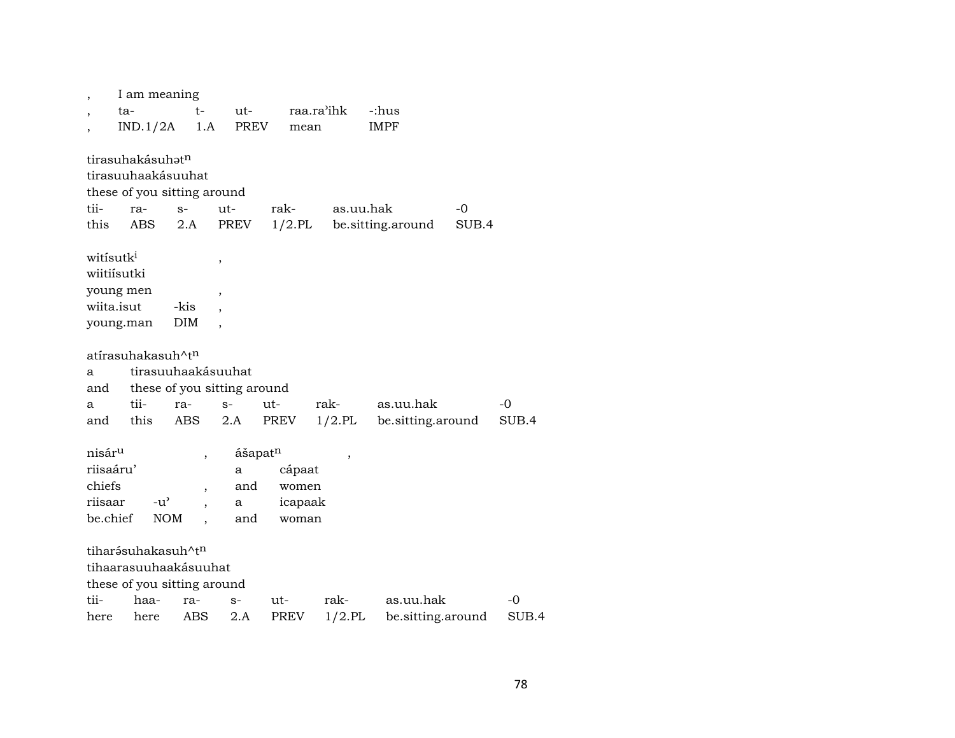| ,                                                                | I am meaning<br>ta-<br>IND.1/2A                                                                        | t-<br>1.A                                            | ut-<br><b>PREV</b>                         | mean                                | raa.ra'ihk        | -:hus<br><b>IMPF</b>           |             |             |
|------------------------------------------------------------------|--------------------------------------------------------------------------------------------------------|------------------------------------------------------|--------------------------------------------|-------------------------------------|-------------------|--------------------------------|-------------|-------------|
| tii-<br>this                                                     | tirasuhakásuhat <sup>n</sup><br>tirasuuhaakásuuhat<br>these of you sitting around<br>ra-<br><b>ABS</b> | $S-$<br>2.A                                          | ut-<br>PREV                                | rak-<br>$1/2.$ PL                   | as.uu.hak         | be.sitting.around              | -0<br>SUB.4 |             |
| witisutk <sup>i</sup><br>wiitiísutki<br>wiita.isut               | young men<br>young.man                                                                                 | -kis<br>DIM                                          | ,<br>,                                     |                                     |                   |                                |             |             |
| a<br>and<br>a<br>and                                             | atírasuhakasuh^t <sup>n</sup><br>tii-<br>this                                                          | tirasuuhaakásuuhat<br>ra-<br>ABS                     | these of you sitting around<br>$S-$<br>2.A | $ut-$<br>PREV                       | rak-<br>$1/2$ .PL | as.uu.hak<br>be sitting around |             | -0<br>SUB.4 |
| nisár <sup>u</sup><br>riisaáru'<br>chiefs<br>riisaar<br>be.chief | $-u^{\prime}$<br><b>NOM</b>                                                                            | $\overline{\phantom{a}}$<br>$\overline{\phantom{a}}$ | ášapatn<br>a<br>and<br>a<br>and            | cápaat<br>women<br>icapaak<br>woman | ,                 |                                |             |             |
| tii-<br>here                                                     | tiharásuhakasuh^tn<br>tihaarasuuhaakásuuhat<br>these of you sitting around<br>haa-<br>here             | ra-<br>ABS                                           | $S-$<br>2.A                                | ut-<br>PREV                         | rak-<br>$1/2$ .PL | as.uu.hak<br>be.sitting.around |             | -0<br>SUB.4 |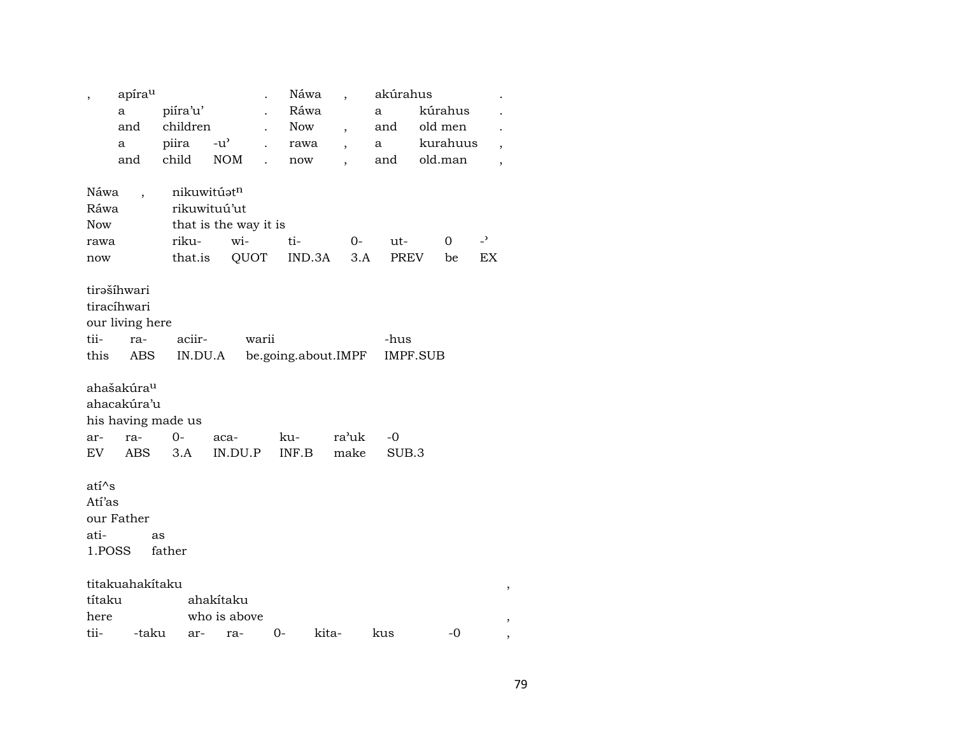| Ráwa<br>piíra'u'<br>kúrahus<br>a<br>a<br>children<br>and<br>old men<br>Now<br>and<br>$\overline{\phantom{a}}$<br>piira<br>$-u^{\prime}$<br>kurahuus<br>a<br>rawa<br>a<br>$\overline{\phantom{a}}$<br>child<br>NOM<br>old.man<br>and<br>and<br>now<br>$\overline{\phantom{a}}$ |                |
|-------------------------------------------------------------------------------------------------------------------------------------------------------------------------------------------------------------------------------------------------------------------------------|----------------|
|                                                                                                                                                                                                                                                                               |                |
|                                                                                                                                                                                                                                                                               |                |
|                                                                                                                                                                                                                                                                               |                |
|                                                                                                                                                                                                                                                                               | $\overline{ }$ |
|                                                                                                                                                                                                                                                                               |                |
| nikuwitúatn<br>Náwa                                                                                                                                                                                                                                                           |                |
| Ráwa<br>rikuwituú'ut                                                                                                                                                                                                                                                          |                |
| <b>Now</b><br>that is the way it is                                                                                                                                                                                                                                           |                |
| riku-<br>wi-<br>$\overline{\phantom{0}}$<br>ti-<br>$0-$<br>$\mathbf 0$<br>ut-<br>rawa                                                                                                                                                                                         |                |
| PREV<br>that.is<br>QUOT<br>IND.3A<br>3.A<br>be<br>now                                                                                                                                                                                                                         | EX             |
|                                                                                                                                                                                                                                                                               |                |
| tirəšíhwari                                                                                                                                                                                                                                                                   |                |
| tiracíhwari                                                                                                                                                                                                                                                                   |                |
| our living here                                                                                                                                                                                                                                                               |                |
| tii-<br>aciir-<br>warii<br>-hus<br>ra-                                                                                                                                                                                                                                        |                |
| this<br>ABS<br>IN.DU.A<br>be.going.about.IMPF<br><b>IMPF.SUB</b>                                                                                                                                                                                                              |                |
|                                                                                                                                                                                                                                                                               |                |
| ahašakúra <sup>u</sup>                                                                                                                                                                                                                                                        |                |
| ahacakúra'u                                                                                                                                                                                                                                                                   |                |
| his having made us                                                                                                                                                                                                                                                            |                |
| $0 -$<br>ra-<br>ku-<br>ra'uk<br>-0<br>aca-<br>ar-                                                                                                                                                                                                                             |                |
| 3.A<br>IN.DU.P<br>EV<br><b>ABS</b><br>INF.B<br>make<br>SUB.3                                                                                                                                                                                                                  |                |
|                                                                                                                                                                                                                                                                               |                |
| ati^s                                                                                                                                                                                                                                                                         |                |
| Atí'as                                                                                                                                                                                                                                                                        |                |
| our Father                                                                                                                                                                                                                                                                    |                |
| ati-<br>as                                                                                                                                                                                                                                                                    |                |
| 1.POSS<br>father                                                                                                                                                                                                                                                              |                |
|                                                                                                                                                                                                                                                                               |                |
|                                                                                                                                                                                                                                                                               |                |
|                                                                                                                                                                                                                                                                               |                |
| titakuahakítaku                                                                                                                                                                                                                                                               |                |
| ahakítaku<br>títaku<br>who is above<br>here                                                                                                                                                                                                                                   | ,              |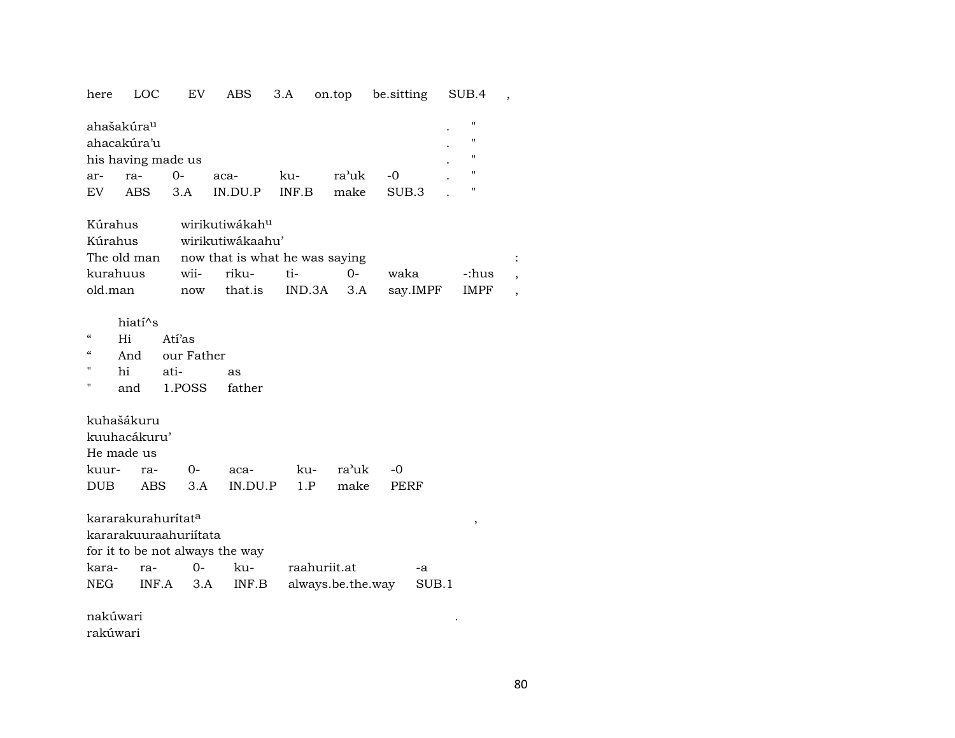| here LOC 1 |  |  | EV ABS 3.A on.top be.sitting SUB.4 |  |
|------------|--|--|------------------------------------|--|
|            |  |  |                                    |  |

|     | ahašakúra <sup>u</sup> |        |         |       |       |       | п |
|-----|------------------------|--------|---------|-------|-------|-------|---|
|     | ahacakúra'u            |        |         |       |       |       | " |
|     | his having made us     |        |         |       |       |       | п |
| ar- | ra-                    | $()$ - | aca-    | ku-   | ra'uk | -0    |   |
| EV  | ABS                    | 3.A    | IN DU P | INF.B | make  | SUB 3 |   |

| Kúrahus wirikutiwákah <sup>u</sup>         |  |                          |                                       |         |  |
|--------------------------------------------|--|--------------------------|---------------------------------------|---------|--|
| Kúrahus wirikutiwákaahu'                   |  |                          |                                       |         |  |
| The old man now that is what he was saying |  |                          |                                       |         |  |
| kurahuus                                   |  | wii- riku- ti-        0- | waka                                  | c:hus - |  |
| old.man                                    |  |                          | now that.is IND.3A 3.A say.IMPF IMPF, |         |  |

## hiatí $\wedge$ s

- Atí'as  $\pmb{\alpha}$  $Hi$
- $\pmb{\mathcal{C}}$ And our Father
- $\bar{\mathbf{u}}$  $hi$  $ati$ as
- 1.POSS father  $\mathbf{u}$ and

## kuhašákuru

| kuuhacákuru' |  |                                   |              |  |
|--------------|--|-----------------------------------|--------------|--|
| He made us   |  |                                   |              |  |
|              |  | аса-                              | ku- ra'uk -0 |  |
|              |  | DUB ABS 3.A IN.DU.P 1.P make PERF |              |  |

kararakurahurítat<sup>a</sup>

kararakuuraahuriitata

| for it to be not always the way |  |  |  |
|---------------------------------|--|--|--|
|---------------------------------|--|--|--|

|  |  | kara- ra- 0- ku- raahuriit.at               | —а |
|--|--|---------------------------------------------|----|
|  |  | NEG INF.A 3.A INF.B always.be.the.way SUB.1 |    |

nakúwari rakúwari

 $\overline{\phantom{a}}$ 

 $\langle \cdot \rangle$ 

 $\,$  ,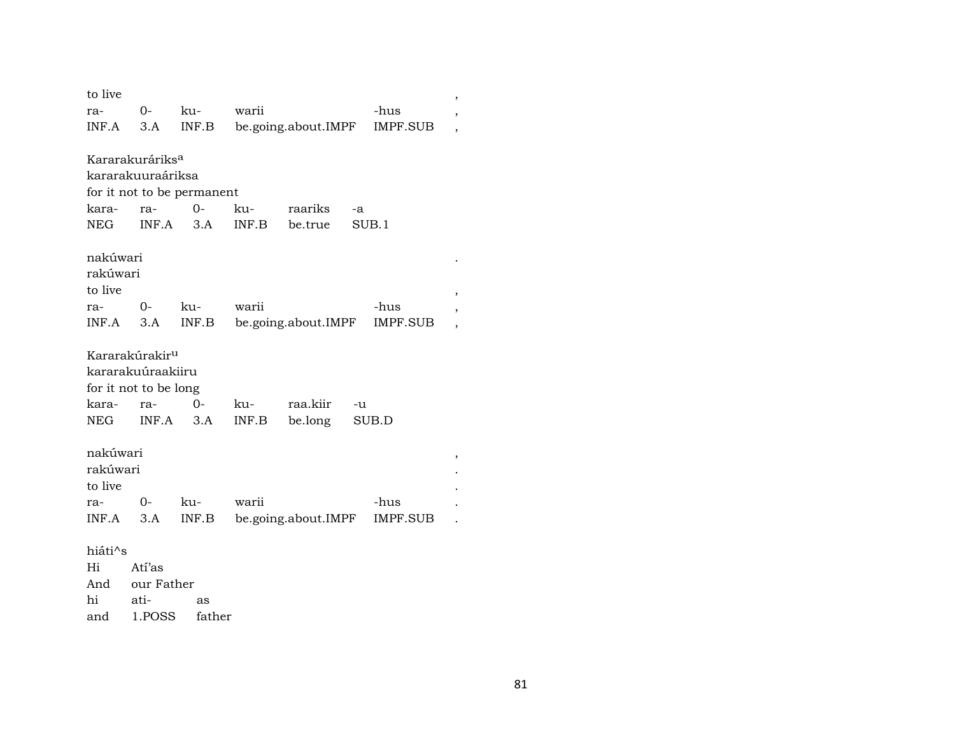| to live  |                             |                            |       |                     |    |                 | , |
|----------|-----------------------------|----------------------------|-------|---------------------|----|-----------------|---|
| ra-      | 0-                          | ku-                        | warii |                     |    | -hus            | , |
| INF.A    | 3.A                         | INF.B                      |       | be.going.about.IMPF |    | <b>IMPF.SUB</b> |   |
|          |                             |                            |       |                     |    |                 |   |
|          | Kararakuráriks <sup>a</sup> |                            |       |                     |    |                 |   |
|          | kararakuuraáriksa           |                            |       |                     |    |                 |   |
|          |                             | for it not to be permanent |       |                     |    |                 |   |
| kara-    | ra-                         | 0-                         | ku-   | raariks             | -a |                 |   |
| NEG      | INF.A                       | 3.A                        | INF.B | be.true             |    | SUB.1           |   |
|          |                             |                            |       |                     |    |                 |   |
| nakúwari |                             |                            |       |                     |    |                 |   |
| rakúwari |                             |                            |       |                     |    |                 |   |
| to live  |                             |                            |       |                     |    |                 |   |
| ra-      | $O-$                        | ku-                        | warii |                     |    | -hus            |   |
| INF.A    | 3.A                         | INF.B                      |       | be.going.about.IMPF |    | <b>IMPF.SUB</b> |   |
|          |                             |                            |       |                     |    |                 |   |
|          | Kararakúrakir <sup>u</sup>  |                            |       |                     |    |                 |   |
|          | kararakuúraakiiru           |                            |       |                     |    |                 |   |
|          | for it not to be long       |                            |       |                     |    |                 |   |
| kara-    | ra-                         | $0-$                       | ku-   | raa.kiir            | -u |                 |   |
| NEG      | INF.A                       | 3.A                        | INF.B | be.long             |    | SUB.D           |   |
|          |                             |                            |       |                     |    |                 |   |
| nakúwari |                             |                            |       |                     |    |                 |   |
| rakúwari |                             |                            |       |                     |    |                 |   |
| to live  |                             |                            |       |                     |    |                 |   |
| ra-      | $0-$                        | ku-                        | warii |                     |    | -hus            |   |
| INF.A    | 3.A                         | INF.B                      |       | be.going.about.IMPF |    | IMPF.SUB        |   |
|          |                             |                            |       |                     |    |                 |   |
| hiáti^s  |                             |                            |       |                     |    |                 |   |
| Hi       | Atí'as                      |                            |       |                     |    |                 |   |
| And      | our Father                  |                            |       |                     |    |                 |   |
| hi       | ati-                        | as                         |       |                     |    |                 |   |

and 1.POSS father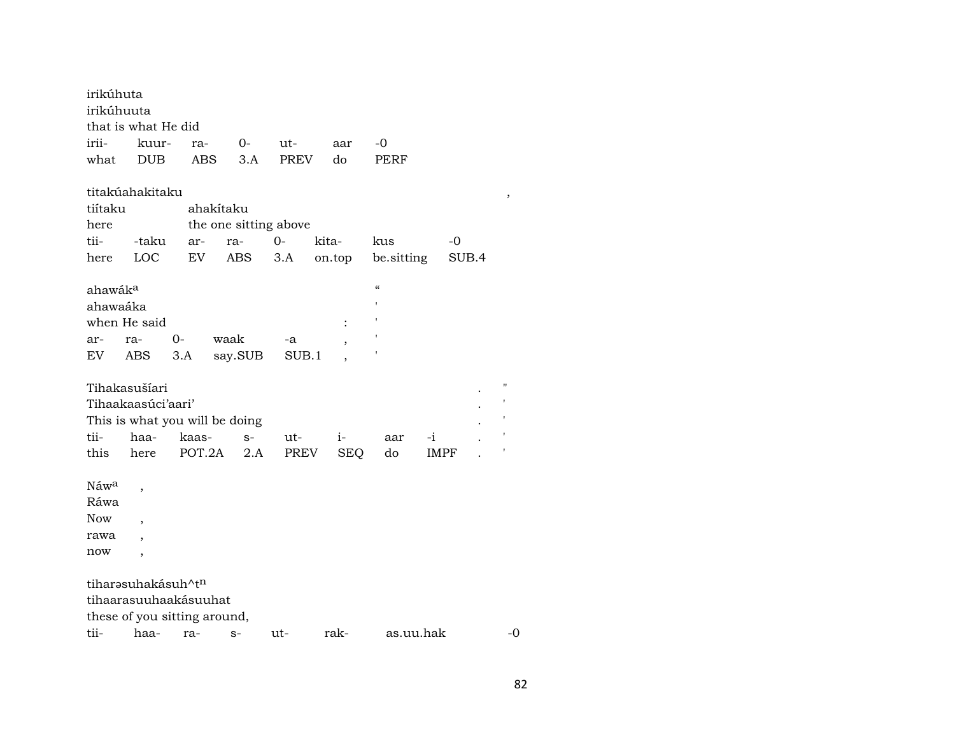| irikúhuta           |                                |                                |         |                       |        |                          |             |       |    |
|---------------------|--------------------------------|--------------------------------|---------|-----------------------|--------|--------------------------|-------------|-------|----|
| irikúhuuta          |                                |                                |         |                       |        |                          |             |       |    |
|                     | that is what He did            |                                |         |                       |        |                          |             |       |    |
| irii-               | kuur-                          | ra-                            | $0-$    | ut-                   | aar    | -0                       |             |       |    |
| what                | <b>DUB</b>                     | ABS.                           | 3.A     | <b>PREV</b>           | do     | PERF                     |             |       |    |
|                     | titakúahakitaku                |                                |         |                       |        |                          |             |       |    |
| tiítaku             |                                | ahakítaku                      |         |                       |        |                          |             |       |    |
| here                |                                |                                |         | the one sitting above |        |                          |             |       |    |
| tii-                | -taku                          | ar-                            | ra-     | $0-$                  | kita-  | kus                      | -0          |       |    |
| here                | LOC                            | EV                             | ABS     | 3.A                   | on.top | be sitting               |             | SUB.4 |    |
| ahawák <sup>a</sup> |                                |                                |         |                       |        | $\pmb{\zeta}\pmb{\zeta}$ |             |       |    |
| ahawaáka            |                                |                                |         |                       |        |                          |             |       |    |
|                     | when He said                   |                                |         |                       |        |                          |             |       |    |
| ar-                 | ra-                            | $0-$                           | waak    | -a                    |        |                          |             |       |    |
| EV.                 | ABS                            | 3.A                            | say.SUB | SUB.1                 |        |                          |             |       |    |
|                     | Tihakasušíari                  |                                |         |                       |        |                          |             |       | П  |
|                     | Tihaakaasúci'aari'             |                                |         |                       |        |                          |             |       |    |
|                     |                                | This is what you will be doing |         |                       |        |                          |             |       |    |
| tii-                | haa-                           | kaas-                          | $S-$    | ut-                   | $i-$   | aar                      | $-i$        |       |    |
| this                | here                           | POT.2A                         | 2.A     | PREV                  | SEQ.   | do                       | <b>IMPF</b> |       |    |
|                     |                                |                                |         |                       |        |                          |             |       |    |
| Náw <sup>a</sup>    | $\overline{ }$                 |                                |         |                       |        |                          |             |       |    |
| Ráwa                |                                |                                |         |                       |        |                          |             |       |    |
| Now                 |                                |                                |         |                       |        |                          |             |       |    |
| rawa                |                                |                                |         |                       |        |                          |             |       |    |
| now                 |                                |                                |         |                       |        |                          |             |       |    |
|                     | tiharəsuhakásuh^t <sup>n</sup> |                                |         |                       |        |                          |             |       |    |
|                     |                                | tihaarasuuhaakásuuhat          |         |                       |        |                          |             |       |    |
|                     |                                | these of you sitting around,   |         |                       |        |                          |             |       |    |
| tii-                | haa-                           | ra-                            | $S-$    | ut-                   | rak-   | as.uu.hak                |             |       | -0 |

82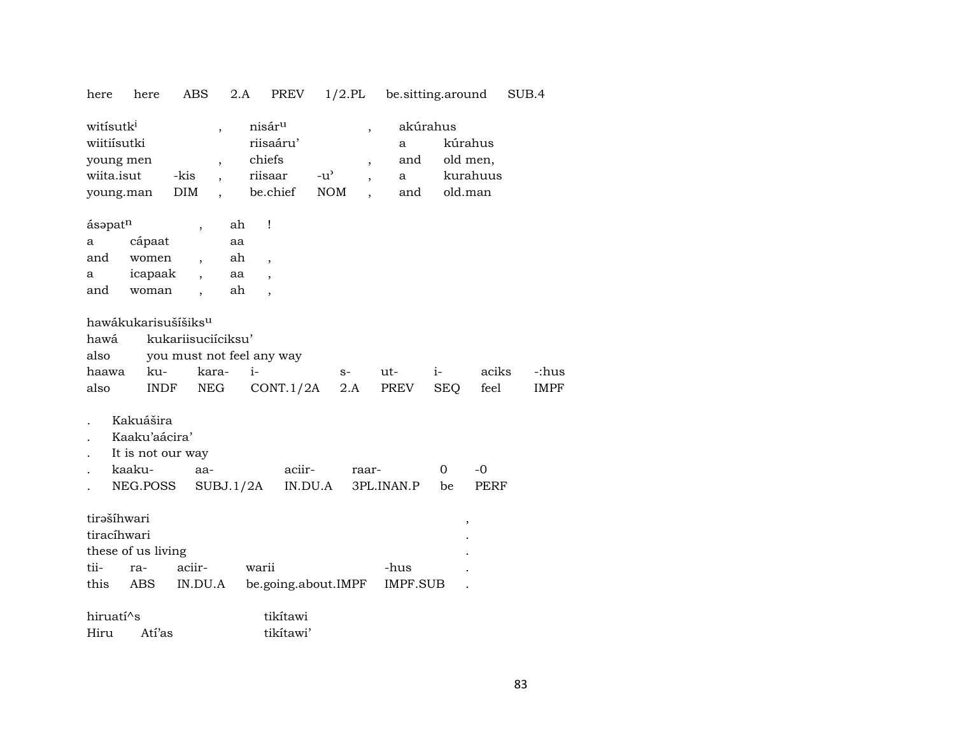| here                                                                         | here                                                                  | <b>ABS</b>                                                                                                                  | 2.A                                     | PREV                                   | $1/2$ .PL                                                               | be.sitting.around    |                    |                                            | SUB.4                |
|------------------------------------------------------------------------------|-----------------------------------------------------------------------|-----------------------------------------------------------------------------------------------------------------------------|-----------------------------------------|----------------------------------------|-------------------------------------------------------------------------|----------------------|--------------------|--------------------------------------------|----------------------|
| witisutk <sup>i</sup><br>wiitiísutki<br>young men<br>wiita.isut<br>young.man |                                                                       | $\overline{\phantom{a}}$<br>$\overline{\phantom{a}}$<br>-kis<br>$\overline{\phantom{a}}$<br>DIM<br>$\overline{\phantom{a}}$ | nisár <sup>u</sup><br>chiefs<br>riisaar | riisaáru'<br>$-u^{\prime}$<br>be.chief | ,<br>$\overline{\phantom{a}}$<br>$\overline{\phantom{a}}$<br><b>NOM</b> | a<br>and<br>a<br>and | akúrahus           | kúrahus<br>old men,<br>kurahuus<br>old.man |                      |
| ásapatn                                                                      |                                                                       |                                                                                                                             | Ţ<br>ah                                 |                                        |                                                                         |                      |                    |                                            |                      |
| a                                                                            | cápaat                                                                |                                                                                                                             | aa                                      |                                        |                                                                         |                      |                    |                                            |                      |
| and                                                                          | women                                                                 | $\overline{\phantom{a}}$                                                                                                    | ah<br>$\overline{\phantom{a}}$          |                                        |                                                                         |                      |                    |                                            |                      |
| a                                                                            | icapaak                                                               |                                                                                                                             | aa                                      |                                        |                                                                         |                      |                    |                                            |                      |
| and                                                                          | woman                                                                 | $\overline{\phantom{a}}$                                                                                                    | ah<br>$\ddot{\phantom{0}}$              |                                        |                                                                         |                      |                    |                                            |                      |
| hawá<br>also<br>haawa<br>also                                                | hawákukarisušíšiks <sup>u</sup><br>ku-<br><b>INDF</b>                 | kukariisuciíciksu'<br>you must not feel any way<br>kara-<br>NEG                                                             | $i-$                                    | CONT.1/2A                              | $S-$<br>2.A                                                             | ut-<br>PREV          | $i-$<br><b>SEQ</b> | aciks<br>feel                              | -:hus<br><b>IMPF</b> |
|                                                                              | Kakuášira<br>Kaaku'aácira'<br>It is not our way<br>kaaku-<br>NEG.POSS | aa-                                                                                                                         | SUBJ.1/2A                               | aciir-<br>IN.DU.A                      | raar-                                                                   | 3PL.INAN.P           | 0<br>be            | $-0$<br>PERF                               |                      |
| tirašíhwari<br>tiracíhwari                                                   | these of us living                                                    |                                                                                                                             |                                         |                                        |                                                                         |                      |                    | ,                                          |                      |
| tii-                                                                         | ra-                                                                   | aciir-                                                                                                                      | warii                                   |                                        |                                                                         | -hus                 |                    |                                            |                      |
| this                                                                         | ABS                                                                   | IN.DU.A                                                                                                                     |                                         | be.going.about.IMPF                    |                                                                         | <b>IMPF.SUB</b>      |                    |                                            |                      |
| hiruatí^s                                                                    |                                                                       |                                                                                                                             |                                         | tikítawi                               |                                                                         |                      |                    |                                            |                      |

Atí'as tikítawi' Hiru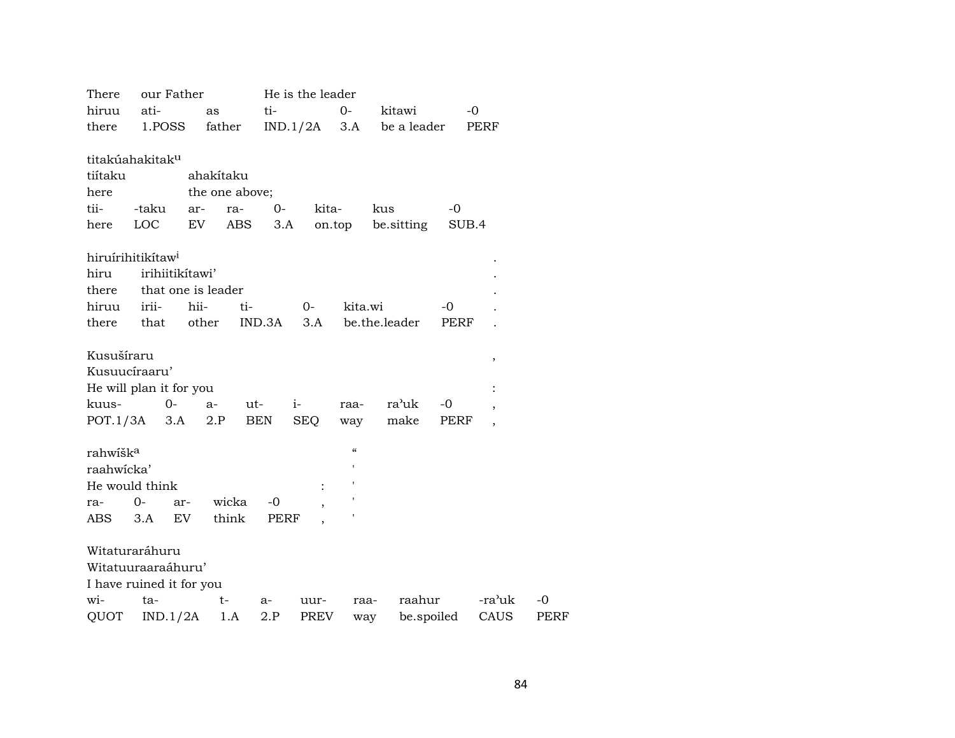| our Father<br>There           |       |                 |                | He is the leader |                |                     |               |       |                          |      |
|-------------------------------|-------|-----------------|----------------|------------------|----------------|---------------------|---------------|-------|--------------------------|------|
| hiruu                         | ati-  |                 | as             | ti-              |                | $0-$                | kitawi        | $-0$  |                          |      |
| there                         |       | 1.POSS          | father         |                  | $IND.1/2A$ 3.A |                     | be a leader   |       | PERF                     |      |
|                               |       |                 |                |                  |                |                     |               |       |                          |      |
| titakúahakitak <sup>u</sup>   |       |                 |                |                  |                |                     |               |       |                          |      |
| tiítaku                       |       |                 | ahakítaku      |                  |                |                     |               |       |                          |      |
| here                          |       |                 | the one above; |                  |                |                     |               |       |                          |      |
| tii-                          | -taku | ar-             | ra-            | $0-$             | kita-          |                     | kus           | $-0$  |                          |      |
| here                          | LOC   |                 | EV             | ABS<br>3.A       |                | on.top              | be.sitting    | SUB.4 |                          |      |
|                               |       |                 |                |                  |                |                     |               |       |                          |      |
| hiruírihitikítaw <sup>i</sup> |       |                 |                |                  |                |                     |               |       |                          |      |
| hiru                          |       | irihiitikitawi' |                |                  |                |                     |               |       |                          |      |
| there that one is leader      |       |                 |                |                  |                |                     |               |       |                          |      |
| hiruu                         | irii- | hii-            |                | ti-              | $O-$           | kita.wi             |               | -0    |                          |      |
| there                         | that  |                 | other          | IND.3A           | 3.A            |                     | be.the.leader | PERF  |                          |      |
|                               |       |                 |                |                  |                |                     |               |       |                          |      |
| Kusušíraru                    |       |                 |                |                  |                |                     |               |       | $\, ,$                   |      |
| Kusuucíraaru'                 |       |                 |                |                  |                |                     |               |       |                          |      |
| He will plan it for you       |       |                 |                |                  |                |                     |               |       | $\ddot{\cdot}$           |      |
| kuus-                         |       | $O -$           | a-             | ut-              | $i-$           | raa-                | ra'uk         | -0    | $\overline{\phantom{a}}$ |      |
| $POT.1/3A$ 3.A                |       |                 | 2.P            | BEN              | <b>SEQ</b>     | way                 | make          | PERF  | $\overline{\phantom{a}}$ |      |
|                               |       |                 |                |                  |                |                     |               |       |                          |      |
| rahwišk <sup>a</sup>          |       |                 |                |                  |                | $\pmb{\mathcal{C}}$ |               |       |                          |      |
| raahwicka'                    |       |                 |                |                  |                |                     |               |       |                          |      |
| He would think                |       |                 |                |                  |                |                     |               |       |                          |      |
| ra-                           | 0-    | ar-             | wicka          | -0               |                |                     |               |       |                          |      |
| ABS                           | 3.A   | EV              | think          | PERF             |                |                     |               |       |                          |      |
|                               |       |                 |                |                  |                |                     |               |       |                          |      |
| Witaturaráhuru                |       |                 |                |                  |                |                     |               |       |                          |      |
| Witatuuraaraáhuru'            |       |                 |                |                  |                |                     |               |       |                          |      |
| I have ruined it for you      |       |                 |                |                  |                |                     |               |       |                          |      |
| wi-                           | ta-   |                 | t-             | a-               | uur-           | raa-                | raahur        |       | -ra'uk                   | -0   |
| QUOT                          |       | IND.1/2A        | 1.A            | 2.P              | PREV           | way                 | be.spoiled    |       | CAUS                     | PERF |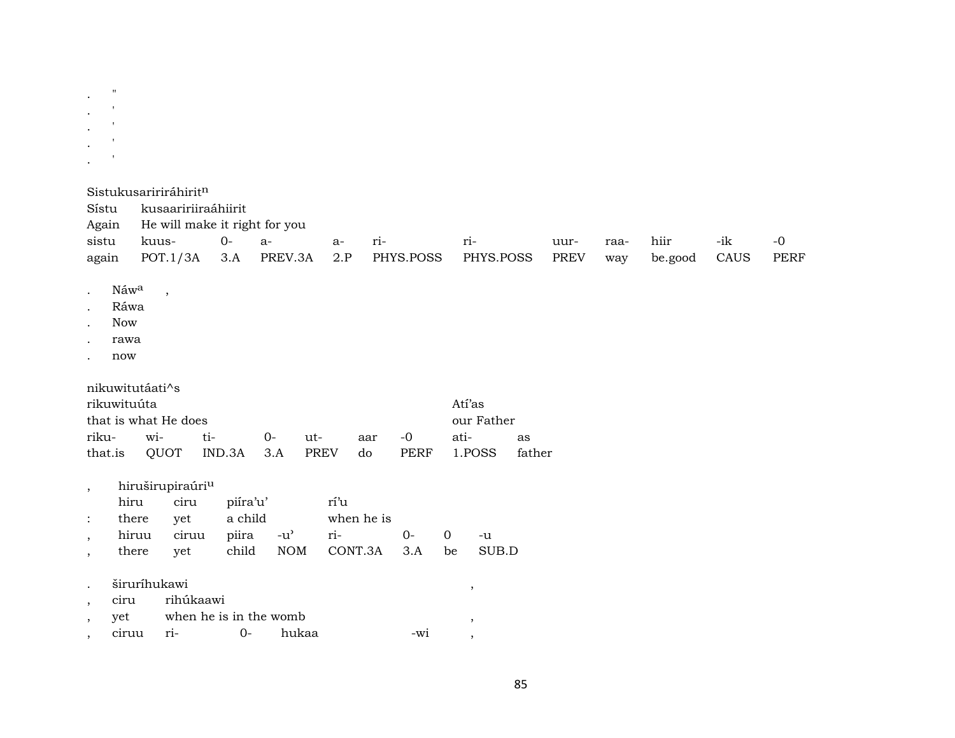$\boldsymbol{\mathsf{H}}$  $\overline{\phantom{a}}$ Sistukusaririráhirit<sup>n</sup>

kusaaririiraáhiirit Sístu Again He will make it right for you sistu kuus- $0$  $a$ ririhiir  $-ik$  $-0$  $a$ uurraa- $POT.1/3A$  3.A PREV.3A be.good CAUS **PERF** again  $2.P$ PHYS.POSS PHYS.POSS **PREV** way

Náwa  $\bullet$ 

 $\overline{\phantom{a}}$ 

- Ráwa
- Now
- rawa
- now

nikuwitutáati^s

| rikuwituúta |                                    |  |  |  |        |  | Atí'as                                             |    |  |
|-------------|------------------------------------|--|--|--|--------|--|----------------------------------------------------|----|--|
|             | that is what He does<br>our Father |  |  |  |        |  |                                                    |    |  |
|             |                                    |  |  |  | aar -0 |  | ati-                                               | as |  |
|             |                                    |  |  |  |        |  | that.is QUOT IND.3A 3.A PREV do PERF 1.POSS father |    |  |

hiruširupiraúri<sup>u</sup>  $\overline{\phantom{a}}$ 

|                     | hiru ciru piira'u'        |  | rí'u       |    |  |
|---------------------|---------------------------|--|------------|----|--|
| : there yet a child |                           |  | when he is |    |  |
|                     | hiruu ciruu piira -u' ri- |  |            | ∩- |  |

- yet child  $NOM$ CONT.3A  $3.A$ be SUB.D there  $\,$
- širuríhukawi rihúkaawi ciru
- when he is in the womb yet  $, \, \,$  $\, ,$ ciruu  $ri 0$ hukaa -wi  $\overline{\phantom{a}}$  $\cdot$

 $-u$ 

 $\, ,$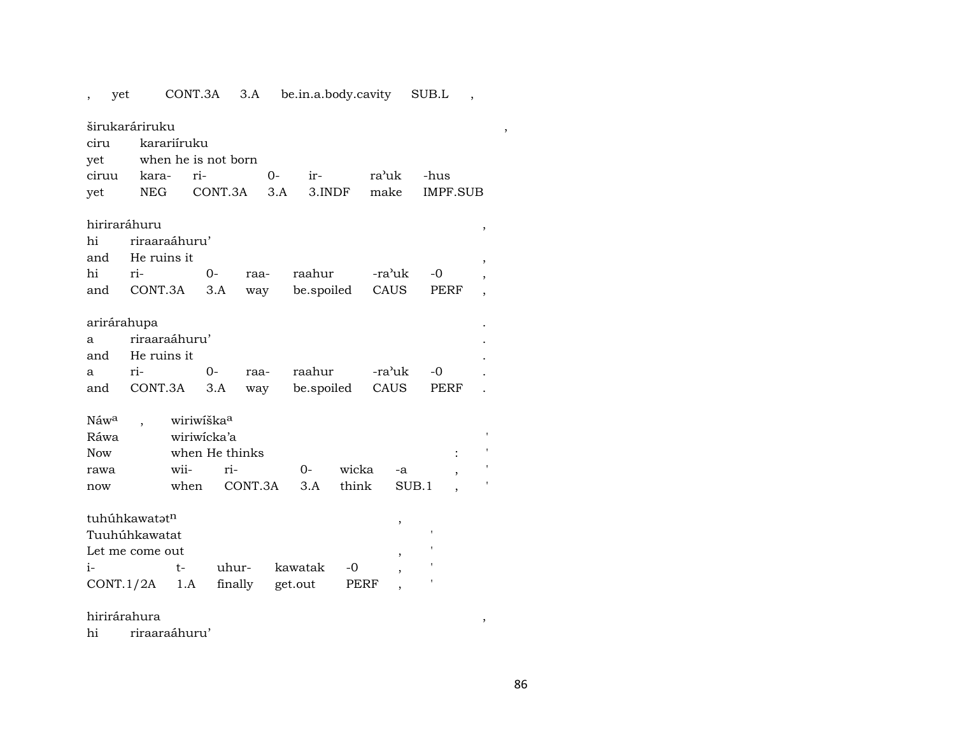|                  | yet                       |               | CONT.3A                | 3.A                 |     | be.in.a.body.cavity |        |       |        | SUB.L    |                          |
|------------------|---------------------------|---------------|------------------------|---------------------|-----|---------------------|--------|-------|--------|----------|--------------------------|
|                  | širukaráriruku            |               |                        |                     |     |                     |        |       |        |          |                          |
| ciru             |                           | karariíruku   |                        |                     |     |                     |        |       |        |          |                          |
| yet              |                           |               |                        | when he is not born |     |                     |        |       |        |          |                          |
| ciruu            | kara-                     |               | ri-                    |                     | 0-  | ir-                 |        | ra'uk |        | -hus     |                          |
| yet              | <b>NEG</b>                |               |                        | CONT.3A             | 3.A |                     | 3.INDF | make  |        | IMPF.SUB |                          |
|                  |                           |               |                        |                     |     |                     |        |       |        |          |                          |
|                  | hiriraráhuru              |               |                        |                     |     |                     |        |       |        |          | $\,$                     |
| hi               |                           | riraaraáhuru' |                        |                     |     |                     |        |       |        |          |                          |
| and              |                           | He ruins it   |                        |                     |     |                     |        |       |        |          | ,                        |
| hi               | ri-                       |               | $0 -$                  | raa-                |     | raahur              |        |       | -ra'uk | -0       |                          |
| and              |                           | CONT.3A       | 3.A                    | way                 |     | be.spoiled          |        |       | CAUS   | PERF     | $\overline{\phantom{a}}$ |
|                  |                           |               |                        |                     |     |                     |        |       |        |          |                          |
|                  | arirárahupa               | riraaraáhuru' |                        |                     |     |                     |        |       |        |          |                          |
| a                |                           |               |                        |                     |     |                     |        |       |        |          |                          |
| and              |                           | He ruins it   | $0-$                   |                     |     | raahur              |        |       | -ra'uk | $-0$     |                          |
| a<br>and         | ri-                       |               |                        | raa-                |     |                     |        |       |        |          |                          |
|                  |                           | CONT.3A       | 3.A                    | way                 |     | be.spoiled          |        |       | CAUS   | PERF     |                          |
| Náw <sup>a</sup> |                           |               | wiriwiška <sup>a</sup> |                     |     |                     |        |       |        |          |                          |
| Ráwa             |                           |               | wiriwicka'a            |                     |     |                     |        |       |        |          |                          |
| <b>Now</b>       |                           |               |                        | when He thinks      |     |                     |        |       |        |          |                          |
| rawa             |                           | wii-          |                        | ri-                 |     | $0-$                | wicka  |       | -a     |          |                          |
| now              |                           | when          |                        | CONT.3A             |     | 3.A                 | think  |       |        | SUB.1    |                          |
|                  |                           |               |                        |                     |     |                     |        |       |        |          |                          |
|                  | tuhúhkawatət <sup>n</sup> |               |                        |                     |     |                     |        |       | ,      |          |                          |
|                  | Tuuhúhkawatat             |               |                        |                     |     |                     |        |       |        |          |                          |
|                  | Let me come out           |               |                        |                     |     |                     |        |       |        |          |                          |
| i-               |                           | t-            |                        | uhur-               |     | kawatak             | -0     |       |        |          |                          |
|                  | CONT.1/2A                 | 1.A           |                        | finally             |     | get.out             | PERF   |       |        |          |                          |

hirirárahura ,

hi riraaraáhuru'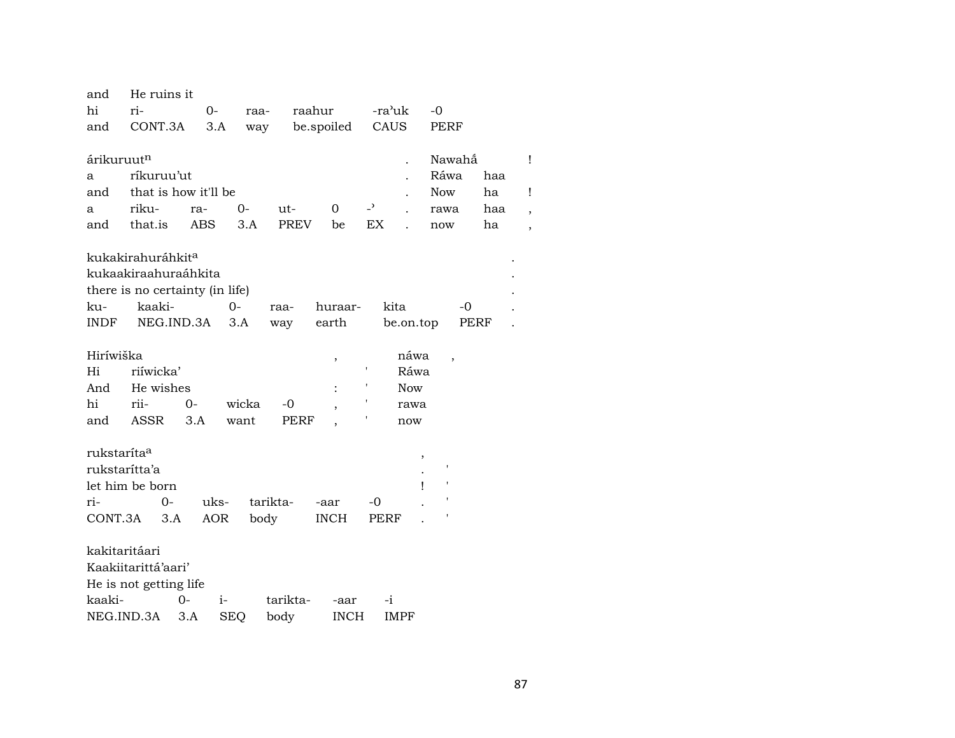| and                     | He ruins it                     |              |          |             |             |                |            |            |      |   |
|-------------------------|---------------------------------|--------------|----------|-------------|-------------|----------------|------------|------------|------|---|
| hi                      | ri-                             | $0-$         | raa-     | raahur      |             | -ra'uk         |            | $-0$       |      |   |
| and                     | CONT.3A                         | 3.A          | way      |             | be.spoiled  | CAUS           |            | PERF       |      |   |
|                         |                                 |              |          |             |             |                |            |            |      |   |
| árikuruut <sup>n</sup>  |                                 |              |          |             |             |                |            | Nawahắ     |      | Ţ |
| a                       | ríkuruu'ut                      |              |          |             |             |                |            | Ráwa       | haa  |   |
| and                     | that is how it'll be            |              |          |             |             |                |            | <b>Now</b> | ha   | Ţ |
| a                       | riku-                           | ra-          | 0-       | ut-         | 0           | $\overline{a}$ |            | rawa       | haa  |   |
| and                     | that.is                         | <b>ABS</b>   | 3.A      | <b>PREV</b> | be          | EX             |            | now        | ha   |   |
|                         |                                 |              |          |             |             |                |            |            |      |   |
|                         | kukakirahuráhkit <sup>a</sup>   |              |          |             |             |                |            |            |      |   |
|                         | kukaakiraahuraáhkita            |              |          |             |             |                |            |            |      |   |
|                         | there is no certainty (in life) |              |          |             |             |                |            |            |      |   |
| ku-                     | kaaki-                          |              | $0-$     | raa-        | huraar-     |                | kita       | -0         |      |   |
| INDF                    | NEG.IND.3A                      |              | 3.A      | way         | earth       |                | be.on.top  |            | PERF |   |
|                         |                                 |              |          |             |             |                |            |            |      |   |
| Hiríwiška               |                                 |              |          |             | $\, ,$      |                | náwa       | ,          |      |   |
| Hi                      | riíwicka'                       |              |          |             |             | ,              | Ráwa       |            |      |   |
| And                     | He wishes                       |              |          |             |             |                | <b>Now</b> |            |      |   |
| hi                      | rii-                            | 0-           | wicka    | -0          |             |                | rawa       |            |      |   |
| and                     | ASSR                            | 3.A          | want     | PERF        |             |                | now        |            |      |   |
|                         |                                 |              |          |             |             |                |            |            |      |   |
| rukstaríta <sup>a</sup> |                                 |              |          |             |             |                |            |            |      |   |
|                         | rukstarítta'a                   |              |          |             |             |                |            |            |      |   |
|                         | let him be born                 |              |          |             |             |                | ı          |            |      |   |
| ri-                     | 0-                              | uks-         | tarikta- |             | -aar        | -0             |            |            |      |   |
| CONT.3A                 | 3.A                             | <b>AOR</b>   | body     |             | <b>INCH</b> | PERF           |            |            |      |   |
|                         |                                 |              |          |             |             |                |            |            |      |   |
|                         | kakitaritáari                   |              |          |             |             |                |            |            |      |   |
|                         | Kaakiitarittá'aari'             |              |          |             |             |                |            |            |      |   |
|                         | He is not getting life          |              |          |             |             |                |            |            |      |   |
| kaaki-                  |                                 |              |          |             |             |                |            |            |      |   |
|                         |                                 | $0-$<br>$i-$ |          | tarikta-    | -aar        | -i             |            |            |      |   |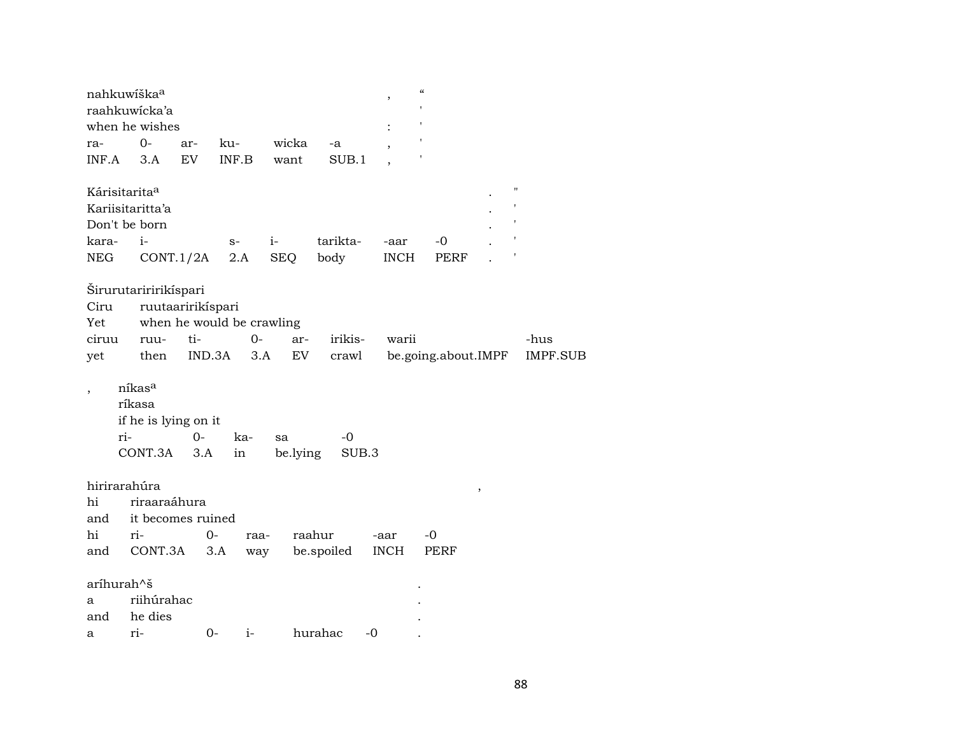|                             | nahkuwíška <sup>a</sup><br>raahkuwicka'a            |                   |                           |                |             | $\, ,$         | $\boldsymbol{\zeta}\boldsymbol{\zeta}$ |                    |                 |
|-----------------------------|-----------------------------------------------------|-------------------|---------------------------|----------------|-------------|----------------|----------------------------------------|--------------------|-----------------|
|                             | when he wishes                                      |                   |                           |                |             | $\ddot{\cdot}$ |                                        |                    |                 |
| ra-                         | $0-$                                                | ar-               | ku-                       | wicka          | -a          |                |                                        |                    |                 |
| INF.A                       | 3.A                                                 | EV                | INF.B                     | want           | SUB.1       |                |                                        |                    |                 |
| Kárisitarita <sup>a</sup>   |                                                     |                   |                           |                |             |                |                                        | $\pmb{\mathsf{H}}$ |                 |
|                             | Kariisitaritta'a                                    |                   |                           |                |             |                |                                        |                    |                 |
|                             | Don't be born                                       |                   |                           |                |             |                |                                        |                    |                 |
| kara-                       | $i-$                                                |                   | $S-$                      | $i-$           | tarikta-    | -aar           | -0                                     |                    |                 |
| NEG                         | CONT.1/2A                                           |                   | 2.A                       | <b>SEQ</b>     | body        | <b>INCH</b>    | PERF                                   |                    |                 |
|                             | Širurutariririkíspari                               |                   |                           |                |             |                |                                        |                    |                 |
| Ciru                        |                                                     | ruutaaririkispari |                           |                |             |                |                                        |                    |                 |
| Yet                         |                                                     |                   | when he would be crawling |                |             |                |                                        |                    |                 |
| ciruu                       | ruu-                                                | ti-               | $0 -$                     | ar-            | irikis-     | warii          |                                        |                    | -hus            |
| yet                         | then                                                | IND.3A            | 3.A                       | EV             | crawl       |                | be.going.about.IMPF                    |                    | <b>IMPF.SUB</b> |
| ri-                         | níkasa<br>ríkasa<br>if he is lying on it<br>CONT.3A | $0 -$<br>3.A      | ka-<br>in                 | sa<br>be.lying | -0<br>SUB.3 |                |                                        |                    |                 |
| hirirarahúra                |                                                     |                   |                           |                |             |                |                                        | $\, ,$             |                 |
| hi                          | riraaraáhura                                        |                   |                           |                |             |                |                                        |                    |                 |
| and                         | it becomes ruined                                   |                   |                           |                |             |                |                                        |                    |                 |
| hi                          | ri-                                                 | 0-                | raa-                      |                | raahur      | -aar           | $-0$                                   |                    |                 |
| and                         | CONT.3A                                             | 3.A               | way                       |                | be.spoiled  | <b>INCH</b>    | PERF                                   |                    |                 |
| aríhurah^š<br>a<br>and<br>а | riihúrahac<br>he dies<br>ri-                        | $0-$              | $i-$                      |                | hurahac     | -0             |                                        |                    |                 |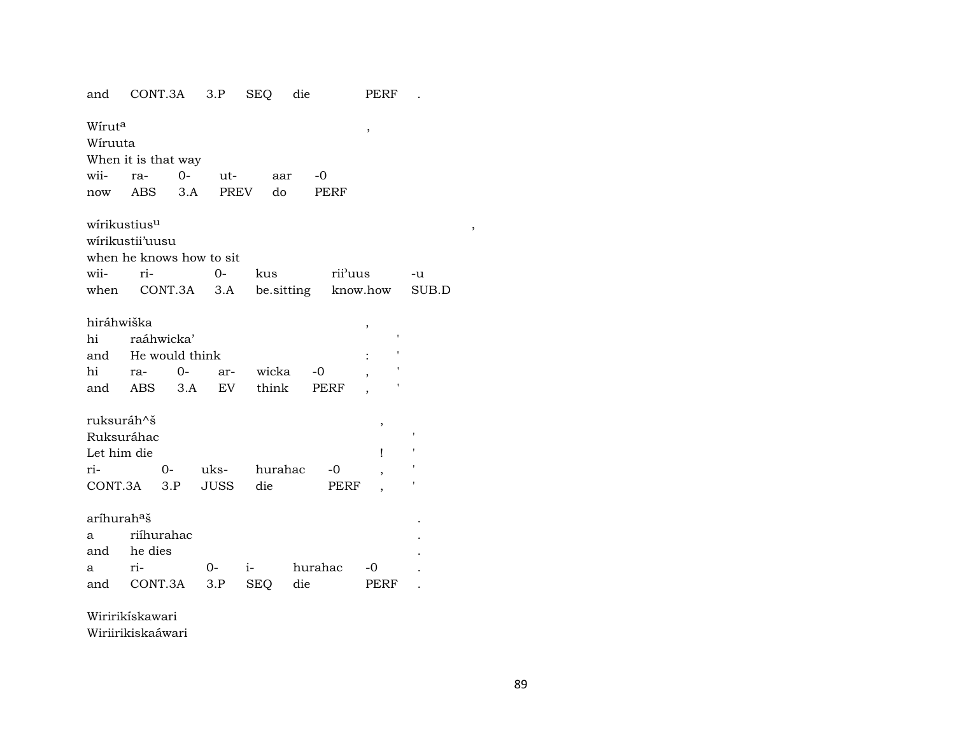| and                      |         | CONT.3A             | 3.P                      | <b>SEQ</b> | die     |         | PERF                |              |
|--------------------------|---------|---------------------|--------------------------|------------|---------|---------|---------------------|--------------|
| Wírut <sup>a</sup>       |         |                     |                          |            |         |         | ,                   |              |
| Wíruuta                  |         |                     |                          |            |         |         |                     |              |
|                          |         | When it is that way |                          |            |         |         |                     |              |
| wii-                     | ra-     | $0-$                | ut-                      | aar        | $-0$    |         |                     |              |
| now                      | ABS     | 3.A                 | PREV                     | do         |         | PERF    |                     |              |
| wirikustius <sup>u</sup> |         |                     |                          |            |         |         |                     |              |
| wirikustii'uusu          |         |                     |                          |            |         |         |                     |              |
|                          |         |                     | when he knows how to sit |            |         |         |                     |              |
| wii-                     | ri-     |                     | $0-$                     | kus        |         | rii'uus |                     | -u           |
|                          |         | when CONT.3A 3.A    |                          |            |         |         | be.sitting know.how | SUB.D        |
|                          |         |                     |                          |            |         |         |                     |              |
| hiráhwiška               |         |                     |                          |            |         |         | ,                   |              |
| hi                       |         | raáhwicka'          |                          |            |         |         | 1                   |              |
| and                      |         | He would think      |                          |            |         |         |                     |              |
| hi                       | ra-     | $O-$                | ar-                      | wicka      | $-0$    |         |                     |              |
| and                      |         | ABS 3.A             | EV.                      | think      |         | PERF    |                     |              |
| ruksuráh^š               |         |                     |                          |            |         |         | ,                   |              |
| Ruksuráhac               |         |                     |                          |            |         |         |                     | $\mathsf{I}$ |
| Let him die              |         |                     |                          |            |         |         | Ţ                   | ٠            |
| ri-                      |         | 0-                  | uks-                     | hurahac    |         | $-0$    | ,                   |              |
| CONT.3A                  |         | 3.P                 | JUSS                     | die        |         | PERF    |                     |              |
|                          |         |                     |                          |            |         |         |                     |              |
| aríhurah <sup>a</sup> š  |         |                     |                          |            |         |         |                     |              |
| a                        |         | riíhurahac          |                          |            |         |         |                     |              |
| and                      | he dies |                     |                          |            |         |         |                     |              |
| a                        | ri-     |                     | 0-                       | $i-$       | hurahac |         | -0                  |              |
| and                      |         | CONT.3A             | 3.P                      | <b>SEQ</b> | die     |         | PERF                |              |

Wiririkískawari

Wiriirikiskaáwari

 $\overline{\phantom{a}}$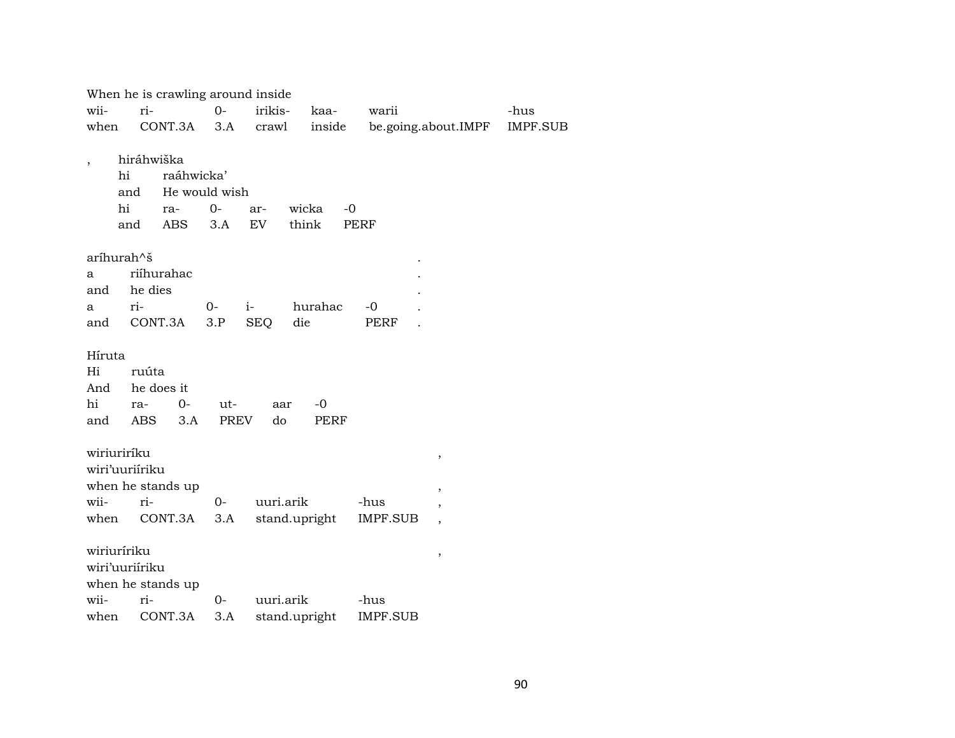| -hus<br>IMPF.SUB |
|------------------|
|                  |
|                  |
|                  |
|                  |
|                  |
|                  |
|                  |
|                  |
|                  |
|                  |
|                  |
|                  |
|                  |
|                  |
|                  |
|                  |
|                  |
|                  |
|                  |
|                  |
|                  |
|                  |
|                  |
|                  |
|                  |
|                  |
|                  |
|                  |
|                  |
|                  |
|                  |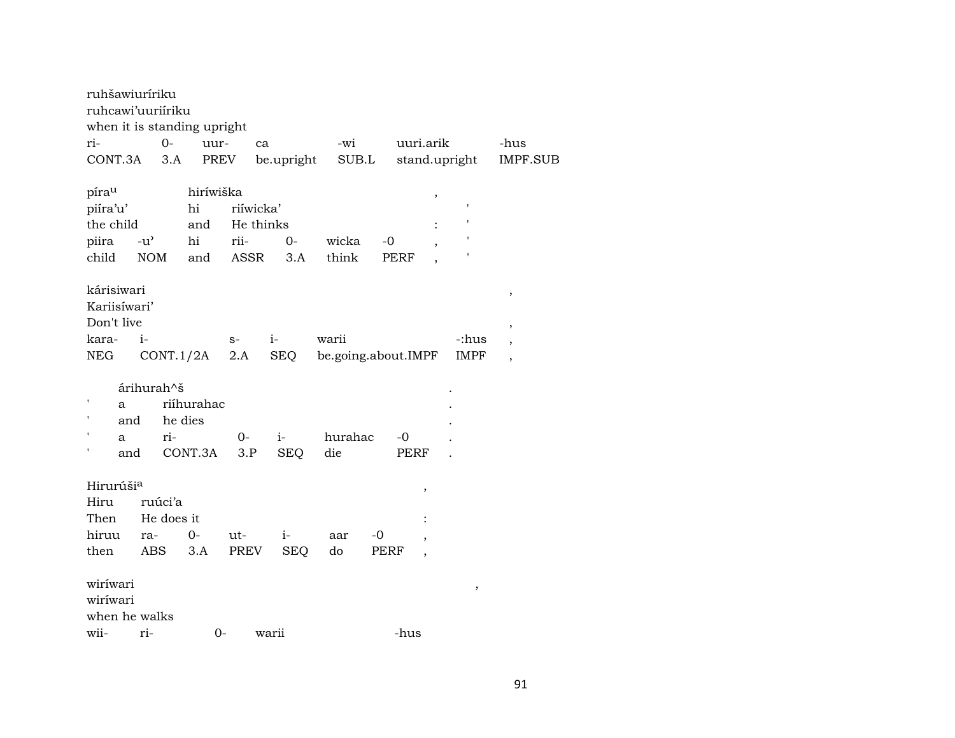| ruhšawiuríriku<br>ruhcawi'uuriiriku<br>when it is standing upright |                              |                                     |                                        |                    |                |                               |               |                                                              |
|--------------------------------------------------------------------|------------------------------|-------------------------------------|----------------------------------------|--------------------|----------------|-------------------------------|---------------|--------------------------------------------------------------|
| ri-                                                                | $0 -$                        | uur-                                | ca                                     |                    | -wi            | uuri.arik                     |               | -hus                                                         |
| CONT.3A                                                            | 3.A                          | PREV                                |                                        | be.upright         | SUB.L          | stand.upright                 |               | IMPF.SUB                                                     |
| píra <sup>u</sup><br>piíra'u'<br>the child<br>piira<br>child       | $-u^{\prime}$<br><b>NOM</b>  | hiríwiška<br>hi<br>and<br>hi<br>and | riíwicka'<br>He thinks<br>rii-<br>ASSR | $0 -$<br>3.A       | wicka<br>think | $\, ,$<br>$-0$<br><b>PERF</b> |               |                                                              |
| kárisiwari<br>Kariisíwari'<br>Don't live<br>kara-<br>NEG           | $i-$<br>CONT.1/2A            |                                     | $S-$<br>2.A                            | $i-$<br>SEQ        | warii          | be.going.about.IMPF           | -:hus<br>IMPF | $\,$<br>$\overline{\phantom{a}}$<br>$\overline{\phantom{a}}$ |
| a<br>and<br>a<br>and                                               | árihurah^š<br>ri-            | riíhurahac<br>he dies<br>CONT.3A    | $0-$<br>3.P                            | $i-$<br><b>SEQ</b> | hurahac<br>die | -0<br>PERF                    |               |                                                              |
| Hirurúši <sup>a</sup><br>Hiru<br>Then<br>hiruu                     | ruúci'a<br>He does it<br>ra- | $O -$                               | ut-                                    | $i-$               | aar            | ,<br>-0                       |               |                                                              |
| then                                                               | ABS                          | 3.A                                 | PREV                                   | <b>SEQ</b>         | do             | PERF                          |               |                                                              |
| wiríwari<br>wiríwari<br>when he walks<br>wii-                      | ri-                          | $0 -$                               |                                        | warii              |                | -hus                          | $\, ,$        |                                                              |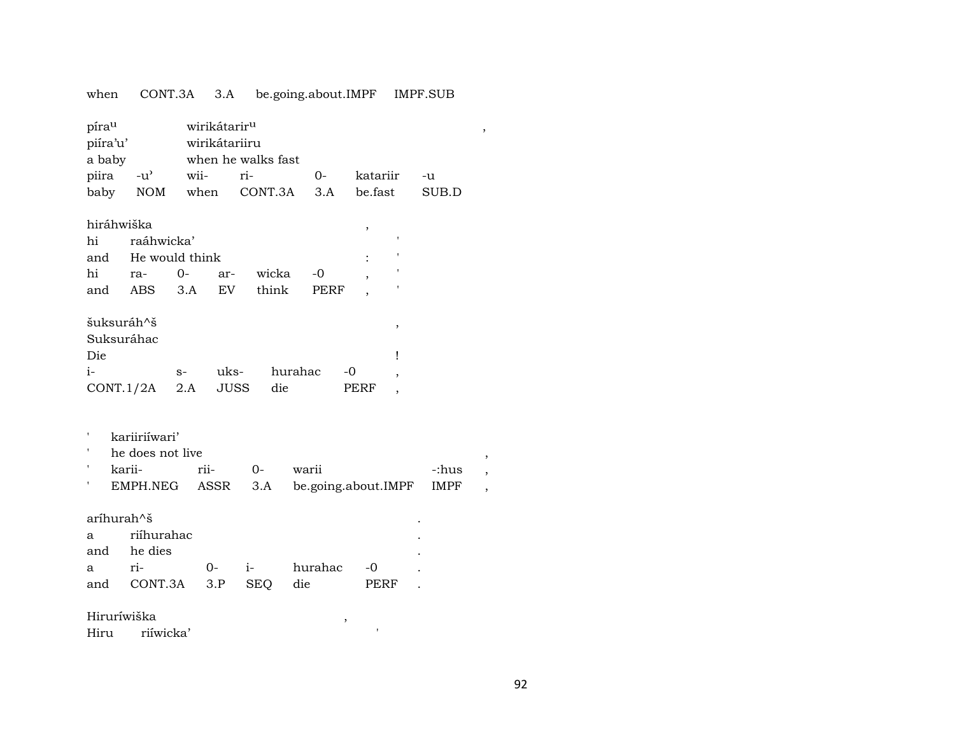| when                            | CONT.3A                           |      | 3.A                                       |                    | be.going.about.IMPF |      |                          | <b>IMPF.SUB</b> |  |
|---------------------------------|-----------------------------------|------|-------------------------------------------|--------------------|---------------------|------|--------------------------|-----------------|--|
| pírau<br>piíra'u'<br>a baby     |                                   |      | wirikátarir <sup>u</sup><br>wirikátariiru | when he walks fast |                     |      |                          |                 |  |
| piira                           | $-u^{\prime}$                     | wii- |                                           | ri-                | 0-                  |      | katariir                 | -u              |  |
| baby                            | NOM                               | when |                                           | CONT.3A            | 3.A                 |      | be.fast                  | SUB.D           |  |
| hiráhwiška                      |                                   |      |                                           |                    |                     |      | ,                        |                 |  |
| hi                              | raáhwicka'                        |      |                                           |                    |                     |      |                          |                 |  |
| and                             | He would think                    |      |                                           |                    |                     |      |                          |                 |  |
| hi                              | ra-                               | $0-$ | ar-                                       | wicka              | -0                  |      |                          |                 |  |
| and                             | ABS                               | 3.A  | EV                                        | think              | PERF                |      |                          |                 |  |
| šuksuráh^š<br>Suksuráhac<br>Die |                                   |      |                                           |                    |                     |      | ,<br>Ţ                   |                 |  |
| i-                              |                                   | $S-$ | uks-                                      |                    | hurahac             | -0   | $\overline{\phantom{a}}$ |                 |  |
| CONT.1/2A                       |                                   | 2.A  | <b>JUSS</b>                               | die                |                     | PERF |                          |                 |  |
| karii-                          | kariiriíwari'<br>he does not live | rii- |                                           | $0-$               | warii               |      |                          | -:hus           |  |
|                                 | EMPH.NEG                          |      | ASSR                                      | 3.A                |                     |      | be.going.about.IMPF      | <b>IMPF</b>     |  |
| aríhurah^š<br>a<br>and          | riíhurahac<br>he dies             |      |                                           |                    |                     |      |                          |                 |  |
| a                               | ri-                               |      | $0-$                                      | $i-$               | hurahac             |      | -0                       |                 |  |
| and                             | CONT.3A                           |      | 3.P                                       | <b>SEQ</b>         | die                 |      | <b>PERF</b>              |                 |  |
| Hiruríwiška                     |                                   |      |                                           |                    |                     | ,    |                          |                 |  |
| Hiru                            | riíwicka'                         |      |                                           |                    |                     |      |                          |                 |  |
|                                 |                                   |      |                                           |                    |                     |      |                          |                 |  |

92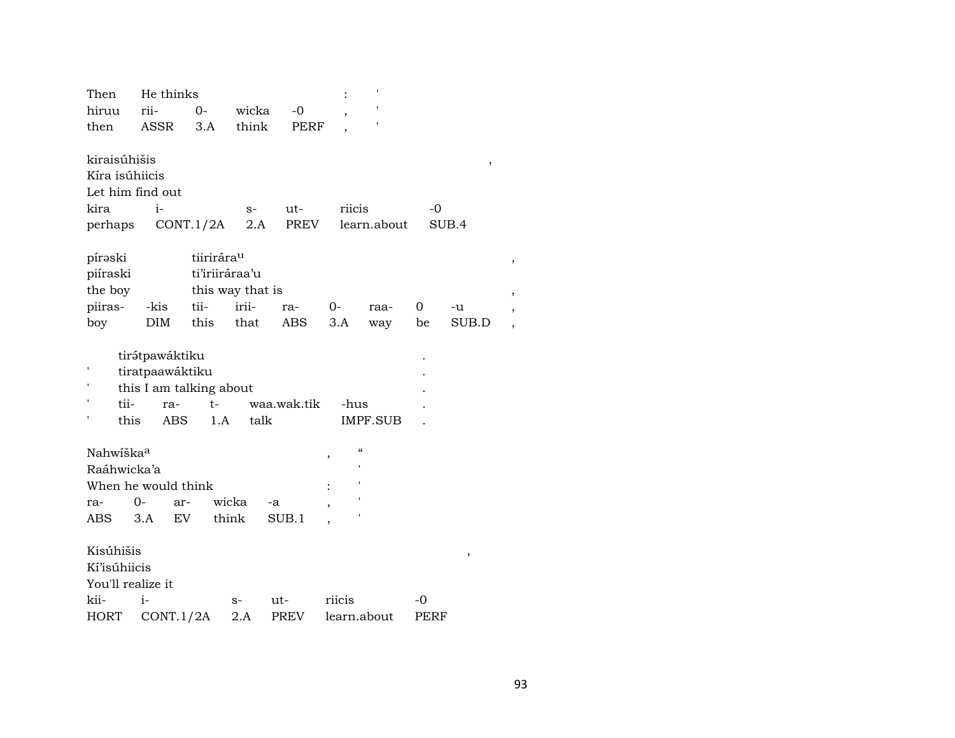| Then                                                                  | He thinks                                                                  |                |                  |             |                               |                 |      |                 |  |
|-----------------------------------------------------------------------|----------------------------------------------------------------------------|----------------|------------------|-------------|-------------------------------|-----------------|------|-----------------|--|
| hiruu                                                                 | rii-                                                                       | $O -$          | wicka            | $-0$        |                               |                 |      |                 |  |
| then                                                                  | <b>ASSR</b>                                                                | 3.A            | think            | <b>PERF</b> |                               |                 |      |                 |  |
| kiraisúhišis<br>Kíra isúhiicis<br>Let him find out<br>kira<br>perhaps | i-                                                                         | CONT.1/2A      | $S-$<br>2.A      | ut-<br>PREV | riicis                        | learn.about     | -0   | $\, ,$<br>SUB.4 |  |
| pírəski                                                               |                                                                            | tiirirárau     |                  |             |                               |                 |      |                 |  |
| piíraski                                                              |                                                                            | ti'iriiráraa'u |                  |             |                               |                 |      |                 |  |
| the boy                                                               |                                                                            |                | this way that is |             |                               |                 |      |                 |  |
| piiras-                                                               | -kis                                                                       | tii-           | irii-            | ra-         | 0-                            | raa-            | 0    | -u              |  |
| boy                                                                   | DIM                                                                        | this           | that             | <b>ABS</b>  | 3.A                           | way             | be   | SUB.D           |  |
| tii-<br>this                                                          | tirátpawáktiku<br>tiratpaawáktiku<br>this I am talking about<br>ra-<br>ABS | $t-$<br>1.A    | talk             | waa.wak.tik | -hus                          | <b>IMPF.SUB</b> |      |                 |  |
| Nahwiška <sup>a</sup>                                                 |                                                                            |                |                  |             | $\mathcal{C}\mathcal{C}$<br>, |                 |      |                 |  |
| Raáhwicka'a                                                           |                                                                            |                |                  |             |                               |                 |      |                 |  |
| When he would think                                                   |                                                                            |                |                  |             |                               |                 |      |                 |  |
| ra-                                                                   | $0-$<br>ar-                                                                |                | wicka            | -a          |                               |                 |      |                 |  |
| ABS                                                                   | 3.A                                                                        | EV             | think            | SUB.1       |                               |                 |      |                 |  |
| Kisúhišis<br><b>Kí'isúhiicis</b><br>You'll realize it                 |                                                                            |                |                  |             |                               |                 |      | ,               |  |
| kii-                                                                  | $i-$                                                                       |                | $S-$             | ut-         | riicis                        |                 | -0   |                 |  |
| HORT                                                                  | CONT.1/2A                                                                  |                | 2.A              | PREV        | learn.about                   |                 | PERF |                 |  |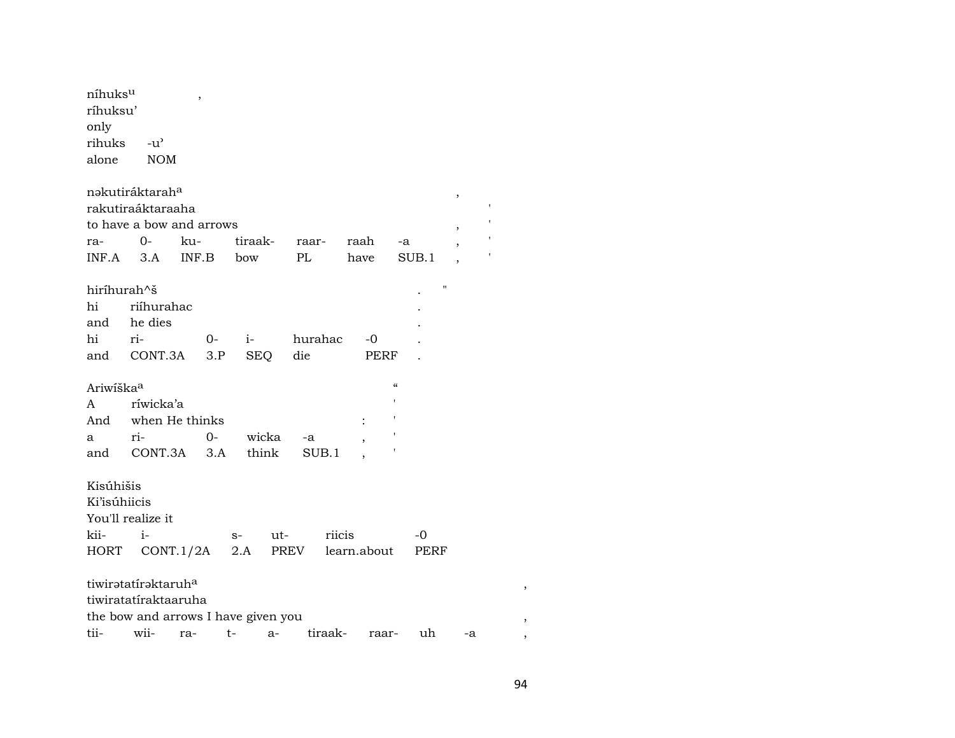| níhuksu<br>ríhuksu'<br>only<br>rihuks<br>alone | -น'<br><b>NOM</b>                                                            | $\,$  |             |               |     |                |         |                      |                          |                    |                               |  |
|------------------------------------------------|------------------------------------------------------------------------------|-------|-------------|---------------|-----|----------------|---------|----------------------|--------------------------|--------------------|-------------------------------|--|
|                                                | nakutiráktarah <sup>a</sup><br>rakutiraáktaraaha<br>to have a bow and arrows |       |             |               |     |                |         |                      |                          |                    | ,<br>$\overline{\phantom{a}}$ |  |
| ra-                                            | $0-$                                                                         | ku-   |             | tiraak-       |     | raar-          |         | raah                 | -a                       |                    |                               |  |
| $INF.A$ 3.A                                    |                                                                              | INF.B |             | bow           |     | PL             |         | have                 |                          | SUB.1              |                               |  |
| hiríhurah^š<br>hi<br>hi                        | riíhurahac<br>and he dies<br>ri-<br>and CONT.3A                              |       | $0-$<br>3.P | $i-$          | SEQ | hurahac<br>die |         | -0<br>PERF           |                          | $\pmb{\mathsf{H}}$ |                               |  |
| Ariwiška <sup>a</sup>                          |                                                                              |       |             |               |     |                |         |                      | $\pmb{\zeta}\pmb{\zeta}$ |                    |                               |  |
| A                                              | ríwicka'a                                                                    |       |             |               |     |                |         |                      |                          |                    |                               |  |
| And                                            | when He thinks                                                               |       |             |               |     |                |         | $\ddot{\phantom{a}}$ |                          |                    |                               |  |
| a                                              | $ri$ -                                                                       |       | $O-$        | wicka         |     | -a             |         |                      |                          |                    |                               |  |
| and                                            | CONT.3A                                                                      |       | 3.A         | think         |     |                | SUB.1   |                      |                          |                    |                               |  |
| Kisúhišis<br>Ki'isúhiicis<br>kii-<br>HORT      | You'll realize it<br>$i-$<br>CONT.1/2A                                       |       |             | s- ut-<br>2.A |     |                | riicis  | PREV learn.about     |                          | -0<br>PERF         |                               |  |
|                                                |                                                                              |       |             |               |     |                |         |                      |                          |                    |                               |  |
|                                                | tiwiratatiraktaruh <sup>a</sup>                                              |       |             |               |     |                |         |                      |                          |                    |                               |  |
|                                                | tiwiratatiraktaaruha                                                         |       |             |               |     |                |         |                      |                          |                    |                               |  |
|                                                | the bow and arrows I have given you                                          |       |             |               |     |                |         |                      |                          |                    |                               |  |
| tii-                                           | wii-                                                                         | ra-   | t-          |               | a-  |                | tiraak- |                      | raar-                    | uh                 | -a                            |  |

 $\rightarrow$ 

 $\overline{\phantom{a}}$  $\,$ ,  $\,$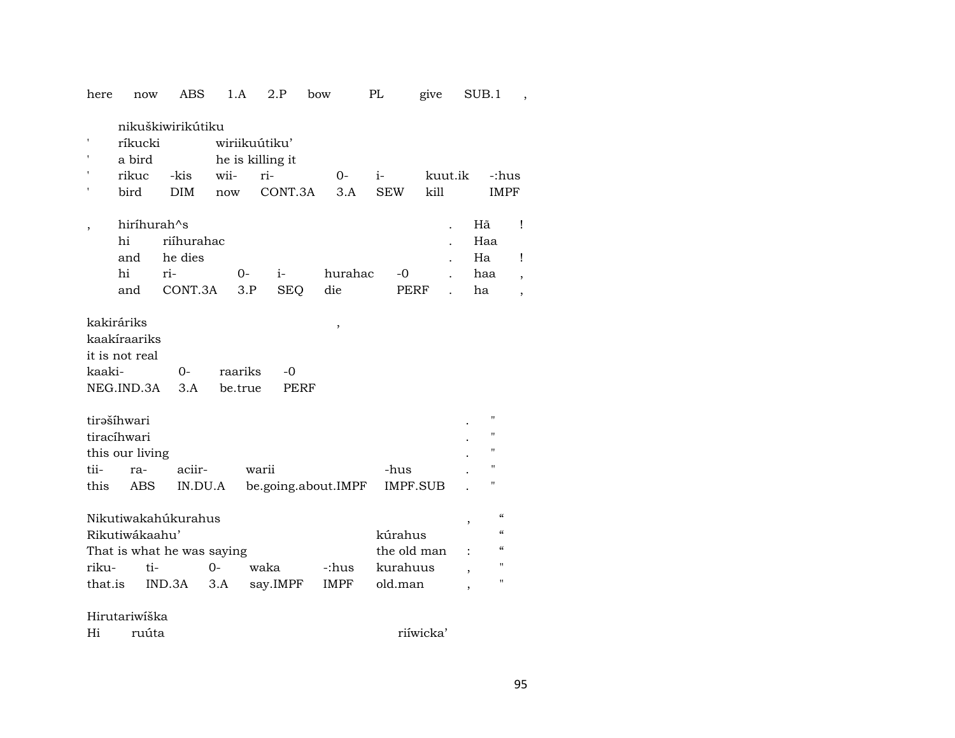| here<br>now                                                                                    | ABS                                     | 1.A                                              | 2.P               | bow                 | PL                                            | give            | SUB.1                                                                                                                                  |                      |
|------------------------------------------------------------------------------------------------|-----------------------------------------|--------------------------------------------------|-------------------|---------------------|-----------------------------------------------|-----------------|----------------------------------------------------------------------------------------------------------------------------------------|----------------------|
| ríkucki<br>a bird<br>rikuc<br>bird                                                             | nikuškiwirikútiku<br>-kis<br><b>DIM</b> | wiriikuútiku'<br>he is killing it<br>wii-<br>now | ri-<br>CONT.3A    | $0-$<br>3.A         | i-<br><b>SEW</b>                              | kuut.ik<br>kill |                                                                                                                                        | -:hus<br><b>IMPF</b> |
| hiríhurah^s<br>hi<br>and<br>hi<br>and                                                          | riíhurahac<br>he dies<br>ri-<br>CONT.3A | $0 -$<br>3.P                                     | i-<br><b>SEQ</b>  | hurahac<br>die      | -0                                            | <b>PERF</b>     | Hã<br>Haa<br>Ha<br>haa<br>ha                                                                                                           | Î<br>i<br>,          |
| kakiráriks<br>kaakíraariks<br>it is not real<br>kaaki-<br>NEG.IND.3A                           | $O -$<br>3.A                            | raariks<br>be.true                               | -0<br><b>PERF</b> | $\, ,$              |                                               |                 |                                                                                                                                        |                      |
| tirašíhwari<br>tiracíhwari<br>this our living<br>tii-<br>ra-<br>this<br>ABS                    | aciir-<br>IN.DU.A                       |                                                  | warii             | be.going.about.IMPF | -hus                                          | <b>IMPF.SUB</b> | П<br>$\blacksquare$<br>11<br>$\blacksquare$<br>11                                                                                      |                      |
| Nikutiwakahúkurahus<br>Rikutiwákaahu'<br>That is what he was saying<br>riku-<br>ti-<br>that.is | $O -$<br>IND.3A                         | 3.A                                              | waka<br>say.IMPF  | -:hus<br>IMPF       | kúrahus<br>the old man<br>kurahuus<br>old.man |                 | $\alpha$<br>,<br>$\pmb{\zeta}\pmb{\zeta}$<br>$\epsilon$<br>$\blacksquare$<br>$\overline{\phantom{a}}$<br>п<br>$\overline{\phantom{a}}$ |                      |

Hirutariwíška

| Hi | ruuta |
|----|-------|
|    |       |

riíwicka'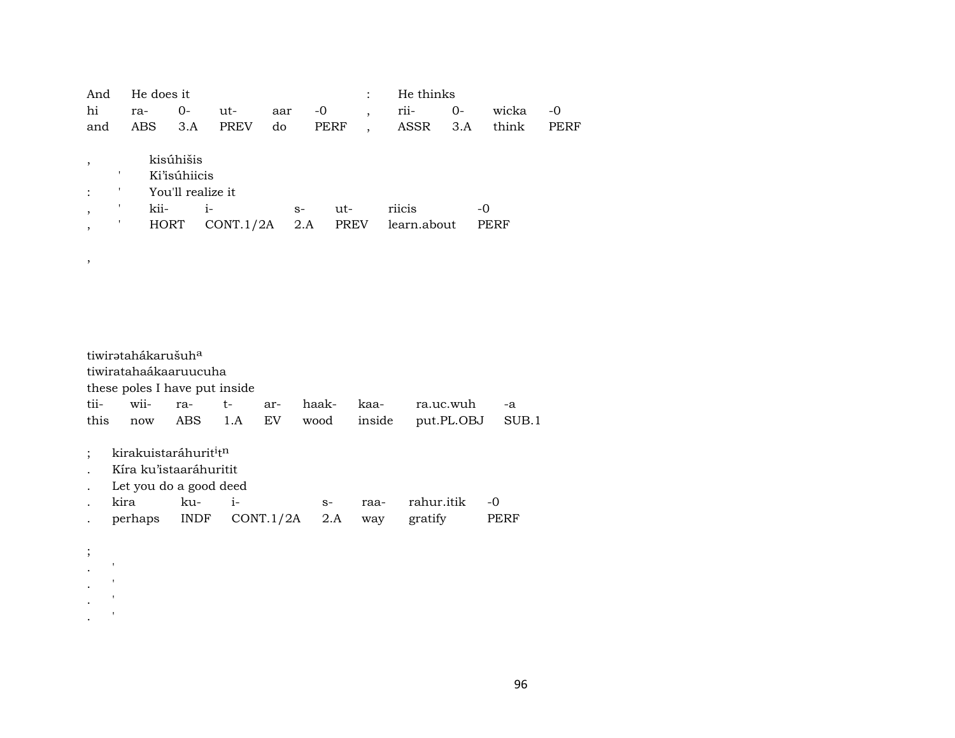| And | He does it |                   |             |      |      | $\ddot{\cdot}$ |             | He thinks |       |      |
|-----|------------|-------------------|-------------|------|------|----------------|-------------|-----------|-------|------|
| hi  | ra-        | $0-$              | ut-         | aar  | -0   |                | rii-        | $0-$      | wicka | -0   |
| and | ABS        | 3.A               | <b>PREV</b> | do   | PERF |                | ASSR        | 3.A       | think | PERF |
|     |            |                   |             |      |      |                |             |           |       |      |
|     |            | kisúhišis         |             |      |      |                |             |           |       |      |
|     |            | Ki'isúhiicis      |             |      |      |                |             |           |       |      |
|     |            | You'll realize it |             |      |      |                |             |           |       |      |
|     | kii-       |                   | $1 -$       | $S-$ |      | ut-            | riicis      |           | -0    |      |
|     |            | <b>HORT</b>       | CONT.1/2A   |      | 2.A  | <b>PREV</b>    | learn.about |           | PERF  |      |
|     |            |                   |             |      |      |                |             |           |       |      |

tiwirətahákarušuh<sup>a</sup> tiwiratahaákaaruucuha these poles I have put inside tii- wii- ra- t- ar- haak- kaa- ra.uc.wuh -a this now ABS 1.A EV wood inside put.PL.OBJ SUB.1

; kirakuistaráhurit<sup>i</sup>t<sup>n</sup>

,

; .  $\mathbb{R}^n$  $\mathbf{r} = \mathbf{r}$  $\mathbf{r} = \mathbf{r}$ .  $\mathbb{R}^n$ 

- . Kíra ku'istaaráhuritit
- . Let you do a good deed
- . kira ku- i- s- raa- rahur.itik -0 . perhaps INDF CONT.1/2A 2.A way gratify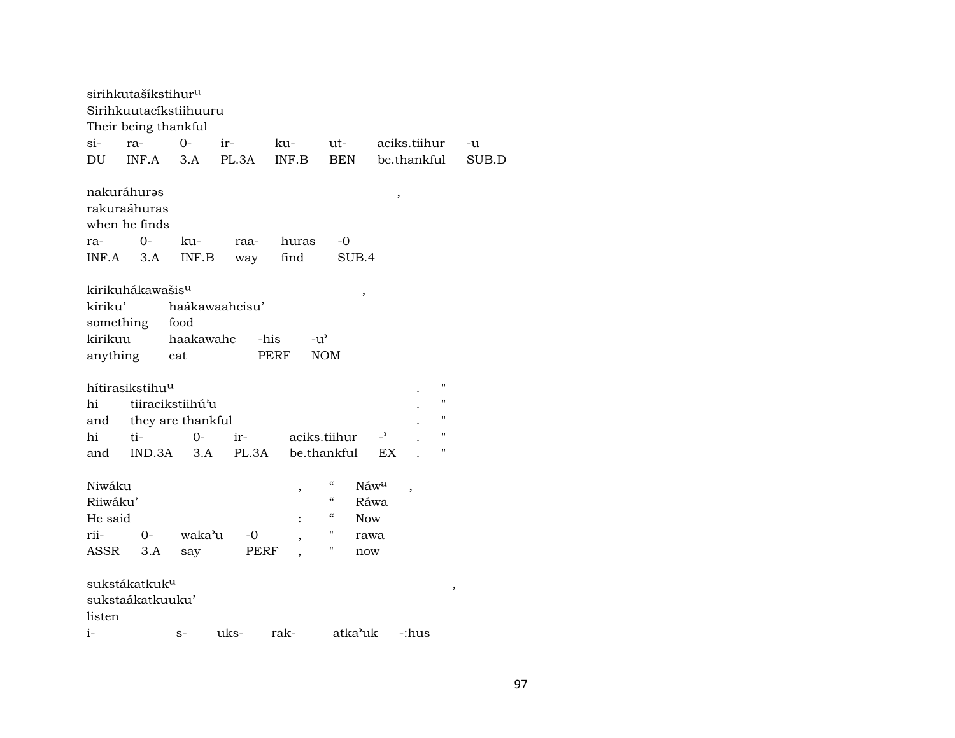|                                 | sirihkutašíkstihur <sup>u</sup><br>Sirihkuutacíkstiihuuru<br>Their being thankful |                          |                        |                       |                            |                          |                          |                |
|---------------------------------|-----------------------------------------------------------------------------------|--------------------------|------------------------|-----------------------|----------------------------|--------------------------|--------------------------|----------------|
| $\sin$                          | ra-                                                                               | $0-$                     | ir-                    | ku-                   | ut-                        |                          | aciks.tiihur             | -u             |
| DU                              | INF.A                                                                             | 3.A                      | PL.3A                  | INF.B                 | <b>BEN</b>                 |                          | be.thankful              | SUB.D          |
| ra-<br>INF.A                    | nakuráhuras<br>rakuraáhuras<br>when he finds<br>$0 -$<br>3.A                      | ku-<br>INF.B             | raa-<br>way            | huras<br>find         | -0<br>SUB.4                | $\, ,$                   |                          |                |
| kíriku'<br>something<br>kirikuu | kirikuhákawašis <sup>u</sup><br>anything                                          | food<br>haakawahc<br>eat | haákawaahcisu'<br>-his | $-u^{\prime}$<br>PERF | ,<br><b>NOM</b>            |                          |                          |                |
|                                 |                                                                                   |                          |                        |                       |                            |                          |                          | н              |
| hi                              | hítirasikstihu <sup>u</sup><br>tiiracikstiihú'u                                   |                          |                        |                       |                            |                          |                          | н              |
| and                             | they are thankful                                                                 |                          |                        |                       |                            |                          |                          | н              |
| hi                              | ti-                                                                               | $0-$                     | ir-                    | aciks.tiihur          |                            | $\overline{\phantom{a}}$ |                          | $\blacksquare$ |
| and                             | IND.3A                                                                            | 3.A                      | PL.3A                  |                       | be.thankful                | EX                       |                          |                |
|                                 |                                                                                   |                          |                        |                       |                            |                          |                          |                |
| Niwáku                          |                                                                                   |                          |                        | $\, ,$                | $\mathcal{C}$              | Náwa                     | $\overline{\phantom{a}}$ |                |
| Riiwáku'                        |                                                                                   |                          |                        |                       | $\boldsymbol{\mathcal{C}}$ | Ráwa                     |                          |                |
| He said                         |                                                                                   |                          |                        |                       | $\epsilon\epsilon$         | <b>Now</b>               |                          |                |
| rii-                            | $0-$                                                                              | waka'u                   | -0                     |                       | 11                         | rawa                     |                          |                |
| ASSR                            | 3.A                                                                               | say                      | PERF                   |                       | н                          | now                      |                          |                |
| listen<br>$i-$                  | sukstákatkuk <sup>u</sup><br>sukstaákatkuuku'                                     | $S-$                     | uks-                   | rak-                  | atka'uk                    |                          | -:hus                    | $\, ,$         |
|                                 |                                                                                   |                          |                        |                       |                            |                          |                          |                |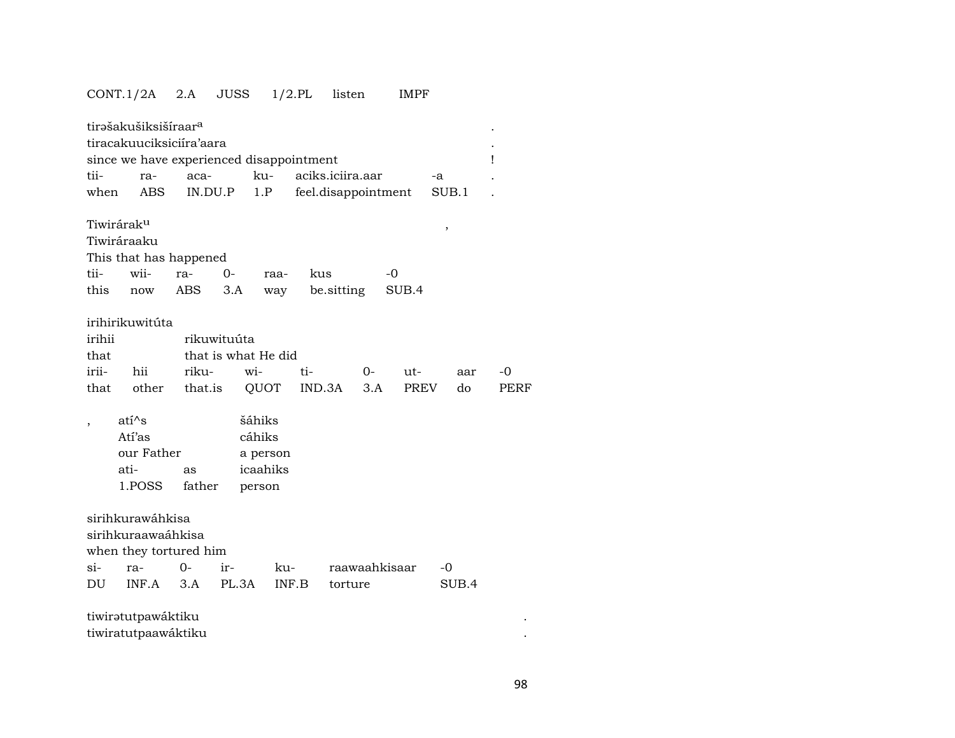## CONT.1/2A 2.A JUSS 1/2.PL listen IMPF

| tii-   | tirašakušiksišíraar <sup>a</sup><br>tiracakuuciksiciíra'aara<br>since we have experienced disappointment |                 |             | ku-                 |     | aciks.iciira.aar    |     |             |             |       | Ţ    |
|--------|----------------------------------------------------------------------------------------------------------|-----------------|-------------|---------------------|-----|---------------------|-----|-------------|-------------|-------|------|
| when   | ra-<br>ABS                                                                                               | aca-<br>IN.DU.P |             | 1.P                 |     |                     |     |             | -a<br>SUB.1 |       |      |
|        |                                                                                                          |                 |             |                     |     | feel.disappointment |     |             |             |       |      |
|        | Tiwirárak <sup>u</sup>                                                                                   |                 |             |                     |     |                     |     |             | ,           |       |      |
|        | Tiwiráraaku                                                                                              |                 |             |                     |     |                     |     |             |             |       |      |
|        | This that has happened                                                                                   |                 |             |                     |     |                     |     |             |             |       |      |
| tii-   | wii-                                                                                                     | ra-             | $O -$       | raa-                | kus |                     |     | $-0$        |             |       |      |
| this   | now                                                                                                      | ABS             | 3.A         | way                 |     | be sitting          |     | SUB.4       |             |       |      |
|        |                                                                                                          |                 |             |                     |     |                     |     |             |             |       |      |
|        | irihirikuwitúta                                                                                          |                 |             |                     |     |                     |     |             |             |       |      |
| irihii |                                                                                                          |                 | rikuwituúta |                     |     |                     |     |             |             |       |      |
| that   |                                                                                                          |                 |             | that is what He did |     |                     |     |             |             |       |      |
| irii-  | hii                                                                                                      | riku-           |             | wi-                 | ti- |                     | 0-  | ut-         |             | aar   | -0   |
| that   | other                                                                                                    | that.is         |             | QUOT                |     | IND.3A              | 3.A | <b>PREV</b> |             | do    | PERF |
|        | $ati^s$                                                                                                  |                 |             | šáhiks              |     |                     |     |             |             |       |      |
|        | Atí'as                                                                                                   |                 |             | cáhiks              |     |                     |     |             |             |       |      |
|        | our Father                                                                                               |                 |             | a person            |     |                     |     |             |             |       |      |
|        | ati-                                                                                                     | as              |             | icaahiks            |     |                     |     |             |             |       |      |
|        | 1.POSS                                                                                                   | father          |             | person              |     |                     |     |             |             |       |      |
|        |                                                                                                          |                 |             |                     |     |                     |     |             |             |       |      |
|        | sirihkurawáhkisa                                                                                         |                 |             |                     |     |                     |     |             |             |       |      |
|        | sirihkuraawaáhkisa                                                                                       |                 |             |                     |     |                     |     |             |             |       |      |
|        | when they tortured him                                                                                   |                 |             |                     |     |                     |     |             |             |       |      |
| $\sin$ | ra-                                                                                                      | $\Omega$        | ir-         | ku-                 |     | raawaahkisaar       |     |             | -0          |       |      |
| DU     | INF.A                                                                                                    | 3.A             | PL.3A       | INF.B               |     | torture             |     |             |             | SUB.4 |      |
|        |                                                                                                          |                 |             |                     |     |                     |     |             |             |       |      |
|        | tiwiratutpawáktiku                                                                                       |                 |             |                     |     |                     |     |             |             |       |      |
|        | tiwiratutpaawáktiku                                                                                      |                 |             |                     |     |                     |     |             |             |       |      |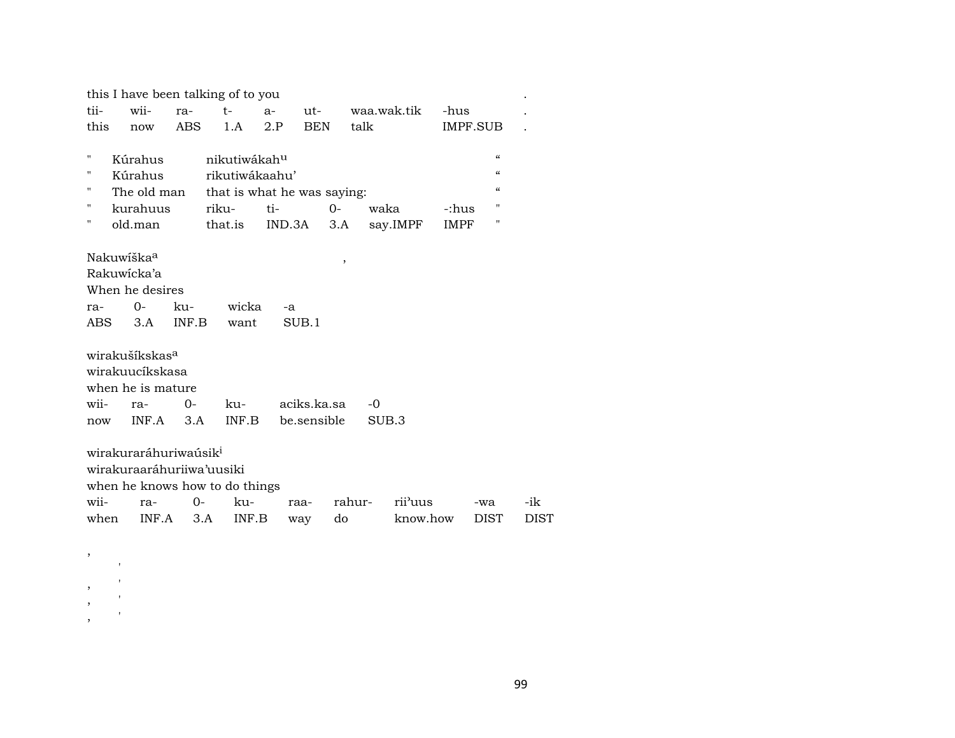|                                |                                                                                    | this I have been talking of to you                                                                         |                                                                |                                                     |                                               |                                         |          |                                                    |
|--------------------------------|------------------------------------------------------------------------------------|------------------------------------------------------------------------------------------------------------|----------------------------------------------------------------|-----------------------------------------------------|-----------------------------------------------|-----------------------------------------|----------|----------------------------------------------------|
| wii-                           | ra-                                                                                | $t-$                                                                                                       | $a-$                                                           | ut-                                                 | waa.wak.tik                                   | -hus                                    |          |                                                    |
| now                            | <b>ABS</b>                                                                         | 1.A                                                                                                        | 2.P                                                            | <b>BEN</b>                                          | talk                                          |                                         |          |                                                    |
|                                |                                                                                    |                                                                                                            |                                                                |                                                     |                                               |                                         |          |                                                    |
|                                |                                                                                    |                                                                                                            |                                                                |                                                     |                                               |                                         |          |                                                    |
|                                |                                                                                    |                                                                                                            |                                                                |                                                     |                                               |                                         |          |                                                    |
|                                |                                                                                    |                                                                                                            |                                                                |                                                     |                                               |                                         |          |                                                    |
|                                |                                                                                    |                                                                                                            | ti-                                                            | 0-                                                  | waka                                          | -:hus                                   | п        |                                                    |
| old.man                        |                                                                                    |                                                                                                            |                                                                | 3.A                                                 |                                               | <b>IMPF</b>                             | п        |                                                    |
| $0-$<br>3.A<br>ra-             | ku-<br>$O -$<br>3.A                                                                | want<br>ku-<br>INF.B                                                                                       | -a                                                             | ,                                                   | $-0$<br>SUB <sub>3</sub>                      |                                         |          |                                                    |
|                                |                                                                                    |                                                                                                            |                                                                |                                                     |                                               |                                         |          |                                                    |
| wirakuraaráhuriiwa'uusiki      |                                                                                    |                                                                                                            |                                                                |                                                     |                                               |                                         |          |                                                    |
|                                |                                                                                    |                                                                                                            |                                                                |                                                     |                                               |                                         |          |                                                    |
| when he knows how to do things |                                                                                    |                                                                                                            |                                                                |                                                     |                                               |                                         |          |                                                    |
| ra-                            | $0 -$                                                                              | ku-                                                                                                        | raa-                                                           |                                                     | rii'uus<br>rahur-                             |                                         | -wa      | -ik                                                |
| wii-                           | this<br>Kúrahus<br>Kúrahus<br>Nakuwiška <sup>a</sup><br>Rakuwicka'a<br>ABS.<br>now | kurahuus<br>When he desires<br>wirakušíkskas <sup>a</sup><br>wirakuucíkskasa<br>when he is mature<br>INF.A | riku-<br>that.is<br>INF.B<br>wirakuraráhuriwaúsik <sup>i</sup> | nikutiwákah <sup>u</sup><br>rikutiwákaahu'<br>wicka | IND.3A<br>SUB.1<br>aciks.ka.sa<br>be.sensible | The old man that is what he was saying: | say.IMPF | IMPF.SUB<br>$\epsilon$<br>$\epsilon$<br>$\epsilon$ |

,

,  $\,$ , ' , '

 $\,$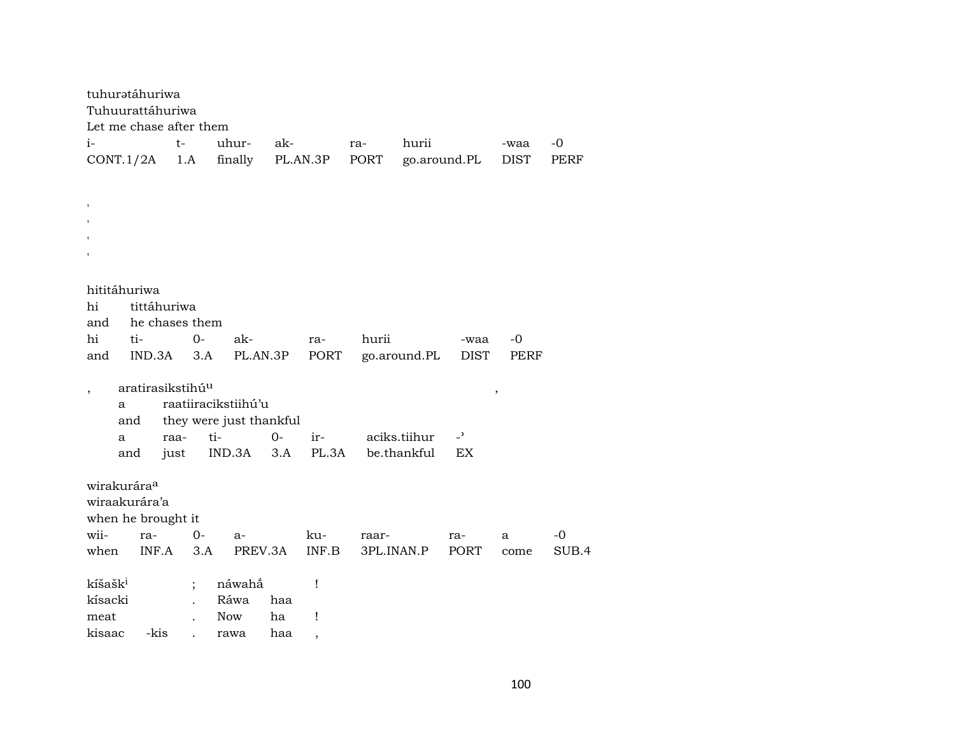| tuhuratáhuriwa          |     |        |                              |       |                         |         |                          |            |              |               |             |       |
|-------------------------|-----|--------|------------------------------|-------|-------------------------|---------|--------------------------|------------|--------------|---------------|-------------|-------|
|                         |     |        | Tuhuurattáhuriwa             |       |                         |         |                          |            |              |               |             |       |
|                         |     |        | Let me chase after them      |       |                         |         |                          |            |              |               |             |       |
| $i-$                    |     |        | $t-$                         |       | uhur-                   | ak-     |                          | ra-        | hurii        |               | -waa        | -0    |
| CONT.1/2A               |     |        | 1.A                          |       | finally                 |         | PL.AN.3P                 | PORT       |              | go.around.PL  | <b>DIST</b> | PERF  |
|                         |     |        |                              |       |                         |         |                          |            |              |               |             |       |
|                         |     |        |                              |       |                         |         |                          |            |              |               |             |       |
|                         |     |        |                              |       |                         |         |                          |            |              |               |             |       |
|                         |     |        |                              |       |                         |         |                          |            |              |               |             |       |
|                         |     |        |                              |       |                         |         |                          |            |              |               |             |       |
|                         |     |        |                              |       |                         |         |                          |            |              |               |             |       |
|                         |     |        |                              |       |                         |         |                          |            |              |               |             |       |
| hititáhuriwa            |     |        |                              |       |                         |         |                          |            |              |               |             |       |
| hi                      |     |        | tittáhuriwa                  |       |                         |         |                          |            |              |               |             |       |
| and                     |     |        | he chases them               |       |                         |         |                          |            |              |               |             |       |
| hi                      | ti- |        |                              | $O -$ | ak-                     |         | ra-                      | hurii      |              | -waa          | -0          |       |
| and                     |     | IND.3A |                              | 3.A   | PL.AN.3P                |         | PORT                     |            | go.around.PL | DIST          | PERF        |       |
|                         |     |        |                              |       |                         |         |                          |            |              |               |             |       |
|                         |     |        | aratirasikstihú <sup>u</sup> |       |                         |         |                          |            |              |               | $\, ,$      |       |
|                         | a   |        |                              |       | raatiiracikstiihú'u     |         |                          |            |              |               |             |       |
|                         | and |        |                              |       | they were just thankful |         |                          |            |              |               |             |       |
|                         | a   |        | raa-                         |       | ti-                     | $0-$    | $ir-$                    |            | aciks.tiihur | $\rightarrow$ |             |       |
|                         | and |        | just                         |       | IND.3A                  | 3.A     | PL.3A                    |            | be.thankful  | EX            |             |       |
|                         |     |        |                              |       |                         |         |                          |            |              |               |             |       |
| wirakurára <sup>a</sup> |     |        |                              |       |                         |         |                          |            |              |               |             |       |
| wiraakurára'a           |     |        |                              |       |                         |         |                          |            |              |               |             |       |
|                         |     |        | when he brought it           |       |                         |         |                          |            |              |               |             |       |
| wii-                    |     | ra-    |                              | $0-$  | $a-$                    |         | ku-                      | raar-      |              | ra-           | a           | $-0$  |
| when                    |     | INF.A  |                              | 3.A   |                         | PREV.3A | INF.B                    | 3PL.INAN.P |              | <b>PORT</b>   | come        | SUB.4 |
|                         |     |        |                              |       |                         |         |                          |            |              |               |             |       |
| kíšašk <sup>i</sup>     |     |        |                              |       | náwahấ                  |         | Ţ                        |            |              |               |             |       |
| kísacki                 |     |        |                              |       | Ráwa                    | haa     |                          |            |              |               |             |       |
| meat                    |     |        |                              |       | <b>Now</b>              | ha      | Ţ                        |            |              |               |             |       |
| kisaac                  |     | -kis   |                              |       | rawa                    | haa     | $\overline{\phantom{a}}$ |            |              |               |             |       |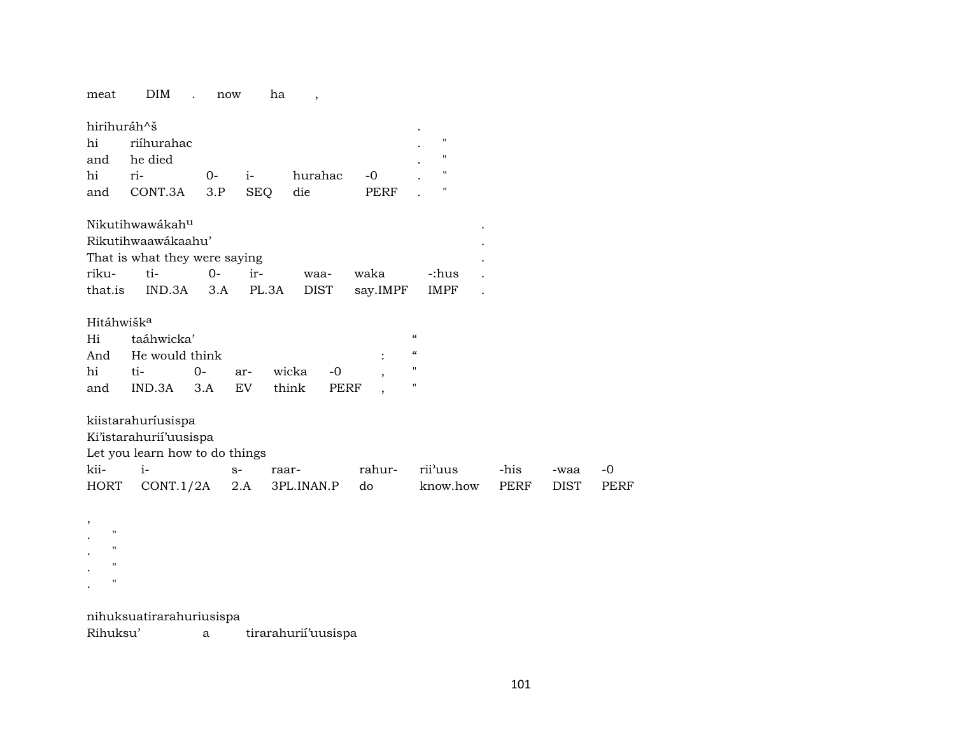DIM . now meat ha  $\overline{\phantom{a}}$ 

| hirihuráh^š            |                                |       |                |               |                |                                        |      |             |
|------------------------|--------------------------------|-------|----------------|---------------|----------------|----------------------------------------|------|-------------|
| hi                     | riíhurahac                     |       |                |               |                | 11                                     |      |             |
| and                    | he died                        |       |                |               |                | 11                                     |      |             |
| hi                     | ri-                            | $O -$ | $i-$           | hurahac       | -0             | 11                                     |      |             |
| and                    | CONT.3A                        | 3.P   | <b>SEQ</b>     | die           | PERF           | "                                      |      |             |
|                        | Nikutihwawákah <sup>u</sup>    |       |                |               |                |                                        |      |             |
|                        |                                |       |                |               |                |                                        |      |             |
|                        | Rikutihwaawákaahu'             |       |                |               |                |                                        |      |             |
|                        | That is what they were saying  |       |                |               |                |                                        |      |             |
| riku-                  | ti-                            | $O -$ | ir-            | waa-          | waka           | -:hus                                  |      |             |
| that.is                | IND.3A                         | 3.A   | PL.3A          | <b>DIST</b>   | say.IMPF       | <b>IMPF</b>                            |      |             |
| Hitáhwišk <sup>a</sup> |                                |       |                |               |                |                                        |      |             |
| Hi                     | taáhwicka'                     |       |                |               |                | $\epsilon$                             |      |             |
| And                    | He would think                 |       |                |               | $\ddot{\cdot}$ | $\boldsymbol{\zeta}\boldsymbol{\zeta}$ |      |             |
| hi                     | ti-                            | $O -$ | ar-            | wicka<br>$-0$ |                | $^{\prime\prime}$                      |      |             |
| and                    | IND.3A                         | 3.A   | EV <sub></sub> | think<br>PERF |                | 11                                     |      |             |
|                        |                                |       |                |               |                |                                        |      |             |
|                        | kiistarahuríusispa             |       |                |               |                |                                        |      |             |
|                        | Ki'istarahurii'uusispa         |       |                |               |                |                                        |      |             |
|                        | Let you learn how to do things |       |                |               |                |                                        |      |             |
| kii-                   | $i-$                           |       | $S-$           | raar-         | rahur-         | rii'uus                                | -his | -waa        |
| HORT                   | CONT.1/2A                      |       | 2.A            | 3PL.INAN.P    | do             | know.how                               | PERF | <b>DIST</b> |
|                        |                                |       |                |               |                |                                        |      |             |

 $\overline{\phantom{a}}$  $\mathbf{u}$  $\ddot{\phantom{a}}$  $\boldsymbol{u}$  $\ddot{\phantom{a}}$  $\mathbf{u}$  $\bullet$  $\mathbf{u}$  $\mathbb{Z}^2$ 

nihuksuatirarahuriusispa

Rihuksu' tirarahurií'uusispa  $\mathbf{a}$ 

 $\mbox{-}0$ PERF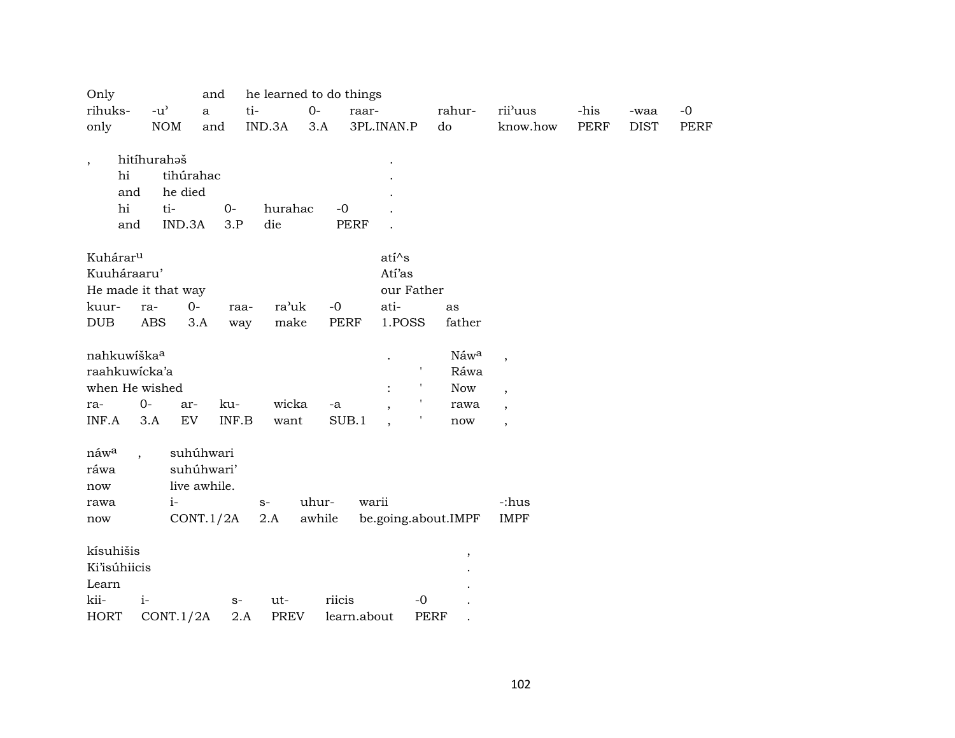| Only                     |                     | and          | he learned to do things |        |             |                          |             |                          |             |             |             |
|--------------------------|---------------------|--------------|-------------------------|--------|-------------|--------------------------|-------------|--------------------------|-------------|-------------|-------------|
| rihuks-                  | $-u^{\prime}$       | $\mathbf{a}$ | ti-                     | $0-$   | raar-       |                          | rahur-      | rii'uus                  | -his        | -waa        | $-0$        |
| only                     | <b>NOM</b>          | and          | IND.3A                  | 3.A    |             | 3PL.INAN.P               | do          | know.how                 | <b>PERF</b> | <b>DIST</b> | <b>PERF</b> |
| $\overline{\phantom{a}}$ | hitíhurahaš         |              |                         |        |             |                          |             |                          |             |             |             |
| hi                       |                     | tihúrahac    |                         |        |             |                          |             |                          |             |             |             |
| and                      | he died             |              |                         |        |             |                          |             |                          |             |             |             |
| hi                       | ti-                 | $0-$         | hurahac                 |        | $-0$        |                          |             |                          |             |             |             |
| and                      | IND.3A              |              | 3.P<br>die              |        | <b>PERF</b> |                          |             |                          |             |             |             |
| Kuhárar <sup>u</sup>     |                     |              |                         |        |             | $ati^s$ s                |             |                          |             |             |             |
| Kuuháraaru'              |                     |              |                         |        |             | Atí'as                   |             |                          |             |             |             |
|                          | He made it that way |              |                         |        |             | our Father               |             |                          |             |             |             |
| kuur-                    | ra-                 | $0-$         | ra'uk<br>raa-           | $-0$   |             | ati-                     | as          |                          |             |             |             |
| <b>DUB</b>               | <b>ABS</b>          | 3.A          | make<br>way             |        | PERF        | 1.POSS                   | father      |                          |             |             |             |
| nahkuwiška <sup>a</sup>  |                     |              |                         |        |             |                          | Náwa        | $\overline{\phantom{a}}$ |             |             |             |
| raahkuwicka'a            |                     |              |                         |        |             | $\mathbf{r}$             | Ráwa        |                          |             |             |             |
|                          | when He wished      |              |                         |        |             | л,<br>$\ddot{\cdot}$     | Now         | $\overline{\phantom{a}}$ |             |             |             |
| ra-                      | $0-$                | ku-<br>ar-   | wicka                   | $-a$   |             | $\overline{\phantom{a}}$ | rawa        | $\overline{\phantom{a}}$ |             |             |             |
| INF.A                    | 3.A                 | EV           | INF.B<br>want           |        | SUB.1       |                          | now         | $\overline{\phantom{a}}$ |             |             |             |
| náwa                     |                     | suhúhwari    |                         |        |             |                          |             |                          |             |             |             |
| ráwa                     |                     | suhúhwari'   |                         |        |             |                          |             |                          |             |             |             |
| now                      |                     | live awhile. |                         |        |             |                          |             |                          |             |             |             |
| rawa                     | $i-$                |              | $S-$                    | uhur-  | warii       |                          |             | -:hus                    |             |             |             |
| now                      |                     | CONT.1/2A    | 2.A                     | awhile |             | be.going.about.IMPF      |             | <b>IMPF</b>              |             |             |             |
| kísuhišis                |                     |              |                         |        |             |                          | $\cdot$     |                          |             |             |             |
| <b>Ki'isúhiicis</b>      |                     |              |                         |        |             |                          |             |                          |             |             |             |
| Learn                    |                     |              |                         |        |             |                          |             |                          |             |             |             |
| kii-                     | $i-$                |              | ut-<br>$S-$             |        | riicis      | $-0$                     |             |                          |             |             |             |
| <b>HORT</b>              | CONT.1/2A           |              | 2.A<br><b>PREV</b>      |        | learn.about |                          | <b>PERF</b> |                          |             |             |             |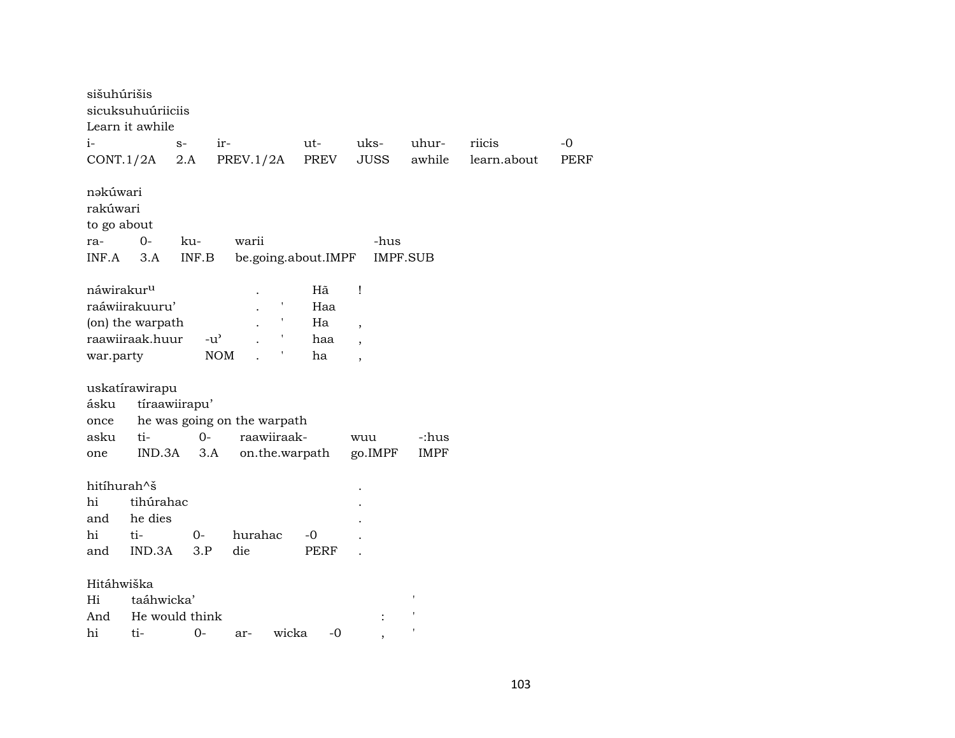| sišuhúrišis |                        |               |                             |             |                     |                          |                 |             |      |
|-------------|------------------------|---------------|-----------------------------|-------------|---------------------|--------------------------|-----------------|-------------|------|
|             | sicuksuhuúriiciis      |               |                             |             |                     |                          |                 |             |      |
|             | Learn it awhile        |               |                             |             |                     |                          |                 |             |      |
| $i-$        |                        | $S-$          | ir-                         |             | ut-                 | uks-                     | uhur-           | riicis      | $-0$ |
|             | CONT.1/2A              | 2.A           | PREV.1/2A                   |             | PREV                | JUSS                     | awhile          | learn.about | PERF |
| nəkúwari    |                        |               |                             |             |                     |                          |                 |             |      |
| rakúwari    |                        |               |                             |             |                     |                          |                 |             |      |
| to go about |                        |               |                             |             |                     |                          |                 |             |      |
| ra-         | $0-$                   | ku-           | warii                       |             |                     | -hus                     |                 |             |      |
| INF.A       | 3.A                    | INF.B         |                             |             | be.going.about.IMPF |                          | <b>IMPF.SUB</b> |             |      |
|             | náwirakur <sup>u</sup> |               |                             |             | Hã                  | Ţ                        |                 |             |      |
|             | raáwiirakuuru'         |               |                             |             | Haa                 |                          |                 |             |      |
|             | (on) the warpath       |               |                             |             | Ha                  | $\overline{\phantom{a}}$ |                 |             |      |
|             | raawiiraak.huur        |               | $-u^{\prime}$               |             | haa                 |                          |                 |             |      |
| war.party   |                        |               | $\rm{NOM}$                  |             | ha                  | $\overline{\phantom{a}}$ |                 |             |      |
|             | uskatírawirapu         |               |                             |             |                     |                          |                 |             |      |
| ásku        |                        | tíraawiirapu' |                             |             |                     |                          |                 |             |      |
| once        |                        |               | he was going on the warpath |             |                     |                          |                 |             |      |
| asku        | ti-                    | $0-$          |                             | raawiiraak- |                     | wuu                      | -:hus           |             |      |
| one         | IND.3A                 | 3.A           |                             |             | on.the.warpath      | go.IMPF                  | <b>IMPF</b>     |             |      |
|             |                        |               |                             |             |                     |                          |                 |             |      |
|             | hitíhurah^š            |               |                             |             |                     |                          |                 |             |      |
| hi          | tihúrahac              |               |                             |             |                     |                          |                 |             |      |
| and         | he dies                |               |                             |             |                     |                          |                 |             |      |
| hi          | ti-                    | $O -$         | hurahac                     |             | -0                  |                          |                 |             |      |
| and         | IND.3A                 | 3.P           | die                         |             | PERF                |                          |                 |             |      |
|             | Hitáhwiška             |               |                             |             |                     |                          |                 |             |      |
| Hi          | taáhwicka'             |               |                             |             |                     |                          |                 |             |      |
| And         | He would think         |               |                             |             |                     |                          |                 |             |      |
| hi          | ti-                    | $O-$          | ar-                         | wicka       | $-0$                |                          |                 |             |      |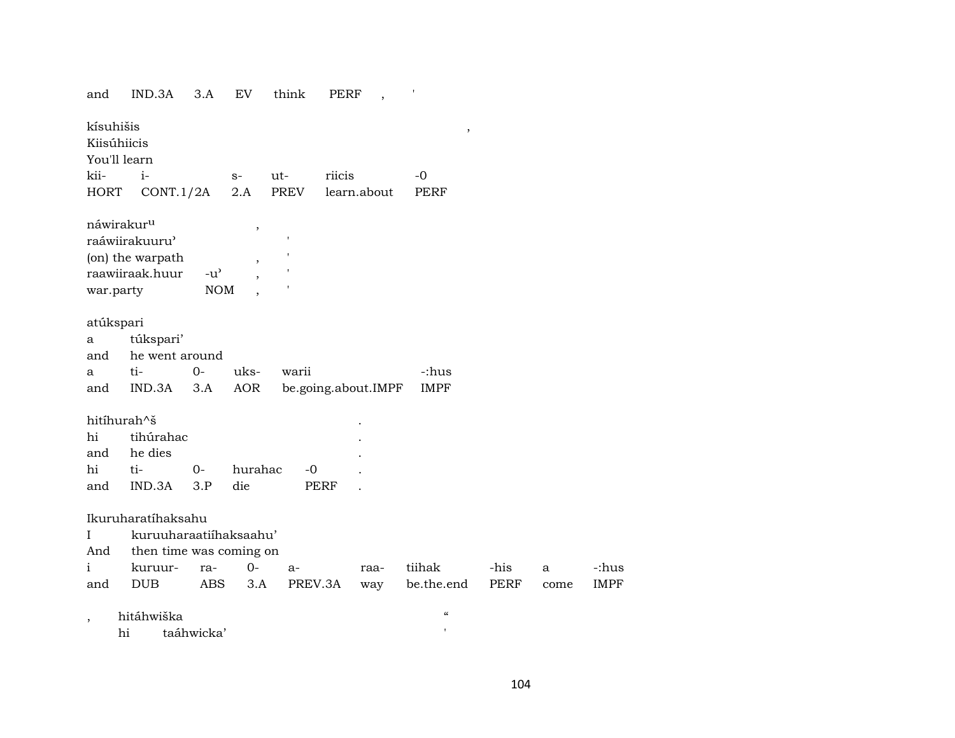| and                      | IND.3A                  | 3.A                                 | <b>EV</b>                | think       | PERF   |                     |                                        |      |      |
|--------------------------|-------------------------|-------------------------------------|--------------------------|-------------|--------|---------------------|----------------------------------------|------|------|
| kísuhišis<br>Kiisúhiicis |                         |                                     |                          |             |        |                     | $\, ,$                                 |      |      |
| You'll learn             |                         |                                     |                          |             |        |                     |                                        |      |      |
| kii-                     | $i-$                    |                                     | $S-$                     | $ut-$       | riicis |                     | -0                                     |      |      |
| <b>HORT</b>              | CONT.1/2A               |                                     | 2.A                      | <b>PREV</b> |        | learn.about         | <b>PERF</b>                            |      |      |
|                          | náwirakur <sup>u</sup>  |                                     | $\, ,$                   |             |        |                     |                                        |      |      |
|                          | raáwiirakuuru'          |                                     |                          | 1           |        |                     |                                        |      |      |
|                          | (on) the warpath        |                                     | $\overline{\phantom{a}}$ |             |        |                     |                                        |      |      |
|                          | raawiiraak.huur         | $-u$ <sup><math>\prime</math></sup> |                          |             |        |                     |                                        |      |      |
| war.party                |                         | <b>NOM</b>                          |                          |             |        |                     |                                        |      |      |
|                          |                         |                                     |                          |             |        |                     |                                        |      |      |
| atúkspari                |                         |                                     |                          |             |        |                     |                                        |      |      |
| a                        | túkspari'               |                                     |                          |             |        |                     |                                        |      |      |
| and                      | he went around          |                                     |                          |             |        |                     |                                        |      |      |
| a                        | ti-                     | $0-$                                | uks-                     | warii       |        |                     | -:hus                                  |      |      |
| and                      | IND.3A                  | 3.A                                 | AOR                      |             |        | be.going.about.IMPF | <b>IMPF</b>                            |      |      |
|                          | hitíhurah^š             |                                     |                          |             |        |                     |                                        |      |      |
|                          |                         |                                     |                          |             |        |                     |                                        |      |      |
| hi                       | tihúrahac               |                                     |                          |             |        |                     |                                        |      |      |
| and                      | he dies                 |                                     |                          |             |        |                     |                                        |      |      |
| hi                       | ti-                     | $O-$                                | hurahac                  | $-0$        |        |                     |                                        |      |      |
| and                      | IND.3A                  | 3.P                                 | die                      | PERF        |        |                     |                                        |      |      |
|                          | Ikuruharatíhaksahu      |                                     |                          |             |        |                     |                                        |      |      |
| L                        | kuruuharaatiihaksaahu'  |                                     |                          |             |        |                     |                                        |      |      |
| And                      | then time was coming on |                                     |                          |             |        |                     |                                        |      |      |
| i                        | kuruur-                 | ra-                                 | $0-$                     | $a-$        |        | raa-                | tiihak                                 | -his | a    |
| and                      | DUB                     | ABS                                 | 3.A                      | PREV.3A     |        | way                 | be.the.end                             | PERF | come |
|                          |                         |                                     |                          |             |        |                     |                                        |      |      |
| $\overline{ }$           | hitáhwiška              |                                     |                          |             |        |                     | $\boldsymbol{\zeta}\boldsymbol{\zeta}$ |      |      |
|                          | hi                      | taáhwicka'                          |                          |             |        |                     | $\mathbf{I}$                           |      |      |

 $\mbox{-}$  :<br>hus **IMPF**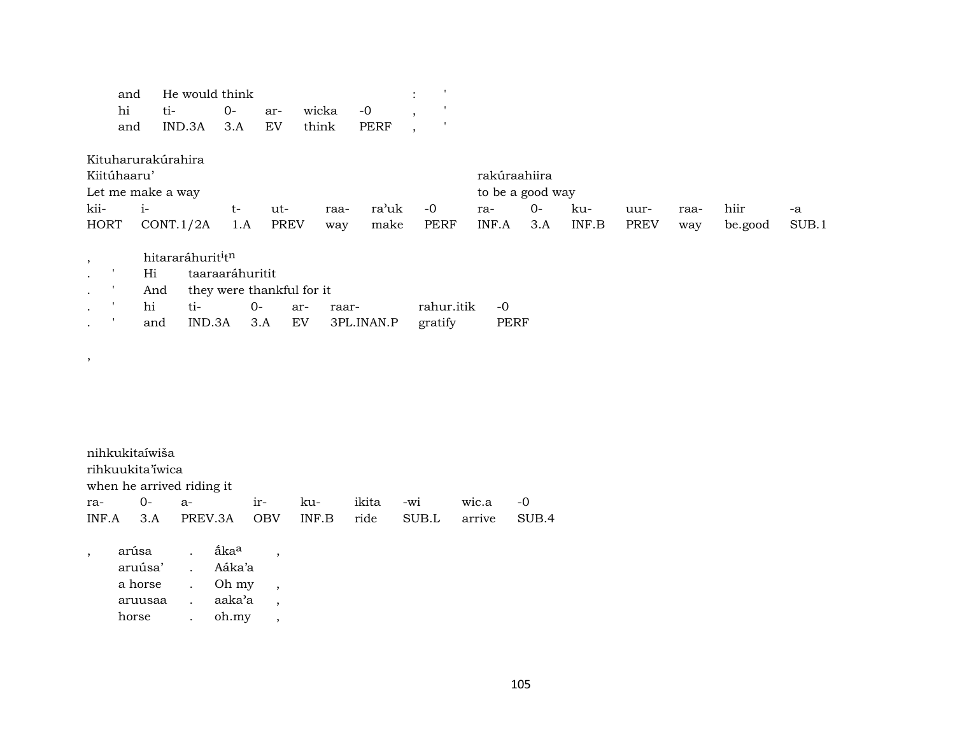|                      | and         | He would think                |                           |             |              |             |             |                  |      |       |             |      |         |       |
|----------------------|-------------|-------------------------------|---------------------------|-------------|--------------|-------------|-------------|------------------|------|-------|-------------|------|---------|-------|
|                      | hi          | ti-                           | $0-$                      | ar-         | wicka        | $-0$        |             |                  |      |       |             |      |         |       |
|                      | and         | IND.3A                        | 3.A                       | EV          | think        | <b>PERF</b> |             |                  |      |       |             |      |         |       |
|                      |             | Kituharurakúrahira            |                           |             |              |             |             |                  |      |       |             |      |         |       |
|                      | Kiitúhaaru' |                               |                           |             |              |             |             | rakúraahiira     |      |       |             |      |         |       |
|                      |             | Let me make a way             |                           |             |              |             |             | to be a good way |      |       |             |      |         |       |
| kii-                 | $i-$        |                               | $t-$                      | ut-         | raa-         | ra'uk       | $-0$        | ra-              | $0-$ | ku-   | uur-        | raa- | hiir    | -a    |
| <b>HORT</b>          |             | CONT.1/2A                     | 1.A                       | <b>PREV</b> | way          | make        | <b>PERF</b> | INF.A            | 3.A  | INF.B | <b>PREV</b> | way  | be.good | SUB.1 |
| $\cdot$              |             | hitararáhurit <sup>i</sup> tn |                           |             |              |             |             |                  |      |       |             |      |         |       |
|                      | Hi          |                               | taaraaráhuritit           |             |              |             |             |                  |      |       |             |      |         |       |
| $\bullet$            | And         |                               | they were thankful for it |             |              |             |             |                  |      |       |             |      |         |       |
| $\ddot{\phantom{0}}$ | hi          | ti-                           | $0 -$                     |             | ar-<br>raar- |             | rahur.itik  | $-0$             |      |       |             |      |         |       |
|                      | and         | IND.3A                        |                           | 3.A         | EV           | 3PL.INAN.P  | gratify     | <b>PERF</b>      |      |       |             |      |         |       |
|                      |             |                               |                           |             |              |             |             |                  |      |       |             |      |         |       |

| nihkukitaíwiša   |                                     |  |           |       |       |
|------------------|-------------------------------------|--|-----------|-------|-------|
| rihkuukita iwica |                                     |  |           |       |       |
|                  | when he arrived riding it           |  |           |       |       |
|                  | ra- 0- a- ir- ku-                   |  | ikita -wi | wic.a | $-0$  |
| INF.A 3.A        | PREV.3A OBV INF.B ride SUB.L arrive |  |           |       | SUB.4 |

| arúsa   | åka <sup>a</sup> |  |
|---------|------------------|--|
| aruúsa' | Aáka'a           |  |
| a horse | Oh my            |  |
| aruusaa | aaka'a           |  |
| horse   | oh.my            |  |
|         |                  |  |

,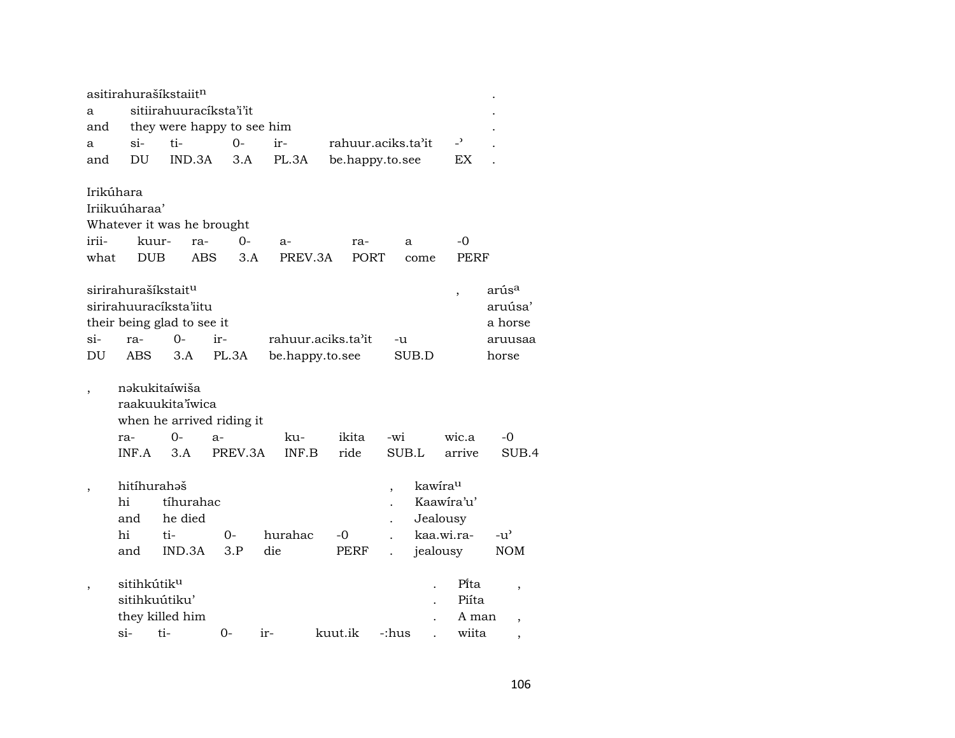| a<br>and                 |                          | asitirahurašíkstaiit <sup>n</sup>                                                       | sitiirahuuracíksta'i'it<br>they were happy to see him |     |                    |                    |              |                     |                          |                                         |
|--------------------------|--------------------------|-----------------------------------------------------------------------------------------|-------------------------------------------------------|-----|--------------------|--------------------|--------------|---------------------|--------------------------|-----------------------------------------|
| a                        | si-                      | ti-                                                                                     | 0-                                                    | ir- |                    | rahuur.aciks.ta'it |              |                     | $\overline{\phantom{0}}$ |                                         |
| and                      | DU                       | IND.3A                                                                                  | 3.A                                                   |     | PL.3A              | be.happy.to.see    |              |                     | EX                       |                                         |
| Irikúhara                |                          |                                                                                         |                                                       |     |                    |                    |              |                     |                          |                                         |
|                          | Iriikuúharaa'            |                                                                                         |                                                       |     |                    |                    |              |                     |                          |                                         |
|                          |                          |                                                                                         | Whatever it was he brought                            |     |                    |                    |              |                     |                          |                                         |
| irii-                    | kuur-                    | ra-                                                                                     | 0-                                                    |     | $a-$               | ra-                |              | a                   | -0                       |                                         |
| what                     | <b>DUB</b>               |                                                                                         | <b>ABS</b><br>3.A                                     |     | PREV.3A            | PORT               |              | come                | <b>PERF</b>              |                                         |
|                          |                          | sirirahurašíkstait <sup>u</sup><br>sirirahuuracíksta'iitu<br>their being glad to see it |                                                       |     |                    |                    |              |                     | $\overline{\phantom{a}}$ | arús <sup>a</sup><br>aruúsa'<br>a horse |
| si-                      | ra-                      | $O -$                                                                                   | ir-                                                   |     | rahuur.aciks.ta'it |                    | -u           |                     |                          | aruusaa                                 |
| DU                       | ABS                      | 3.A                                                                                     | PL.3A                                                 |     | be.happy.to.see    |                    |              | SUB.D               |                          | horse                                   |
| $\overline{\phantom{a}}$ | ra-<br>INF.A             | nəkukitaíwiša<br>raakuukita iwica<br>$O -$<br>3.A                                       | when he arrived riding it<br>$a-$<br>PREV.3A          |     | ku-<br>INF.B       | ikita<br>ride      | -wi<br>SUB.L |                     | wic.a<br>arrive          | -0<br>SUB.4                             |
|                          |                          |                                                                                         |                                                       |     |                    |                    |              |                     |                          |                                         |
| $\overline{\phantom{a}}$ | hitíhurahaš<br>hi<br>and | tíhurahac<br>he died                                                                    |                                                       |     |                    |                    | ,            | kawirau<br>Jealousy | Kaawira'u'               |                                         |
|                          | hi                       | ti-                                                                                     | $O -$                                                 |     | hurahac            | -0                 |              |                     | kaa.wi.ra-               | -u'                                     |
|                          | and                      | IND.3A                                                                                  | 3.P                                                   | die |                    | PERF               |              | jealousy            |                          | <b>NOM</b>                              |
|                          | sitihkútik <sup>u</sup>  | sitihkuútiku'<br>they killed him                                                        |                                                       |     |                    |                    |              |                     | Pita<br>Piíta<br>A man   | ,                                       |
|                          | si-                      | ti-                                                                                     | $0-$                                                  | ir- |                    | kuut.ik            | -:hus        |                     | wiita                    | ,                                       |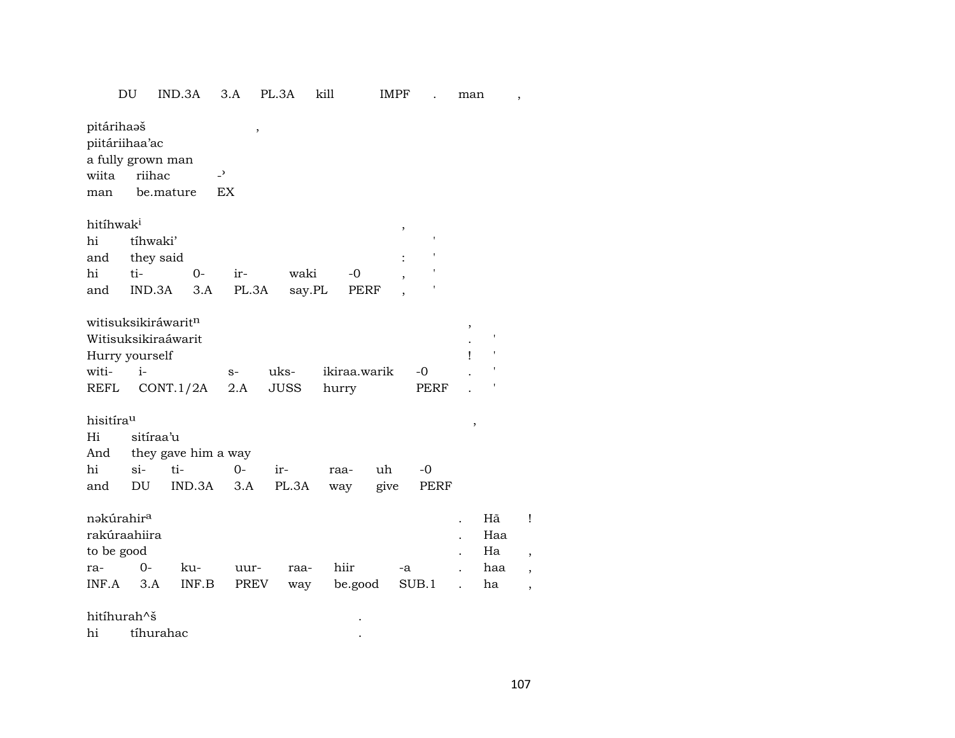| _ _ _<br>َب | ----<br>'NI<br>śΑ | Λ<br>$\cdots$ | 3Α<br>. J' |  | IMPF<br>M |  | n n |  |
|-------------|-------------------|---------------|------------|--|-----------|--|-----|--|
|-------------|-------------------|---------------|------------|--|-----------|--|-----|--|

| pitárihaaš<br>piitáriihaa'ac<br>a fully grown man<br>wiita<br>man | riihac    | $\overline{\phantom{0}}$<br>be.mature | $\,$<br>EX |             |              |        |                    |        |     |   |
|-------------------------------------------------------------------|-----------|---------------------------------------|------------|-------------|--------------|--------|--------------------|--------|-----|---|
| hitíhwak <sup>i</sup>                                             |           |                                       |            |             |              | $\, ,$ |                    |        |     |   |
| hi                                                                | tíhwaki'  |                                       |            |             |              |        | $\pmb{\mathsf{I}}$ |        |     |   |
| and                                                               | they said |                                       |            |             |              |        |                    |        |     |   |
| hi                                                                | ti-       | $0-$                                  | ir-        | waki        | -0           |        |                    |        |     |   |
| and                                                               | IND.3A    | 3.A                                   | PL.3A      | say.PL      | PERF         |        |                    |        |     |   |
|                                                                   |           |                                       |            |             |              |        |                    |        |     |   |
| witisuksikiráwarit <sup>n</sup>                                   |           |                                       |            |             |              |        |                    | ,      |     |   |
| Witisuksikiraáwarit                                               |           |                                       |            |             |              |        |                    |        | ,   |   |
| Hurry yourself                                                    |           |                                       |            |             |              |        |                    | ı      | ,   |   |
| witi-                                                             | $i-$      |                                       | $S-$       | uks-        | ikiraa.warik |        | -0                 |        |     |   |
| REFL                                                              |           | CONT.1/2A                             | 2.A        | <b>JUSS</b> | hurry        |        | PERF               |        |     |   |
|                                                                   |           |                                       |            |             |              |        |                    |        |     |   |
| hisitírau                                                         |           |                                       |            |             |              |        |                    | $\, ,$ |     |   |
| Hi                                                                | sitíraa'u |                                       |            |             |              |        |                    |        |     |   |
| And                                                               |           | they gave him a way                   |            |             |              |        |                    |        |     |   |
| hi                                                                | $si-$     | ti-                                   | $O -$      | ir-         | raa-         | uh     | $-0$               |        |     |   |
| and                                                               | DU        | IND.3A                                | 3.A        | PL.3A       | way          | give   | PERF               |        |     |   |
| nəkúrahir <sup>a</sup>                                            |           |                                       |            |             |              |        |                    |        | Hã  | ļ |
| rakúraahiira                                                      |           |                                       |            |             |              |        |                    |        | Haa |   |
| to be good                                                        |           |                                       |            |             |              |        |                    |        | Ha  |   |
| ra-                                                               | $0-$      | ku-                                   | uur-       | raa-        | hiir         | -a     |                    |        | haa | , |
| INF.A                                                             | 3.A       | INF.B                                 | PREV       | way         | be.good      |        | SUB.1              |        | ha  | , |
|                                                                   |           |                                       |            |             |              |        |                    |        |     |   |
| hitíhurah^š                                                       |           |                                       |            |             |              |        |                    |        |     |   |
| hi                                                                | tíhurahac |                                       |            |             |              |        |                    |        |     |   |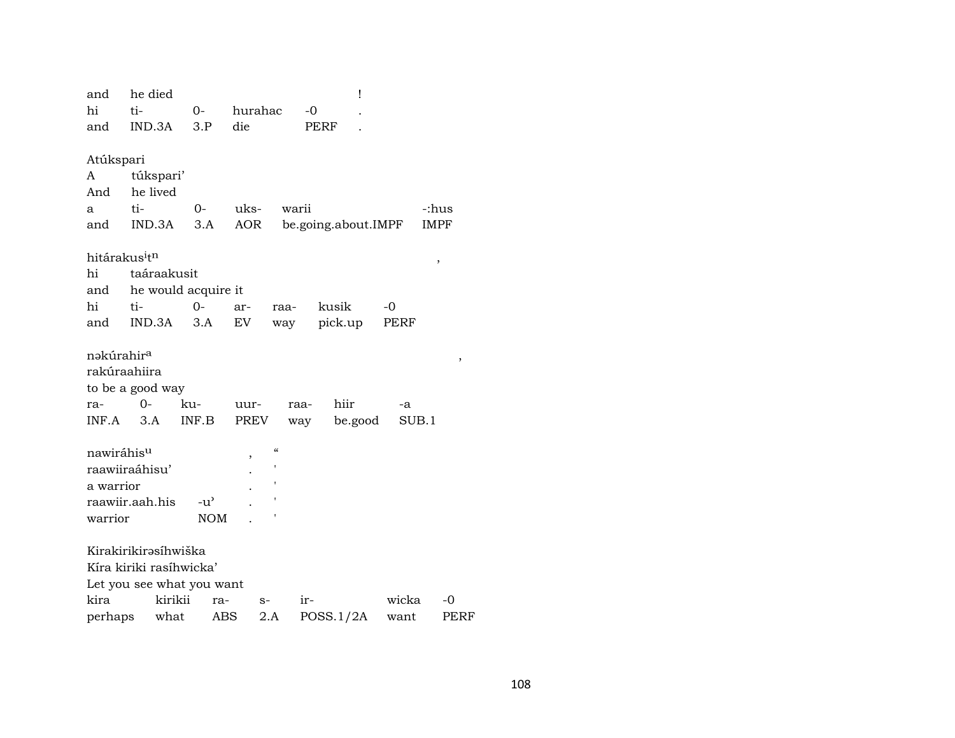|                                       | he died                   |                     |                    |                     | I       |       |             |
|---------------------------------------|---------------------------|---------------------|--------------------|---------------------|---------|-------|-------------|
| hi                                    | ti-                       | $0-$                | hurahac            | $-0$                |         |       |             |
| and                                   | IND.3A                    | 3.P                 | die                | PERF                |         |       |             |
|                                       |                           |                     |                    |                     |         |       |             |
| Atúkspari                             |                           |                     |                    |                     |         |       |             |
| A                                     | túkspari'                 |                     |                    |                     |         |       |             |
| And                                   | he lived                  |                     |                    |                     |         |       |             |
| a                                     | ti-                       | $0-$                | uks-               | warii               |         |       | -:hus       |
| and                                   | IND.3A                    | 3.A                 | AOR                | be.going.about.IMPF |         |       | <b>IMPF</b> |
|                                       |                           |                     |                    |                     |         |       |             |
| hitárakus <sup>i</sup> t <sup>n</sup> |                           |                     |                    |                     |         |       | $\,$        |
| hi                                    | taáraakusit               |                     |                    |                     |         |       |             |
| and                                   |                           | he would acquire it |                    |                     |         |       |             |
| hi                                    | ti-                       | 0-                  | ar-                | kusik<br>raa-       |         | -0    |             |
| and                                   | IND.3A                    | 3.A                 | EV                 | pick.up<br>way      |         | PERF  |             |
|                                       |                           |                     |                    |                     |         |       |             |
| nəkúrahir <sup>a</sup>                |                           |                     |                    |                     |         |       | ,           |
|                                       | rakúraahiira              |                     |                    |                     |         |       |             |
|                                       | to be a good way          |                     |                    |                     |         |       |             |
| ra-                                   | 0-                        | ku-                 | uur-               | hiir<br>raa-        |         | -a    |             |
| INF.A                                 | 3.A                       | INF.B               | PREV               | way                 | be.good | SUB.1 |             |
|                                       |                           |                     |                    |                     |         |       |             |
|                                       |                           |                     |                    |                     |         |       |             |
| nawiráhis <sup>u</sup>                |                           |                     | $\epsilon\epsilon$ |                     |         |       |             |
|                                       | raawiiraáhisu'            |                     | ,                  |                     |         |       |             |
| a warrior                             |                           |                     |                    |                     |         |       |             |
|                                       | raawiir.aah.his           | $-u^{\prime}$       |                    |                     |         |       |             |
| warrior                               |                           | <b>NOM</b>          |                    |                     |         |       |             |
|                                       |                           |                     |                    |                     |         |       |             |
|                                       | Kirakirikirəsihwiška      |                     |                    |                     |         |       |             |
|                                       | Kíra kiriki rasíhwicka'   |                     |                    |                     |         |       |             |
|                                       | Let you see what you want |                     |                    |                     |         |       |             |
| kira                                  | kirikii                   | ra-                 | $S-$               | ir-                 |         | wicka | -0          |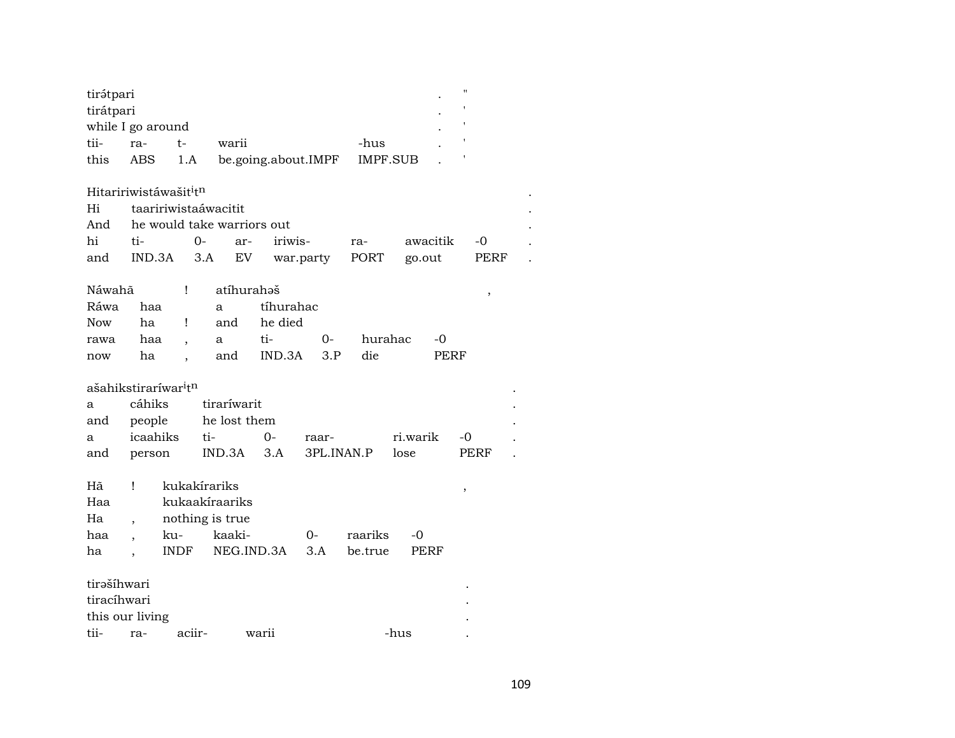| tirátpari<br>tirátpari | while I go around                            |                      |                            |                     |            |          |          | $^{\prime\prime}$ |      |
|------------------------|----------------------------------------------|----------------------|----------------------------|---------------------|------------|----------|----------|-------------------|------|
| tii-                   | ra-                                          | $t-$                 | warii                      |                     |            | -hus     |          |                   |      |
| this                   | ABS                                          | 1.A                  |                            | be.going.about.IMPF |            | IMPF.SUB |          |                   |      |
|                        | Hitaririwistáwašit <sup>i</sup> tn           |                      |                            |                     |            |          |          |                   |      |
| Hi                     | taaririwistaáwacitit                         |                      |                            |                     |            |          |          |                   |      |
| And                    |                                              |                      | he would take warriors out |                     |            |          |          |                   |      |
| hi                     | ti-                                          | $O -$                | ar-                        | iriwis-             |            | ra-      | awacitik |                   | $-0$ |
| and                    | IND.3A                                       | 3.A                  | EV                         |                     | war.party  | PORT     | go.out   |                   | PERF |
| Náwahã                 |                                              | Ţ                    | atíhurahaš                 |                     |            |          |          |                   | $\,$ |
| Ráwa                   | haa                                          |                      | a                          | tíhurahac           |            |          |          |                   |      |
| Now                    | ha                                           | Ţ                    | and                        | he died             |            |          |          |                   |      |
| rawa                   | haa                                          | $\ddot{\phantom{0}}$ | a                          | ti-                 | $O -$      | hurahac  |          | $-0$              |      |
| now                    | ha                                           | $\ddot{\phantom{0}}$ | and                        | IND.3A              | 3.P        | die      |          | <b>PERF</b>       |      |
|                        | ašahikstiraríwar <sup>i</sup> t <sup>n</sup> |                      |                            |                     |            |          |          |                   |      |
| a                      | cáhiks                                       |                      | tiraríwarit                |                     |            |          |          |                   |      |
| and                    | people                                       |                      | he lost them               |                     |            |          |          |                   |      |
| a                      | icaahiks                                     | ti-                  |                            | $0-$                | raar-      |          | ri.warik | -0                |      |
| and                    | person                                       |                      | IND.3A                     | 3.A                 | 3PL.INAN.P |          | lose     |                   | PERF |
|                        |                                              |                      |                            |                     |            |          |          |                   |      |
| Hã                     | Ţ                                            | kukakírariks         |                            |                     |            |          |          | $\,$              |      |
| Haa                    |                                              |                      | kukaakíraariks             |                     |            |          |          |                   |      |
| Ha                     | $\overline{\phantom{a}}$                     | nothing is true      |                            |                     |            |          |          |                   |      |
| haa                    |                                              | ku-                  | kaaki-                     |                     | 0-         | raariks  | -0       |                   |      |
| ha                     |                                              | <b>INDF</b>          | NEG.IND.3A                 |                     | 3.A        | be.true  | PERF     |                   |      |
| tirašíhwari            |                                              |                      |                            |                     |            |          |          |                   |      |
| tiracíhwari            |                                              |                      |                            |                     |            |          |          |                   |      |
|                        | this our living                              |                      |                            |                     |            |          |          |                   |      |
| tii-                   | ra-                                          | aciir-               |                            | warii               |            |          | -hus     |                   |      |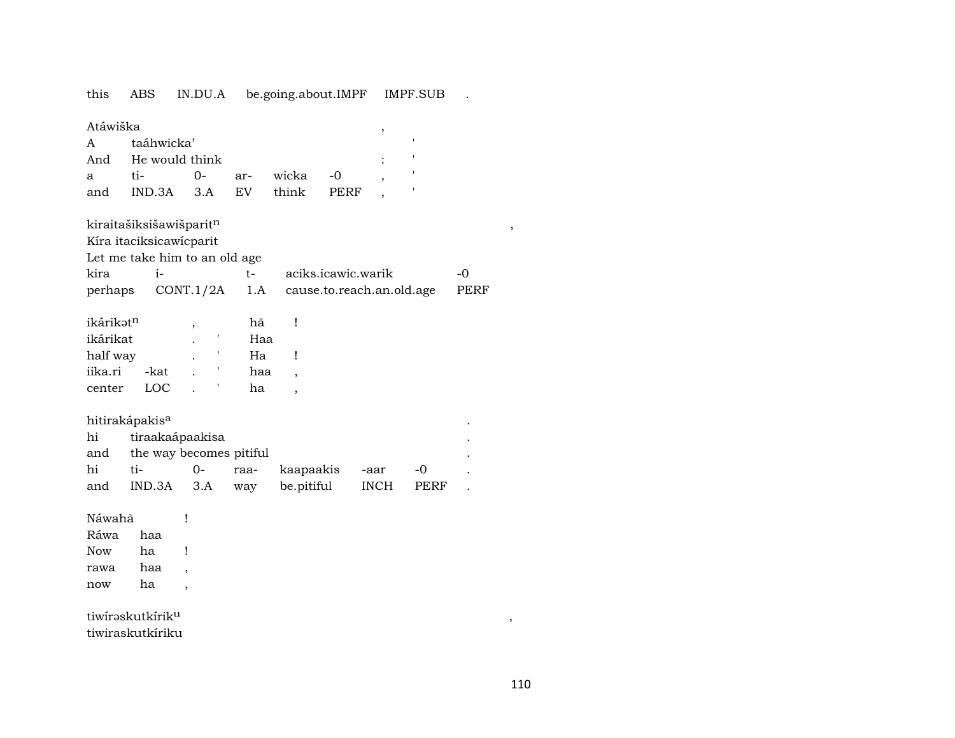IN.DU.A be.going.about.IMPF this ABS IMPF.SUB

|                   | Atáwiška                     |                    |  |  |  |  |  |  |  |  |  |
|-------------------|------------------------------|--------------------|--|--|--|--|--|--|--|--|--|
|                   | A taáhwicka'                 |                    |  |  |  |  |  |  |  |  |  |
|                   |                              | And He would think |  |  |  |  |  |  |  |  |  |
| $a \qquad \qquad$ |                              |                    |  |  |  |  |  |  |  |  |  |
|                   | and IND.3A 3.A EV think PERF |                    |  |  |  |  |  |  |  |  |  |

kiraitašiksišawišparitn

Kíra itaciksicawícparit

Let me take him to an old age  $line$ **Contract State**  $\mathbf{r}$ 

| kira |  | aciks.icawic.warik                                   | $-()$ |
|------|--|------------------------------------------------------|-------|
|      |  | perhaps CONT.1/2A 1.A cause.to.reach.an.old.age PERF |       |

| ikárikət <sup>n</sup> |      |   | hã  |  |
|-----------------------|------|---|-----|--|
| ikárikat              |      |   | Haa |  |
| half way              |      | ٠ | Ha  |  |
| iika.ri               | -kat |   | haa |  |
| center                |      |   | ha  |  |

 $\mathbf{I}% _{0}\left( \mathbf{I}_{1}\right)$ 

## hitirakápakis<sup>a</sup>

| hi | tiraakaápaakisa             |  |  |                                         |  |       |  |  |  |  |  |
|----|-----------------------------|--|--|-----------------------------------------|--|-------|--|--|--|--|--|
|    | and the way becomes pitiful |  |  |                                         |  |       |  |  |  |  |  |
| hi |                             |  |  |                                         |  | $-()$ |  |  |  |  |  |
|    |                             |  |  | and IND.3A 3.A way be.pitiful INCH PERF |  |       |  |  |  |  |  |

Náwahã

Ráwa haa Now ha  $\mathbf{I}$ haa rawa  $\overline{\phantom{a}}$ ha now  $\overline{\phantom{a}}$ 

tiwiraskutkirik<sup>u</sup> tiwiraskutkíriku

 $\, ,$ 

 $\mathbb{R}^2$ 

 $\ddot{\phantom{a}}$ 

 $\, ,$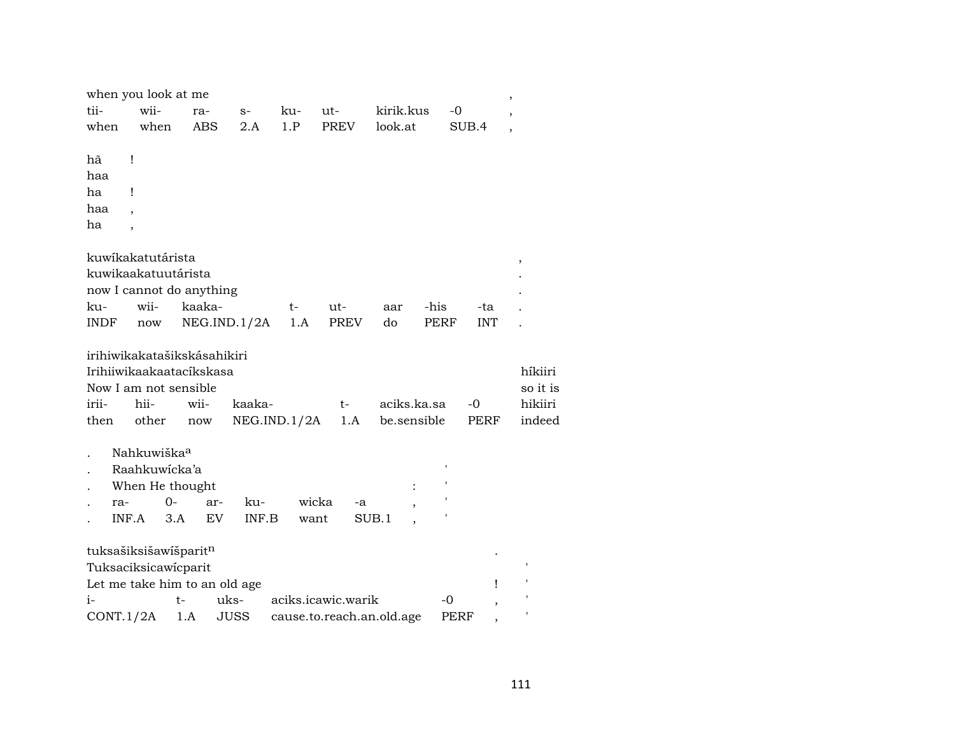| tii-<br>when                 | wii-<br>when                                      | when you look at me<br>ra-<br><b>ABS</b>                                         | $S-$<br>2.A                   | ku-<br>1.P  | ut-<br><b>PREV</b>        | kirik.kus<br>look.at | $-0$ | SUB.4      | ,<br>$\overline{\phantom{a}}$ |
|------------------------------|---------------------------------------------------|----------------------------------------------------------------------------------|-------------------------------|-------------|---------------------------|----------------------|------|------------|-------------------------------|
| hã<br>haa<br>ha<br>haa<br>ha | Ţ<br>Ţ                                            |                                                                                  |                               |             |                           |                      |      |            |                               |
|                              | kuwikakatutárista                                 | kuwikaakatuutárista<br>now I cannot do anything                                  |                               |             |                           |                      |      |            | $\, ,$                        |
| ku-                          | wii-                                              | kaaka-                                                                           |                               | t-          | ut-                       | aar                  | -his | -ta        |                               |
| <b>INDF</b>                  | now                                               |                                                                                  | NEG.ID.1/2A                   | 1.A         | <b>PREV</b>               | do                   | PERF | <b>INT</b> |                               |
|                              |                                                   | irihiwikakatašikskásahikiri<br>Irihiiwikaakaatacíkskasa<br>Now I am not sensible |                               |             |                           |                      |      |            | híkiiri<br>so it is           |
| irii-                        | hii-                                              | wii-                                                                             | kaaka-                        |             | t-                        | aciks.ka.sa          |      | -0         | hikiiri                       |
| then                         | other                                             | now                                                                              |                               | NEG.ID.1/2A | 1.A                       | be.sensible          |      | PERF       | indeed                        |
| ra-                          | Nahkuwiška <sup>a</sup><br>Raahkuwicka'a<br>INF.A | When He thought<br>0-<br>3.A                                                     | ku-<br>ar-<br>EV<br>INF.B     |             | wicka<br>-a<br>want       | SUB.1                |      |            |                               |
|                              |                                                   | tuksašiksišawišparitn<br>Tuksaciksicawicparit                                    | Let me take him to an old age |             |                           |                      |      | Ţ          | $\pmb{\mathsf{I}}$            |
| $i-$                         |                                                   | t-                                                                               | uks-                          |             | aciks.icawic.warik        |                      | -0   |            |                               |
|                              | CONT.1/2A                                         | 1.A                                                                              | <b>JUSS</b>                   |             | cause.to.reach.an.old.age |                      | PERF |            |                               |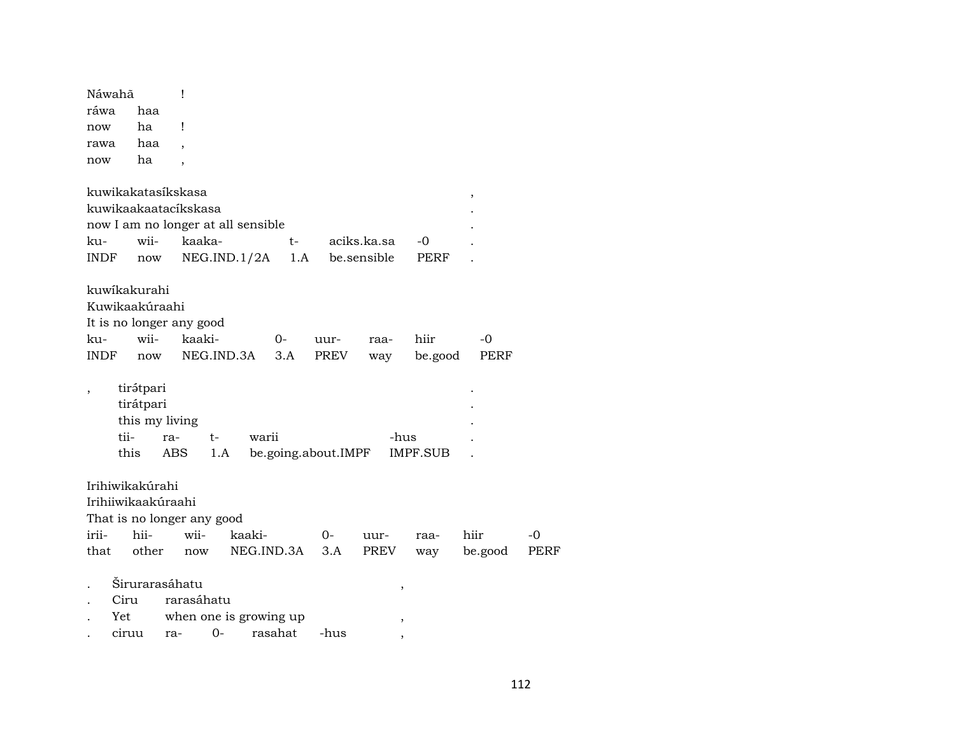| Náwahã                   |                                    | Ţ          |                        |        |                     |      |             |                 |             |      |
|--------------------------|------------------------------------|------------|------------------------|--------|---------------------|------|-------------|-----------------|-------------|------|
| ráwa                     | haa                                |            |                        |        |                     |      |             |                 |             |      |
| now                      | ha                                 | Ţ          |                        |        |                     |      |             |                 |             |      |
| rawa                     | haa                                |            |                        |        |                     |      |             |                 |             |      |
| now                      | ha                                 |            |                        |        |                     |      |             |                 |             |      |
|                          |                                    |            |                        |        |                     |      |             |                 |             |      |
|                          | kuwikakatasikskasa                 |            |                        |        |                     |      |             |                 | ,           |      |
|                          | kuwikaakaatacíkskasa               |            |                        |        |                     |      |             |                 |             |      |
|                          | now I am no longer at all sensible |            |                        |        |                     |      |             |                 |             |      |
| ku-                      | wii-                               | kaaka-     |                        |        | t-                  |      | aciks.ka.sa | -0              |             |      |
| <b>INDF</b>              | now                                |            | NEG.ID.1/2A            |        | 1.A                 |      | be.sensible | PERF            |             |      |
|                          |                                    |            |                        |        |                     |      |             |                 |             |      |
|                          | kuwikakurahi                       |            |                        |        |                     |      |             |                 |             |      |
|                          | Kuwikaakúraahi                     |            |                        |        |                     |      |             |                 |             |      |
|                          | It is no longer any good           |            |                        |        |                     |      |             |                 |             |      |
| ku-                      | wii-                               | kaaki-     |                        |        | $0-$                | uur- | raa-        | hiir            | -0          |      |
| <b>INDF</b>              | now                                |            | NEG.IND.3A             |        | 3.A                 | PREV | way         | be.good         | <b>PERF</b> |      |
|                          |                                    |            |                        |        |                     |      |             |                 |             |      |
| $\overline{\phantom{a}}$ | tirátpari                          |            |                        |        |                     |      |             |                 |             |      |
|                          | tirátpari                          |            |                        |        |                     |      |             |                 |             |      |
|                          | this my living                     |            |                        |        |                     |      |             |                 |             |      |
|                          | tii-                               | ra-        | t-                     | warii  |                     |      | -hus        |                 |             |      |
|                          | this                               | ABS        | 1.A                    |        | be.going.about.IMPF |      |             | <b>IMPF.SUB</b> |             |      |
|                          |                                    |            |                        |        |                     |      |             |                 |             |      |
|                          | Irihiwikakúrahi                    |            |                        |        |                     |      |             |                 |             |      |
|                          | Irihiiwikaakúraahi                 |            |                        |        |                     |      |             |                 |             |      |
|                          | That is no longer any good         |            |                        |        |                     |      |             |                 |             |      |
| irii-                    | hii-                               | wii-       |                        | kaaki- |                     | 0-   | uur-        | raa-            | hiir        | -0   |
| that                     | other                              | now        |                        |        | NEG.IND.3A          | 3.A  | PREV        | way             | be.good     | PERF |
|                          |                                    |            |                        |        |                     |      |             |                 |             |      |
|                          | Širurarasáhatu                     |            |                        |        |                     |      | ,           |                 |             |      |
|                          | Ciru                               | rarasáhatu |                        |        |                     |      |             |                 |             |      |
|                          | Yet                                |            | when one is growing up |        |                     |      |             |                 |             |      |
|                          | ciruu                              | ra-        | 0-                     |        | rasahat             | -hus |             |                 |             |      |
|                          |                                    |            |                        |        |                     |      |             |                 |             |      |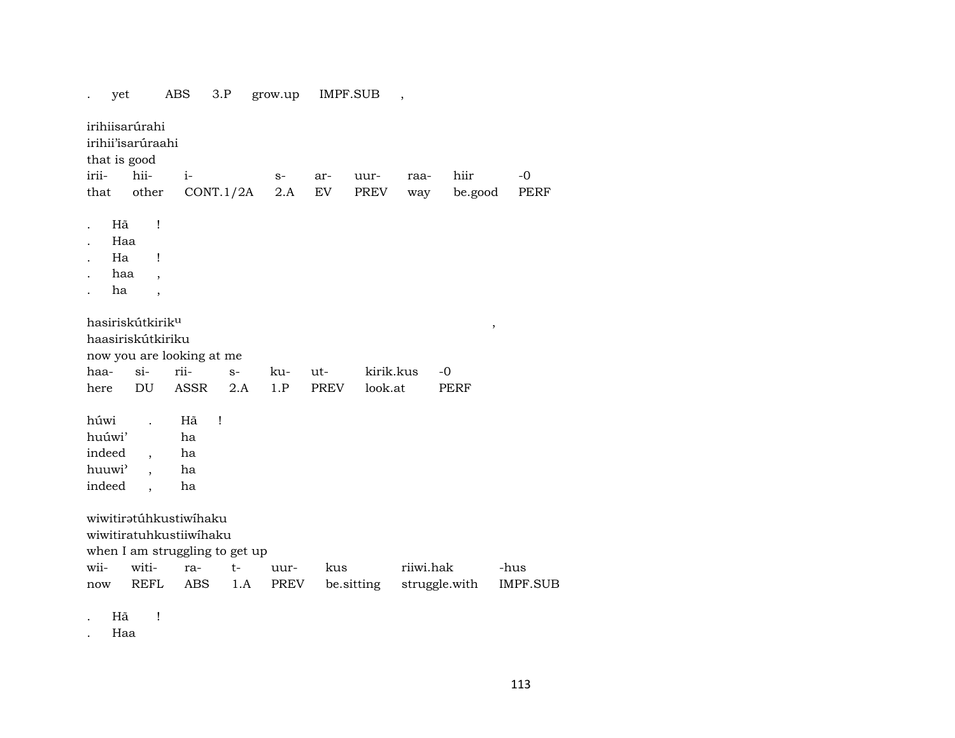. yet ABS 3.P grow.up IMPF.SUB , irihiisarúrahi irihii'isarúraahi that is good irii- hii- i- s- ar- uur- raa- hiir -0 that other CONT.1/2A 2.A EV PREV way be.good PERF . Hã ! . Haa . Ha ! . haa , . **ha** ,  ${\bf hasirisk útkirik^u} \tag{5.1.1}$ haasiriskútkiriku now you are looking at me haa- si- rii- s- ku- ut- kirik.kus -0 here DU ASSR 2.A 1.P PREV look.at PERF húwi . Hã ! huúwi' ha indeed , ha huuwi" , ha indeed , ha wiwitiratúhkustiwíhaku wiwitiratuhkustiiwíhaku when I am struggling to get up wii- witi- ra- t- uur- kus riiwi.hak -hus now REFL ABS 1.A PREV be.sitting struggle.with IMPF.SUB

. Hã !

. Haa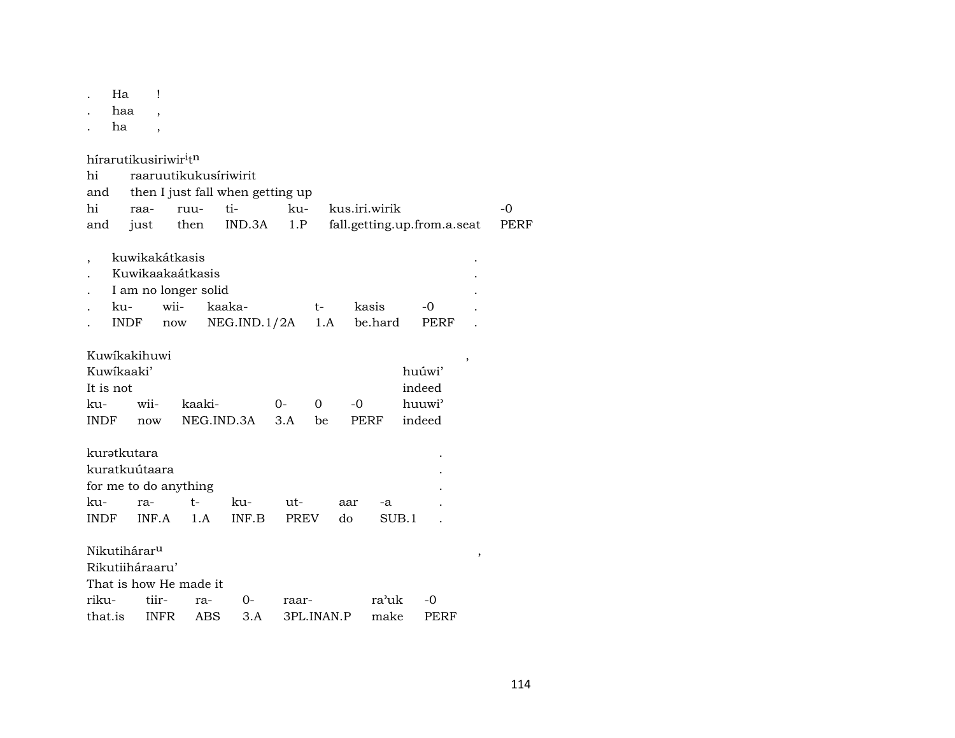. Ha !

. haa ,

. **ha** ,

hírarutikusiriwir $i$ tn

| hi                                     |                             | raaruutikukusíriwirit                                   |                                  |              |                |     |                  |                                                  |                          |      |
|----------------------------------------|-----------------------------|---------------------------------------------------------|----------------------------------|--------------|----------------|-----|------------------|--------------------------------------------------|--------------------------|------|
| and                                    |                             |                                                         | then I just fall when getting up |              |                |     |                  |                                                  |                          |      |
| hi                                     | raa-                        | ruu-                                                    | ti-                              | ku-          |                |     | kus.iri.wirik    |                                                  |                          | $-0$ |
| and                                    | just                        | then                                                    | IND.3A                           | 1.P          |                |     |                  | fall.getting.up.from.a.seat                      |                          | PERF |
| $\overline{ }$<br>ku-                  | kuwikakátkasis<br>INDF      | Kuwikaakaátkasis<br>I am no longer solid<br>wii-<br>now | kaaka-<br>NEG.IND.1/2A           |              | t-<br>1.A      |     | kasis<br>be.hard | -0<br>PERF                                       |                          |      |
| Kuwikaaki'<br>It is not<br>ku-<br>INDF | Kuwikakihuwi<br>wii-<br>now | kaaki-                                                  | NEG.IND.3A                       | $O -$<br>3.A | $\Omega$<br>be | -0  | PERF             | huúwi'<br>indeed<br>huuwi <sup>3</sup><br>indeed | $\overline{\phantom{a}}$ |      |
| kuratkutara                            |                             |                                                         |                                  |              |                |     |                  |                                                  |                          |      |
|                                        | kuratkuútaara               |                                                         |                                  |              |                |     |                  |                                                  |                          |      |
|                                        |                             | for me to do anything                                   |                                  |              |                |     |                  |                                                  |                          |      |
| ku-                                    | ra-                         | $t-$                                                    | ku-                              | ut-          |                | aar | -a               |                                                  |                          |      |
| INDF                                   | INF.A                       | 1.A                                                     | INF.B                            | PREV         |                | do  | SUB.1            |                                                  |                          |      |
| Nikutihárar <sup>u</sup>               | Rikutiiháraaru'             | That is how He made it                                  |                                  |              |                |     |                  |                                                  | ,                        |      |
| riku-                                  | tiir-                       | ra-                                                     | 0-                               | raar-        |                |     | ra'uk            | -0                                               |                          |      |
| that.is                                | <b>INFR</b>                 | ABS                                                     | 3.A                              |              | 3PL.INAN.P     |     | make             | PERF                                             |                          |      |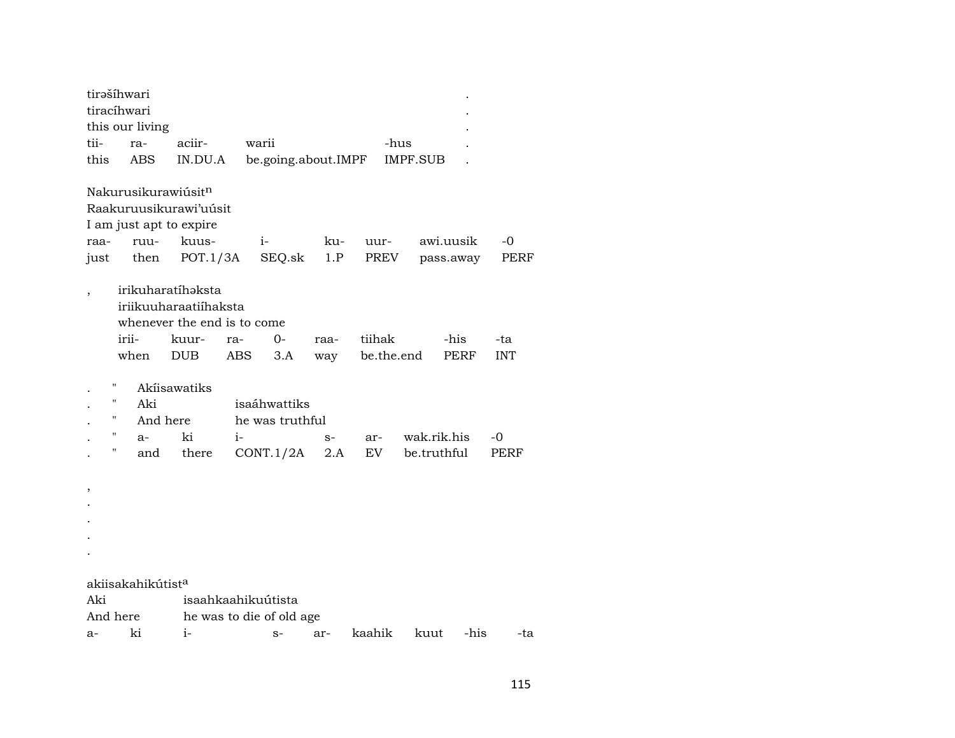|          | tirašíhwari                   |                             |      |                          |      |        |                 |             |            |
|----------|-------------------------------|-----------------------------|------|--------------------------|------|--------|-----------------|-------------|------------|
|          | tiracíhwari                   |                             |      |                          |      |        |                 |             |            |
|          | this our living               |                             |      |                          |      |        |                 |             |            |
| tii-     | ra-                           | aciir-                      |      | warii                    |      |        | -hus            |             |            |
| this     | ABS                           | IN.DU.A                     |      | be.going.about.IMPF      |      |        | <b>IMPF.SUB</b> |             |            |
|          |                               |                             |      |                          |      |        |                 |             |            |
|          | Nakurusikurawiúsitn           |                             |      |                          |      |        |                 |             |            |
|          |                               | Raakuruusikurawi'uusit      |      |                          |      |        |                 |             |            |
|          |                               | I am just apt to expire     |      |                          |      |        |                 |             |            |
| raa-     | ruu-                          | kuus-                       |      | $i-$                     | ku-  | uur-   |                 | awi.uusik   | -0         |
| just     | then                          | POT.1/3A                    |      | SEQ.sk                   | 1.P  |        | PREV            | pass.away   | PERF       |
|          |                               |                             |      |                          |      |        |                 |             |            |
|          |                               | irikuharatíhəksta           |      |                          |      |        |                 |             |            |
|          |                               | iriikuuharaatiíhaksta       |      |                          |      |        |                 |             |            |
|          |                               | whenever the end is to come |      |                          |      |        |                 |             |            |
|          | irii-                         | kuur-                       | ra-  | $0-$                     | raa- | tiihak |                 | -his        | -ta        |
|          | when                          | <b>DUB</b>                  | ABS  | 3.A                      | way  |        | be.the.end      | PERF        | <b>INT</b> |
|          |                               |                             |      |                          |      |        |                 |             |            |
|          | П                             | Akíisawatiks                |      |                          |      |        |                 |             |            |
|          | п<br>Aki                      |                             |      | isaáhwattiks             |      |        |                 |             |            |
|          | н<br>And here                 |                             |      | he was truthful          |      |        |                 |             |            |
|          | н<br>$a-$                     | ki                          | $i-$ |                          | $S-$ | ar-    |                 | wak.rik.his | -0         |
|          | П<br>and                      | there                       |      | CONT.1/2A                | 2.A  | EV     |                 | be.truthful | PERF       |
|          |                               |                             |      |                          |      |        |                 |             |            |
| ,        |                               |                             |      |                          |      |        |                 |             |            |
|          |                               |                             |      |                          |      |        |                 |             |            |
|          |                               |                             |      |                          |      |        |                 |             |            |
|          |                               |                             |      |                          |      |        |                 |             |            |
|          |                               |                             |      |                          |      |        |                 |             |            |
|          |                               |                             |      |                          |      |        |                 |             |            |
|          | akiisakahikútist <sup>a</sup> |                             |      |                          |      |        |                 |             |            |
| Aki      |                               |                             |      | isaahkaahikuútista       |      |        |                 |             |            |
| And here |                               |                             |      | he was to die of old age |      |        |                 |             |            |
| a-       | ki                            | $i-$                        |      | $S-$                     | ar-  | kaahik | kuut            | -his        | -ta        |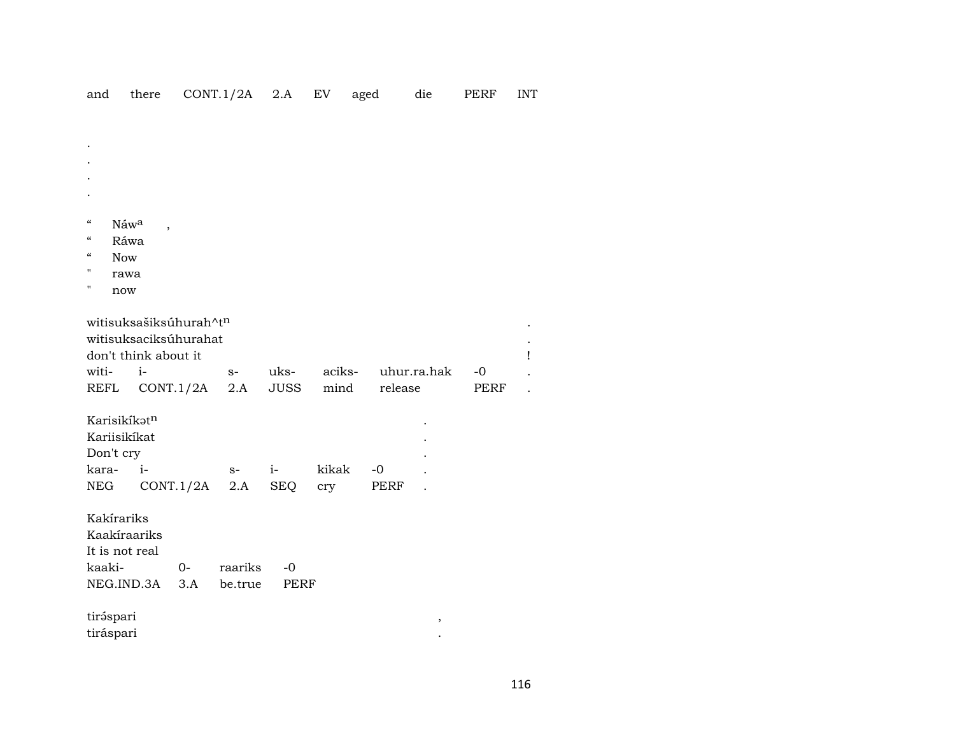|  |  | and there CONT.1/2A 2.A EV aged |  |  |  | die | PERF INT |  |
|--|--|---------------------------------|--|--|--|-----|----------|--|
|--|--|---------------------------------|--|--|--|-----|----------|--|

| $\boldsymbol{\varsigma}\boldsymbol{\varsigma}$ | Náwa           |                          |                        |         |             |        |         |             |             |  |
|------------------------------------------------|----------------|--------------------------|------------------------|---------|-------------|--------|---------|-------------|-------------|--|
| $\boldsymbol{\varsigma}\boldsymbol{\varsigma}$ | Ráwa           | $\overline{\phantom{a}}$ |                        |         |             |        |         |             |             |  |
| $\boldsymbol{\zeta}\boldsymbol{\zeta}$         | <b>Now</b>     |                          |                        |         |             |        |         |             |             |  |
| н                                              | rawa           |                          |                        |         |             |        |         |             |             |  |
| п                                              | now            |                          |                        |         |             |        |         |             |             |  |
|                                                |                |                          |                        |         |             |        |         |             |             |  |
|                                                |                |                          | witisuksašiksúhurah^tn |         |             |        |         |             |             |  |
|                                                |                |                          | witisuksaciksúhurahat  |         |             |        |         |             |             |  |
|                                                |                | don't think about it     |                        |         |             |        |         |             |             |  |
|                                                | witi-          | $i-$                     |                        | $S-$    | uks-        | aciks- |         | uhur.ra.hak | $-0$        |  |
| <b>REFL</b>                                    |                |                          | CONT.1/2A              | 2.A     | <b>JUSS</b> | mind   | release |             | <b>PERF</b> |  |
|                                                |                |                          |                        |         |             |        |         |             |             |  |
|                                                | Karisikíkatn   |                          |                        |         |             |        |         |             |             |  |
|                                                | Kariisikíkat   |                          |                        |         |             |        |         |             |             |  |
|                                                | Don't cry      |                          |                        |         |             |        |         |             |             |  |
|                                                | kara- i-       |                          |                        | $S-$    | $i-$        | kikak  | $-0$    |             |             |  |
| NEG                                            |                |                          | CONT.1/2A              | 2.A     | <b>SEQ</b>  | cry    | PERF    |             |             |  |
|                                                |                |                          |                        |         |             |        |         |             |             |  |
|                                                | Kakírariks     |                          |                        |         |             |        |         |             |             |  |
|                                                |                | Kaakíraariks             |                        |         |             |        |         |             |             |  |
|                                                | It is not real |                          |                        |         |             |        |         |             |             |  |
| kaaki-                                         |                |                          | $0 -$                  | raariks | $-0$        |        |         |             |             |  |
|                                                |                | NEG.IND.3A               | 3.A                    | be.true | <b>PERF</b> |        |         |             |             |  |
|                                                |                |                          |                        |         |             |        |         |             |             |  |
|                                                | tiráspari      |                          |                        |         |             |        |         | ,           |             |  |
|                                                | tiráspari      |                          |                        |         |             |        |         |             |             |  |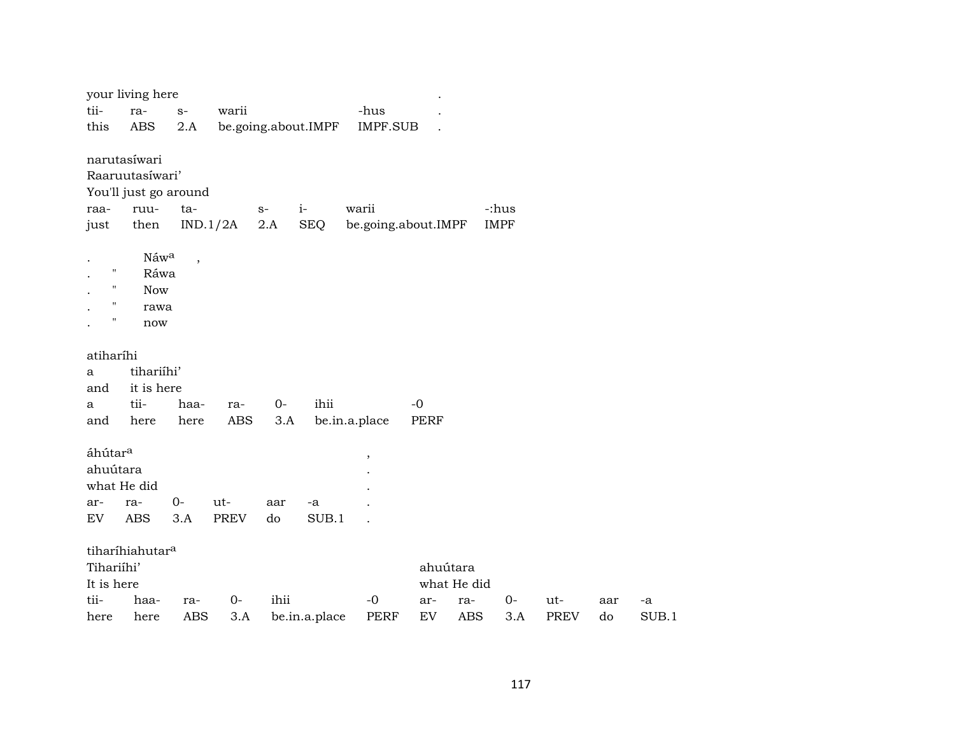|                     | your living here            |                          |             |                     |               |                     |          |             |             |             |     |       |
|---------------------|-----------------------------|--------------------------|-------------|---------------------|---------------|---------------------|----------|-------------|-------------|-------------|-----|-------|
| tii-                | ra-                         | $S-$                     | warii       |                     |               | -hus                |          |             |             |             |     |       |
| this                | <b>ABS</b>                  | 2.A                      |             | be.going.about.IMPF |               | IMPF.SUB            |          |             |             |             |     |       |
|                     | narutasíwari                |                          |             |                     |               |                     |          |             |             |             |     |       |
|                     | Raaruutasíwari'             |                          |             |                     |               |                     |          |             |             |             |     |       |
|                     | You'll just go around       |                          |             |                     |               |                     |          |             |             |             |     |       |
| raa-                | ruu-                        | ta-                      |             | $S-$                | $i-$          | warii               |          |             | -:hus       |             |     |       |
| just                | then                        |                          | IND.1/2A    | $2.A$               | <b>SEQ</b>    | be.going.about.IMPF |          |             | <b>IMPF</b> |             |     |       |
|                     | Náwa                        | $\overline{\phantom{a}}$ |             |                     |               |                     |          |             |             |             |     |       |
| $\pmb{\mathsf{H}}$  | Ráwa                        |                          |             |                     |               |                     |          |             |             |             |     |       |
| "                   | <b>Now</b>                  |                          |             |                     |               |                     |          |             |             |             |     |       |
| $\pmb{\mathsf{H}}$  | rawa                        |                          |             |                     |               |                     |          |             |             |             |     |       |
| $\pmb{\mathsf{H}}$  | now                         |                          |             |                     |               |                     |          |             |             |             |     |       |
| atiharíhi           |                             |                          |             |                     |               |                     |          |             |             |             |     |       |
| a                   | tihariíhi'                  |                          |             |                     |               |                     |          |             |             |             |     |       |
| and                 | it is here                  |                          |             |                     |               |                     |          |             |             |             |     |       |
| a                   | tii-                        | haa-                     | ra-         | $0-$                | ihii          |                     | $-0$     |             |             |             |     |       |
| and                 | here                        | here                     | <b>ABS</b>  | 3.A                 |               | be.in.a.place       | PERF     |             |             |             |     |       |
| áhútar <sup>a</sup> |                             |                          |             |                     |               | $\,$                |          |             |             |             |     |       |
| ahuútara            |                             |                          |             |                     |               |                     |          |             |             |             |     |       |
|                     | what He did                 |                          |             |                     |               |                     |          |             |             |             |     |       |
| ar-                 | ra-                         | $0-$                     | ut-         | aar                 | -a            |                     |          |             |             |             |     |       |
| <b>EV</b>           | <b>ABS</b>                  | 3.A                      | <b>PREV</b> | do                  | SUB.1         |                     |          |             |             |             |     |       |
|                     | tiharíhiahutar <sup>a</sup> |                          |             |                     |               |                     |          |             |             |             |     |       |
| Tihariíhi'          |                             |                          |             |                     |               |                     | ahuútara |             |             |             |     |       |
| It is here          |                             |                          |             |                     |               |                     |          | what He did |             |             |     |       |
| tii-                | haa-                        | ra-                      | $O -$       | ihii                |               | $-0$                | ar-      | ra-         | $0-$        | ut-         | aar | -a    |
| here                | here                        | <b>ABS</b>               | 3.A         |                     | be.in.a.place | PERF                | EV       | <b>ABS</b>  | 3.A         | <b>PREV</b> | do  | SUB.1 |
|                     |                             |                          |             |                     |               |                     |          |             |             |             |     |       |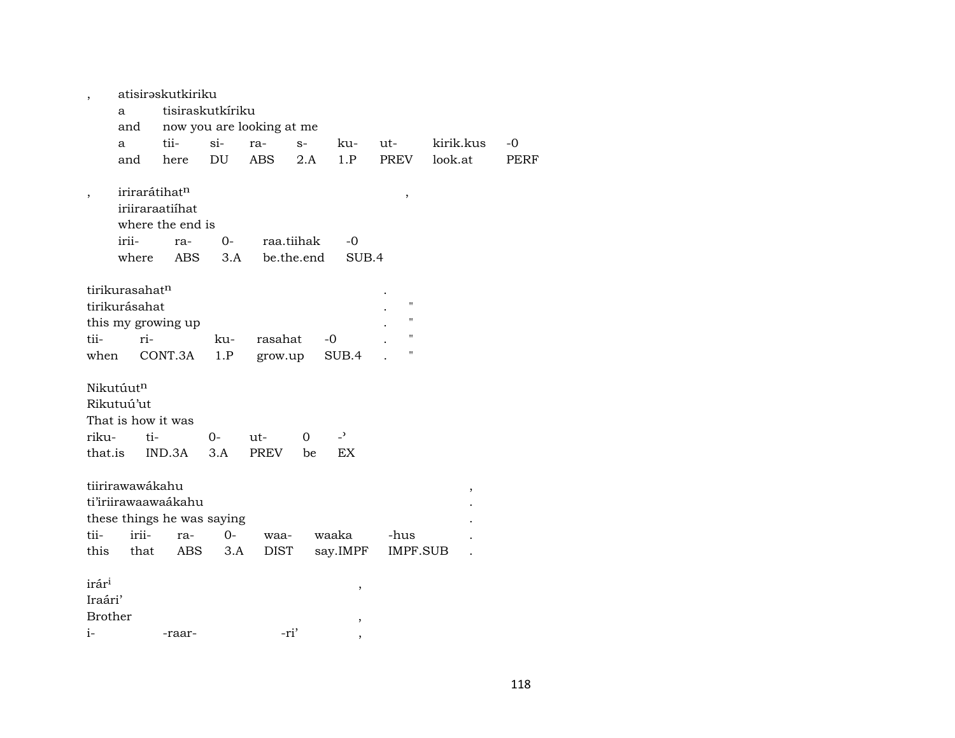|                          |                            | atisirəskutkiriku          |            |                           |            |                |                    |           |      |
|--------------------------|----------------------------|----------------------------|------------|---------------------------|------------|----------------|--------------------|-----------|------|
|                          | a                          | tisiraskutkíriku           |            |                           |            |                |                    |           |      |
|                          | and                        |                            |            | now you are looking at me |            |                |                    |           |      |
|                          | a                          | tii-                       | $si$ -     | ra-                       | $S-$       | ku-            | ut-                | kirik.kus | $-0$ |
|                          | and                        | here                       | DU         | <b>ABS</b>                | 2.A        | 1.P            | <b>PREV</b>        | look.at   | PERF |
|                          | irirarátihatn              |                            |            |                           |            |                |                    |           |      |
| $\overline{\phantom{a}}$ |                            | iriiraraatiihat            |            |                           |            |                | $\, ,$             |           |      |
|                          |                            | where the end is           |            |                           |            |                |                    |           |      |
|                          | irii-                      | ra-                        | $0-$       | raa.tiihak                |            | $-0$           |                    |           |      |
|                          |                            | <b>ABS</b>                 |            |                           |            | SUB.4          |                    |           |      |
|                          | where                      |                            | 3.A        |                           | be.the.end |                |                    |           |      |
|                          | tirikurasahat <sup>n</sup> |                            |            |                           |            |                |                    |           |      |
|                          | tirikurásahat              |                            |            |                           |            |                | $\pmb{\mathsf{H}}$ |           |      |
|                          |                            |                            |            |                           |            |                | $\pmb{\mathsf{H}}$ |           |      |
| tii-                     | ri-                        | this my growing up         |            | rasahat                   |            | -0             | $\mathbf{H}$       |           |      |
| when                     |                            | CONT.3A                    | ku-<br>1.P |                           |            | SUB.4          | п                  |           |      |
|                          |                            |                            |            | grow.up                   |            |                |                    |           |      |
|                          | Nikutúutn                  |                            |            |                           |            |                |                    |           |      |
|                          | Rikutuú'ut                 |                            |            |                           |            |                |                    |           |      |
|                          | That is how it was         |                            |            |                           |            |                |                    |           |      |
|                          |                            |                            |            |                           |            | $\overline{z}$ |                    |           |      |
| riku-                    | ti-                        |                            | $0-$       | $ut -$                    | $\Omega$   |                |                    |           |      |
| that.is                  |                            | IND.3A                     | 3.A        | PREV                      | be         | EX             |                    |           |      |
|                          | tiirirawawákahu            |                            |            |                           |            |                |                    |           |      |
|                          |                            |                            |            |                           |            |                |                    | $\,$      |      |
|                          |                            | ti'iriirawaawaákahu        |            |                           |            |                |                    |           |      |
| tii-                     | irii-                      | these things he was saying |            |                           |            |                |                    |           |      |
|                          |                            | ra-                        | $0-$       | waa-                      |            | waaka          | -hus               |           |      |
| this                     | that                       | ABS                        | 3.A        | <b>DIST</b>               |            | say.IMPF       | IMPF.SUB           |           |      |
| irár <sup>i</sup>        |                            |                            |            |                           |            |                |                    |           |      |
|                          |                            |                            |            |                           |            | ,              |                    |           |      |
| Iraári'                  |                            |                            |            |                           |            |                |                    |           |      |
| <b>Brother</b>           |                            |                            |            |                           |            | ,              |                    |           |      |
| $i-$                     |                            | -raar-                     |            | -ri'                      |            |                |                    |           |      |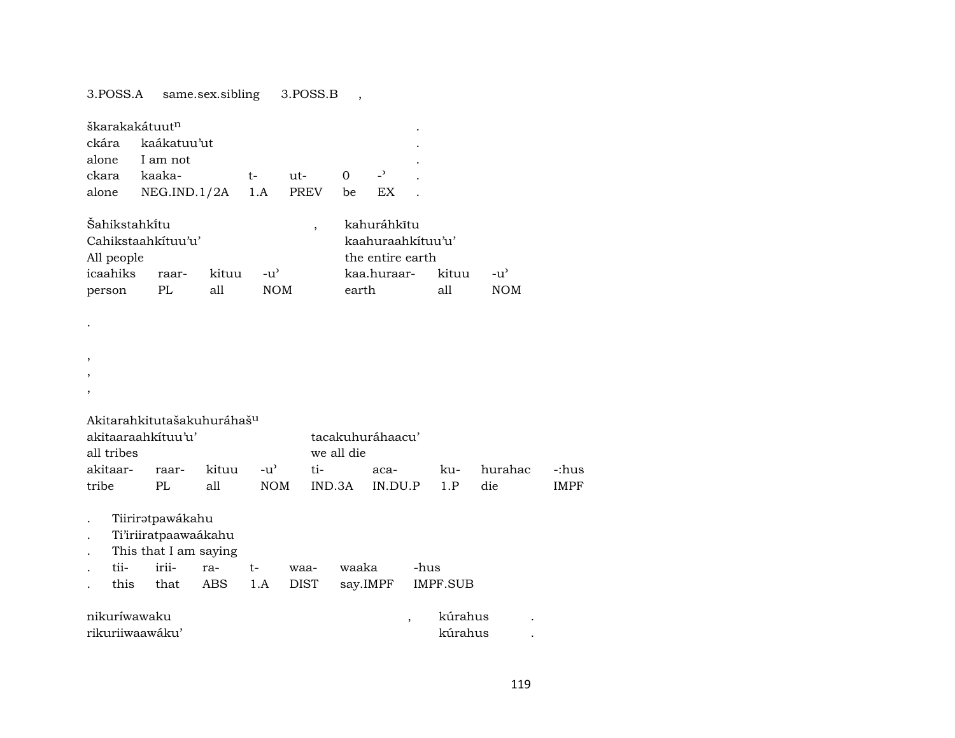## 3.POSS.A same.sex.sibling 3.POSS.B ,

| škarakakátuut <sup>n</sup> |                    |       |               |                          |       |                   |       |     |
|----------------------------|--------------------|-------|---------------|--------------------------|-------|-------------------|-------|-----|
| ckára                      | kaákatuu'ut        |       |               |                          |       |                   |       |     |
|                            | alone I am not     |       |               |                          |       |                   |       |     |
| ckara                      | kaaka-             |       | t-            | ut-                      | 0     |                   |       |     |
| alone                      | NEG.ID.1/2A        |       | 1.A           | <b>PREV</b>              | be    | EX.               |       |     |
| Šahikstahkitu              |                    |       |               | $\overline{\phantom{a}}$ |       | kahuráhkĩtu       |       |     |
|                            | Cahikstaahkituu'u' |       |               |                          |       | kaahuraahkituu'u' |       |     |
| All people                 |                    |       |               |                          |       | the entire earth  |       |     |
| icaahiks                   | raar-              | kituu | $-u^{\prime}$ |                          |       | kaa.huraar-       | kituu | -u' |
| person                     | PL                 | all   | <b>NOM</b>    |                          | earth |                   | all   | NOM |

- .
- ,
- ,
- ,

| Akitarahkitutašakuhuráhaš <sup>u</sup> |       |                              |            |                  |          |      |          |          |  |  |  |  |
|----------------------------------------|-------|------------------------------|------------|------------------|----------|------|----------|----------|--|--|--|--|
| akitaaraahkituu'u'                     |       |                              |            | tacakuhuráhaacu' |          |      |          |          |  |  |  |  |
| all tribes                             |       |                              |            | we all die       |          |      |          |          |  |  |  |  |
| akitaar-                               | raar- | $\text{kituu}$ $\rightarrow$ |            | ti-              | $aca-$   | ku - | hurahac. | $-i$ hus |  |  |  |  |
| tribe                                  |       | all                          | <b>NOM</b> | IND 3A           | ם זוח מז |      | die      | IMPF     |  |  |  |  |

- . Tiiriratpawákahu
- . Ti'iriiratpaawaákahu
- . This that I am saying

|  |  |  | . tii- irii- ra- t- waa- waaka -hus      |  |
|--|--|--|------------------------------------------|--|
|  |  |  | this that ABS 1.A DIST say.IMPF IMPF.SUB |  |

| nikuríwawaku    | kúrahus |  |
|-----------------|---------|--|
| rikurijwaawaku' | kúrahus |  |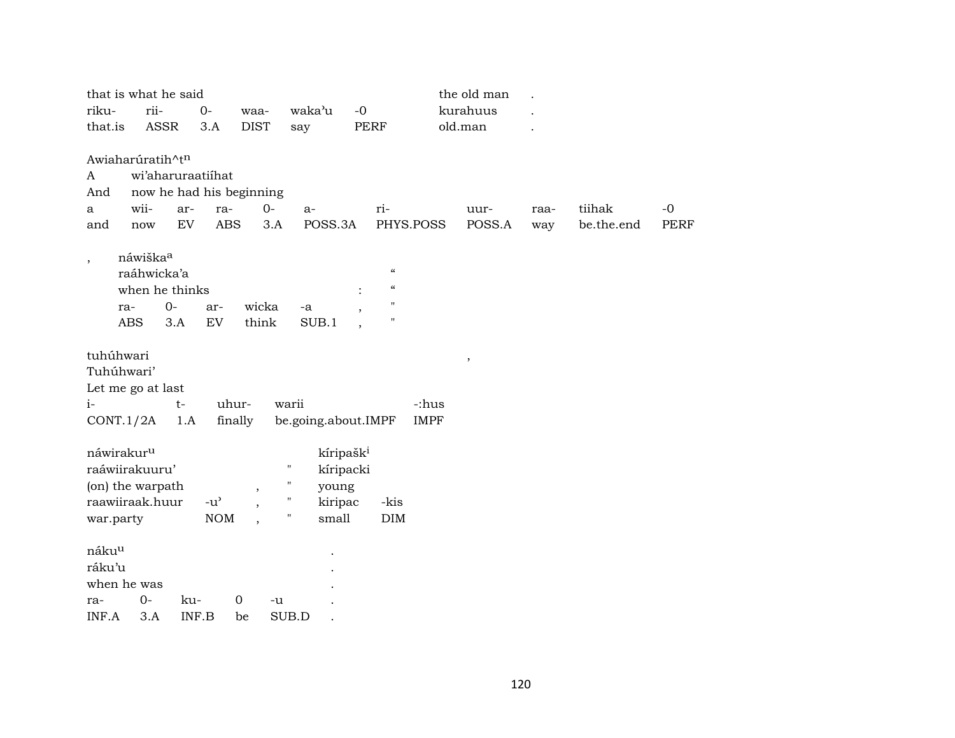|                                          | that is what he said                              |                                     |             |                                             |                            |             | the old man |      |            |             |
|------------------------------------------|---------------------------------------------------|-------------------------------------|-------------|---------------------------------------------|----------------------------|-------------|-------------|------|------------|-------------|
| riku-                                    | rii-                                              | $0-$                                | waa-        | waka'u                                      | $-0$                       |             | kurahuus    |      |            |             |
| that.is                                  | ASSR                                              | 3.A                                 | <b>DIST</b> | say                                         | <b>PERF</b>                |             | old.man     |      |            |             |
|                                          |                                                   |                                     |             |                                             |                            |             |             |      |            |             |
|                                          | Awiaharúratih^t <sup>n</sup><br>wi'aharuraatiihat |                                     |             |                                             |                            |             |             |      |            |             |
| A<br>And                                 | now he had his beginning                          |                                     |             |                                             |                            |             |             |      |            |             |
| a                                        | wii-<br>ar-                                       | ra-                                 | $0-$        | a-                                          | ri-                        |             | uur-        | raa- | tiihak     | $-0$        |
| and                                      | <b>EV</b><br>now                                  | <b>ABS</b>                          | 3.A         | POSS.3A                                     |                            | PHYS.POSS   | POSS.A      | way  | be.the.end | <b>PERF</b> |
|                                          |                                                   |                                     |             |                                             |                            |             |             |      |            |             |
| $\, ,$                                   | náwiška <sup>a</sup>                              |                                     |             |                                             |                            |             |             |      |            |             |
|                                          | raáhwicka'a                                       |                                     |             |                                             | $\boldsymbol{\mathcal{C}}$ |             |             |      |            |             |
|                                          | when he thinks                                    |                                     |             |                                             | $\boldsymbol{\mathcal{C}}$ |             |             |      |            |             |
| ra-                                      | $0-$                                              | ar-                                 | wicka       | -a                                          | Ħ<br>н                     |             |             |      |            |             |
| <b>ABS</b>                               | 3.A                                               | EV                                  | think       | SUB.1                                       |                            |             |             |      |            |             |
| tuhúhwari                                |                                                   |                                     |             |                                             |                            |             |             |      |            |             |
| Tuhúhwari'                               |                                                   |                                     |             |                                             |                            |             | $\, ,$      |      |            |             |
|                                          | Let me go at last                                 |                                     |             |                                             |                            |             |             |      |            |             |
| $i-$                                     | $t-$                                              |                                     | uhur-       | warii                                       |                            | -:hus       |             |      |            |             |
| CONT.1/2A                                | 1.A                                               |                                     | finally     | be.going.about.IMPF                         |                            | <b>IMPF</b> |             |      |            |             |
|                                          |                                                   |                                     |             |                                             |                            |             |             |      |            |             |
| náwirakur <sup>u</sup><br>raáwiirakuuru' |                                                   |                                     |             | kíripašk <sup>i</sup><br>$\pmb{\mathsf{H}}$ |                            |             |             |      |            |             |
|                                          | (on) the warpath                                  |                                     |             | kíripacki<br>11                             |                            |             |             |      |            |             |
|                                          | raawiiraak.huur                                   | $-u$ <sup><math>\prime</math></sup> | ,           | young<br>$\pmb{\mathsf{H}}$<br>kiripac      | -kis                       |             |             |      |            |             |
| war.party                                |                                                   | <b>NOM</b>                          |             | 11<br>small                                 | DIM                        |             |             |      |            |             |
|                                          |                                                   |                                     |             |                                             |                            |             |             |      |            |             |
| nákuu                                    |                                                   |                                     |             |                                             |                            |             |             |      |            |             |
| ráku'u                                   |                                                   |                                     |             |                                             |                            |             |             |      |            |             |
| when he was                              |                                                   |                                     |             |                                             |                            |             |             |      |            |             |
| ra-                                      | $0-$                                              | ku-                                 | 0<br>-u     |                                             |                            |             |             |      |            |             |
| INF.A                                    | 3.A                                               | INF.B                               | be          | SUB.D                                       |                            |             |             |      |            |             |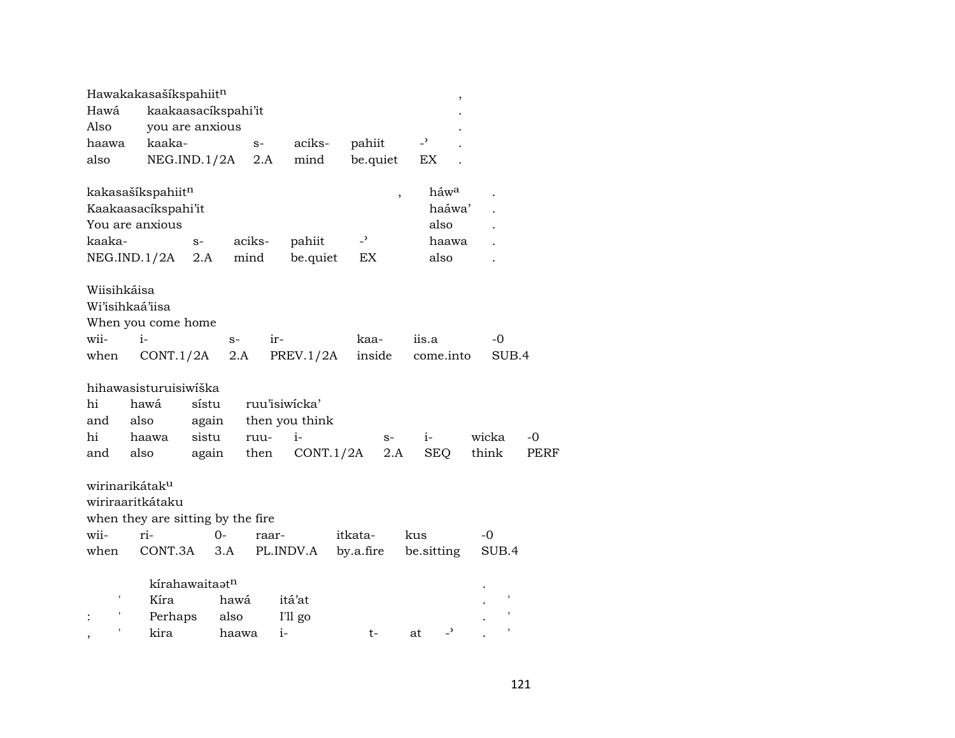|                            | Hawakakasašíkspahiitn                  |                            |        |       |                |                          |                          |                                | , |       |      |
|----------------------------|----------------------------------------|----------------------------|--------|-------|----------------|--------------------------|--------------------------|--------------------------------|---|-------|------|
| Hawá                       | kaakaasacíkspahi'it                    |                            |        |       |                |                          |                          |                                |   |       |      |
| Also                       | you are anxious                        |                            |        |       |                |                          |                          |                                |   |       |      |
| haawa                      | kaaka-                                 |                            |        | $S-$  | aciks-         | pahiit                   |                          | $\overline{a}$                 |   |       |      |
| also                       | NEG.ID.1/2A                            |                            |        | 2.A   | mind           |                          | be.quiet                 | EX                             |   |       |      |
|                            |                                        |                            |        |       |                |                          |                          | háw <sup>a</sup>               |   |       |      |
|                            | kakasašíkspahiitn                      |                            |        |       |                |                          | $\overline{\phantom{a}}$ | haáwa'                         |   |       |      |
|                            | Kaakaasacikspahi'it<br>You are anxious |                            |        |       |                |                          |                          | also                           |   |       |      |
|                            |                                        |                            |        |       |                |                          |                          |                                |   |       |      |
| kaaka-                     |                                        | $S-$                       | aciks- |       | pahiit         | $\overline{\phantom{a}}$ |                          | haawa                          |   |       |      |
|                            | NEG.IND.1/2A                           | 2.A                        | mind   |       | be.quiet       | EX                       |                          | also                           |   |       |      |
| Wiisihkáisa                |                                        |                            |        |       |                |                          |                          |                                |   |       |      |
| Wi'isihkaá'iisa            |                                        |                            |        |       |                |                          |                          |                                |   |       |      |
|                            | When you come home                     |                            |        |       |                |                          |                          |                                |   |       |      |
| wii-                       | $i-$                                   |                            | $S-$   | ir-   |                | kaa-                     |                          | iis.a                          |   | -0    |      |
| when                       | CONT.1/2A                              |                            | 2.A    |       | PREV.1/2A      |                          | inside                   | come.into                      |   | SUB.4 |      |
|                            |                                        |                            |        |       |                |                          |                          |                                |   |       |      |
|                            | hihawasisturuisiwiška                  |                            |        |       |                |                          |                          |                                |   |       |      |
| hi                         | hawá                                   | sístu                      |        |       | ruu'isiwicka'  |                          |                          |                                |   |       |      |
| and                        | also                                   | again                      |        |       | then you think |                          |                          |                                |   |       |      |
| hi                         | haawa                                  | sistu                      |        | ruu-  | $i-$           |                          | $S-$                     | $i-$                           |   | wicka | $-0$ |
| and                        | also                                   | again                      |        | then  | CONT.1/2A      |                          | 2.A                      | <b>SEQ</b>                     |   | think | PERF |
|                            |                                        |                            |        |       |                |                          |                          |                                |   |       |      |
| wirinarikátak <sup>u</sup> |                                        |                            |        |       |                |                          |                          |                                |   |       |      |
|                            | wiriraaritkátaku                       |                            |        |       |                |                          |                          |                                |   |       |      |
|                            | when they are sitting by the fire      |                            |        |       |                |                          |                          |                                |   |       |      |
| wii-                       | ri-                                    | $0-$                       |        | raar- |                | itkata-                  |                          | kus                            |   | -0    |      |
| when                       | CONT.3A                                |                            | 3.A    |       | PL.INDV.A      | by.a.fire                |                          | be sitting                     |   | SUB.4 |      |
|                            |                                        |                            |        |       |                |                          |                          |                                |   |       |      |
|                            |                                        | kírahawaitaat <sup>n</sup> |        |       |                |                          |                          |                                |   |       |      |
|                            | Kíra                                   |                            | hawá   |       | itá'at         |                          |                          |                                |   |       |      |
|                            | Perhaps                                |                            | also   |       | I'll go        |                          |                          |                                |   |       |      |
|                            | kira                                   |                            | haawa  | $i-$  |                | $t-$                     |                          | $\overline{\phantom{0}}$<br>at |   |       |      |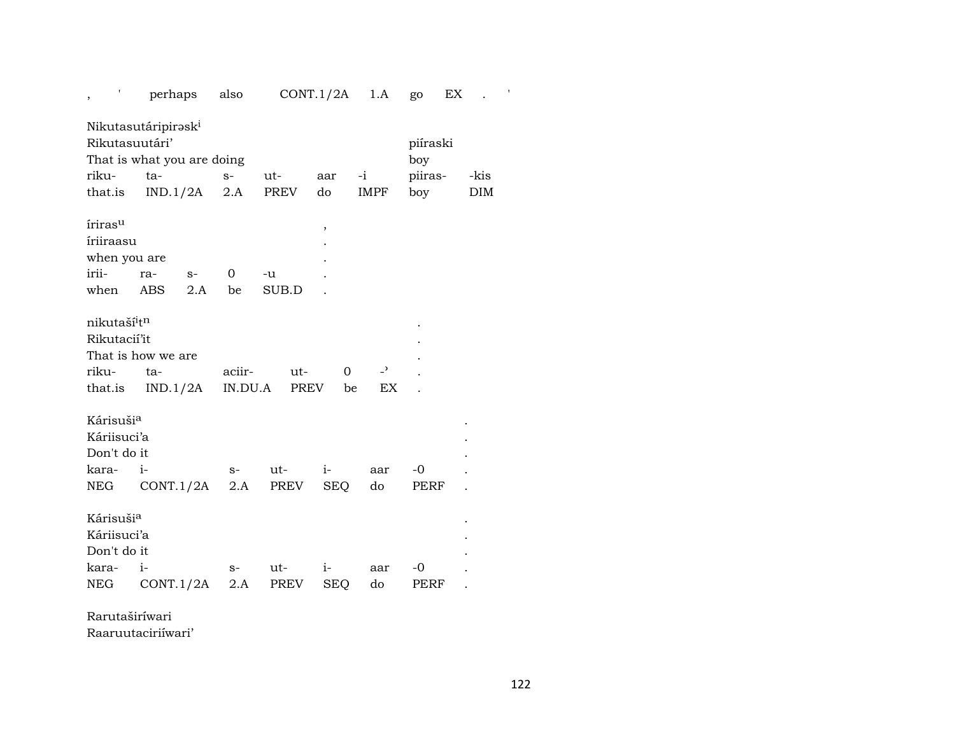| ,                                    | perhaps   |      | also    |             | CONT.1/2A  | 1.A            | go       | EX         |
|--------------------------------------|-----------|------|---------|-------------|------------|----------------|----------|------------|
| Nikutasutáripirəsk <sup>i</sup>      |           |      |         |             |            |                |          |            |
| Rikutasuutári'                       |           |      |         |             |            |                | piíraski |            |
| That is what you are doing           |           |      |         |             |            |                | boy      |            |
| riku-                                | ta-       |      | $S-$    | ut-         | aar        | $-i$           | piiras-  | -kis       |
| that.is                              | IND.1/2A  |      | 2.A     | PREV        | do         | <b>IMPF</b>    | boy      | <b>DIM</b> |
| íriras <sup>u</sup>                  |           |      |         |             |            |                |          |            |
| íriiraasu                            |           |      |         |             | $\,$       |                |          |            |
| when you are                         |           |      |         |             |            |                |          |            |
| irii-                                | ra-       | $S-$ | 0       | -u          |            |                |          |            |
| when                                 | ABS       | 2.A  | be      | SUB.D       |            |                |          |            |
|                                      |           |      |         |             |            |                |          |            |
| nikutaší <sup>i</sup> t <sup>n</sup> |           |      |         |             |            |                |          |            |
| Rikutacií'it                         |           |      |         |             |            |                |          |            |
| That is how we are                   |           |      |         |             |            |                |          |            |
| riku-                                | ta-       |      | aciir-  | ut-         | $\Omega$   | $\overline{a}$ |          |            |
| that.is                              | IND.1/2A  |      | IN.DU.A | <b>PREV</b> | be         | EX             |          |            |
|                                      |           |      |         |             |            |                |          |            |
| Kárisušia                            |           |      |         |             |            |                |          |            |
| Káriisuci'a                          |           |      |         |             |            |                |          |            |
| Don't do it                          |           |      |         |             |            |                |          |            |
| kara-                                | $i-$      |      | $S-$    | ut-         | $i-$       | aar            | -0       |            |
| NEG.                                 | CONT.1/2A |      | 2.A     | PREV        | <b>SEQ</b> | do             | PERF     |            |
|                                      |           |      |         |             |            |                |          |            |
| Kárisušia                            |           |      |         |             |            |                |          |            |
|                                      |           |      |         |             |            |                |          |            |
| Káriisuci'a                          |           |      |         |             |            |                |          |            |
| Don't do it                          |           |      |         |             |            |                |          |            |
| kara-                                | $i-$      |      | $S-$    | ut-         | $i-$       | aar            | -0       |            |
| NEG                                  | CONT.1/2A |      | 2.A     | PREV        | <b>SEQ</b> | do             | PERF     |            |

Rarutaširíwari

Raaruutaciriíwari'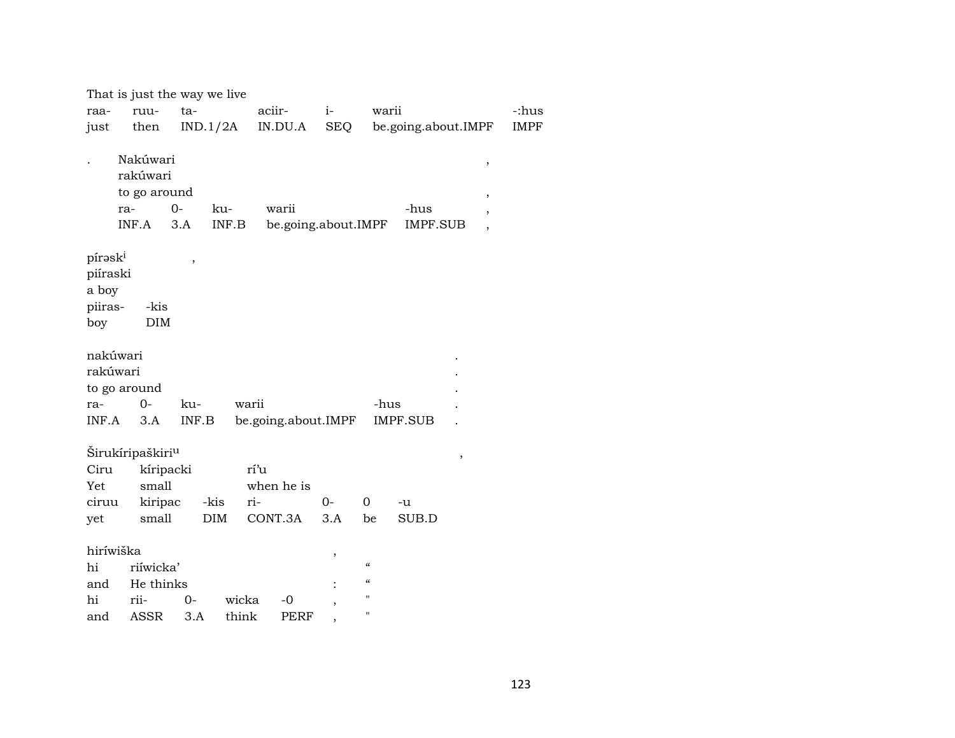|                     | That is just the way we live |       |                           |                     |                |                                        |                                             |             |
|---------------------|------------------------------|-------|---------------------------|---------------------|----------------|----------------------------------------|---------------------------------------------|-------------|
| raa-                | ruu-                         | ta-   |                           | aciir-              | $i-$           | warii                                  |                                             | -:hus       |
| just                | then                         |       | IND.1/2A                  | IN.DU.A             | <b>SEQ</b>     |                                        | be.going.about.IMPF                         | <b>IMPF</b> |
|                     |                              |       |                           |                     |                |                                        |                                             |             |
|                     | Nakúwari                     |       |                           |                     |                |                                        | $\, ,$                                      |             |
|                     | rakúwari                     |       |                           |                     |                |                                        |                                             |             |
|                     | to go around                 |       |                           |                     |                |                                        | $\,$                                        |             |
|                     | ra-                          | $0-$  | ku-                       | warii               |                |                                        | -hus<br>$\overline{\phantom{a}}$            |             |
|                     | INF.A                        | 3.A   | $\textsf{INF}.\textsf{B}$ | be.going.about.IMPF |                |                                        | <b>IMPF.SUB</b><br>$\overline{\phantom{a}}$ |             |
| pírask <sup>i</sup> |                              |       |                           |                     |                |                                        |                                             |             |
| piíraski            |                              | $\,$  |                           |                     |                |                                        |                                             |             |
| a boy               |                              |       |                           |                     |                |                                        |                                             |             |
| piiras-             | -kis                         |       |                           |                     |                |                                        |                                             |             |
| boy                 | DIM                          |       |                           |                     |                |                                        |                                             |             |
|                     |                              |       |                           |                     |                |                                        |                                             |             |
| nakúwari            |                              |       |                           |                     |                |                                        |                                             |             |
| rakúwari            |                              |       |                           |                     |                |                                        |                                             |             |
|                     | to go around                 |       |                           |                     |                |                                        |                                             |             |
| ra-                 | $0-$                         | ku-   | warii                     |                     |                | -hus                                   |                                             |             |
| INF.A               | 3.A                          | INF.B |                           | be.going.about.IMPF |                |                                        | <b>IMPF.SUB</b>                             |             |
|                     |                              |       |                           |                     |                |                                        |                                             |             |
|                     | Širukíripaškiri <sup>u</sup> |       |                           |                     |                |                                        | ,                                           |             |
| Ciru                | kíripacki                    |       | rí'u                      |                     |                |                                        |                                             |             |
| Yet                 | small                        |       |                           | when he is          |                |                                        |                                             |             |
| ciruu               | kiripac                      |       | -kis<br>ri-               |                     | $0-$           | $\Omega$                               | -u                                          |             |
| yet                 | small                        |       | DIM                       | CONT.3A             | 3.A            | be                                     | SUB.D                                       |             |
| hiríwiška           |                              |       |                           |                     |                |                                        |                                             |             |
| hi                  | riíwicka'                    |       |                           |                     | ,              | $\boldsymbol{\zeta}\boldsymbol{\zeta}$ |                                             |             |
| and                 | He thinks                    |       |                           |                     |                | $\mathcal{C}\mathcal{C}$               |                                             |             |
| hi                  | rii-                         | $O -$ | wicka                     | $-0$                | $\overline{ }$ | $\pmb{\mathsf{H}}$                     |                                             |             |
| and                 | ASSR                         | 3.A   | think                     | <b>PERF</b>         |                | $\pmb{\mathsf{H}}$                     |                                             |             |
|                     |                              |       |                           |                     |                |                                        |                                             |             |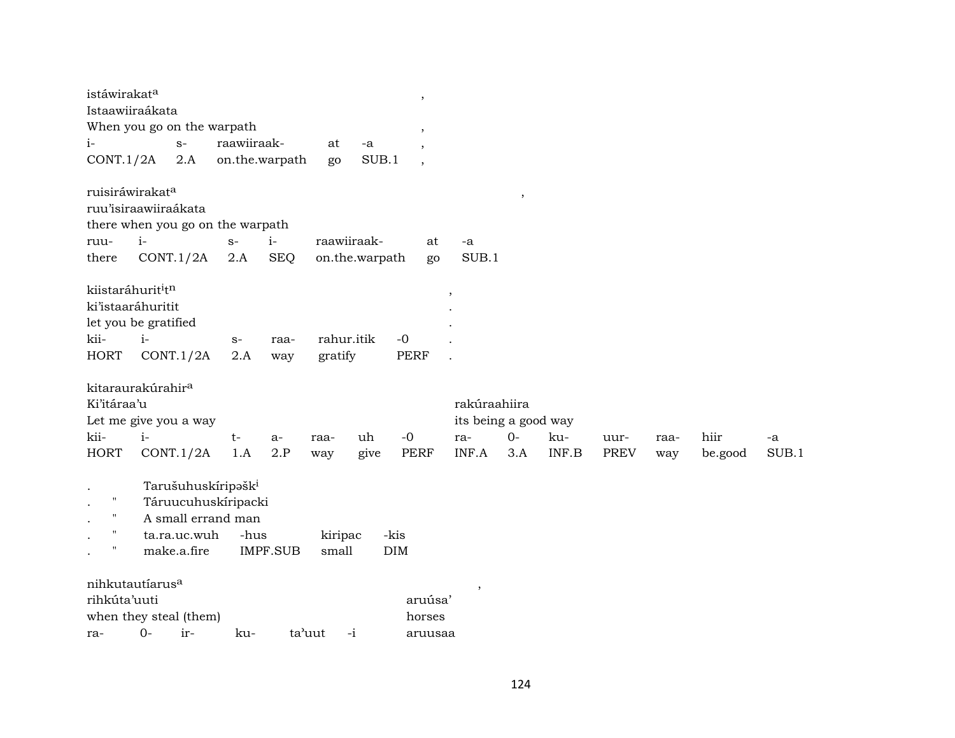| istáwirakat <sup>a</sup>                  |      |              |                                  |                 |            |                |      | $\overline{\phantom{a}}$ |                      |      |                           |             |      |         |       |
|-------------------------------------------|------|--------------|----------------------------------|-----------------|------------|----------------|------|--------------------------|----------------------|------|---------------------------|-------------|------|---------|-------|
| Istaawiiraákata                           |      |              |                                  |                 |            |                |      |                          |                      |      |                           |             |      |         |       |
| When you go on the warpath                |      |              |                                  |                 |            |                |      | ,                        |                      |      |                           |             |      |         |       |
| i-                                        |      | $S-$         | raawiiraak-                      |                 | at         | -a             |      |                          |                      |      |                           |             |      |         |       |
| CONT.1/2A                                 |      | 2.A          | on.the.warpath                   |                 | go         | SUB.1          |      | $\cdot$                  |                      |      |                           |             |      |         |       |
|                                           |      |              |                                  |                 |            |                |      |                          |                      |      |                           |             |      |         |       |
| ruisiráwirakata                           |      |              |                                  |                 |            |                |      |                          |                      | $\,$ |                           |             |      |         |       |
| ruu'isiraawiiraákata                      |      |              |                                  |                 |            |                |      |                          |                      |      |                           |             |      |         |       |
|                                           |      |              | there when you go on the warpath |                 |            |                |      |                          |                      |      |                           |             |      |         |       |
| ruu-                                      | $i-$ |              | $S-$                             | $i-$            |            | raawiiraak-    |      | at                       | -a                   |      |                           |             |      |         |       |
| there                                     |      | CONT.1/2A    | 2.A                              | <b>SEQ</b>      |            | on.the.warpath |      | go                       | SUB.1                |      |                           |             |      |         |       |
|                                           |      |              |                                  |                 |            |                |      |                          |                      |      |                           |             |      |         |       |
| kiistaráhurit <sup>i</sup> t <sup>n</sup> |      |              |                                  |                 |            |                |      |                          | ,                    |      |                           |             |      |         |       |
| ki'istaaráhuritit                         |      |              |                                  |                 |            |                |      |                          |                      |      |                           |             |      |         |       |
| let you be gratified                      |      |              |                                  |                 |            |                |      |                          |                      |      |                           |             |      |         |       |
| kii-                                      | $i-$ |              | $S-$                             | raa-            | rahur.itik |                | $-0$ |                          |                      |      |                           |             |      |         |       |
| <b>HORT</b>                               |      | CONT.1/2A    | 2.A                              | way             | gratify    |                | PERF |                          |                      |      |                           |             |      |         |       |
| kitaraurakúrahir <sup>a</sup>             |      |              |                                  |                 |            |                |      |                          |                      |      |                           |             |      |         |       |
| Ki'itáraa'u                               |      |              |                                  |                 |            |                |      |                          | rakúraahiira         |      |                           |             |      |         |       |
| Let me give you a way                     |      |              |                                  |                 |            |                |      |                          | its being a good way |      |                           |             |      |         |       |
| kii-                                      | $i-$ |              | $t-$                             |                 |            | uh             | $-0$ |                          |                      | $0-$ | ku-                       |             |      | hiir    |       |
|                                           |      |              |                                  | a-              | raa-       |                |      |                          | ra-<br>INF.A         |      | $\textsf{INF}.\textsf{B}$ | uur-        | raa- |         | -a    |
| <b>HORT</b>                               |      | CONT.1/2A    | 1.A                              | 2.P             | way        | give           |      | <b>PERF</b>              |                      | 3.A  |                           | <b>PREV</b> | way  | be.good | SUB.1 |
|                                           |      |              | Tarušuhuskíripašk <sup>i</sup>   |                 |            |                |      |                          |                      |      |                           |             |      |         |       |
| п.                                        |      |              | Táruucuhuskíripacki              |                 |            |                |      |                          |                      |      |                           |             |      |         |       |
| $\mathbf{H}$                              |      |              | A small errand man               |                 |            |                |      |                          |                      |      |                           |             |      |         |       |
| $\blacksquare$                            |      | ta.ra.uc.wuh | -hus                             |                 | kiripac    |                | -kis |                          |                      |      |                           |             |      |         |       |
| п                                         |      | make.a.fire  |                                  | <b>IMPF.SUB</b> | small      |                | DIM  |                          |                      |      |                           |             |      |         |       |
|                                           |      |              |                                  |                 |            |                |      |                          |                      |      |                           |             |      |         |       |
| nihkutautíarus <sup>a</sup>               |      |              |                                  |                 |            |                |      |                          | ,                    |      |                           |             |      |         |       |
| rihkúta'uuti                              |      |              |                                  |                 |            |                |      | aruúsa'                  |                      |      |                           |             |      |         |       |
| when they steal (them)                    |      |              |                                  |                 |            |                |      | horses                   |                      |      |                           |             |      |         |       |
| ra-                                       | $0-$ | ir-          | ku-                              | ta'uut          |            | $-i$           |      | aruusaa                  |                      |      |                           |             |      |         |       |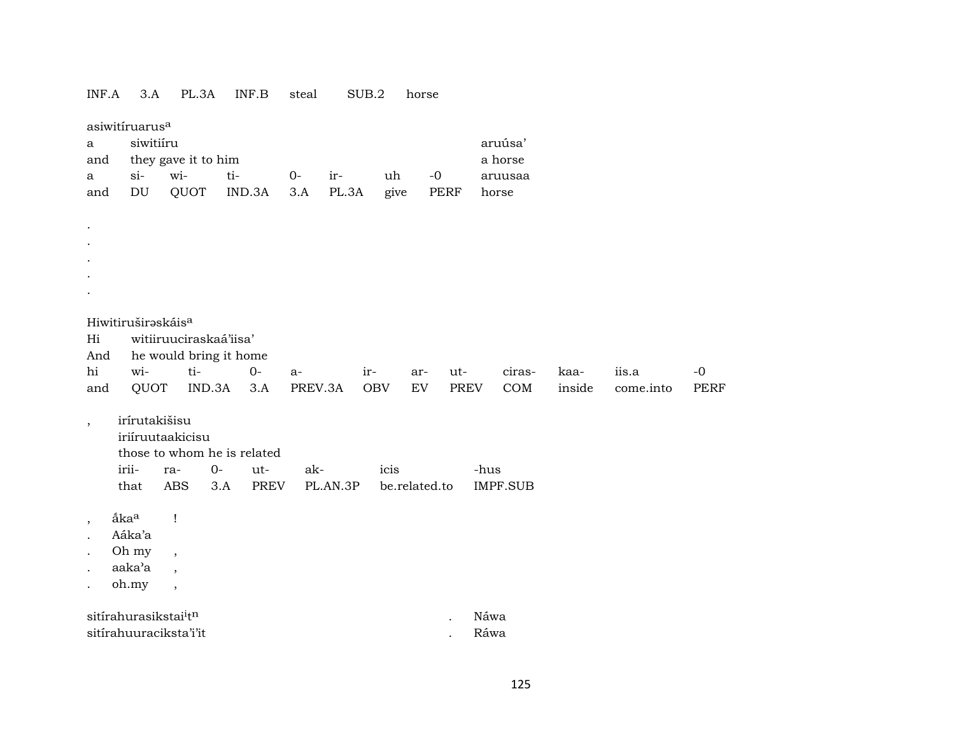| INF.A                    | 3.A                                     | PL.3A                       |        | INF.B  | steal   |          | SUB.2      | horse         |             |       |                 |        |           |             |
|--------------------------|-----------------------------------------|-----------------------------|--------|--------|---------|----------|------------|---------------|-------------|-------|-----------------|--------|-----------|-------------|
| a                        | asiwitíruarus <sup>a</sup><br>siwitiíru |                             |        |        |         |          |            |               |             |       | aruúsa'         |        |           |             |
| and                      |                                         | they gave it to him         |        |        |         |          |            |               |             |       | a horse         |        |           |             |
| a                        | $si-$                                   | wi-                         | ti-    |        | $O -$   | ir-      | uh         | $-0$          |             |       | aruusaa         |        |           |             |
| and                      | DU                                      | QUOT                        |        | IND.3A | 3.A     | PL.3A    | give       |               | PERF        | horse |                 |        |           |             |
|                          |                                         |                             |        |        |         |          |            |               |             |       |                 |        |           |             |
|                          |                                         |                             |        |        |         |          |            |               |             |       |                 |        |           |             |
|                          |                                         |                             |        |        |         |          |            |               |             |       |                 |        |           |             |
|                          |                                         |                             |        |        |         |          |            |               |             |       |                 |        |           |             |
|                          |                                         |                             |        |        |         |          |            |               |             |       |                 |        |           |             |
|                          |                                         |                             |        |        |         |          |            |               |             |       |                 |        |           |             |
|                          |                                         |                             |        |        |         |          |            |               |             |       |                 |        |           |             |
|                          | Hiwitiruširaskáis <sup>a</sup>          |                             |        |        |         |          |            |               |             |       |                 |        |           |             |
| Hi                       |                                         | witiiruuciraskaá'iisa'      |        |        |         |          |            |               |             |       |                 |        |           |             |
| And                      |                                         | he would bring it home      |        |        |         |          |            |               |             |       |                 |        |           |             |
| hi                       | wi-                                     | ti-                         |        | $O-$   | $a-$    |          | ir-        | ar-           | ut-         |       | ciras-          | kaa-   | iis.a     | $-0$        |
| and                      | QUOT                                    |                             | IND.3A | 3.A    | PREV.3A |          | <b>OBV</b> | EV            | <b>PREV</b> |       | COM             | inside | come.into | <b>PERF</b> |
|                          | irírutakišisu                           |                             |        |        |         |          |            |               |             |       |                 |        |           |             |
| $\overline{\phantom{a}}$ |                                         | iriíruutaakicisu            |        |        |         |          |            |               |             |       |                 |        |           |             |
|                          |                                         | those to whom he is related |        |        |         |          |            |               |             |       |                 |        |           |             |
|                          | irii-                                   | ra-                         | $0-$   | ut-    | ak-     |          | icis       |               |             | -hus  |                 |        |           |             |
|                          | that                                    | <b>ABS</b>                  | 3.A    | PREV   |         | PL.AN.3P |            | be.related.to |             |       | <b>IMPF.SUB</b> |        |           |             |
|                          |                                         |                             |        |        |         |          |            |               |             |       |                 |        |           |             |
| $\overline{\phantom{a}}$ | åka <sup>a</sup>                        | $\mathbf{I}$                |        |        |         |          |            |               |             |       |                 |        |           |             |
|                          | Aáka'a                                  |                             |        |        |         |          |            |               |             |       |                 |        |           |             |
|                          | Oh my                                   | $\overline{ }$              |        |        |         |          |            |               |             |       |                 |        |           |             |
|                          | aaka'a                                  | $\overline{\phantom{a}}$    |        |        |         |          |            |               |             |       |                 |        |           |             |
|                          | oh.my                                   | $\overline{\phantom{a}}$    |        |        |         |          |            |               |             |       |                 |        |           |             |
|                          |                                         |                             |        |        |         |          |            |               |             |       |                 |        |           |             |
|                          | sitírahurasikstai <sup>i</sup> tn       |                             |        |        |         |          |            |               |             | Náwa  |                 |        |           |             |
|                          |                                         | sitírahuuraciksta'i'it      |        |        |         |          |            |               |             | Ráwa  |                 |        |           |             |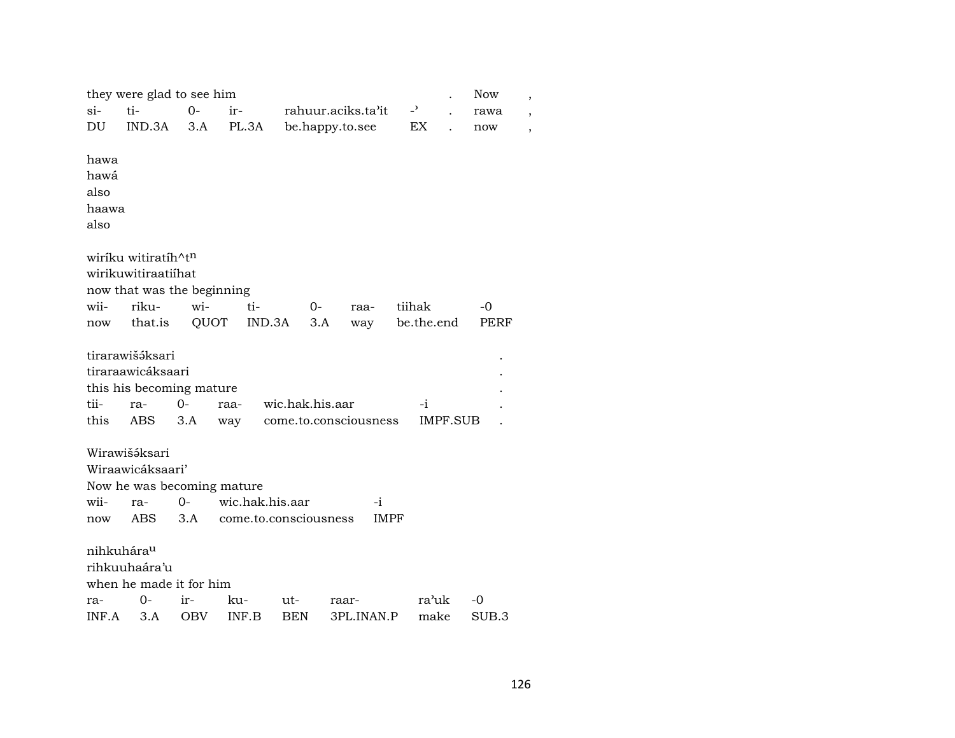|                                       | they were glad to see him                                                      |             |                       |                 |     |                       |                          |                 | <b>Now</b> | $\overline{\phantom{a}}$ |
|---------------------------------------|--------------------------------------------------------------------------------|-------------|-----------------------|-----------------|-----|-----------------------|--------------------------|-----------------|------------|--------------------------|
| $si-$                                 | ti-                                                                            | $0 -$       | ir-                   |                 |     | rahuur.aciks.ta'it    | $\overline{\phantom{0}}$ |                 | rawa       | $\overline{ }$           |
| DU                                    | IND.3A                                                                         | 3.A         | PL.3A                 |                 |     | be.happy.to.see       | EX                       |                 | now        | ,                        |
| hawa<br>hawá<br>also<br>haawa<br>also |                                                                                |             |                       |                 |     |                       |                          |                 |            |                          |
|                                       | wiríku witiratíh^tn                                                            |             |                       |                 |     |                       |                          |                 |            |                          |
|                                       | wirikuwitiraatiihat                                                            |             |                       |                 |     |                       |                          |                 |            |                          |
|                                       | now that was the beginning                                                     |             |                       |                 |     |                       |                          |                 |            |                          |
| wii-                                  | riku-                                                                          | wi-         | ti-                   |                 | 0-  | raa-                  | tiihak                   |                 | $-0$       |                          |
| now                                   | that.is                                                                        | QUOT        | IND.3A                |                 | 3.A | way                   | be.the.end               |                 | PERF       |                          |
| tii-<br>this                          | tirarawišáksari<br>tiraraawicáksaari<br>this his becoming mature<br>ra-<br>ABS | $0-$<br>3.A | raa-<br>way           | wic.hak.his.aar |     | come.to.consciousness | -i                       | <b>IMPF.SUB</b> |            |                          |
|                                       | Wirawišáksari                                                                  |             |                       |                 |     |                       |                          |                 |            |                          |
|                                       | Wiraawicáksaari'                                                               |             |                       |                 |     |                       |                          |                 |            |                          |
|                                       | Now he was becoming mature                                                     |             |                       |                 |     |                       |                          |                 |            |                          |
| wii-                                  | ra-                                                                            | $O -$       | wic.hak.his.aar       |                 |     | $-i$                  |                          |                 |            |                          |
| now                                   | ABS.                                                                           | 3.A         | come.to.consciousness |                 |     | <b>IMPF</b>           |                          |                 |            |                          |
| nihkuhára <sup>u</sup>                | rihkuuhaára'u<br>when he made it for him                                       |             |                       |                 |     |                       |                          |                 |            |                          |
| ra-                                   | 0-                                                                             | ir-         | ku-                   | ut-             |     | raar-                 |                          | ra'uk           | -0         |                          |
| INF.A                                 | 3.A                                                                            | OBV         | INF.B                 | BEN             |     | 3PL.INAN.P            |                          | make            | SUB.3      |                          |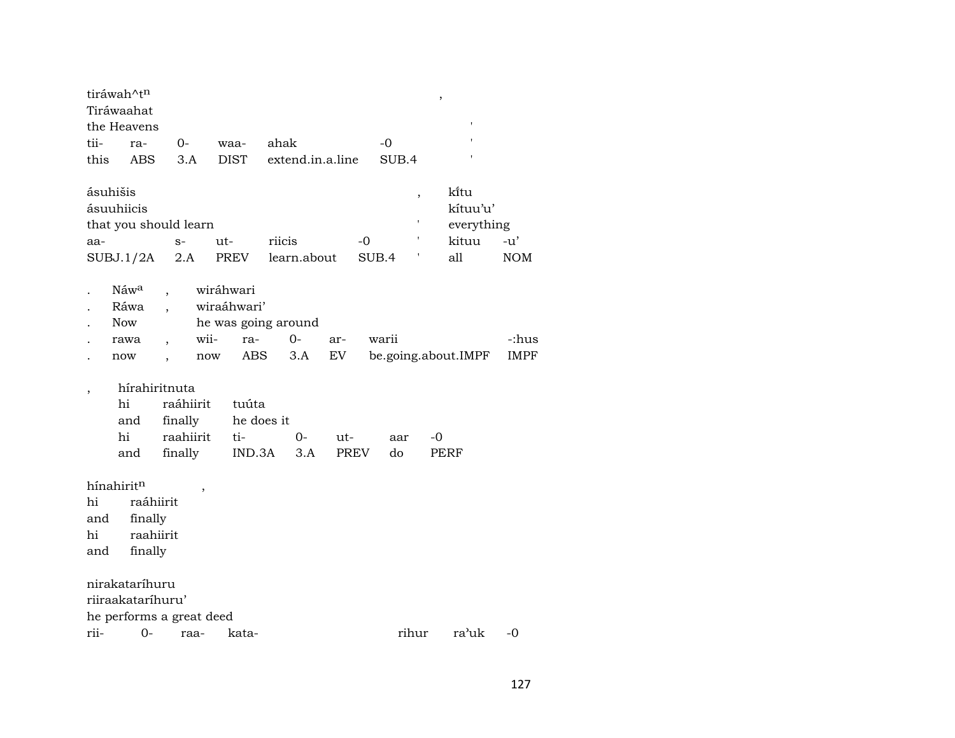|      | tiráwah^tn<br>Tiráwaahat<br>the Heavens |                                                               |                          |                         |     |               |                | $\,$ |                                                |                     |
|------|-----------------------------------------|---------------------------------------------------------------|--------------------------|-------------------------|-----|---------------|----------------|------|------------------------------------------------|---------------------|
| tii- | ra-                                     | 0-                                                            | waa-                     | ahak                    |     |               | $-0$           |      |                                                |                     |
| this | <b>ABS</b>                              | 3.A                                                           | <b>DIST</b>              | extend.in.a.line        |     |               | SUB.4          |      |                                                |                     |
| aa-  | ásuhišis<br>ásuuhiicis<br>SUBJ.1/2A     | that you should learn<br>$S-$<br>2.A                          | ut-<br>PREV              | riicis<br>learn.about   |     | $-0$<br>SUB.4 | $\,$<br>٠<br>t |      | kītu<br>kítuu'u'<br>everything<br>kituu<br>all | $-u'$<br><b>NOM</b> |
|      | Náw <sup>a</sup><br>Ráwa<br>Now         |                                                               | wiráhwari<br>wiraáhwari' | he was going around     |     |               |                |      |                                                |                     |
|      | rawa                                    |                                                               | wii-<br>ra-              | $0-$                    | ar- |               | warii          |      |                                                | -:hus               |
|      | now                                     |                                                               | now                      | ABS<br>3.A              | EV  |               |                |      | be.going.about.IMPF                            | <b>IMPF</b>         |
|      | hi<br>and<br>hi<br>and                  | hírahiritnuta<br>raáhiirit<br>finally<br>raahiirit<br>finally | tuúta<br>ti-<br>IND.3A   | he does it<br>0-<br>3.A | ut- | <b>PREV</b>   | aar<br>do      | -0   | PERF                                           |                     |
|      | hínahiritn                              |                                                               |                          |                         |     |               |                |      |                                                |                     |
| hi   | raáhiirit                               |                                                               |                          |                         |     |               |                |      |                                                |                     |
| and  | finally                                 |                                                               |                          |                         |     |               |                |      |                                                |                     |
| hi   | raahiirit                               |                                                               |                          |                         |     |               |                |      |                                                |                     |
| and  | finally                                 |                                                               |                          |                         |     |               |                |      |                                                |                     |
|      | nirakataríhuru<br>riiraakataríhuru'     |                                                               |                          |                         |     |               |                |      |                                                |                     |
|      |                                         | he performs a great deed                                      |                          |                         |     |               |                |      |                                                |                     |
| rii- | $0-$                                    | raa-                                                          | kata-                    |                         |     |               | rihur          |      | ra'uk                                          | -0                  |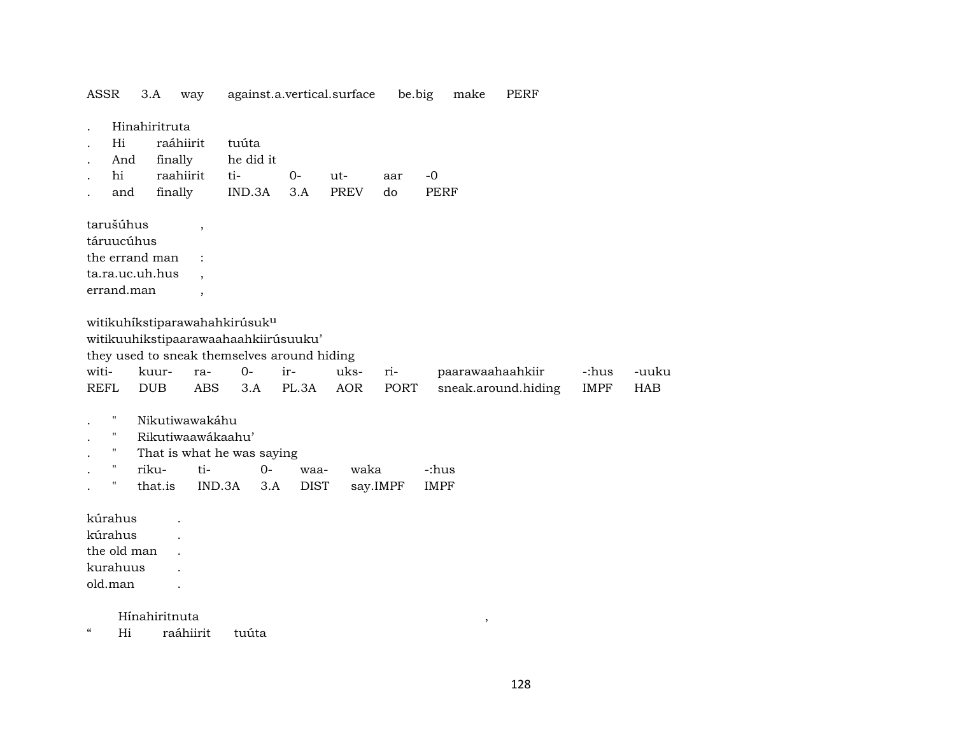ASSR 3.A way against.a.vertical.surface be.big make PERF . Hinahiritruta . Hi raáhiirit tuúta . And finally he did it . hi raahiirit ti- 0- ut- aar -0 . and finally IND.3A 3.A PREV do PERF tarušúhus , táruucúhus the errand man : ta.ra.uc.uh.hus, errand.man, witikuhíkstiparawahahkirúsuk<sup>u</sup> witikuuhikstipaarawaahaahkiirúsuuku' they used to sneak themselves around hiding witi- kuur- ra- 0- ir- uks- ri- paarawaahaahkiir -:hus -uuku REFL DUB ABS 3.A PL.3A AOR PORT sneak.around.hiding IMPF HAB Nikutiwawakáhu . " Rikutiwaawákaahu' . " That is what he was saying . " riku- ti- 0- waa- waka -:hus . " that.is IND.3A 3.A DIST say.IMPF IMPF kúrahus . kúrahus . the old man . kurahuus . old.man . Hínahiritnuta ,

" Hi raáhiirit tuúta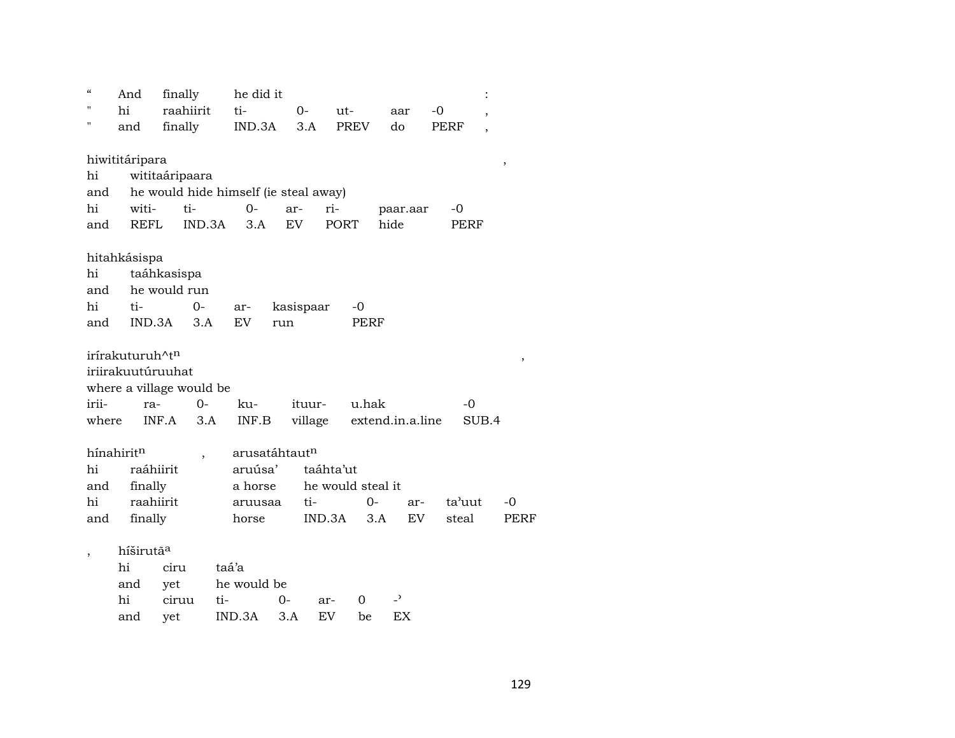| $\epsilon$ |       | And                         | finally                  | he did it                             |               |                   |             |                          |        |                          |             |
|------------|-------|-----------------------------|--------------------------|---------------------------------------|---------------|-------------------|-------------|--------------------------|--------|--------------------------|-------------|
| п          |       | hi                          | raahiirit                | ti-                                   | $0-$          | ut-               |             | aar                      | $-0$   | $\overline{\phantom{a}}$ |             |
| н          |       | and                         | finally                  | IND.3A                                | 3.A           |                   | <b>PREV</b> | do                       | PERF   |                          |             |
|            |       |                             |                          |                                       |               |                   |             |                          |        |                          |             |
|            |       | hiwititáripara              |                          |                                       |               |                   |             |                          |        |                          | ,           |
|            | hi    |                             | wititaáripaara           |                                       |               |                   |             |                          |        |                          |             |
|            | and   |                             |                          | he would hide himself (ie steal away) |               |                   |             |                          |        |                          |             |
|            | hi    | witi-                       | ti-                      | $0 -$                                 | ar-           | ri-               |             | paar.aar                 | $-0$   |                          |             |
|            | and   | <b>REFL</b>                 | IND.3A                   | 3.A                                   | EV            | <b>PORT</b>       |             | hide                     | PERF   |                          |             |
|            |       |                             |                          |                                       |               |                   |             |                          |        |                          |             |
|            |       | hitahkásispa                |                          |                                       |               |                   |             |                          |        |                          |             |
|            | hi    |                             | taáhkasispa              |                                       |               |                   |             |                          |        |                          |             |
|            | and   |                             | he would run             |                                       |               |                   |             |                          |        |                          |             |
|            | hi    | ti-                         | $0-$                     | ar-                                   | kasispaar     |                   | -0          |                          |        |                          |             |
|            | and   | IND.3A                      | 3.A                      | <b>EV</b>                             | run           |                   | PERF        |                          |        |                          |             |
|            |       | irírakuturuh^t <sup>n</sup> |                          |                                       |               |                   |             |                          |        |                          |             |
|            |       | iriirakuutúruuhat           |                          |                                       |               |                   |             |                          |        |                          | ,           |
|            |       |                             | where a village would be |                                       |               |                   |             |                          |        |                          |             |
|            | irii- | ra-                         | 0-                       | ku-                                   |               | ituur-            | u.hak       |                          | -0     |                          |             |
|            | where |                             | INF.A<br>3.A             | INF.B                                 |               | village           |             | extend.in.a.line         |        | SUB.4                    |             |
|            |       |                             |                          |                                       |               |                   |             |                          |        |                          |             |
|            |       | hínahiritn                  | $\overline{\phantom{a}}$ |                                       | arusatáhtautn |                   |             |                          |        |                          |             |
|            | hi    | raáhiirit                   |                          | aruúsa'                               |               | taáhta'ut         |             |                          |        |                          |             |
|            | and   | finally                     |                          | a horse                               |               | he would steal it |             |                          |        |                          |             |
|            | hi    | raahiirit                   |                          | aruusaa                               |               | ti-               | $0-$        | ar-                      | ta'uut |                          | $-0$        |
|            | and   | finally                     |                          | horse                                 |               | IND.3A            | 3.A         | EV                       | steal  |                          | <b>PERF</b> |
|            |       |                             |                          |                                       |               |                   |             |                          |        |                          |             |
|            |       | híširutã <sup>a</sup>       |                          |                                       |               |                   |             |                          |        |                          |             |
|            |       | hi                          | ciru                     | taá'a                                 |               |                   |             |                          |        |                          |             |
|            |       | and                         | yet                      | he would be                           |               |                   |             |                          |        |                          |             |
|            |       | hi                          | ciruu                    | ti-                                   | 0-            | ar-               | 0           | $\overline{\phantom{a}}$ |        |                          |             |
|            |       | and                         | yet                      | IND.3A                                | 3.A           | EV                | be          | EX                       |        |                          |             |
|            |       |                             |                          |                                       |               |                   |             |                          |        |                          |             |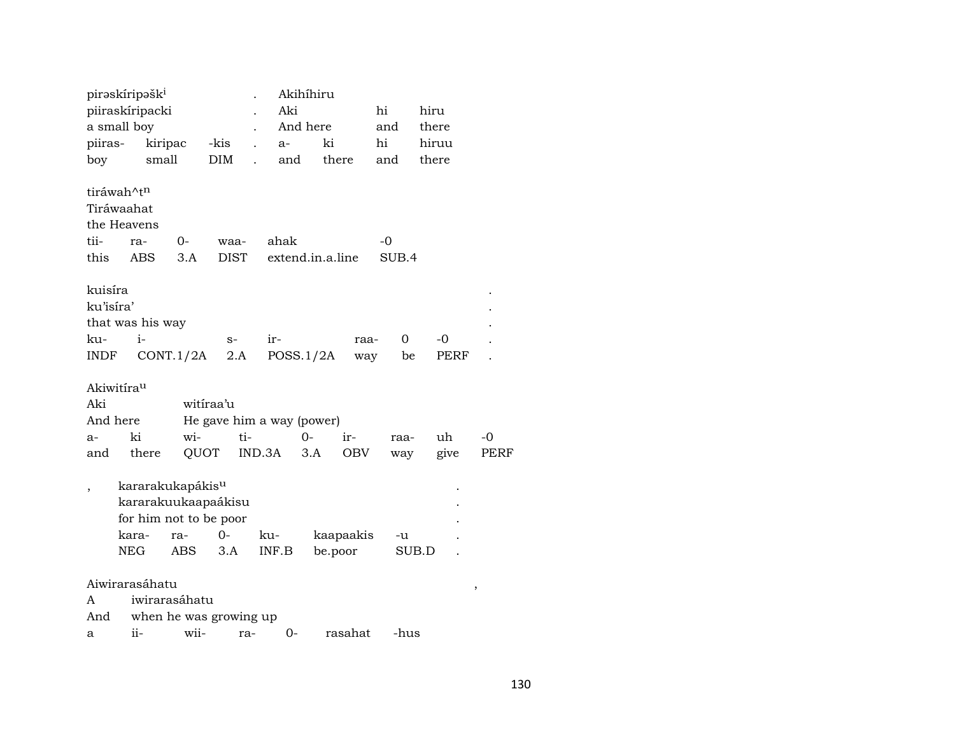|                          | pirəskíripəšk <sup>i</sup> |                  |                              |                           |                      |           | Akihíhiru        |           |             |             |             |
|--------------------------|----------------------------|------------------|------------------------------|---------------------------|----------------------|-----------|------------------|-----------|-------------|-------------|-------------|
|                          |                            | piiraskíripacki  |                              |                           |                      | Aki<br>hi |                  |           |             | hiru        |             |
|                          | a small boy                |                  |                              |                           |                      |           | And here         |           | and         | there       |             |
| piiras-                  |                            | kiripac          |                              | -kis                      |                      | a-        | ki               |           | hi          | hiruu       |             |
| boy                      |                            | small            |                              | DIM                       | $\ddot{\phantom{a}}$ | and       |                  | there     | and         | there       |             |
|                          | tiráwah^t <sup>n</sup>     |                  |                              |                           |                      |           |                  |           |             |             |             |
|                          | Tiráwaahat                 |                  |                              |                           |                      |           |                  |           |             |             |             |
|                          | the Heavens                |                  |                              |                           |                      |           |                  |           |             |             |             |
|                          |                            |                  |                              |                           |                      |           |                  |           |             |             |             |
| tii-                     | ra-                        |                  | 0-                           | waa-                      |                      | ahak      |                  |           | -0          |             |             |
| this                     | ABS                        |                  | 3.A                          | <b>DIST</b>               |                      |           | extend.in.a.line |           | SUB.4       |             |             |
| kuisíra                  |                            |                  |                              |                           |                      |           |                  |           |             |             |             |
| ku'isíra'                |                            |                  |                              |                           |                      |           |                  |           |             |             |             |
|                          |                            | that was his way |                              |                           |                      |           |                  |           |             |             |             |
| ku-                      | $i-$                       |                  |                              | $S-$                      |                      | ir-       |                  | raa-      | $\mathbf 0$ | -0          |             |
| INDF                     |                            |                  | CONT.1/2A                    | 2.A                       |                      |           | POSS.1/2A        | way       | be          | <b>PERF</b> |             |
|                          |                            |                  |                              |                           |                      |           |                  |           |             |             |             |
|                          | Akiwitírau                 |                  |                              |                           |                      |           |                  |           |             |             |             |
| Aki                      |                            |                  | witiraa'u                    |                           |                      |           |                  |           |             |             |             |
| And here                 |                            |                  |                              | He gave him a way (power) |                      |           |                  |           |             |             |             |
| $a-$                     | ki                         |                  | wi-                          |                           | ti-                  |           | 0-               | ir-       | raa-        | uh          | -0          |
| and                      |                            | there            | QUOT                         |                           |                      | IND.3A    | 3.A              | OBV       | way         | give        | <b>PERF</b> |
|                          |                            |                  |                              |                           |                      |           |                  |           |             |             |             |
| $\overline{\phantom{a}}$ |                            |                  | kararakukapákis <sup>u</sup> |                           |                      |           |                  |           |             |             |             |
|                          |                            |                  | kararakuukaapaákisu          |                           |                      |           |                  |           |             |             |             |
|                          |                            |                  | for him not to be poor       |                           |                      |           |                  |           |             |             |             |
|                          | kara-                      |                  | ra-                          | $0-$                      | ku-                  |           |                  | kaapaakis | -u          |             |             |
|                          | <b>NEG</b>                 |                  | ABS                          | 3.A                       |                      | INF.B     |                  | be.poor   |             | SUB.D       |             |
|                          |                            |                  |                              |                           |                      |           |                  |           |             |             |             |
|                          |                            | Aiwirarasáhatu   |                              |                           |                      |           |                  |           |             |             | ,           |
| A                        |                            |                  | iwirarasáhatu                |                           |                      |           |                  |           |             |             |             |
| And                      |                            |                  | when he was growing up       |                           |                      |           |                  |           |             |             |             |
| a                        | ii-                        |                  | wii-                         |                           | ra-                  | 0-        |                  | rasahat   | -hus        |             |             |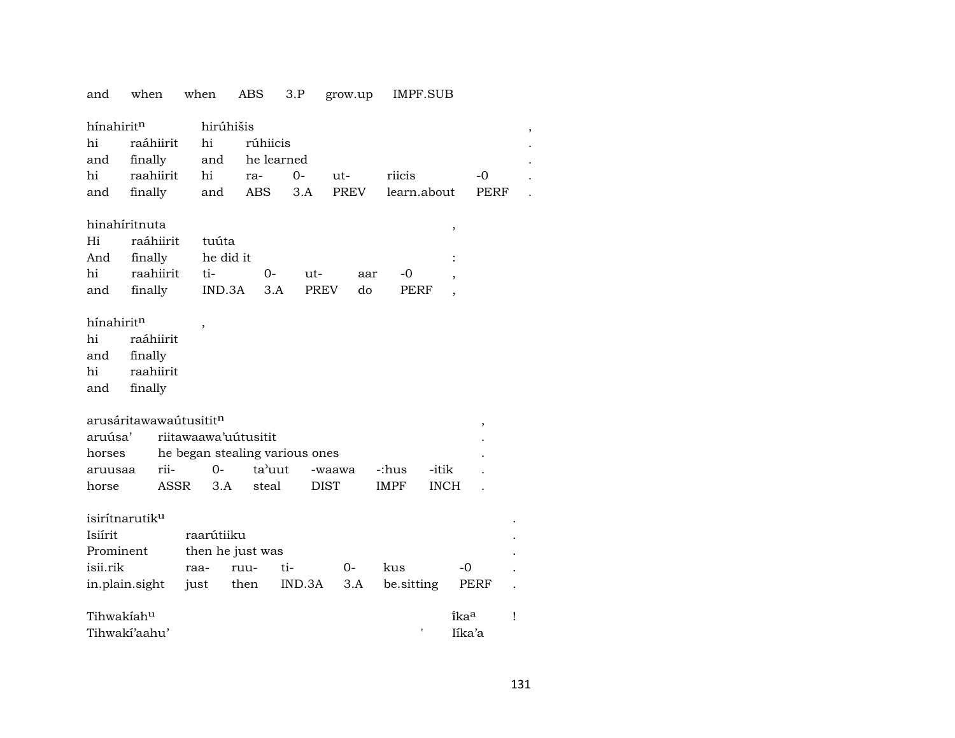| and                        | when                               | when                           | ABS      | 3.P        | grow.up     |             | IMPF.SUB    |                  |   |
|----------------------------|------------------------------------|--------------------------------|----------|------------|-------------|-------------|-------------|------------------|---|
| hínahiritn<br>hi<br>and    | raáhiirit<br>finally               | hirúhišis<br>hi<br>and         | rúhiicis | he learned |             |             |             |                  |   |
| hi                         | raahiirit                          | hi                             | ra-      | $O -$      | ut-         | riicis      |             | $-0$             |   |
| and                        | finally                            |                                | ABS      | 3.A        | <b>PREV</b> |             | learn.about | PERF             |   |
|                            |                                    | and                            |          |            |             |             |             |                  |   |
|                            | hinahíritnuta                      |                                |          |            |             |             | $\, ,$      |                  |   |
| Hi                         | raáhiirit                          | tuúta                          |          |            |             |             |             |                  |   |
| And                        | finally                            | he did it                      |          |            |             |             |             |                  |   |
| hi                         | raahiirit                          | ti-                            | 0-       | ut-        |             | -0<br>aar   |             |                  |   |
| and                        | finally                            | IND.3A                         | 3.A      |            | <b>PREV</b> | do<br>PERF  |             |                  |   |
|                            |                                    |                                |          |            |             |             |             |                  |   |
| hínahiritn                 |                                    |                                |          |            |             |             |             |                  |   |
| hi                         | raáhiirit                          |                                |          |            |             |             |             |                  |   |
| and                        | finally                            |                                |          |            |             |             |             |                  |   |
| hi                         | raahiirit                          |                                |          |            |             |             |             |                  |   |
| and                        | finally                            |                                |          |            |             |             |             |                  |   |
|                            |                                    |                                |          |            |             |             |             |                  |   |
|                            | arusáritawawaútusitit <sup>n</sup> |                                |          |            |             |             |             | $\,$             |   |
| aruúsa'                    |                                    | riitawaawa'uutusitit           |          |            |             |             |             |                  |   |
| horses                     |                                    | he began stealing various ones |          |            |             |             |             |                  |   |
| aruusaa                    | rii-                               | 0-                             | ta'uut   |            | -waawa      | -:hus       | -itik       |                  |   |
| horse                      | ASSR                               | 3.A                            | steal    |            | <b>DIST</b> | <b>IMPF</b> | <b>INCH</b> |                  |   |
|                            |                                    |                                |          |            |             |             |             |                  |   |
| isirítnarutik <sup>u</sup> |                                    |                                |          |            |             |             |             |                  |   |
| Isiírit                    |                                    | raarútiiku                     |          |            |             |             |             |                  |   |
| Prominent                  |                                    | then he just was               |          |            |             |             |             |                  |   |
| isii.rik                   |                                    | raa-                           | ruu-     | ti-        | 0-          | kus         |             | -0               |   |
| in.plain.sight             |                                    | just                           | then     | IND.3A     | 3.A         | be.sitting  |             | PERF             |   |
| Tihwakiah <sup>u</sup>     |                                    |                                |          |            |             |             |             | ika <sup>a</sup> | Ţ |
|                            | Tihwaki'aahu'                      |                                |          |            |             |             | 1           | Iíka'a           |   |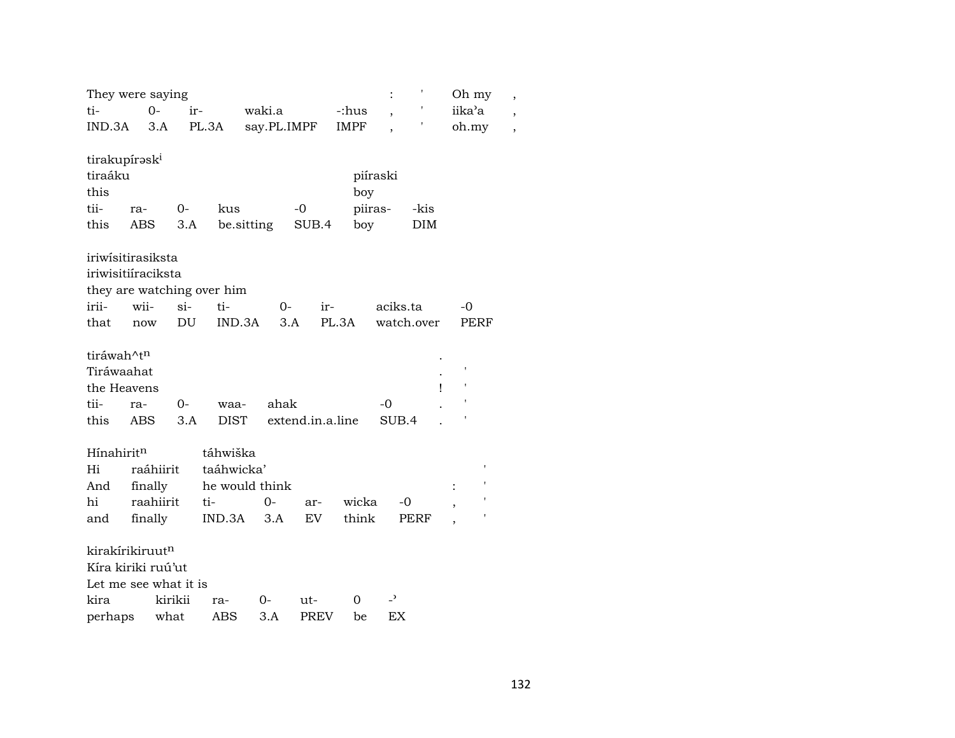|                           | They were saying            |                            |             |                   |                          | Oh my          | ,                        |
|---------------------------|-----------------------------|----------------------------|-------------|-------------------|--------------------------|----------------|--------------------------|
| ti-                       | $0 -$                       | ir-                        | waki.a      | -:hus             | $\overline{\phantom{a}}$ | iika'a         | $\overline{\phantom{a}}$ |
| IND.3A                    | 3.A                         | PL.3A                      | say.PL.IMPF | <b>IMPF</b>       |                          | oh.my          | $\overline{\phantom{a}}$ |
|                           |                             |                            |             |                   |                          |                |                          |
| tirakupírask <sup>i</sup> |                             |                            |             |                   |                          |                |                          |
| tiraáku                   |                             |                            |             |                   | piíraski                 |                |                          |
| this                      |                             |                            |             | boy               |                          |                |                          |
| tii-                      | 0-<br>ra-                   | kus                        | $-0$        |                   | piiras-<br>-kis          |                |                          |
| this                      | <b>ABS</b>                  | be.sitting<br>3.A          |             | boy<br>SUB.4      | DIM                      |                |                          |
|                           | iriwisitirasiksta           |                            |             |                   |                          |                |                          |
|                           | iriwisitiíraciksta          |                            |             |                   |                          |                |                          |
|                           |                             | they are watching over him |             |                   |                          |                |                          |
| irii-                     | wii-                        | $si-$<br>ti-               | $0-$        | ir-               | aciks.ta                 | -0             |                          |
| that                      | now                         | DU<br>IND.3A               | 3.A         | PL.3A             | watch.over               | PERF           |                          |
|                           |                             |                            |             |                   |                          |                |                          |
| tiráwah^t <sup>n</sup>    |                             |                            |             |                   |                          |                |                          |
| Tiráwaahat                |                             |                            |             |                   |                          |                |                          |
| the Heavens               |                             |                            |             |                   |                          | $\mathsf{I}$   |                          |
| tii-                      | $0-$<br>ra-                 | waa-                       | ahak        |                   | -0                       |                |                          |
| this                      | <b>ABS</b>                  | 3.A<br><b>DIST</b>         |             | extend.in.a.line  | SUB.4                    |                |                          |
|                           |                             |                            |             |                   |                          |                |                          |
| Hínahirit <sup>n</sup>    |                             | táhwiška                   |             |                   |                          | ,              |                          |
| Hi                        | raáhiirit                   | taáhwicka'                 |             |                   |                          |                |                          |
| And                       | finally                     | he would think             |             |                   |                          | $\ddot{\cdot}$ |                          |
| hi                        | raahiirit                   | ti-                        | $0-$        | wicka<br>ar-      | -0                       | ,              |                          |
| and                       | finally                     | IND.3A                     | 3.A         | think<br>EV       | PERF                     |                |                          |
|                           | kirakírikiruut <sup>n</sup> |                            |             |                   |                          |                |                          |
|                           | Kíra kiriki ruú'ut          |                            |             |                   |                          |                |                          |
|                           | Let me see what it is       |                            |             |                   |                          |                |                          |
| kira                      | kirikii                     | ra-                        | 0-          | 0<br>ut-          | $\overline{\phantom{a}}$ |                |                          |
| perhaps                   | what                        | ABS                        | 3.A         | <b>PREV</b><br>be | EX                       |                |                          |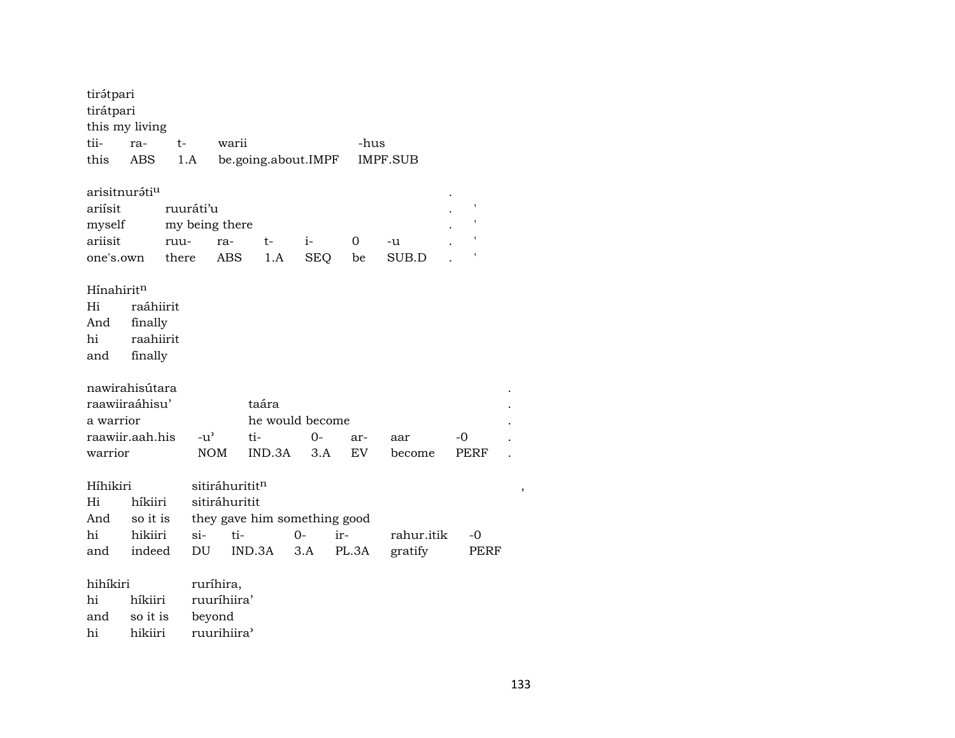| tirátpari<br>tirátpari<br>this my living |           |       |                 |                |                              |      |            |       |                 |             |  |  |  |
|------------------------------------------|-----------|-------|-----------------|----------------|------------------------------|------|------------|-------|-----------------|-------------|--|--|--|
| tii-                                     | ra-       | t-    |                 | warii          |                              |      |            | -hus  |                 |             |  |  |  |
| this                                     | ABS       |       | 1.A             |                | be.going.about.IMPF          |      |            |       | <b>IMPF.SUB</b> |             |  |  |  |
|                                          |           |       |                 |                |                              |      |            |       |                 |             |  |  |  |
| arisitnuráti <sup>u</sup>                |           |       |                 |                |                              |      |            |       |                 |             |  |  |  |
| ariísit                                  |           |       |                 | ı<br>ruuráti'u |                              |      |            |       |                 |             |  |  |  |
| myself                                   |           |       |                 | my being there |                              |      |            |       |                 |             |  |  |  |
| ariisit                                  |           | ruu-  |                 | ra-            | $t-$                         | $i-$ |            | 0     | $-u$            |             |  |  |  |
| one's.own                                |           | there |                 | <b>ABS</b>     | 1.A                          |      | <b>SEQ</b> | be    | SUB.D           |             |  |  |  |
| Hínahiritn                               |           |       |                 |                |                              |      |            |       |                 |             |  |  |  |
| Hi                                       | raáhiirit |       |                 |                |                              |      |            |       |                 |             |  |  |  |
| And                                      | finally   |       |                 |                |                              |      |            |       |                 |             |  |  |  |
| hi                                       | raahiirit |       |                 |                |                              |      |            |       |                 |             |  |  |  |
| and                                      | finally   |       |                 |                |                              |      |            |       |                 |             |  |  |  |
|                                          |           |       |                 |                |                              |      |            |       |                 |             |  |  |  |
| nawirahisútara                           |           |       |                 |                |                              |      |            |       |                 |             |  |  |  |
| raawiiraáhisu'                           |           |       |                 |                | taára                        |      |            |       |                 |             |  |  |  |
| a warrior                                |           |       | he would become |                |                              |      |            |       |                 |             |  |  |  |
| raawiir.aah.his                          |           |       | $-u^{\prime}$   |                | ti-                          |      | $O -$      | ar-   | aar             | -0          |  |  |  |
| warrior                                  |           |       | <b>NOM</b>      |                | IND.3A                       |      | 3.A        | EV    | become          | <b>PERF</b> |  |  |  |
|                                          |           |       |                 |                |                              |      |            |       |                 |             |  |  |  |
| Híhikiri                                 |           |       |                 | sitiráhurititn |                              |      |            |       |                 |             |  |  |  |
| Hi                                       | híkiiri   |       |                 | sitiráhuritit  |                              |      |            |       |                 |             |  |  |  |
| And                                      | so it is  |       |                 |                | they gave him something good |      |            |       |                 |             |  |  |  |
| hi                                       | hikiiri   |       | $si-$           | ti-            |                              | 0-   | ir-        |       | rahur.itik      | -0          |  |  |  |
| and                                      | indeed    |       | DU              |                | IND.3A                       | 3.A  |            | PL.3A | gratify         | PERF        |  |  |  |
|                                          |           |       |                 |                |                              |      |            |       |                 |             |  |  |  |
| hihíkiri                                 |           |       |                 | ruríhira,      |                              |      |            |       |                 |             |  |  |  |
| ruuríhiira'<br>hi<br>híkiiri             |           |       |                 |                |                              |      |            |       |                 |             |  |  |  |
| and                                      | so it is  |       | beyond          |                |                              |      |            |       |                 |             |  |  |  |
| hi                                       | hikiiri   |       |                 | ruurihiira'    |                              |      |            |       |                 |             |  |  |  |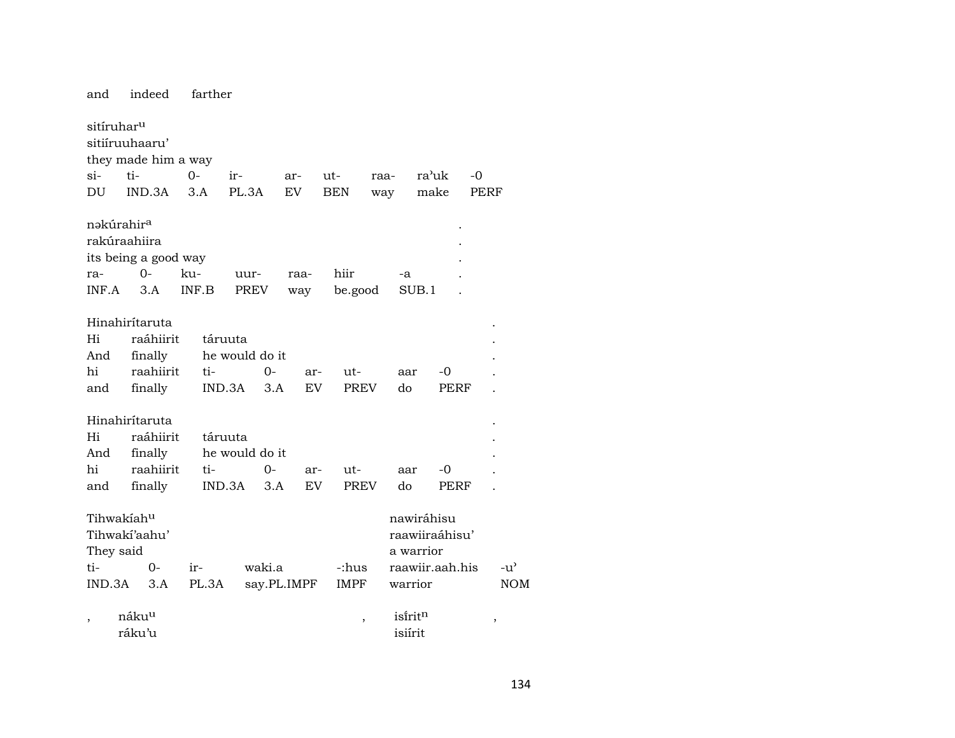and indeed farther sitíruharµ sitiíruuhaaru' they made him a way si- ti- 0- ir- ar- ut- raa- ra"uk -0 DU IND.3A 3.A PL.3A EV BEN way make PERF nəkúrahir<sup>a</sup> rakúraahiira . its being a good way . ra- 0- ku- uur- raa- hiir -a . INF.A 3.A INF.B PREV way be.good SUB.1 . Hinahirítaruta . Hi raáhiirit táruuta . And finally he would do it hi raahiirit ti- 0- ar- ut- aar -0 . and finally IND.3A 3.A EV PREV do PERF . Hinahirítaruta . Hi raáhiirit táruuta . And finally he would do it hi raahiirit ti- 0- ar- ut- aar -0 . and finally IND.3A 3.A EV PREV do PERF . Tihwakíah<sup>u</sup> nawiráhisu Tihwakí'aahu' raawiiraáhisu' They said a warrior ti- 0- ir- waki.a -:hus raawiir.aah.his -u' IND.3A 3.A PL.3A say.PL.IMPF IMPF warrior NOM , náku<sup>u</sup> , isírit<sup>n</sup> , , ráku'u isiírit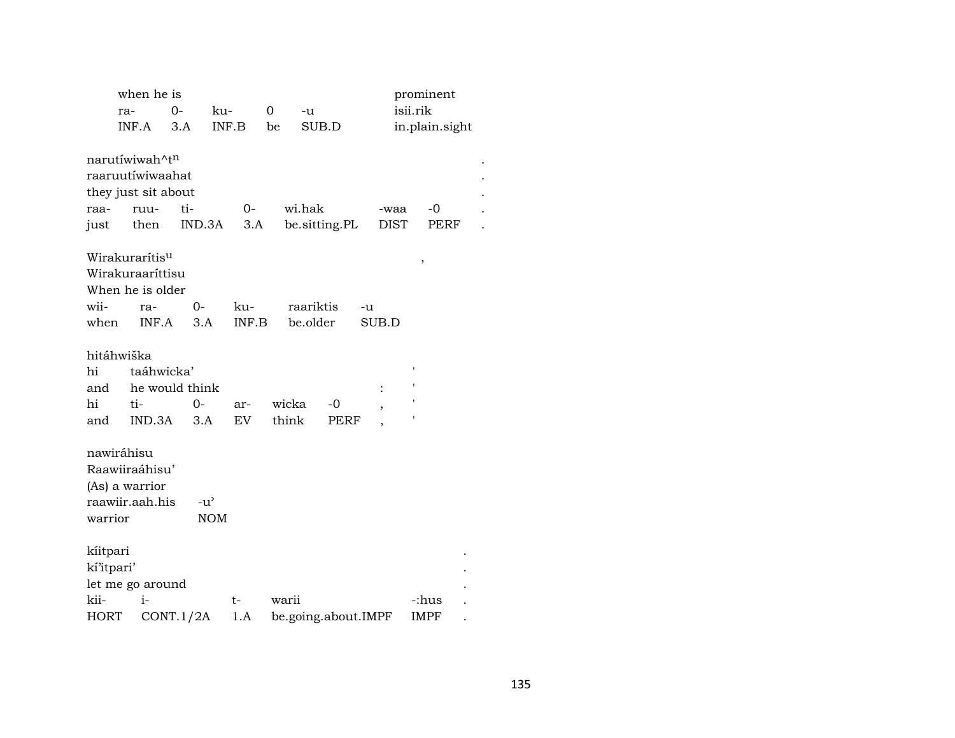|            | when he is                        |                            |               |       |       |           |                     |                          |                     | prominent   |                |  |
|------------|-----------------------------------|----------------------------|---------------|-------|-------|-----------|---------------------|--------------------------|---------------------|-------------|----------------|--|
|            | ra-                               | $O -$                      | ku-           |       | 0     | -u        |                     |                          |                     | isii.rik    |                |  |
|            | INF.A                             | 3.A                        |               | INF.B | be    | SUB.D     |                     |                          |                     |             | in.plain.sight |  |
|            |                                   |                            |               |       |       |           |                     |                          |                     |             |                |  |
|            | narutíwiwah^tn                    |                            |               |       |       |           |                     |                          |                     |             |                |  |
|            |                                   | raaruutíwiwaahat           |               |       |       |           |                     |                          |                     |             |                |  |
|            |                                   | they just sit about<br>ti- |               | $0-$  |       | wi.hak    |                     |                          |                     | $-0$        |                |  |
| raa-       | ruu-                              |                            | IND.3A        | 3.A   |       |           |                     |                          | -waa<br><b>DIST</b> |             | PERF           |  |
| just       |                                   | then                       |               |       |       |           | be.sitting.PL       |                          |                     |             |                |  |
|            | Wirakurarítis <sup>u</sup>        |                            |               |       |       |           |                     |                          |                     | ,           |                |  |
|            | Wirakuraaríttisu                  |                            |               |       |       |           |                     |                          |                     |             |                |  |
|            | When he is older                  |                            |               |       |       |           |                     |                          |                     |             |                |  |
| wii-       | ra-                               |                            | 0-            | ku-   |       | raariktis |                     | -u                       |                     |             |                |  |
| when       |                                   | INF.A                      | 3.A           | INF.B |       | be.older  |                     | SUB.D                    |                     |             |                |  |
|            |                                   |                            |               |       |       |           |                     |                          |                     |             |                |  |
|            | hitáhwiška                        |                            |               |       |       |           |                     |                          |                     |             |                |  |
| hi         |                                   | taáhwicka'                 |               |       |       |           |                     |                          |                     | ı           |                |  |
| and        |                                   | he would think             |               |       |       |           |                     | $\ddot{\cdot}$           |                     |             |                |  |
| hi         | ti-                               |                            | 0-            | ar-   | wicka |           | -0                  | $\overline{\phantom{a}}$ |                     |             |                |  |
| and        |                                   | IND.3A                     | 3.A           | EV    | think |           | PERF                |                          |                     |             |                |  |
|            |                                   |                            |               |       |       |           |                     |                          |                     |             |                |  |
|            | nawiráhisu<br>Raawiiraáhisu'      |                            |               |       |       |           |                     |                          |                     |             |                |  |
|            |                                   |                            |               |       |       |           |                     |                          |                     |             |                |  |
|            | (As) a warrior<br>raawiir.aah.his |                            | $-u^{\prime}$ |       |       |           |                     |                          |                     |             |                |  |
| warrior    |                                   |                            | <b>NOM</b>    |       |       |           |                     |                          |                     |             |                |  |
|            |                                   |                            |               |       |       |           |                     |                          |                     |             |                |  |
| kiitpari   |                                   |                            |               |       |       |           |                     |                          |                     |             |                |  |
| kí'itpari' |                                   |                            |               |       |       |           |                     |                          |                     |             |                |  |
|            | let me go around                  |                            |               |       |       |           |                     |                          |                     |             |                |  |
| kii-       | $i-$                              |                            |               | t-    | warii |           |                     |                          |                     | -:hus       |                |  |
| HORT       |                                   | CONT.1/2A                  |               | $1.A$ |       |           | be.going.about.IMPF |                          |                     | <b>IMPF</b> |                |  |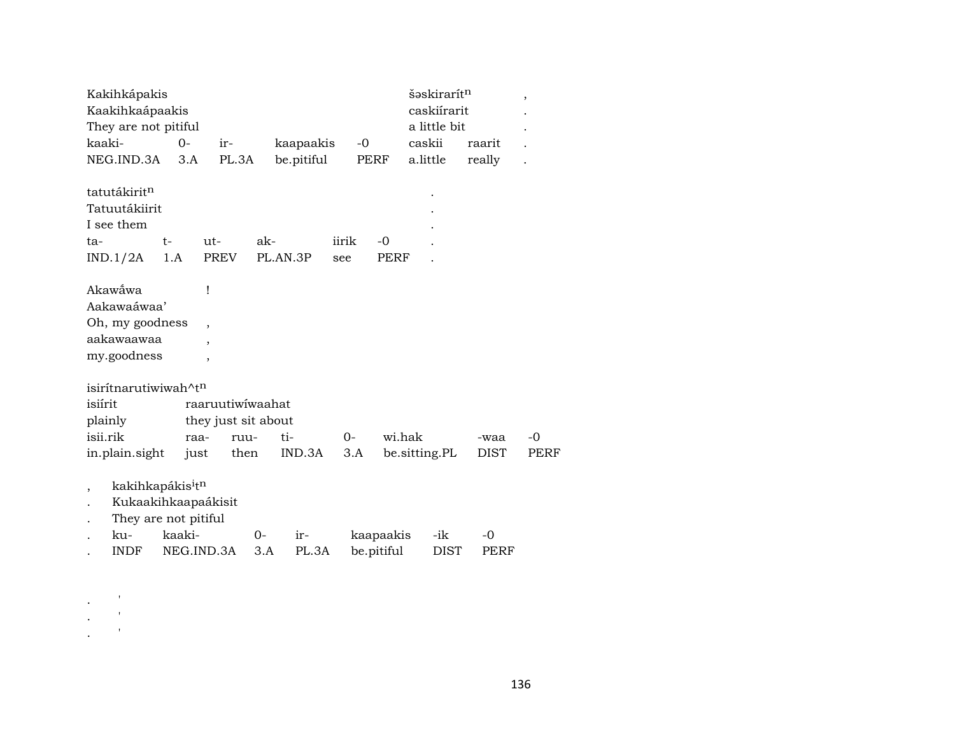| caskiírarit<br>Kaakihkaápaakis<br>They are not pitiful<br>a little bit<br>kaaki-<br>caskii<br>kaapaakis<br>$-0$<br>$0-$<br>ir-<br>raarit<br>be.pitiful<br>NEG.IND.3A<br>PL.3A<br>PERF<br>a.little<br>really<br>3.A<br>tatutákirit <sup>n</sup><br>Tatuutákiirit |      |
|-----------------------------------------------------------------------------------------------------------------------------------------------------------------------------------------------------------------------------------------------------------------|------|
|                                                                                                                                                                                                                                                                 |      |
|                                                                                                                                                                                                                                                                 |      |
|                                                                                                                                                                                                                                                                 |      |
|                                                                                                                                                                                                                                                                 |      |
|                                                                                                                                                                                                                                                                 |      |
|                                                                                                                                                                                                                                                                 |      |
| I see them                                                                                                                                                                                                                                                      |      |
| ak-<br>iirik<br>$t-$<br>$ut-$<br>-0<br>ta-                                                                                                                                                                                                                      |      |
| PREV<br>IND.1/2A<br>1.A<br>PL.AN.3P<br>PERF<br>see                                                                                                                                                                                                              |      |
| Akawẫwa<br>ļ                                                                                                                                                                                                                                                    |      |
| Aakawaáwaa'                                                                                                                                                                                                                                                     |      |
| Oh, my goodness<br>$\overline{\phantom{a}}$                                                                                                                                                                                                                     |      |
| aakawaawaa<br>$\cdot$                                                                                                                                                                                                                                           |      |
| my.goodness<br>٠                                                                                                                                                                                                                                                |      |
| isirítnarutiwiwah^tn                                                                                                                                                                                                                                            |      |
| isiírit<br>raaruutiwiwaahat                                                                                                                                                                                                                                     |      |
| plainly<br>they just sit about                                                                                                                                                                                                                                  |      |
| isii.rik<br>wi.hak<br>raa-<br>ti-<br>$0 -$<br>ruu-<br>-waa                                                                                                                                                                                                      | $-0$ |
| in.plain.sight<br>IND.3A<br>be.sitting.PL<br><b>DIST</b><br>then<br>3.A<br>just                                                                                                                                                                                 | PERF |
| kakihkapákis <sup>i</sup> t <sup>n</sup><br>$\overline{\phantom{a}}$                                                                                                                                                                                            |      |
| Kukaakihkaapaákisit                                                                                                                                                                                                                                             |      |
| They are not pitiful                                                                                                                                                                                                                                            |      |
| kaaki-<br>ku-<br>$0-$<br>kaapaakis<br>-ik<br>$-0$<br>ir-                                                                                                                                                                                                        |      |
| be.pitiful<br>NEG.IND.3A<br>PL.3A<br><b>DIST</b><br><b>INDF</b><br>3.A<br><b>PERF</b>                                                                                                                                                                           |      |

 $\sim$   $\sim$   $^{-1}$ 

 $\mathbf{r} = \frac{1}{2}$ 

 $\mathbf{r}$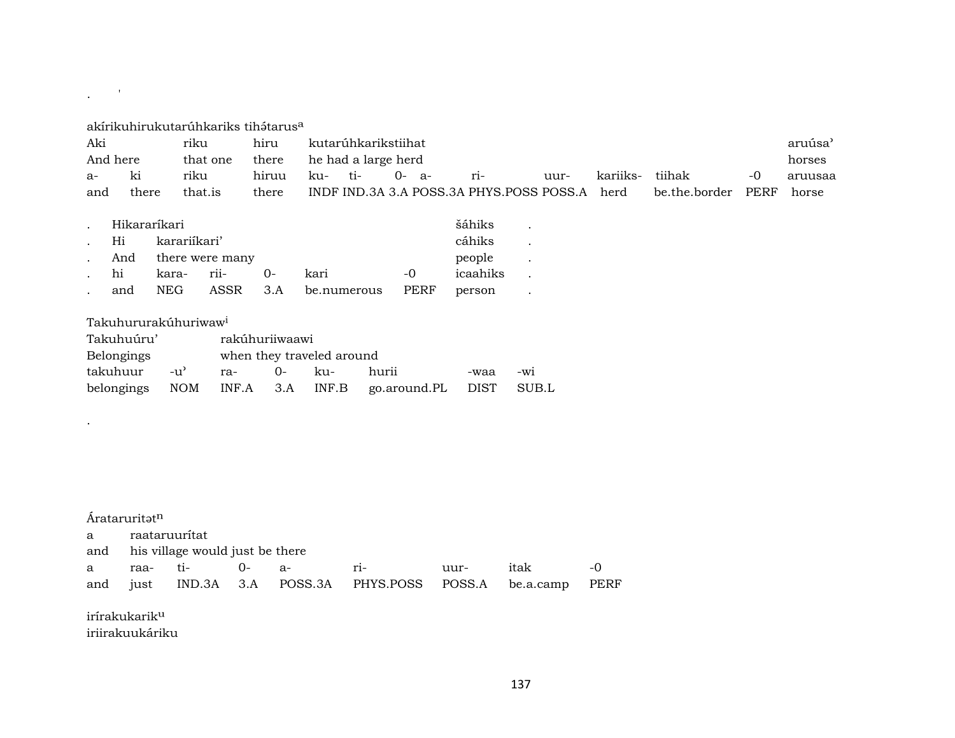# . <br> <br> . <br> <br> <br> <br> <br> <br> <br> <br><br><br><br> <br>

| Aki      |       | rıku     | hiru                      |      | kutarúhkarikstiihat |           |                                               |      |          |                    |    | aruúsa' |
|----------|-------|----------|---------------------------|------|---------------------|-----------|-----------------------------------------------|------|----------|--------------------|----|---------|
| And here |       | that one | there he had a large herd |      |                     |           |                                               |      |          |                    |    | horses  |
| $a-$     | ki.   | riku     | hiruu                     | k11- | $+i-$               | $0 - a -$ | $r_{1-}$                                      | uur- | kariiks- | tiihak             | -0 | aruusaa |
| and      | there | that is  | there                     |      |                     |           | INDF IND.3A 3.A POSS.3A PHYS.POSS POSS.A herd |      |          | be.the.border PERF |    | horse   |

|        | Hikararíkari |                     | šáhiks               |                           |        |          |         |
|--------|--------------|---------------------|----------------------|---------------------------|--------|----------|---------|
|        | Hi           | karariíkari'        |                      |                           | cáhiks |          |         |
| $\sim$ |              | And there were many |                      | people<br><b>Contract</b> |        |          |         |
|        | hi           |                     | kara- rii-        0- | kari                      | $-0$   | icaahiks |         |
|        | and          | NEG                 |                      | ASSR 3.A be.numerous PERF |        | person   | $\cdot$ |

# Takuhururakúhuriwaw<sup>i</sup>

| Takuhuúru' |       | rakúhuriiwaawi            |  |  |                                                        |      |     |  |  |  |  |
|------------|-------|---------------------------|--|--|--------------------------------------------------------|------|-----|--|--|--|--|
| Belongings |       | when they traveled around |  |  |                                                        |      |     |  |  |  |  |
| takuhuur   | $-11$ | ra- 0- ku-                |  |  | hurii                                                  | -waa | -wi |  |  |  |  |
|            |       |                           |  |  | belongings NOM INF.A 3.A INF.B go.around.PL DIST SUB.L |      |     |  |  |  |  |

#### Árataruritat<sup>n</sup>

.

a raataruurítat

and his village would just be there

|  |  |                                                             | uur- itak -0 |  |
|--|--|-------------------------------------------------------------|--------------|--|
|  |  | and just IND.3A 3.A POSS.3A PHYS.POSS POSS.A be.a.camp PERF |              |  |

irírakukarikµ iriirakuukáriku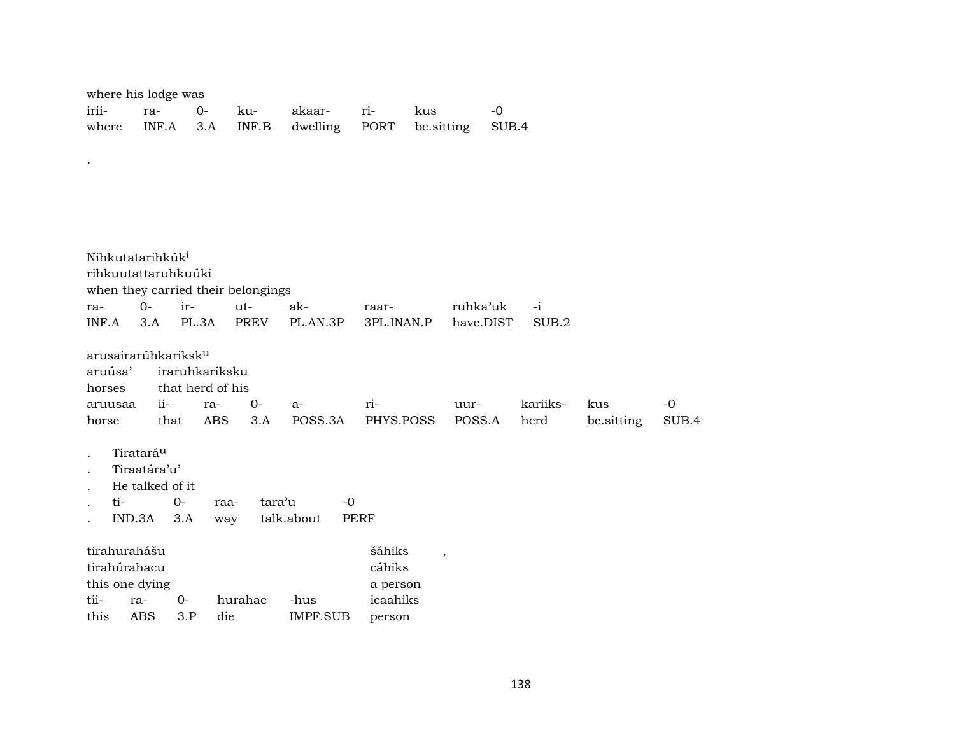| where his lodge was |  |  |  |                             |  |                                                      |  |  |  |  |  |
|---------------------|--|--|--|-----------------------------|--|------------------------------------------------------|--|--|--|--|--|
|                     |  |  |  | irii- ra- 0- ku- akaar- ri- |  | kus                                                  |  |  |  |  |  |
|                     |  |  |  |                             |  | where INF.A 3.A INF.B dwelling PORT be sitting SUB.4 |  |  |  |  |  |

.

| Nihkutatarihkúk <sup>i</sup><br>rihkuutattaruhkuúki<br>ra-<br>INF.A                                                                                     | $O -$<br>3.A                                                                                                                                                                                                                                                        | ir-         | when they carried their belongings<br>PL.3A | ut-<br><b>PREV</b> | ak-<br>PL.AN.3P  | raar-<br>3PL.INAN.P                                | ruhka'uk<br>have.DIST    | $-i$<br>SUB.2 |  |  |  |  |
|---------------------------------------------------------------------------------------------------------------------------------------------------------|---------------------------------------------------------------------------------------------------------------------------------------------------------------------------------------------------------------------------------------------------------------------|-------------|---------------------------------------------|--------------------|------------------|----------------------------------------------------|--------------------------|---------------|--|--|--|--|
| horses<br>horse                                                                                                                                         | arusairarúhkariksk <sup>u</sup><br>aruúsa'<br>iraruhkaríksku<br>that herd of his<br>$ii-$<br>kariiks-<br>$-0$<br>$0-$<br>ri-<br>kus<br>ra-<br>uur-<br>aruusaa<br>$a-$<br><b>ABS</b><br>POSS.3A<br>POSS.A<br>3.A<br>PHYS.POSS<br>be.sitting<br>SUB.4<br>that<br>herd |             |                                             |                    |                  |                                                    |                          |               |  |  |  |  |
| Tiratará <sup>u</sup><br>Tiraatára'u'<br>He talked of it<br>$0 -$<br>tara'u<br>ti-<br>$-0$<br>raa-<br>IND.3A<br>talk.about<br><b>PERF</b><br>3.A<br>way |                                                                                                                                                                                                                                                                     |             |                                             |                    |                  |                                                    |                          |               |  |  |  |  |
| tirahurahášu<br>tirahúrahacu<br>this one dying<br>tii-<br>this                                                                                          | ra-<br><b>ABS</b>                                                                                                                                                                                                                                                   | $0-$<br>3.P | hurahac<br>die                              |                    | -hus<br>IMPF.SUB | šáhiks<br>cáhiks<br>a person<br>icaahiks<br>person | $\overline{\phantom{a}}$ |               |  |  |  |  |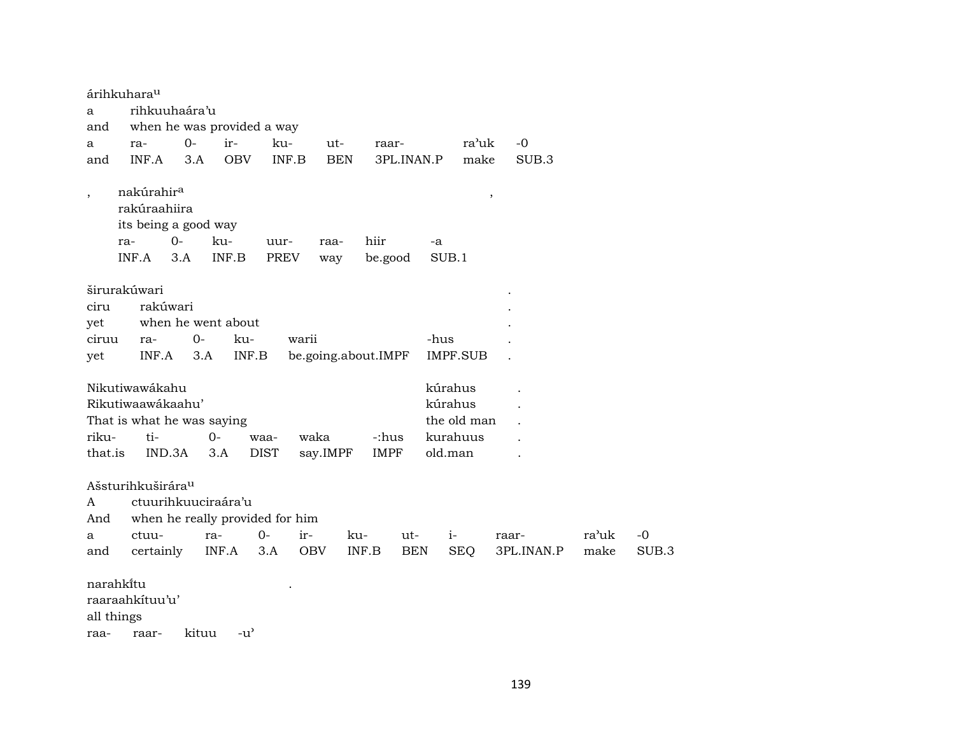|                  | árihkuhara <sup>u</sup>                                                        |                     |                            |                                 |                     |                      |            |                                                          |               |       |       |
|------------------|--------------------------------------------------------------------------------|---------------------|----------------------------|---------------------------------|---------------------|----------------------|------------|----------------------------------------------------------|---------------|-------|-------|
| a                |                                                                                | rihkuuhaára'u       |                            |                                 |                     |                      |            |                                                          |               |       |       |
| and              |                                                                                |                     | when he was provided a way |                                 |                     |                      |            |                                                          |               |       |       |
| a                | ra-                                                                            | $0-$                | ir-                        | ku-                             | ut-                 | raar-                |            | ra'uk                                                    | $-0$          |       |       |
| and              | INF.A                                                                          | 3.A                 | <b>OBV</b>                 | INF.B                           | <b>BEN</b>          |                      | 3PL.INAN.P | make                                                     | SUB.3         |       |       |
|                  | nakúrahir <sup>a</sup><br>rakúraahiira<br>its being a good way<br>ra-<br>INF.A | $0-$<br>3.A         | ku-<br>INF.B               | uur-<br>PREV                    | raa-<br>way         | hiir<br>be.good      | -a         | SUB.1                                                    | $^\mathrm{,}$ |       |       |
|                  | širurakúwari                                                                   |                     |                            |                                 |                     |                      |            |                                                          |               |       |       |
| ciru             |                                                                                | rakúwari            |                            |                                 |                     |                      |            |                                                          |               |       |       |
| yet              |                                                                                |                     | when he went about         |                                 |                     |                      |            |                                                          |               |       |       |
| ciruu            | ra-                                                                            | $0 -$               | ku-                        | warii                           |                     |                      | -hus       |                                                          |               |       |       |
| yet              | INF.A                                                                          | 3.A                 | INF.B                      |                                 | be.going.about.IMPF |                      |            | <b>IMPF.SUB</b>                                          |               |       |       |
| riku-<br>that.is | Nikutiwawákahu<br>Rikutiwaawákaahu'<br>That is what he was saying<br>ti-       | IND.3A              | $0 -$<br>3.A               | waa-<br><b>DIST</b>             | waka<br>say.IMPF    | -:hus<br><b>IMPF</b> |            | kúrahus<br>kúrahus<br>the old man<br>kurahuus<br>old.man |               |       |       |
|                  | Ašsturihkuširára <sup>u</sup>                                                  |                     |                            |                                 |                     |                      |            |                                                          |               |       |       |
| A                |                                                                                | ctuurihkuuciraára'u |                            |                                 |                     |                      |            |                                                          |               |       |       |
| And              |                                                                                |                     |                            | when he really provided for him |                     |                      |            |                                                          |               |       |       |
| a                | ctuu-                                                                          |                     | ra-                        | $O -$<br>ir-                    |                     | ku-                  | ut-        | $i-$                                                     | raar-         | ra'uk | $-0$  |
| and              | certainly                                                                      |                     | INF.A                      | 3.A                             | <b>OBV</b>          | INF.B                | <b>BEN</b> | <b>SEQ</b>                                               | 3PL.INAN.P    | make  | SUB.3 |
| raa-             | narahkitu<br>raaraahkituu'u'<br>all things<br>raar-                            | kituu               | $-u^{\prime}$              |                                 |                     |                      |            |                                                          |               |       |       |

139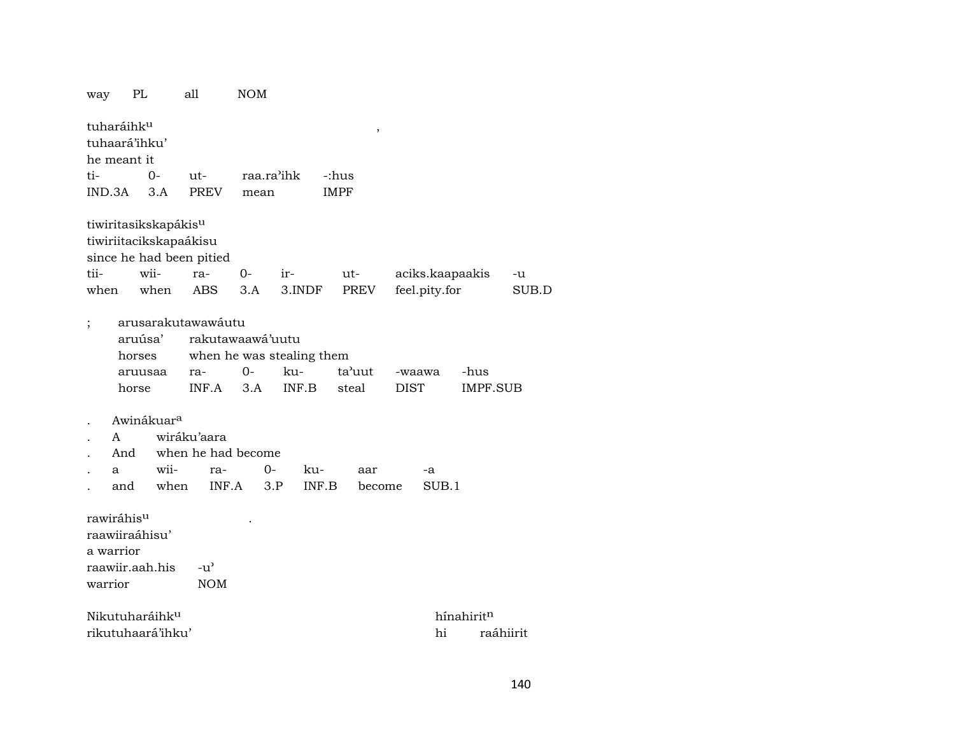| way                                                                                   | PL                                                           |                                                                                        | all           |                                  | NOM                |                                    |                 |             |             |        |                         |                        |           |
|---------------------------------------------------------------------------------------|--------------------------------------------------------------|----------------------------------------------------------------------------------------|---------------|----------------------------------|--------------------|------------------------------------|-----------------|-------------|-------------|--------|-------------------------|------------------------|-----------|
|                                                                                       | tuharáihk <sup>u</sup><br>tuhaará'ihku'<br>he meant it       |                                                                                        |               |                                  |                    |                                    |                 |             | ,           |        |                         |                        |           |
| ti-                                                                                   |                                                              | $O -$                                                                                  | ut-           |                                  |                    | raa.ra'ihk                         |                 | -:hus       |             |        |                         |                        |           |
| IND.3A                                                                                |                                                              | 3.A                                                                                    | <b>PREV</b>   |                                  | mean               |                                    |                 | <b>IMPF</b> |             |        |                         |                        |           |
|                                                                                       |                                                              | tiwiritasikskapákis <sup>u</sup><br>tiwiriitacikskapaákisu<br>since he had been pitied |               |                                  |                    |                                    |                 |             |             |        |                         |                        |           |
| tii-                                                                                  |                                                              | wii-                                                                                   | ra-           |                                  | 0-                 | ir-                                |                 | ut-         |             |        |                         | aciks.kaapaakis        | -u        |
| when                                                                                  |                                                              | when                                                                                   | <b>ABS</b>    |                                  | 3.A                |                                    | 3.INDF          | PREV        |             |        | feel.pity.for           |                        | SUB.D     |
| arusarakutawawáutu<br>aruúsa'<br>horses<br>aruusaa<br>horse<br>Awinákuar <sup>a</sup> |                                                              | ra-<br>INF.A                                                                           |               | rakutawaawá'uutu<br>$0 -$<br>3.A | ku-                | when he was stealing them<br>INF.B | ta'uut<br>steal |             | <b>DIST</b> | -waawa | -hus<br><b>IMPF.SUB</b> |                        |           |
|                                                                                       | A                                                            |                                                                                        | wiráku'aara   |                                  |                    |                                    |                 |             |             |        |                         |                        |           |
|                                                                                       | And                                                          |                                                                                        |               |                                  | when he had become |                                    |                 |             |             |        |                         |                        |           |
|                                                                                       | а                                                            | wii-                                                                                   |               | ra-                              | $0-$               |                                    | ku-             |             | aar         |        | -a                      |                        |           |
|                                                                                       | and                                                          | when                                                                                   |               | INF.A                            |                    | 3.P                                | INF.B           |             | become      |        | SUB.1                   |                        |           |
| warrior                                                                               | rawiráhisu<br>raawiiraáhisu'<br>a warrior<br>raawiir.aah.his |                                                                                        | $-u^{\prime}$ | <b>NOM</b>                       |                    |                                    |                 |             |             |        |                         |                        |           |
|                                                                                       |                                                              | Nikutuharáihk <sup>u</sup>                                                             |               |                                  |                    |                                    |                 |             |             |        |                         | hínahirit <sup>n</sup> |           |
|                                                                                       |                                                              | rikutuhaará'ihku'                                                                      |               |                                  |                    |                                    |                 |             |             |        | hi                      |                        | raáhiirit |
|                                                                                       |                                                              |                                                                                        |               |                                  |                    |                                    |                 |             |             |        |                         |                        |           |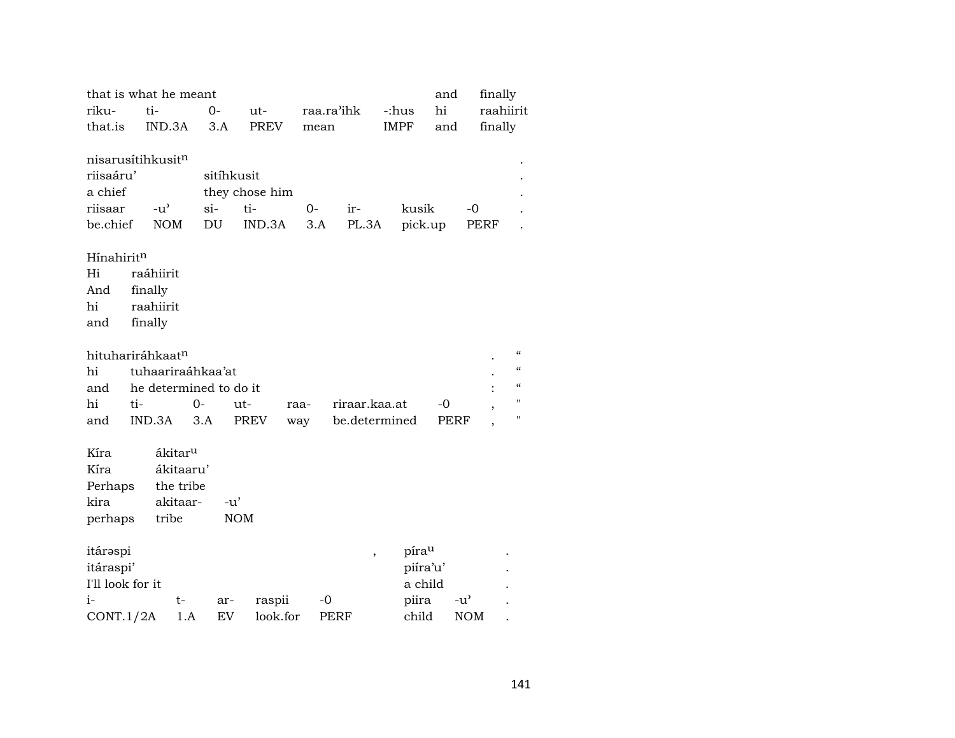|                               |           | that is what he meant  |            |                |      |                          |               | and      |               | finally                                |
|-------------------------------|-----------|------------------------|------------|----------------|------|--------------------------|---------------|----------|---------------|----------------------------------------|
| riku-                         | ti-       |                        | 0-         | ut-            |      | raa.ra'ihk               | -:hus         | hi       |               | raahiirit                              |
| that.is                       |           | IND.3A                 | 3.A        | <b>PREV</b>    | mean |                          | <b>IMPF</b>   | and      |               | finally                                |
|                               |           |                        |            |                |      |                          |               |          |               |                                        |
| nisarusítihkusit <sup>n</sup> |           |                        |            |                |      |                          |               |          |               |                                        |
| riisaáru'                     |           |                        | sitíhkusit |                |      |                          |               |          |               |                                        |
| a chief                       |           |                        |            | they chose him |      |                          |               |          |               |                                        |
| riisaar                       |           | $-u^{\prime}$          | si-        | ti-            | $O-$ | ir-                      | kusik         |          | $-0$          |                                        |
| be.chief                      |           | <b>NOM</b>             | DU         | IND.3A         | 3.A  | PL.3A                    |               | pick.up  | PERF          |                                        |
|                               |           |                        |            |                |      |                          |               |          |               |                                        |
| Hínahirit <sup>n</sup>        |           |                        |            |                |      |                          |               |          |               |                                        |
| Hi                            | raáhiirit |                        |            |                |      |                          |               |          |               |                                        |
| And                           | finally   |                        |            |                |      |                          |               |          |               |                                        |
| hi                            | raahiirit |                        |            |                |      |                          |               |          |               |                                        |
| and                           | finally   |                        |            |                |      |                          |               |          |               |                                        |
|                               |           |                        |            |                |      |                          |               |          |               |                                        |
| hituhariráhkaatn              |           |                        |            |                |      |                          |               |          |               | $\epsilon\epsilon$                     |
| hi                            |           | tuhaariraáhkaa'at      |            |                |      |                          |               |          |               | $\pmb{\zeta}\pmb{\zeta}$               |
| and                           |           | he determined to do it |            |                |      |                          |               |          |               | $\boldsymbol{\zeta}\boldsymbol{\zeta}$ |
| hi                            | ti-       |                        | $0-$       | ut-            | raa- | riraar.kaa.at            |               | -0       |               | "                                      |
| and                           | IND.3A    |                        | 3.A        | <b>PREV</b>    | way  |                          | be.determined | PERF     |               | $\blacksquare$                         |
|                               |           |                        |            |                |      |                          |               |          |               |                                        |
| Kíra                          |           | ákitar <sup>u</sup>    |            |                |      |                          |               |          |               |                                        |
| Kíra                          |           | ákitaaru'              |            |                |      |                          |               |          |               |                                        |
| Perhaps                       |           | the tribe              |            |                |      |                          |               |          |               |                                        |
| kira                          |           | akitaar-               | $-u'$      |                |      |                          |               |          |               |                                        |
| perhaps                       |           | tribe                  |            | <b>NOM</b>     |      |                          |               |          |               |                                        |
|                               |           |                        |            |                |      |                          |               |          |               |                                        |
| itárəspi                      |           |                        |            |                |      | $\overline{\phantom{a}}$ | pírau         |          |               |                                        |
| itáraspi'                     |           |                        |            |                |      |                          |               | piíra'u' |               |                                        |
| I'll look for it              |           |                        |            |                |      |                          |               | a child  |               |                                        |
| $i-$                          |           | t-                     | ar-        | raspii         | $-0$ |                          | piira         |          | $-u^{\prime}$ |                                        |
| CONT.1/2A                     |           | 1.A                    | EV         | look.for       |      | PERF                     | child         |          | <b>NOM</b>    |                                        |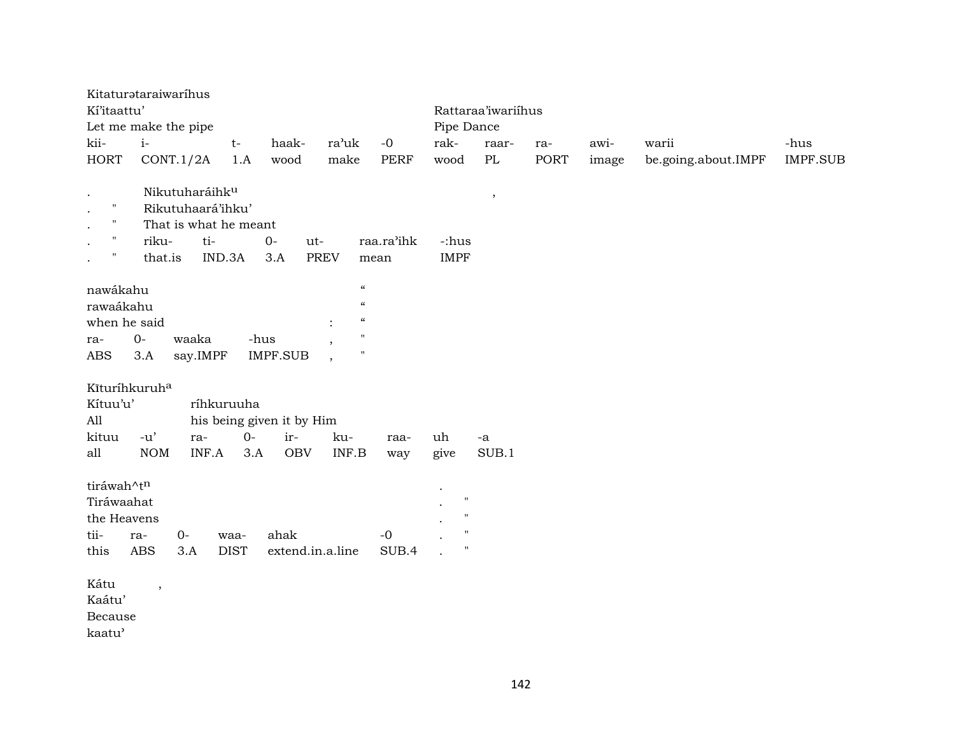| Kí'itaattu'                                                                                                  | Kitaturataraiwaríhus<br>Let me make the pipe                                                      |                           |                                                |                                                                                                                         |                    |                                                                                  | Rattaraa'iwariihus<br>Pipe Dance |      |       |                     |          |  |  |
|--------------------------------------------------------------------------------------------------------------|---------------------------------------------------------------------------------------------------|---------------------------|------------------------------------------------|-------------------------------------------------------------------------------------------------------------------------|--------------------|----------------------------------------------------------------------------------|----------------------------------|------|-------|---------------------|----------|--|--|
| kii-                                                                                                         | $i-$                                                                                              | $t-$                      | haak-                                          | ra'uk                                                                                                                   | $-0$               | rak-                                                                             | raar-                            | ra-  | awi-  | warii               | -hus     |  |  |
| <b>HORT</b>                                                                                                  | CONT.1/2A                                                                                         | 1.A                       | wood                                           | make                                                                                                                    | PERF               | wood                                                                             | PL                               | PORT | image | be.going.about.IMPF | IMPF.SUB |  |  |
| $\bullet$<br>$\mathbf{H}$<br>$\cdot$<br>п<br>$\bullet$<br>н.<br>$\bullet$<br>$\pmb{\mathsf{H}}$<br>$\bullet$ | Nikutuharáihku<br>Rikutuhaará'ihku'<br>That is what he meant<br>riku-<br>ti-<br>that.is<br>IND.3A | $O -$                     | ut-<br>3.A<br><b>PREV</b>                      |                                                                                                                         | raa.ra'ihk<br>mean | -:hus<br><b>IMPF</b>                                                             | $\,$                             |      |       |                     |          |  |  |
| nawákahu<br>rawaákahu<br>when he said<br>ra-<br>ABS                                                          | $0-$<br>waaka<br>3.A<br>say.IMPF                                                                  | -hus                      | <b>IMPF.SUB</b>                                | $\pmb{\zeta}\pmb{\zeta}$<br>$\boldsymbol{\mathcal{C}}$<br>$\pmb{\zeta}\pmb{\zeta}$<br>$^{\prime}$<br>$\pmb{\mathsf{H}}$ |                    |                                                                                  |                                  |      |       |                     |          |  |  |
| Kīturíhkuruha<br>Kítuu'u'<br>All<br>kituu<br>all                                                             | $-u'$<br>ra-<br><b>NOM</b><br>INF.A                                                               | ríhkuruuha<br>$0-$<br>3.A | his being given it by Him<br>ir-<br><b>OBV</b> | ku-<br>INF.B                                                                                                            | raa-<br>way        | uh<br>give                                                                       | -a<br>SUB.1                      |      |       |                     |          |  |  |
| tiráwah^tn<br>Tiráwaahat<br>the Heavens<br>tii-<br>this                                                      | $O -$<br>ra-<br><b>ABS</b><br>3.A                                                                 | waa-<br><b>DIST</b>       | ahak<br>extend.in.a.line                       |                                                                                                                         | $-0$<br>SUB.4      | $\ddot{\phantom{a}}$<br>$^{\prime}$<br>$^{\prime}$<br>$^{\prime}$<br>$^{\prime}$ |                                  |      |       |                     |          |  |  |
| Kátu<br>Kaátu'<br>Because<br>kaatu'                                                                          | $\,$                                                                                              |                           |                                                |                                                                                                                         |                    |                                                                                  |                                  |      |       |                     |          |  |  |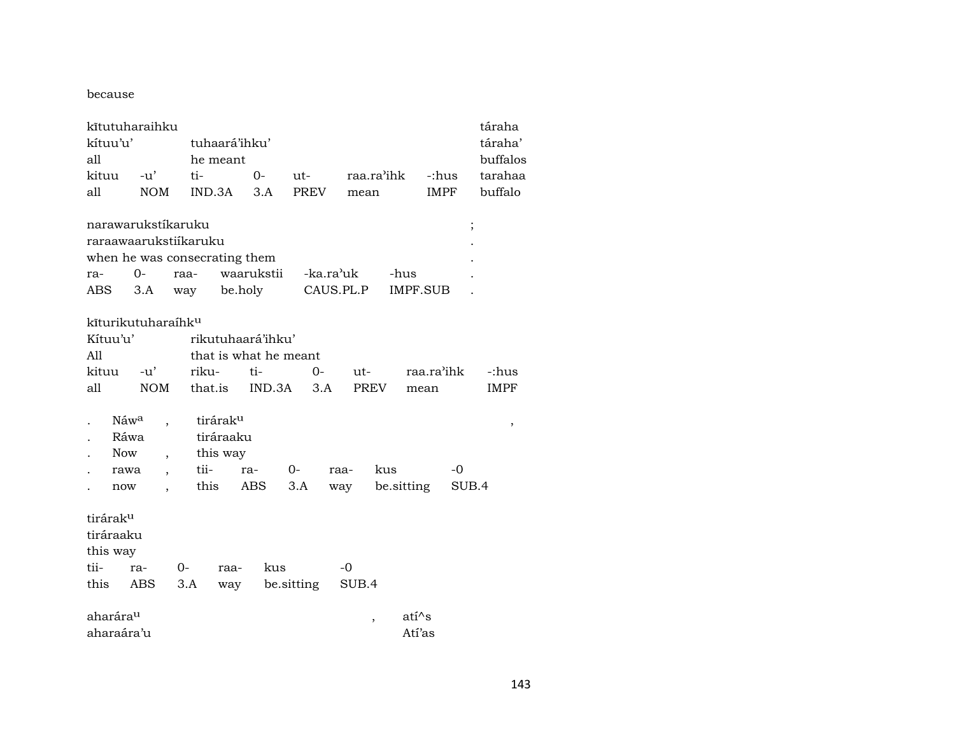because

| kítuu'u'<br>all      | kītutuharaihku                   |                               | tuhaará'ihku'<br>he meant |                   |                       |                        |                          |            |             |  |  |
|----------------------|----------------------------------|-------------------------------|---------------------------|-------------------|-----------------------|------------------------|--------------------------|------------|-------------|--|--|
| kituu                | $-u^{\prime}$                    | ti-                           |                           | $0-$              | $ut-$                 |                        | raa.ra'ihk               | -:hus      | tarahaa     |  |  |
| all                  | <b>NOM</b>                       | IND.3A                        |                           | 3.A               | <b>PREV</b>           |                        | mean                     | IMPF       | buffalo     |  |  |
|                      | narawarukstikaruku               |                               |                           |                   |                       |                        |                          |            | $\vdots$    |  |  |
|                      |                                  | raraawaarukstiikaruku         |                           |                   |                       |                        |                          |            |             |  |  |
|                      |                                  | when he was consecrating them |                           |                   |                       |                        |                          |            |             |  |  |
| ra-                  | $0 -$                            | raa-                          |                           | waarukstii        |                       | -ka.ra <sup>,</sup> uk | -hus                     |            |             |  |  |
| ABS                  | 3.A                              | way                           | be.holy                   |                   |                       | CAUS.PL.P              |                          | IMPF.SUB   |             |  |  |
|                      |                                  |                               |                           |                   |                       |                        |                          |            |             |  |  |
|                      | kīturikutuharaíhk <sup>u</sup>   |                               |                           |                   |                       |                        |                          |            |             |  |  |
| Kítuu'u'             |                                  |                               |                           | rikutuhaará'ihku' |                       |                        |                          |            |             |  |  |
| All                  |                                  |                               |                           |                   | that is what he meant |                        |                          |            |             |  |  |
| kituu                | -u'                              | riku-                         |                           | ti-               | $0-$                  | ut-                    |                          | raa.ra'ihk | -:hus       |  |  |
| all                  | <b>NOM</b>                       | that.is                       |                           | IND.3A            |                       | 3.A                    | PREV                     | mean       | <b>IMPF</b> |  |  |
|                      |                                  |                               |                           |                   |                       |                        |                          |            |             |  |  |
|                      | Náwa                             |                               | tiráraku                  |                   |                       |                        |                          |            | ,           |  |  |
|                      | Ráwa                             |                               | tiráraaku                 |                   |                       |                        |                          |            |             |  |  |
| <b>Now</b>           | $\overline{\phantom{a}}$         |                               | this way                  |                   |                       |                        |                          |            |             |  |  |
|                      | rawa<br>$\overline{\phantom{a}}$ | tii-                          |                           | ra-               | $0-$                  | raa-                   | kus                      | $-0$       |             |  |  |
| now                  |                                  | this                          |                           | <b>ABS</b>        | 3.A                   | way                    | be.sitting               |            | SUB.4       |  |  |
|                      |                                  |                               |                           |                   |                       |                        |                          |            |             |  |  |
| tirárak <sup>u</sup> |                                  |                               |                           |                   |                       |                        |                          |            |             |  |  |
| tiráraaku            |                                  |                               |                           |                   |                       |                        |                          |            |             |  |  |
| this way             |                                  |                               |                           |                   |                       |                        |                          |            |             |  |  |
| tii-                 | ra-                              | $0-$                          | raa-                      | kus               |                       | $-0$                   |                          |            |             |  |  |
| this                 | ABS.                             | 3.A                           | way                       |                   | be sitting            | SUB.4                  |                          |            |             |  |  |
|                      |                                  |                               |                           |                   |                       |                        |                          |            |             |  |  |
| aharárau             |                                  |                               |                           |                   |                       |                        | atí^s                    |            |             |  |  |
| aharaára'u           |                                  |                               |                           |                   |                       |                        | $\overline{\phantom{a}}$ | Atí'as     |             |  |  |
|                      |                                  |                               |                           |                   |                       |                        |                          |            |             |  |  |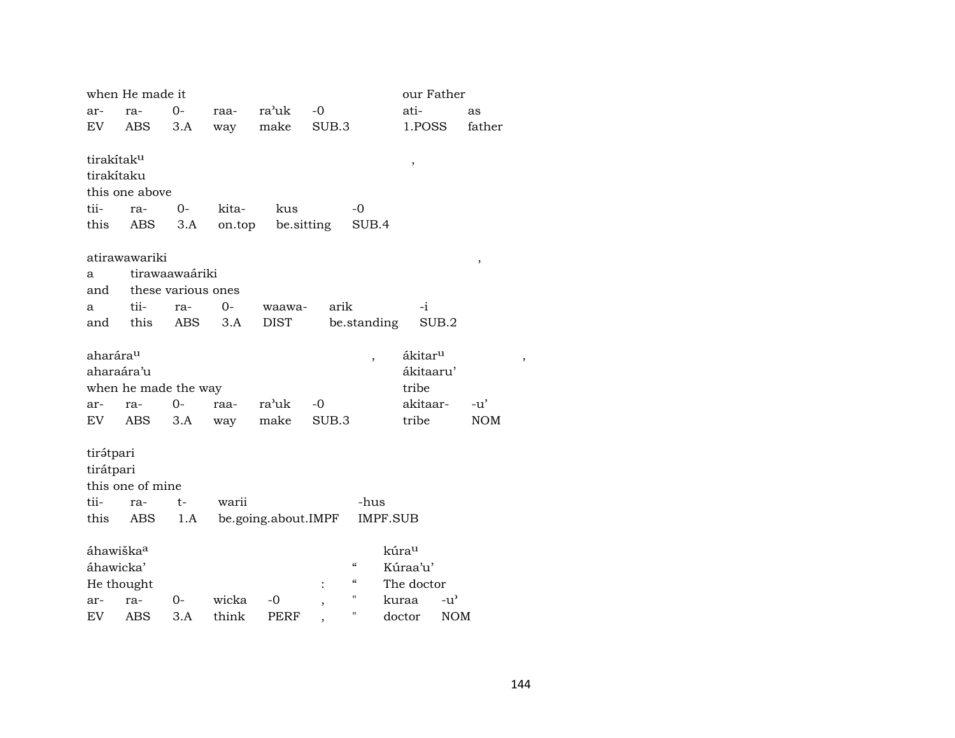|                        | when He made it      |                    |        |                     |       |                            |                   | our Father          |            |            |  |
|------------------------|----------------------|--------------------|--------|---------------------|-------|----------------------------|-------------------|---------------------|------------|------------|--|
| ar-                    | ra-                  | 0-                 | raa-   | ra'uk               | $-0$  |                            |                   | ati-                |            | as         |  |
| EV                     | <b>ABS</b>           | 3.A                | way    | make                | SUB.3 |                            |                   | 1.POSS              |            | father     |  |
|                        |                      |                    |        |                     |       |                            |                   |                     |            |            |  |
| tirakítak <sup>u</sup> |                      |                    |        |                     |       |                            |                   | $\,$                |            |            |  |
| tirakítaku             |                      |                    |        |                     |       |                            |                   |                     |            |            |  |
|                        | this one above       |                    |        |                     |       |                            |                   |                     |            |            |  |
| tii-                   | ra-                  | 0-                 | kita-  | kus                 |       | $-0$                       |                   |                     |            |            |  |
| this                   | ABS                  | 3.A                | on.top | be sitting          |       | SUB.4                      |                   |                     |            |            |  |
|                        |                      |                    |        |                     |       |                            |                   |                     |            |            |  |
|                        | atirawawariki        |                    |        |                     |       |                            |                   |                     |            | $\, ,$     |  |
| a                      |                      | tirawaawaáriki     |        |                     |       |                            |                   |                     |            |            |  |
| and                    |                      | these various ones |        |                     |       |                            |                   |                     |            |            |  |
| a                      | tii-                 | ra-                | $0-$   | waawa-              | arik  |                            |                   | -i                  |            |            |  |
| and                    | this                 | ABS                | 3.A    | <b>DIST</b>         |       | be.standing                |                   | SUB.2               |            |            |  |
| aharára <sup>u</sup>   |                      |                    |        |                     |       |                            |                   | ákitar <sup>u</sup> |            |            |  |
| aharaára'u             |                      |                    |        |                     |       | $\overline{\phantom{a}}$   |                   | ákitaaru'           |            |            |  |
|                        | when he made the way |                    |        |                     |       |                            |                   | tribe               |            |            |  |
| ar-                    | ra-                  | $0-$               | raa-   | ra'uk               | $-0$  |                            |                   | akitaar-            |            | $-u'$      |  |
| EV                     | ABS                  | 3.A                | way    | make                | SUB.3 |                            |                   | tribe               |            | <b>NOM</b> |  |
|                        |                      |                    |        |                     |       |                            |                   |                     |            |            |  |
| tirátpari              |                      |                    |        |                     |       |                            |                   |                     |            |            |  |
| tirátpari              |                      |                    |        |                     |       |                            |                   |                     |            |            |  |
|                        | this one of mine     |                    |        |                     |       |                            |                   |                     |            |            |  |
| tii-                   | ra-                  | $t-$               | warii  |                     |       | -hus                       |                   |                     |            |            |  |
| this                   | ABS                  | 1.A                |        | be.going.about.IMPF |       |                            | <b>IMPF.SUB</b>   |                     |            |            |  |
|                        |                      |                    |        |                     |       |                            |                   |                     |            |            |  |
| áhawiška <sup>a</sup>  |                      |                    |        |                     |       |                            | kúra <sup>u</sup> |                     |            |            |  |
| áhawicka'              |                      |                    |        |                     |       | $\boldsymbol{\mathcal{C}}$ |                   | Kúraa'u'            |            |            |  |
| He thought             |                      |                    |        |                     |       | $\boldsymbol{\mathcal{C}}$ |                   | The doctor          |            |            |  |
| ar-                    | ra-                  | 0-                 | wicka  | -0                  |       | $\pmb{\mathsf{H}}$         | kuraa             |                     | -u'        |            |  |
| EV                     | ABS                  | 3.A                | think  | PERF                |       | $\pmb{\mathsf{H}}$         | doctor            |                     | <b>NOM</b> |            |  |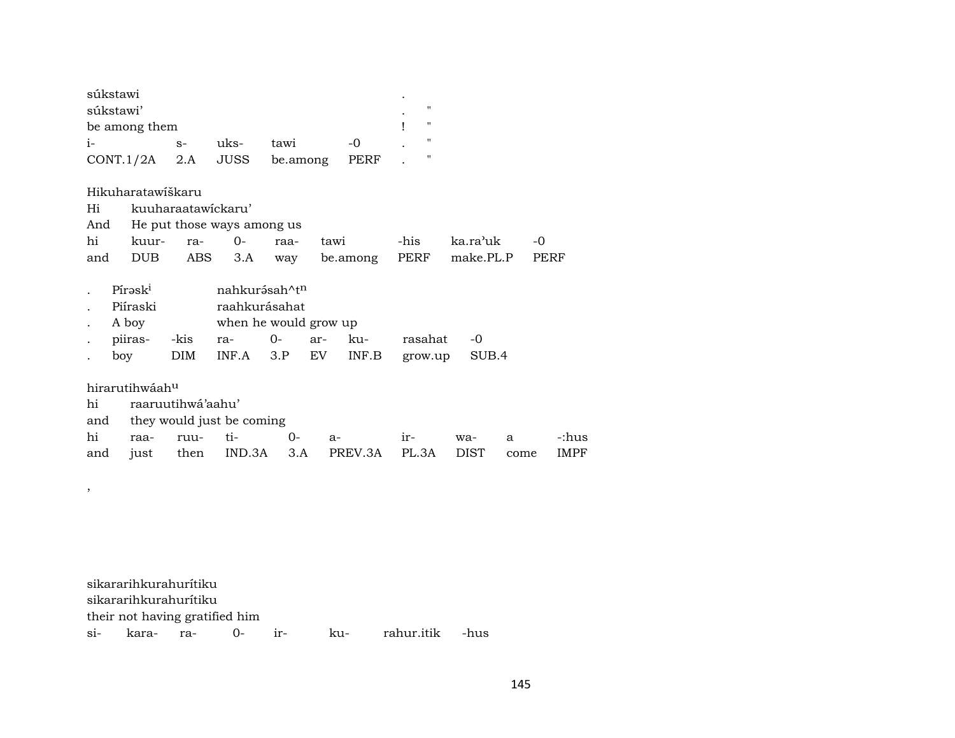| súkstawi             |      |      |          |      | $\bullet$ |   |
|----------------------|------|------|----------|------|-----------|---|
| súkstawi'            |      |      |          |      | ٠         | " |
| be among them        |      |      |          |      |           | " |
| $1-$                 | $S-$ | uks- | tawi     | $-0$ |           |   |
| $CONT.1/2A$ 2.A JUSS |      |      | be.among | PERF |           |   |

Hikuharatawíškaru

| Hi  |                     | kuuharaatawickaru'         |                           |      |      |          |         |           |      |  |  |
|-----|---------------------|----------------------------|---------------------------|------|------|----------|---------|-----------|------|--|--|
| And |                     | He put those ways among us |                           |      |      |          |         |           |      |  |  |
| hi  | kuur-               | ra-                        | $0-$                      | raa- | tawi |          | -his    | ka.ra'uk  | -0   |  |  |
| and | DUB                 | ABS                        | 3.A                       | way  |      | be.among | PERF    | make.PL.P | PERF |  |  |
|     |                     |                            |                           |      |      |          |         |           |      |  |  |
|     | Pírask <sup>i</sup> |                            | nahkurásah^t <sup>n</sup> |      |      |          |         |           |      |  |  |
|     | Piíraski            |                            | raahkurásahat             |      |      |          |         |           |      |  |  |
|     | A boy               |                            | when he would grow up     |      |      |          |         |           |      |  |  |
|     | piiras-             | -kis                       | ra-                       | $O-$ | ar-  | ku-      | rasahat | -0        |      |  |  |
|     | boy                 | DIM                        | INF.A                     | 3.P  | EV   | INF.B    | grow.up | SUB.4     |      |  |  |

hirarutihwáahµ

,

|  | hi raaruutihwá'aahu'          |  |  |                                                  |  |  |  |             |  |
|--|-------------------------------|--|--|--------------------------------------------------|--|--|--|-------------|--|
|  | and they would just be coming |  |  |                                                  |  |  |  |             |  |
|  |                               |  |  | hi raa- ruu- ti-     0-  a-     ir-   wa-  a     |  |  |  | -:hus       |  |
|  |                               |  |  | and just then IND.3A 3.A PREV.3A PL.3A DIST come |  |  |  | <b>IMPF</b> |  |

sikararihkurahurítiku sikararihkurahurítiku their not having gratified him si- kara- ra- 0- ir- ku- rahur.itik -hus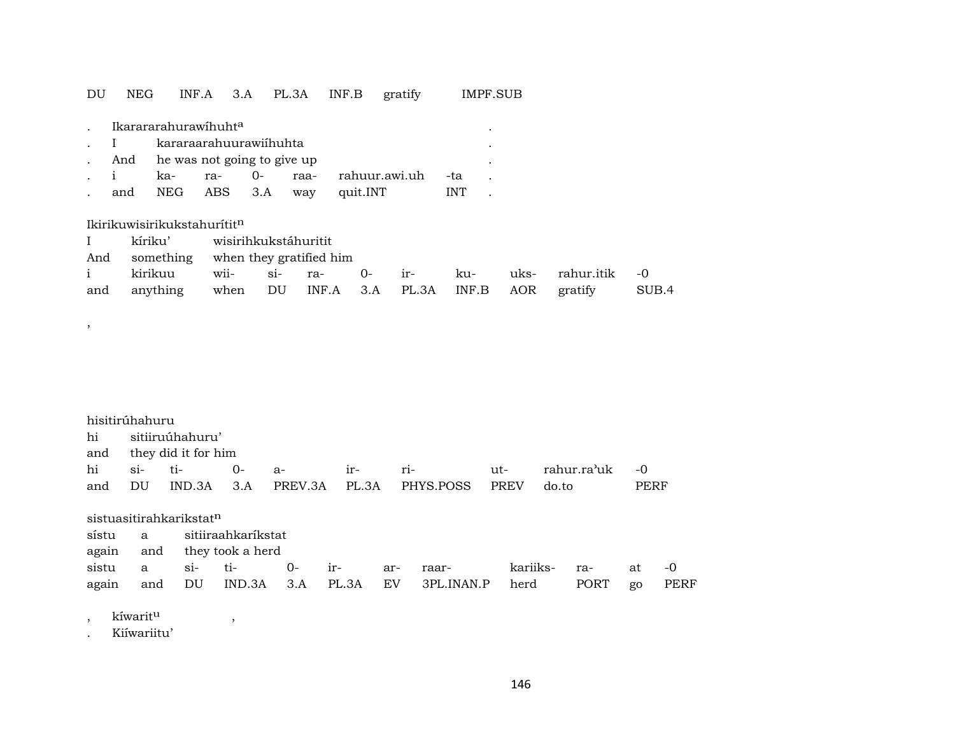### DU NEG INF.A 3.A PL.3A INF.B gratify IMPF.SUB

|                            | Ikarararahurawihuht <sup>a</sup>  |  |  |  |                                   |            |  |  |
|----------------------------|-----------------------------------|--|--|--|-----------------------------------|------------|--|--|
| . I kararaarahuurawiihuhta |                                   |  |  |  |                                   |            |  |  |
|                            | . And he was not going to give up |  |  |  |                                   |            |  |  |
| $\cdots$ $\cdots$          |                                   |  |  |  | ka- ra- 0- raa- rahuur.awi.uh -ta |            |  |  |
|                            |                                   |  |  |  | and NEG ABS 3.A way quit.INT      | <b>INT</b> |  |  |

### Ikirikuwisirikukstahurítitn

| $\mathbf{I}$ | kíriku' wisirihkukstáhuritit                                 |                                       |  |  |  |  |  |  |  |
|--------------|--------------------------------------------------------------|---------------------------------------|--|--|--|--|--|--|--|
|              |                                                              | And something when they gratified him |  |  |  |  |  |  |  |
|              | i kirikuu wii- si- ra- 0- ir- ku- uks- rahur.itik -0         |                                       |  |  |  |  |  |  |  |
|              | and anything when DU INF.A 3.A PL.3A INF.B AOR gratify SUB.4 |                                       |  |  |  |  |  |  |  |

| hisitirúhahuru |         |                         |      |     |                                                                                                                                                                                                                                |      |             |      |
|----------------|---------|-------------------------|------|-----|--------------------------------------------------------------------------------------------------------------------------------------------------------------------------------------------------------------------------------|------|-------------|------|
|                |         | hi sitiiruúhahuru'      |      |     |                                                                                                                                                                                                                                |      |             |      |
|                |         | and they did it for him |      |     |                                                                                                                                                                                                                                |      |             |      |
| hi             | si- ti- | $0-$                    | $a-$ | ir- | ri-the contract of the contract of the contract of the contract of the contract of the contract of the contract of the contract of the contract of the contract of the contract of the contract of the contract of the contrac | ut-  | rahur.ra'uk | $-0$ |
| and            | DU      |                         |      |     | IND.3A 3.A PREV.3A PL.3A PHYS.POSS                                                                                                                                                                                             | PREV | do.to       | PERF |
|                |         |                         |      |     |                                                                                                                                                                                                                                |      |             |      |

| sistuasitirahkarikstat <sup>n</sup> |  |                            |  |     |                                                 |          |       |    |       |
|-------------------------------------|--|----------------------------|--|-----|-------------------------------------------------|----------|-------|----|-------|
|                                     |  | sístu a sitiiraahkaríkstat |  |     |                                                 |          |       |    |       |
|                                     |  | again and they took a herd |  |     |                                                 |          |       |    |       |
|                                     |  | sistu a si- ti- 0- ir-     |  | ar- | raar-                                           | kariiks- | $ra-$ | at | $-()$ |
| again                               |  |                            |  |     | and DU IND.3A 3.A PL.3A EV 3PL.INAN.P herd PORT |          |       | go | PERF  |

## , kíwaritµ ,

,

. Kiíwariitu'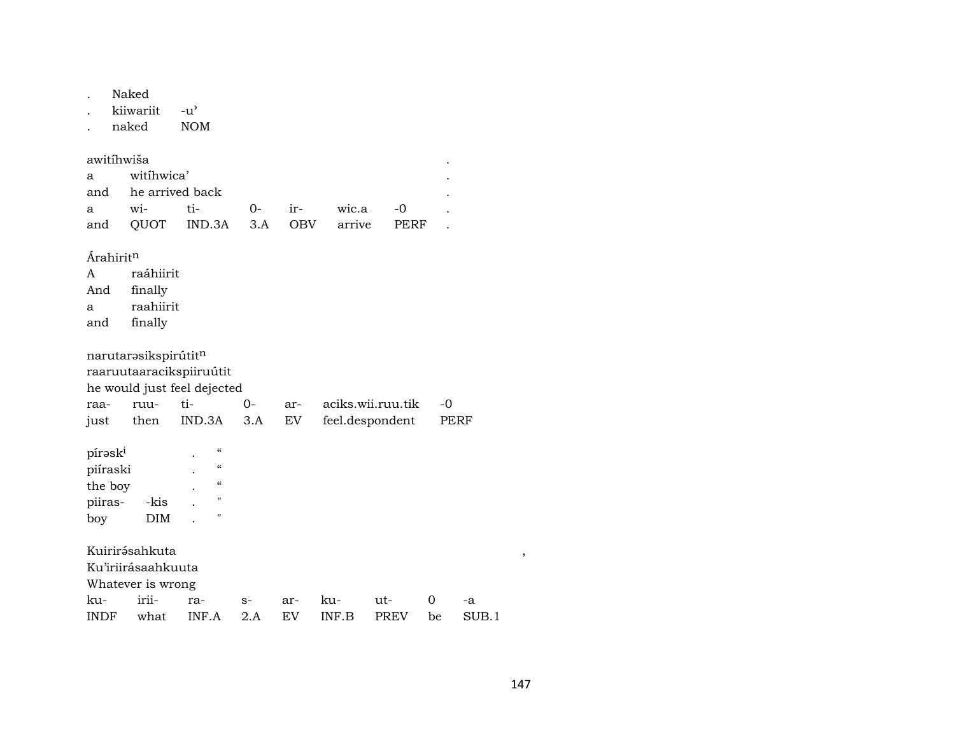| Naked |
|-------|
|       |

kiiwariit  $-u^{\prime}$ 

naked **NOM** 

| awitíhwiša |                     |                                     |  |  |  |  |  |
|------------|---------------------|-------------------------------------|--|--|--|--|--|
|            | a witihwica'        |                                     |  |  |  |  |  |
|            | and he arrived back |                                     |  |  |  |  |  |
|            |                     | a wi- ti- 0- ir- wic.a -0           |  |  |  |  |  |
|            |                     | and OUOT IND.3A 3.A OBV arrive PERF |  |  |  |  |  |

Árahirit<sup>n</sup>

- $\mathbf{A}$ raáhiirit
- And finally
- raahiirit  $\mathbf{a}$
- finally and

narutarəsikspirútit $\mathfrak n$ 

raaruutaaracikspiiruútit

he would just feel dejected

|  |  | raa- ruu- ti-        0-      ar-     aciks.wii.ruu.tik     -0 |  |
|--|--|---------------------------------------------------------------|--|
|  |  | just then IND.3A 3.A EV feel.despondent PERF                  |  |

| pírask <sup>i</sup> |            | $\alpha$   |
|---------------------|------------|------------|
| piíraski            |            | $\epsilon$ |
| the boy             |            | $\epsilon$ |
| piiras-             | -kis       | "          |
| boy                 | <b>DIM</b> | п          |

Kuirirásahkuta

Ku'iriirásaahkuuta

Whatever is wrong

|  |  | ku- irii- ra- s- ar- ku- ut- 0 -a          |  |  |
|--|--|--------------------------------------------|--|--|
|  |  | INDF what INF.A 2.A EV INF.B PREV be SUB.1 |  |  |

 $\, ,$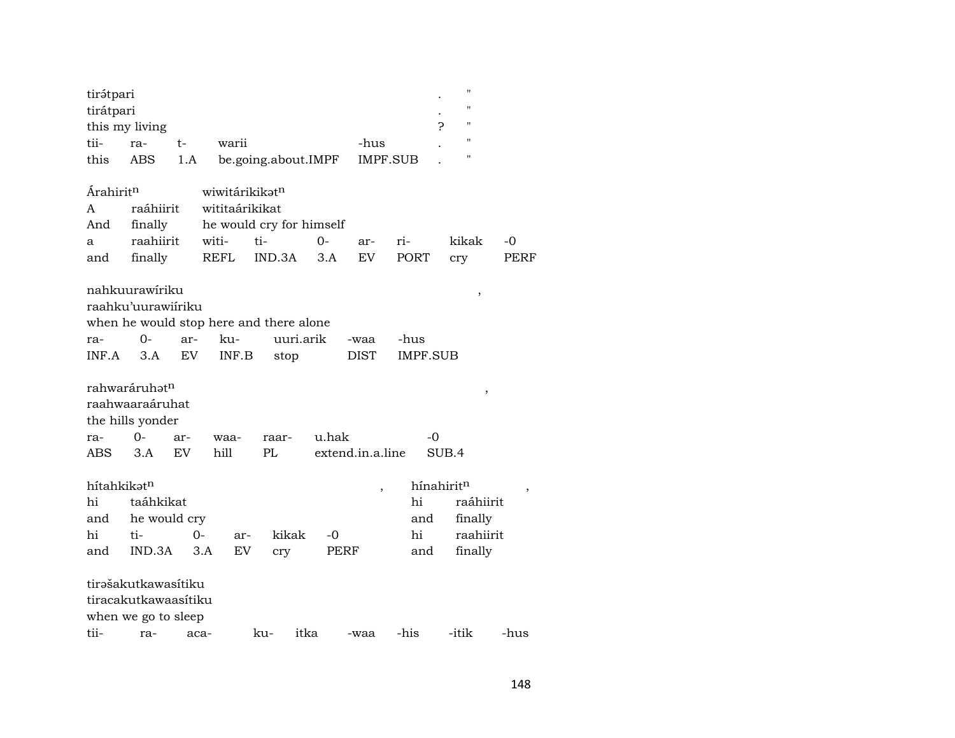| tirátpari                   |                           |           |                |                                         |       |                          |                 | $\pmb{\mathsf{H}}$      |             |
|-----------------------------|---------------------------|-----------|----------------|-----------------------------------------|-------|--------------------------|-----------------|-------------------------|-------------|
| tirátpari                   |                           |           |                |                                         |       |                          |                 | $\pmb{\mathsf{H}}$      |             |
|                             | this my living            |           |                |                                         |       |                          |                 | $\pmb{\mathsf{H}}$<br>ς |             |
| tii-                        | ra-                       | t-        | warii          |                                         |       | -hus                     |                 | $\pmb{\mathsf{H}}$      |             |
| this                        | ABS                       | 1.A       |                | be.going.about.IMPF                     |       |                          | <b>IMPF.SUB</b> | $\pmb{\mathsf{H}}$      |             |
| <b>Arahirit<sup>n</sup></b> |                           |           | wiwitárikikatn |                                         |       |                          |                 |                         |             |
| A                           | raáhiirit                 |           | wititaárikikat |                                         |       |                          |                 |                         |             |
| And                         | finally                   |           |                | he would cry for himself                |       |                          |                 |                         |             |
| a                           | raahiirit                 |           | witi-          | ti-                                     | $0-$  | ar-                      | ri-             | kikak                   | -0          |
| and                         | finally                   |           | <b>REFL</b>    | IND.3A                                  | 3.A   | <b>EV</b>                | <b>PORT</b>     | cry                     | <b>PERF</b> |
|                             | nahkuurawiriku            |           |                |                                         |       |                          |                 | ,                       |             |
|                             | raahku'uurawiiriku        |           |                |                                         |       |                          |                 |                         |             |
|                             |                           |           |                | when he would stop here and there alone |       |                          |                 |                         |             |
| ra-                         | 0-                        | ar-       | $k_{11}$       | uuri.arik                               |       | -waa                     | -hus            |                         |             |
| INF.A                       | 3.A                       | EV        | INF.B          | stop                                    |       | <b>DIST</b>              | <b>IMPF.SUB</b> |                         |             |
|                             | rahwaráruhat <sup>n</sup> |           |                |                                         |       |                          |                 | $\, ,$                  |             |
|                             | raahwaaraáruhat           |           |                |                                         |       |                          |                 |                         |             |
|                             | the hills yonder          |           |                |                                         |       |                          |                 |                         |             |
| ra-                         | $O -$                     | ar-       | waa-           | raar-                                   | u.hak |                          | -0              |                         |             |
| ABS                         | 3.A                       | <b>EV</b> | hill           | PL                                      |       | extend.in.a.line         |                 | SUB.4                   |             |
| hítahkikatn                 |                           |           |                |                                         |       | $\overline{\phantom{a}}$ |                 | hínahiritn              | $\, ,$      |
| hi                          | taáhkikat                 |           |                |                                         |       |                          | hi              | raáhiirit               |             |
| and                         | he would cry              |           |                |                                         |       |                          | and             | finally                 |             |
| hi                          | ti-                       | 0-        | ar-            | kikak                                   | -0    |                          | hi              | raahiirit               |             |
| and                         | IND.3A                    |           | EV<br>3.A      | cry                                     | PERF  |                          | and             | finally                 |             |
|                             | tirəšakutkawasítiku       |           |                |                                         |       |                          |                 |                         |             |
|                             | tiracakutkawaasítiku      |           |                |                                         |       |                          |                 |                         |             |
|                             | when we go to sleep       |           |                |                                         |       |                          |                 |                         |             |
| tii-                        | ra-                       | aca-      |                | ku-                                     | itka  | -waa                     | -his            | -itik                   | -hus        |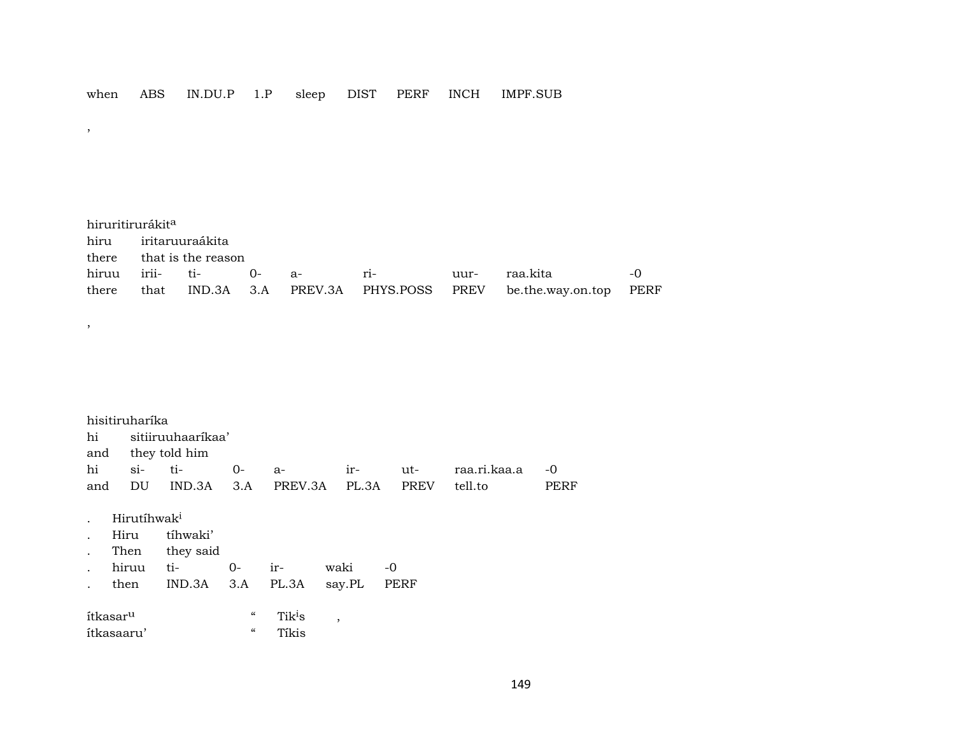#### ABS IN.DU.P 1.P sleep DIST PERF INCH IMPF.SUB when

 $,$ 

 $\, ,$ 

hiruritirurákit<sup>a</sup> iritaruuraákita hiru there that is the reason irii $ti O -0$ hiruu riraa.kita  $a$ uurthere that  $IND.3A$   $3.A$ PREV.3A PHYS.POSS PREV be.the.way.on.top PERF

|                      | hisitiruharika          |                   |                            |                    |                          |      |             |              |      |
|----------------------|-------------------------|-------------------|----------------------------|--------------------|--------------------------|------|-------------|--------------|------|
| hi                   |                         | sitiiruuhaarikaa' |                            |                    |                          |      |             |              |      |
|                      |                         | and they told him |                            |                    |                          |      |             |              |      |
| hi                   | $\sin$                  | ti-               | $O -$                      | $a-$               | $ir-$                    | ut-  |             | raa.ri.kaa.a | $-0$ |
| and                  | DU                      | IND.3A            | 3.A                        | PREV.3A            | PL.3A                    |      | <b>PREV</b> | tell.to      | PERF |
|                      |                         |                   |                            |                    |                          |      |             |              |      |
|                      | Hirutíhwak <sup>i</sup> |                   |                            |                    |                          |      |             |              |      |
|                      | Hiru                    | tíhwaki'          |                            |                    |                          |      |             |              |      |
| $\ddot{\phantom{a}}$ | Then                    | they said         |                            |                    |                          |      |             |              |      |
|                      | hiruu                   | ti-               | $0-$                       | ir-                | waki                     | $-0$ |             |              |      |
|                      | then                    | IND.3A            | 3.A                        | PL.3A              | say.PL                   | PERF |             |              |      |
|                      |                         |                   |                            |                    |                          |      |             |              |      |
|                      | ítkasar <sup>u</sup>    |                   | $\boldsymbol{\mathcal{C}}$ | Tik <sup>i</sup> s | $\overline{\phantom{a}}$ |      |             |              |      |
|                      | ítkasaaru'              |                   | $\mathcal{C}$              | Tíkis              |                          |      |             |              |      |
|                      |                         |                   |                            |                    |                          |      |             |              |      |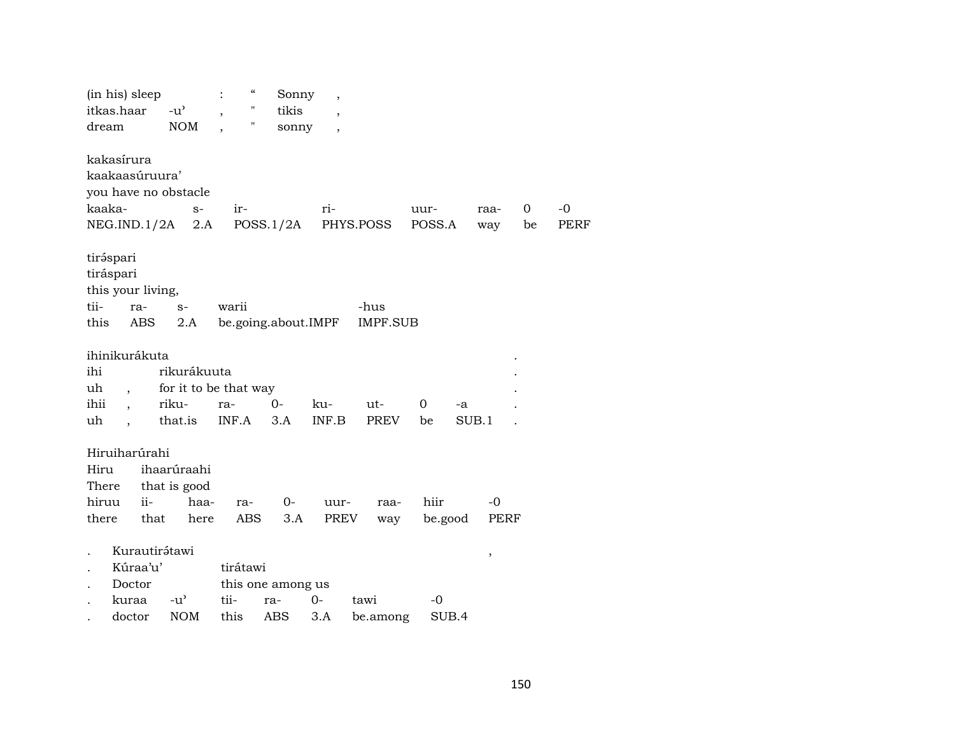| dream                           | (in his) sleep<br>itkas.haar                                                                  | $-u^{\prime}$<br><b>NOM</b>                              | $\boldsymbol{\zeta}\boldsymbol{\zeta}$<br>$\pmb{\mathsf{H}}$<br>11 | Sonny<br>tikis<br>sonny         | $\overline{\phantom{a}}$ |                         |                 |             |         |              |
|---------------------------------|-----------------------------------------------------------------------------------------------|----------------------------------------------------------|--------------------------------------------------------------------|---------------------------------|--------------------------|-------------------------|-----------------|-------------|---------|--------------|
| kaaka-                          | kakasírura<br>kaakaasúruura'<br>you have no obstacle<br>NEG.IND.1/2A                          | $S-$<br>2.A                                              | ir-                                                                | POSS.1/2A                       | ri-                      | PHYS.POSS               | uur-<br>POSS.A  | raa-<br>way | 0<br>be | $-0$<br>PERF |
| tiráspari<br>tii-<br>this       | tiráspari<br>this your living,<br>ra-<br>ABS                                                  | $S-$<br>2.A                                              | warii<br>be.going.about.IMPF                                       |                                 |                          | -hus<br><b>IMPF.SUB</b> |                 |             |         |              |
| ihi<br>uh<br>ihii<br>uh         | ihinikurákuta<br>$\overline{\phantom{a}}$<br>$\overline{\phantom{a}}$<br>$\ddot{\phantom{0}}$ | rikurákuuta<br>for it to be that way<br>riku-<br>that.is | ra-<br>INF.A                                                       | $0-$<br>3.A                     | ku-<br>INF.B             | ut-<br>PREV             | 0<br>be         | -a<br>SUB.1 |         |              |
| Hiru<br>There<br>hiruu<br>there | Hiruiharúrahi<br>$ii-$<br>that                                                                | ihaarúraahi<br>that is good<br>haa-<br>here              | ra-<br><b>ABS</b>                                                  | 0-<br>3.A                       | uur-<br>PREV             | raa-<br>way             | hiir<br>be.good | -0<br>PERF  |         |              |
|                                 | Kurautirátawi<br>Kúraa'u'<br>Doctor<br>kuraa<br>doctor                                        | $-u^{\prime}$<br><b>NOM</b>                              | tirátawi<br>tii-<br>this                                           | this one among us<br>ra-<br>ABS | $0-$<br>3.A              | tawi<br>be.among        | -0<br>SUB.4     | ,           |         |              |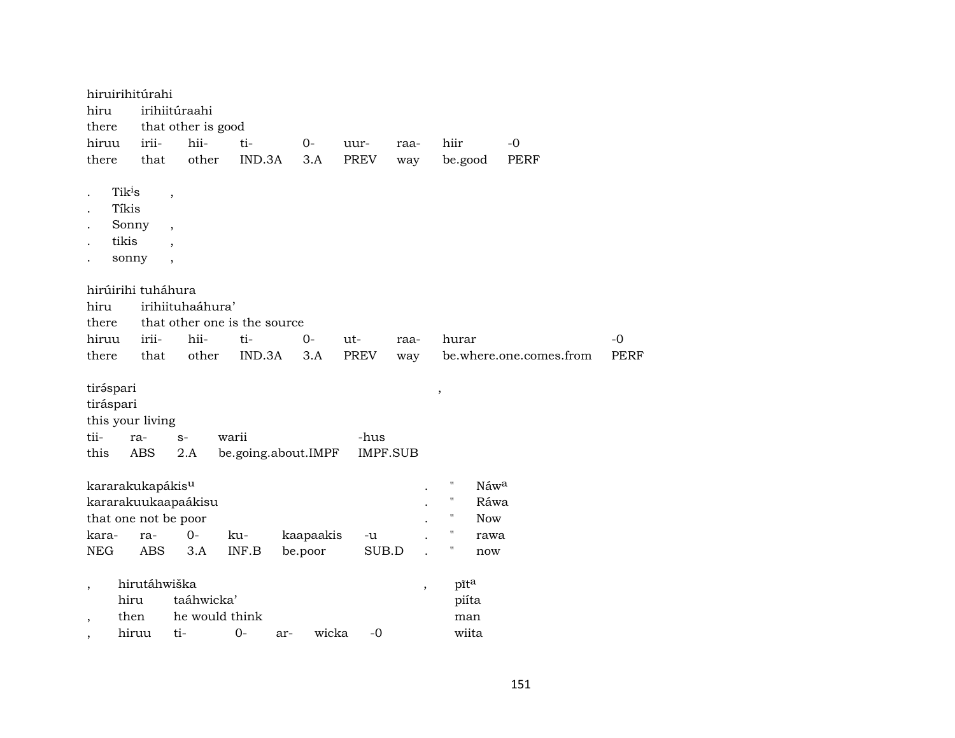|                                                      | hiruirihitúrahi                                        |                                                                 |                              |                              |     |                     |                         |                          |                      |            |                         |             |
|------------------------------------------------------|--------------------------------------------------------|-----------------------------------------------------------------|------------------------------|------------------------------|-----|---------------------|-------------------------|--------------------------|----------------------|------------|-------------------------|-------------|
| hiru                                                 |                                                        | irihiitúraahi                                                   |                              |                              |     |                     |                         |                          |                      |            |                         |             |
| there                                                |                                                        | that other is good                                              |                              |                              |     |                     |                         |                          |                      |            |                         |             |
| hiruu                                                | irii-                                                  | hii-                                                            |                              | ti-                          |     | $0-$                | uur-                    | raa-                     | hiir                 |            | $-0$                    |             |
| there                                                | that                                                   |                                                                 | other                        | IND.3A                       |     | 3.A                 | PREV                    | way                      | be.good              |            | <b>PERF</b>             |             |
|                                                      | Tik <sup>i</sup> s<br>Tíkis<br>Sonny<br>tikis<br>sonny | $\overline{\phantom{a}}$<br>$\overline{\phantom{a}}$<br>$\cdot$ |                              |                              |     |                     |                         |                          |                      |            |                         |             |
|                                                      | hirúirihi tuháhura                                     |                                                                 |                              |                              |     |                     |                         |                          |                      |            |                         |             |
| hiru                                                 |                                                        | irihiituhaáhura'                                                |                              |                              |     |                     |                         |                          |                      |            |                         |             |
| there                                                |                                                        |                                                                 |                              | that other one is the source |     |                     |                         |                          |                      |            |                         |             |
| hiruu                                                | irii-                                                  | hii-                                                            |                              | ti-                          |     | $0-$                | ut-                     | raa-                     | hurar                |            |                         | -0          |
| there                                                | that                                                   |                                                                 | other                        | IND.3A                       |     | 3.A                 | <b>PREV</b>             | way                      |                      |            | be.where.one.comes.from | <b>PERF</b> |
| tiráspari<br>tiráspari<br>tii-<br>this               | this your living<br>ra-<br>ABS                         | $S-$<br>2.A                                                     | warii                        |                              |     | be.going.about.IMPF | -hus<br><b>IMPF.SUB</b> |                          | $\, ,$               |            |                         |             |
|                                                      | kararakukapákis <sup>u</sup>                           |                                                                 |                              |                              |     |                     |                         |                          | "                    | Náwa       |                         |             |
|                                                      | kararakuukaapaákisu                                    |                                                                 |                              |                              |     |                     |                         |                          | $\pmb{\mathsf{H}}$   | Ráwa       |                         |             |
|                                                      | that one not be poor                                   |                                                                 |                              |                              |     |                     |                         |                          | $\pmb{\mathsf{H}}$   | <b>Now</b> |                         |             |
| kara-                                                | ra-                                                    | $0-$                                                            |                              | ku-                          |     | kaapaakis           | -u                      |                          | П                    | rawa       |                         |             |
| <b>NEG</b>                                           | <b>ABS</b>                                             | 3.A                                                             |                              | INF.B                        |     | be.poor             | SUB.D                   |                          | Ħ                    | now        |                         |             |
| $\overline{\phantom{a}}$<br>$\overline{\phantom{a}}$ | hirutáhwiška<br>hiru<br>then                           |                                                                 | taáhwicka'<br>he would think |                              |     |                     |                         | $\overline{\phantom{a}}$ | pīta<br>piíta<br>man |            |                         |             |
|                                                      | hiruu                                                  | ti-                                                             |                              | $0-$                         | ar- | wicka               | $-0$                    |                          | wiita                |            |                         |             |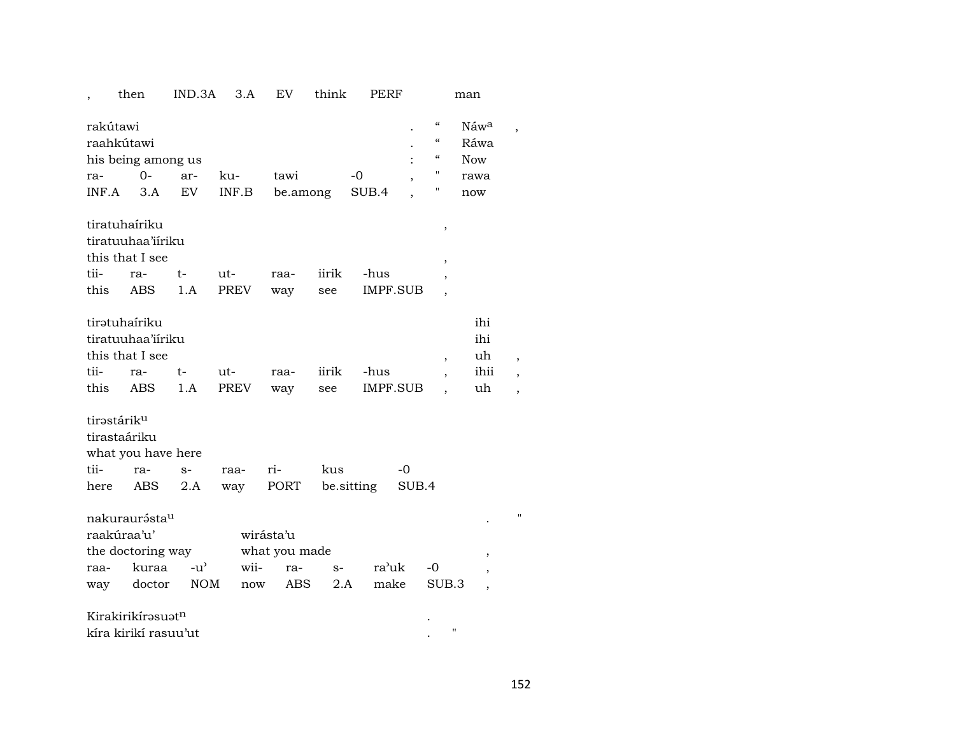# , then IND.3A 3.A EV think PERF man rakútawi . " Náw<sup>a</sup> , raahkútawi . " Ráwa his being among us states of the set of the set of the set of the Now states of the Now states of the Now states of the Now states of the Now states of the Now states of the Now states of the Now states of the Now states o ra- 0- ar- ku- tawi -0 , " rawa INF.A 3.A EV INF.B be.among SUB.4 , " now tiratuhaíriku , tiratuuhaa'iíriku this that I see , tii- ra- t- ut- raa- iirik -hus , this ABS 1.A PREV way see IMPF.SUB tirətuhaíriku ihi tiratuuhaa'iíriku ihi this that I see , and is not in the set of  $\mathbf{u}$ ,  $\mathbf{u}$ ,  $\mathbf{u}$ ,  $\mathbf{u}$ ,  $\mathbf{u}$ ,  $\mathbf{u}$ ,  $\mathbf{u}$ ,  $\mathbf{u}$ ,  $\mathbf{u}$ ,  $\mathbf{u}$ ,  $\mathbf{u}$ ,  $\mathbf{u}$ ,  $\mathbf{u}$ ,  $\mathbf{u}$ ,  $\mathbf{u}$ ,  $\mathbf{u}$ ,  $\mathbf{u}$ ,  $\mathbf{u}$ tii- ra- t- ut- raa- iirik -hus , ihii , this ABS 1.A PREV way see IMPF.SUB , uh , tirastárik<sup>u</sup> tirastaáriku what you have here tii- ra- s- raa- ri- kus -0 here ABS 2.A way PORT be.sitting SUB.4  $n$ akuraurásta $^{\mathrm{u}}$  . The set of the set of the set of the set of the set of the set of the set of the set of the set of the set of the set of the set of the set of the set of the set of the set of the set of the set o raakúraa'u' wirásta'u the doctoring way what you made , raa- kuraa -u' wii- ra- s- ra'uk -0 , way doctor NOM now ABS 2.A make SUB.3 , Kirakirikír $\mathsf{a}$ su $\mathsf{a}$ <sup>n</sup> kíra kirikí rasuu'ut . "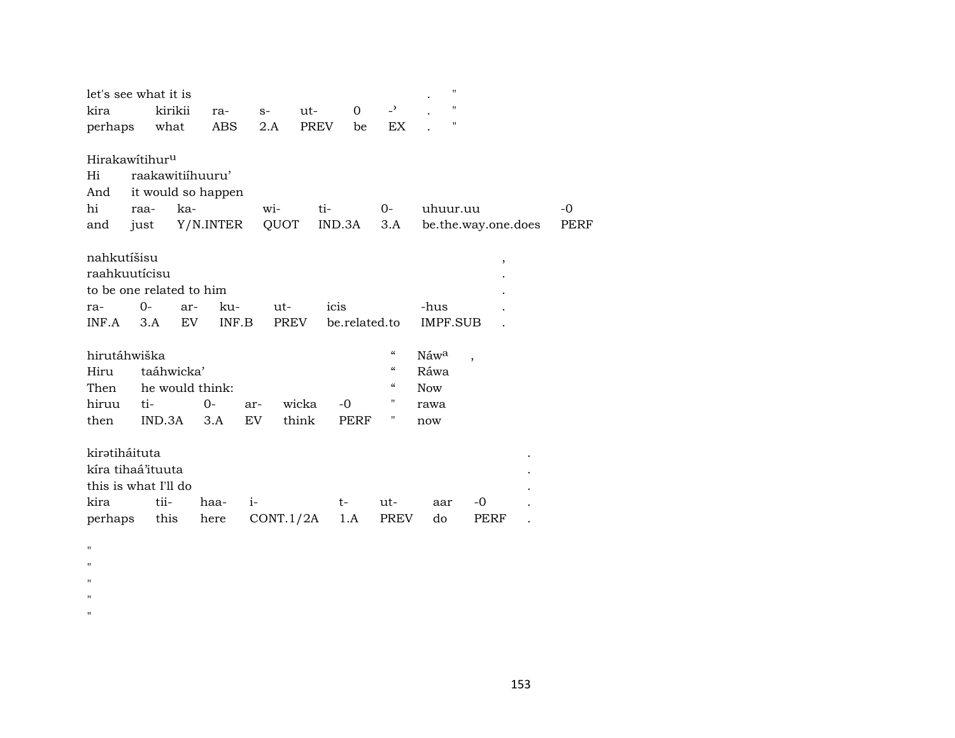| let's see what it is                                                          |                                                        |                  |              |                    |             |                       |                                        | $\pmb{\mathsf{H}}$<br>$\pmb{\mathsf{H}}$ |                     |            |
|-------------------------------------------------------------------------------|--------------------------------------------------------|------------------|--------------|--------------------|-------------|-----------------------|----------------------------------------|------------------------------------------|---------------------|------------|
| kira                                                                          |                                                        | kirikii          | ra-          | $S-$               | ut-         | $\mathbf 0$           | $\overline{\phantom{0}}$               | 11                                       |                     |            |
| perhaps                                                                       | what                                                   |                  | ABS          | 2.A                | <b>PREV</b> | be                    | EX                                     |                                          |                     |            |
| Hirakawitihur <sup>u</sup><br>Hi<br>And<br>hi<br>and                          | raakawitiihuuru'<br>it would so happen<br>raa-<br>just | ka-<br>Y/N.INTER |              | wi-<br>QUOT        | ti-         | IND.3A                | $0-$<br>3.A                            | uhuur.uu                                 | be.the.way.one.does | -0<br>PERF |
| nahkutíšisu<br>raahkuutícisu<br>to be one related to him<br>ra-<br>INF.A      | 0-<br>3.A                                              | ar-<br>EV.       | ku-<br>INF.B | ut-<br><b>PREV</b> |             | icis<br>be.related.to |                                        | -hus<br>IMPF.SUB                         | ,                   |            |
| hirutáhwiška                                                                  |                                                        |                  |              |                    |             |                       | $\boldsymbol{\mathcal{C}}$             | Náw <sup>a</sup>                         |                     |            |
| Hiru                                                                          |                                                        | taáhwicka'       |              |                    |             |                       | $\boldsymbol{\zeta}\boldsymbol{\zeta}$ | Ráwa                                     |                     |            |
| Then                                                                          |                                                        | he would think:  |              |                    |             |                       | $\boldsymbol{\zeta}\boldsymbol{\zeta}$ | <b>Now</b>                               |                     |            |
| hiruu                                                                         | ti-                                                    |                  | $0-$         | ar-                | wicka       | $-0$                  | П                                      | rawa                                     |                     |            |
| then                                                                          | IND.3A                                                 |                  | 3.A          | EV.                | think       | PERF                  | 11                                     | now                                      |                     |            |
| kiratiháituta<br>kíra tihaá'ituuta<br>this is what I'll do<br>kira<br>perhaps | tii-<br>this                                           |                  | haa-<br>here | $i-$<br>CONT.1/2A  |             | t-<br>1.A             | ut-<br><b>PREV</b>                     | aar<br>do                                | -0<br>PERF          |            |

 $\mathbf{u}$  $\mathbf{u}$  $\mathbf{H}$  $\mathbf{u}$  $\mathbf{u}$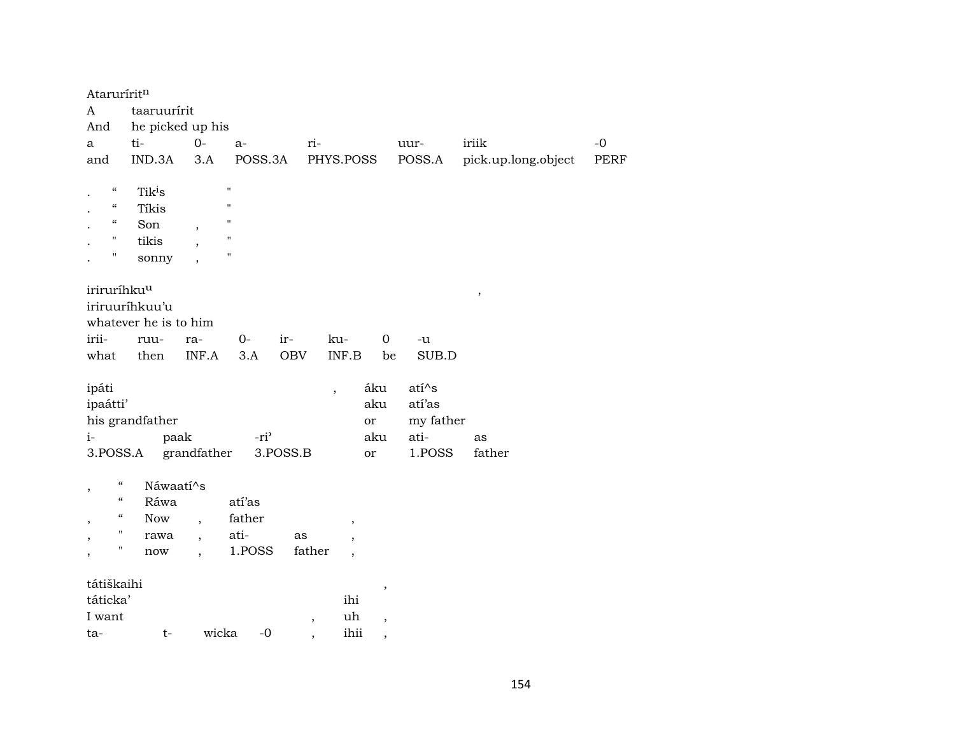| Ataruríritn                     |                       |                          |                  |            |                          |                          |           |                     |      |
|---------------------------------|-----------------------|--------------------------|------------------|------------|--------------------------|--------------------------|-----------|---------------------|------|
| A                               | taaruurírit           |                          |                  |            |                          |                          |           |                     |      |
| And                             | he picked up his      |                          |                  |            |                          |                          |           |                     |      |
| a                               | ti-                   | $0-$                     | a-               | ri-        |                          |                          | uur-      | iriik               | $-0$ |
| and                             | IND.3A                | 3.A                      | POSS.3A          |            | PHYS.POSS                |                          | POSS.A    | pick.up.long.object | PERF |
|                                 |                       |                          |                  |            |                          |                          |           |                     |      |
| $\epsilon\epsilon$              | Tik <sup>i</sup> s    |                          | $\blacksquare$   |            |                          |                          |           |                     |      |
| $\epsilon\epsilon$              | Tíkis                 |                          | $\blacksquare$   |            |                          |                          |           |                     |      |
| $\mathcal{C}\mathcal{C}$        | Son                   |                          | $\blacksquare$   |            |                          |                          |           |                     |      |
| н                               | tikis                 |                          | "                |            |                          |                          |           |                     |      |
| П                               | sonny                 |                          | $\blacksquare$   |            |                          |                          |           |                     |      |
|                                 |                       |                          |                  |            |                          |                          |           |                     |      |
| iriruríhku <sup>u</sup>         |                       |                          |                  |            |                          |                          |           | $\, ,$              |      |
|                                 | iriruuríhkuu'u        |                          |                  |            |                          |                          |           |                     |      |
|                                 | whatever he is to him |                          |                  |            |                          |                          |           |                     |      |
| irii-                           | ruu-                  | ra-                      | $0-$             | ir-        | ku-                      | $\boldsymbol{0}$         | -u        |                     |      |
| what                            | then                  | INF.A                    | 3.A              | <b>OBV</b> | INF.B                    | be                       | SUB.D     |                     |      |
|                                 |                       |                          |                  |            |                          |                          |           |                     |      |
| ipáti                           |                       |                          |                  |            | $\overline{\phantom{a}}$ | áku                      | $ati^s$   |                     |      |
| ipaátti'                        |                       |                          |                  |            |                          | aku                      | atí'as    |                     |      |
|                                 | his grandfather       |                          |                  |            |                          | or                       | my father |                     |      |
| $i-$                            |                       | paak                     | -ri <sup>2</sup> |            |                          | aku                      | ati-      | as                  |      |
| 3.POSS.A                        |                       | grandfather              |                  | $3.POSS.B$ |                          | or                       | 1.POSS    | father              |      |
| $\mathcal{C}\mathcal{C}$        | Náwaatí^s             |                          |                  |            |                          |                          |           |                     |      |
| ,<br>$\boldsymbol{\mathcal{C}}$ | Ráwa                  |                          | atí'as           |            |                          |                          |           |                     |      |
| $\boldsymbol{\mathcal{C}}$      |                       |                          |                  |            |                          |                          |           |                     |      |
| $\pmb{\mathsf{H}}$              | Now                   | $\overline{ }$           | father           |            | $\, ,$                   |                          |           |                     |      |
| "                               | rawa                  | $\overline{\phantom{a}}$ | ati-             | as         | $\overline{ }$           |                          |           |                     |      |
|                                 | now                   | $\ddot{\phantom{0}}$     | 1.POSS           | father     | $\overline{\phantom{a}}$ |                          |           |                     |      |
| tátiškaihi                      |                       |                          |                  |            |                          |                          |           |                     |      |
| táticka'                        |                       |                          |                  |            | ihi                      | $\, ,$                   |           |                     |      |
| I want                          |                       |                          |                  |            | uh                       |                          |           |                     |      |
| ta-                             | $t-$                  | wicka                    | $-0$             | $\, ,$     | ihii                     | $\overline{\phantom{a}}$ |           |                     |      |
|                                 |                       |                          |                  |            |                          | $\overline{\phantom{a}}$ |           |                     |      |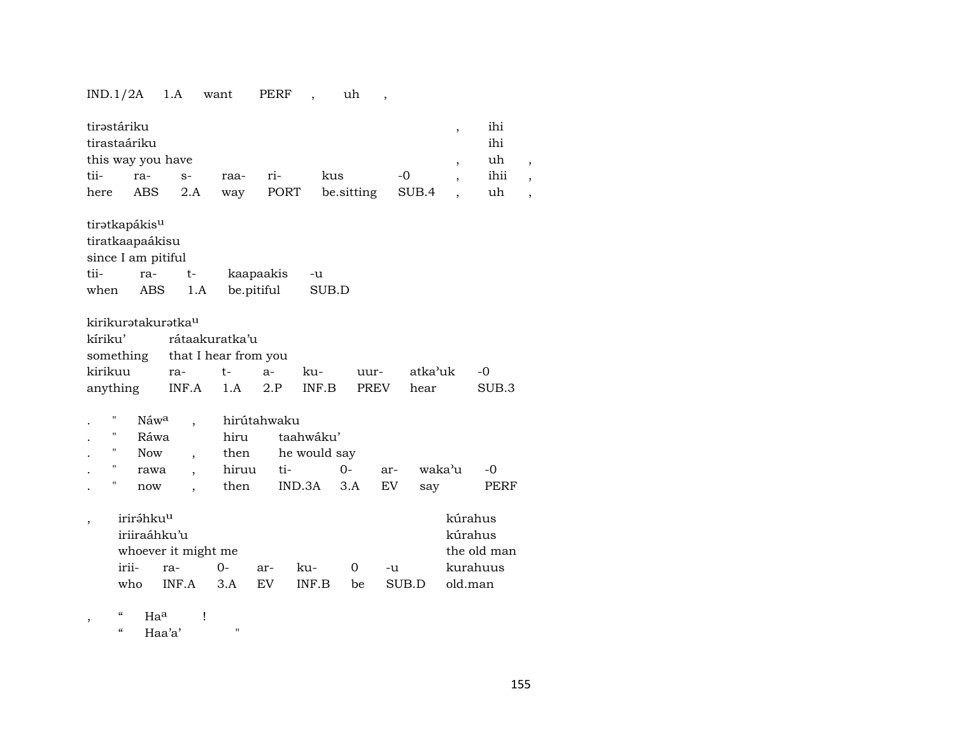## IND.1/2A 1.A want PERF , uh ,

| tirəstáriku<br>tirastaáriku<br>this way you have<br>tii-<br>here                   | ra-<br>ABS                                            | $S-$<br>2.A                                                                  | raa-<br>way                   | ri-<br>PORT             | kus<br>be.sitting                            |                         | $-0$<br>SUB.4   | $\overline{\phantom{a}}$<br>$\overline{ }$ | ihi<br>ihi<br>uh<br>ihii<br>uh | $\cdot$<br>$\overline{\phantom{a}}$<br>$\cdot$ |
|------------------------------------------------------------------------------------|-------------------------------------------------------|------------------------------------------------------------------------------|-------------------------------|-------------------------|----------------------------------------------|-------------------------|-----------------|--------------------------------------------|--------------------------------|------------------------------------------------|
| tiratkapákis <sup>u</sup><br>tiratkaapaákisu<br>since I am pitiful<br>tii-<br>when | ra-<br><b>ABS</b>                                     | $t-$<br>1.A                                                                  |                               | kaapaakis<br>be.pitiful | -u<br>SUB.D                                  |                         |                 |                                            |                                |                                                |
| kirikurətakurətka <sup>u</sup><br>kíriku'<br>something<br>kirikuu<br>anything      |                                                       | rátaakuratka'u<br>that I hear from you<br>ra-<br>INF.A                       | $t-$<br>1.A                   | $a-$<br>2.P             | ku-<br>$\textsf{INF}.\textsf{B}$             | uur-<br>PREV            | atka'uk<br>hear |                                            | $-0$<br>SUB.3                  |                                                |
| П<br>н<br>$\pmb{\mathsf{H}}$<br>11<br>п                                            | Náw <sup>a</sup><br>Ráwa<br><b>Now</b><br>rawa<br>now | $\overline{\phantom{a}}$<br>$\overline{\phantom{a}}$<br>$\ddot{\phantom{0}}$ | hiru<br>then<br>hiruu<br>then | hirútahwaku<br>ti-      | taahwáku'<br>he would say<br>$O -$<br>IND.3A | ar-<br><b>EV</b><br>3.A | say             | waka'u                                     | $-0$<br>PERF                   |                                                |
| ,                                                                                  | iriráhku <sup>u</sup><br>iriiraáhku'u<br>irii-<br>who | whoever it might me<br>ra-<br>INF.A                                          | $0 -$<br>3.A                  | ar-<br><b>EV</b>        | ku-<br>INF.B                                 | 0<br>be                 | -u<br>SUB.D     | kúrahus<br>kúrahus<br>old.man              | the old man<br>kurahuus        |                                                |

, " Ha<sup>a</sup> !

" Haa'a' "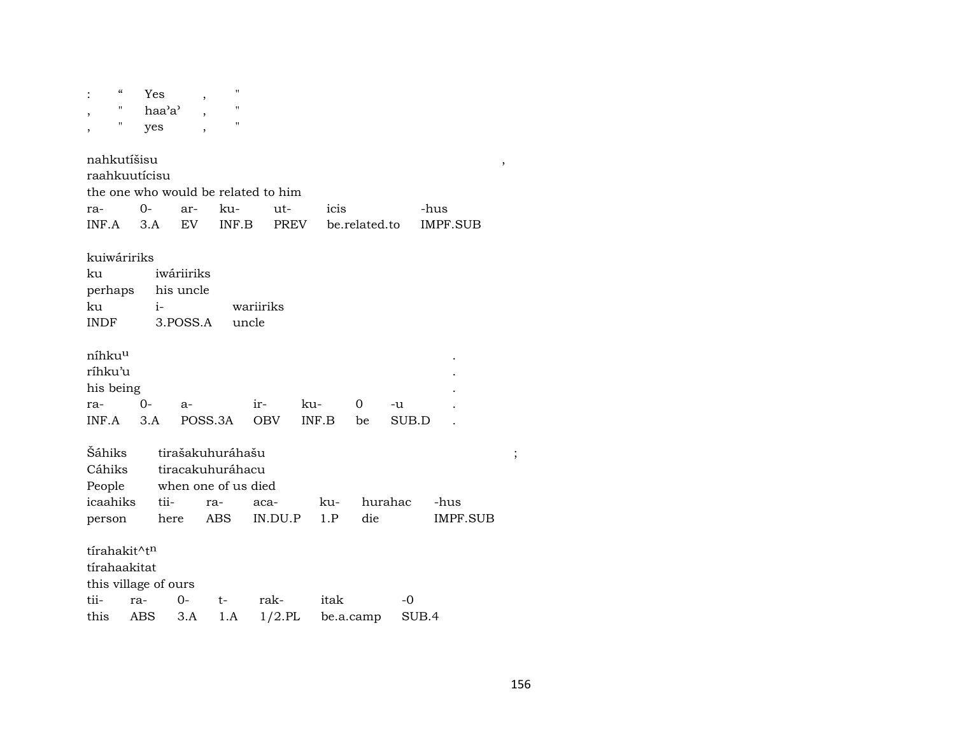| $\boldsymbol{\zeta}\boldsymbol{\zeta}$ |       | Yes                                 | н<br>,              |            |                    |           |         |                 |                       |
|----------------------------------------|-------|-------------------------------------|---------------------|------------|--------------------|-----------|---------|-----------------|-----------------------|
| "                                      |       | haa'a'                              |                     |            |                    |           |         |                 |                       |
| П<br>,                                 |       | yes                                 | П                   |            |                    |           |         |                 |                       |
|                                        |       |                                     |                     |            |                    |           |         |                 |                       |
| nahkutíšisu                            |       |                                     |                     |            |                    |           |         |                 | $^\mathrm{^{^\circ}}$ |
| raahkuutícisu                          |       |                                     |                     |            |                    |           |         |                 |                       |
|                                        |       | the one who would be related to him |                     |            |                    |           |         |                 |                       |
| ra-                                    | $O -$ | ar-                                 | ku-                 | ut-        | icis               |           |         | -hus            |                       |
| INF.A                                  | 3.A   | EV                                  | INF.B               |            | PREV be.related.to |           |         | IMPF.SUB        |                       |
|                                        |       |                                     |                     |            |                    |           |         |                 |                       |
| kuiwáririks                            |       |                                     |                     |            |                    |           |         |                 |                       |
| ku                                     |       | iwáriiriks                          |                     |            |                    |           |         |                 |                       |
| perhaps                                |       | his uncle                           |                     |            |                    |           |         |                 |                       |
| ku                                     |       | $i-$                                |                     | wariiriks  |                    |           |         |                 |                       |
| INDF                                   |       | 3.POSS.A                            | uncle               |            |                    |           |         |                 |                       |
|                                        |       |                                     |                     |            |                    |           |         |                 |                       |
| níhku <sup>u</sup>                     |       |                                     |                     |            |                    |           |         |                 |                       |
| ríhku'u                                |       |                                     |                     |            |                    |           |         |                 |                       |
| his being                              |       |                                     |                     |            |                    |           |         |                 |                       |
| ra-                                    | $0-$  | a-                                  |                     | $ir-$      | ku-                | 0         | -u      |                 |                       |
| INF.A                                  | 3.A   |                                     | POSS.3A             | <b>OBV</b> | INF.B              | be        | SUB.D   |                 |                       |
|                                        |       |                                     |                     |            |                    |           |         |                 |                       |
| <b>Sáhiks</b>                          |       |                                     | tirašakuhuráhašu    |            |                    |           |         |                 | ;                     |
| Cáhiks                                 |       |                                     | tiracakuhuráhacu    |            |                    |           |         |                 |                       |
| People                                 |       |                                     | when one of us died |            |                    |           |         |                 |                       |
| icaahiks                               |       | tii-                                | ra-                 | aca-       | ku-                |           | hurahac | -hus            |                       |
| person                                 |       | here                                | ABS                 | IN.DU.P    | 1.P                | die       |         | <b>IMPF.SUB</b> |                       |
|                                        |       |                                     |                     |            |                    |           |         |                 |                       |
| tírahakit^t <sup>n</sup>               |       |                                     |                     |            |                    |           |         |                 |                       |
| tírahaakitat                           |       |                                     |                     |            |                    |           |         |                 |                       |
|                                        |       | this village of ours                |                     |            |                    |           |         |                 |                       |
| tii-                                   | ra-   | 0-                                  | t-                  | rak-       | itak               |           | -0      |                 |                       |
| this                                   | ABS   | 3.A                                 | 1.A                 | $1/2$ .PL  |                    | be.a.camp | SUB.4   |                 |                       |
|                                        |       |                                     |                     |            |                    |           |         |                 |                       |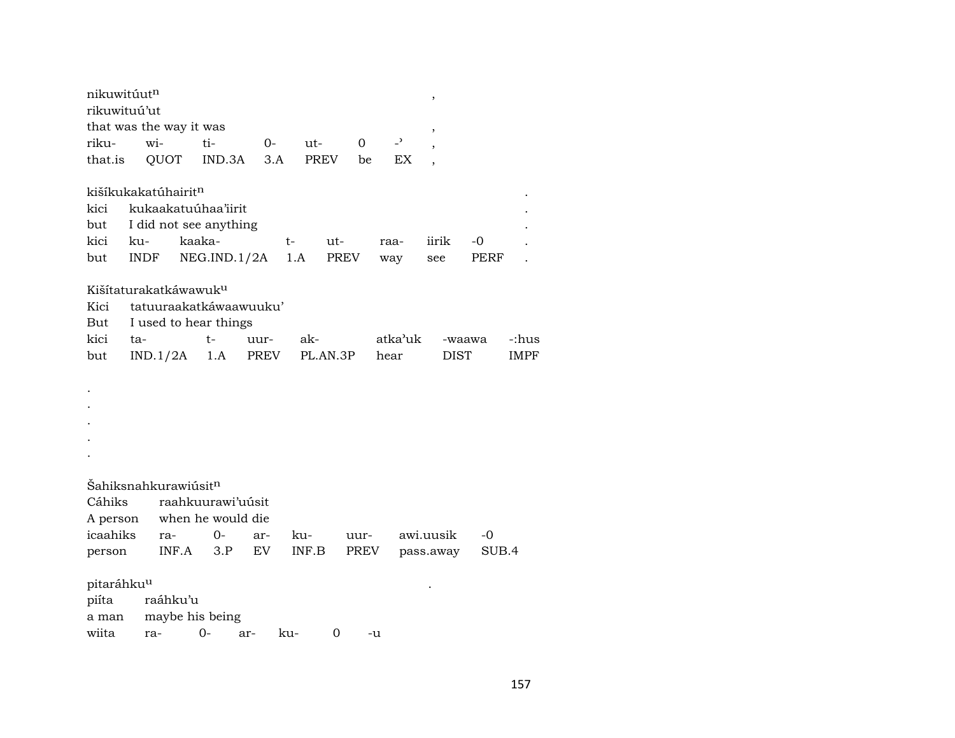| nikuwitúut <sup>n</sup> |             |                                   |             |      |             |             |                |                | ,         |             |       |             |
|-------------------------|-------------|-----------------------------------|-------------|------|-------------|-------------|----------------|----------------|-----------|-------------|-------|-------------|
| rikuwituú'ut            |             |                                   |             |      |             |             |                |                |           |             |       |             |
|                         |             | that was the way it was           |             |      |             |             |                |                | ,         |             |       |             |
| riku-                   | wi-         |                                   | ti-         | 0-   | ut-         |             | $\overline{0}$ | $\overline{a}$ |           |             |       |             |
| that.is                 |             | QUOT                              | IND.3A      | 3.A  | <b>PREV</b> |             | be             | EX             |           |             |       |             |
|                         |             | kišíkukakatúhairitn               |             |      |             |             |                |                |           |             |       |             |
| kici                    |             | kukaakatuúhaa'iirit               |             |      |             |             |                |                |           |             |       |             |
| but                     |             | I did not see anything            |             |      |             |             |                |                |           |             |       |             |
| kici                    | ku-         | kaaka-                            |             |      | t-          | ut-         |                | raa-           |           | iirik       | -0    |             |
| but                     | <b>INDF</b> |                                   | NEG.ID.1/2A |      | 1.A         | <b>PREV</b> |                | way            | see       |             | PERF  |             |
|                         |             | Kišítaturakatkáwawuk <sup>u</sup> |             |      |             |             |                |                |           |             |       |             |
| Kici                    |             | tatuuraakatkáwaawuuku'            |             |      |             |             |                |                |           |             |       |             |
| But                     |             | I used to hear things             |             |      |             |             |                |                |           |             |       |             |
| kici                    | ta-         |                                   | t-          | uur- | ak-         |             |                | atka'uk        |           | -waawa      |       | -:hus       |
| but                     |             | IND.1/2A                          | 1.A         | PREV |             | PL.AN.3P    |                | hear           |           | <b>DIST</b> |       | <b>IMPF</b> |
|                         |             |                                   |             |      |             |             |                |                |           |             |       |             |
|                         |             |                                   |             |      |             |             |                |                |           |             |       |             |
|                         |             |                                   |             |      |             |             |                |                |           |             |       |             |
|                         |             |                                   |             |      |             |             |                |                |           |             |       |             |
|                         |             |                                   |             |      |             |             |                |                |           |             |       |             |
|                         |             |                                   |             |      |             |             |                |                |           |             |       |             |
|                         |             | Šahiksnahkurawiúsit <sup>n</sup>  |             |      |             |             |                |                |           |             |       |             |
| Cáhiks                  |             | raahkuurawi'uúsit                 |             |      |             |             |                |                |           |             |       |             |
| A person                |             | when he would die                 |             |      |             |             |                |                |           |             |       |             |
| icaahiks                |             | ra-                               | 0-          | ar-  | ku-         |             | uur-           |                | awi.uusik |             | -0    |             |
| person                  |             | INF.A                             | 3.P         | EV   | INF.B       |             | PREV           |                |           | pass.away   | SUB.4 |             |
| pitaráhku <sup>u</sup>  |             |                                   |             |      |             |             |                |                |           |             |       |             |
| piíta                   |             | raáhku'u                          |             |      |             |             |                |                |           |             |       |             |
| a man                   |             | maybe his being                   |             |      |             |             |                |                |           |             |       |             |
| wiita                   | ra-         |                                   | $O -$       | ar-  | ku-         | 0           |                | -u             |           |             |       |             |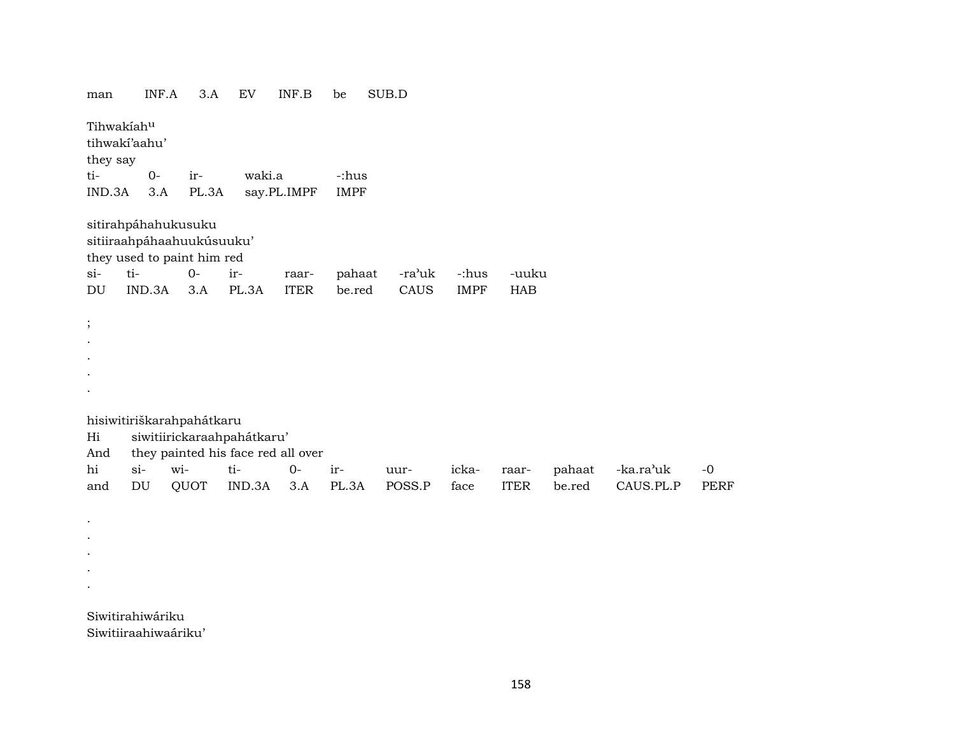man INF.A 3.A EV INF.B be SUB.D

Tihwakíah<sup>u</sup> tihwakí'aahu' they say ti- 0- ir- waki.a -:hus IND.3A 3.A PL.3A say.PL.IMPF IMPF sitirahpáhahukusuku sitiiraahpáhaahuukúsuuku'

they used to paint him red

; . . . .

. . . . .

|  |  | si- ti- 0- ir- raar- pahaat -ra'uk -:hus -uuku |  |  |
|--|--|------------------------------------------------|--|--|
|  |  | DU IND.3A 3.A PL.3A ITER be.red CAUS IMPF HAB  |  |  |

hisiwitiriškarahpahátkaru

Hi siwitiirickaraahpahátkaru' And they painted his face red all over

|  | This they painted ms face fed an over |  |  |  |                                                                     |  |
|--|---------------------------------------|--|--|--|---------------------------------------------------------------------|--|
|  |                                       |  |  |  | hi si- wi- ti- 0- ir- uur- icka- raar- pahaat -ka.ra'uk -0          |  |
|  |                                       |  |  |  | and DU QUOT IND.3A 3.A PL.3A POSS.P face ITER be.red CAUS.PL.P PERF |  |

Siwitirahiwáriku Siwitiiraahiwaáriku'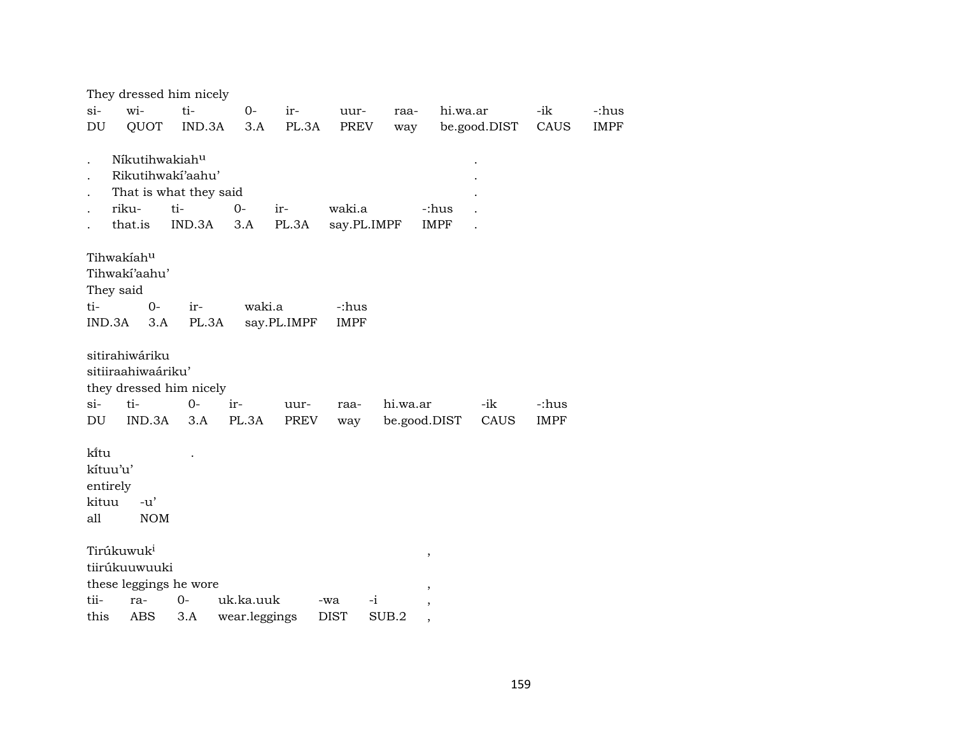|               | They dressed him nicely                                                          |                                                              |               |              |                       |                          |                      |              |               |             |
|---------------|----------------------------------------------------------------------------------|--------------------------------------------------------------|---------------|--------------|-----------------------|--------------------------|----------------------|--------------|---------------|-------------|
| $si-$         | wi-                                                                              | ti-                                                          | $0-$          | ir-          | uur-                  | raa-                     | hi.wa.ar             |              | -ik           | -:hus       |
| DU            | QUOT                                                                             | IND.3A                                                       | 3.A           | PL.3A        | PREV                  | way                      |                      | be.good.DIST | CAUS          | <b>IMPF</b> |
|               | Níkutihwakiahu<br>riku-<br>that.is                                               | Rikutihwakí'aahu'<br>That is what they said<br>ti-<br>IND.3A | $O -$<br>3.A  | ir-<br>PL.3A | waki.a<br>say.PL.IMPF |                          | -:hus<br><b>IMPF</b> |              |               |             |
|               |                                                                                  |                                                              |               |              |                       |                          |                      |              |               |             |
|               | Tihwakiahu<br>Tihwaki'aahu'<br>They said                                         |                                                              |               |              |                       |                          |                      |              |               |             |
| ti-           | $0 -$                                                                            | ir-                                                          | waki.a        |              | -:hus                 |                          |                      |              |               |             |
|               | IND.3A<br>3.A                                                                    | PL.3A                                                        |               | say.PL.IMPF  | <b>IMPF</b>           |                          |                      |              |               |             |
| $si-$<br>DU   | sitirahiwáriku<br>sitiiraahiwaáriku'<br>they dressed him nicely<br>ti-<br>IND.3A | $O -$<br>3.A                                                 | ir-<br>PL.3A  | uur-<br>PREV | raa-<br>way           | hi.wa.ar<br>be.good.DIST |                      | -ik<br>CAUS  | -:hus<br>IMPF |             |
| ki̇̃tu<br>all | kítuu'u'<br>entirely<br>kituu<br>$-u'$<br><b>NOM</b>                             |                                                              |               |              |                       |                          |                      |              |               |             |
|               | Tirúkuwuk <sup>i</sup>                                                           |                                                              |               |              |                       |                          | ,                    |              |               |             |
|               | tiirúkuuwuuki                                                                    |                                                              |               |              |                       |                          |                      |              |               |             |
|               | these leggings he wore                                                           |                                                              |               |              |                       |                          |                      |              |               |             |
| tii-          | ra-                                                                              | $0-$                                                         | uk.ka.uuk     |              | $-i$<br>-wa           |                          |                      |              |               |             |
| this          | <b>ABS</b>                                                                       | 3.A                                                          | wear.leggings |              | <b>DIST</b>           | SUB.2                    |                      |              |               |             |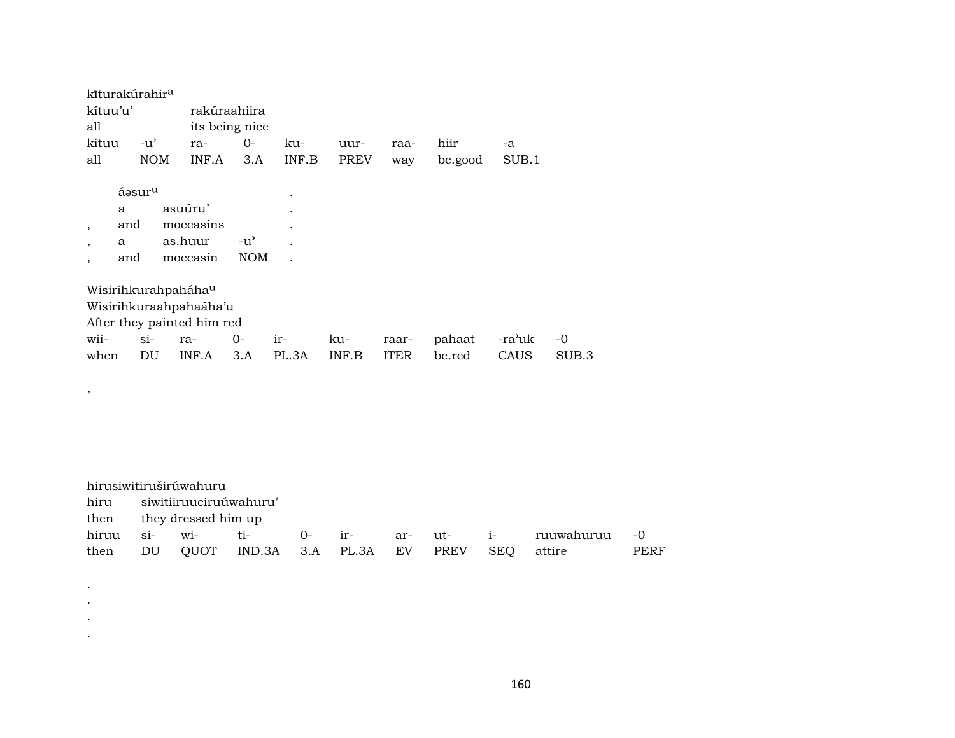|          | kīturakúrahir <sup>a</sup> |            |                            |                |                      |             |             |         |        |       |
|----------|----------------------------|------------|----------------------------|----------------|----------------------|-------------|-------------|---------|--------|-------|
| kítuu'u' |                            |            |                            | rakúraahiira   |                      |             |             |         |        |       |
| all      |                            |            |                            | its being nice |                      |             |             |         |        |       |
| kituu    | $-u'$                      |            | ra-                        | $O -$          | ku-                  | uur-        | raa-        | hiir    | $-a$   |       |
| all      |                            | <b>NOM</b> | INF.A                      | 3.A            | INF.B                | <b>PREV</b> | way         | be.good | SUB.1  |       |
|          |                            |            |                            |                |                      |             |             |         |        |       |
|          | áəsur <sup>u</sup>         |            |                            |                | $\bullet$            |             |             |         |        |       |
|          | a                          |            | asuúru'                    |                |                      |             |             |         |        |       |
| ,        | and                        |            | moccasins                  |                | $\bullet$            |             |             |         |        |       |
| $\cdot$  | a                          |            | as.huur                    | $-u^{\prime}$  | $\ddot{\phantom{a}}$ |             |             |         |        |       |
|          | and                        |            | moccasin                   | <b>NOM</b>     |                      |             |             |         |        |       |
|          |                            |            |                            |                |                      |             |             |         |        |       |
|          |                            |            | Wisirihkurahpaháhau        |                |                      |             |             |         |        |       |
|          |                            |            | Wisirihkuraahpahaáha'u     |                |                      |             |             |         |        |       |
|          |                            |            | After they painted him red |                |                      |             |             |         |        |       |
| wii-     | $\sin$                     |            | ra-                        | 0-             | ir-                  | ku-         | raar-       | pahaat  | -ra'uk | -0    |
| when     | DU                         |            | INF.A                      | 3.A            | PL.3A                | INF.B       | <b>ITER</b> | be.red  | CAUS   | SUB.3 |
|          |                            |            |                            |                |                      |             |             |         |        |       |

 $\overline{\phantom{a}}$ 

 $\bullet$  $\bullet$  $\langle \cdot \rangle$  $\bullet$ 

|      | hirusiwitiruširúwahuru                                    |                          |                   |  |  |  |  |  |                                       |  |  |  |  |
|------|-----------------------------------------------------------|--------------------------|-------------------|--|--|--|--|--|---------------------------------------|--|--|--|--|
|      | hiru siwitiiruuciruúwahuru'                               |                          |                   |  |  |  |  |  |                                       |  |  |  |  |
|      |                                                           | then they dressed him up |                   |  |  |  |  |  |                                       |  |  |  |  |
|      |                                                           |                          | hiruu si- wi- ti- |  |  |  |  |  | 0- ir-   ar- ut-   i-   ruuwahuruu -0 |  |  |  |  |
| then | DU QUOT IND.3A 3.A PL.3A EV PREV<br>SEO<br>PERF<br>attire |                          |                   |  |  |  |  |  |                                       |  |  |  |  |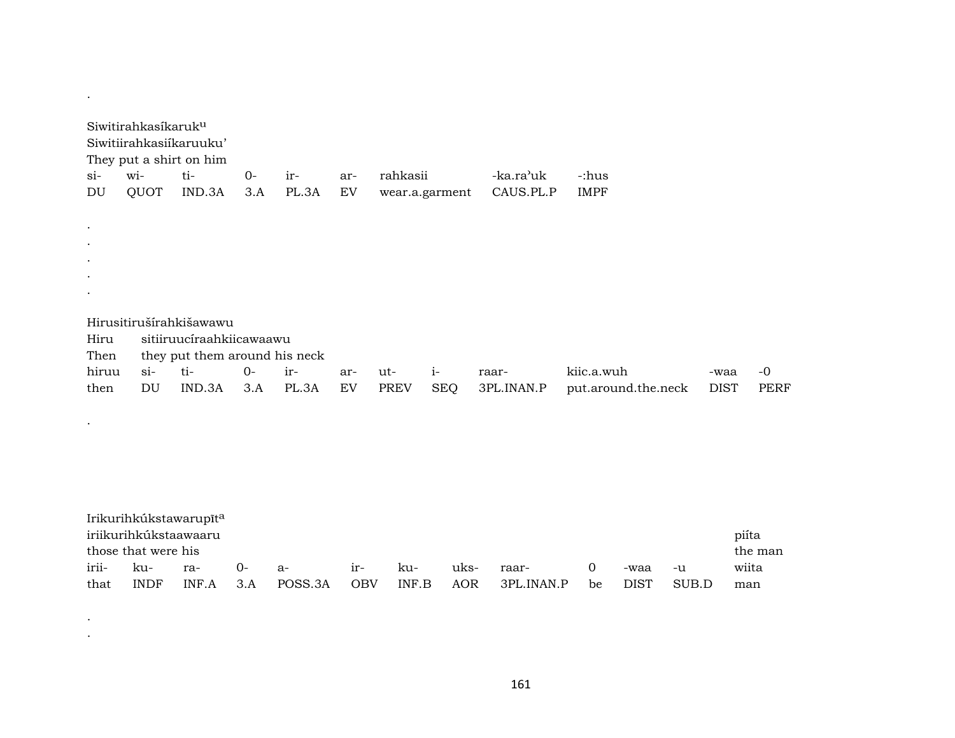|           | Siwitirahkasíkaruk <sup>u</sup> | Siwitiirahkasiíkaruuku'<br>They put a shirt on him |      |       |     |             |                |                        |                     |             |      |
|-----------|---------------------------------|----------------------------------------------------|------|-------|-----|-------------|----------------|------------------------|---------------------|-------------|------|
| $\sin$    | wi-                             | ti-                                                | $0-$ | ir-   | ar- | rahkasii    |                | -ka.ra <sup>,</sup> uk | -:hus               |             |      |
| DU        | QUOT                            | IND.3A                                             | 3.A  | PL.3A | EV  |             | wear.a.garment | CAUS.PL.P              | <b>IMPF</b>         |             |      |
|           |                                 |                                                    |      |       |     |             |                |                        |                     |             |      |
| $\bullet$ |                                 |                                                    |      |       |     |             |                |                        |                     |             |      |
| $\bullet$ |                                 |                                                    |      |       |     |             |                |                        |                     |             |      |
| $\bullet$ |                                 |                                                    |      |       |     |             |                |                        |                     |             |      |
| $\bullet$ |                                 |                                                    |      |       |     |             |                |                        |                     |             |      |
| $\bullet$ |                                 |                                                    |      |       |     |             |                |                        |                     |             |      |
|           |                                 |                                                    |      |       |     |             |                |                        |                     |             |      |
|           |                                 | Hirusitirušírahkišawawu                            |      |       |     |             |                |                        |                     |             |      |
| Hiru      |                                 | sitiiruucíraahkiicawaawu                           |      |       |     |             |                |                        |                     |             |      |
| Then      |                                 | they put them around his neck                      |      |       |     |             |                |                        |                     |             |      |
| hiruu     | $\sin$                          | ti-                                                | $0-$ | ir-   | ar- | ut-         | $i-$           | raar-                  | kiic.a.wuh          | -waa        | $-0$ |
| then      | DU                              | IND.3A                                             | 3.A  | PL.3A | EV  | <b>PREV</b> | SEQ            | 3PL.INAN.P             | put.around.the.neck | <b>DIST</b> | PERF |
|           |                                 |                                                    |      |       |     |             |                |                        |                     |             |      |
| $\bullet$ |                                 |                                                    |      |       |     |             |                |                        |                     |             |      |
|           |                                 |                                                    |      |       |     |             |                |                        |                     |             |      |

|                                | Irikurihkúkstawarupīt <sup>a</sup> |             |      |         |       |       |      |            |    |             |       |       |
|--------------------------------|------------------------------------|-------------|------|---------|-------|-------|------|------------|----|-------------|-------|-------|
| iriikurihkúkstaawaaru<br>piíta |                                    |             |      |         |       |       |      |            |    |             |       |       |
| those that were his<br>the man |                                    |             |      |         |       |       |      |            |    |             |       |       |
| irii-                          | - ku-                              | ra-         | $O-$ | $a -$   | $1r-$ | ku-   | uks- | raar-      |    | -waa        | $-11$ | wiita |
| that                           | <b>INDF</b>                        | $INF.A$ 3.A |      | POSS.3A | OBV   | INF.B | AOR  | 3PL.INAN.P | be | <b>DIST</b> | SUB.D | man   |

 $\label{eq:2.1} \frac{1}{\sqrt{2}}\sum_{i=1}^n\frac{1}{\sqrt{2\pi}}\sum_{i=1}^n\frac{1}{\sqrt{2\pi}}\sum_{i=1}^n\frac{1}{\sqrt{2\pi}}\sum_{i=1}^n\frac{1}{\sqrt{2\pi}}\sum_{i=1}^n\frac{1}{\sqrt{2\pi}}\sum_{i=1}^n\frac{1}{\sqrt{2\pi}}\sum_{i=1}^n\frac{1}{\sqrt{2\pi}}\sum_{i=1}^n\frac{1}{\sqrt{2\pi}}\sum_{i=1}^n\frac{1}{\sqrt{2\pi}}\sum_{i=1}^n\frac{$ 

 $\mathcal{L}^{\mathcal{L}}(\mathcal{A})$  .

161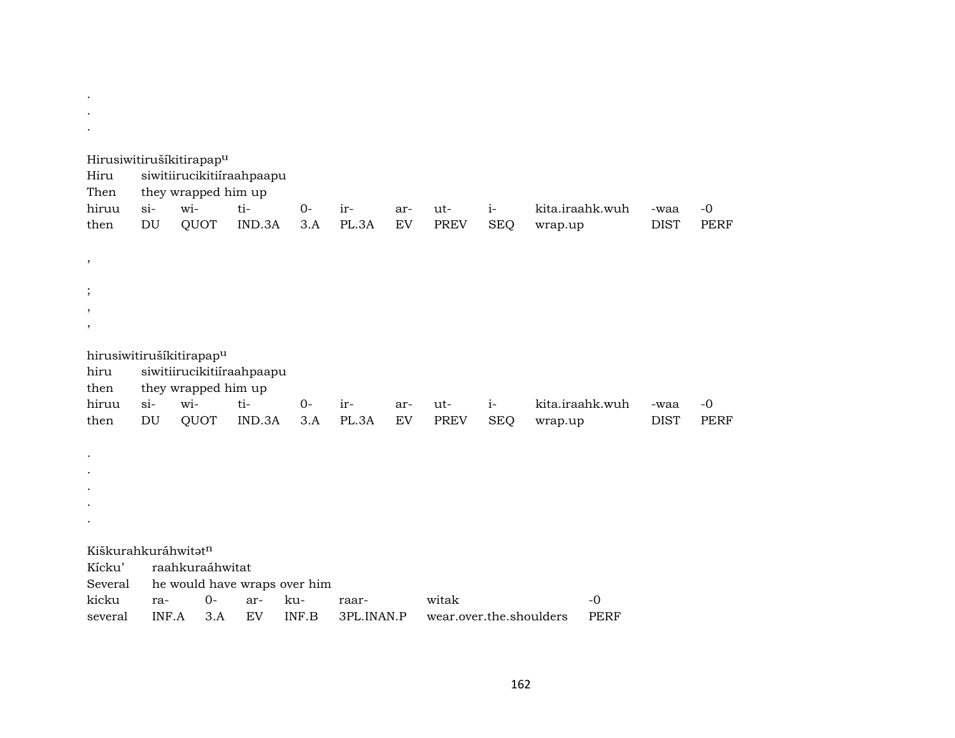|                     |                     | Hirusiwitirušíkitirapap <sup>u</sup> |        |             |              |           |                         |                    |                 |                     |                     |
|---------------------|---------------------|--------------------------------------|--------|-------------|--------------|-----------|-------------------------|--------------------|-----------------|---------------------|---------------------|
| Hiru                |                     | siwitiirucikitiiraahpaapu            |        |             |              |           |                         |                    |                 |                     |                     |
| Then                |                     | they wrapped him up<br>wi-           | ti-    |             |              |           |                         |                    |                 |                     |                     |
| hiruu<br>then       | $si$ -<br><b>DU</b> | QUOT                                 | IND.3A | $0-$<br>3.A | ir-<br>PL.3A | ar-<br>EV | ut-<br><b>PREV</b>      | $i-$<br><b>SEQ</b> | kita.iraahk.wuh | -waa<br><b>DIST</b> | $-0$<br><b>PERF</b> |
|                     |                     |                                      |        |             |              |           |                         |                    | wrap.up         |                     |                     |
| ,                   |                     |                                      |        |             |              |           |                         |                    |                 |                     |                     |
|                     |                     |                                      |        |             |              |           |                         |                    |                 |                     |                     |
| ,                   |                     |                                      |        |             |              |           |                         |                    |                 |                     |                     |
| $\cdot$             |                     |                                      |        |             |              |           |                         |                    |                 |                     |                     |
|                     |                     |                                      |        |             |              |           |                         |                    |                 |                     |                     |
|                     |                     | hirusiwitirušíkitirapap <sup>u</sup> |        |             |              |           |                         |                    |                 |                     |                     |
| hiru                |                     | siwitiirucikitiiraahpaapu            |        |             |              |           |                         |                    |                 |                     |                     |
| then                |                     | they wrapped him up                  |        |             |              |           |                         |                    |                 |                     |                     |
| hiruu               | $si-$               | wi-                                  | ti-    | $0-$        | ir-          | ar-<br>EV | ut-                     | $i-$               | kita.iraahk.wuh | -waa                | $-0$                |
| then                | DU                  | QUOT                                 | IND.3A | 3.A         | PL.3A        |           | <b>PREV</b>             | <b>SEQ</b>         | wrap.up         | <b>DIST</b>         | <b>PERF</b>         |
|                     |                     |                                      |        |             |              |           |                         |                    |                 |                     |                     |
|                     |                     |                                      |        |             |              |           |                         |                    |                 |                     |                     |
|                     |                     |                                      |        |             |              |           |                         |                    |                 |                     |                     |
|                     |                     |                                      |        |             |              |           |                         |                    |                 |                     |                     |
|                     |                     |                                      |        |             |              |           |                         |                    |                 |                     |                     |
| Kiškurahkuráhwitatn |                     |                                      |        |             |              |           |                         |                    |                 |                     |                     |
| Kícku'              |                     | raahkuraáhwitat                      |        |             |              |           |                         |                    |                 |                     |                     |
| Several             |                     | he would have wraps over him         |        |             |              |           |                         |                    |                 |                     |                     |
| kicku               | ra-                 | $O -$                                | ar-    | ku-         | raar-        |           | witak                   |                    | $-0$            |                     |                     |
| several             | INF.A               | 3.A                                  | EV     | INF.B       | 3PL.INAN.P   |           | wear.over.the.shoulders |                    | <b>PERF</b>     |                     |                     |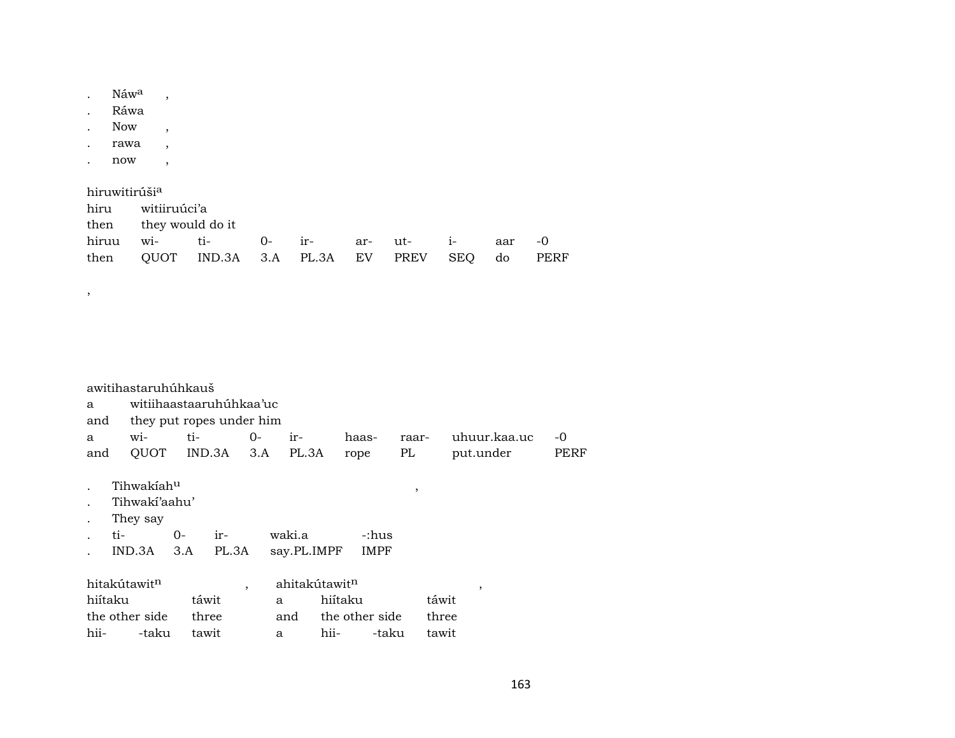. Náw $^a$  , . Ráwa . Now , . rawa , . now ,

,

hiruwitirúši<sup>a</sup> hiru witiiruúci'a then they would do it hiruu wi- ti- 0- ir- ar- ut- i- aar -0 then QUOT IND.3A 3.A PL.3A EV PREV SEQ do PERF

|         | awitihastaruhúhkauš      |       |         |      |                           |                |       |       |              |      |
|---------|--------------------------|-------|---------|------|---------------------------|----------------|-------|-------|--------------|------|
| a       | witiihaastaaruhúhkaa'uc  |       |         |      |                           |                |       |       |              |      |
| and     | they put ropes under him |       |         |      |                           |                |       |       |              |      |
| a       | wi-                      | ti-   |         | $0-$ | ir-                       | haas-          | raar- |       | uhuur.kaa.uc | $-0$ |
| and     | QUOT IND.3A              |       |         | 3.A  | PL.3A                     | rope           | PL    |       | put.under    | PERF |
|         |                          |       |         |      |                           |                |       |       |              |      |
|         | Tihwakiah <sup>u</sup>   |       |         |      |                           |                | ,     |       |              |      |
|         | Tihwaki'aahu'            |       |         |      |                           |                |       |       |              |      |
|         | They say                 |       |         |      |                           |                |       |       |              |      |
|         | ti-                      | $0-$  | ir-     |      | waki.a                    | -:hus          |       |       |              |      |
|         | IND.3A                   | 3.A   | PL.3A   |      | say.PL.IMPF               | <b>IMPF</b>    |       |       |              |      |
|         | hitakútawitn             |       | $\cdot$ |      | ahitakútawit <sup>n</sup> |                |       |       | ,            |      |
| hiítaku |                          | táwit |         | a    |                           | hiítaku        |       | táwit |              |      |
|         | the other side           | three |         |      | and                       | the other side |       | three |              |      |
| hii-    | -taku                    | tawit |         | a    | hii-                      | -taku          |       | tawit |              |      |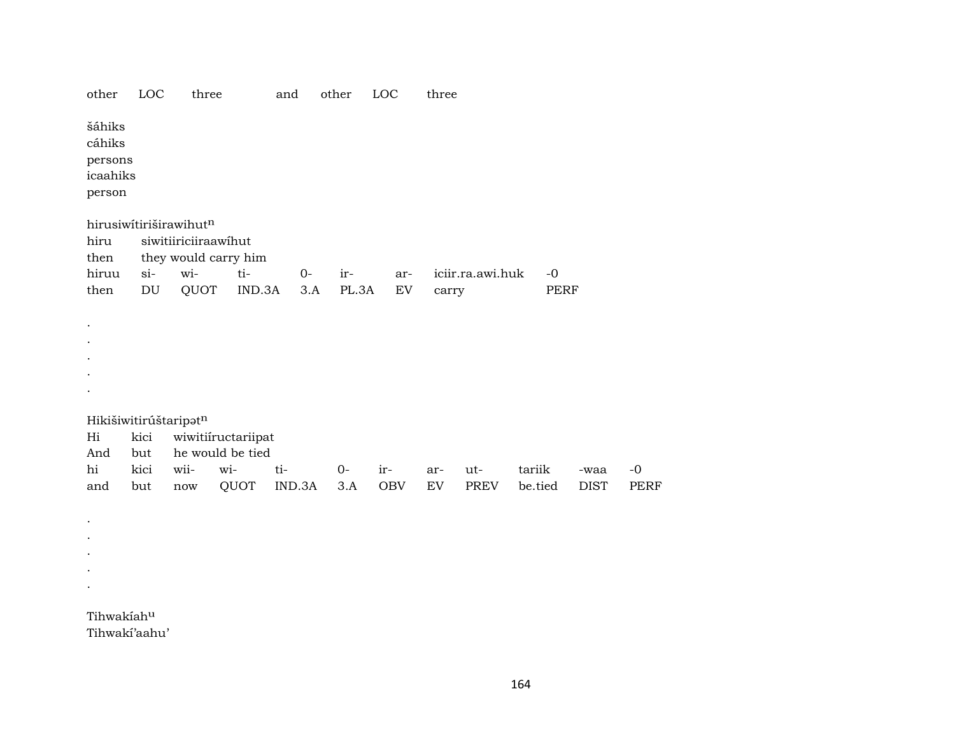| other                                             | LOC                        | three                                          |                                        | and    | other | LOC        | three |                  |         |             |             |
|---------------------------------------------------|----------------------------|------------------------------------------------|----------------------------------------|--------|-------|------------|-------|------------------|---------|-------------|-------------|
| šáhiks<br>cáhiks<br>persons<br>icaahiks<br>person |                            |                                                |                                        |        |       |            |       |                  |         |             |             |
| hiru                                              |                            | hirusiwítiriširawihutn<br>siwitiiriciiraawihut |                                        |        |       |            |       |                  |         |             |             |
| then<br>hiruu                                     | si-                        | wi-                                            | they would carry him<br>ti-            | $0-$   | ir-   | ar-        |       | iciir.ra.awi.huk | $-0$    |             |             |
| then                                              | $\mathop{\rm DU}\nolimits$ | QUOT                                           | IND.3A                                 | 3.A    | PL.3A | EV         | carry |                  | PERF    |             |             |
|                                                   |                            |                                                |                                        |        |       |            |       |                  |         |             |             |
|                                                   |                            | Hikišiwitirúštaripatn                          |                                        |        |       |            |       |                  |         |             |             |
| Hi<br>And                                         | kici<br>but                |                                                | wiwitiiructariipat<br>he would be tied |        |       |            |       |                  |         |             |             |
| hi                                                | kici                       | wii-                                           | wi-                                    | ti-    | $0-$  | ir-        | ar-   | ut-              | tariik  | -waa        | $-0$        |
| and                                               | but                        | $\operatorname{now}$                           | QUOT                                   | IND.3A | 3.A   | <b>OBV</b> | EV    | PREV             | be.tied | <b>DIST</b> | <b>PERF</b> |
|                                                   |                            |                                                |                                        |        |       |            |       |                  |         |             |             |
|                                                   |                            |                                                |                                        |        |       |            |       |                  |         |             |             |
|                                                   |                            |                                                |                                        |        |       |            |       |                  |         |             |             |
|                                                   |                            |                                                |                                        |        |       |            |       |                  |         |             |             |
| Tihwakiahu                                        | Tihwaki'aahu'              |                                                |                                        |        |       |            |       |                  |         |             |             |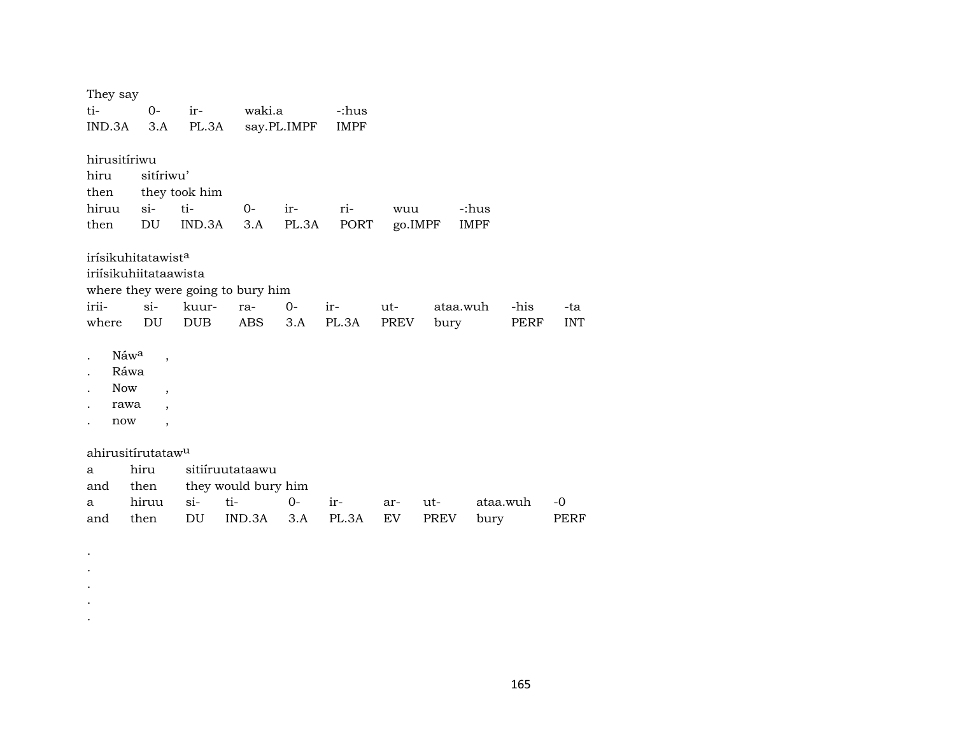| They say                                                                      |                                                                                                              |                                   |        |        |                  |      |          |          |      |            |
|-------------------------------------------------------------------------------|--------------------------------------------------------------------------------------------------------------|-----------------------------------|--------|--------|------------------|------|----------|----------|------|------------|
| ti-                                                                           | $0-$                                                                                                         | $ir-$                             | waki.a |        | -:hus            |      |          |          |      |            |
| IND.3A                                                                        | 3.A                                                                                                          | PL.3A                             |        |        | say.PL.IMPF IMPF |      |          |          |      |            |
| hirusitíriwu                                                                  |                                                                                                              |                                   |        |        |                  |      |          |          |      |            |
| hiru                                                                          | sitíriwu'                                                                                                    |                                   |        |        |                  |      |          |          |      |            |
| then                                                                          |                                                                                                              | they took him                     |        |        |                  |      |          |          |      |            |
| hiruu                                                                         | $si-$                                                                                                        | ti-                               | $O-$   | $ir -$ | ri-              | wuu  |          | -:hus    |      |            |
| then                                                                          | DU                                                                                                           | IND.3A                            | 3.A    | PL.3A  | PORT             |      | go.IMPF  | IMPF     |      |            |
|                                                                               | irísikuhitatawist <sup>a</sup><br>iriísikuhiitataawista                                                      |                                   |        |        |                  |      |          |          |      |            |
|                                                                               |                                                                                                              | where they were going to bury him |        |        |                  |      |          |          |      |            |
| irii-                                                                         | $\sin$                                                                                                       | kuur-                             | ra-    | $0-$   | ir-              | ut-  | ataa.wuh |          | -his | -ta        |
| where                                                                         | DU                                                                                                           | <b>DUB</b>                        | ABS    | 3.A    | PL.3A            | PREV | bury     |          | PERF | <b>INT</b> |
| Náw <sup>a</sup><br>$\ddot{\phantom{0}}$<br>Ráwa<br><b>Now</b><br>rawa<br>now | $\overline{\phantom{a}}$<br>$\overline{\phantom{a}}$<br>$\overline{\phantom{a}}$<br>$\overline{\phantom{a}}$ |                                   |        |        |                  |      |          |          |      |            |
|                                                                               | ahirusitírutataw <sup>u</sup>                                                                                |                                   |        |        |                  |      |          |          |      |            |
| a                                                                             | hiru                                                                                                         | sitiíruutataawu                   |        |        |                  |      |          |          |      |            |
| and                                                                           | then                                                                                                         | they would bury him               |        |        |                  |      |          |          |      |            |
| a                                                                             | hiruu                                                                                                        | $si-$<br>ti-                      |        | $0-$   | ir-              | ar-  | ut-      | ataa.wuh |      | $-0$       |
| and                                                                           | then                                                                                                         | DU                                | IND.3A | 3.A    | PL.3A            | EV   | PREV     | bury     |      | PERF       |

. . . . .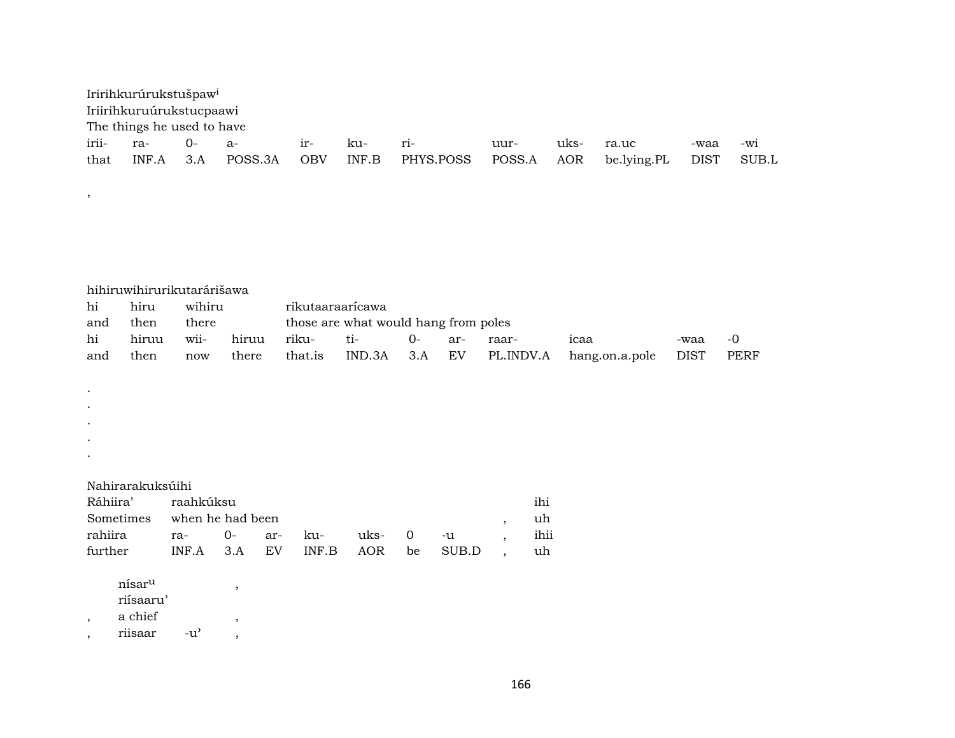|       | Iririhkurúrukstušpaw <sup>i</sup> |       |         |            |       |           |        |      |                 |      |       |
|-------|-----------------------------------|-------|---------|------------|-------|-----------|--------|------|-----------------|------|-------|
|       | Iriirihkuruúrukstucpaawi          |       |         |            |       |           |        |      |                 |      |       |
|       | The things he used to have        |       |         |            |       |           |        |      |                 |      |       |
| irii- | -ra                               | 0- a- |         | $ir-$      | ku-   | $r_{1}$ - | uur-   | uks- | ra.uc           | -waa | $-W1$ |
| that  | INF.A                             | 3.A   | POSS.3A | <b>OBV</b> | INF.B | PHYS.POSS | POSS.A |      | AOR be.lying.PL | DIST | SUB.L |

|  |  |  | hihiruwihirurikutarárišawa |  |  |
|--|--|--|----------------------------|--|--|
|  |  |  |                            |  |  |
|  |  |  |                            |  |  |

| hi  | hiru  | wihiru |       |         | rikutaaraaricawa                     |     |       |       |                               |      |       |
|-----|-------|--------|-------|---------|--------------------------------------|-----|-------|-------|-------------------------------|------|-------|
| and | then  | there  |       |         | those are what would hang from poles |     |       |       |                               |      |       |
| hi  | hiruu | wii-   | hiruu | riku-   | $+i-$                                |     | $Ar-$ | raar- | 1caa                          | -waa | $-()$ |
| and | then  | now    | there | that.is | IND.3A                               | 3.A | EV    |       | PL.INDV.A hang.on.a.pole DIST |      | PERF  |

- .
- .
- .
- .
- .

### Nahirarakuksúihi

,

| Ráhiira' raahkúksu                 |                            |  |  |  |  |                                      |  | ihi  |  |  |  |
|------------------------------------|----------------------------|--|--|--|--|--------------------------------------|--|------|--|--|--|
|                                    | Sometimes when he had been |  |  |  |  |                                      |  |      |  |  |  |
| rahiira ra- 0- ar- ku- uks- 0 -u , |                            |  |  |  |  |                                      |  | ihii |  |  |  |
| further                            |                            |  |  |  |  | INF.A 3.A EV INF.B AOR be SUB.D , uh |  |      |  |  |  |

- ${\tt nísar^u}$  ,
- riísaaru'
- $\, , \qquad$  a chief  $\,$
- , riisaar -u" ,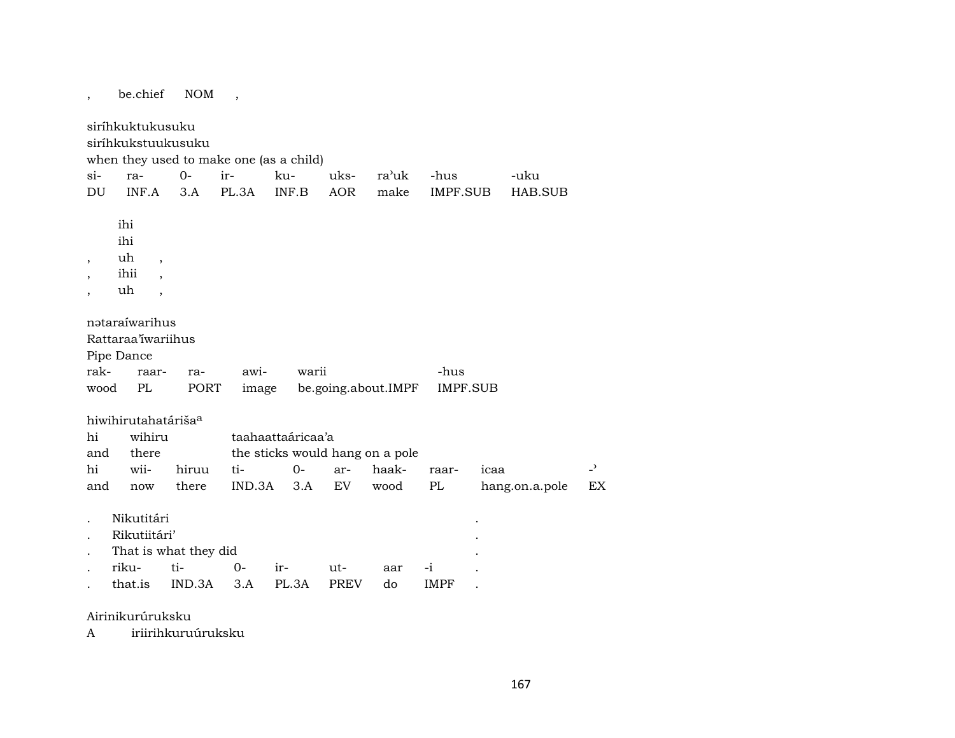, be.chief NOM , siríhkuktukusuku siríhkukstuukusuku when they used to make one (as a child) si- ra- 0- ir- ku- uks- ra"uk -hus -uku DU INF.A 3.A PL.3A INF.B AOR make IMPF.SUB HAB.SUB ihi ihi , uh , , ihii , , uh , nətaraíwarihus Rattaraa'íwariihus Pipe Dance rak- raar- ra- awi- warii -hus wood PL PORT image be.going.about.IMPF IMPF.SUB hiwihirutahatáriša<sup>a</sup> hi wihiru taahaattaáricaa'a and there the sticks would hang on a pole hi wii- hiruu ti- 0- ar- haak- raar- icaa – and now there IND.3A 3.A EV wood PL hang.on.a.pole EX . Nikutitári . . Rikutiitári' . That is what they did . riku- ti- 0- ir- ut- aar -i . . that.is IND.3A 3.A PL.3A PREV do IMPF .

Airinikurúruksku

A iriirihkuruúruksku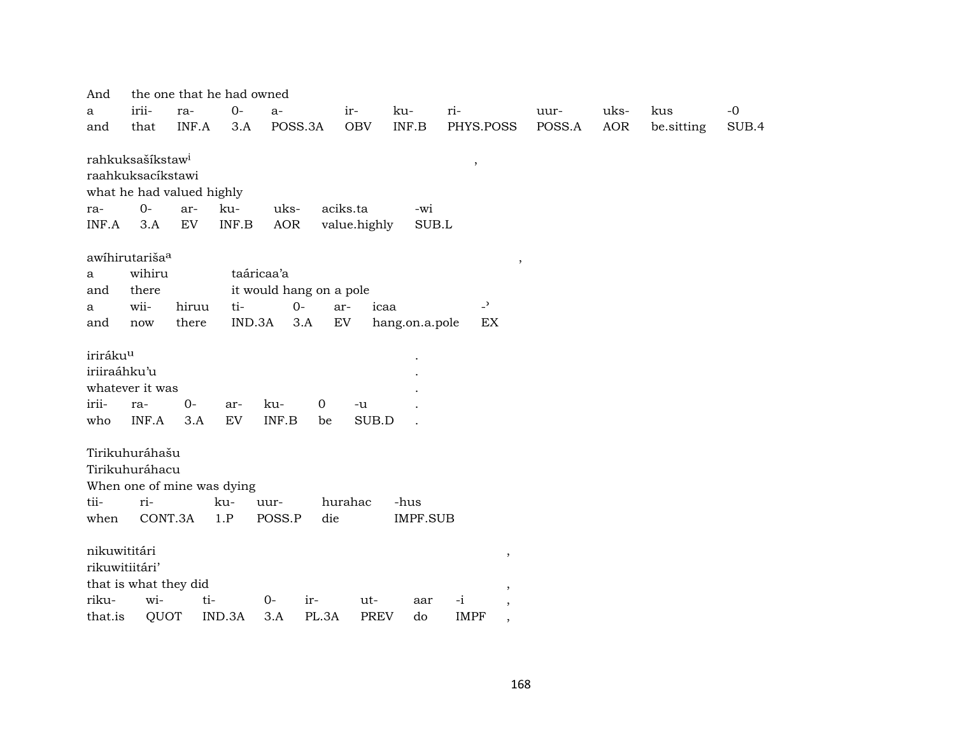| And                        |                              | the one that he had owned  |                         |              |                 |                                         |        |            |            |       |
|----------------------------|------------------------------|----------------------------|-------------------------|--------------|-----------------|-----------------------------------------|--------|------------|------------|-------|
| a                          | irii-<br>ra-                 | $0-$                       | $a-$                    | ir-          | ku-             | ri-                                     | uur-   | uks-       | kus        | $-0$  |
| and                        | that                         | INF.A<br>3.A               | POSS.3A                 | <b>OBV</b>   | INF.B           | PHYS.POSS                               | POSS.A | <b>AOR</b> | be.sitting | SUB.4 |
|                            |                              |                            |                         |              |                 |                                         |        |            |            |       |
|                            | rahkuksašíkstaw <sup>i</sup> |                            |                         |              |                 | $^\mathrm{,}$                           |        |            |            |       |
|                            | raahkuksacíkstawi            |                            |                         |              |                 |                                         |        |            |            |       |
|                            | what he had valued highly    |                            |                         |              |                 |                                         |        |            |            |       |
| ra-                        | $O -$<br>ar-                 | ku-                        | uks-                    | aciks.ta     | -wi             |                                         |        |            |            |       |
| INF.A                      | EV<br>3.A                    | $\textsf{INF}.\textsf{B}$  | <b>AOR</b>              | value.highly | SUB.L           |                                         |        |            |            |       |
|                            |                              |                            |                         |              |                 |                                         |        |            |            |       |
| awihirutariša <sup>a</sup> |                              |                            |                         |              |                 | $\,$                                    |        |            |            |       |
| a                          | wihiru                       |                            | taáricaa'a              |              |                 |                                         |        |            |            |       |
| and                        | there                        |                            | it would hang on a pole |              |                 |                                         |        |            |            |       |
| a                          | wii-                         | hiruu<br>ti-               | $0-$                    | ar-<br>icaa  |                 | $\overline{\phantom{0}}$                |        |            |            |       |
| and                        | there<br>now                 | IND.3A                     | 3.A                     | ${\rm EV}$   | hang.on.a.pole  | EX                                      |        |            |            |       |
|                            |                              |                            |                         |              |                 |                                         |        |            |            |       |
| iriráku <sup>u</sup>       |                              |                            |                         |              |                 |                                         |        |            |            |       |
| iriiraáhku'u               |                              |                            |                         |              |                 |                                         |        |            |            |       |
| whatever it was            |                              |                            |                         |              |                 |                                         |        |            |            |       |
| irii-                      | $0-$<br>ra-                  | ar-                        | ku-<br>$\mathbf 0$      | -u           |                 |                                         |        |            |            |       |
| who                        | INF.A                        | 3.A<br>EV                  | INF.B<br>be             | SUB.D        |                 |                                         |        |            |            |       |
|                            |                              |                            |                         |              |                 |                                         |        |            |            |       |
| Tirikuhuráhašu             |                              |                            |                         |              |                 |                                         |        |            |            |       |
| Tirikuhuráhacu             |                              |                            |                         |              |                 |                                         |        |            |            |       |
|                            |                              | When one of mine was dying |                         |              |                 |                                         |        |            |            |       |
| tii-                       | ri-                          | ku-                        | uur-                    | hurahac      | -hus            |                                         |        |            |            |       |
| when                       | CONT.3A                      | 1.P                        | POSS.P<br>die           |              | <b>IMPF.SUB</b> |                                         |        |            |            |       |
|                            |                              |                            |                         |              |                 |                                         |        |            |            |       |
| nikuwititári               |                              |                            |                         |              |                 | $\,$                                    |        |            |            |       |
| rikuwitiitári'             |                              |                            |                         |              |                 |                                         |        |            |            |       |
|                            | that is what they did        |                            |                         |              |                 | $\,$                                    |        |            |            |       |
| riku-                      | wi-                          | ti-                        | $0-$<br>ir-             | ut-          | aar             | $-i$<br>$\overline{\phantom{a}}$        |        |            |            |       |
| that.is                    | QUOT                         | IND.3A                     | PL.3A<br>3.A            | <b>PREV</b>  | do              | <b>IMPF</b><br>$\overline{\phantom{a}}$ |        |            |            |       |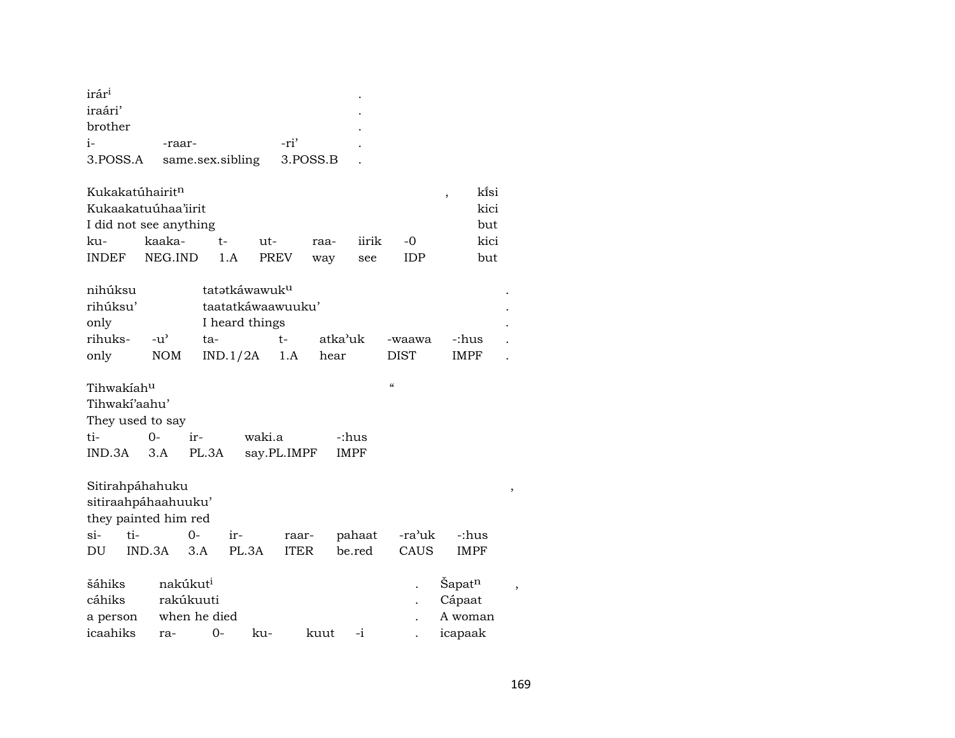| irár <sup>i</sup> |                                      |      | ٠ |
|-------------------|--------------------------------------|------|---|
| iraári'           |                                      |      | ٠ |
| brother           |                                      |      |   |
| $i-$              | -raar-                               | -ri' |   |
|                   | 3. POSS.A same.sex.sibling 3. POSS.B |      |   |

| Kukakatúhairit <sup>n</sup> |             |       |       |      |       |       |  | ki̇̃si |  |
|-----------------------------|-------------|-------|-------|------|-------|-------|--|--------|--|
| Kukaakatuúhaa'iirit         |             | kici  |       |      |       |       |  |        |  |
| I did not see anything      |             |       |       |      |       |       |  |        |  |
| ku-                         | kaaka-      | $+ -$ | $ut-$ | raa- | iirik | $-()$ |  | kici   |  |
| INDEF                       | NEG.IND 1.A |       | PREV  | way  | see   | TDP.  |  | but    |  |

|     |      |                                                                   |                   |             | $\bullet$ |  |  |  |
|-----|------|-------------------------------------------------------------------|-------------------|-------------|-----------|--|--|--|
|     |      |                                                                   |                   |             |           |  |  |  |
| ta- | $t-$ |                                                                   | -waawa            | -:hus       |           |  |  |  |
|     |      | hear                                                              | <b>DIST</b>       | <b>IMPF</b> |           |  |  |  |
|     |      | tatətkáwawuk <sup>u</sup><br>I heard things<br>NOM $IND.1/2A$ 1.A | taatatkáwaawuuku' | atka'uk     |           |  |  |  |

| Tihwakiah <sup>u</sup> |          |     |                  |       | $\epsilon$ |  |  |  |  |
|------------------------|----------|-----|------------------|-------|------------|--|--|--|--|
| Tihwaki'aahu'          |          |     |                  |       |            |  |  |  |  |
| They used to say       |          |     |                  |       |            |  |  |  |  |
| ti-                    | $\Omega$ | ir- | waki.a           | -:hus |            |  |  |  |  |
| IND.3A 3.A PL.3A       |          |     | say.PL.IMPF IMPF |       |            |  |  |  |  |

| Sitirahpáhahuku      |        |     |                      |       |             |      |        |        |                    | , |
|----------------------|--------|-----|----------------------|-------|-------------|------|--------|--------|--------------------|---|
| sitiraahpáhaahuuku'  |        |     |                      |       |             |      |        |        |                    |   |
| they painted him red |        |     |                      |       |             |      |        |        |                    |   |
| $\sin$               | ti-    |     | 0-                   | ir-   | raar-       |      | pahaat | -ra'uk | -:hus              |   |
| DU                   | IND.3A |     | 3.A                  | PL.3A | <b>ITER</b> |      | be.red | CAUS   | <b>IMPF</b>        |   |
|                      |        |     |                      |       |             |      |        |        |                    |   |
| šáhiks               |        |     | nakúkut <sup>i</sup> |       |             |      |        |        | Sapat <sup>n</sup> |   |
| cáhiks               |        |     | rakúkuuti            |       |             |      |        |        | Cápaat             |   |
| a person             |        |     | when he died         |       |             |      |        |        | A woman            |   |
| icaahiks             |        | ra- | 0-                   |       | ku-         | kuut | $-1$   |        | icapaak            |   |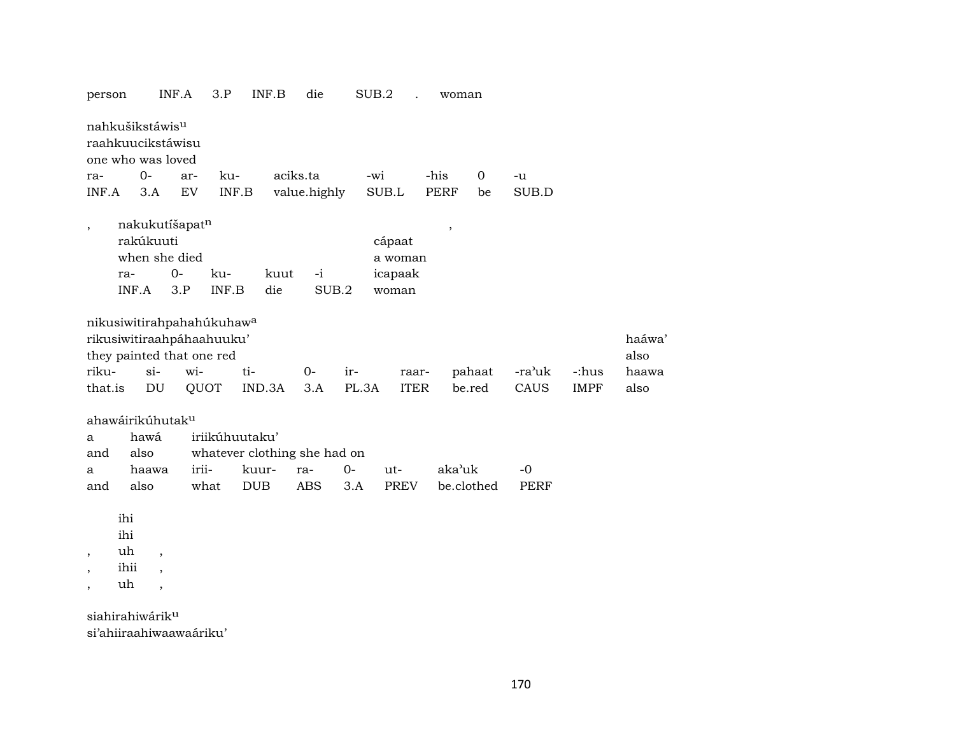| person                                    | INF.A                                                                                           | 3.P<br>INF.B                 | die           | SUB.2                                 | woman                    |             |             |               |
|-------------------------------------------|-------------------------------------------------------------------------------------------------|------------------------------|---------------|---------------------------------------|--------------------------|-------------|-------------|---------------|
| nahkušikstáwis <sup>u</sup>               | raahkuucikstáwisu<br>one who was loved                                                          |                              |               |                                       |                          |             |             |               |
| ra-                                       | $0-$<br>ar-                                                                                     | ku-                          | aciks.ta      | -wi                                   | -his<br>0                | -u          |             |               |
| INF.A                                     | $\mathop{\rm EV}\nolimits$<br>3.A                                                               | $\textsf{INF}.\textsf{B}$    | value.highly  | SUB.L                                 | <b>PERF</b><br>be        | SUB.D       |             |               |
| $\overline{\phantom{a}}$<br>ra-<br>INF.A  | nakukutíšapatn<br>rakúkuuti<br>when she died<br>$0 -$<br>3.P                                    | kuut<br>ku-<br>INF.B<br>die  | $-i$<br>SUB.2 | cápaat<br>a woman<br>icapaak<br>woman | $\overline{\phantom{a}}$ |             |             |               |
|                                           | nikusiwitirahpahahúkuhaw <sup>a</sup><br>rikusiwitiraahpáhaahuuku'<br>they painted that one red |                              |               |                                       |                          |             |             | haáwa<br>also |
| riku-                                     | $si-$<br>wi-                                                                                    | ti-                          | $0-$<br>ir-   | raar-                                 | pahaat                   | -ra'uk      | -:hus       | haawa         |
| that.is                                   | DU                                                                                              | QUOT<br>IND.3A               | 3.A           | PL.3A<br><b>ITER</b>                  | be.red                   | CAUS        | <b>IMPF</b> | also          |
|                                           | ahawáirikúhutak <sup>u</sup>                                                                    |                              |               |                                       |                          |             |             |               |
| а                                         | hawá                                                                                            | iriikúhuutaku'               |               |                                       |                          |             |             |               |
| and                                       | also                                                                                            | whatever clothing she had on |               |                                       |                          |             |             |               |
| a                                         | irii-<br>haawa                                                                                  | kuur-                        | $O -$<br>ra-  | $ut-$                                 | aka'uk                   | $-0$        |             |               |
| and                                       | also                                                                                            | what<br>DUB                  | <b>ABS</b>    | 3.A<br><b>PREV</b>                    | be.clothed               | <b>PERF</b> |             |               |
| ihi<br>ihi<br>uh<br>$^\mathrm{,}$<br>ihii | $\,$<br>$\overline{\phantom{a}}$                                                                |                              |               |                                       |                          |             |             |               |
| uh                                        | $\overline{\phantom{a}}$                                                                        |                              |               |                                       |                          |             |             |               |
| siahirahiwárik <sup>u</sup>               |                                                                                                 |                              |               |                                       |                          |             |             |               |

si'ahiiraahiwaawaáriku'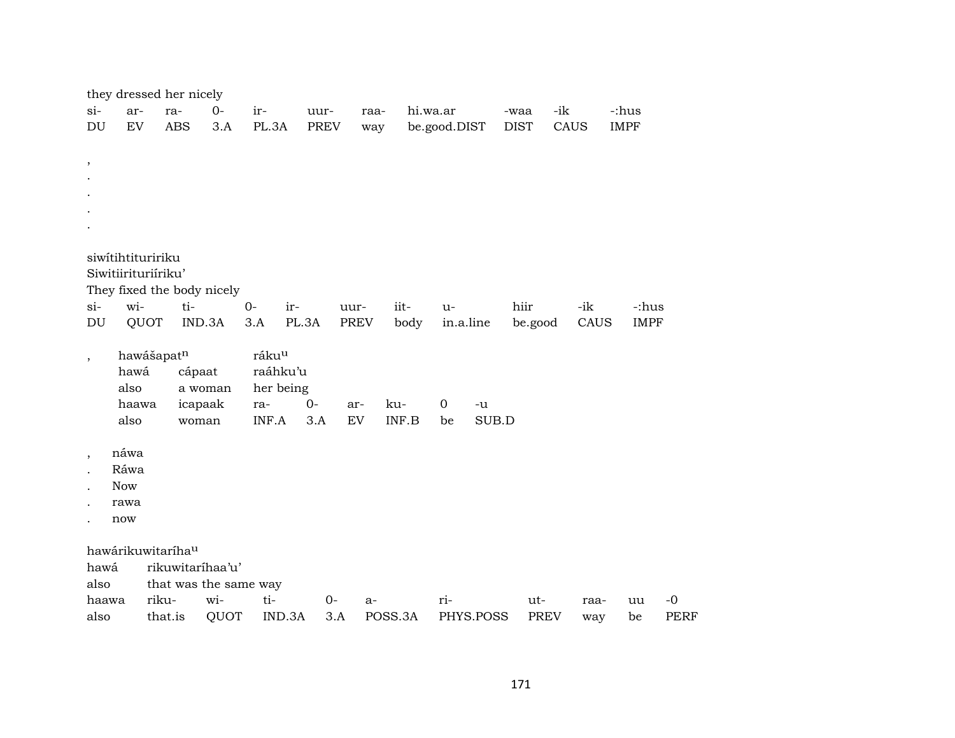|                      |               |                               | they dressed her nicely    |      |              |       |      |             |              |                  |             |             |             |      |             |                     |
|----------------------|---------------|-------------------------------|----------------------------|------|--------------|-------|------|-------------|--------------|------------------|-------------|-------------|-------------|------|-------------|---------------------|
| si-                  | ar-           | ra-                           | $0-$                       |      | ir-          | uur-  |      | raa-        | hi.wa.ar     |                  |             | -waa        | -ik         |      | -:hus       |                     |
| DU                   | EV            | <b>ABS</b>                    |                            | 3.A  | PL.3A        |       | PREV | way         |              | be.good.DIST     |             | <b>DIST</b> |             | CAUS | <b>IMPF</b> |                     |
|                      |               |                               |                            |      |              |       |      |             |              |                  |             |             |             |      |             |                     |
| $\, ,$               |               |                               |                            |      |              |       |      |             |              |                  |             |             |             |      |             |                     |
|                      |               |                               |                            |      |              |       |      |             |              |                  |             |             |             |      |             |                     |
|                      |               |                               |                            |      |              |       |      |             |              |                  |             |             |             |      |             |                     |
|                      |               |                               |                            |      |              |       |      |             |              |                  |             |             |             |      |             |                     |
|                      |               |                               |                            |      |              |       |      |             |              |                  |             |             |             |      |             |                     |
|                      |               | siwitihtituririku             |                            |      |              |       |      |             |              |                  |             |             |             |      |             |                     |
|                      |               | Siwitiirituriíriku'           |                            |      |              |       |      |             |              |                  |             |             |             |      |             |                     |
|                      |               |                               | They fixed the body nicely |      |              |       |      |             |              |                  |             |             |             |      |             |                     |
| $si-$                | wi-           |                               | ti-                        |      | $0-$         | ir-   | uur- |             | iit-         | $u-$             |             | hiir        |             | -ik  | -:hus       |                     |
| DU                   | QUOT          |                               | IND.3A                     |      | 3.A          | PL.3A |      | <b>PREV</b> | body         | in.a.line        |             |             | be.good     | CAUS | <b>IMPF</b> |                     |
|                      |               |                               |                            |      |              |       |      |             |              |                  |             |             |             |      |             |                     |
| $\, ,$               |               | hawášapatn                    |                            |      | rákuu        |       |      |             |              |                  |             |             |             |      |             |                     |
|                      | hawá          |                               | cápaat                     |      | raáhku'u     |       |      |             |              |                  |             |             |             |      |             |                     |
|                      | also          |                               | a woman                    |      | her being    | $0-$  |      |             |              | $\boldsymbol{0}$ |             |             |             |      |             |                     |
|                      | haawa<br>also |                               | icapaak<br>woman           |      | ra-<br>INF.A | 3.A   |      | ar-<br>EV   | ku-<br>INF.B | be               | -u<br>SUB.D |             |             |      |             |                     |
|                      |               |                               |                            |      |              |       |      |             |              |                  |             |             |             |      |             |                     |
| $\, ,$               | náwa          |                               |                            |      |              |       |      |             |              |                  |             |             |             |      |             |                     |
| $\cdot$              | Ráwa          |                               |                            |      |              |       |      |             |              |                  |             |             |             |      |             |                     |
|                      | <b>Now</b>    |                               |                            |      |              |       |      |             |              |                  |             |             |             |      |             |                     |
|                      | rawa          |                               |                            |      |              |       |      |             |              |                  |             |             |             |      |             |                     |
| $\ddot{\phantom{0}}$ | now           |                               |                            |      |              |       |      |             |              |                  |             |             |             |      |             |                     |
|                      |               |                               |                            |      |              |       |      |             |              |                  |             |             |             |      |             |                     |
|                      |               | hawárikuwitaríha <sup>u</sup> |                            |      |              |       |      |             |              |                  |             |             |             |      |             |                     |
| hawá                 |               |                               | rikuwitaríhaa'u'           |      |              |       |      |             |              |                  |             |             |             |      |             |                     |
| also                 |               |                               | that was the same way      |      |              |       |      |             |              |                  |             |             |             |      |             |                     |
| haawa                |               | riku-                         | wi-                        |      | ti-          |       | $0-$ | a-          |              | ri-              |             |             | ut-         | raa- | uu          | $-0$<br><b>PERF</b> |
| also                 |               | that.is                       |                            | QUOT | IND.3A       |       | 3.A  |             | POSS.3A      |                  | PHYS.POSS   |             | <b>PREV</b> | way  | be          |                     |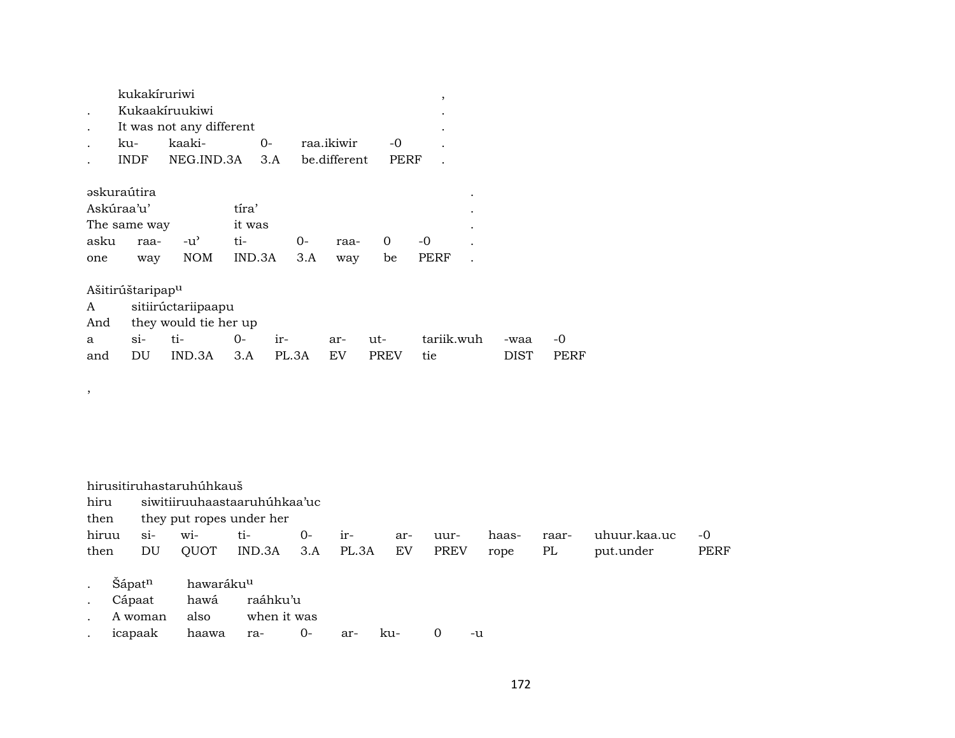| kukakíruriwi |                             |      |            |      |   |
|--------------|-----------------------------|------|------------|------|---|
|              | Kukaakíruukiwi              |      |            |      |   |
|              | It was not any different    |      |            |      | ٠ |
| ku-          | kaaki-                      | $O-$ | raa.ikiwir | -0   |   |
| INDE.        | NEG.IND.3A 3.A be.different |      |            | PERF |   |
|              |                             |      |            |      |   |

| əskuraútira   |  |                        |        |         |  |
|---------------|--|------------------------|--------|---------|--|
| Askúraa'u'    |  | tira'                  |        |         |  |
| The same way  |  | it was                 |        |         |  |
| asku raa- -u' |  | ti- O-                 | raa- 0 | $-()$   |  |
| one           |  | way NOM IND.3A 3.A way |        | be PERF |  |

Ašitirúštaripapµ

,

|                           | A sitiirúctariipaapu                |  |  |  |  |                                                |      |             |  |
|---------------------------|-------------------------------------|--|--|--|--|------------------------------------------------|------|-------------|--|
| And they would tie her up |                                     |  |  |  |  |                                                |      |             |  |
|                           |                                     |  |  |  |  | a si- ti-  0- ir-  ar- ut-  tariik.wuh -waa -0 |      |             |  |
|                           | and DU IND.3A 3.A PL.3A EV PREV tie |  |  |  |  |                                                | DIST | <b>PERF</b> |  |

hirusitiruhastaruhúhkauš hiru siwitiiruuhaastaaruhúhkaa'uc<br>then they put ropes under her then they put ropes under her<br>hiruu si- wi-<br>tiwi- ti- 0- ir- ar- uur- haas- raar- uhuur.kaa.uc -0 then DU QUOT IND.3A 3.A PL.3A EV PREV rope PL put.under PERF . Šápat<sup>n</sup> hawaráku<sup>u</sup> . Cápaat hawá raáhku'u . A woman also when it was . icapaak haawa ra- 0- ar- ku- 0 -u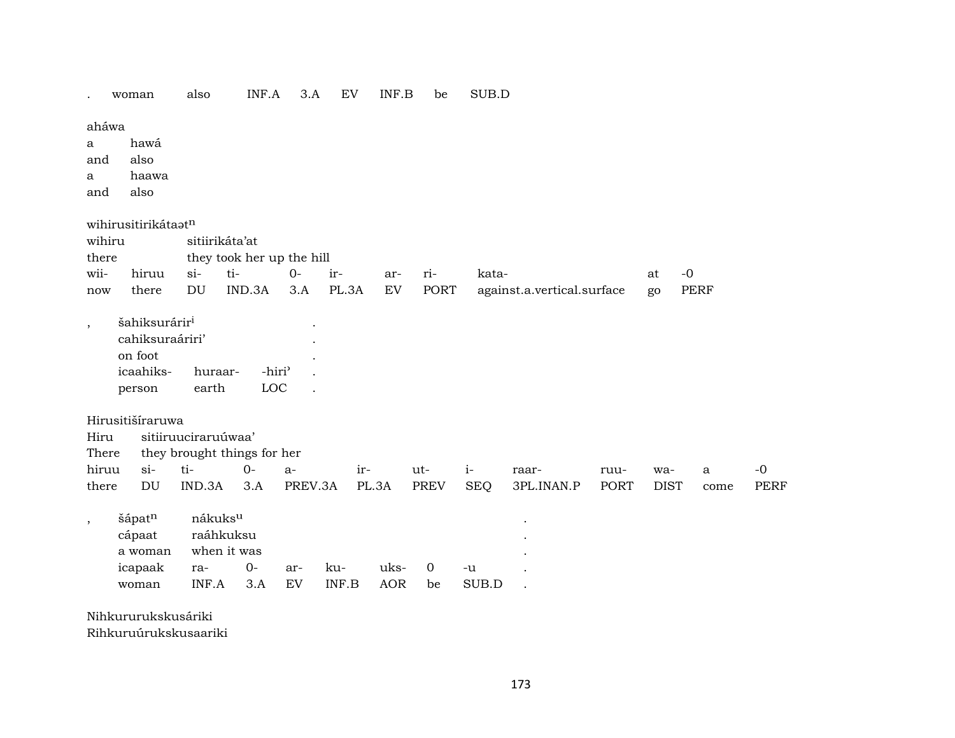|  | woman | lso | -- --<br>'N<br>H | בזי | $\mathbf{L}$<br> | 'N<br>P | be |  |
|--|-------|-----|------------------|-----|------------------|---------|----|--|
|--|-------|-----|------------------|-----|------------------|---------|----|--|

aháwa

a hawá

and also

a haawa

and also

wihirusitirikáta $\mathbf{t}^n$ 

|        | <u>waan asich hiddeed</u> |                           |                           |      |       |     |       |                                                     |       |      |  |  |
|--------|---------------------------|---------------------------|---------------------------|------|-------|-----|-------|-----------------------------------------------------|-------|------|--|--|
| wihiru |                           |                           | sitiirikáta'at            |      |       |     |       |                                                     |       |      |  |  |
| there  |                           |                           | they took her up the hill |      |       |     |       |                                                     |       |      |  |  |
| wii-   | hiruu                     | $\mathbf{S}$ $\mathbf{I}$ | $ti-$                     | $O-$ | $ir-$ | ar- | $ri-$ | kata-                                               | at    | $-0$ |  |  |
| now    | there                     | DU                        |                           |      |       |     |       | IND.3A 3.A PL.3A EV PORT against.a.vertical.surface | $g_0$ | PERF |  |  |
|        |                           |                           |                           |      |       |     |       |                                                     |       |      |  |  |

, šahiksurárir³ . cahiksuraáriri' . on foot . icaahiks- huraar- -hiri" . person earth LOC .

Hirusitišíraruwa

Hiru sitiiruuciraruúwaa'

There they brought things for her

|  |  |  |  |                                                                           | ruu- wa- a -0 |  |  |
|--|--|--|--|---------------------------------------------------------------------------|---------------|--|--|
|  |  |  |  | there DU IND.3A 3.A PREV.3A PL.3A PREV SEO 3PL.INAN.P PORT DIST come PERF |               |  |  |

| šápat <sup>n</sup> | nákuks <sup>u</sup> |  |  |           |        |    |       |  |  |  |
|--------------------|---------------------|--|--|-----------|--------|----|-------|--|--|--|
| cápaat             | raáhkuksu           |  |  |           |        |    |       |  |  |  |
| a woman            | when it was         |  |  |           |        |    |       |  |  |  |
| icapaak            |                     |  |  |           | uks- 0 |    | $-u$  |  |  |  |
| woman              | INF.A 3.A EV        |  |  | INF.B AOR |        | be | SUB.D |  |  |  |

Nihkururukskusáriki

Rihkuruúrukskusaariki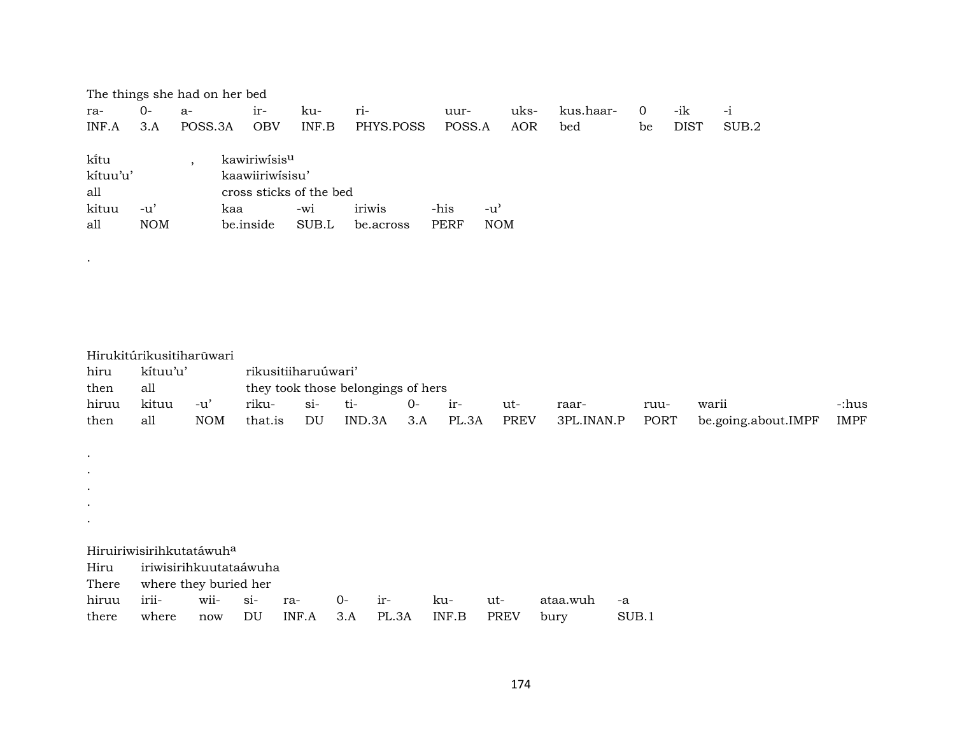|          | The things she had on her bed |         |                         |       |           |        |            |           |    |             |       |  |
|----------|-------------------------------|---------|-------------------------|-------|-----------|--------|------------|-----------|----|-------------|-------|--|
| ra-      | 0-                            | $a-$    | $ir-$                   | ku-   | $ri-$     | uur-   | uks-       | kus.haar- | 0  | -ik         | $-1$  |  |
| INF.A    | 3.A                           | POSS.3A | <b>OBV</b>              | INF.B | PHYS.POSS | POSS.A | AOR        | bed       | be | <b>DIST</b> | SUB.2 |  |
|          |                               |         |                         |       |           |        |            |           |    |             |       |  |
| ki̇̃tu   |                               |         | kawiriwisisu            |       |           |        |            |           |    |             |       |  |
| kítuu'u' |                               |         | kaawiiriwisisu'         |       |           |        |            |           |    |             |       |  |
| all      |                               |         | cross sticks of the bed |       |           |        |            |           |    |             |       |  |
| kituu    | -u'                           |         | kaa                     | $-W1$ | iriwis    | -his   | -u'        |           |    |             |       |  |
| all      | <b>NOM</b>                    |         | be.inside               | SUB.L | be.across | PERF   | <b>NOM</b> |           |    |             |       |  |

.

| hiru<br>then | Hirukitúrikusitiharūwari<br>kítuu'u'<br>all |            |                            | rikusitiiharuúwari' |        | they took those belongings of hers |       |             |            |       |                     |             |
|--------------|---------------------------------------------|------------|----------------------------|---------------------|--------|------------------------------------|-------|-------------|------------|-------|---------------------|-------------|
| hiruu        | kituu                                       | $-u'$      | riku-                      | $si$ -              | ti-    | $0-$                               | ir-   | ut-         | raar-      | ruu-  | warii               | -:hus       |
| then         | all                                         | <b>NOM</b> | that.is                    | DU                  | IND.3A | 3.A                                | PL.3A | <b>PREV</b> | 3PL.INAN.P | PORT  | be.going.about.IMPF | <b>IMPF</b> |
|              |                                             |            |                            |                     |        |                                    |       |             |            |       |                     |             |
| $\bullet$    |                                             |            |                            |                     |        |                                    |       |             |            |       |                     |             |
| $\bullet$    |                                             |            |                            |                     |        |                                    |       |             |            |       |                     |             |
| $\bullet$    |                                             |            |                            |                     |        |                                    |       |             |            |       |                     |             |
| $\bullet$    |                                             |            |                            |                     |        |                                    |       |             |            |       |                     |             |
| $\bullet$    |                                             |            |                            |                     |        |                                    |       |             |            |       |                     |             |
|              | Hiruiriwisirihkutatáwuh <sup>a</sup>        |            |                            |                     |        |                                    |       |             |            |       |                     |             |
| Hiru         | iriwisirihkuutataáwuha                      |            |                            |                     |        |                                    |       |             |            |       |                     |             |
| There        | where they buried her                       |            |                            |                     |        |                                    |       |             |            |       |                     |             |
| hiruu        | irii-                                       | wii-       | $si-$                      | ra-                 | $O -$  | ir-                                | ku-   | ut-         | ataa.wuh   | -a    |                     |             |
| there        | where                                       | now        | $\mathop{\rm DU}\nolimits$ | INF.A               | 3.A    | PL.3A                              | INF.B | <b>PREV</b> | bury       | SUB.1 |                     |             |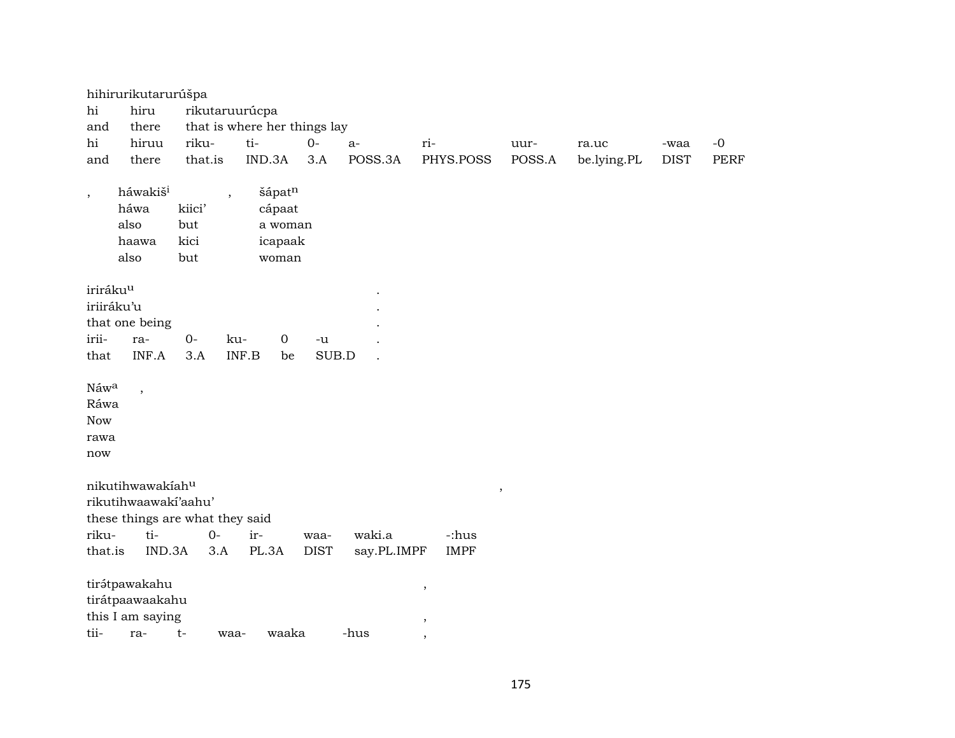|                                           | hihirurikutarurúšpa                                         |                                                          |                                                 |             |             |                                  |                     |             |             |      |
|-------------------------------------------|-------------------------------------------------------------|----------------------------------------------------------|-------------------------------------------------|-------------|-------------|----------------------------------|---------------------|-------------|-------------|------|
| hi                                        | hiru                                                        | rikutaruurúcpa                                           |                                                 |             |             |                                  |                     |             |             |      |
| and                                       | there                                                       |                                                          | that is where her things lay                    |             |             |                                  |                     |             |             |      |
| hi                                        | hiruu                                                       | riku-                                                    | ti-                                             | $O -$       | $a-$        | ri-                              | uur-                | ra.uc       | -waa        | $-0$ |
| and                                       | there                                                       | that.is                                                  | IND.3A                                          | 3.A         | POSS.3A     | PHYS.POSS                        | POSS.A              | be.lying.PL | <b>DIST</b> | PERF |
| $\overline{\phantom{a}}$                  | háwakiš <sup>i</sup><br>háwa<br>also<br>haawa<br>also       | $\overline{\phantom{a}}$<br>kiici'<br>but<br>kici<br>but | šápatn<br>cápaat<br>a woman<br>icapaak<br>woman |             |             |                                  |                     |             |             |      |
| iriráku <sup>u</sup>                      |                                                             |                                                          |                                                 |             |             |                                  |                     |             |             |      |
|                                           | iriiráku'u                                                  |                                                          |                                                 |             |             |                                  |                     |             |             |      |
|                                           | that one being                                              |                                                          |                                                 |             |             |                                  |                     |             |             |      |
| irii-                                     | ra-                                                         | $0-$                                                     | ku-<br>$\mathbf 0$                              | -u          |             |                                  |                     |             |             |      |
| that                                      | INF.A                                                       | 3.A                                                      | INF.B<br>be                                     | SUB.D       |             |                                  |                     |             |             |      |
| Náwa<br>Ráwa<br><b>Now</b><br>rawa<br>now | $\overline{\phantom{a}}$                                    |                                                          |                                                 |             |             |                                  |                     |             |             |      |
|                                           | nikutihwawakiahu                                            |                                                          |                                                 |             |             |                                  |                     |             |             |      |
|                                           | rikutihwaawaki'aahu'                                        |                                                          |                                                 |             |             |                                  | $\pmb{\mathcal{I}}$ |             |             |      |
|                                           |                                                             | these things are what they said                          |                                                 |             |             |                                  |                     |             |             |      |
| riku-                                     | ti-                                                         | $0-$                                                     | ir-                                             | waa-        | waki.a      | -:hus                            |                     |             |             |      |
| that.is                                   | IND.3A                                                      | 3.A                                                      | PL.3A                                           | <b>DIST</b> | say.PL.IMPF | <b>IMPF</b>                      |                     |             |             |      |
| tii-                                      | tirátpawakahu<br>tirátpaawaakahu<br>this I am saying<br>ra- | $t-$<br>waa-                                             | waaka                                           |             | -hus        | $\,$<br>$\overline{\phantom{a}}$ |                     |             |             |      |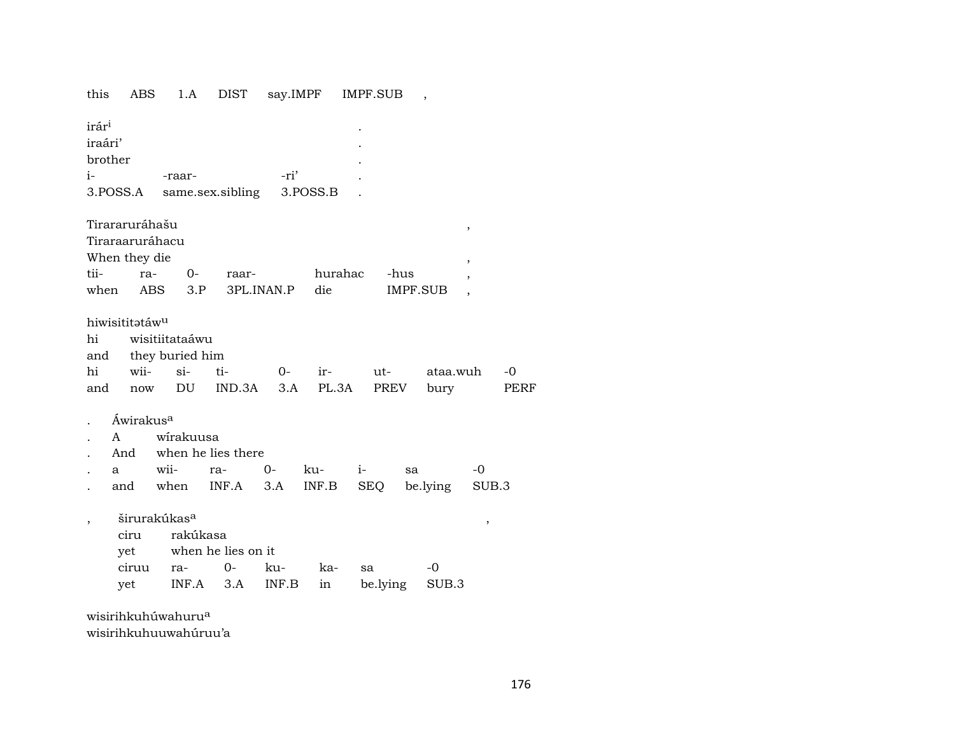1.A DIST say.IMPF IMPF.SUB this ABS  $\overline{\phantom{a}}$ irár<sup>i</sup> iraári' brother  $i-$ -ri' -raar-3.POSS.A same.sex.sibling 3.POSS.B Tirararuráhašu  $\overline{\phantom{a}}$ Tiraraaruráhacu When they die  $\cdot$ tii- $0$ raraarhurahac -hus when IMPF.SUB ABS  $3.P$ 3PL.INAN.P die  $\overline{\phantom{a}}$ hiwisititatáw<sup>u</sup> wisitiitataáwu hi they buried him and hi wii $si$ ti- $0$ irutataa.wuh  $-0$ DU IND.3A  $3.A$ PL.3A **PREV** bury **PERF** now and Áwirakus<sup>a</sup>  $\cdot$ wirakuusa  $\mathbf{A}$  $\mathbf{r}$ And when he lies there  $O -0$ wiiraku $i$ sa a INF.B SEQ be.lying SUB.3 and when INF.A  $3.A$ širurakúkas<sup>a</sup>  $\cdot$  $\,$ ciru rakúkasa when he lies on it yet ciruu ra- $0$ kuka- $-0$ sa be.lying yet  $INF.A$  3.A INF.B in SUB.3

wisirihkuhúwahuru<sup>a</sup> wisirihkuhuuwahúruu'a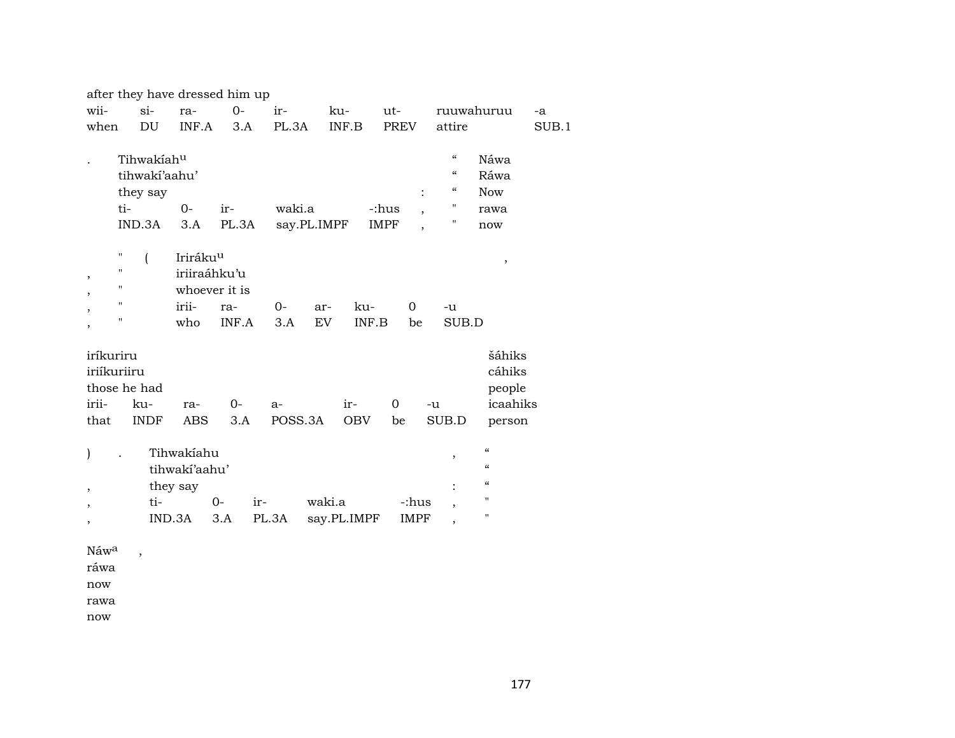|                  |                       |                      | after they have dressed him up |         |                    |                                         |                          |                    |  |
|------------------|-----------------------|----------------------|--------------------------------|---------|--------------------|-----------------------------------------|--------------------------|--------------------|--|
| wii-             | $si-$                 | ra-                  | $O -$                          | ir-     | ku-                | ut-                                     |                          | ruuwahuruu<br>-a   |  |
| when             | DU                    | INF.A                | 3.A                            | PL.3A   | INF.B              | <b>PREV</b>                             | attire                   | SUB.1              |  |
|                  | Tihwakiahu            |                      |                                |         |                    |                                         | $\mathcal{C}\mathcal{C}$ | Náwa               |  |
|                  | tihwakí'aahu'         |                      |                                |         |                    |                                         | $\epsilon$               | Ráwa               |  |
|                  |                       |                      |                                |         |                    |                                         | $\mathcal{C}\mathcal{C}$ | <b>Now</b>         |  |
|                  | they say<br>ti-       | $0 -$                |                                | waki.a  |                    | -:hus                                   | "                        |                    |  |
|                  |                       |                      | ir-                            |         |                    | $\overline{ }$                          | $\pmb{\mathsf{H}}$       | rawa               |  |
|                  | IND.3A                | 3.A                  | PL.3A                          |         | say.PL.IMPF        | <b>IMPF</b><br>$\overline{\phantom{a}}$ |                          | now                |  |
|                  | П<br>$\overline{(\ }$ | Iriráku <sup>u</sup> |                                |         |                    |                                         |                          | ,                  |  |
| ,                | "                     | iriiraáhku'u         |                                |         |                    |                                         |                          |                    |  |
|                  | "                     |                      | whoever it is                  |         |                    |                                         |                          |                    |  |
|                  | п                     | irii-                | ra-                            | $0-$    | ku-<br>ar-         | $\mathbf 0$                             | -u                       |                    |  |
|                  | "                     | who                  | INF.A                          | 3.A     | <b>EV</b><br>INF.B | be                                      | SUB.D                    |                    |  |
| ,                |                       |                      |                                |         |                    |                                         |                          |                    |  |
| iríkuriru        |                       |                      |                                |         |                    |                                         |                          | šáhiks             |  |
| iriíkuriiru      |                       |                      |                                |         |                    |                                         |                          | cáhiks             |  |
|                  | those he had          |                      |                                |         |                    |                                         |                          | people             |  |
| irii-            | ku-                   | ra-                  | $0-$                           | $a-$    | ir-                | $\Omega$                                | -u                       | icaahiks           |  |
| that             | <b>INDF</b>           | <b>ABS</b>           | 3.A                            | POSS.3A | <b>OBV</b>         | be                                      | SUB.D                    | person             |  |
|                  |                       |                      |                                |         |                    |                                         |                          |                    |  |
| )                |                       | Tihwakiahu           |                                |         |                    |                                         | ,                        | $\epsilon\epsilon$ |  |
|                  |                       | tihwakí'aahu'        |                                |         |                    |                                         |                          | $\epsilon$         |  |
| ,                |                       | they say             |                                |         |                    |                                         |                          | $\epsilon$         |  |
| ,                | ti-                   |                      | $0-$<br>ir-                    |         | waki.a             | -:hus                                   | $\overline{\phantom{a}}$ | $\mathbf{H}$       |  |
|                  |                       | IND.3A               | 3.A                            | PL.3A   | say.PL.IMPF        | IMPF                                    |                          | 11                 |  |
| ,                |                       |                      |                                |         |                    |                                         |                          |                    |  |
| Náw <sup>a</sup> | $\,$                  |                      |                                |         |                    |                                         |                          |                    |  |

ráwa

now

rawa

now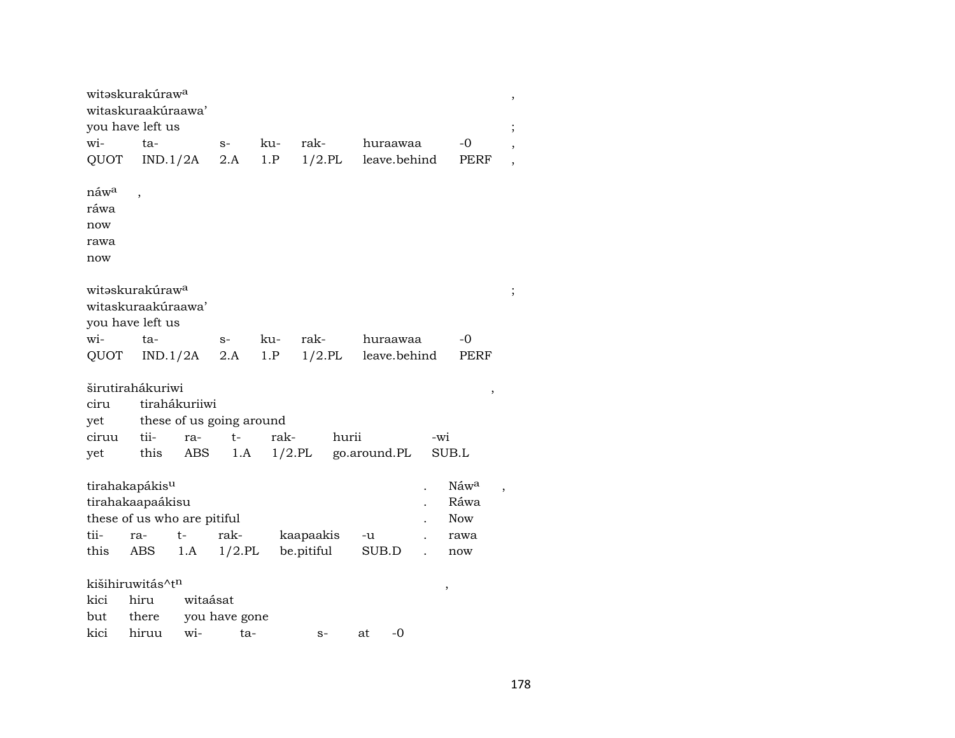|                  | witəskurakúraw <sup>a</sup><br>witaskuraakúraawa' |                          |               |      |            |           |              |     |                          | ,              |
|------------------|---------------------------------------------------|--------------------------|---------------|------|------------|-----------|--------------|-----|--------------------------|----------------|
|                  | you have left us                                  |                          |               |      |            |           |              |     |                          | $\, ,$         |
| wi-              | ta-                                               |                          | $S-$          | ku-  | rak-       |           | huraawaa     |     | -0                       |                |
| QUOT             |                                                   | IND.1/2A                 | 2.A           | 1.P  | $1/2$ .PL  |           | leave.behind |     | PERF                     |                |
| náw <sup>a</sup> |                                                   |                          |               |      |            |           |              |     |                          |                |
| ráwa             |                                                   |                          |               |      |            |           |              |     |                          |                |
| now              |                                                   |                          |               |      |            |           |              |     |                          |                |
| rawa             |                                                   |                          |               |      |            |           |              |     |                          |                |
| now              |                                                   |                          |               |      |            |           |              |     |                          |                |
|                  | witəskurakúraw <sup>a</sup>                       |                          |               |      |            |           |              |     |                          | ;              |
|                  | witaskuraakúraawa'                                |                          |               |      |            |           |              |     |                          |                |
|                  | you have left us                                  |                          |               |      |            |           |              |     |                          |                |
| wi-              | ta-                                               |                          | $S-$          | ku-  | rak-       |           | huraawaa     |     | -0                       |                |
| QUOT             |                                                   | IND.1/2A                 | 2.A           | 1.P  |            | $1/2$ .PL | leave.behind |     | PERF                     |                |
|                  | širutirahákuriwi                                  |                          |               |      |            |           |              |     | $\overline{\phantom{a}}$ |                |
| ciru             |                                                   | tirahákuriiwi            |               |      |            |           |              |     |                          |                |
| yet              |                                                   | these of us going around |               |      |            |           |              |     |                          |                |
| ciruu            | tii-                                              | ra-                      | $t-$          | rak- |            | hurii     |              | -wi |                          |                |
| yet              | this                                              | ABS                      | 1.A           |      | $1/2$ .PL  |           | go.around.PL |     | SUB.L                    |                |
|                  | tirahakapákis <sup>u</sup>                        |                          |               |      |            |           |              |     | Náwa                     | $\overline{ }$ |
|                  | tirahakaapaákisu                                  |                          |               |      |            |           |              |     | Ráwa                     |                |
|                  | these of us who are pitiful                       |                          |               |      |            |           |              |     | <b>Now</b>               |                |
| tii-             | ra-                                               | t-                       | rak-          |      | kaapaakis  |           | -u           |     | rawa                     |                |
| this             | ABS                                               | 1.A                      | $1/2$ .PL     |      | be.pitiful |           | SUB.D        |     | now                      |                |
|                  | kišihiruwitás^t <sup>n</sup>                      |                          |               |      |            |           |              | ,   |                          |                |
| kici             | hiru                                              | witaásat                 |               |      |            |           |              |     |                          |                |
| but              | there                                             |                          | you have gone |      |            |           |              |     |                          |                |
| kici             | hiruu                                             | wi-                      | ta-           |      | $S-$       |           | -0<br>at     |     |                          |                |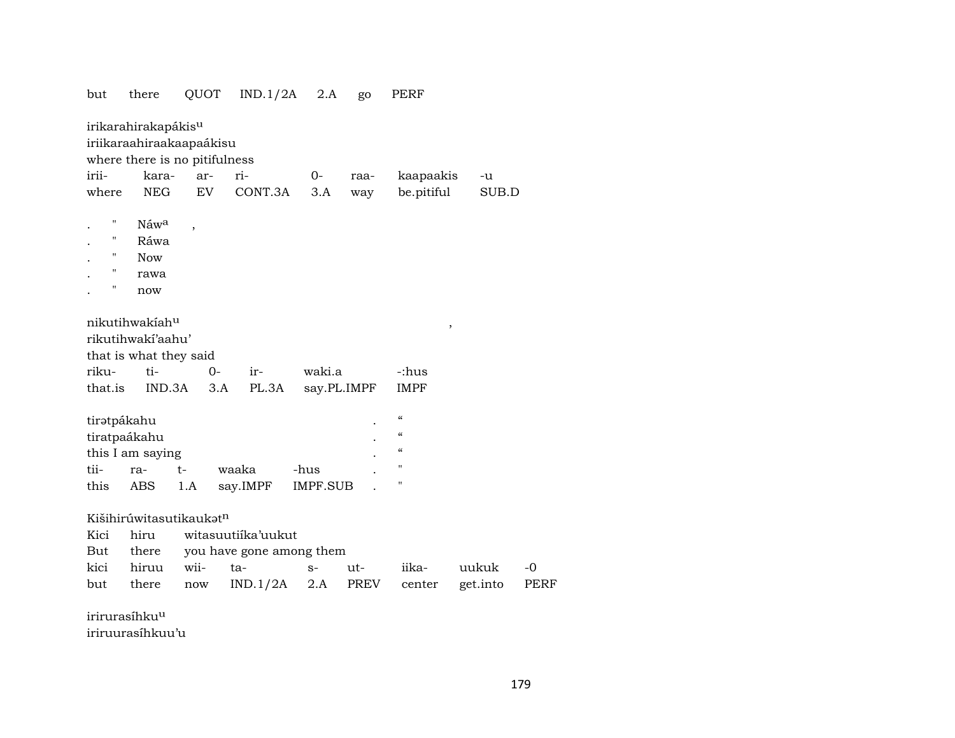| but          | there                           | QUOT                     | IND.1/2A                 | 2.A             | go   | <b>PERF</b>                            |          |             |
|--------------|---------------------------------|--------------------------|--------------------------|-----------------|------|----------------------------------------|----------|-------------|
|              | irikarahirakapákis <sup>u</sup> |                          |                          |                 |      |                                        |          |             |
|              | iriikaraahiraakaapaákisu        |                          |                          |                 |      |                                        |          |             |
|              | where there is no pitifulness   |                          |                          |                 |      |                                        |          |             |
| irii-        | kara-                           | ar-                      | ri-                      | 0-              | raa- | kaapaakis                              | -u       |             |
| where        | <b>NEG</b>                      | EV                       | CONT.3A                  | 3.A             | way  | be.pitiful                             | SUB.D    |             |
|              |                                 |                          |                          |                 |      |                                        |          |             |
| п            | Náw <sup>a</sup>                | $\overline{\phantom{a}}$ |                          |                 |      |                                        |          |             |
| п            | Ráwa                            |                          |                          |                 |      |                                        |          |             |
| п            | <b>Now</b>                      |                          |                          |                 |      |                                        |          |             |
| 11           | rawa                            |                          |                          |                 |      |                                        |          |             |
| 11           | now                             |                          |                          |                 |      |                                        |          |             |
|              | nikutihwakíah <sup>u</sup>      |                          |                          |                 |      |                                        |          |             |
|              | rikutihwakí'aahu'               |                          |                          |                 |      | $\, ,$                                 |          |             |
|              | that is what they said          |                          |                          |                 |      |                                        |          |             |
| riku-        | ti-                             | $O -$                    | ir-                      | waki.a          |      | -:hus                                  |          |             |
| that.is      | IND.3A                          | 3.A                      | PL.3A                    | say.PL.IMPF     |      | <b>IMPF</b>                            |          |             |
|              |                                 |                          |                          |                 |      |                                        |          |             |
| tiratpákahu  |                                 |                          |                          |                 |      | $\boldsymbol{\zeta}\boldsymbol{\zeta}$ |          |             |
| tiratpaákahu |                                 |                          |                          |                 |      | $\epsilon$                             |          |             |
|              | this I am saying                |                          |                          |                 |      | $\epsilon$                             |          |             |
| tii-         | ra-                             | t-                       | waaka                    | -hus            |      | п                                      |          |             |
| this         | <b>ABS</b>                      | 1.A                      | say.IMPF                 | <b>IMPF.SUB</b> |      | Н                                      |          |             |
|              |                                 |                          |                          |                 |      |                                        |          |             |
|              | Kišihirúwitasutikaukatn         |                          |                          |                 |      |                                        |          |             |
| Kici         | hiru                            |                          | witasuutiika'uukut       |                 |      |                                        |          |             |
| But          | there                           |                          | you have gone among them |                 |      |                                        |          |             |
| kici         | hiruu                           | wii-                     | ta-                      | $S-$            | ut-  | iika-                                  | uukuk    | $-0$        |
| but          | there                           | now                      | IND.1/2A                 | 2.A             | PREV | center                                 | get.into | <b>PERF</b> |
|              |                                 |                          |                          |                 |      |                                        |          |             |

irirurasíhkuµ iriruurasíhkuu'u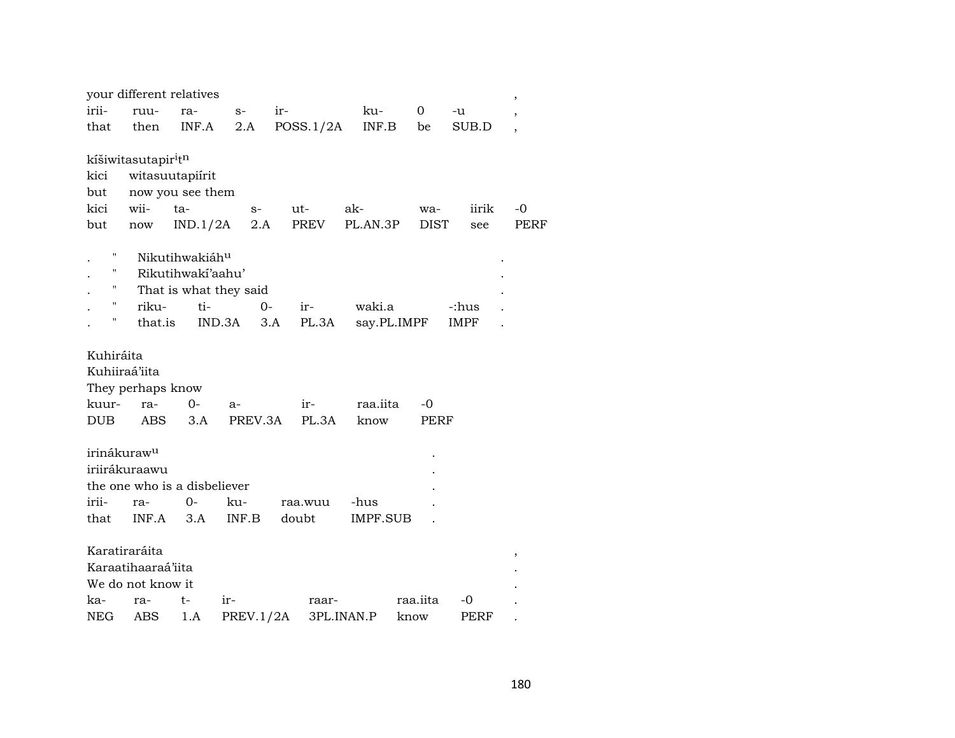|                         | your different relatives                    |                              |                        |              |                 |             |             | ,              |
|-------------------------|---------------------------------------------|------------------------------|------------------------|--------------|-----------------|-------------|-------------|----------------|
| irii-                   | ruu-                                        | ra-                          | $S-$                   | ir-          | ku-             | 0           | -u          | $\overline{ }$ |
| that                    | then                                        | INF.A                        | 2.A                    | POSS.1/2A    | INF.B           | be          | SUB.D       | $\overline{ }$ |
|                         |                                             |                              |                        |              |                 |             |             |                |
|                         | kíšiwitasutapir <sup>i</sup> t <sup>n</sup> |                              |                        |              |                 |             |             |                |
| kici                    | witasuutapiirit                             |                              |                        |              |                 |             |             |                |
| but                     |                                             | now you see them             |                        |              |                 |             |             |                |
| kici                    | wii-                                        | ta-                          | $S-$                   | ut-          | ak-             | wa-         | iirik       | $-0$           |
| but                     | $\operatorname{now}$                        | IND.1/2A                     | 2.A                    | PREV         | PL.AN.3P        | <b>DIST</b> | see         | PERF           |
| Ħ                       |                                             | Nikutihwakiáhu               |                        |              |                 |             |             |                |
| 11                      |                                             | Rikutihwakí'aahu'            |                        |              |                 |             |             |                |
| 11                      |                                             |                              | That is what they said |              |                 |             |             |                |
| н.                      | riku-                                       | ti-                          | $0-$                   | ir-          | waki.a          |             | -:hus       |                |
| П                       | that.is                                     | IND.3A                       |                        | 3.A<br>PL.3A |                 | say.PL.IMPF | <b>IMPF</b> |                |
|                         |                                             |                              |                        |              |                 |             |             |                |
| Kuhiráita               |                                             |                              |                        |              |                 |             |             |                |
| Kuhiiraá'iita           |                                             |                              |                        |              |                 |             |             |                |
|                         | They perhaps know                           |                              |                        |              |                 |             |             |                |
| kuur-                   | ra-                                         | 0-                           | $a-$                   | ir-          | raa.iita        | -0          |             |                |
| <b>DUB</b>              | <b>ABS</b>                                  | 3.A                          | PREV.3A                | PL.3A        | know            | PERF        |             |                |
|                         |                                             |                              |                        |              |                 |             |             |                |
| irinákuraw <sup>u</sup> |                                             |                              |                        |              |                 |             |             |                |
|                         | iriirákuraawu                               |                              |                        |              |                 |             |             |                |
|                         |                                             | the one who is a disbeliever |                        |              |                 |             |             |                |
| irii-                   | ra-                                         | 0-                           | ku-                    | raa.wuu      | -hus            |             |             |                |
| that                    | INF.A                                       | 3.A                          | INF.B                  | doubt        | <b>IMPF.SUB</b> |             |             |                |
|                         |                                             |                              |                        |              |                 |             |             |                |
|                         | Karatiraráita                               |                              |                        |              |                 |             |             | ,              |
|                         | Karaatihaaraá'iita                          |                              |                        |              |                 |             |             |                |
|                         | We do not know it                           |                              |                        |              |                 |             |             |                |
| ka-                     | ra-                                         | t-                           | ir-                    | raar-        |                 | raa.iita    | -0          |                |
| NEG                     | ABS                                         | 1.A                          | <b>PREV.1/2A</b>       |              | 3PL.INAN.P      | know        | PERF        |                |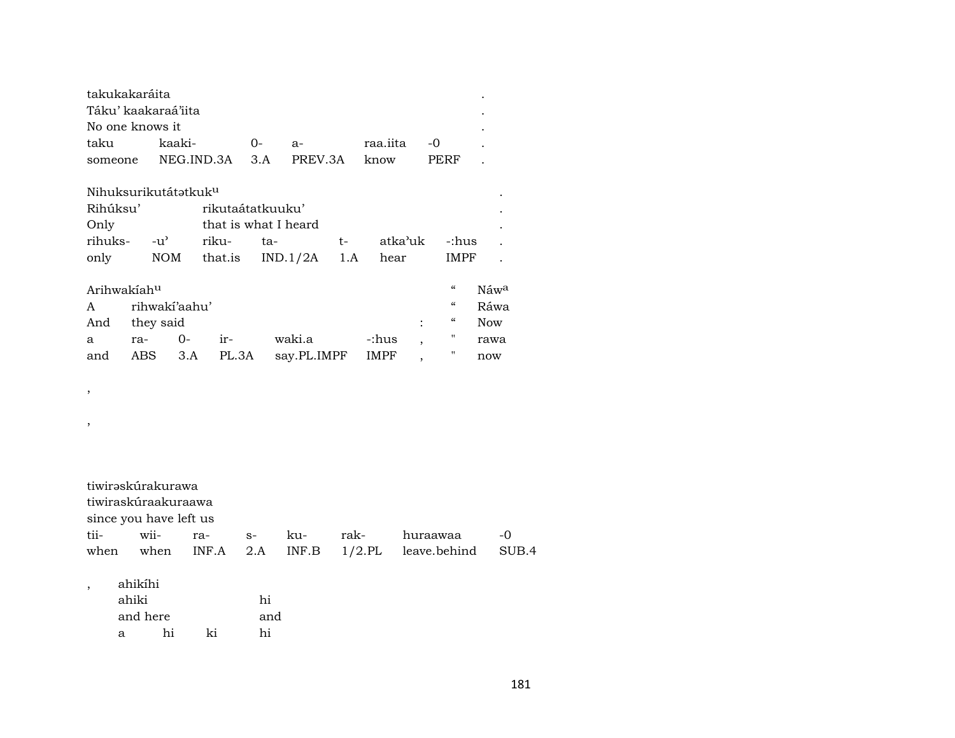|                                     | takukakaráita    | Táku' kaakaraá'iita<br>No one knows it                                     |            |                                                              |           |                                                     |           |           |         |                          |            |       |
|-------------------------------------|------------------|----------------------------------------------------------------------------|------------|--------------------------------------------------------------|-----------|-----------------------------------------------------|-----------|-----------|---------|--------------------------|------------|-------|
| taku                                |                  | kaaki-                                                                     |            |                                                              | $0-$      | $a-$                                                |           | raa.iita  |         | -0                       |            |       |
| someone                             |                  |                                                                            | NEG.IND.3A |                                                              | 3.A       | PREV.3A                                             |           | know      |         | PERF                     |            |       |
| Rihúksu'<br>Only<br>rihuks-<br>only |                  | Nihuksurikutátatkuk <sup>u</sup><br>-u'<br><b>NOM</b>                      |            | rikutaátatkuuku'<br>that is what I heard<br>riku-<br>that.is | ta-       | IND.1/2A                                            | t-<br>1.A | hear      | atka'uk | -:hus<br>IMPF            |            |       |
|                                     | Arihwakiahu      |                                                                            |            |                                                              |           |                                                     |           |           |         | $\zeta\zeta$             | Náwa       |       |
| A                                   |                  | rihwakí'aahu'                                                              |            |                                                              |           |                                                     |           |           |         | $\zeta\zeta$             | Ráwa       |       |
| And                                 |                  | they said                                                                  |            |                                                              |           |                                                     |           |           |         | $\mathcal{C}\mathcal{C}$ | <b>Now</b> |       |
| a                                   | ra-              |                                                                            | $O -$      | ir-                                                          |           | waki.a                                              |           | -:hus     |         | 11                       | rawa       |       |
| and                                 |                  | ABS                                                                        | 3.A        | PL.3A                                                        |           | say.PL.IMPF                                         |           | IMPF      |         | Π                        | now        |       |
| ,<br>,                              |                  |                                                                            |            |                                                              |           |                                                     |           |           |         |                          |            |       |
| tii-                                |                  | tiwirəskúrakurawa<br>tiwiraskúraakuraawa<br>since you have left us<br>wii- | ra-        |                                                              | $S-$      | ku-                                                 | rak-      |           |         | huraawaa                 |            | -0    |
| when                                |                  | when                                                                       | INF.A      |                                                              | 2.A       | $\ensuremath{\mathsf{INF}}.\ensuremath{\mathsf{B}}$ |           | $1/2$ .PL |         | leave.behind             |            | SUB.4 |
|                                     | ahikíhi<br>ahiki | and here                                                                   |            |                                                              | hi<br>and |                                                     |           |           |         |                          |            |       |
|                                     | a                | hi                                                                         |            | ki                                                           | hi        |                                                     |           |           |         |                          |            |       |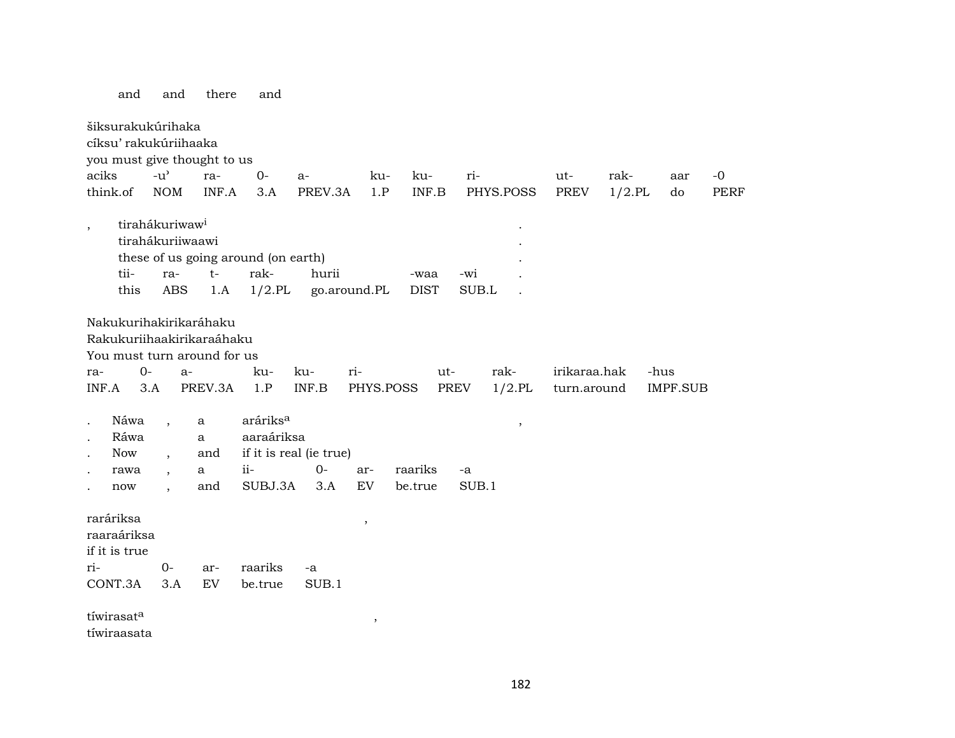and and there and

šiksurakukúrihaka cíksu' rakukúriihaaka you must give thought to us aciks -u" ra- 0- a- ku- ku- ri- ut- rak- aar -0 think.of NOM INF.A 3.A PREV.3A 1.P INF.B PHYS.POSS PREV 1/2.PL do PERF , tirahákuriwaw<sup>i</sup> tirahákuriiwaawi . these of us going around (on earth) . tii- ra- t- rak- hurii -waa -wi . this ABS 1.A 1/2.PL go.around.PL DIST SUB.L . Nakukurihakirikaráhaku Rakukuriihaakirikaraáhaku You must turn around for us ra- 0- a- ku- ku- ri- ut- rak- irikaraa.hak -hus INF.A 3.A PREV.3A 1.P INF.B PHYS.POSS PREV 1/2.PL turn.around IMPF.SUB . Náwa , a aráriks° , Ráwa a aaraáriksa Now, and if it is real (ie true) . rawa , a ii- 0- ar- raariks -a . now , and SUBJ.3A 3.A EV be.true SUB.1 raráriksa , raaraáriksa if it is true ri- 0- ar- raariks -a CONT.3A 3.A EV be.true SUB.1  $t$ íwirasat $^a$ tíwiraasata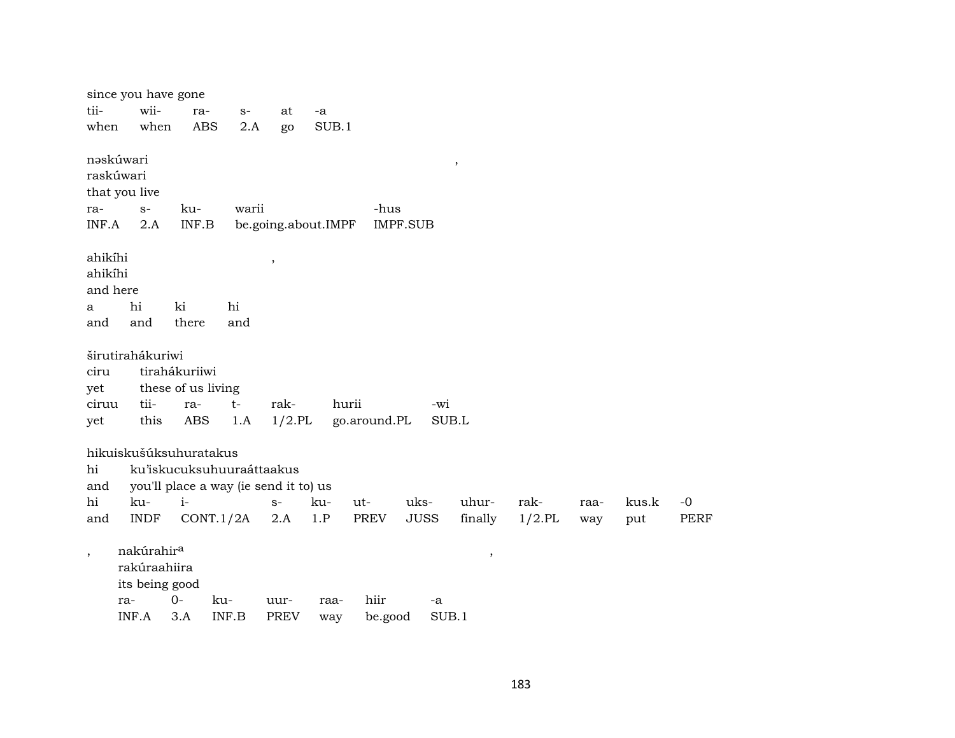|                          | since you have gone    |                                       |       |                          |                     |              |                 |               |           |      |       |      |
|--------------------------|------------------------|---------------------------------------|-------|--------------------------|---------------------|--------------|-----------------|---------------|-----------|------|-------|------|
| tii-                     | wii-                   | ra-                                   | $S-$  | at                       | -a                  |              |                 |               |           |      |       |      |
| when                     | when                   | <b>ABS</b>                            | 2.A   | go                       | SUB.1               |              |                 |               |           |      |       |      |
|                          | nəskúwari              |                                       |       |                          |                     |              |                 | $\, ,$        |           |      |       |      |
|                          | raskúwari              |                                       |       |                          |                     |              |                 |               |           |      |       |      |
|                          | that you live          |                                       |       |                          |                     |              |                 |               |           |      |       |      |
| ra-                      | $S-$                   | ku-                                   | warii |                          |                     | -hus         |                 |               |           |      |       |      |
| INF.A                    | 2.A                    | INF.B                                 |       |                          | be.going.about.IMPF |              | <b>IMPF.SUB</b> |               |           |      |       |      |
| ahikíhi                  |                        |                                       |       | $\overline{\phantom{a}}$ |                     |              |                 |               |           |      |       |      |
| ahikíhi                  |                        |                                       |       |                          |                     |              |                 |               |           |      |       |      |
| and here                 |                        |                                       |       |                          |                     |              |                 |               |           |      |       |      |
| a                        | hi                     | ki                                    | hi    |                          |                     |              |                 |               |           |      |       |      |
| and                      | and                    | there                                 | and   |                          |                     |              |                 |               |           |      |       |      |
|                          | širutirahákuriwi       |                                       |       |                          |                     |              |                 |               |           |      |       |      |
| ciru                     |                        | tirahákuriiwi                         |       |                          |                     |              |                 |               |           |      |       |      |
| yet                      |                        | these of us living                    |       |                          |                     |              |                 |               |           |      |       |      |
| ciruu                    | tii-                   | ra-                                   | $t-$  | rak-                     | hurii               |              | -wi             |               |           |      |       |      |
| yet                      | this                   | ABS                                   | 1.A   | $1/2$ .PL                |                     | go.around.PL | SUB.L           |               |           |      |       |      |
|                          |                        |                                       |       |                          |                     |              |                 |               |           |      |       |      |
|                          | hikuiskušúksuhuratakus |                                       |       |                          |                     |              |                 |               |           |      |       |      |
| hi                       |                        | ku'iskucuksuhuuraáttaakus             |       |                          |                     |              |                 |               |           |      |       |      |
| and                      |                        | you'll place a way (ie send it to) us |       |                          |                     |              |                 |               |           |      |       |      |
| hi                       | ku-                    | $i-$                                  |       | $S-$                     | ku-                 | ut-          | uks-            | uhur-         | rak-      | raa- | kus.k | $-0$ |
| and                      | <b>INDF</b>            | CONT.1/2A                             |       | 2.A                      | 1.P                 | PREV         | <b>JUSS</b>     | finally       | $1/2$ .PL | way  | put   | PERF |
| $\overline{\phantom{a}}$ | nakúrahir <sup>a</sup> |                                       |       |                          |                     |              |                 | $^\mathrm{,}$ |           |      |       |      |
|                          | rakúraahiira           |                                       |       |                          |                     |              |                 |               |           |      |       |      |
|                          | its being good         |                                       |       |                          |                     |              |                 |               |           |      |       |      |
|                          | ra-                    | $0-$                                  | ku-   | uur-                     | raa-                | hiir         | -a              |               |           |      |       |      |
|                          | INF.A                  | 3.A                                   | INF.B | <b>PREV</b>              | way                 | be.good      | SUB.1           |               |           |      |       |      |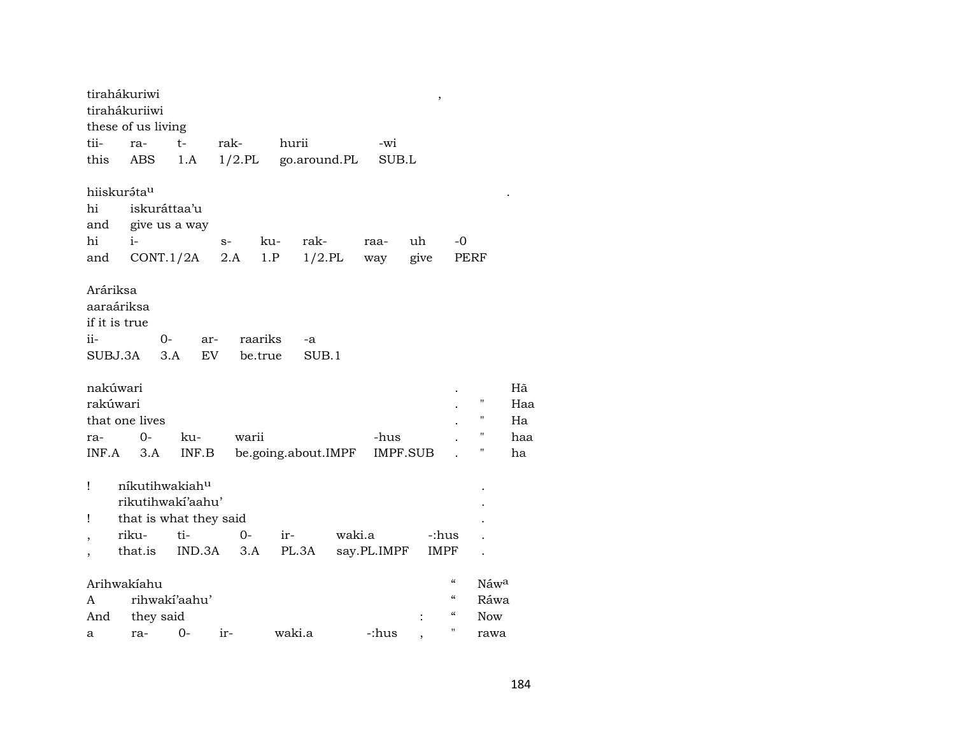|                                                | tirahákuriwi<br>tirahákuriiwi<br>these of us living |           |      |                     |        |              |        |                 |      | ,                                      |                    |           |
|------------------------------------------------|-----------------------------------------------------|-----------|------|---------------------|--------|--------------|--------|-----------------|------|----------------------------------------|--------------------|-----------|
| tii-                                           | ra-                                                 | $t-$      | rak- |                     | hurii  |              |        | -wi             |      |                                        |                    |           |
| this                                           | ABS                                                 | 1.A       |      | $1/2$ .PL           |        | go.around.PL |        | SUB.L           |      |                                        |                    |           |
|                                                | hiiskuráta <sup>u</sup>                             |           |      |                     |        |              |        |                 |      |                                        |                    |           |
| hi                                             | iskuráttaa'u                                        |           |      |                     |        |              |        |                 |      |                                        |                    |           |
| and                                            | give us a way                                       |           |      |                     |        |              |        |                 |      |                                        |                    |           |
| hi                                             | $i-$                                                |           | $S-$ | ku-                 |        | rak-         |        | raa-            | uh   | -0                                     |                    |           |
| and                                            | CONT.1/2A                                           |           | 2.A  | 1.P                 |        | $1/2$ .PL    |        | way             | give |                                        | PERF               |           |
| Aráriksa<br>aaraáriksa<br>if it is true<br>ii- | 0-<br>SUBJ.3A<br>3.A                                | ar-<br>EV |      | raariks<br>be.true  |        | -a<br>SUB.1  |        |                 |      |                                        |                    |           |
| nakúwari<br>rakúwari                           |                                                     |           |      |                     |        |              |        |                 |      |                                        | $\pmb{\mathsf{H}}$ | Hã<br>Haa |
|                                                | that one lives                                      |           |      |                     |        |              |        |                 |      |                                        | 11                 | Ha        |
| ra-                                            | $0-$                                                | ku-       |      | warii               |        |              |        | -hus            |      |                                        | 11                 | haa       |
| INF.A                                          | 3.A                                                 | INF.B     |      | be.going.about.IMPF |        |              |        | <b>IMPF.SUB</b> |      |                                        | "                  | ha        |
| Ţ                                              | níkutihwakiahu<br>rikutihwakí'aahu'                 |           |      |                     |        |              |        |                 |      |                                        |                    |           |
| Ţ                                              | that is what they said                              |           |      |                     |        |              |        |                 |      |                                        |                    |           |
| $\overline{\phantom{a}}$                       | riku-                                               | ti-       |      | $O -$               | ir-    |              | waki.a |                 |      | -:hus                                  |                    |           |
|                                                | that.is                                             | IND.3A    |      | 3.A                 | PL.3A  |              |        | say.PL.IMPF     |      | IMPF                                   |                    |           |
|                                                | Arihwakiahu                                         |           |      |                     |        |              |        |                 |      | $\boldsymbol{\zeta}\boldsymbol{\zeta}$ | Náwa               |           |
| A                                              | rihwakí'aahu'                                       |           |      |                     |        |              |        |                 |      | $\boldsymbol{\zeta}\boldsymbol{\zeta}$ | Ráwa               |           |
| And                                            | they said                                           |           |      |                     |        |              |        |                 |      | $\boldsymbol{\zeta}\boldsymbol{\zeta}$ | <b>Now</b>         |           |
| a                                              | ra-                                                 | 0-        | ir-  |                     | waki.a |              |        | -:hus           |      | $\pmb{\mathsf{H}}$                     | rawa               |           |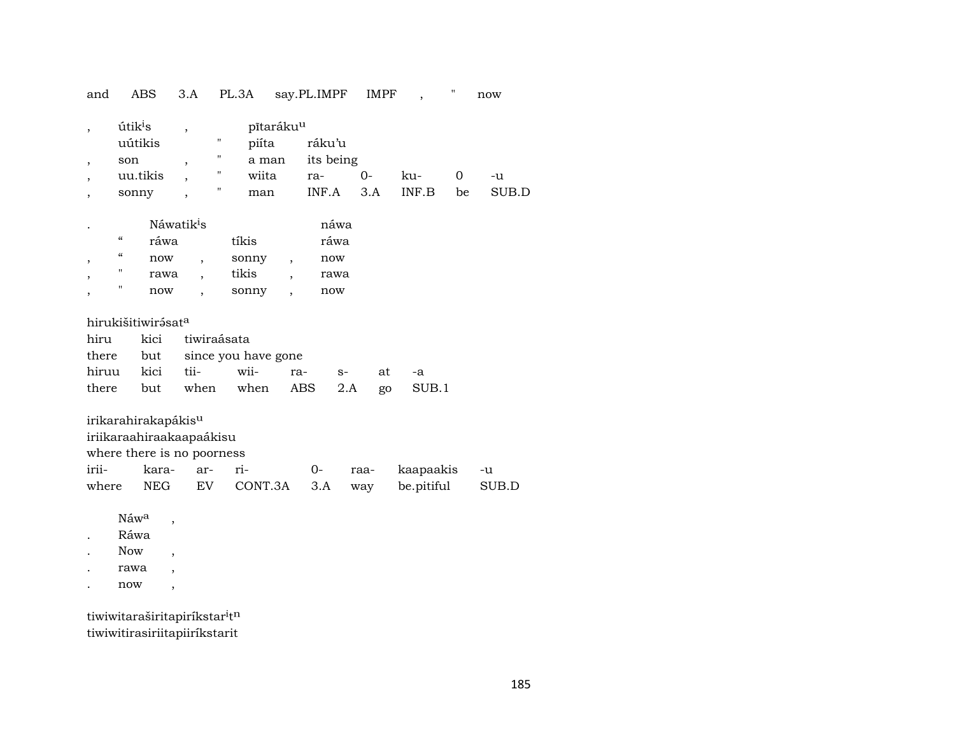and ABS 3.A PL.3A say.PL.IMPF IMPF , " now

| útik <sup>i</sup> s |   | pītaráku <sup>u</sup> |           |      |       |    |       |  |
|---------------------|---|-----------------------|-----------|------|-------|----|-------|--|
| uútikis             | " | piíta                 | ráku'u    |      |       |    |       |  |
| son                 | " | a man                 | its being |      |       |    |       |  |
| uu.tikis            | " | wiita                 | ra-       | $O-$ | ku-   |    | -u    |  |
| sonny               | " | man                   | INF.A     | 3.A  | INF.B | be | SUB D |  |
|                     |   |                       |           |      |       |    |       |  |

| $\blacksquare$ |   | Náwatik <sup>1</sup> s |       | nawa |
|----------------|---|------------------------|-------|------|
|                | " | ráwa                   | tíkis | ráwa |
|                | " | now                    | sonny | now  |
|                | " | rawa                   | tikis | rawa |
|                | п | now                    | sonny | now  |

| hirukišitiwirįsat <sup>a</sup> |                                      |                               |  |  |       |  |  |  |  |  |  |  |
|--------------------------------|--------------------------------------|-------------------------------|--|--|-------|--|--|--|--|--|--|--|
|                                |                                      | hiru kici tiwiraásata         |  |  |       |  |  |  |  |  |  |  |
|                                |                                      | there but since you have gone |  |  |       |  |  |  |  |  |  |  |
|                                | hiruu kici tii- wii- ra- s-          |                               |  |  | at -a |  |  |  |  |  |  |  |
|                                | there but when when ABS 2.A go SUB.1 |                               |  |  |       |  |  |  |  |  |  |  |

|                     | irikarahirakapákis <sup>u</sup> |  |      |  |  |                                         |  |  |  |  |  |  |
|---------------------|---------------------------------|--|------|--|--|-----------------------------------------|--|--|--|--|--|--|
|                     | iriikaraahiraakaapaákisu        |  |      |  |  |                                         |  |  |  |  |  |  |
|                     | where there is no poorness      |  |      |  |  |                                         |  |  |  |  |  |  |
| irii- kara- ar- ri- |                                 |  | $O-$ |  |  | raa- kaapaakis -u                       |  |  |  |  |  |  |
| where               |                                 |  |      |  |  | NEG EV CONT.3A 3.A way be.pitiful SUB.D |  |  |  |  |  |  |

 $\hbox{N\'{a}w^a} \quad ,$ 

. Ráwa

. Now ,

- . rawa ,
- . now ,

tiwiwitaraširitapiríkstar $i$ tn tiwiwitirasiriitapiiríkstarit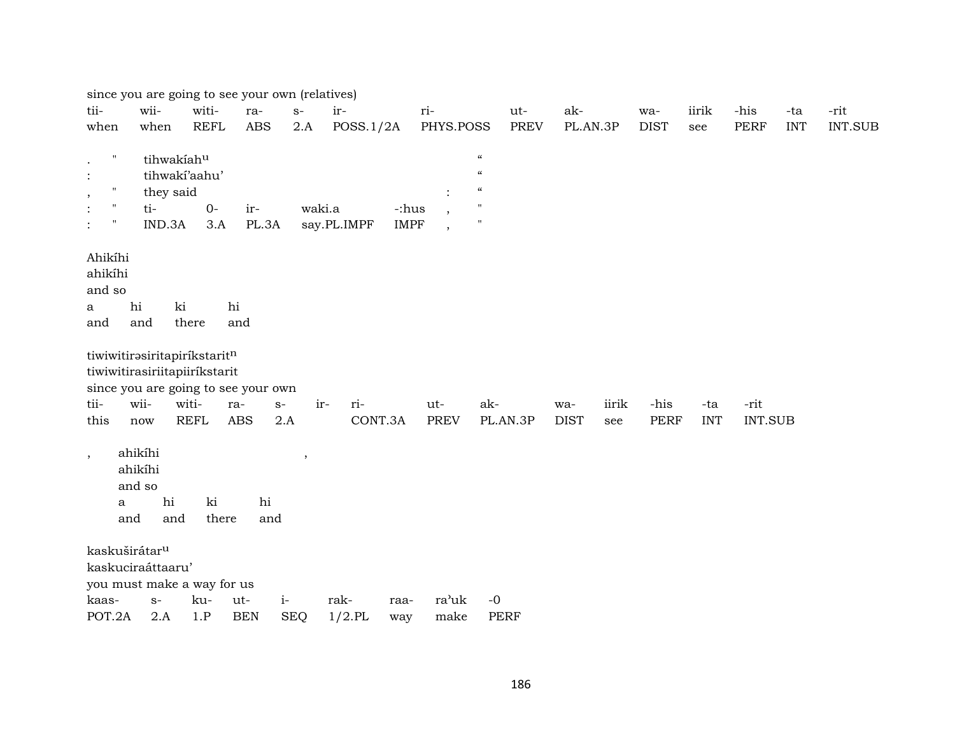|                                                                                                                                             |                                                           |              | since you are going to see your own (relatives)    |        |             |                      |                          |                                                                                                                    |             |       |             |            |                |            |                |
|---------------------------------------------------------------------------------------------------------------------------------------------|-----------------------------------------------------------|--------------|----------------------------------------------------|--------|-------------|----------------------|--------------------------|--------------------------------------------------------------------------------------------------------------------|-------------|-------|-------------|------------|----------------|------------|----------------|
| tii-                                                                                                                                        | wii-                                                      | witi-        | ra-                                                | $S-$   | ir-         |                      | ri-                      | ut-                                                                                                                | ak-         |       | wa-         | iirik      | -his           | -ta        | -rit           |
| when                                                                                                                                        | when                                                      | <b>REFL</b>  | $\mathbf A\mathbf B\mathbf S$                      | 2.A    | POSS.1/2A   |                      | PHYS.POSS                | <b>PREV</b>                                                                                                        | PL.AN.3P    |       | <b>DIST</b> | see        | <b>PERF</b>    | <b>INT</b> | <b>INT.SUB</b> |
| $\pmb{\mathsf{H}}$<br>$\cdot$<br>$\ddot{\cdot}$<br>$\pmb{\mathsf{H}}$<br>$\cdot$<br>$\mathbf H$<br>$\pmb{\pi}$<br>$\ddot{\cdot}$<br>Ahikíhi | tihwakíahu<br>tihwaki'aahu'<br>they said<br>ti-<br>IND.3A | $O -$<br>3.A | ir-<br>PL.3A                                       | waki.a | say.PL.IMPF | -:hus<br><b>IMPF</b> | $\overline{\phantom{a}}$ | $\boldsymbol{\mathcal{C}}$<br>$\boldsymbol{\mathcal{C}}$<br>$\boldsymbol{\zeta}\boldsymbol{\zeta}$<br>$\mathbf{H}$ |             |       |             |            |                |            |                |
| ahikíhi                                                                                                                                     |                                                           |              |                                                    |        |             |                      |                          |                                                                                                                    |             |       |             |            |                |            |                |
| and so                                                                                                                                      |                                                           |              |                                                    |        |             |                      |                          |                                                                                                                    |             |       |             |            |                |            |                |
| a                                                                                                                                           | hi<br>ki                                                  |              | hi                                                 |        |             |                      |                          |                                                                                                                    |             |       |             |            |                |            |                |
| and                                                                                                                                         | and                                                       | there        | and                                                |        |             |                      |                          |                                                                                                                    |             |       |             |            |                |            |                |
| tiwiwitirasiritapirikstaritn<br>tiwiwitirasiriitapiiríkstarit<br>tii-                                                                       | wii-                                                      | witi-        | since you are going to see your own<br>ra-<br>$S-$ | ir-    | ri-         |                      | ut-                      | ak-                                                                                                                | wa-         | iirik | -his        | -ta        | -rit           |            |                |
| this                                                                                                                                        | now                                                       | <b>REFL</b>  | <b>ABS</b>                                         | 2.A    | CONT.3A     |                      | <b>PREV</b>              | PL.AN.3P                                                                                                           | <b>DIST</b> | see   | <b>PERF</b> | <b>INT</b> | <b>INT.SUB</b> |            |                |
| $\,$<br>$\mathbf{a}$<br>and                                                                                                                 | ahikíhi<br>ahikíhi<br>and so<br>hi<br>and                 | ki<br>there  | hi<br>and                                          | $\, ,$ |             |                      |                          |                                                                                                                    |             |       |             |            |                |            |                |
| kaskuširátar <sup>u</sup>                                                                                                                   |                                                           |              |                                                    |        |             |                      |                          |                                                                                                                    |             |       |             |            |                |            |                |
| kaskuciraáttaaru'                                                                                                                           |                                                           |              |                                                    |        |             |                      |                          |                                                                                                                    |             |       |             |            |                |            |                |
| you must make a way for us                                                                                                                  |                                                           |              |                                                    |        |             |                      |                          |                                                                                                                    |             |       |             |            |                |            |                |
| kaas-                                                                                                                                       | $S-$                                                      | ku-          | ut-                                                | $i-$   | rak-        | raa-                 | ra'uk                    | $-0$                                                                                                               |             |       |             |            |                |            |                |
| POT.2A                                                                                                                                      | 2.A                                                       | 1.P          | <b>BEN</b>                                         | SEQ    | $1/2$ .PL   | way                  | make                     | <b>PERF</b>                                                                                                        |             |       |             |            |                |            |                |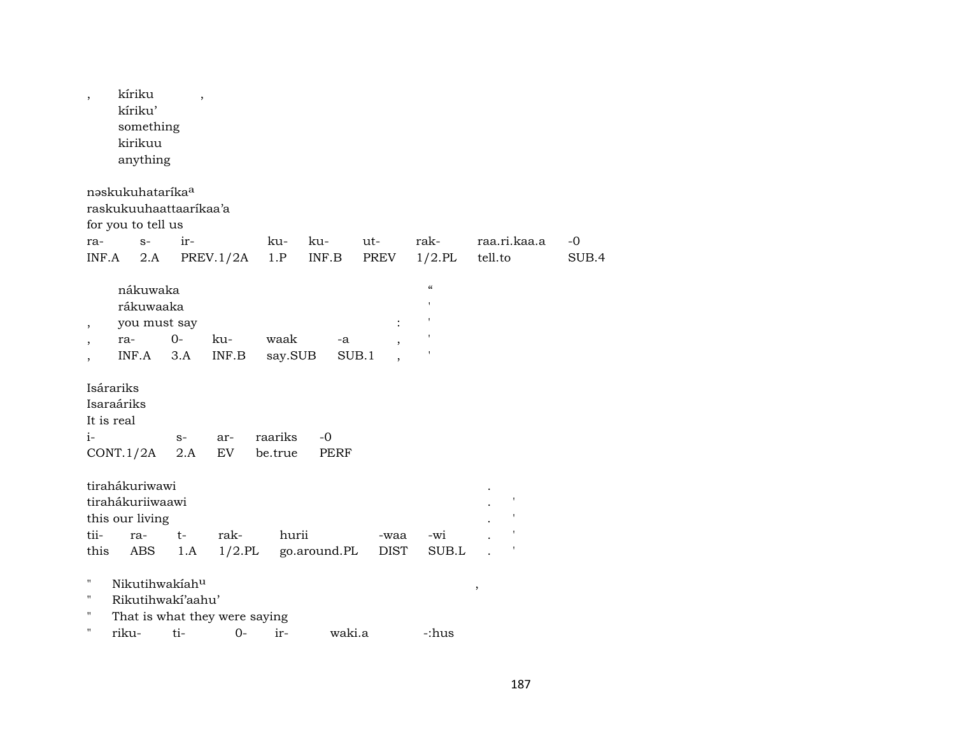| nəskukuhatarika <sup>a</sup>                                                                                                                                                                                 | -0    |
|--------------------------------------------------------------------------------------------------------------------------------------------------------------------------------------------------------------|-------|
| raskukuuhaattaarikaa'a<br>for you to tell us<br>raa.ri.kaa.a<br>ir-<br>ku-<br>rak-<br>$S-$<br>ku-<br>ut-<br>ra-<br>$1/2$ .PL<br>PREV.1/2A<br>INF.B<br>PREV<br>tell.to<br>INF.A<br>2.A<br>1.P                 | SUB.4 |
| $\epsilon\epsilon$<br>nákuwaka<br>rákuwaaka<br>you must say<br>$\ddot{\cdot}$<br>$\overline{\phantom{a}}$<br>$0-$<br>waak<br>ku-<br>ra-<br>-a<br>$\overline{ }$<br>INF.A<br>3.A<br>INF.B<br>SUB.1<br>say.SUB |       |
| Isárariks<br>Isaraáriks<br>It is real<br>raariks<br>$-0$<br>i-<br>$S-$<br>ar-<br>EV<br>CONT.1/2A<br>2.A<br>be.true<br><b>PERF</b>                                                                            |       |
| tirahákuriwawi<br>tirahákuriiwaawi<br>this our living<br>tii-<br>rak-<br>hurii<br>ra-<br>t-<br>-wi<br>-waa<br>$1/2$ .PL<br>SUB.L<br>this<br>ABS<br>1.A<br>go.around.PL<br><b>DIST</b>                        |       |
| н.<br>Nikutihwakiahu<br>,<br>11<br>Rikutihwakí'aahu'<br>н<br>That is what they were saying<br>ti-<br>$0-$<br>ir-<br>riku-<br>waki.a<br>-:hus                                                                 |       |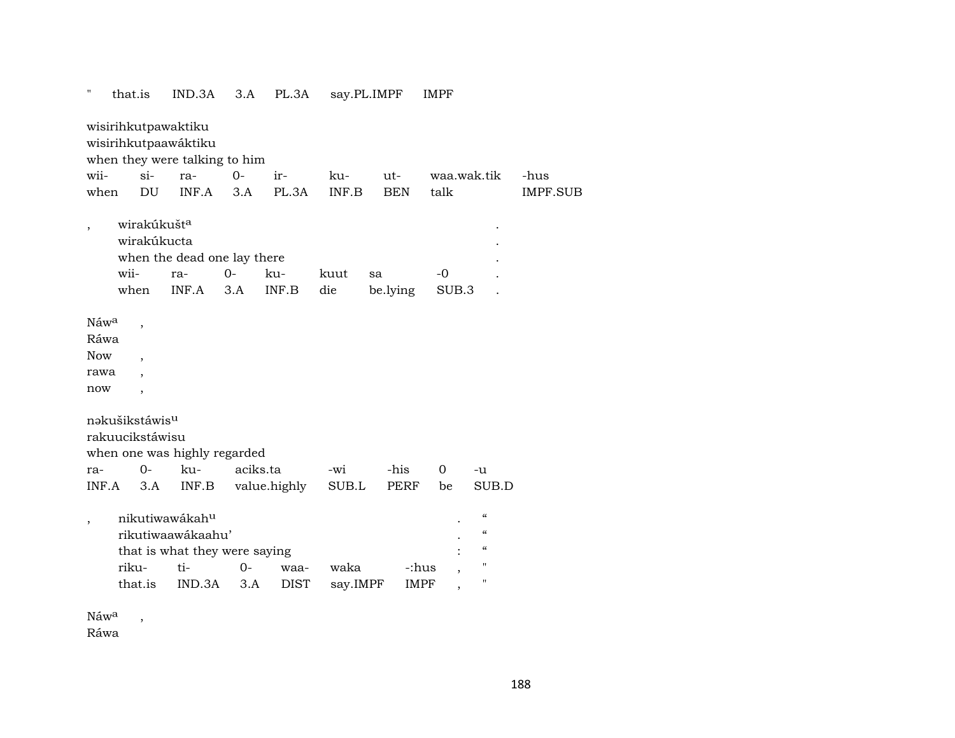| $\mathbf{H}$                                          | that.is                                                                             | IND.3A                                                                                            | 3.A         | PL.3A               |                  | say.PL.IMPF    | <b>IMPF</b>          |                                                                                                        |                 |
|-------------------------------------------------------|-------------------------------------------------------------------------------------|---------------------------------------------------------------------------------------------------|-------------|---------------------|------------------|----------------|----------------------|--------------------------------------------------------------------------------------------------------|-----------------|
|                                                       | wisirihkutpawaktiku                                                                 | wisirihkutpaawáktiku<br>when they were talking to him                                             |             |                     |                  |                |                      |                                                                                                        |                 |
| wii-                                                  | $si-$                                                                               | ra-                                                                                               | $O -$       | ir-                 | ku-              | ut-            | waa.wak.tik          |                                                                                                        | -hus            |
| when                                                  | DU                                                                                  | INF.A                                                                                             | 3.A         | PL.3A               | INF.B            | <b>BEN</b>     | talk                 |                                                                                                        | <b>IMPF.SUB</b> |
|                                                       | wirakúkušt <sup>a</sup><br>wirakúkucta<br>wii-<br>when                              | when the dead one lay there<br>ra-<br>INF.A                                                       | $0-$<br>3.A | ku-<br>INF.B        | kuut<br>die      | sa<br>be.lying | $-0$<br>SUB.3        |                                                                                                        |                 |
| Náw <sup>a</sup><br>Ráwa<br><b>Now</b><br>rawa<br>now | $\overline{\phantom{a}}$<br>$\overline{\phantom{a}}$<br>$\bullet$<br>$\overline{ }$ |                                                                                                   |             |                     |                  |                |                      |                                                                                                        |                 |
|                                                       | nakušikstáwis <sup>u</sup><br>rakuucikstáwisu                                       |                                                                                                   |             |                     |                  |                |                      |                                                                                                        |                 |
|                                                       |                                                                                     | when one was highly regarded                                                                      |             |                     |                  |                |                      |                                                                                                        |                 |
| ra-                                                   | $0-$                                                                                | ku-                                                                                               | aciks.ta    |                     | -wi              | -his           | $\mathbf 0$          | -u                                                                                                     |                 |
| INF.A                                                 | 3.A                                                                                 | INF.B                                                                                             |             | value.highly        | SUB.L            | <b>PERF</b>    | be                   | SUB.D                                                                                                  |                 |
|                                                       | riku-<br>that.is                                                                    | nikutiwawákah <sup>u</sup><br>rikutiwaawákaahu'<br>that is what they were saying<br>ti-<br>IND.3A | $0-$<br>3.A | waa-<br><b>DIST</b> | waka<br>say.IMPF |                | -:hus<br><b>IMPF</b> | $\mathcal{C}$<br>$\pmb{\zeta}\pmb{\zeta}$<br>$\mathcal{C}$<br>$\pmb{\mathsf{H}}$<br>$\pmb{\mathsf{H}}$ |                 |
|                                                       |                                                                                     |                                                                                                   |             |                     |                  |                |                      |                                                                                                        |                 |

Náw<sup>a</sup>,

Ráwa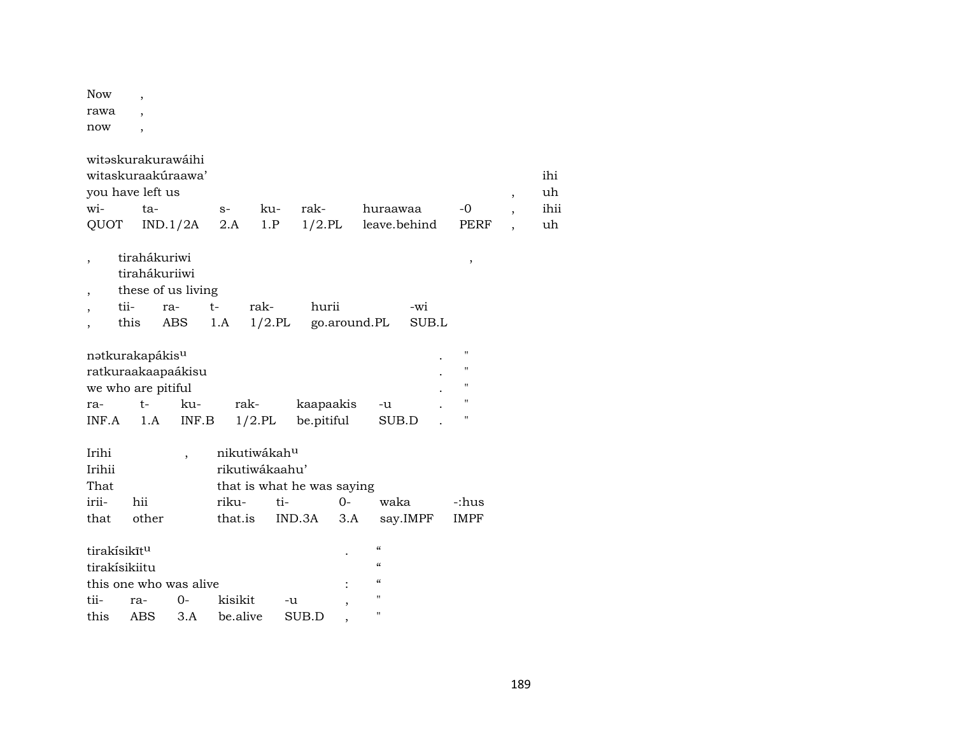| Now  | , |
|------|---|
| rawa | ٠ |
| now  |   |

|                          | witəskurakurawáihi          |                          |          |                            |            |              |                          |          |                |                          |      |
|--------------------------|-----------------------------|--------------------------|----------|----------------------------|------------|--------------|--------------------------|----------|----------------|--------------------------|------|
|                          | witaskuraakúraawa'          |                          |          |                            |            |              |                          |          |                |                          | ihi  |
|                          | you have left us            |                          |          |                            |            |              |                          |          |                | $\overline{\phantom{a}}$ | uh   |
| wi-                      | ta-                         |                          | $S-$     | ku-                        | rak-       |              | huraawaa                 |          | -0             | $\overline{\phantom{a}}$ | ihii |
| QUOT                     |                             | IND.1/2A                 | 2.A      | 1.P                        | $1/2$ .PL  |              | leave.behind             |          | PERF           | $\overline{\phantom{a}}$ | uh   |
|                          |                             |                          |          |                            |            |              |                          |          |                |                          |      |
| $\overline{\phantom{a}}$ | tirahákuriwi                |                          |          |                            |            |              |                          |          | $\, ,$         |                          |      |
|                          | tirahákuriiwi               |                          |          |                            |            |              |                          |          |                |                          |      |
| $\overline{\phantom{a}}$ | these of us living          |                          |          |                            |            |              |                          |          |                |                          |      |
| $\overline{\phantom{a}}$ | tii-                        | ra-                      | $t-$     | rak-                       | hurii      |              |                          | -wi      |                |                          |      |
|                          | this                        | ABS                      | 1.A      | $1/2$ .PL                  |            | go.around.PL |                          | SUB.L    |                |                          |      |
|                          |                             |                          |          |                            |            |              |                          |          |                |                          |      |
|                          | natkurakapákis <sup>u</sup> |                          |          |                            |            |              |                          |          | 11             |                          |      |
|                          | ratkuraakaapaákisu          |                          |          |                            |            |              |                          |          | 11             |                          |      |
|                          | we who are pitiful          |                          |          |                            |            |              |                          |          | $\blacksquare$ |                          |      |
| ra-                      | $t-$                        | ku-                      |          | rak-                       | kaapaakis  |              | -u                       |          | 11             |                          |      |
| INF.A                    | 1.A                         | INF.B                    |          | $1/2$ .PL                  | be.pitiful |              | SUB.D                    |          | н              |                          |      |
|                          |                             |                          |          |                            |            |              |                          |          |                |                          |      |
| Irihi                    |                             | $\overline{\phantom{a}}$ |          | nikutiwákah <sup>u</sup>   |            |              |                          |          |                |                          |      |
| Irihii                   |                             |                          |          | rikutiwákaahu'             |            |              |                          |          |                |                          |      |
| That                     |                             |                          |          | that is what he was saying |            |              |                          |          |                |                          |      |
| irii-                    | hii                         |                          | riku-    | ti-                        |            | $0-$         | waka                     |          | -:hus          |                          |      |
| that                     | other                       |                          | that.is  |                            | IND.3A     | 3.A          |                          | say.IMPF | <b>IMPF</b>    |                          |      |
|                          |                             |                          |          |                            |            |              |                          |          |                |                          |      |
|                          | tirakísikīt <sup>u</sup>    |                          |          |                            |            |              | $\mathcal{C}\mathcal{C}$ |          |                |                          |      |
|                          | tirakísikiitu               |                          |          |                            |            |              | $\mathcal{C}\mathcal{C}$ |          |                |                          |      |
|                          | this one who was alive      |                          |          |                            |            |              | "                        |          |                |                          |      |
| tii-                     | ra-                         | $O -$                    | kisikit  |                            | -u         |              | п                        |          |                |                          |      |
| this                     | ABS                         | 3.A                      | be.alive |                            | SUB.D      |              | п                        |          |                |                          |      |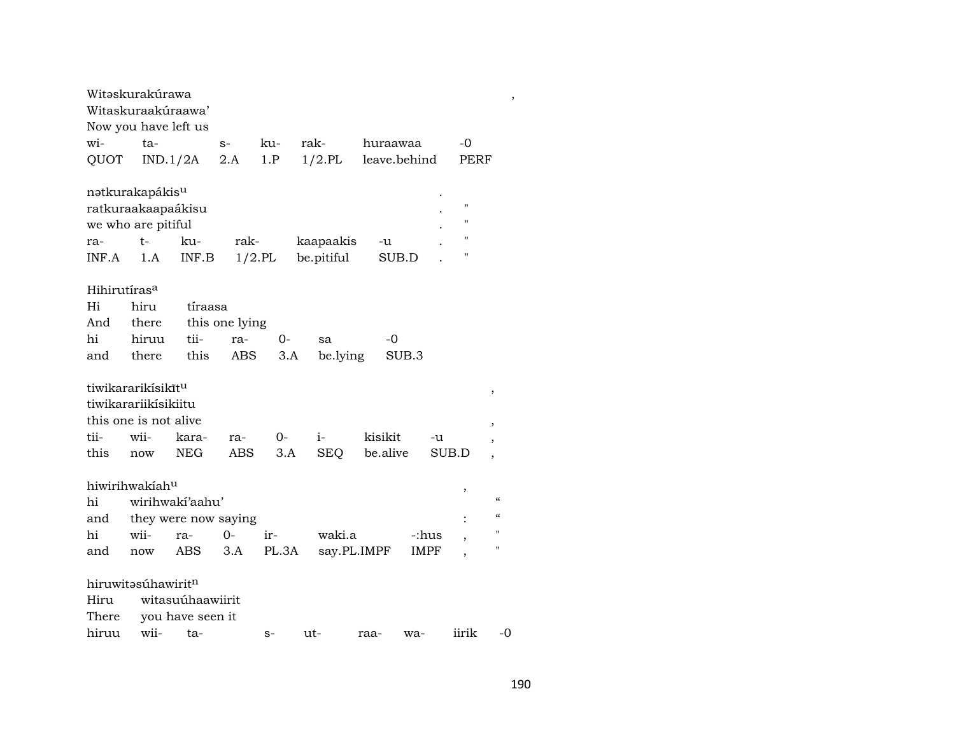|                          | Witəskurakúrawa                |                  |                |       |             |              |                    |                          |
|--------------------------|--------------------------------|------------------|----------------|-------|-------------|--------------|--------------------|--------------------------|
|                          | Witaskuraakúraawa'             |                  |                |       |             |              |                    |                          |
|                          | Now you have left us           |                  |                |       |             |              |                    |                          |
| wi-                      | ta-                            |                  | $S-$           | ku-   | rak-        | huraawaa     | -0                 |                          |
| QUOT                     | IND.1/2A                       |                  | 2.A            | 1.P   | $1/2$ .PL   | leave.behind | PERF               |                          |
|                          |                                |                  |                |       |             |              |                    |                          |
|                          | nətkurakapákis <sup>u</sup>    |                  |                |       |             |              |                    |                          |
|                          | ratkuraakaapaákisu             |                  |                |       |             |              | $\blacksquare$     |                          |
|                          | we who are pitiful             |                  |                |       |             |              | н                  |                          |
| ra-                      | $t-$                           | ku-              | rak-           |       | kaapaakis   | -u           | $\pmb{\mathsf{H}}$ |                          |
| INF.A                    | 1.A                            | INF.B            | $1/2$ .PL      |       | be.pitiful  | SUB.D        | $\pmb{\mathsf{H}}$ |                          |
|                          |                                |                  |                |       |             |              |                    |                          |
| Hihirutíras <sup>a</sup> |                                |                  |                |       |             |              |                    |                          |
| Hi                       | hiru                           | tíraasa          |                |       |             |              |                    |                          |
| And                      | there                          |                  | this one lying |       |             |              |                    |                          |
| hi                       | hiruu                          | tii-             | ra-            | 0-    | sa          | $-0$         |                    |                          |
| and                      | there                          | this             | ABS            | 3.A   | be.lying    | SUB.3        |                    |                          |
|                          |                                |                  |                |       |             |              |                    |                          |
|                          | tiwikararikísikít <sup>u</sup> |                  |                |       |             |              |                    | ,                        |
|                          | tiwikarariikisikiitu           |                  |                |       |             |              |                    |                          |
|                          | this one is not alive          |                  |                |       |             |              |                    | ,                        |
| tii-                     | wii-                           | kara-            | ra-            | $O -$ | $i-$        | kisikit      | -u                 | $\overline{ }$           |
| this                     | now                            | <b>NEG</b>       | ABS            | 3.A   | SEQ         | be.alive     | SUB.D              | $\overline{\phantom{a}}$ |
|                          |                                |                  |                |       |             |              |                    |                          |
|                          | hiwirihwakiahu                 |                  |                |       |             |              | ,                  |                          |
| hi                       | wirihwaki'aahu'                |                  |                |       |             |              |                    | $\epsilon$               |
| and                      | they were now saying           |                  |                |       |             |              |                    | $\epsilon$               |
| hi                       | wii-                           | ra-              | $O -$          | ir-   | waki.a      |              | -:hus              | п                        |
| and                      | now                            | ABS              | 3.A            | PL.3A | say.PL.IMPF |              | IMPF               | п                        |
|                          |                                |                  |                |       |             |              |                    |                          |
|                          | hiruwitasúhawiritn             |                  |                |       |             |              |                    |                          |
| Hiru                     |                                | witasuúhaawiirit |                |       |             |              |                    |                          |
| There                    |                                | you have seen it |                |       |             |              |                    |                          |
| hiruu                    | wii-                           | ta-              |                | $S-$  | ut-         | raa-<br>wa-  | iirik              | -0                       |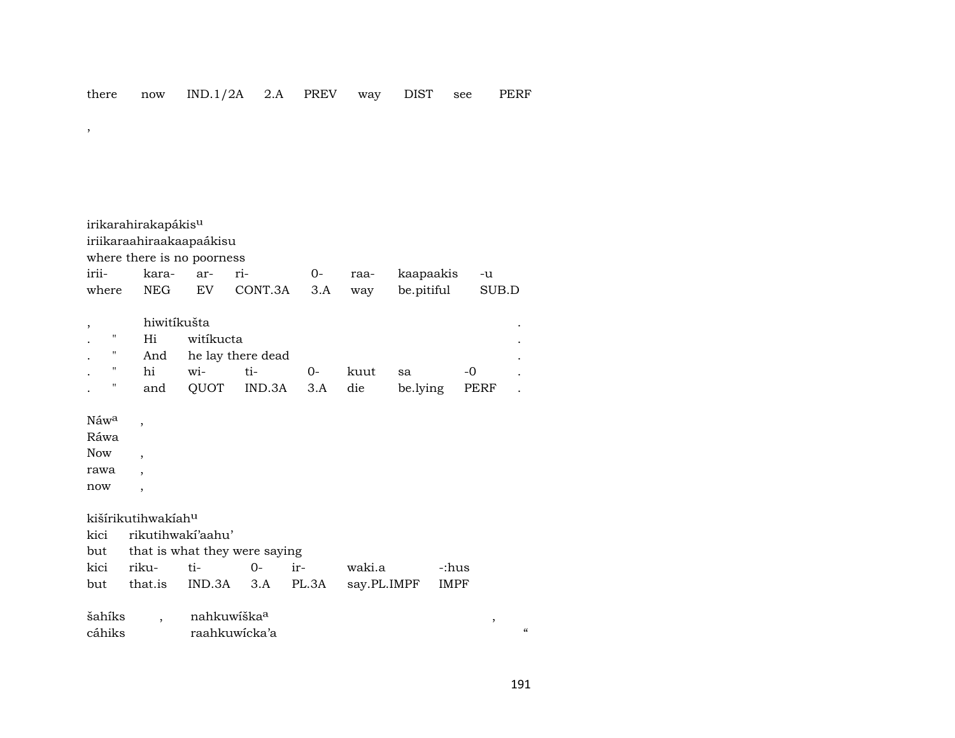irikarahirakapákis<sup>u</sup> iriikaraahiraakaapaákisu where there is no poorness iriikaraarri- $0$ kaapaakis raa- $-u$ where **NEG**  ${\rm EV}$ CONT.3A  $3.A$ be.pitiful  $\rm SUB.D$ way

|    | hiwitíkušta |           |                                                                                                                                                                                                                                                                                                                                                                                      |      |               |       |  |
|----|-------------|-----------|--------------------------------------------------------------------------------------------------------------------------------------------------------------------------------------------------------------------------------------------------------------------------------------------------------------------------------------------------------------------------------------|------|---------------|-------|--|
| п. | Hi          | witikucta |                                                                                                                                                                                                                                                                                                                                                                                      |      |               |       |  |
|    |             |           | And he lay there dead                                                                                                                                                                                                                                                                                                                                                                |      |               |       |  |
|    | hi          |           | $\overline{w}$ $\overline{t}$ $\overline{t}$ $\overline{t}$ $\overline{0}$ $\overline{0}$ $\overline{0}$ $\overline{0}$ $\overline{0}$ $\overline{0}$ $\overline{0}$ $\overline{0}$ $\overline{0}$ $\overline{0}$ $\overline{0}$ $\overline{0}$ $\overline{0}$ $\overline{0}$ $\overline{0}$ $\overline{0}$ $\overline{0}$ $\overline{0}$ $\overline{0}$ $\overline{0}$ $\overline{$ | kuut | sa            | $-()$ |  |
|    | and         |           | QUOT IND.3A 3.A die                                                                                                                                                                                                                                                                                                                                                                  |      | be.lying PERF |       |  |

## Náw<sup>a</sup>

 $\overline{\phantom{a}}$ 

Ráwa

Now

rawa  $\overline{\phantom{a}}$ now  $\overline{\phantom{a}}$ 

kišírikutihwakíah<sup>u</sup>

 $\overline{\phantom{a}}$ 

 $\overline{\phantom{a}}$ 

kici rikutihwakí'aahu'

|                | but that is what they were saying |        |
|----------------|-----------------------------------|--------|
| kici riku- ti- | $0-$ ir-                          | waki.a |

|  |  | but that.is IND.3A 3.A PL.3A say.PL.IMPF IMPF |  |
|--|--|-----------------------------------------------|--|

šahíks nahkuwíška<sup>a</sup>  $\overline{\phantom{a}}$ cáhiks raahkuwicka'a

 $\epsilon$ 

 $\, ,$ 

-:hus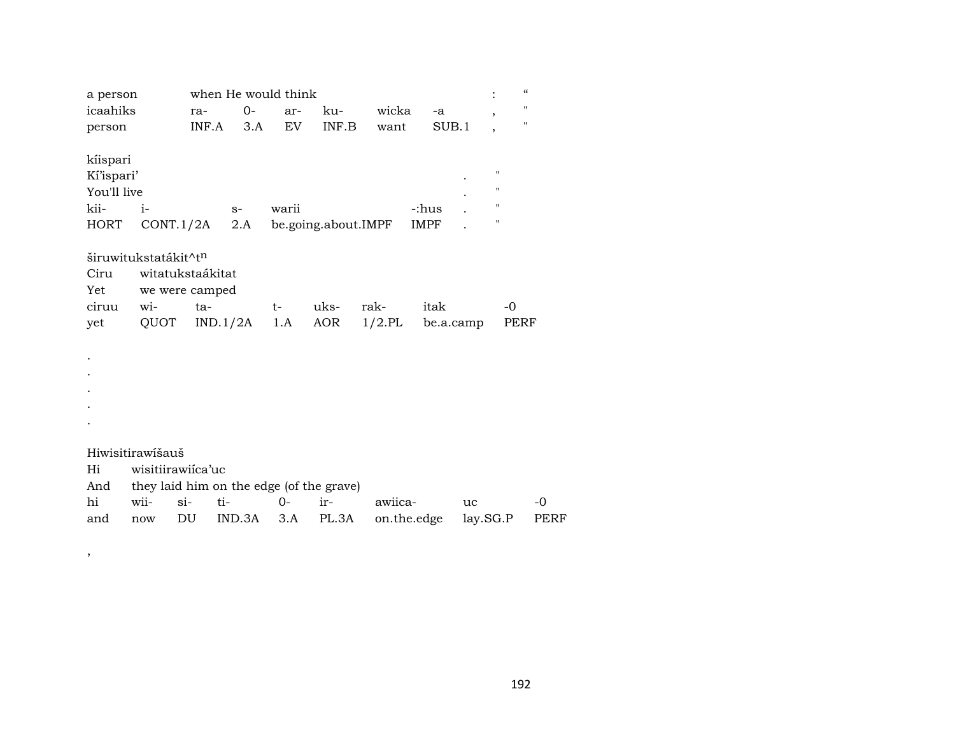| a person    |                      |                   | when He would think |            |                                          |           |             | $\ddot{\cdot}$           | $\boldsymbol{\zeta}\boldsymbol{\zeta}$ |      |
|-------------|----------------------|-------------------|---------------------|------------|------------------------------------------|-----------|-------------|--------------------------|----------------------------------------|------|
| icaahiks    |                      | ra-               | $0-$                | ar-        | ku-                                      | wicka     | -a          | $\overline{ }$           | "                                      |      |
| person      |                      | INF.A             | 3.A                 | EV         | INF.B                                    | want      | SUB.1       | $\overline{\phantom{a}}$ | "                                      |      |
|             |                      |                   |                     |            |                                          |           |             |                          |                                        |      |
| kíispari    |                      |                   |                     |            |                                          |           |             |                          |                                        |      |
| Ki'ispari'  |                      |                   |                     |            |                                          |           |             |                          | $\pmb{\mathsf{H}}$                     |      |
| You'll live |                      |                   |                     |            |                                          |           |             |                          | $\pmb{\mathsf{H}}$                     |      |
| kii-        | $i-$                 |                   | $S-$                | warii      |                                          |           | -:hus       |                          | $\mathbf{H}$                           |      |
| HORT        |                      | CONT.1/2A         | 2.A                 |            | be.going.about.IMPF                      |           | IMPF        |                          | $\pmb{\mathsf{H}}$                     |      |
|             |                      |                   |                     |            |                                          |           |             |                          |                                        |      |
|             | širuwitukstatákit^tn |                   |                     |            |                                          |           |             |                          |                                        |      |
| Ciru        |                      | witatukstaákitat  |                     |            |                                          |           |             |                          |                                        |      |
| Yet         |                      | we were camped    |                     |            |                                          |           |             |                          |                                        |      |
| ciruu       | wi-                  | $ta-$             |                     | $t \qquad$ | uks-                                     | rak-      | itak        |                          | $-0$                                   |      |
| yet         | QUOT                 |                   | IND.1/2A            | 1.A        | AOR                                      | $1/2$ .PL | be.a.camp   |                          | PERF                                   |      |
|             |                      |                   |                     |            |                                          |           |             |                          |                                        |      |
|             |                      |                   |                     |            |                                          |           |             |                          |                                        |      |
|             |                      |                   |                     |            |                                          |           |             |                          |                                        |      |
|             |                      |                   |                     |            |                                          |           |             |                          |                                        |      |
|             |                      |                   |                     |            |                                          |           |             |                          |                                        |      |
|             |                      |                   |                     |            |                                          |           |             |                          |                                        |      |
|             |                      |                   |                     |            |                                          |           |             |                          |                                        |      |
|             | Hiwisitirawišauš     |                   |                     |            |                                          |           |             |                          |                                        |      |
| Hi          |                      | wisitiirawiica'uc |                     |            |                                          |           |             |                          |                                        |      |
| And         |                      |                   |                     |            | they laid him on the edge (of the grave) |           |             |                          |                                        |      |
| hi          | wii-                 | $si-$<br>ti-      |                     | $O -$      | ir-                                      | awiica-   |             | uc                       |                                        | $-0$ |
| and         | now                  | DU                | IND.3A              | 3.A        | PL.3A                                    |           | on.the.edge | lay.SG.P                 |                                        | PERF |

 $\overline{\phantom{a}}$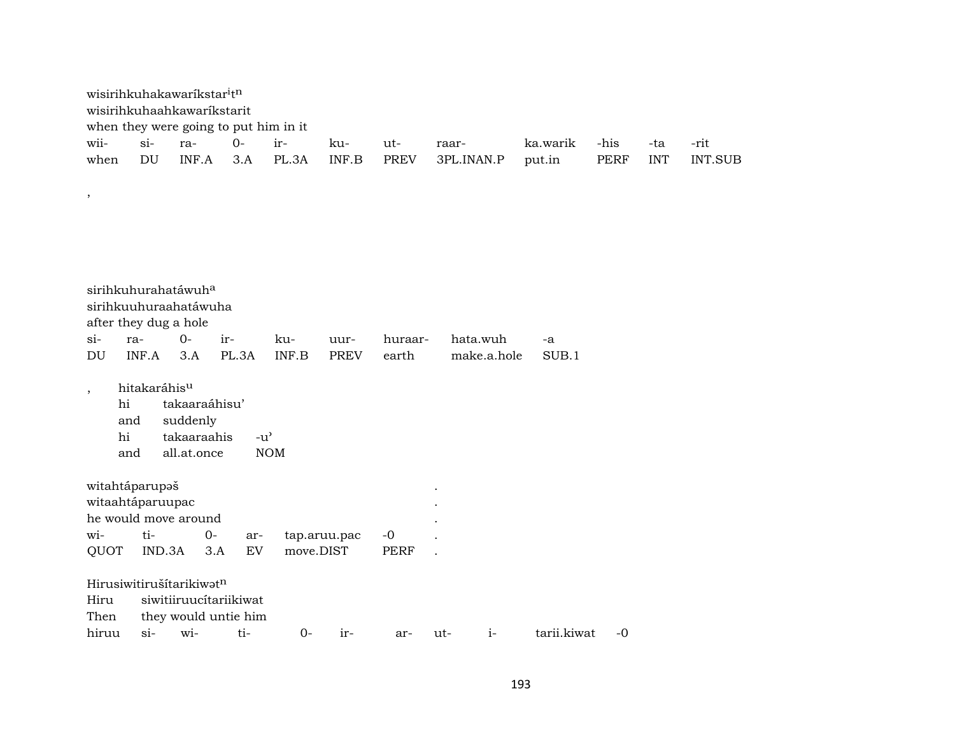|                         | wisirihkuhakawaríkstar <sup>i</sup> tn<br>wisirihkuhaahkawaríkstarit              |                                                         | when they were going to put him in it          |            |              |             |             |          |             |            |         |
|-------------------------|-----------------------------------------------------------------------------------|---------------------------------------------------------|------------------------------------------------|------------|--------------|-------------|-------------|----------|-------------|------------|---------|
| wii-                    | $\sin$                                                                            | ra-                                                     | $O -$                                          | ir-        | ku-          | ut-         | raar-       | ka.warik | -his        | -ta        | -rit    |
| when                    | DU                                                                                | INF.A                                                   | 3.A                                            | PL.3A      | INF.B        | <b>PREV</b> | 3PL.INAN.P  | put.in   | <b>PERF</b> | <b>INT</b> | INT.SUB |
| $\, ,$                  |                                                                                   |                                                         |                                                |            |              |             |             |          |             |            |         |
|                         |                                                                                   |                                                         |                                                |            |              |             |             |          |             |            |         |
|                         | sirihkuhurahatáwuh <sup>a</sup><br>sirihkuuhuraahatáwuha<br>after they dug a hole |                                                         |                                                |            |              |             |             |          |             |            |         |
| $si-$                   | ra-                                                                               | $O -$                                                   | ir-                                            | ku-        | uur-         | huraar-     | hata.wuh    | -a       |             |            |         |
| DU                      | INF.A                                                                             | 3.A                                                     | PL.3A                                          | INF.B      | <b>PREV</b>  | earth       | make.a.hole | SUB.1    |             |            |         |
| $^\mathrm{^\mathrm{o}}$ | hitakaráhisu<br>hi<br>and<br>hi<br>and                                            | takaaraáhisu'<br>suddenly<br>takaaraahis<br>all.at.once | $-u^{\prime}$                                  | <b>NOM</b> |              |             |             |          |             |            |         |
|                         | witahtáparupaš<br>witaahtáparuupac<br>he would move around                        |                                                         |                                                |            |              |             |             |          |             |            |         |
| wi-                     | ti-                                                                               | $O -$                                                   | ar-                                            |            | tap.aruu.pac | $-0$        |             |          |             |            |         |
| QUOT                    | IND.3A                                                                            | 3.A                                                     | EV                                             | move.DIST  |              | <b>PERF</b> |             |          |             |            |         |
| Hiru<br>Then            | Hirusiwitirušítarikiwatn                                                          |                                                         | siwitiiruucítariikiwat<br>they would untie him |            |              |             |             |          |             |            |         |

hiruu si- wi- ti- 0- ir- ar- ut- i- tarii.kiwat -0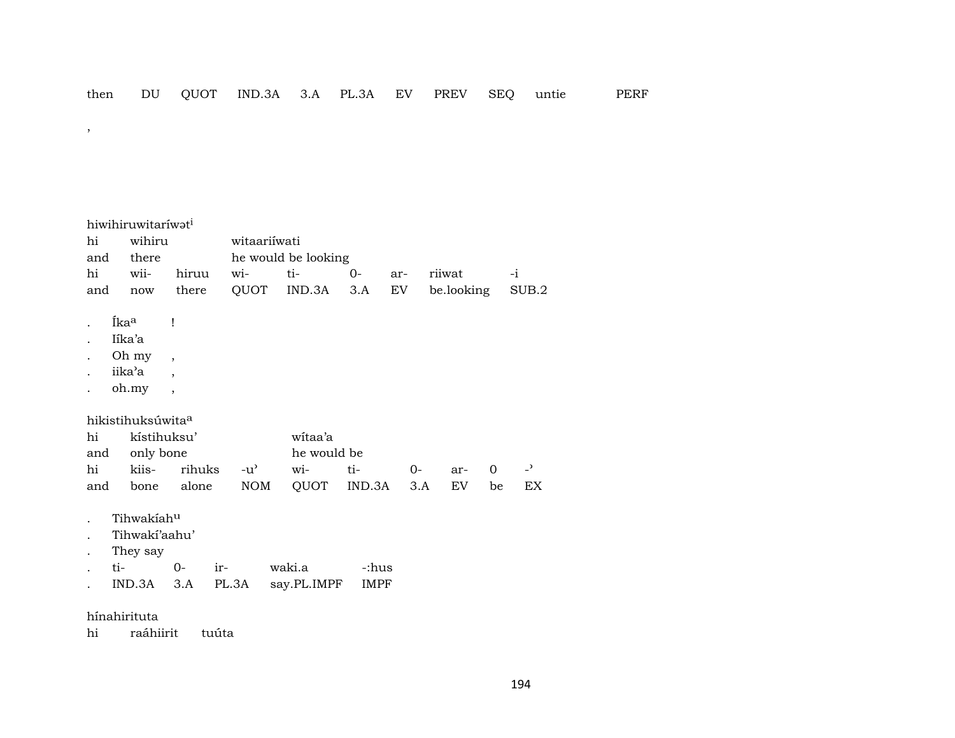$\overline{\phantom{a}}$ 

| hi<br>and<br>hi<br>and | hiwihiruwitariwat <sup>i</sup><br>wihiru<br>there<br>wii-<br>now | hiruu<br>there                                       | witaariiwati<br>$\overline{\text{wi}}$<br>QUOT | he would be looking<br>ti-<br>IND.3A | $0-$<br>3.A          | ar-<br>EV   | riiwat<br>be.looking |         | $-i$<br>SUB.2                  |
|------------------------|------------------------------------------------------------------|------------------------------------------------------|------------------------------------------------|--------------------------------------|----------------------|-------------|----------------------|---------|--------------------------------|
|                        | Íka <sup>a</sup><br>Iíka'a<br>Oh my                              | $\mathbf{I}$<br>$\overline{\phantom{a}}$             |                                                |                                      |                      |             |                      |         |                                |
|                        | iika'a<br>oh.my                                                  | $\overline{\phantom{a}}$<br>$\overline{\phantom{a}}$ |                                                |                                      |                      |             |                      |         |                                |
| hi<br>and              | hikistihuksúwita <sup>a</sup><br>kístihuksu'<br>only bone        |                                                      |                                                | witaa'a<br>he would be               |                      |             |                      |         |                                |
| hi<br>and              | kiis-<br>bone                                                    | rihuks<br>alone                                      | $-u^{\prime}$<br><b>NOM</b>                    | wi-<br>QUOT                          | ti-<br>IND.3A        | $0-$<br>3.A | ar-<br>EV.           | 0<br>be | $\overline{\phantom{0}}$<br>EX |
| ti-                    | Tihwakiahu<br>Tihwaki'aahu'<br>They say<br>IND.3A                | $O -$<br>$ir-$<br>3.A                                | PL.3A                                          | waki.a<br>say.PL.IMPF                | -:hus<br><b>IMPF</b> |             |                      |         |                                |

hínahirituta

hi raáhiirit tuúta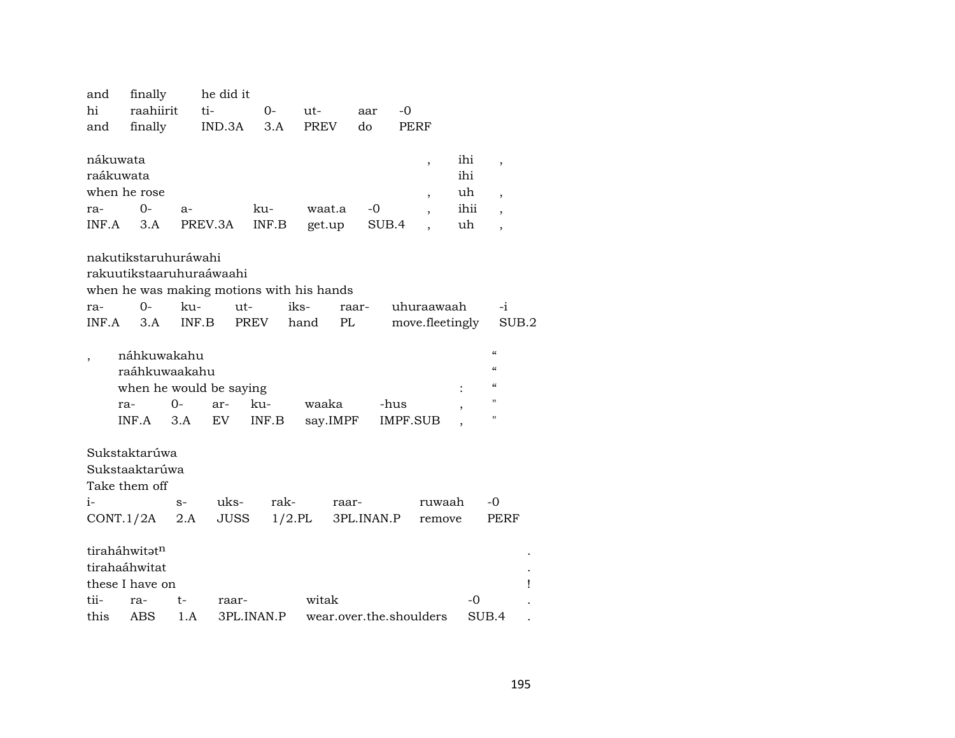| and          | finally                  |         | he did it   |            |                                           |            |                         |       |                                        |  |
|--------------|--------------------------|---------|-------------|------------|-------------------------------------------|------------|-------------------------|-------|----------------------------------------|--|
| hi           | raahiirit                | ti-     |             | $0-$       | ut-                                       | aar        | $-0$                    |       |                                        |  |
| and          | finally                  |         | IND.3A      | 3.A        | <b>PREV</b>                               | do         | PERF                    |       |                                        |  |
|              |                          |         |             |            |                                           |            |                         |       |                                        |  |
| nákuwata     |                          |         |             |            |                                           |            | ,                       | ihi   | $\overline{\phantom{a}}$               |  |
| raákuwata    |                          |         |             |            |                                           |            |                         | ihi   |                                        |  |
| when he rose |                          |         |             |            |                                           |            | ,                       | uh    | $\overline{\phantom{a}}$               |  |
| ra-          | $0-$                     | $a-$    |             | ku-        | waat.a                                    | -0         |                         | ihii  | $\overline{\phantom{a}}$               |  |
| INF.A        | 3.A                      | PREV.3A |             | INF.B      | get.up                                    | SUB.4      |                         | uh    | $\overline{\phantom{a}}$               |  |
|              |                          |         |             |            |                                           |            |                         |       |                                        |  |
|              | nakutikstaruhuráwahi     |         |             |            |                                           |            |                         |       |                                        |  |
|              | rakuutikstaaruhuraáwaahi |         |             |            |                                           |            |                         |       |                                        |  |
|              |                          |         |             |            | when he was making motions with his hands |            |                         |       |                                        |  |
| ra-          | 0-                       | ku-     | ut-         |            | iks-                                      | raar-      | uhuraawaah              |       | $-i$                                   |  |
| INF.A        | 3.A                      | INF.B   |             | PREV       | PL<br>hand                                |            | move.fleetingly         |       | SUB.2                                  |  |
|              |                          |         |             |            |                                           |            |                         |       |                                        |  |
|              | náhkuwakahu              |         |             |            |                                           |            |                         |       | $\epsilon$                             |  |
|              | raáhkuwaakahu            |         |             |            |                                           |            |                         |       | $\epsilon$                             |  |
|              | when he would be saying  |         |             |            |                                           |            |                         |       | $\boldsymbol{\zeta}\boldsymbol{\zeta}$ |  |
|              | ra-                      | 0-      | ar-         | ku-        | waaka                                     |            | -hus                    |       | п                                      |  |
|              | INF.A                    | 3.A     | EV          | INF.B      | say.IMPF                                  |            | <b>IMPF.SUB</b>         | ,     | П                                      |  |
|              |                          |         |             |            |                                           |            |                         |       |                                        |  |
|              | Sukstaktarúwa            |         |             |            |                                           |            |                         |       |                                        |  |
|              | Sukstaaktarúwa           |         |             |            |                                           |            |                         |       |                                        |  |
|              | Take them off            |         |             |            |                                           |            |                         |       |                                        |  |
| $i-$         |                          |         | uks-        | rak-       |                                           |            | ruwaah                  |       | -0                                     |  |
|              |                          | $S-$    |             |            | raar-                                     |            |                         |       |                                        |  |
| CONT.1/2A    |                          | 2.A     | <b>JUSS</b> | $1/2$ .PL  |                                           | 3PL.INAN.P | remove                  |       | PERF                                   |  |
|              | tiraháhwitatn            |         |             |            |                                           |            |                         |       |                                        |  |
|              | tirahaáhwitat            |         |             |            |                                           |            |                         |       |                                        |  |
|              | these I have on          |         |             |            |                                           |            |                         |       |                                        |  |
| tii-         | ra-                      | t-      | raar-       |            | witak                                     |            |                         | -0    |                                        |  |
| this         |                          |         |             |            |                                           |            |                         | SUB.4 |                                        |  |
|              | ABS                      | 1.A     |             | 3PL.INAN.P |                                           |            | wear.over.the.shoulders |       |                                        |  |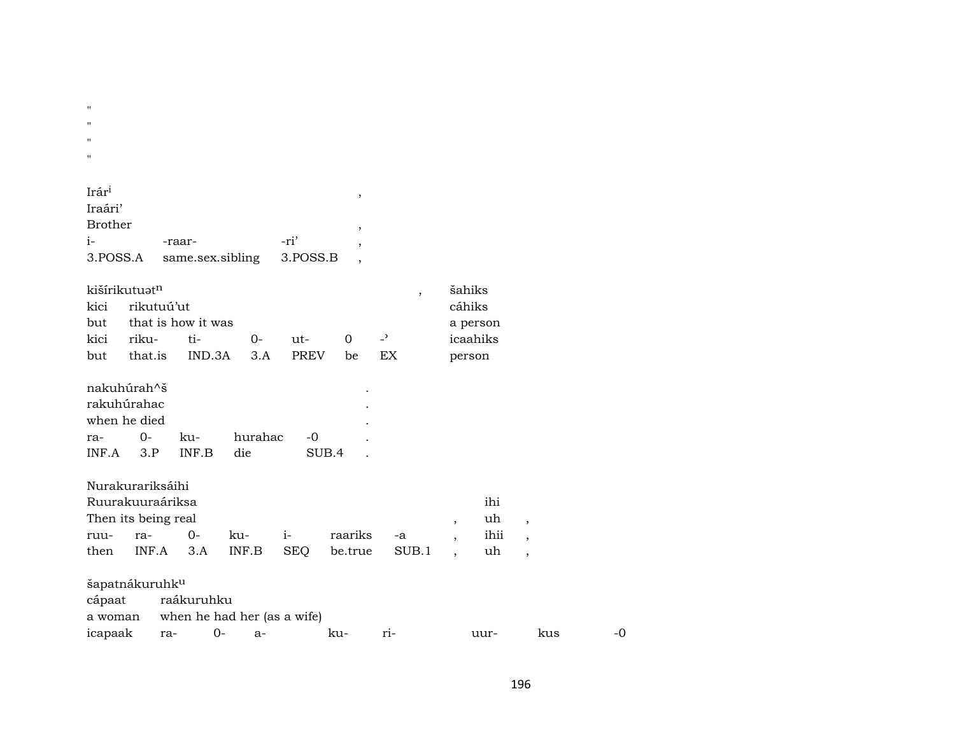| $^{\prime\prime}$ |  |  |  |  |
|-------------------|--|--|--|--|
| $^{\prime\prime}$ |  |  |  |  |
| $^{\prime\prime}$ |  |  |  |  |
| п                 |  |  |  |  |

| Irár <sup>i</sup> |                                      |      |  |
|-------------------|--------------------------------------|------|--|
| Iraári'           |                                      |      |  |
| <b>Brother</b>    |                                      |      |  |
| i-                | -raar-                               | -ri' |  |
|                   | 3. POSS.A same.sex.sibling 3. POSS.B |      |  |
|                   |                                      |      |  |

|      | kišírikutuət <sup>n</sup> |                    |          |        |          |                          | šahiks   |
|------|---------------------------|--------------------|----------|--------|----------|--------------------------|----------|
|      | kici rikutuú'ut           |                    |          | cáhiks |          |                          |          |
| but  |                           | that is how it was | a person |        |          |                          |          |
| kici | riku- ti-                 |                    | റ-       | 11t-   | $\Omega$ | $\overline{\phantom{a}}$ | icaahiks |
| but  |                           | that.is IND.3A 3.A |          | PREV   | be.      | EX.                      | person   |

| nakuhúrah^š   |       |             |                  |   |
|---------------|-------|-------------|------------------|---|
| rakuhúrahac   |       |             |                  |   |
| when he died  |       |             |                  | ٠ |
| ra-<br>$0-$   |       | ku- hurahac | -0               |   |
| $INF.A$ $3.P$ | INF B | die         | SUB <sub>4</sub> |   |

| Nurakurariksáihi          |                     |            |                                    |  |               |  |  |      |  |  |  |
|---------------------------|---------------------|------------|------------------------------------|--|---------------|--|--|------|--|--|--|
|                           | Ruurakuuraáriksa    |            |                                    |  |               |  |  | ihi  |  |  |  |
| Then its being real<br>uh |                     |            |                                    |  |               |  |  |      |  |  |  |
| ruu-                      | ra-                 | $\Omega$ - | ku-<br>$\sim$ $\sim$ $\sim$ $\sim$ |  | raariks -a    |  |  | ihii |  |  |  |
| then                      | INF.A 3.A INF.B SEO |            |                                    |  | be.true SUB.1 |  |  | uh   |  |  |  |

| šapatnákuruhk <sup>u</sup> |  |              |                                     |     |          |      |     |           |  |  |
|----------------------------|--|--------------|-------------------------------------|-----|----------|------|-----|-----------|--|--|
| cápaat raákuruhku          |  |              |                                     |     |          |      |     |           |  |  |
|                            |  |              | a woman when he had her (as a wife) |     |          |      |     |           |  |  |
| icapaak ra-                |  | $O-$<br>$a-$ |                                     | ku- | $r_{1-}$ | uur- | kus | $-\Omega$ |  |  |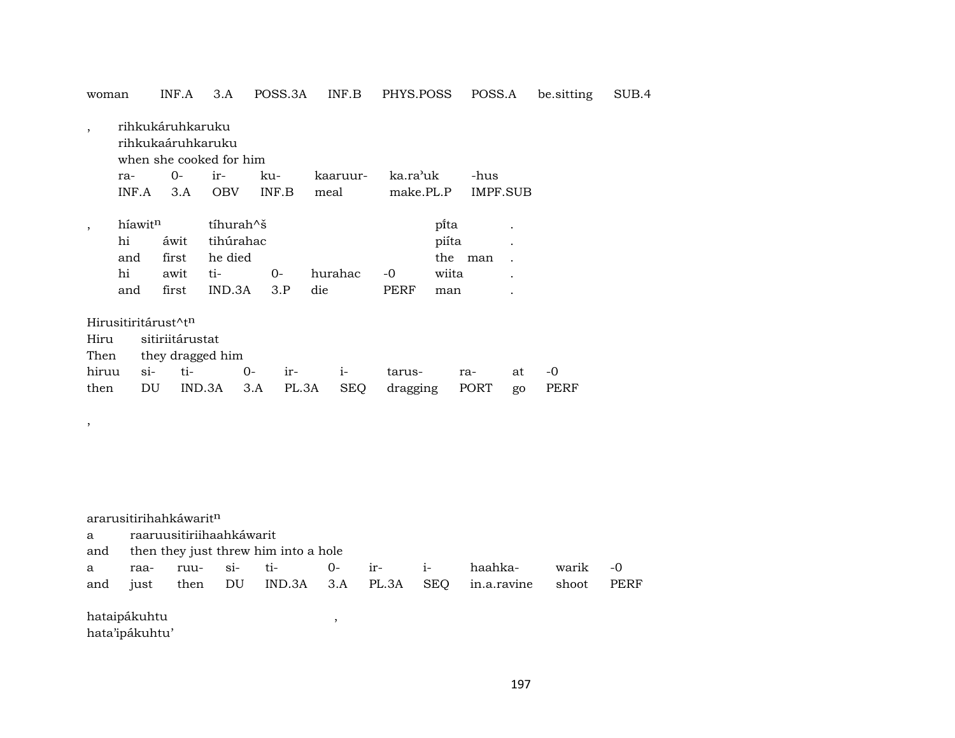| woman   |                                  |        | INF.A                                                            | 3.A                                            |     | POSS.3A |          | INF.B      | PHYS.POSS |                        | POSS.A   |    | be sitting | SUB.4 |
|---------|----------------------------------|--------|------------------------------------------------------------------|------------------------------------------------|-----|---------|----------|------------|-----------|------------------------|----------|----|------------|-------|
| $\cdot$ |                                  |        | rihkukáruhkaruku<br>rihkukaáruhkaruku<br>when she cooked for him |                                                |     |         |          |            |           |                        |          |    |            |       |
|         | ra-                              |        | $O -$                                                            | ir-                                            |     | ku-     | kaaruur- |            | ka.ra'uk  |                        | -hus     |    |            |       |
|         | INF.A                            |        | 3.A                                                              | <b>OBV</b>                                     |     | INF.B   | meal     |            | make.PL.P |                        | IMPF.SUB |    |            |       |
| $\cdot$ | híawit <sup>n</sup><br>hi<br>and |        | áwit<br>first                                                    | tíhurah <sup>^</sup> š<br>tihúrahac<br>he died |     |         |          |            |           | pi̇̃ta<br>piíta<br>the | man      |    |            |       |
|         | hi                               |        | awit                                                             | ti-                                            |     | $0-$    | hurahac  |            | $-0$      | wiita                  |          |    |            |       |
|         | and                              |        | first                                                            | IND.3A                                         |     | 3.P     | die      |            | PERF      | man                    |          |    |            |       |
|         |                                  |        | Hirusitiritárust^t <sup>n</sup>                                  |                                                |     |         |          |            |           |                        |          |    |            |       |
| Hiru    |                                  |        | sitiriitárustat                                                  |                                                |     |         |          |            |           |                        |          |    |            |       |
| Then    |                                  |        | they dragged him                                                 |                                                |     |         |          |            |           |                        |          |    |            |       |
| hiruu   |                                  | $\sin$ | ti-                                                              |                                                | 0-  | ir-     |          | $i-$       | tarus-    |                        | ra-      | at | -0         |       |
| then    |                                  | DU     | IND.3A                                                           |                                                | 3.A | PL.3A   |          | <b>SEQ</b> | dragging  |                        | PORT     | go | PERF       |       |
|         |                                  |        |                                                                  |                                                |     |         |          |            |           |                        |          |    |            |       |

,

a raaruusitiriihaahkáwarit

|  |  | and then they just threw him into a hole |  |                                                                                                                                            |  |
|--|--|------------------------------------------|--|--------------------------------------------------------------------------------------------------------------------------------------------|--|
|  |  |                                          |  | $\Omega$ and $\Omega$ and $\Omega$ and $\Omega$ and $\Omega$ are $\Omega$ and $\Omega$ and $\Omega$ and $\Omega$ and $\Omega$ and $\Omega$ |  |

|  |  |  |  | and just then DU IND.3A 3.A PL.3A SEQ in.a.ravine shoot PERF |  |
|--|--|--|--|--------------------------------------------------------------|--|

hataipákuhtu , hata'ipákuhtu'

197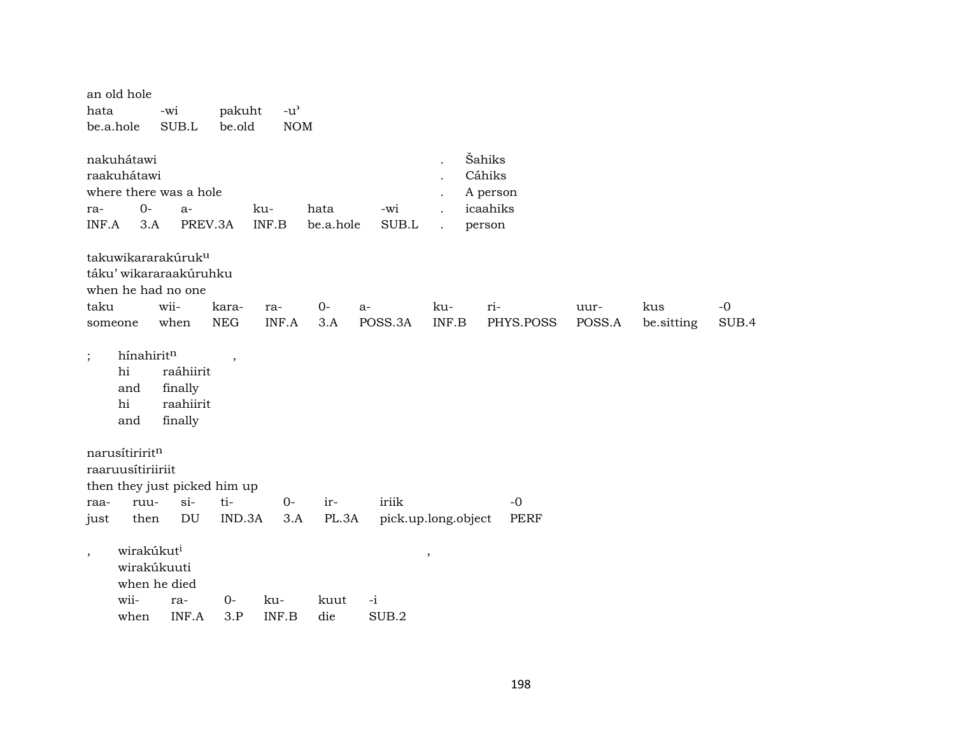| hata                     | an old hole<br>be.a.hole                            | -wi<br>SUB.L                                                                                   | pakuht<br>be.old         | $-u$ <sup><math>\prime</math></sup><br>NOM |                   |                     |                                              |                                                    |                |                   |               |
|--------------------------|-----------------------------------------------------|------------------------------------------------------------------------------------------------|--------------------------|--------------------------------------------|-------------------|---------------------|----------------------------------------------|----------------------------------------------------|----------------|-------------------|---------------|
| ra-                      | nakuhátawi<br>raakuhátawi<br>$O -$<br>INF.A<br>3.A  | where there was a hole<br>$a-$                                                                 | PREV.3A                  | ku-<br>INF.B                               | hata<br>be.a.hole | -wi<br>SUB.L        | $\ddot{\phantom{0}}$<br>$\ddot{\phantom{a}}$ | Šahiks<br>Cáhiks<br>A person<br>icaahiks<br>person |                |                   |               |
| taku                     | someone                                             | takuwikararakúruk <sup>u</sup><br>táku' wikararaakúruhku<br>when he had no one<br>wii-<br>when | kara-<br>${\rm NEG}$     | ra-<br>INF.A                               | $0-$<br>3.A       | $a-$<br>POSS.3A     | ku-<br>INF.B                                 | ri-<br>PHYS.POSS                                   | uur-<br>POSS.A | kus<br>be.sitting | $-0$<br>SUB.4 |
| $\vdots$                 | hínahiritn<br>hi<br>and<br>hi<br>and                | raáhiirit<br>finally<br>raahiirit<br>finally                                                   | $\overline{\phantom{a}}$ |                                            |                   |                     |                                              |                                                    |                |                   |               |
| raa-<br>just             | narusítiriritn<br>raaruusítiriiriit<br>ruu-<br>then | then they just picked him up<br>$si-$<br>DU                                                    | ti-<br>IND.3A            | $O -$<br>3.A                               | ir-<br>PL.3A      | iriik               | pick.up.long.object                          | $-0$<br><b>PERF</b>                                |                |                   |               |
| $\overline{\phantom{a}}$ | wirakúkut <sup>i</sup>                              | wirakúkuuti<br>when he died                                                                    |                          |                                            |                   |                     | $\overline{\phantom{a}}$                     |                                                    |                |                   |               |
|                          | wii-<br>when                                        | ra-<br>INF.A                                                                                   | $0-$<br>3.P              | ku-<br>INF.B                               | kuut<br>die       | $-i$<br>$\rm SUB.2$ |                                              |                                                    |                |                   |               |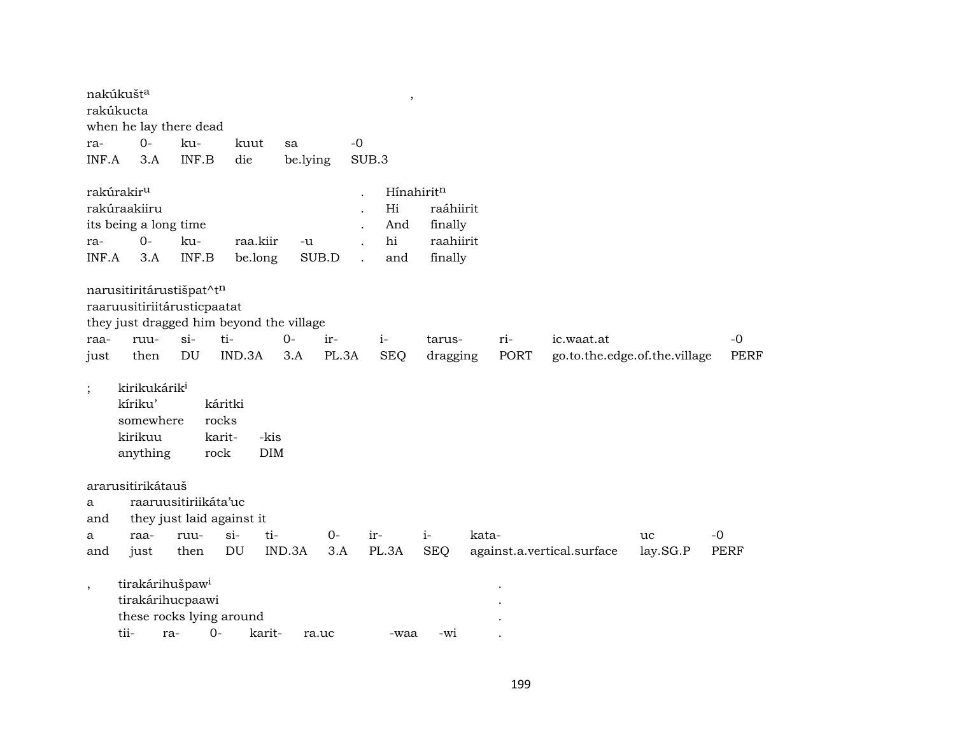|              | nakúkušt <sup>a</sup><br>rakúkucta<br>when he lay there dead                        |                           |                                    |                                          |             |       | $\overline{\phantom{a}}$             |                                              |       |      |                               |          |             |
|--------------|-------------------------------------------------------------------------------------|---------------------------|------------------------------------|------------------------------------------|-------------|-------|--------------------------------------|----------------------------------------------|-------|------|-------------------------------|----------|-------------|
| ra-          | $0 -$                                                                               | ku-                       |                                    | kuut<br>sa                               |             | $-0$  |                                      |                                              |       |      |                               |          |             |
| INF.A        | 3.A                                                                                 | INF.B                     | die                                |                                          | be.lying    | SUB.3 |                                      |                                              |       |      |                               |          |             |
| ra-<br>INF.A | rakúrakir <sup>u</sup><br>rakúraakiiru<br>its being a long time<br>$O -$<br>3.A     | ku-<br>INF.B              |                                    | raa.kiir<br>be.long                      | -u<br>SUB.D |       | Hínahiritn<br>Hi<br>And<br>hi<br>and | raáhiirit<br>finally<br>raahiirit<br>finally |       |      |                               |          |             |
|              | narusitiritárustišpat^tn                                                            |                           |                                    |                                          |             |       |                                      |                                              |       |      |                               |          |             |
|              | raaruusitiriitárusticpaatat                                                         |                           |                                    |                                          |             |       |                                      |                                              |       |      |                               |          |             |
|              |                                                                                     |                           |                                    | they just dragged him beyond the village |             |       |                                      |                                              |       |      |                               |          |             |
| raa-         | ruu-                                                                                | $si$ -                    | ti-                                | $0-$                                     | ir-         |       | $i-$                                 | tarus-                                       | ri-   |      | ic.waat.at                    |          | $-0$        |
| just         | then                                                                                | DU                        | IND.3A                             | 3.A                                      | PL.3A       |       | <b>SEQ</b>                           | dragging                                     |       | PORT | go.to.the.edge.of.the.village |          | <b>PERF</b> |
| $\vdots$     | kirikukárik <sup>i</sup><br>kíriku'<br>somewhere<br>kirikuu<br>anything             |                           | káritki<br>rocks<br>karit-<br>rock | -kis<br>DIM                              |             |       |                                      |                                              |       |      |                               |          |             |
|              | ararusitirikátauš                                                                   |                           |                                    |                                          |             |       |                                      |                                              |       |      |                               |          |             |
| a            |                                                                                     | raaruusitiriikáta'uc      |                                    |                                          |             |       |                                      |                                              |       |      |                               |          |             |
| and          |                                                                                     | they just laid against it |                                    |                                          |             |       |                                      |                                              |       |      |                               |          |             |
| a            | raa-                                                                                | ruu-                      | $si-$                              | ti-                                      | 0-          | ir-   |                                      | $i-$                                         | kata- |      |                               | uc       | $-0$        |
| and          | just                                                                                | then                      | DU                                 | IND.3A                                   | 3.A         |       | PL.3A                                | <b>SEQ</b>                                   |       |      | against.a.vertical.surface    | lay.SG.P | <b>PERF</b> |
| $\cdot$      | tirakárihušpaw <sup>i</sup><br>tirakárihucpaawi<br>these rocks lying around<br>tii- | ra-                       | $O -$                              | karit-                                   | ra.uc       |       | -waa                                 | -wi                                          |       |      |                               |          |             |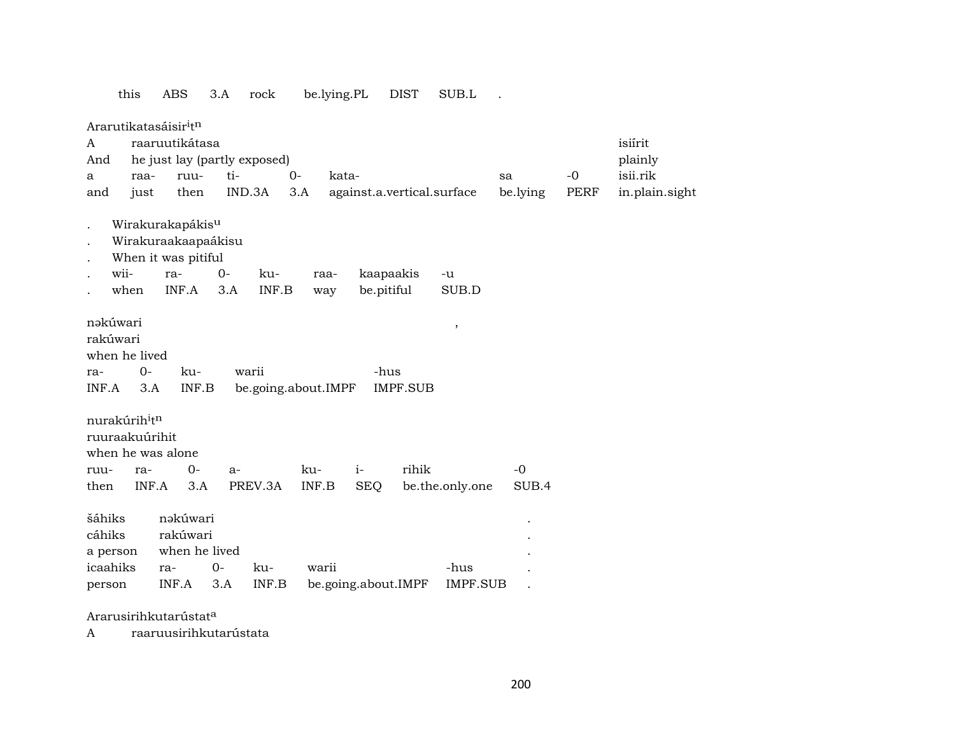this ABS 3.A rock be.lying.PL DIST SUB.L .

Ararutikatasáisir<sup>i</sup>t<sup>n</sup>

|                                                    |       |                                                                                                           |                                                                                                                                                    |                                                |                                                               |                                                        |                                               |                                    | isiírit        |
|----------------------------------------------------|-------|-----------------------------------------------------------------------------------------------------------|----------------------------------------------------------------------------------------------------------------------------------------------------|------------------------------------------------|---------------------------------------------------------------|--------------------------------------------------------|-----------------------------------------------|------------------------------------|----------------|
|                                                    |       |                                                                                                           |                                                                                                                                                    |                                                |                                                               |                                                        |                                               |                                    | plainly        |
| raa-                                               | ruu-  | ti-                                                                                                       | $0 -$                                                                                                                                              |                                                |                                                               |                                                        | sa                                            | $-0$                               | isii.rik       |
| just                                               | then  | IND.3A                                                                                                    | 3.A                                                                                                                                                |                                                |                                                               |                                                        | be.lying                                      | <b>PERF</b>                        | in.plain.sight |
| wii-<br>when                                       |       | $0-$<br>ku-<br>3.A                                                                                        |                                                                                                                                                    |                                                |                                                               | $-u$<br>SUB.D                                          |                                               |                                    |                |
| nəkúwari<br>rakúwari<br>$0-$<br>INF.A<br>3.A       | ku-   | warii                                                                                                     |                                                                                                                                                    |                                                |                                                               | $^\mathrm{^\mathrm{o}}$                                |                                               |                                    |                |
| nurakúrih <sup>i</sup> t <sup>n</sup>              |       |                                                                                                           |                                                                                                                                                    |                                                |                                                               |                                                        |                                               |                                    |                |
| ra-                                                | $O -$ | $a-$                                                                                                      | ku-                                                                                                                                                | $i-$                                           | rihik                                                         |                                                        | $-0$                                          |                                    |                |
|                                                    | 3.A   | PREV.3A                                                                                                   |                                                                                                                                                    | <b>SEQ</b>                                     |                                                               |                                                        | SUB.4                                         |                                    |                |
| šáhiks<br>cáhiks<br>a person<br>icaahiks<br>person |       | ku-                                                                                                       |                                                                                                                                                    |                                                |                                                               | -hus                                                   |                                               |                                    |                |
|                                                    |       | ra-<br>INF.A<br>when he lived<br>ruuraakuúrihit<br>when he was alone<br>INF.A<br>rakúwari<br>ra-<br>INF.A | raaruutikátasa<br>Wirakurakapákis <sup>u</sup><br>Wirakuraakaapaákisu<br>When it was pitiful<br>INF.B<br>nəkúwari<br>when he lived<br>$O -$<br>3.A | he just lay (partly exposed)<br>INF.B<br>INF.B | kata-<br>raa-<br>way<br>be.going.about.IMPF<br>INF.B<br>warii | kaapaakis<br>be.pitiful<br>-hus<br>be.going.about.IMPF | against.a.vertical.surface<br><b>IMPF.SUB</b> | be.the.only.one<br><b>IMPF.SUB</b> |                |

Ararusirihkutarústat<sup>a</sup>

A raaruusirihkutarústata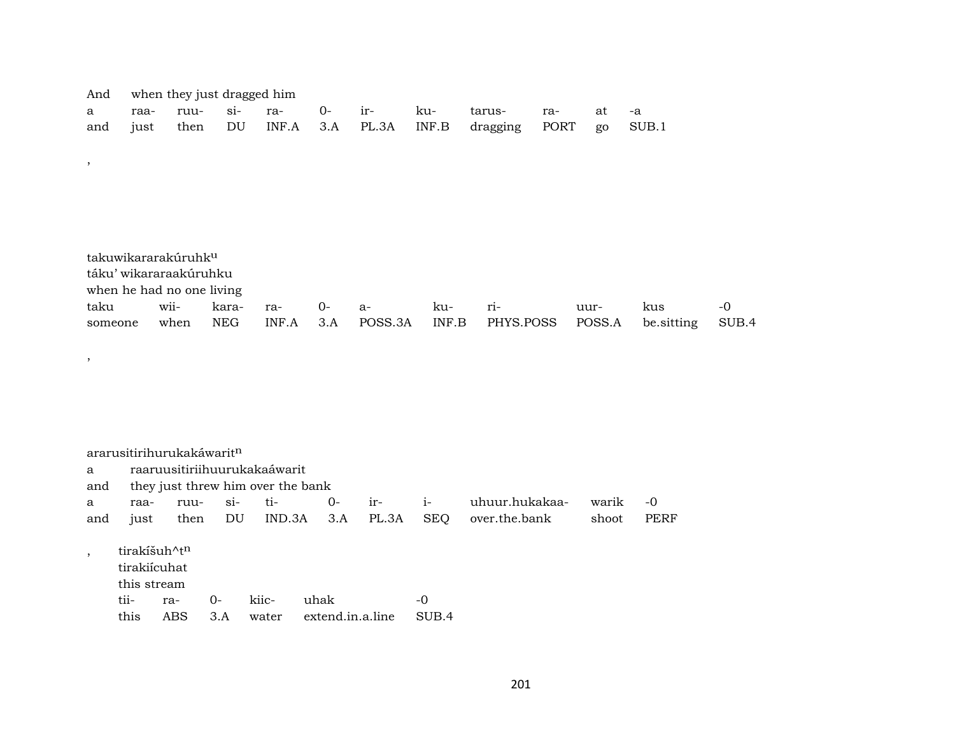| And     |      |                                 | when they just dragged him |       |       |         |       |           |             |        |            |       |
|---------|------|---------------------------------|----------------------------|-------|-------|---------|-------|-----------|-------------|--------|------------|-------|
| a       | raa- | ruu-                            | $\sin$                     | ra-   | $O -$ | ir-     | ku-   | tarus-    | ra-         | at     | -a         |       |
| and     | just | then                            | DU                         | INF.A | 3.A   | PL.3A   | INF.B | dragging  | <b>PORT</b> | go     | SUB.1      |       |
|         |      |                                 |                            |       |       |         |       |           |             |        |            |       |
| $\, ,$  |      |                                 |                            |       |       |         |       |           |             |        |            |       |
|         |      |                                 |                            |       |       |         |       |           |             |        |            |       |
|         |      |                                 |                            |       |       |         |       |           |             |        |            |       |
|         |      |                                 |                            |       |       |         |       |           |             |        |            |       |
|         |      |                                 |                            |       |       |         |       |           |             |        |            |       |
|         |      | takuwikararakúruhk <sup>u</sup> |                            |       |       |         |       |           |             |        |            |       |
|         |      | táku' wikararaakúruhku          |                            |       |       |         |       |           |             |        |            |       |
|         |      | when he had no one living       |                            |       |       |         |       |           |             |        |            |       |
| taku    |      | wii-                            | kara-                      | ra-   | $0-$  | $a-$    | ku-   | ri-       |             | uur-   | kus        | -0    |
| someone |      | when                            | <b>NEG</b>                 | INF.A | 3.A   | POSS.3A | INF.B | PHYS.POSS |             | POSS.A | be.sitting | SUB.4 |
|         |      |                                 |                            |       |       |         |       |           |             |        |            |       |
| $\cdot$ |      |                                 |                            |       |       |         |       |           |             |        |            |       |

|         |              | ararusitirihurukakáwarit <sup>n</sup> |       |                                   |                  |       |            |                |       |             |
|---------|--------------|---------------------------------------|-------|-----------------------------------|------------------|-------|------------|----------------|-------|-------------|
| a       |              |                                       |       | raaruusitiriihuurukakaáwarit      |                  |       |            |                |       |             |
| and     |              |                                       |       | they just threw him over the bank |                  |       |            |                |       |             |
| a       | raa-         | ruu-                                  | $Si-$ | ti-                               | 0-               | $ir-$ | $i-$       | uhuur.hukakaa- | warik | $-0$        |
| and     | just         | then                                  | DU    | IND.3A                            | 3.A              | PL.3A | <b>SEQ</b> | over.the.bank  | shoot | <b>PERF</b> |
|         |              |                                       |       |                                   |                  |       |            |                |       |             |
| $\cdot$ | tirakíšuh^tn |                                       |       |                                   |                  |       |            |                |       |             |
|         | tirakiícuhat |                                       |       |                                   |                  |       |            |                |       |             |
|         | this stream  |                                       |       |                                   |                  |       |            |                |       |             |
|         | tii-         | ra-                                   | $O -$ | kiic-                             | uhak             |       | -0         |                |       |             |
|         | this         | ABS                                   | 3.A   | water                             | extend.in.a.line |       | SUB.4      |                |       |             |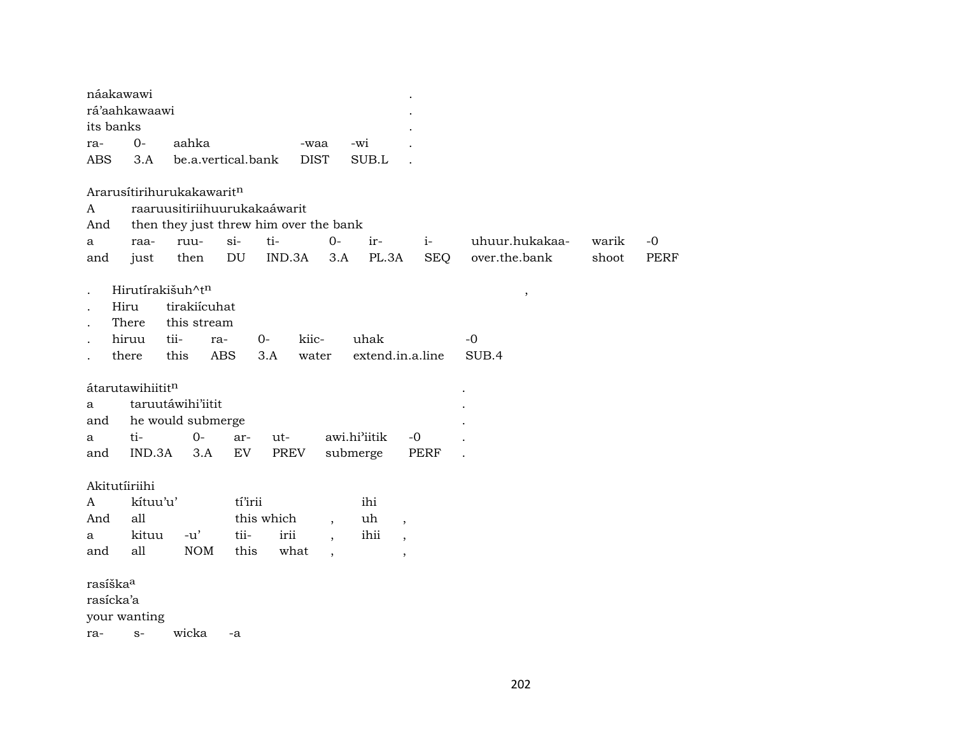| náakawawi            |                  |                              |            |                                        |                          |                  |                          |            |                |       |             |
|----------------------|------------------|------------------------------|------------|----------------------------------------|--------------------------|------------------|--------------------------|------------|----------------|-------|-------------|
|                      | rá'aahkawaawi    |                              |            |                                        |                          |                  |                          |            |                |       |             |
| its banks            |                  |                              |            |                                        |                          |                  |                          |            |                |       |             |
| ra-                  | $O -$            | aahka                        |            | -waa                                   |                          | -wi              |                          |            |                |       |             |
| <b>ABS</b>           | 3.A              | be.a.vertical.bank           |            | <b>DIST</b>                            |                          | SUB.L            |                          |            |                |       |             |
|                      |                  | Ararusítirihurukakawaritn    |            |                                        |                          |                  |                          |            |                |       |             |
| A                    |                  | raaruusitiriihuurukakaáwarit |            |                                        |                          |                  |                          |            |                |       |             |
| And                  |                  |                              |            | then they just threw him over the bank |                          |                  |                          |            |                |       |             |
| a                    | raa-             | ruu-                         | $si-$      | ti-                                    | $0-$                     | ir-              | $i-$                     |            | uhuur.hukakaa- | warik | $-0$        |
| and                  | just             | then                         | DU         | IND.3A                                 | 3.A                      | PL.3A            |                          | <b>SEQ</b> | over.the.bank  | shoot | <b>PERF</b> |
|                      |                  | Hirutírakišuh^tn             |            |                                        |                          |                  |                          |            | $\, ,$         |       |             |
|                      | Hiru             | tirakiícuhat                 |            |                                        |                          |                  |                          |            |                |       |             |
|                      | There            | this stream                  |            |                                        |                          |                  |                          |            |                |       |             |
|                      | hiruu            | tii-                         | ra-        | kiic-<br>$O -$                         |                          | uhak             |                          |            | $-0$           |       |             |
|                      | there            | this                         | <b>ABS</b> | 3.A<br>water                           |                          | extend.in.a.line |                          |            | SUB.4          |       |             |
|                      |                  |                              |            |                                        |                          |                  |                          |            |                |       |             |
|                      | átarutawihiititn |                              |            |                                        |                          |                  |                          |            |                |       |             |
| a                    |                  | taruutáwihi'iitit            |            |                                        |                          |                  |                          |            |                |       |             |
| and                  |                  | he would submerge            |            |                                        |                          |                  |                          |            |                |       |             |
| a                    | ti-              | $0-$                         | ar-        | ut-                                    |                          | awi.hi'iitik     | $-0$                     |            |                |       |             |
| and                  | IND.3A           | 3.A                          | EV         | PREV                                   |                          | submerge         | PERF                     |            |                |       |             |
|                      | Akitutíiriihi    |                              |            |                                        |                          |                  |                          |            |                |       |             |
| A                    | kítuu'u'         |                              | tí'irii    |                                        |                          | ihi              |                          |            |                |       |             |
| And                  | all              |                              |            | this which                             | $\overline{\phantom{a}}$ | uh               | $\overline{\phantom{a}}$ |            |                |       |             |
| a                    | kituu            | $-u'$                        | tii-       | irii                                   | $\overline{ }$ ,         | ihii             | $\overline{\phantom{a}}$ |            |                |       |             |
| and                  | all              | <b>NOM</b>                   | this       | what                                   | $\overline{\phantom{a}}$ |                  | $\overline{\phantom{a}}$ |            |                |       |             |
|                      |                  |                              |            |                                        |                          |                  |                          |            |                |       |             |
| rasíška <sup>a</sup> |                  |                              |            |                                        |                          |                  |                          |            |                |       |             |
| rasícka'a            |                  |                              |            |                                        |                          |                  |                          |            |                |       |             |
|                      | your wanting     |                              |            |                                        |                          |                  |                          |            |                |       |             |
| ra-                  | $S-$             | wicka                        | -a         |                                        |                          |                  |                          |            |                |       |             |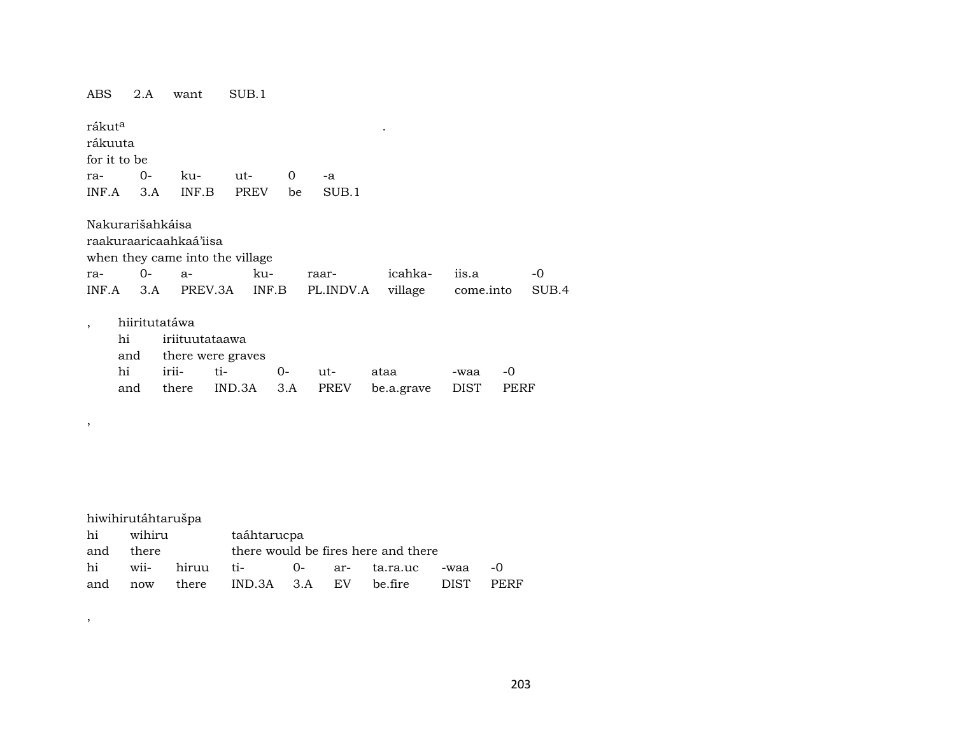ABS 2.A want SUB.1

,

,

 $r$ ákut $\alpha$  .  $\hfill$  . rákuuta for it to be ra- 0- ku- ut- 0 -a INF.A 3.A INF.B PREV be SUB.1

| Nakurarišahkáisa |                                 |        |                                                           |         |       |      |
|------------------|---------------------------------|--------|-----------------------------------------------------------|---------|-------|------|
|                  | raakuraaricaahkaá'iisa          |        |                                                           |         |       |      |
|                  | when they came into the village |        |                                                           |         |       |      |
| ra- 0- a-        |                                 | $k11-$ | raar-                                                     | icahka- | iis.a | $-0$ |
|                  |                                 |        | INF.A 3.A PREV.3A INF.B PL.INDV.A village come.into SUB.4 |         |       |      |

|     | hiiritutatáwa |                       |        |                                            |      |      |
|-----|---------------|-----------------------|--------|--------------------------------------------|------|------|
| hi  |               | iriituutataawa        |        |                                            |      |      |
|     |               | and there were graves |        |                                            |      |      |
| hi  |               | $i$ rii- ti- $0$ -    | $11t-$ | ataa                                       | -waa | $-0$ |
| and |               |                       |        | there IND.3A 3.A PREV be.a.grave DIST PERF |      |      |
|     |               |                       |        |                                            |      |      |

hiwihirutáhtarušpa hi wihiru taáhtarucpa and there there would be fires here and there hi wii- hiruu ti- 0- ar- ta.ra.uc -waa -0 and now there IND.3A 3.A EV be.fire DIST PERF

203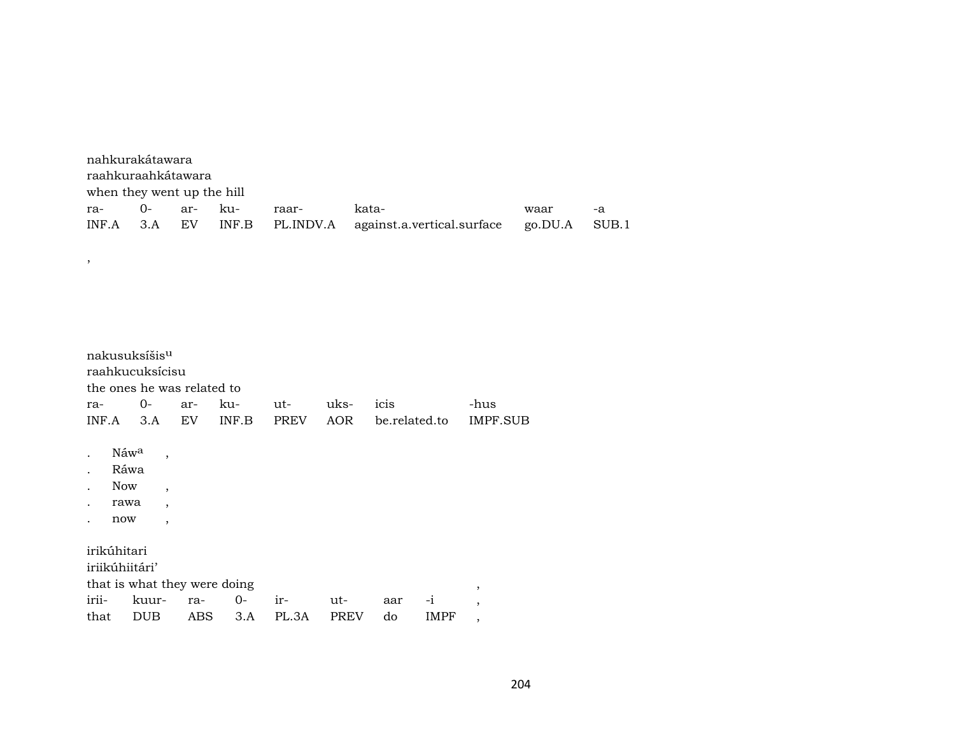| nahkurakátawara<br>raahkuraahkátawara |                            |  |  |       |                                                                       |      |      |  |  |  |  |  |
|---------------------------------------|----------------------------|--|--|-------|-----------------------------------------------------------------------|------|------|--|--|--|--|--|
|                                       | when they went up the hill |  |  |       |                                                                       |      |      |  |  |  |  |  |
| ra- 0- ar- ku-                        |                            |  |  | raar- | kata-                                                                 | waar | $-a$ |  |  |  |  |  |
|                                       |                            |  |  |       | INF.A 3.A EV INF.B PL.INDV.A against.a.vertical.surface go.DU.A SUB.1 |      |      |  |  |  |  |  |

|                      |                  | nakusuksíšis <sup>u</sup>    |     |       |             |             |               |      |                          |
|----------------------|------------------|------------------------------|-----|-------|-------------|-------------|---------------|------|--------------------------|
|                      |                  | raahkucuksícisu              |     |       |             |             |               |      |                          |
|                      |                  | the ones he was related to   |     |       |             |             |               |      |                          |
| ra-                  |                  | 0-                           | ar- | ku-   | ut-         | uks-        | icis          |      | -hus                     |
| INF.A                |                  | 3.A                          | EV  | INF.B | <b>PREV</b> | AOR         | be.related.to |      | IMPF.SUB                 |
| $\ddot{\phantom{a}}$ | Náw <sup>a</sup> | $\overline{\phantom{a}}$     |     |       |             |             |               |      |                          |
|                      | Ráwa             |                              |     |       |             |             |               |      |                          |
| $\ddot{\phantom{0}}$ | <b>Now</b>       | $\overline{\phantom{a}}$     |     |       |             |             |               |      |                          |
|                      | rawa             | $\overline{\phantom{a}}$     |     |       |             |             |               |      |                          |
|                      | now              | $\overline{ }$               |     |       |             |             |               |      |                          |
|                      | irikúhitari      |                              |     |       |             |             |               |      |                          |
|                      | iriikúhiitári'   |                              |     |       |             |             |               |      |                          |
|                      |                  | that is what they were doing |     |       |             |             |               |      | ,                        |
| irii-                |                  | kuur-                        | ra- | $O -$ | $ir-$       | ut-         | aar           | $-1$ | $\overline{\phantom{a}}$ |
| that                 |                  | <b>DUB</b>                   | ABS | 3.A   | PL.3A       | <b>PREV</b> | do            | IMPF | $\overline{\phantom{a}}$ |

 $\overline{\phantom{a}}$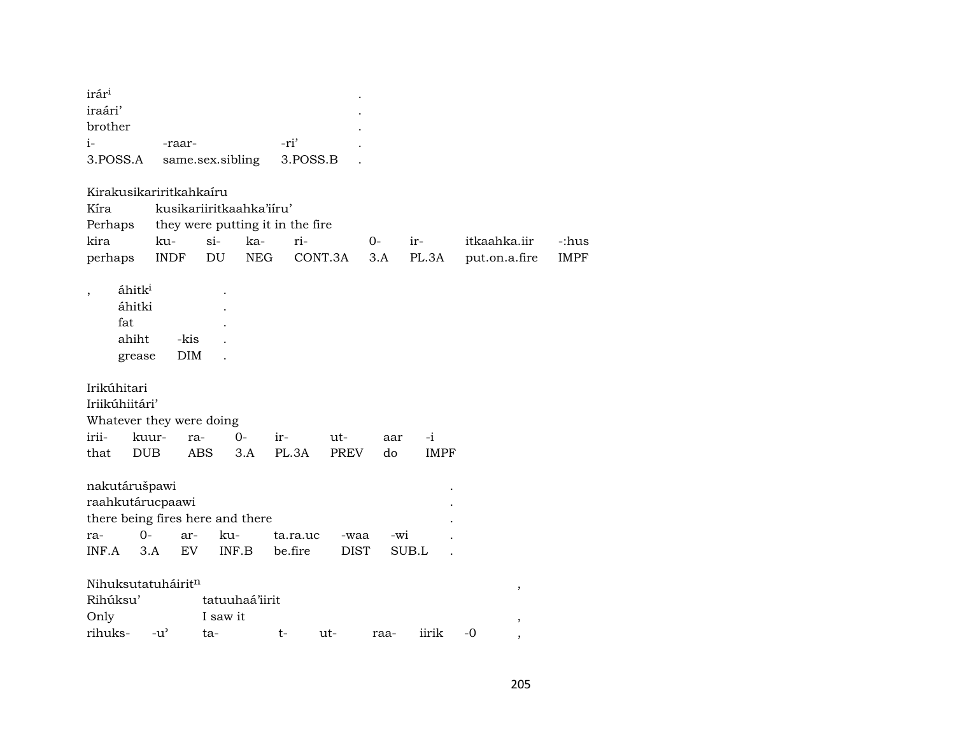| irár <sup>i</sup>        |                       |                                  |           |             |      |             |               |             |
|--------------------------|-----------------------|----------------------------------|-----------|-------------|------|-------------|---------------|-------------|
| iraári'                  |                       |                                  |           |             |      |             |               |             |
| brother                  |                       |                                  |           |             |      |             |               |             |
| $i-$                     | -raar-                |                                  | -ri'      |             |      |             |               |             |
| 3.POSS.A                 |                       | same.sex.sibling                 | 3.POSS.B  |             |      |             |               |             |
|                          |                       |                                  |           |             |      |             |               |             |
| Kirakusikariritkahkaíru  |                       |                                  |           |             |      |             |               |             |
| Kíra                     |                       | kusikariiritkaahka'iiru'         |           |             |      |             |               |             |
| Perhaps                  |                       | they were putting it in the fire |           |             |      |             |               |             |
| kira                     | ku-                   | $si-$<br>ka-                     | ri-       |             | $O-$ | ir-         | itkaahka.iir  | -:hus       |
| perhaps                  | <b>INDF</b>           | DU<br><b>NEG</b>                 | CONT.3A   |             | 3.A  | PL.3A       | put.on.a.fire | <b>IMPF</b> |
|                          |                       |                                  |           |             |      |             |               |             |
| áhitk <sup>i</sup>       |                       |                                  |           |             |      |             |               |             |
| áhitki                   |                       |                                  |           |             |      |             |               |             |
| fat                      |                       |                                  |           |             |      |             |               |             |
| ahiht                    | -kis                  |                                  |           |             |      |             |               |             |
| grease                   | DIM                   |                                  |           |             |      |             |               |             |
|                          |                       |                                  |           |             |      |             |               |             |
| Irikúhitari              |                       |                                  |           |             |      |             |               |             |
| Iriikúhiitári'           |                       |                                  |           |             |      |             |               |             |
| Whatever they were doing |                       |                                  |           |             |      |             |               |             |
| irii-                    | kuur-<br>ra-          | $0-$                             | ir-       | ut-         |      | -i          |               |             |
|                          |                       |                                  |           |             | aar  |             |               |             |
| <b>DUB</b><br>that       | ABS                   | 3.A                              | PL.3A     | <b>PREV</b> | do   | <b>IMPF</b> |               |             |
|                          |                       |                                  |           |             |      |             |               |             |
| nakutárušpawi            |                       |                                  |           |             |      |             |               |             |
| raahkutárucpaawi         |                       |                                  |           |             |      |             |               |             |
|                          |                       | there being fires here and there |           |             |      |             |               |             |
| $O -$<br>ra-             | ar-                   | ku-                              | ta.ra.uc  | -waa        | -wi  |             |               |             |
| INF.A                    | EV <sub></sub><br>3.A | INF.B                            | be.fire   | <b>DIST</b> |      | SUB.L       |               |             |
|                          |                       |                                  |           |             |      |             |               |             |
| Nihuksutatuháiritn       |                       |                                  |           |             |      |             | $\,$          |             |
| Rihúksu'                 |                       | tatuuhaá'iirit                   |           |             |      |             |               |             |
| Only                     |                       | I saw it                         |           |             |      |             | ,             |             |
| rihuks-                  | $-u^{\prime}$         | ta-                              | t-<br>ut- |             | raa- | iirik       | $-0$          |             |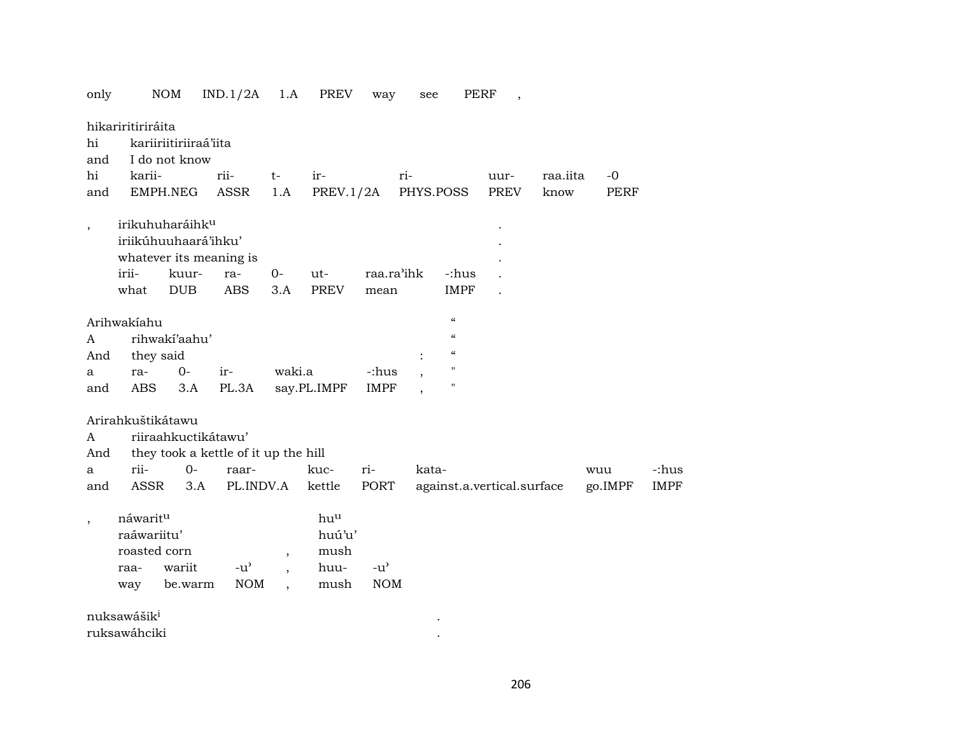| only                     |                                                        | NOM                                                                                     | IND.1/2A                                                   | 1.A                             | PREV                                  | way                         | see       |                                        | PERF<br>$\overline{\phantom{a}}$ |          |                |                      |
|--------------------------|--------------------------------------------------------|-----------------------------------------------------------------------------------------|------------------------------------------------------------|---------------------------------|---------------------------------------|-----------------------------|-----------|----------------------------------------|----------------------------------|----------|----------------|----------------------|
| hi<br>and                | hikariritiriráita                                      | kariiriitiriiraá'iita<br>I do not know                                                  |                                                            |                                 |                                       |                             |           |                                        |                                  |          |                |                      |
| hi                       | karii-                                                 |                                                                                         | rii-                                                       | $t-$                            | ir-                                   |                             | ri-       |                                        | uur-                             | raa.iita | $-0$           |                      |
| and                      |                                                        | EMPH.NEG                                                                                | ASSR                                                       | 1.A                             | PREV.1/2A                             |                             | PHYS.POSS |                                        | PREV                             | know     | PERF           |                      |
| $\, ,$                   | irii-                                                  | irikuhuharáihk <sup>u</sup><br>iriikúhuuhaará'ihku'<br>whatever its meaning is<br>kuur- | ra-                                                        | $0-$                            | ut-                                   | raa.ra'ihk                  |           | -:hus                                  |                                  |          |                |                      |
|                          |                                                        |                                                                                         |                                                            |                                 |                                       |                             |           |                                        |                                  |          |                |                      |
|                          | what                                                   | <b>DUB</b>                                                                              | <b>ABS</b>                                                 | 3.A                             | <b>PREV</b>                           | mean                        |           | <b>IMPF</b>                            |                                  |          |                |                      |
|                          | Arihwakiahu                                            |                                                                                         |                                                            |                                 |                                       |                             |           | $\boldsymbol{\zeta}\boldsymbol{\zeta}$ |                                  |          |                |                      |
| A                        |                                                        | rihwakí'aahu'                                                                           |                                                            |                                 |                                       |                             |           | $\boldsymbol{\zeta}\boldsymbol{\zeta}$ |                                  |          |                |                      |
| And                      | they said                                              |                                                                                         |                                                            |                                 |                                       |                             |           | $\boldsymbol{\zeta}\boldsymbol{\zeta}$ |                                  |          |                |                      |
| a                        | ra-                                                    | $O -$                                                                                   | ir-                                                        | waki.a                          |                                       | -:hus                       |           | "                                      |                                  |          |                |                      |
| and                      | ABS                                                    | 3.A                                                                                     | PL.3A                                                      |                                 | say.PL.IMPF                           | <b>IMPF</b>                 |           | $\blacksquare$                         |                                  |          |                |                      |
| A<br>And<br>a<br>and     | Arirahkuštikátawu<br>rii-<br>ASSR                      | riiraahkuctikátawu'<br>$0 -$<br>3.A                                                     | they took a kettle of it up the hill<br>raar-<br>PL.INDV.A |                                 | kuc-<br>kettle                        | ri-<br>PORT                 | kata-     |                                        | against.a.vertical.surface       |          | wuu<br>go.IMPF | -:hus<br><b>IMPF</b> |
| $\overline{\phantom{a}}$ | náwaritu<br>raáwariitu'<br>roasted corn<br>raa-<br>way | wariit<br>be.warm                                                                       | $-u^{\prime}$<br><b>NOM</b>                                | $\cdot$<br>$\ddot{\phantom{0}}$ | huu<br>huú'u'<br>mush<br>huu-<br>mush | $-u^{\prime}$<br><b>NOM</b> |           |                                        |                                  |          |                |                      |
|                          | nuksawášik <sup>i</sup>                                |                                                                                         |                                                            |                                 |                                       |                             |           |                                        |                                  |          |                |                      |
|                          | ruksawáhciki                                           |                                                                                         |                                                            |                                 |                                       |                             |           |                                        |                                  |          |                |                      |

206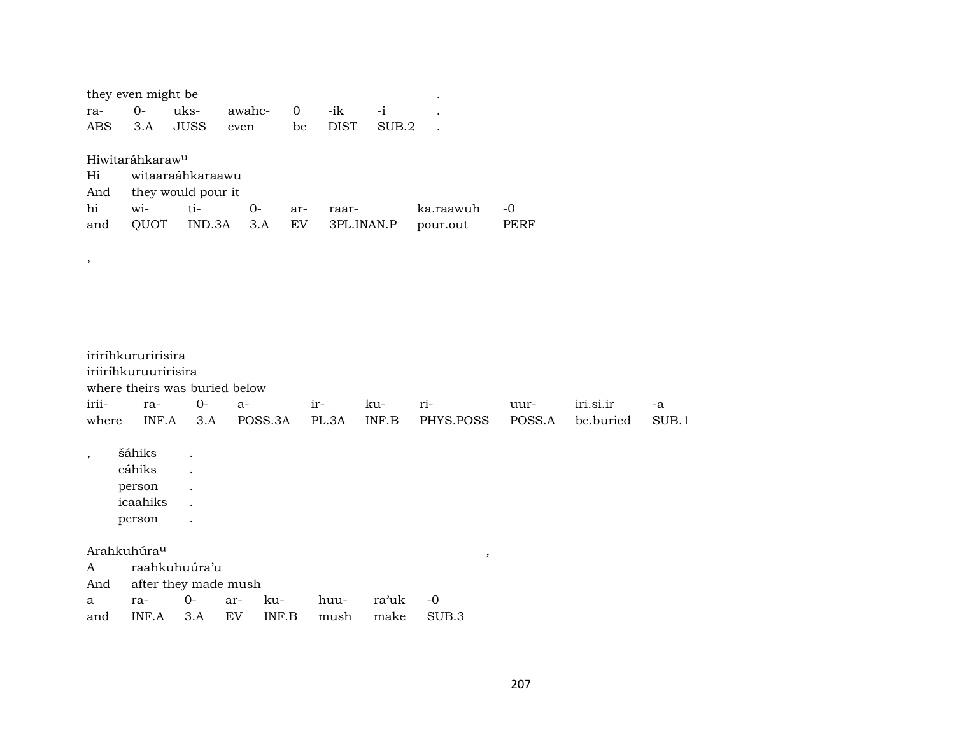|                          | they even might be          |                      |                               |                   |             |       |                         |        |           |       |  |
|--------------------------|-----------------------------|----------------------|-------------------------------|-------------------|-------------|-------|-------------------------|--------|-----------|-------|--|
| ra-                      | $O -$                       | uks-                 | awahc-                        | $\mathbf{O}$      | -ik         | $-i$  |                         |        |           |       |  |
| <b>ABS</b>               | 3.A                         | <b>JUSS</b>          | even                          | be                | <b>DIST</b> | SUB.2 |                         |        |           |       |  |
|                          |                             |                      |                               |                   |             |       |                         |        |           |       |  |
|                          | Hiwitaráhkaraw <sup>u</sup> |                      |                               |                   |             |       |                         |        |           |       |  |
| Hi                       |                             | witaaraáhkaraawu     |                               |                   |             |       |                         |        |           |       |  |
| And<br>hi                |                             | they would pour it   |                               |                   |             |       |                         |        |           |       |  |
|                          | wi-                         | ti-                  | $O -$                         | ar-<br>${\rm EV}$ | raar-       |       | ka.raawuh               | $-0$   |           |       |  |
| and                      | QUOT                        | IND.3A               | 3.A                           |                   | 3PL.INAN.P  |       | pour.out                | PERF   |           |       |  |
|                          |                             |                      |                               |                   |             |       |                         |        |           |       |  |
| $^\mathrm{,}$            |                             |                      |                               |                   |             |       |                         |        |           |       |  |
|                          |                             |                      |                               |                   |             |       |                         |        |           |       |  |
|                          |                             |                      |                               |                   |             |       |                         |        |           |       |  |
|                          |                             |                      |                               |                   |             |       |                         |        |           |       |  |
|                          |                             |                      |                               |                   |             |       |                         |        |           |       |  |
|                          | iriríhkururirisira          |                      |                               |                   |             |       |                         |        |           |       |  |
|                          | iriiríhkuruuririsira        |                      |                               |                   |             |       |                         |        |           |       |  |
|                          |                             |                      | where theirs was buried below |                   |             |       |                         |        |           |       |  |
| irii-                    | ra-                         | $0-$                 | $a-$                          | ir-               |             | ku-   | ri-                     | uur-   | iri.si.ir | -a    |  |
| where                    | INF.A                       | 3.A                  | POSS.3A                       |                   | PL.3A       | INF.B | PHYS.POSS               | POSS.A | be.buried | SUB.1 |  |
|                          |                             |                      |                               |                   |             |       |                         |        |           |       |  |
| $\overline{\phantom{a}}$ | šáhiks                      |                      |                               |                   |             |       |                         |        |           |       |  |
|                          | cáhiks                      |                      |                               |                   |             |       |                         |        |           |       |  |
|                          | person<br>icaahiks          |                      |                               |                   |             |       |                         |        |           |       |  |
|                          | person                      |                      |                               |                   |             |       |                         |        |           |       |  |
|                          |                             |                      |                               |                   |             |       |                         |        |           |       |  |
|                          | Arahkuhúra <sup>u</sup>     |                      |                               |                   |             |       | $^\mathrm{^\mathrm{o}}$ |        |           |       |  |
| A                        |                             | raahkuhuúra'u        |                               |                   |             |       |                         |        |           |       |  |
| And                      |                             | after they made mush |                               |                   |             |       |                         |        |           |       |  |
| a                        | ra-                         | $0-$                 | ku-<br>ar-                    |                   |             |       | $-0$                    |        |           |       |  |
|                          |                             |                      |                               |                   | huu-        | ra'uk |                         |        |           |       |  |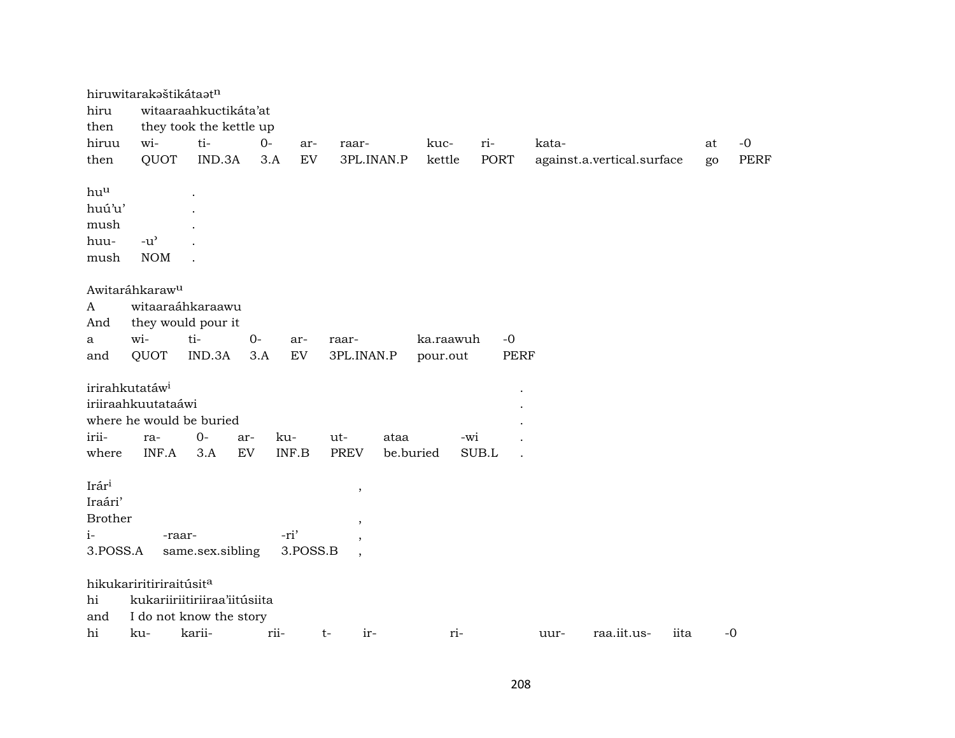|                | hiruwitarakaštikátaatn              |                         |      |                            |             |           |           |             |                            |      |      |
|----------------|-------------------------------------|-------------------------|------|----------------------------|-------------|-----------|-----------|-------------|----------------------------|------|------|
| hiru           |                                     | witaaraahkuctikáta'at   |      |                            |             |           |           |             |                            |      |      |
| then           |                                     | they took the kettle up |      |                            |             |           |           |             |                            |      |      |
| hiruu          | wi-                                 | ti-                     | $0-$ | ar-                        | raar-       | kuc-      | ri-       |             | kata-                      | at   | $-0$ |
| then           | QUOT                                | IND.3A                  | 3.A  | $\mathop{\rm EV}\nolimits$ | 3PL.INAN.P  | kettle    |           | <b>PORT</b> | against.a.vertical.surface | go   | PERF |
| huu            |                                     |                         |      |                            |             |           |           |             |                            |      |      |
| huú'u'         |                                     |                         |      |                            |             |           |           |             |                            |      |      |
| mush           |                                     |                         |      |                            |             |           |           |             |                            |      |      |
| huu-           | $-u^{\prime}$                       |                         |      |                            |             |           |           |             |                            |      |      |
| mush           | <b>NOM</b>                          |                         |      |                            |             |           |           |             |                            |      |      |
|                |                                     |                         |      |                            |             |           |           |             |                            |      |      |
|                | Awitaráhkaraw <sup>u</sup>          |                         |      |                            |             |           |           |             |                            |      |      |
| $\mathbf{A}$   |                                     | witaaraáhkaraawu        |      |                            |             |           |           |             |                            |      |      |
| And            |                                     | they would pour it      |      |                            |             |           |           |             |                            |      |      |
| a              | wi-                                 | ti-                     | $0-$ | ar-<br>EV                  | raar-       |           | ka.raawuh | $-0$        |                            |      |      |
| and            | QUOT                                | IND.3A                  | 3.A  |                            | 3PL.INAN.P  | pour.out  |           | <b>PERF</b> |                            |      |      |
|                | irirahkutatáw <sup>i</sup>          |                         |      |                            |             |           |           |             |                            |      |      |
|                | iriiraahkuutataáwi                  |                         |      |                            |             |           |           |             |                            |      |      |
|                | where he would be buried            |                         |      |                            |             |           |           |             |                            |      |      |
| irii-          | ra-                                 | $0-$                    | ar-  | ku-                        | $ut-$       | ataa      | -wi       |             |                            |      |      |
| where          | INF.A                               | 3.A                     | EV   | INF.B                      | <b>PREV</b> | be.buried | SUB.L     |             |                            |      |      |
|                |                                     |                         |      |                            |             |           |           |             |                            |      |      |
| Irári          |                                     |                         |      |                            | $\, ,$      |           |           |             |                            |      |      |
| Iraári'        |                                     |                         |      |                            |             |           |           |             |                            |      |      |
| <b>Brother</b> |                                     |                         |      |                            | ,           |           |           |             |                            |      |      |
| $i-$           | -raar-                              |                         |      | -ri'                       |             |           |           |             |                            |      |      |
| 3.POSS.A       |                                     | same.sex.sibling        |      | 3.POSS.B                   |             |           |           |             |                            |      |      |
|                | hikukariritiriraitúsit <sup>a</sup> |                         |      |                            |             |           |           |             |                            |      |      |
| hi             | kukariiriitiriiraa'iitúsiita        |                         |      |                            |             |           |           |             |                            |      |      |
| and            | I do not know the story             |                         |      |                            |             |           |           |             |                            |      |      |
| hi             | ku-                                 | karii-                  | rii- |                            | t-<br>ir-   |           | ri-       |             | raa.iit.us-<br>uur-        | iita | $-0$ |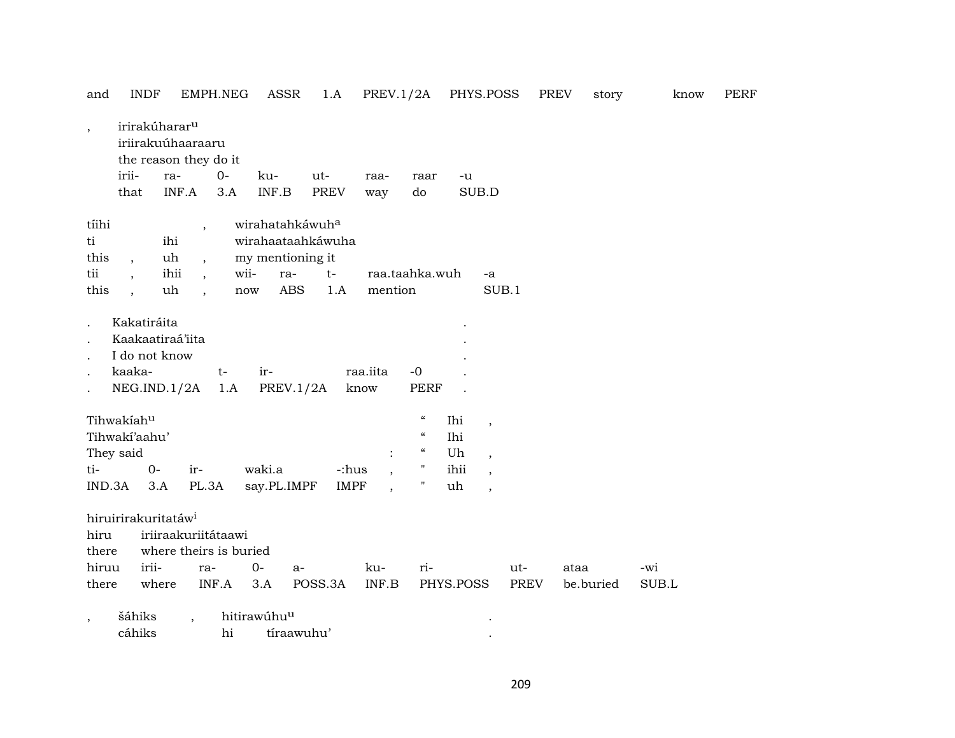| and                                | <b>INDF</b>                                                               |                         | EMPH.NEG                                                               | <b>ASSR</b>                                             | 1.A                                                               | PREV.1/2A        |                                        | PHYS.POSS                      |             | PREV      | story | know | <b>PERF</b> |
|------------------------------------|---------------------------------------------------------------------------|-------------------------|------------------------------------------------------------------------|---------------------------------------------------------|-------------------------------------------------------------------|------------------|----------------------------------------|--------------------------------|-------------|-----------|-------|------|-------------|
| $\overline{\phantom{a}}$           | irirakúharar <sup>u</sup><br>iriirakuúhaaraaru                            |                         | the reason they do it                                                  |                                                         |                                                                   |                  |                                        |                                |             |           |       |      |             |
|                                    | irii-                                                                     | ra-                     | $0-$                                                                   | ku-                                                     | ut-                                                               | raa-             | raar                                   | -u                             |             |           |       |      |             |
|                                    | that                                                                      | INF.A                   | 3.A                                                                    | $\ensuremath{\mathsf{INF}.\mathsf{B}}$                  | <b>PREV</b>                                                       | way              | do                                     | SUB.D                          |             |           |       |      |             |
| tíihi<br>ti<br>this<br>tii<br>this | $\overline{\phantom{a}}$<br>$\ddot{\phantom{0}}$                          | ihi<br>uh<br>ihii<br>uh | $\overline{\phantom{a}}$<br>$\cdot$<br>$\cdot$<br>$\ddot{\phantom{0}}$ | my mentioning it<br>wii-<br>ra-<br>$\operatorname{now}$ | wirahatahkáwuha<br>wirahaataahkáwuha<br>$t-$<br><b>ABS</b><br>1.A | mention          | raa.taahka.wuh                         | -a                             | SUB.1       |           |       |      |             |
| $\bullet$<br>$\bullet$             | Kakatiráita<br>Kaakaatiraá'iita<br>I do not know<br>kaaka-<br>NEG.ID.1/2A |                         | $t-$<br>1.A                                                            | ir-                                                     | PREV.1/2A                                                         | raa.iita<br>know | $-0$<br><b>PERF</b>                    |                                |             |           |       |      |             |
|                                    | Tihwakiahu                                                                |                         |                                                                        |                                                         |                                                                   |                  | $\boldsymbol{\mathcal{C}}$             | Ihi                            |             |           |       |      |             |
|                                    | Tihwaki'aahu'                                                             |                         |                                                                        |                                                         |                                                                   |                  | $\boldsymbol{\zeta}\boldsymbol{\zeta}$ | $\, ,$<br>Ihi                  |             |           |       |      |             |
|                                    | They said                                                                 |                         |                                                                        |                                                         |                                                                   |                  | $\epsilon\epsilon$                     | Uh<br>$\overline{\phantom{a}}$ |             |           |       |      |             |
| ti-                                | $0-$                                                                      |                         | ir-                                                                    | waki.a                                                  |                                                                   | -:hus            | 11                                     | ihii<br>$\cdot$                |             |           |       |      |             |
| IND.3A                             |                                                                           | 3.A                     | PL.3A                                                                  | say.PL.IMPF                                             |                                                                   | <b>IMPF</b>      | $\pmb{\mathsf{H}}$                     | uh<br>$\overline{\phantom{a}}$ |             |           |       |      |             |
| hiru                               | hiruirirakuritatáw <sup>i</sup>                                           |                         | iriiraakuriitátaawi                                                    |                                                         |                                                                   |                  |                                        |                                |             |           |       |      |             |
| there                              |                                                                           |                         | where theirs is buried                                                 |                                                         |                                                                   |                  |                                        |                                |             |           |       |      |             |
| hiruu                              | irii-                                                                     |                         | ra-                                                                    | $0-$                                                    | a-                                                                | ku-              | ri-                                    |                                | ut-         | ataa      | -wi   |      |             |
| there                              |                                                                           | where                   | INF.A                                                                  | 3.A                                                     | POSS.3A                                                           | INF.B            |                                        | PHYS.POSS                      | <b>PREV</b> | be.buried | SUB.L |      |             |
| $\cdot$                            | šáhiks<br>cáhiks                                                          | $\ddot{\phantom{a}}$    | hi                                                                     | hitirawúhuu                                             | tíraawuhu'                                                        |                  |                                        |                                |             |           |       |      |             |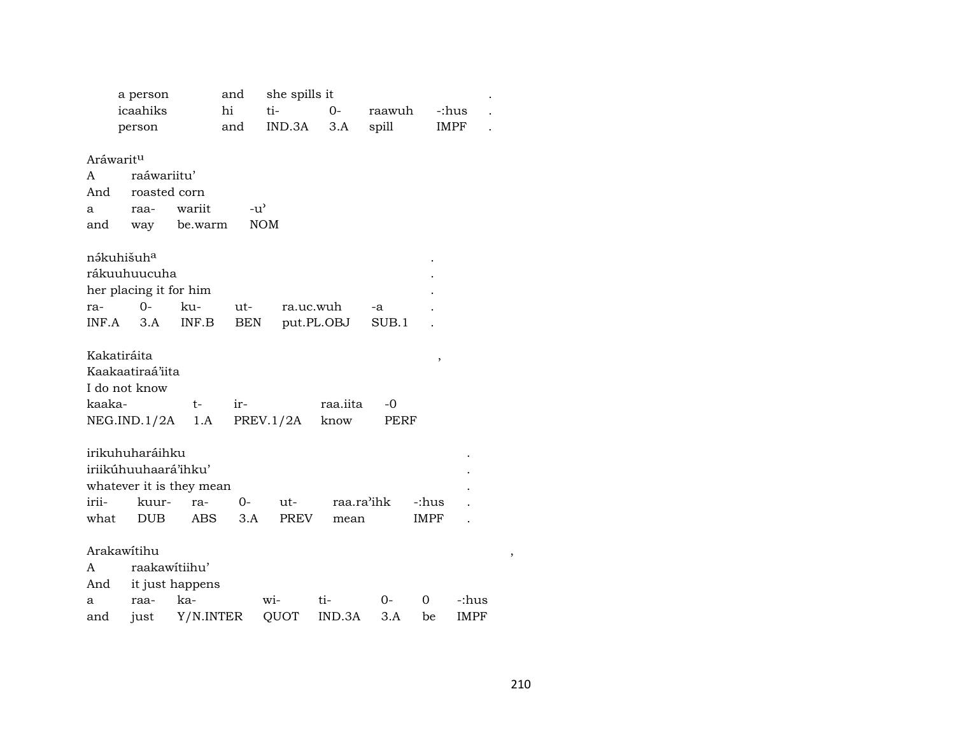|           | a person                 |                 | and           | she spills it |            |            |             |             |  |
|-----------|--------------------------|-----------------|---------------|---------------|------------|------------|-------------|-------------|--|
|           | icaahiks                 |                 | hi            | ti-           | $0-$       | raawuh     |             | -:hus       |  |
|           | person                   |                 | and           | IND.3A        | 3.A        | spill      |             | IMPF        |  |
| Aráwaritu |                          |                 |               |               |            |            |             |             |  |
| A         | raáwariitu'              |                 |               |               |            |            |             |             |  |
| And       | roasted corn             |                 |               |               |            |            |             |             |  |
| a         | raa-                     | wariit          | $-u^{\prime}$ |               |            |            |             |             |  |
| and       |                          | way be.warm     |               | <b>NOM</b>    |            |            |             |             |  |
|           | nákuhišuh <sup>a</sup>   |                 |               |               |            |            |             |             |  |
|           | rákuuhuucuha             |                 |               |               |            |            |             |             |  |
|           | her placing it for him   |                 |               |               |            |            |             |             |  |
| ra-       | $0-$                     | ku-             | ut-           | ra.uc.wuh     |            | -a         |             |             |  |
|           | $INF.A$ 3.A              | INF.B           | BEN           |               | put.PL.OBJ | SUB.1      |             |             |  |
|           | Kakatiráita              |                 |               |               |            |            | ,           |             |  |
|           | Kaakaatiraá'iita         |                 |               |               |            |            |             |             |  |
|           | I do not know            |                 |               |               |            |            |             |             |  |
| kaaka-    |                          | $t-$            | ir-           |               | raa.iita   | -0         |             |             |  |
|           | NEG.ID.1/2A 1.A          |                 |               | PREV.1/2A     | know       | PERF       |             |             |  |
|           | irikuhuharáihku          |                 |               |               |            |            |             |             |  |
|           | iriikúhuuhaará'ihku'     |                 |               |               |            |            |             |             |  |
|           | whatever it is they mean |                 |               |               |            |            |             |             |  |
| irii-     | kuur-                    | ra-             | $0-$          | ut-           |            | raa.ra'ihk | -:hus       |             |  |
| what      | <b>DUB</b>               | ABS             | 3.A           | PREV          | mean       |            | <b>IMPF</b> |             |  |
|           | Arakawitihu              |                 |               |               |            |            |             |             |  |
| A         | raakawitiihu'            |                 |               |               |            |            |             |             |  |
| And       |                          | it just happens |               |               |            |            |             |             |  |
| a         | raa-                     | ka-             |               | wi-           | ti-        | $0-$       | 0           | -:hus       |  |
| and       | just                     | Y/N.INTER       |               | QUOT          | IND.3A     | 3.A        | be          | <b>IMPF</b> |  |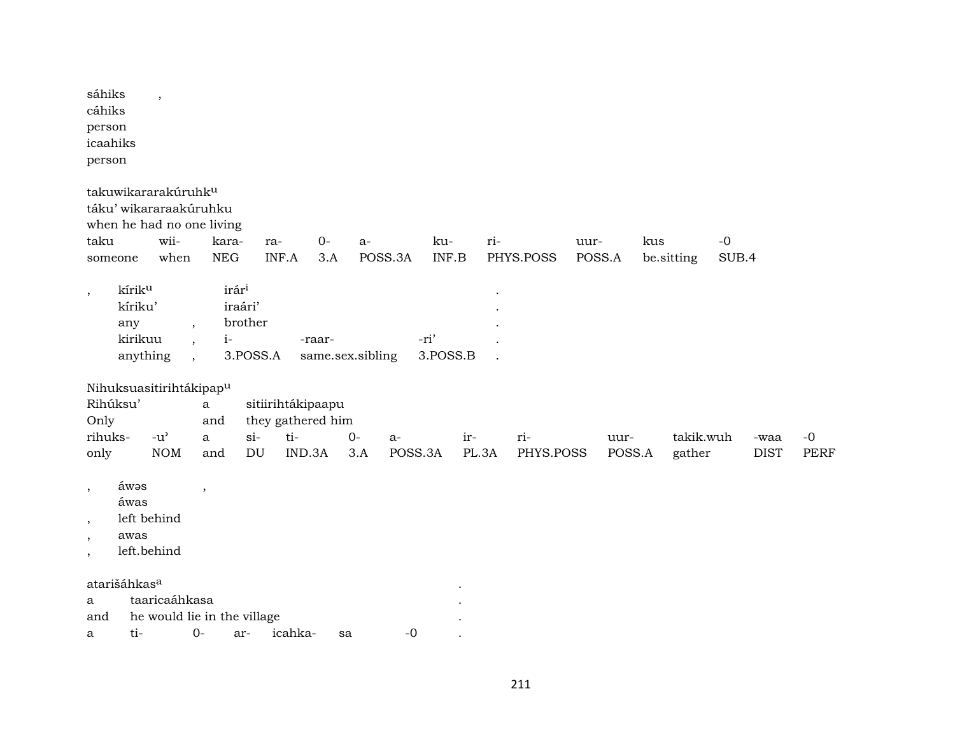| sáhiks<br>$\overline{\phantom{a}}$<br>cáhiks<br>person<br>icaahiks<br>person                 |                                                                                                     |                                   |                  |                  |           |        |                     |             |             |
|----------------------------------------------------------------------------------------------|-----------------------------------------------------------------------------------------------------|-----------------------------------|------------------|------------------|-----------|--------|---------------------|-------------|-------------|
| takuwikararakúruhk <sup>u</sup><br>táku' wikararaakúruhku<br>when he had no one living       |                                                                                                     |                                   |                  |                  |           |        |                     |             |             |
| taku                                                                                         | wii-<br>kara-                                                                                       | ra-                               | $0-$<br>a-       | ku-<br>ri-       | uur-      | kus    | $-0$                |             |             |
| someone                                                                                      | when<br><b>NEG</b>                                                                                  | INF.A                             | 3.A<br>POSS.3A   | INF.B            | PHYS.POSS | POSS.A | SUB.4<br>be.sitting |             |             |
| kírik <sup>u</sup><br>$\cdot$<br>kíriku'<br>any<br>kirikuu<br>anything                       | irár <sup>i</sup><br>iraári'<br>$\overline{\phantom{a}}$<br>$i-$<br>$\cdot$<br>$\ddot{\phantom{0}}$ | brother<br>-raar-<br>3.POSS.A     | same.sex.sibling | -ri'<br>3.POSS.B |           |        |                     |             |             |
| Nihuksuasitirihtákipap <sup>u</sup>                                                          |                                                                                                     |                                   |                  |                  |           |        |                     |             |             |
| Rihúksu'                                                                                     | $\rm{a}$                                                                                            | sitiirihtákipaapu                 |                  |                  |           |        |                     |             |             |
| Only<br>rihuks-<br>$-u$ <sup>2</sup>                                                         | and<br>$\mathbf{a}$                                                                                 | they gathered him<br>ti-<br>$si-$ | $0-$<br>$a-$     | ir-              | ri-       | uur-   | takik.wuh           | -waa        | $-0$        |
| only                                                                                         | <b>NOM</b><br>and                                                                                   | IND.3A<br>DU                      | 3.A              | POSS.3A<br>PL.3A | PHYS.POSS | POSS.A | gather              | <b>DIST</b> | <b>PERF</b> |
| áwəs<br>$\cdot$<br>áwas<br>left behind<br>$\cdot$<br>awas<br>$\,$<br>left.behind<br>$^\circ$ | $\cdot$                                                                                             |                                   |                  |                  |           |        |                     |             |             |
| atarišáhkas <sup>a</sup>                                                                     |                                                                                                     |                                   |                  |                  |           |        |                     |             |             |
| a                                                                                            | taaricaáhkasa                                                                                       |                                   |                  |                  |           |        |                     |             |             |
| and                                                                                          | he would lie in the village                                                                         |                                   |                  |                  |           |        |                     |             |             |
| $ti-$<br>a.                                                                                  | $O -$                                                                                               | ar- icahka-                       | $-0$<br>sa.      |                  |           |        |                     |             |             |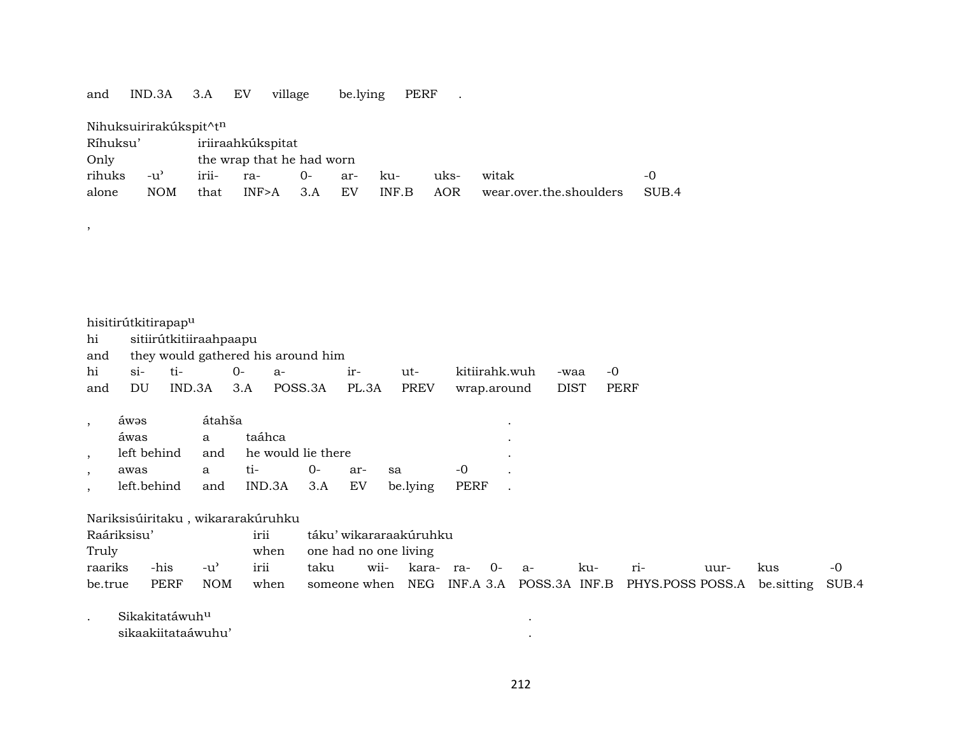and IND.3A 3.A EV village be.lying PERF .

| Nihuksuirirakúkspit^t <sup>n</sup> |                   |           |                           |      |     |       |      |                         |       |  |  |  |  |  |
|------------------------------------|-------------------|-----------|---------------------------|------|-----|-------|------|-------------------------|-------|--|--|--|--|--|
| Ríhuksu'                           | iriiraahkúkspitat |           |                           |      |     |       |      |                         |       |  |  |  |  |  |
| Only                               |                   |           | the wrap that he had worn |      |     |       |      |                         |       |  |  |  |  |  |
| rihuks                             | -u'               | irii- ra- |                           | $0-$ | ar- | ku-   | uks- | witak                   | $-()$ |  |  |  |  |  |
| alone                              | NOM               | that      | $INF>A$ 3.A               |      | EV  | INF.B | AOR  | wear.over.the.shoulders | SUB.4 |  |  |  |  |  |

|     | hisitirútkitirapap <sup>u</sup>    |       |             |                          |       |      |                  |      |       |  |  |  |  |
|-----|------------------------------------|-------|-------------|--------------------------|-------|------|------------------|------|-------|--|--|--|--|
| hi  | sitiirútkitiiraahpaapu             |       |             |                          |       |      |                  |      |       |  |  |  |  |
| and | they would gathered his around him |       |             |                          |       |      |                  |      |       |  |  |  |  |
| hi  | $S1$ -                             | $ti-$ | $()$ – $()$ | -а                       | $1r-$ | ut-  | kitiirahk.wuh    | -waa | $-()$ |  |  |  |  |
| and | DU                                 |       |             | IND.3A 3.A POSS.3A PL.3A |       | PREV | wrap.around DIST |      | PERF  |  |  |  |  |

| awas        |   | átahša |                                                 |     |                            |       |  |  |  |  |  |  |
|-------------|---|--------|-------------------------------------------------|-----|----------------------------|-------|--|--|--|--|--|--|
| áwas        | a | taáhca |                                                 |     |                            |       |  |  |  |  |  |  |
|             |   |        | left behind and he would lie there<br>$\bullet$ |     |                            |       |  |  |  |  |  |  |
| awas        | a | ti-    | $()$ -                                          | ar- | sa sa                      | $-()$ |  |  |  |  |  |  |
| left.behind |   |        |                                                 |     | and IND.3A 3.A EV be.lying | PERF  |  |  |  |  |  |  |

Nariksisúiritaku , wikararakúruhku

| Raáriksisu'<br>irii |      |       |      |                            | táku' wikararaakúruhku |                      |  |  |  |     |                                                                                 |      |     |    |
|---------------------|------|-------|------|----------------------------|------------------------|----------------------|--|--|--|-----|---------------------------------------------------------------------------------|------|-----|----|
| Truly               |      |       |      | when one had no one living |                        |                      |  |  |  |     |                                                                                 |      |     |    |
| raariks             | -his | $-u'$ | irii | taku                       |                        | wii- kara- ra- 0- a- |  |  |  | ku- | $ri-$                                                                           | uur- | kus | -0 |
| be.true             | PERF | NOM   |      |                            |                        |                      |  |  |  |     | when someone when NEG INF.A 3.A POSS.3A INF.B PHYS.POSS POSS.A be sitting SUB.4 |      |     |    |

. Sikakitatáwuh<sup>u</sup> katalana na katalana na katalana na katalana na katalana na katalana na katalana na katalana na k

,

sikaakiitataáwuhu' .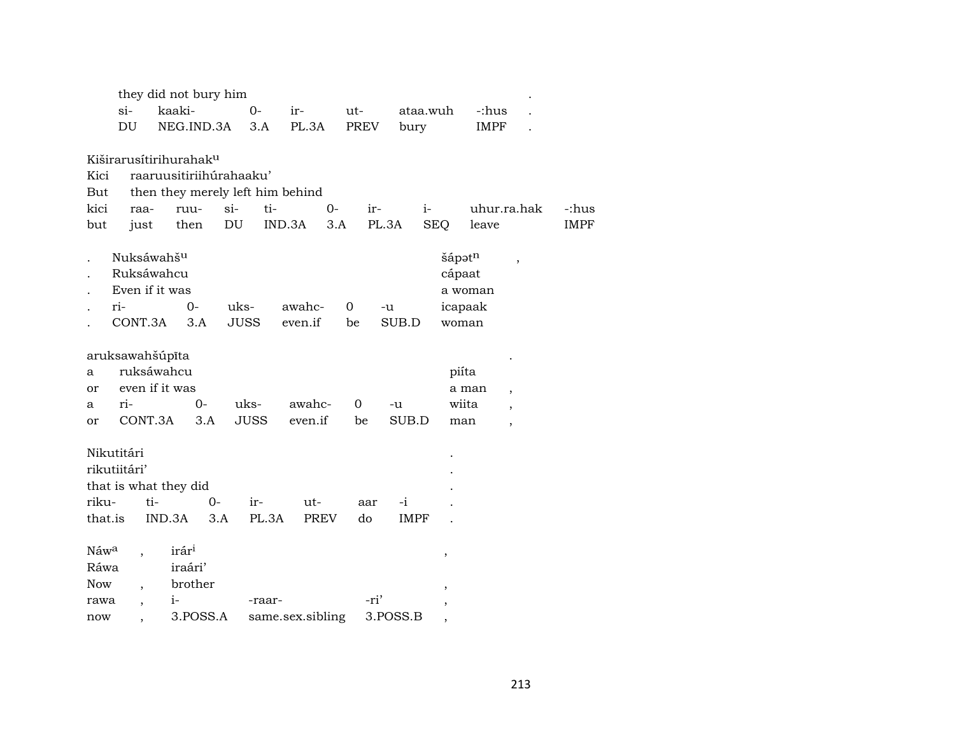|         |                          |        | they did not bury him              |             |                  |         |      |      |       |             |                |             |                          |             |
|---------|--------------------------|--------|------------------------------------|-------------|------------------|---------|------|------|-------|-------------|----------------|-------------|--------------------------|-------------|
|         | $si-$                    |        | kaaki-                             | $0 -$       |                  | ir-     |      | ut-  |       | ataa.wuh    |                | -:hus       |                          |             |
|         | DU                       |        | NEG.IND.3A                         |             | 3.A              | PL.3A   |      | PREV |       | bury        |                | <b>IMPF</b> |                          |             |
|         |                          |        |                                    |             |                  |         |      |      |       |             |                |             |                          |             |
|         |                          |        | Kiširarusítirihurahak <sup>u</sup> |             |                  |         |      |      |       |             |                |             |                          |             |
| Kici    |                          |        | raaruusitiriihúrahaaku'            |             |                  |         |      |      |       |             |                |             |                          |             |
| But     |                          |        | then they merely left him behind   |             |                  |         |      |      |       |             |                |             |                          |             |
| kici    | raa-                     |        | ruu-                               | $si-$       | ti-              |         | $0-$ |      | ir-   | $i-$        |                |             | uhur.ra.hak              | -:hus       |
| but     | just                     |        | then                               | DU          | IND.3A           |         | 3.A  |      | PL.3A |             | <b>SEQ</b>     | leave       |                          | <b>IMPF</b> |
|         | Nuksáwahš <sup>u</sup>   |        |                                    |             |                  |         |      |      |       |             |                | šápətn      |                          |             |
|         | Ruksáwahcu               |        |                                    |             |                  |         |      |      |       |             |                | cápaat      | $\overline{\phantom{a}}$ |             |
|         | Even if it was           |        |                                    |             |                  |         |      |      |       |             |                | a woman     |                          |             |
|         | ri-                      |        | $0 -$                              | uks-        |                  | awahc-  |      | 0    | -u    |             |                | icapaak     |                          |             |
|         | CONT.3A                  |        | 3.A                                | <b>JUSS</b> |                  | even.if |      | be   |       | SUB.D       |                | woman       |                          |             |
|         |                          |        |                                    |             |                  |         |      |      |       |             |                |             |                          |             |
|         | aruksawahšúpīta          |        |                                    |             |                  |         |      |      |       |             |                |             |                          |             |
| a       | ruksáwahcu               |        |                                    |             |                  |         |      |      |       |             |                | piíta       |                          |             |
| or      | even if it was           |        |                                    |             |                  |         |      |      |       |             |                | a man       | $\overline{\phantom{a}}$ |             |
| a       | ri-                      |        | $0-$                               | uks-        |                  | awahc-  |      | 0    |       | -u          |                | wiita       | $\overline{ }$           |             |
| or      | CONT.3A                  |        | 3.A                                | <b>JUSS</b> |                  | even.if |      | be   |       | SUB.D       |                | man         | $\overline{\phantom{a}}$ |             |
|         |                          |        |                                    |             |                  |         |      |      |       |             |                |             |                          |             |
|         | Nikutitári               |        |                                    |             |                  |         |      |      |       |             |                |             |                          |             |
|         | rikutiitári'             |        |                                    |             |                  |         |      |      |       |             |                |             |                          |             |
|         | that is what they did    |        |                                    |             |                  |         |      |      |       |             |                |             |                          |             |
| riku-   |                          | ti-    | $0-$                               |             | ir-              | ut-     |      | aar  |       | $-i$        |                |             |                          |             |
| that.is |                          | IND.3A |                                    | 3.A         | PL.3A            | PREV    |      | do   |       | <b>IMPF</b> |                |             |                          |             |
| Náwa    |                          |        | irár <sup>i</sup>                  |             |                  |         |      |      |       |             |                |             |                          |             |
| Ráwa    |                          |        | iraári'                            |             |                  |         |      |      |       |             | $\,$           |             |                          |             |
| Now     |                          |        | brother                            |             |                  |         |      |      |       |             |                |             |                          |             |
| rawa    | $\overline{\phantom{a}}$ |        | $i-$                               |             | -raar-           |         |      |      | -ri'  |             | $\overline{ }$ |             |                          |             |
| now     |                          |        | 3.POSS.A                           |             | same.sex.sibling |         |      |      |       | 3.POSS.B    |                |             |                          |             |
|         |                          |        |                                    |             |                  |         |      |      |       |             | ,              |             |                          |             |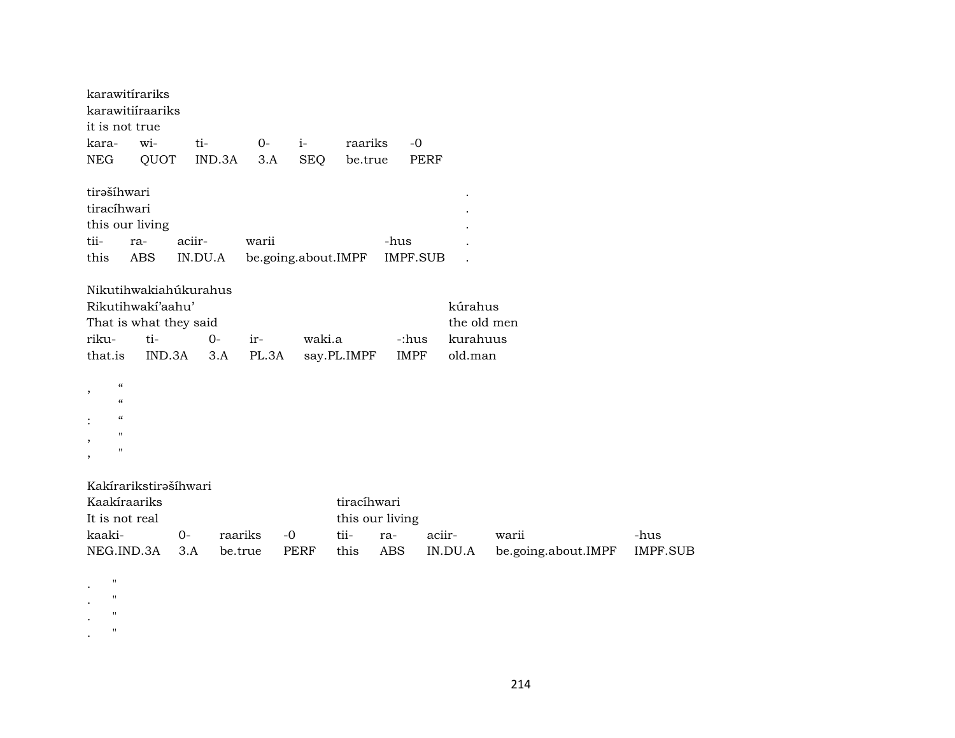| karawitírariks                                                                                                                                             | karawitiíraariks                                                                      |         |              |                     |                       |             |                      |                                               |                     |                 |
|------------------------------------------------------------------------------------------------------------------------------------------------------------|---------------------------------------------------------------------------------------|---------|--------------|---------------------|-----------------------|-------------|----------------------|-----------------------------------------------|---------------------|-----------------|
| it is not true                                                                                                                                             |                                                                                       |         |              |                     |                       |             |                      |                                               |                     |                 |
| kara-                                                                                                                                                      | wi-                                                                                   | ti-     |              | $0-$                | $i-$                  | raariks     | $-0$                 |                                               |                     |                 |
| <b>NEG</b>                                                                                                                                                 | QUOT                                                                                  |         | IND.3A       | 3.A                 | <b>SEQ</b>            | be.true     |                      | <b>PERF</b>                                   |                     |                 |
| tirašíhwari<br>tiracíhwari<br>this our living                                                                                                              |                                                                                       |         |              |                     |                       |             |                      |                                               |                     |                 |
| tii-                                                                                                                                                       | ra-                                                                                   | aciir-  |              | warii               |                       |             | -hus                 |                                               |                     |                 |
| this                                                                                                                                                       | <b>ABS</b>                                                                            | IN.DU.A |              | be.going.about.IMPF |                       |             | <b>IMPF.SUB</b>      |                                               |                     |                 |
| riku-<br>that.is                                                                                                                                           | Nikutihwakiahúkurahus<br>Rikutihwakí'aahu'<br>That is what they said<br>ti-<br>IND.3A |         | $O -$<br>3.A | ir-<br>PL.3A        | waki.a<br>say.PL.IMPF |             | -:hus<br><b>IMPF</b> | kúrahus<br>the old men<br>kurahuus<br>old.man |                     |                 |
| $\boldsymbol{\mathcal{C}}$<br>$\, ,$<br>$\epsilon$<br>$\epsilon\epsilon$<br>$\pmb{\mathsf{H}}$<br>$\, ,$<br>$\pmb{\mathsf{H}}$<br>$\overline{\phantom{a}}$ |                                                                                       |         |              |                     |                       |             |                      |                                               |                     |                 |
| Kaakíraariks                                                                                                                                               | Kakírarikstirašíhwari                                                                 |         |              |                     |                       | tiracíhwari |                      |                                               |                     |                 |
| It is not real                                                                                                                                             |                                                                                       |         |              |                     |                       |             | this our living      |                                               |                     |                 |
| kaaki-                                                                                                                                                     |                                                                                       | $0-$    | raariks      | $-0$                |                       | tii-        | ra-                  | aciir-                                        | warii               | -hus            |
| NEG.IND.3A                                                                                                                                                 |                                                                                       | 3.A     | be.true      |                     | <b>PERF</b>           | this        | <b>ABS</b>           | IN.DU.A                                       | be.going.about.IMPF | <b>IMPF.SUB</b> |
| $\pmb{\mathsf{H}}$<br>$\pmb{\mathsf{H}}$<br>$\pmb{\mathsf{H}}$                                                                                             |                                                                                       |         |              |                     |                       |             |                      |                                               |                     |                 |

. "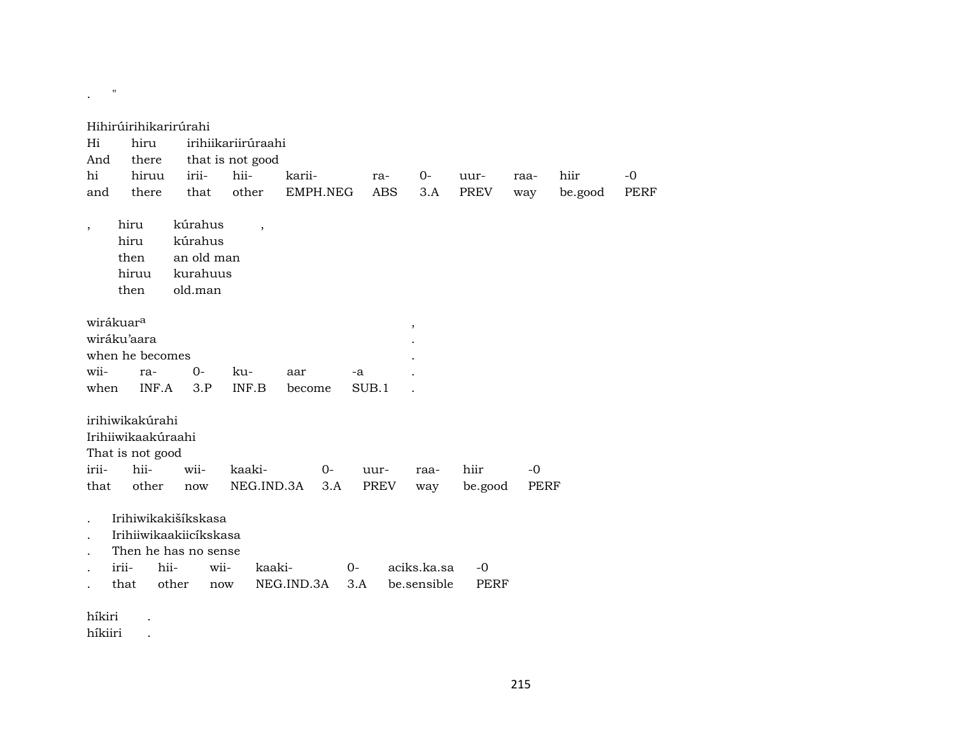| Hi<br>And                | Hihirúirihikarirúrahi<br>hiru<br>there |                    | irihiikariirúraahi<br>that is not good |                          |                    |      |       |                   |             |                     |             |                 |                     |
|--------------------------|----------------------------------------|--------------------|----------------------------------------|--------------------------|--------------------|------|-------|-------------------|-------------|---------------------|-------------|-----------------|---------------------|
| hi<br>and                | hiruu<br>there                         | irii-<br>that      |                                        | hii-<br>other            | karii-<br>EMPH.NEG |      |       | ra-<br><b>ABS</b> | $0-$<br>3.A | uur-<br><b>PREV</b> | raa-<br>way | hiir<br>be.good | $-0$<br><b>PERF</b> |
|                          |                                        |                    |                                        |                          |                    |      |       |                   |             |                     |             |                 |                     |
| $\overline{\phantom{a}}$ | hiru<br>hiru                           | kúrahus<br>kúrahus |                                        | $\overline{\phantom{a}}$ |                    |      |       |                   |             |                     |             |                 |                     |
|                          | then                                   |                    | an old man                             |                          |                    |      |       |                   |             |                     |             |                 |                     |
|                          | hiruu                                  |                    | kurahuus                               |                          |                    |      |       |                   |             |                     |             |                 |                     |
|                          | then                                   | old.man            |                                        |                          |                    |      |       |                   |             |                     |             |                 |                     |
|                          | wirákuar <sup>a</sup>                  |                    |                                        |                          |                    |      |       |                   | $\, ,$      |                     |             |                 |                     |
|                          | wiráku'aara                            |                    |                                        |                          |                    |      |       |                   |             |                     |             |                 |                     |
|                          | when he becomes                        |                    |                                        |                          |                    |      |       |                   |             |                     |             |                 |                     |
| wii-                     | ra-                                    | $0 -$              |                                        | ku-                      | aar                |      | $-a$  |                   |             |                     |             |                 |                     |
| when                     | INF.A                                  |                    | 3.P                                    | INF.B                    | become             |      | SUB.1 |                   |             |                     |             |                 |                     |
|                          | irihiwikakúrahi                        |                    |                                        |                          |                    |      |       |                   |             |                     |             |                 |                     |
|                          | Irihiiwikaakúraahi                     |                    |                                        |                          |                    |      |       |                   |             |                     |             |                 |                     |
|                          | That is not good                       |                    |                                        |                          |                    |      |       |                   |             |                     |             |                 |                     |
| irii-                    | hii-                                   | wii-               |                                        | kaaki-                   |                    | $0-$ | uur-  |                   | raa-        | hiir                | $-0$        |                 |                     |
| that                     | other                                  | now                |                                        | NEG.IND.3A               |                    | 3.A  |       | <b>PREV</b>       | way         | be.good             | PERF        |                 |                     |
|                          | Irihiwikakišíkskasa                    |                    |                                        |                          |                    |      |       |                   |             |                     |             |                 |                     |
|                          | Irihiiwikaakiicíkskasa                 |                    |                                        |                          |                    |      |       |                   |             |                     |             |                 |                     |
|                          | Then he has no sense                   |                    |                                        |                          |                    |      |       |                   |             |                     |             |                 |                     |
|                          | irii-                                  | hii-               | wii-                                   | kaaki-                   |                    |      | $0-$  |                   | aciks.ka.sa | $-0$                |             |                 |                     |
|                          | that                                   | other              | now                                    |                          | NEG.IND.3A         |      | 3.A   |                   | be.sensible | <b>PERF</b>         |             |                 |                     |
| híkiri                   |                                        |                    |                                        |                          |                    |      |       |                   |             |                     |             |                 |                     |

híkiiri .

. <br>  $\label{eq:1} \mathbf{u} = \mathbf{u} \mathbf{u} + \mathbf{v} \mathbf{u}$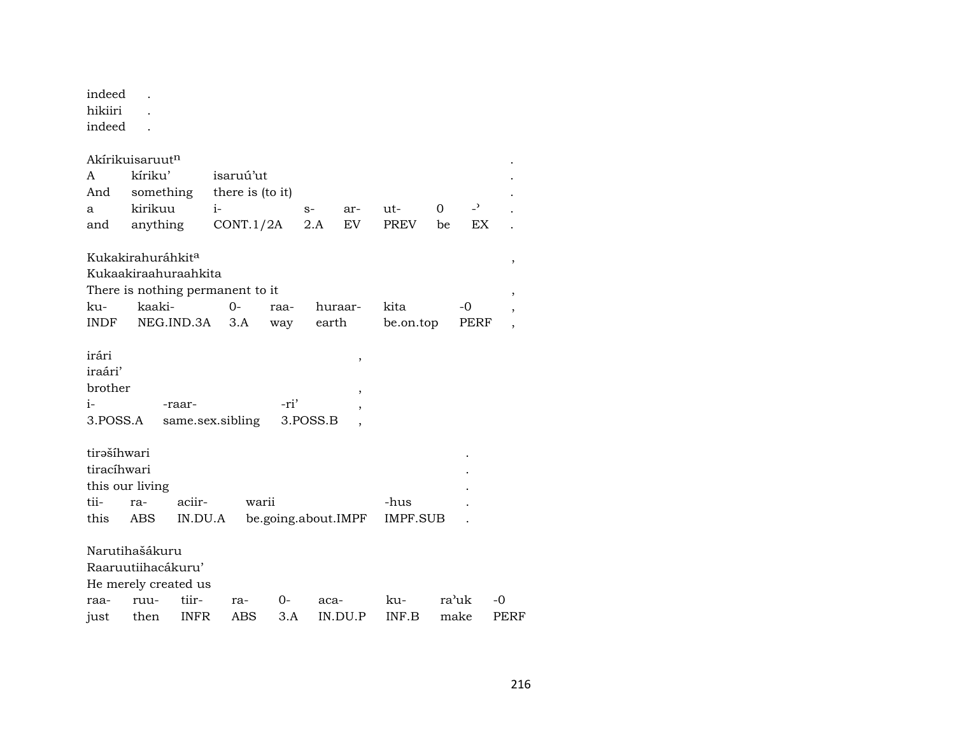| indeed<br>hikiiri<br>indeed                                                                                                                                                                                                        |                                                                              |                      |                                            |           |             |                               |                    |         |                             |                   |  |
|------------------------------------------------------------------------------------------------------------------------------------------------------------------------------------------------------------------------------------|------------------------------------------------------------------------------|----------------------|--------------------------------------------|-----------|-------------|-------------------------------|--------------------|---------|-----------------------------|-------------------|--|
| A<br>And<br>a<br>and                                                                                                                                                                                                               | Akírikuisaruut <sup>n</sup><br>kíriku'<br>something<br>kirikuu<br>anything   | i-                   | isaruú'ut<br>there is (to it)<br>CONT.1/2A |           | $S-$<br>2.A | ar-<br>EV                     | ut-<br><b>PREV</b> | 0<br>be | $\overline{a}$<br><b>EX</b> |                   |  |
| Kukakirahuráhkit <sup>a</sup><br>,<br>Kukaakiraahuraahkita<br>There is nothing permanent to it<br>kaaki-<br>$0 -$<br>kita<br>ku-<br>huraar-<br>-0<br>raa-<br>NEG.IND.3A<br><b>INDF</b><br>3.A<br>earth<br>be.on.top<br>way<br>PERF |                                                                              |                      |                                            |           |             |                               |                    |         |                             |                   |  |
| irári<br>iraári'<br>brother<br>i-<br>3.POSS.A                                                                                                                                                                                      |                                                                              | -raar-               | same.sex.sibling                           | -ri'      | 3.POSS.B    | ,<br>$\overline{\phantom{a}}$ |                    |         |                             |                   |  |
| tirašíhwari<br>tiracíhwari<br>tii-<br>this                                                                                                                                                                                         | this our living<br>ra-<br>ABS                                                | aciir-<br>IN.DU.A    | warii                                      |           |             | be.going.about.IMPF           | -hus<br>IMPF.SUB   |         |                             |                   |  |
| raa-<br>just                                                                                                                                                                                                                       | Narutihašákuru<br>Raaruutiihacákuru'<br>He merely created us<br>ruu-<br>then | tiir-<br><b>INFR</b> | ra-<br>ABS                                 | 0-<br>3.A | aca-        | IN.DU.P                       | ku-<br>INF.B       |         | ra'uk<br>make               | -0<br><b>PERF</b> |  |